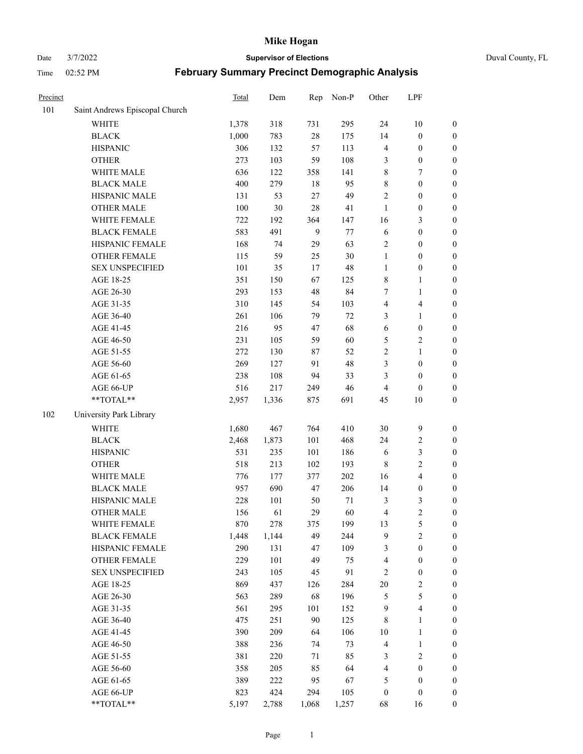Date 3/7/2022 **Supervisor of Elections** Duval County, FL

| Precinct |                                     | Total        | Dem          | Rep            | Non-P      | Other            | LPF                                |                                      |
|----------|-------------------------------------|--------------|--------------|----------------|------------|------------------|------------------------------------|--------------------------------------|
| 101      | Saint Andrews Episcopal Church      |              |              |                |            |                  |                                    |                                      |
|          | <b>WHITE</b>                        | 1,378        | 318          | 731            | 295        | 24               | $10\,$                             | 0                                    |
|          | <b>BLACK</b>                        | 1,000        | 783          | $28\,$         | 175        | 14               | $\boldsymbol{0}$                   | $\boldsymbol{0}$                     |
|          | <b>HISPANIC</b>                     | 306          | 132          | 57             | 113        | 4                | $\boldsymbol{0}$                   | $\boldsymbol{0}$                     |
|          | <b>OTHER</b>                        | 273          | 103          | 59             | 108        | 3                | $\boldsymbol{0}$                   | $\boldsymbol{0}$                     |
|          | WHITE MALE                          | 636          | 122          | 358            | 141        | 8                | 7                                  | $\boldsymbol{0}$                     |
|          | <b>BLACK MALE</b>                   | 400          | 279          | 18             | 95         | 8                | $\boldsymbol{0}$                   | $\boldsymbol{0}$                     |
|          | HISPANIC MALE                       | 131          | 53           | $27\,$         | 49         | 2                | $\boldsymbol{0}$                   | $\boldsymbol{0}$                     |
|          | <b>OTHER MALE</b>                   | 100          | 30           | 28             | 41         | $\mathbf{1}$     | $\boldsymbol{0}$                   | $\boldsymbol{0}$                     |
|          | WHITE FEMALE                        | 722          | 192          | 364            | 147        | 16               | $\mathfrak{Z}$                     | $\boldsymbol{0}$                     |
|          | <b>BLACK FEMALE</b>                 | 583          | 491          | $\overline{9}$ | 77         | 6                | $\boldsymbol{0}$                   | $\boldsymbol{0}$                     |
|          | HISPANIC FEMALE                     | 168          | 74           | 29             | 63         | $\sqrt{2}$       | $\boldsymbol{0}$                   | $\boldsymbol{0}$                     |
|          | OTHER FEMALE                        | 115          | 59           | 25             | 30         | $\mathbf{1}$     | $\boldsymbol{0}$                   | $\boldsymbol{0}$                     |
|          | <b>SEX UNSPECIFIED</b>              | 101          | 35           | 17             | 48         | $\mathbf{1}$     | $\boldsymbol{0}$                   | $\boldsymbol{0}$                     |
|          | AGE 18-25                           | 351          | 150          | 67             | 125        | 8                | $\mathbf{1}$                       | $\boldsymbol{0}$                     |
|          | AGE 26-30                           | 293          | 153          | 48             | 84         | 7                | $\mathbf{1}$                       | $\boldsymbol{0}$                     |
|          | AGE 31-35                           | 310          | 145          | 54             | 103        | 4                | $\overline{\mathbf{4}}$            | $\boldsymbol{0}$                     |
|          | AGE 36-40                           | 261          | 106          | 79             | 72         | 3                | $\mathbf{1}$                       | $\boldsymbol{0}$                     |
|          | AGE 41-45                           | 216          | 95           | 47             | 68         | 6                | $\boldsymbol{0}$                   | $\boldsymbol{0}$                     |
|          | AGE 46-50                           | 231          | 105          | 59             | 60         | 5                | $\mathbf{2}$                       | $\boldsymbol{0}$                     |
|          | AGE 51-55                           | 272          | 130          | 87             | 52         | 2                | $\mathbf{1}$                       | $\boldsymbol{0}$                     |
|          | AGE 56-60                           | 269          | 127          | 91             | 48         | 3                | $\boldsymbol{0}$                   | 0                                    |
|          | AGE 61-65                           | 238          | 108          | 94             | 33         | 3                | $\boldsymbol{0}$                   | $\boldsymbol{0}$                     |
|          | AGE 66-UP                           | 516          | 217          | 249            | 46         | $\overline{4}$   | $\boldsymbol{0}$                   | $\boldsymbol{0}$                     |
|          | **TOTAL**                           | 2,957        | 1,336        | 875            | 691        | 45               | $10\,$                             | $\boldsymbol{0}$                     |
| 102      | University Park Library             |              |              |                |            |                  |                                    |                                      |
|          | <b>WHITE</b>                        |              | 467          | 764            | 410        | 30               | $\mathbf{9}$                       |                                      |
|          |                                     | 1,680        |              | 101            | 468        |                  |                                    | $\boldsymbol{0}$                     |
|          | <b>BLACK</b><br><b>HISPANIC</b>     | 2,468<br>531 | 1,873<br>235 | 101            | 186        | 24<br>6          | $\sqrt{2}$<br>$\mathfrak{Z}$       | $\boldsymbol{0}$<br>$\boldsymbol{0}$ |
|          |                                     | 518          | 213          | 102            | 193        | $\,$ 8 $\,$      | $\sqrt{2}$                         |                                      |
|          | <b>OTHER</b>                        | 776          |              |                | 202        | 16               | $\overline{4}$                     | $\boldsymbol{0}$                     |
|          | WHITE MALE<br><b>BLACK MALE</b>     | 957          | 177<br>690   | 377<br>47      | 206        | 14               |                                    | $\boldsymbol{0}$<br>$\boldsymbol{0}$ |
|          | HISPANIC MALE                       |              | 101          |                | $71\,$     |                  | $\boldsymbol{0}$<br>$\mathfrak{Z}$ |                                      |
|          | <b>OTHER MALE</b>                   | 228<br>156   | 61           | 50<br>29       | 60         | 3<br>4           | $\overline{c}$                     | $\boldsymbol{0}$<br>$\boldsymbol{0}$ |
|          |                                     |              |              |                |            |                  |                                    | 0                                    |
|          | WHITE FEMALE<br><b>BLACK FEMALE</b> | 870          | 278          | 375<br>49      | 199<br>244 | 13<br>9          | 5<br>$\sqrt{2}$                    | $\boldsymbol{0}$                     |
|          | HISPANIC FEMALE                     | 1,448<br>290 | 1,144<br>131 | 47             | 109        | 3                | $\boldsymbol{0}$                   | $\overline{0}$                       |
|          | OTHER FEMALE                        | 229          | 101          | 49             | 75         |                  | $\boldsymbol{0}$                   | $\overline{0}$                       |
|          | <b>SEX UNSPECIFIED</b>              | 243          | 105          | 45             | 91         | 4<br>2           | $\boldsymbol{0}$                   | 0                                    |
|          | AGE 18-25                           | 869          | 437          | 126            | 284        | $20\,$           | $\sqrt{2}$                         | 0                                    |
|          | AGE 26-30                           | 563          | 289          | 68             | 196        | 5                | $\mathfrak{S}$                     | 0                                    |
|          | AGE 31-35                           | 561          | 295          | 101            | 152        | 9                | $\overline{\mathbf{4}}$            | 0                                    |
|          | AGE 36-40                           | 475          | 251          | 90             | 125        | 8                | $\mathbf{1}$                       | 0                                    |
|          | AGE 41-45                           | 390          | 209          | 64             | 106        | 10               | $\mathbf{1}$                       | 0                                    |
|          | AGE 46-50                           | 388          | 236          | 74             | 73         | 4                | $\mathbf{1}$                       | 0                                    |
|          |                                     |              |              |                |            |                  |                                    |                                      |
|          | AGE 51-55<br>AGE 56-60              | 381<br>358   | 220<br>205   | 71<br>85       | 85<br>64   | 3<br>4           | $\sqrt{2}$<br>$\boldsymbol{0}$     | 0<br>$\overline{0}$                  |
|          | AGE 61-65                           | 389          | 222          | 95             | 67         | 5                | $\boldsymbol{0}$                   | $\boldsymbol{0}$                     |
|          | AGE 66-UP                           | 823          | 424          | 294            | 105        | $\boldsymbol{0}$ | $\boldsymbol{0}$                   | 0                                    |
|          | **TOTAL**                           |              |              |                |            |                  |                                    | $\boldsymbol{0}$                     |
|          |                                     | 5,197        | 2,788        | 1,068          | 1,257      | 68               | 16                                 |                                      |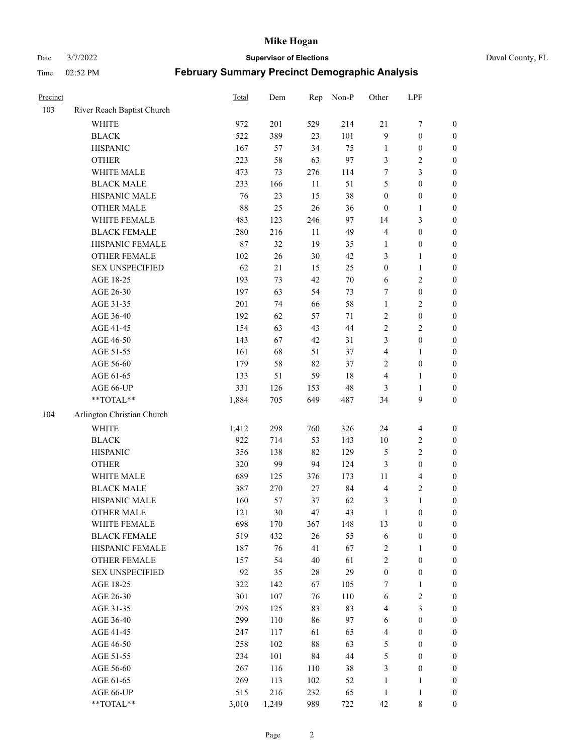Date 3/7/2022 **Supervisor of Elections** Duval County, FL

| Precinct |                            | <b>Total</b> | Dem   | Rep    | Non-P  | Other            | LPF              |                  |
|----------|----------------------------|--------------|-------|--------|--------|------------------|------------------|------------------|
| 103      | River Reach Baptist Church |              |       |        |        |                  |                  |                  |
|          | <b>WHITE</b>               | 972          | 201   | 529    | 214    | 21               | $\boldsymbol{7}$ | 0                |
|          | <b>BLACK</b>               | 522          | 389   | 23     | 101    | 9                | $\boldsymbol{0}$ | $\boldsymbol{0}$ |
|          | <b>HISPANIC</b>            | 167          | 57    | 34     | 75     | $\mathbf{1}$     | $\boldsymbol{0}$ | $\boldsymbol{0}$ |
|          | <b>OTHER</b>               | 223          | 58    | 63     | 97     | 3                | $\sqrt{2}$       | $\boldsymbol{0}$ |
|          | WHITE MALE                 | 473          | 73    | 276    | 114    | 7                | $\mathfrak{Z}$   | $\boldsymbol{0}$ |
|          | <b>BLACK MALE</b>          | 233          | 166   | 11     | 51     | 5                | $\boldsymbol{0}$ | $\boldsymbol{0}$ |
|          | HISPANIC MALE              | 76           | 23    | 15     | 38     | $\boldsymbol{0}$ | $\boldsymbol{0}$ | $\boldsymbol{0}$ |
|          | <b>OTHER MALE</b>          | 88           | 25    | 26     | 36     | $\boldsymbol{0}$ | $\mathbf{1}$     | $\boldsymbol{0}$ |
|          | WHITE FEMALE               | 483          | 123   | 246    | 97     | 14               | $\mathfrak{Z}$   | $\boldsymbol{0}$ |
|          | <b>BLACK FEMALE</b>        | 280          | 216   | 11     | 49     | $\overline{4}$   | $\boldsymbol{0}$ | $\boldsymbol{0}$ |
|          | HISPANIC FEMALE            | 87           | 32    | 19     | 35     | 1                | $\boldsymbol{0}$ | 0                |
|          | <b>OTHER FEMALE</b>        | 102          | 26    | $30\,$ | 42     | 3                | $\mathbf{1}$     | $\boldsymbol{0}$ |
|          | <b>SEX UNSPECIFIED</b>     | 62           | 21    | 15     | 25     | $\boldsymbol{0}$ | $\mathbf{1}$     | $\boldsymbol{0}$ |
|          | AGE 18-25                  | 193          | 73    | 42     | $70\,$ | 6                | $\sqrt{2}$       | $\boldsymbol{0}$ |
|          | AGE 26-30                  | 197          | 63    | 54     | 73     | 7                | $\boldsymbol{0}$ | $\boldsymbol{0}$ |
|          | AGE 31-35                  | 201          | 74    | 66     | 58     | $\mathbf{1}$     | $\sqrt{2}$       | $\boldsymbol{0}$ |
|          | AGE 36-40                  | 192          | 62    | 57     | 71     | $\sqrt{2}$       | $\boldsymbol{0}$ | $\boldsymbol{0}$ |
|          | AGE 41-45                  | 154          | 63    | 43     | $44\,$ | $\sqrt{2}$       | $\overline{2}$   | $\boldsymbol{0}$ |
|          | AGE 46-50                  | 143          | 67    | 42     | 31     | 3                | $\boldsymbol{0}$ | $\boldsymbol{0}$ |
|          | AGE 51-55                  | 161          | 68    | 51     | 37     | $\overline{4}$   | $\mathbf{1}$     | $\boldsymbol{0}$ |
|          | AGE 56-60                  | 179          | 58    | 82     | 37     | $\mathbf{2}$     | $\boldsymbol{0}$ | 0                |
|          | AGE 61-65                  | 133          | 51    | 59     | $18\,$ | $\overline{4}$   | $\mathbf{1}$     | 0                |
|          | AGE 66-UP                  | 331          | 126   | 153    | 48     | 3                | $\mathbf{1}$     | $\boldsymbol{0}$ |
|          | $**TOTAL**$                | 1,884        | 705   | 649    | 487    | 34               | $\boldsymbol{9}$ | $\boldsymbol{0}$ |
| 104      | Arlington Christian Church |              |       |        |        |                  |                  |                  |
|          | <b>WHITE</b>               | 1,412        | 298   | 760    | 326    | 24               | $\overline{4}$   | $\boldsymbol{0}$ |
|          | <b>BLACK</b>               | 922          | 714   | 53     | 143    | 10               | $\sqrt{2}$       | $\boldsymbol{0}$ |
|          | <b>HISPANIC</b>            | 356          | 138   | 82     | 129    | 5                | $\mathbf{2}$     | $\boldsymbol{0}$ |
|          | <b>OTHER</b>               | 320          | 99    | 94     | 124    | 3                | $\boldsymbol{0}$ | $\boldsymbol{0}$ |
|          | WHITE MALE                 | 689          | 125   | 376    | 173    | $11\,$           | $\overline{4}$   | $\boldsymbol{0}$ |
|          | <b>BLACK MALE</b>          | 387          | 270   | $27\,$ | 84     | $\overline{4}$   | $\overline{2}$   | $\boldsymbol{0}$ |
|          | HISPANIC MALE              | 160          | 57    | 37     | 62     | 3                | $\mathbf{1}$     | $\boldsymbol{0}$ |
|          | <b>OTHER MALE</b>          | 121          | 30    | 47     | 43     | $\mathbf{1}$     | $\boldsymbol{0}$ | $\boldsymbol{0}$ |
|          | WHITE FEMALE               | 698          | 170   | 367    | 148    | 13               | $\boldsymbol{0}$ | 0                |
|          | <b>BLACK FEMALE</b>        | 519          | 432   | 26     | 55     | 6                | $\boldsymbol{0}$ | $\boldsymbol{0}$ |
|          | HISPANIC FEMALE            | 187          | 76    | 41     | 67     | $\sqrt{2}$       | $\mathbf{1}$     | $\overline{0}$   |
|          | OTHER FEMALE               | 157          | 54    | 40     | 61     | $\overline{c}$   | $\boldsymbol{0}$ | $\overline{0}$   |
|          | <b>SEX UNSPECIFIED</b>     | 92           | 35    | $28\,$ | 29     | $\boldsymbol{0}$ | $\boldsymbol{0}$ | 0                |
|          | AGE 18-25                  | 322          | 142   | 67     | 105    | 7                | $\mathbf{1}$     | $\theta$         |
|          | AGE 26-30                  | 301          | 107   | 76     | 110    | 6                | $\sqrt{2}$       | 0                |
|          | AGE 31-35                  | 298          | 125   | 83     | 83     | 4                | $\mathfrak{Z}$   | 0                |
|          | AGE 36-40                  | 299          | 110   | 86     | 97     | 6                | $\boldsymbol{0}$ | 0                |
|          | AGE 41-45                  | 247          | 117   | 61     | 65     | $\overline{4}$   | $\boldsymbol{0}$ | 0                |
|          | AGE 46-50                  | 258          | 102   | $88\,$ | 63     | 5                | $\boldsymbol{0}$ | 0                |
|          | AGE 51-55                  | 234          | 101   | 84     | 44     | 5                | $\boldsymbol{0}$ | $\overline{0}$   |
|          | AGE 56-60                  | 267          | 116   | 110    | 38     | 3                | $\boldsymbol{0}$ | $\overline{0}$   |
|          | AGE 61-65                  | 269          | 113   | 102    | 52     | $\mathbf{1}$     | $\mathbf{1}$     | $\overline{0}$   |
|          | AGE 66-UP                  | 515          | 216   | 232    | 65     | $\mathbf{1}$     | $\mathbf{1}$     | $\boldsymbol{0}$ |
|          | **TOTAL**                  | 3,010        | 1,249 | 989    | 722    | 42               | 8                | $\boldsymbol{0}$ |
|          |                            |              |       |        |        |                  |                  |                  |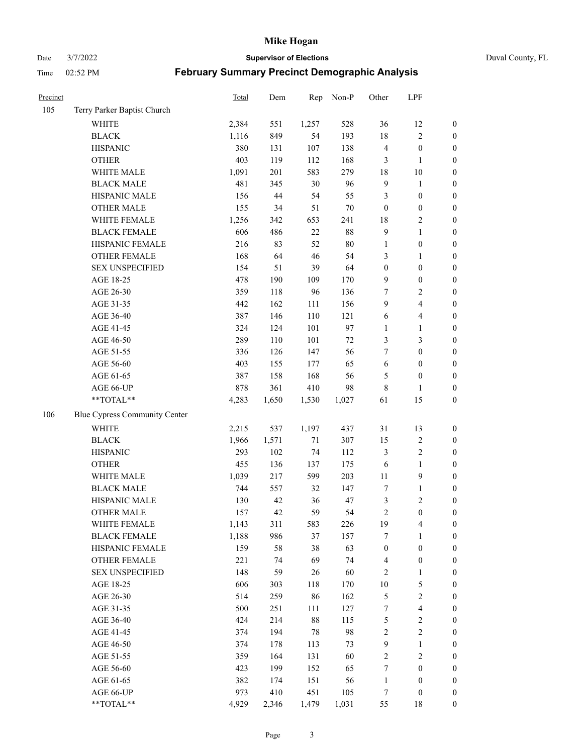Date 3/7/2022 **Supervisor of Elections** Duval County, FL

| Precinct |                                     | Total        | Dem   | Rep       | Non-P     | Other               | LPF                      |                  |
|----------|-------------------------------------|--------------|-------|-----------|-----------|---------------------|--------------------------|------------------|
| 105      | Terry Parker Baptist Church         |              |       |           |           |                     |                          |                  |
|          | <b>WHITE</b>                        | 2,384        | 551   | 1,257     | 528       | 36                  | 12                       | 0                |
|          | <b>BLACK</b>                        | 1,116        | 849   | 54        | 193       | 18                  | $\sqrt{2}$               | $\boldsymbol{0}$ |
|          | <b>HISPANIC</b>                     | 380          | 131   | 107       | 138       | $\overline{4}$      | $\boldsymbol{0}$         | $\boldsymbol{0}$ |
|          | <b>OTHER</b>                        | 403          | 119   | 112       | 168       | 3                   | $\mathbf{1}$             | $\boldsymbol{0}$ |
|          | WHITE MALE                          | 1,091        | 201   | 583       | 279       | 18                  | $10\,$                   | $\boldsymbol{0}$ |
|          | <b>BLACK MALE</b>                   | 481          | 345   | 30        | 96        | $\mathbf{9}$        | $\mathbf{1}$             | $\boldsymbol{0}$ |
|          | HISPANIC MALE                       | 156          | 44    | 54        | 55        | 3                   | $\boldsymbol{0}$         | $\boldsymbol{0}$ |
|          | <b>OTHER MALE</b>                   | 155          | 34    | 51        | $70\,$    | $\boldsymbol{0}$    | $\boldsymbol{0}$         | $\boldsymbol{0}$ |
|          | WHITE FEMALE                        | 1,256        | 342   | 653       | 241       | 18                  | $\overline{2}$           | $\boldsymbol{0}$ |
|          | <b>BLACK FEMALE</b>                 | 606          | 486   | $22\,$    | $88\,$    | $\mathbf{9}$        | $\mathbf{1}$             | $\boldsymbol{0}$ |
|          | HISPANIC FEMALE                     | 216          | 83    | 52        | $80\,$    | 1                   | $\boldsymbol{0}$         | 0                |
|          | OTHER FEMALE                        | 168          | 64    | 46        | 54        | 3                   | $\mathbf{1}$             | $\boldsymbol{0}$ |
|          | <b>SEX UNSPECIFIED</b>              | 154          | 51    | 39        | 64        | $\boldsymbol{0}$    | $\boldsymbol{0}$         | $\boldsymbol{0}$ |
|          | AGE 18-25                           | 478          | 190   | 109       | 170       | 9                   | $\boldsymbol{0}$         | $\boldsymbol{0}$ |
|          | AGE 26-30                           | 359          | 118   | 96        | 136       | 7                   | $\sqrt{2}$               | $\boldsymbol{0}$ |
|          | AGE 31-35                           | 442          | 162   | 111       | 156       | 9                   | $\overline{\mathbf{4}}$  | $\boldsymbol{0}$ |
|          | AGE 36-40                           | 387          | 146   | 110       | 121       | 6                   | $\overline{\mathbf{4}}$  | $\boldsymbol{0}$ |
|          | AGE 41-45                           | 324          | 124   | 101       | 97        | $\mathbf{1}$        | $\mathbf{1}$             | $\boldsymbol{0}$ |
|          | AGE 46-50                           | 289          | 110   | 101       | $72\,$    | 3                   | $\mathfrak{Z}$           | $\boldsymbol{0}$ |
|          | AGE 51-55                           | 336          | 126   | 147       | 56        | 7                   | $\boldsymbol{0}$         | $\boldsymbol{0}$ |
|          | AGE 56-60                           | 403          | 155   | 177       | 65        | $\sqrt{6}$          | $\boldsymbol{0}$         | 0                |
|          | AGE 61-65                           | 387          | 158   | 168       | 56        | 5                   | $\boldsymbol{0}$         | 0                |
|          | AGE 66-UP                           | 878          | 361   | 410       | 98        | 8                   | $\mathbf{1}$             | $\boldsymbol{0}$ |
|          | $**TOTAL**$                         | 4,283        | 1,650 | 1,530     | 1,027     | 61                  | 15                       | $\boldsymbol{0}$ |
| 106      | Blue Cypress Community Center       |              |       |           |           |                     |                          |                  |
|          | <b>WHITE</b>                        | 2,215        | 537   | 1,197     | 437       | 31                  | 13                       | $\boldsymbol{0}$ |
|          | <b>BLACK</b>                        | 1,966        | 1,571 | $71\,$    | 307       | 15                  | $\sqrt{2}$               | $\boldsymbol{0}$ |
|          | <b>HISPANIC</b>                     | 293          | 102   | 74        | 112       | 3                   | $\sqrt{2}$               | $\boldsymbol{0}$ |
|          | <b>OTHER</b>                        | 455          | 136   | 137       | 175       | 6                   | $\mathbf{1}$             | $\boldsymbol{0}$ |
|          | WHITE MALE                          | 1,039        | 217   | 599       | 203       | $11\,$              | $\mathbf{9}$             | $\boldsymbol{0}$ |
|          | <b>BLACK MALE</b>                   | 744          | 557   | 32        | 147       | 7                   | $\mathbf{1}$             | $\boldsymbol{0}$ |
|          | HISPANIC MALE                       | 130          | 42    | 36        | 47        | $\mathfrak{Z}$      | $\sqrt{2}$               | $\boldsymbol{0}$ |
|          | <b>OTHER MALE</b>                   | 157          | 42    | 59        | 54        | $\mathfrak{2}$      | $\boldsymbol{0}$         | $\boldsymbol{0}$ |
|          |                                     |              | 311   |           |           |                     | 4                        | 0                |
|          | WHITE FEMALE<br><b>BLACK FEMALE</b> | 1,143        | 986   | 583<br>37 | 226       | 19<br>7             | $\mathbf{1}$             | $\boldsymbol{0}$ |
|          | HISPANIC FEMALE                     | 1,188<br>159 | 58    | 38        | 157<br>63 | $\boldsymbol{0}$    | $\boldsymbol{0}$         | $\overline{0}$   |
|          | <b>OTHER FEMALE</b>                 | 221          | 74    | 69        | 74        |                     | $\boldsymbol{0}$         | $\overline{0}$   |
|          | <b>SEX UNSPECIFIED</b>              | 148          | 59    | 26        | 60        | $\overline{4}$<br>2 | $\mathbf{1}$             | 0                |
|          | AGE 18-25                           | 606          | 303   | 118       | 170       | $10\,$              | $\mathfrak s$            | $\theta$         |
|          | AGE 26-30                           | 514          | 259   |           | 162       | 5                   | $\sqrt{2}$               | 0                |
|          |                                     | 500          | 251   | 86        | 127       |                     | $\overline{\mathbf{4}}$  | 0                |
|          | AGE 31-35<br>AGE 36-40              | 424          | 214   | 111<br>88 | 115       | 7                   |                          |                  |
|          |                                     |              | 194   | 78        | 98        | 5<br>$\sqrt{2}$     | $\sqrt{2}$<br>$\sqrt{2}$ | 0                |
|          | AGE 41-45                           | 374          |       |           |           |                     |                          | 0                |
|          | AGE 46-50                           | 374          | 178   | 113       | 73        | 9                   | $\mathbf{1}$             | 0                |
|          | AGE 51-55                           | 359          | 164   | 131       | 60        | $\sqrt{2}$          | $\sqrt{2}$               | 0                |
|          | AGE 56-60                           | 423          | 199   | 152       | 65        | 7                   | $\boldsymbol{0}$         | $\overline{0}$   |
|          | AGE 61-65<br>AGE 66-UP              | 382          | 174   | 151       | 56        | $\mathbf{1}$        | $\boldsymbol{0}$         | $\boldsymbol{0}$ |
|          |                                     | 973          | 410   | 451       | 105       | 7                   | $\boldsymbol{0}$         | 0                |
|          | **TOTAL**                           | 4,929        | 2,346 | 1,479     | 1,031     | 55                  | 18                       | $\boldsymbol{0}$ |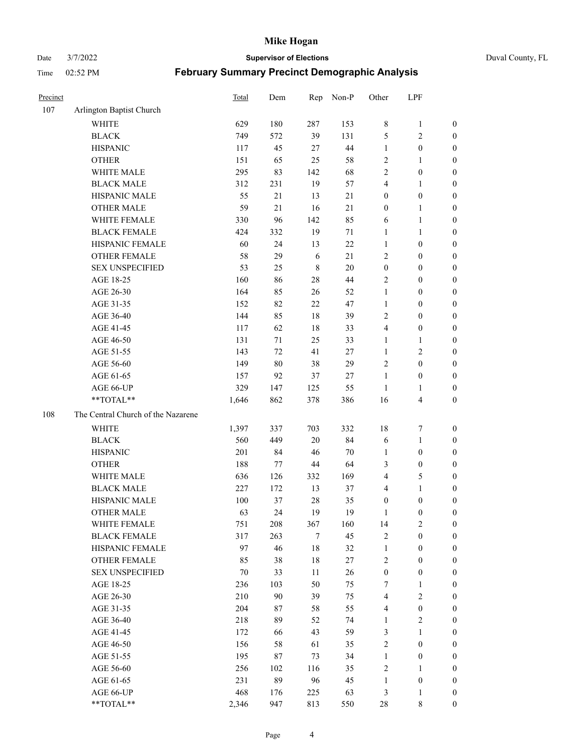Date 3/7/2022 **Supervisor of Elections** Duval County, FL

| Precinct |                                    | <b>Total</b> | Dem | Rep     | Non-P  | Other                   | LPF                     |                  |
|----------|------------------------------------|--------------|-----|---------|--------|-------------------------|-------------------------|------------------|
| 107      | Arlington Baptist Church           |              |     |         |        |                         |                         |                  |
|          | <b>WHITE</b>                       | 629          | 180 | 287     | 153    | 8                       | $\mathbf{1}$            | 0                |
|          | <b>BLACK</b>                       | 749          | 572 | 39      | 131    | 5                       | $\sqrt{2}$              | 0                |
|          | <b>HISPANIC</b>                    | 117          | 45  | 27      | 44     | $\mathbf{1}$            | $\boldsymbol{0}$        | $\boldsymbol{0}$ |
|          | <b>OTHER</b>                       | 151          | 65  | 25      | 58     | $\overline{c}$          | $\mathbf{1}$            | $\boldsymbol{0}$ |
|          | WHITE MALE                         | 295          | 83  | 142     | 68     | 2                       | $\boldsymbol{0}$        | $\boldsymbol{0}$ |
|          | <b>BLACK MALE</b>                  | 312          | 231 | 19      | 57     | 4                       | $\mathbf{1}$            | $\boldsymbol{0}$ |
|          | HISPANIC MALE                      | 55           | 21  | 13      | 21     | $\boldsymbol{0}$        | $\boldsymbol{0}$        | $\boldsymbol{0}$ |
|          | <b>OTHER MALE</b>                  | 59           | 21  | 16      | 21     | $\boldsymbol{0}$        | $\mathbf{1}$            | $\boldsymbol{0}$ |
|          | WHITE FEMALE                       | 330          | 96  | 142     | 85     | 6                       | $\mathbf{1}$            | $\boldsymbol{0}$ |
|          | <b>BLACK FEMALE</b>                | 424          | 332 | 19      | 71     | $\mathbf{1}$            | $\mathbf{1}$            | 0                |
|          | HISPANIC FEMALE                    | 60           | 24  | 13      | 22     | $\mathbf{1}$            | $\boldsymbol{0}$        | 0                |
|          | <b>OTHER FEMALE</b>                | 58           | 29  | 6       | 21     | $\mathfrak{2}$          | $\boldsymbol{0}$        | $\boldsymbol{0}$ |
|          | <b>SEX UNSPECIFIED</b>             | 53           | 25  | $\,8\,$ | 20     | $\boldsymbol{0}$        | $\boldsymbol{0}$        | $\boldsymbol{0}$ |
|          | AGE 18-25                          | 160          | 86  | $28\,$  | 44     | $\sqrt{2}$              | $\boldsymbol{0}$        | $\boldsymbol{0}$ |
|          | AGE 26-30                          | 164          | 85  | 26      | 52     | $\mathbf{1}$            | $\boldsymbol{0}$        | $\boldsymbol{0}$ |
|          | AGE 31-35                          | 152          | 82  | 22      | 47     | $\mathbf{1}$            | $\boldsymbol{0}$        | $\boldsymbol{0}$ |
|          | AGE 36-40                          | 144          | 85  | $18\,$  | 39     | $\overline{c}$          | $\boldsymbol{0}$        | $\boldsymbol{0}$ |
|          | AGE 41-45                          | 117          | 62  | $18\,$  | 33     | 4                       | $\boldsymbol{0}$        | $\boldsymbol{0}$ |
|          | AGE 46-50                          | 131          | 71  | 25      | 33     | $\mathbf{1}$            | $\mathbf{1}$            | $\boldsymbol{0}$ |
|          | AGE 51-55                          | 143          | 72  | 41      | $27\,$ | $\mathbf{1}$            | $\sqrt{2}$              | $\boldsymbol{0}$ |
|          | AGE 56-60                          | 149          | 80  | 38      | 29     | $\overline{c}$          | $\boldsymbol{0}$        | 0                |
|          | AGE 61-65                          | 157          | 92  | 37      | 27     | $\mathbf{1}$            | $\boldsymbol{0}$        | 0                |
|          | AGE 66-UP                          | 329          | 147 | 125     | 55     | $\mathbf{1}$            | $\mathbf{1}$            | $\boldsymbol{0}$ |
|          | **TOTAL**                          | 1,646        | 862 | 378     | 386    | 16                      | $\overline{\mathbf{4}}$ | $\boldsymbol{0}$ |
| 108      | The Central Church of the Nazarene |              |     |         |        |                         |                         |                  |
|          | <b>WHITE</b>                       | 1,397        | 337 | 703     | 332    | 18                      | $\boldsymbol{7}$        | $\boldsymbol{0}$ |
|          | <b>BLACK</b>                       | 560          | 449 | $20\,$  | 84     | 6                       | $\mathbf{1}$            | $\boldsymbol{0}$ |
|          | <b>HISPANIC</b>                    | 201          | 84  | 46      | $70\,$ | $\mathbf{1}$            | $\boldsymbol{0}$        | $\boldsymbol{0}$ |
|          | <b>OTHER</b>                       | 188          | 77  | $44\,$  | 64     | 3                       | $\boldsymbol{0}$        | $\boldsymbol{0}$ |
|          | WHITE MALE                         | 636          | 126 | 332     | 169    | 4                       | $\mathfrak{S}$          | $\boldsymbol{0}$ |
|          | <b>BLACK MALE</b>                  | 227          | 172 | 13      | 37     | 4                       | $\mathbf{1}$            | $\boldsymbol{0}$ |
|          | HISPANIC MALE                      | 100          | 37  | 28      | 35     | $\boldsymbol{0}$        | $\boldsymbol{0}$        | 0                |
|          | <b>OTHER MALE</b>                  | 63           | 24  | 19      | 19     | 1                       | $\boldsymbol{0}$        | $\boldsymbol{0}$ |
|          | WHITE FEMALE                       | 751          | 208 | 367     | 160    | 14                      | 2                       | 0                |
|          | <b>BLACK FEMALE</b>                | 317          | 263 | 7       | 45     | $\mathbf{2}$            | $\boldsymbol{0}$        | $\boldsymbol{0}$ |
|          | HISPANIC FEMALE                    | 97           | 46  | $18\,$  | 32     | $\mathbf{1}$            | $\boldsymbol{0}$        | $\overline{0}$   |
|          | OTHER FEMALE                       | 85           | 38  | $18\,$  | 27     | 2                       | $\boldsymbol{0}$        | $\overline{0}$   |
|          | <b>SEX UNSPECIFIED</b>             | 70           | 33  | 11      | 26     | $\boldsymbol{0}$        | $\boldsymbol{0}$        | 0                |
|          | AGE 18-25                          | 236          | 103 | 50      | 75     | 7                       | $\mathbf{1}$            | 0                |
|          | AGE 26-30                          | 210          | 90  | 39      | 75     | $\overline{\mathbf{4}}$ | $\overline{2}$          | 0                |
|          | AGE 31-35                          | 204          | 87  | 58      | 55     | 4                       | $\boldsymbol{0}$        | 0                |
|          | AGE 36-40                          | 218          | 89  | 52      | 74     | $\mathbf{1}$            | $\sqrt{2}$              | 0                |
|          | AGE 41-45                          | 172          | 66  | 43      | 59     | 3                       | $\mathbf{1}$            | 0                |
|          | AGE 46-50                          | 156          | 58  | 61      | 35     | $\sqrt{2}$              | $\boldsymbol{0}$        | 0                |
|          | AGE 51-55                          | 195          | 87  | 73      | 34     | $\mathbf{1}$            | $\boldsymbol{0}$        | 0                |
|          | AGE 56-60                          | 256          | 102 | 116     | 35     | $\overline{c}$          | $\mathbf{1}$            | $\overline{0}$   |
|          | AGE 61-65                          | 231          | 89  | 96      | 45     | $\mathbf{1}$            | $\boldsymbol{0}$        | $\overline{0}$   |
|          | AGE 66-UP                          | 468          | 176 | 225     | 63     | 3                       | $\mathbf{1}$            | $\boldsymbol{0}$ |
|          | **TOTAL**                          | 2,346        | 947 | 813     | 550    | 28                      | 8                       | $\boldsymbol{0}$ |
|          |                                    |              |     |         |        |                         |                         |                  |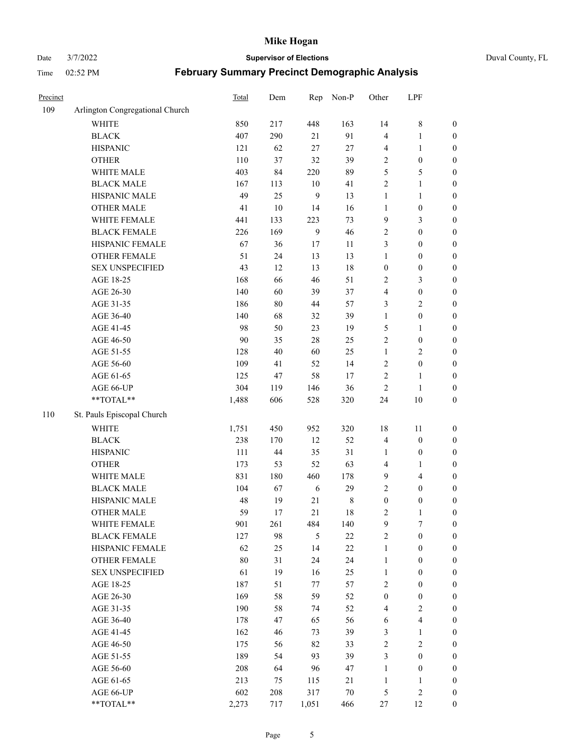# Date 3/7/2022 **Supervisor of Elections** Duval County, FL

| Precinct |                                 | Total | Dem    | Rep            | Non-P   | Other            | LPF                     |                  |
|----------|---------------------------------|-------|--------|----------------|---------|------------------|-------------------------|------------------|
| 109      | Arlington Congregational Church |       |        |                |         |                  |                         |                  |
|          | <b>WHITE</b>                    | 850   | 217    | 448            | 163     | 14               | $\,8\,$                 | 0                |
|          | <b>BLACK</b>                    | 407   | 290    | 21             | 91      | 4                | $\mathbf{1}$            | 0                |
|          | <b>HISPANIC</b>                 | 121   | 62     | 27             | 27      | 4                | $\mathbf{1}$            | $\boldsymbol{0}$ |
|          | <b>OTHER</b>                    | 110   | 37     | 32             | 39      | $\overline{c}$   | $\boldsymbol{0}$        | $\boldsymbol{0}$ |
|          | WHITE MALE                      | 403   | 84     | 220            | 89      | 5                | 5                       | $\boldsymbol{0}$ |
|          | <b>BLACK MALE</b>               | 167   | 113    | 10             | 41      | $\mathfrak{2}$   | $\mathbf{1}$            | $\boldsymbol{0}$ |
|          | HISPANIC MALE                   | 49    | 25     | 9              | 13      | $\mathbf{1}$     | $\mathbf{1}$            | $\boldsymbol{0}$ |
|          | <b>OTHER MALE</b>               | 41    | $10\,$ | 14             | 16      | $\mathbf{1}$     | $\boldsymbol{0}$        | $\boldsymbol{0}$ |
|          | WHITE FEMALE                    | 441   | 133    | 223            | 73      | 9                | $\mathfrak{Z}$          | $\boldsymbol{0}$ |
|          | <b>BLACK FEMALE</b>             | 226   | 169    | $\overline{9}$ | 46      | 2                | $\boldsymbol{0}$        | $\boldsymbol{0}$ |
|          | HISPANIC FEMALE                 | 67    | 36     | 17             | 11      | 3                | $\boldsymbol{0}$        | $\boldsymbol{0}$ |
|          | OTHER FEMALE                    | 51    | 24     | 13             | 13      | $\mathbf{1}$     | $\boldsymbol{0}$        | $\boldsymbol{0}$ |
|          | <b>SEX UNSPECIFIED</b>          | 43    | 12     | 13             | $18\,$  | $\boldsymbol{0}$ | $\boldsymbol{0}$        | $\boldsymbol{0}$ |
|          | AGE 18-25                       | 168   | 66     | 46             | 51      | $\sqrt{2}$       | $\mathfrak{Z}$          | $\boldsymbol{0}$ |
|          | AGE 26-30                       | 140   | 60     | 39             | 37      | 4                | $\boldsymbol{0}$        | $\boldsymbol{0}$ |
|          | AGE 31-35                       | 186   | $80\,$ | 44             | 57      | 3                | $\sqrt{2}$              | $\boldsymbol{0}$ |
|          | AGE 36-40                       | 140   | 68     | 32             | 39      | $\mathbf{1}$     | $\boldsymbol{0}$        | $\boldsymbol{0}$ |
|          | AGE 41-45                       | 98    | 50     | 23             | 19      | 5                | $\mathbf{1}$            | $\boldsymbol{0}$ |
|          | AGE 46-50                       | 90    | 35     | 28             | 25      | $\overline{c}$   | $\boldsymbol{0}$        | $\boldsymbol{0}$ |
|          | AGE 51-55                       | 128   | 40     | 60             | 25      | $\mathbf{1}$     | $\sqrt{2}$              | $\boldsymbol{0}$ |
|          | AGE 56-60                       | 109   | 41     | 52             | 14      | $\sqrt{2}$       | $\boldsymbol{0}$        |                  |
|          | AGE 61-65                       | 125   | 47     | 58             | 17      | $\sqrt{2}$       | $\mathbf{1}$            | 0                |
|          |                                 | 304   | 119    |                | 36      | $\sqrt{2}$       |                         | 0                |
|          | AGE 66-UP<br>**TOTAL**          | 1,488 | 606    | 146<br>528     | 320     | 24               | $\mathbf{1}$<br>$10\,$  | $\boldsymbol{0}$ |
|          |                                 |       |        |                |         |                  |                         | $\boldsymbol{0}$ |
| 110      | St. Pauls Episcopal Church      |       |        |                |         |                  |                         |                  |
|          | <b>WHITE</b>                    | 1,751 | 450    | 952            | 320     | 18               | 11                      | $\boldsymbol{0}$ |
|          | <b>BLACK</b>                    | 238   | 170    | 12             | 52      | 4                | $\boldsymbol{0}$        | $\boldsymbol{0}$ |
|          | <b>HISPANIC</b>                 | 111   | $44\,$ | 35             | 31      | $\mathbf{1}$     | $\boldsymbol{0}$        | $\boldsymbol{0}$ |
|          | <b>OTHER</b>                    | 173   | 53     | 52             | 63      | 4                | $\mathbf{1}$            | $\boldsymbol{0}$ |
|          | WHITE MALE                      | 831   | 180    | 460            | 178     | 9                | $\overline{\mathbf{4}}$ | $\boldsymbol{0}$ |
|          | <b>BLACK MALE</b>               | 104   | 67     | 6              | 29      | $\overline{c}$   | $\boldsymbol{0}$        | $\boldsymbol{0}$ |
|          | HISPANIC MALE                   | 48    | 19     | $21\,$         | $\,8\,$ | $\boldsymbol{0}$ | $\boldsymbol{0}$        | $\boldsymbol{0}$ |
|          | <b>OTHER MALE</b>               | 59    | 17     | 21             | 18      | 2                | $\mathbf{1}$            | $\boldsymbol{0}$ |
|          | WHITE FEMALE                    | 901   | 261    | 484            | 140     | 9                | 7                       | 0                |
|          | <b>BLACK FEMALE</b>             | 127   | 98     | 5              | 22      | 2                | $\boldsymbol{0}$        | $\boldsymbol{0}$ |
|          | HISPANIC FEMALE                 | 62    | 25     | 14             | $22\,$  | $\mathbf{1}$     | $\boldsymbol{0}$        | $\overline{0}$   |
|          | OTHER FEMALE                    | 80    | 31     | 24             | 24      | $\mathbf{1}$     | $\boldsymbol{0}$        | $\overline{0}$   |
|          | <b>SEX UNSPECIFIED</b>          | 61    | 19     | 16             | 25      | $\mathbf{1}$     | $\boldsymbol{0}$        | 0                |
|          | AGE 18-25                       | 187   | 51     | 77             | 57      | 2                | $\boldsymbol{0}$        | 0                |
|          | AGE 26-30                       | 169   | 58     | 59             | 52      | $\boldsymbol{0}$ | $\boldsymbol{0}$        | 0                |
|          | AGE 31-35                       | 190   | 58     | 74             | 52      | 4                | $\sqrt{2}$              | 0                |
|          | AGE 36-40                       | 178   | 47     | 65             | 56      | 6                | $\overline{\mathbf{4}}$ | 0                |
|          | AGE 41-45                       | 162   | 46     | 73             | 39      | 3                | $\mathbf{1}$            | 0                |
|          | AGE 46-50                       | 175   | 56     | 82             | 33      | 2                | $\sqrt{2}$              | 0                |
|          | AGE 51-55                       | 189   | 54     | 93             | 39      | 3                | $\boldsymbol{0}$        | 0                |
|          | AGE 56-60                       | 208   | 64     | 96             | 47      | $\mathbf{1}$     | $\boldsymbol{0}$        | $\overline{0}$   |
|          | AGE 61-65                       | 213   | 75     | 115            | 21      | $\mathbf{1}$     | $\mathbf{1}$            | 0                |
|          | AGE 66-UP                       | 602   | 208    | 317            | $70\,$  | $\mathfrak{S}$   | $\sqrt{2}$              | 0                |
|          | **TOTAL**                       | 2,273 | 717    | 1,051          | 466     | 27               | 12                      | $\boldsymbol{0}$ |
|          |                                 |       |        |                |         |                  |                         |                  |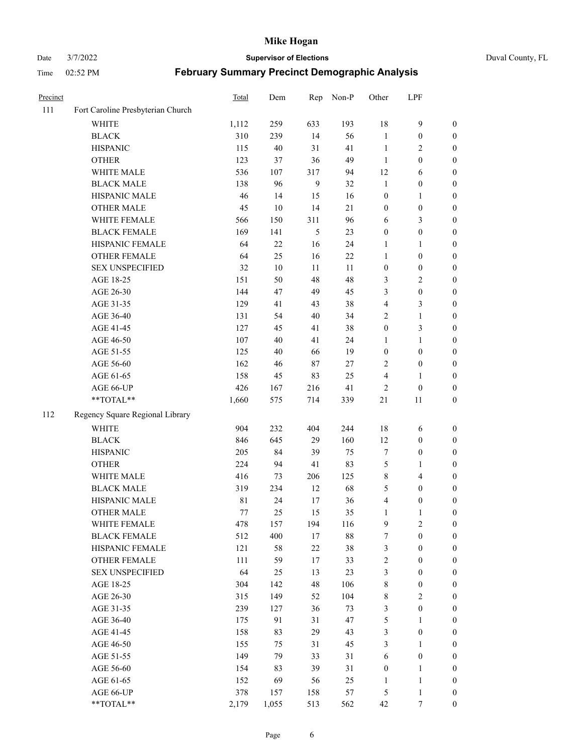Date 3/7/2022 **Supervisor of Elections** Duval County, FL

| Precinct |                                   | Total | Dem    | Rep    | Non-P  | Other            | LPF              |                  |
|----------|-----------------------------------|-------|--------|--------|--------|------------------|------------------|------------------|
| 111      | Fort Caroline Presbyterian Church |       |        |        |        |                  |                  |                  |
|          | <b>WHITE</b>                      | 1,112 | 259    | 633    | 193    | 18               | $\mathbf{9}$     | 0                |
|          | <b>BLACK</b>                      | 310   | 239    | 14     | 56     | $\mathbf{1}$     | $\boldsymbol{0}$ | 0                |
|          | <b>HISPANIC</b>                   | 115   | $40\,$ | 31     | 41     | $\mathbf{1}$     | 2                | $\boldsymbol{0}$ |
|          | <b>OTHER</b>                      | 123   | 37     | 36     | 49     | $\mathbf{1}$     | $\boldsymbol{0}$ | $\boldsymbol{0}$ |
|          | WHITE MALE                        | 536   | 107    | 317    | 94     | 12               | 6                | $\boldsymbol{0}$ |
|          | <b>BLACK MALE</b>                 | 138   | 96     | 9      | 32     | $\mathbf{1}$     | $\boldsymbol{0}$ | $\boldsymbol{0}$ |
|          | HISPANIC MALE                     | 46    | 14     | 15     | 16     | $\boldsymbol{0}$ | $\mathbf{1}$     | $\boldsymbol{0}$ |
|          | <b>OTHER MALE</b>                 | 45    | 10     | 14     | 21     | $\boldsymbol{0}$ | $\boldsymbol{0}$ | $\boldsymbol{0}$ |
|          | WHITE FEMALE                      | 566   | 150    | 311    | 96     | 6                | $\mathfrak{Z}$   | $\boldsymbol{0}$ |
|          | <b>BLACK FEMALE</b>               | 169   | 141    | 5      | 23     | $\boldsymbol{0}$ | $\boldsymbol{0}$ | 0                |
|          | HISPANIC FEMALE                   | 64    | $22\,$ | 16     | 24     | 1                | $\mathbf{1}$     | 0                |
|          | OTHER FEMALE                      | 64    | 25     | 16     | 22     | $\mathbf{1}$     | $\boldsymbol{0}$ | 0                |
|          | <b>SEX UNSPECIFIED</b>            | 32    | 10     | 11     | 11     | $\boldsymbol{0}$ | $\boldsymbol{0}$ | $\boldsymbol{0}$ |
|          | AGE 18-25                         | 151   | 50     | 48     | 48     | 3                | $\sqrt{2}$       | $\boldsymbol{0}$ |
|          | AGE 26-30                         | 144   | 47     | 49     | 45     | 3                | $\boldsymbol{0}$ | $\boldsymbol{0}$ |
|          | AGE 31-35                         | 129   | 41     | 43     | 38     | 4                | $\mathfrak{Z}$   | $\boldsymbol{0}$ |
|          | AGE 36-40                         | 131   | 54     | 40     | 34     | 2                | $\mathbf{1}$     | $\boldsymbol{0}$ |
|          | AGE 41-45                         | 127   | 45     | 41     | 38     | $\boldsymbol{0}$ | 3                | $\boldsymbol{0}$ |
|          | AGE 46-50                         | 107   | 40     | 41     | 24     | 1                | $\mathbf{1}$     | $\boldsymbol{0}$ |
|          | AGE 51-55                         | 125   | 40     | 66     | 19     | $\boldsymbol{0}$ | $\boldsymbol{0}$ | 0                |
|          | AGE 56-60                         | 162   | 46     | 87     | 27     | 2                | $\boldsymbol{0}$ | 0                |
|          | AGE 61-65                         | 158   | 45     | 83     | 25     | 4                | $\mathbf{1}$     | 0                |
|          | AGE 66-UP                         | 426   | 167    | 216    | 41     | $\overline{c}$   | $\boldsymbol{0}$ | $\boldsymbol{0}$ |
|          | **TOTAL**                         | 1,660 | 575    | 714    | 339    | 21               | 11               | $\boldsymbol{0}$ |
| 112      | Regency Square Regional Library   |       |        |        |        |                  |                  |                  |
|          | <b>WHITE</b>                      | 904   | 232    | 404    | 244    | 18               | 6                | $\boldsymbol{0}$ |
|          | <b>BLACK</b>                      | 846   | 645    | 29     | 160    | 12               | $\boldsymbol{0}$ | $\boldsymbol{0}$ |
|          | <b>HISPANIC</b>                   | 205   | 84     | 39     | 75     | 7                | $\boldsymbol{0}$ | $\boldsymbol{0}$ |
|          | <b>OTHER</b>                      | 224   | 94     | 41     | 83     | 5                | $\mathbf{1}$     | $\boldsymbol{0}$ |
|          | WHITE MALE                        | 416   | 73     | 206    | 125    | 8                | $\overline{4}$   | $\boldsymbol{0}$ |
|          | <b>BLACK MALE</b>                 | 319   | 234    | 12     | 68     | 5                | $\boldsymbol{0}$ | $\boldsymbol{0}$ |
|          | HISPANIC MALE                     | 81    | 24     | 17     | 36     | 4                | $\boldsymbol{0}$ | $\boldsymbol{0}$ |
|          | <b>OTHER MALE</b>                 | 77    | 25     | 15     | 35     | $\mathbf{1}$     | 1                | $\boldsymbol{0}$ |
|          | WHITE FEMALE                      | 478   | 157    | 194    | 116    | 9                | 2                | 0                |
|          | <b>BLACK FEMALE</b>               | 512   | 400    | 17     | $88\,$ | 7                | $\boldsymbol{0}$ | $\boldsymbol{0}$ |
|          | HISPANIC FEMALE                   | 121   | 58     | $22\,$ | 38     | 3                | $\boldsymbol{0}$ | $\overline{0}$   |
|          | OTHER FEMALE                      | 111   | 59     | 17     | 33     | $\overline{c}$   | $\boldsymbol{0}$ | $\overline{0}$   |
|          | <b>SEX UNSPECIFIED</b>            | 64    | 25     | 13     | 23     | 3                | $\boldsymbol{0}$ | 0                |
|          | AGE 18-25                         | 304   | 142    | 48     | 106    | $\,$ 8 $\,$      | $\boldsymbol{0}$ | 0                |
|          | AGE 26-30                         | 315   | 149    | 52     | 104    | 8                | $\overline{2}$   | 0                |
|          | AGE 31-35                         | 239   | 127    | 36     | 73     | 3                | $\boldsymbol{0}$ | 0                |
|          | AGE 36-40                         | 175   | 91     | 31     | 47     | 5                | $\mathbf{1}$     | 0                |
|          | AGE 41-45                         | 158   | 83     | 29     | 43     | 3                | $\boldsymbol{0}$ | 0                |
|          | AGE 46-50                         | 155   | 75     | 31     | 45     | 3                | $\mathbf{1}$     | 0                |
|          | AGE 51-55                         | 149   | 79     | 33     | 31     | 6                | $\boldsymbol{0}$ | 0                |
|          | AGE 56-60                         | 154   | 83     | 39     | 31     | $\boldsymbol{0}$ | $\mathbf{1}$     | $\boldsymbol{0}$ |
|          | AGE 61-65                         | 152   | 69     | 56     | 25     | 1                | $\mathbf{1}$     | $\boldsymbol{0}$ |
|          | AGE 66-UP                         | 378   | 157    | 158    | 57     | 5                | $\mathbf{1}$     | 0                |
|          | **TOTAL**                         | 2,179 | 1,055  | 513    | 562    | 42               | 7                | $\boldsymbol{0}$ |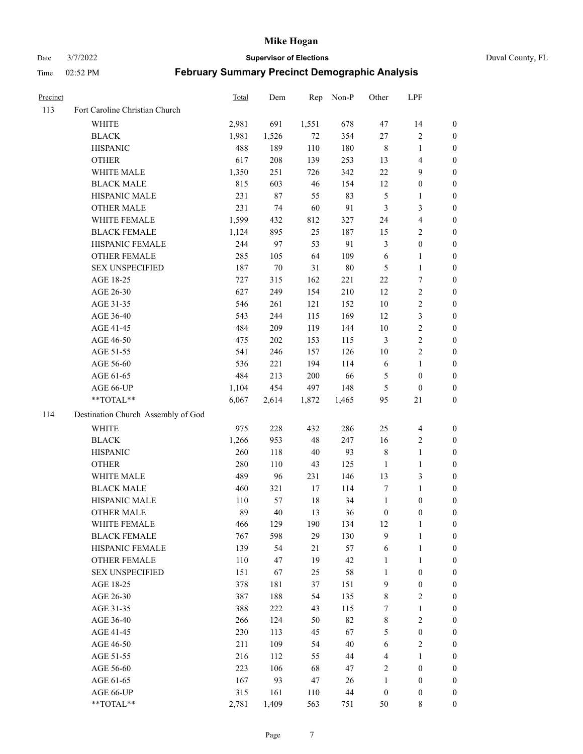Date 3/7/2022 **Supervisor of Elections** Duval County, FL

| Precinct |                                    | Total | Dem    | Rep    | Non-P  | Other            | LPF                     |                  |
|----------|------------------------------------|-------|--------|--------|--------|------------------|-------------------------|------------------|
| 113      | Fort Caroline Christian Church     |       |        |        |        |                  |                         |                  |
|          | <b>WHITE</b>                       | 2,981 | 691    | 1,551  | 678    | 47               | 14                      | 0                |
|          | <b>BLACK</b>                       | 1,981 | 1,526  | 72     | 354    | 27               | $\sqrt{2}$              | 0                |
|          | <b>HISPANIC</b>                    | 488   | 189    | 110    | 180    | $\,$ 8 $\,$      | $\mathbf{1}$            | $\boldsymbol{0}$ |
|          | <b>OTHER</b>                       | 617   | 208    | 139    | 253    | 13               | $\overline{\mathbf{4}}$ | $\boldsymbol{0}$ |
|          | WHITE MALE                         | 1,350 | 251    | 726    | 342    | $22\,$           | 9                       | $\boldsymbol{0}$ |
|          | <b>BLACK MALE</b>                  | 815   | 603    | 46     | 154    | 12               | $\boldsymbol{0}$        | $\boldsymbol{0}$ |
|          | HISPANIC MALE                      | 231   | 87     | 55     | 83     | 5                | $\mathbf{1}$            | $\boldsymbol{0}$ |
|          | <b>OTHER MALE</b>                  | 231   | 74     | 60     | 91     | $\mathfrak{Z}$   | $\mathfrak{Z}$          | $\boldsymbol{0}$ |
|          | WHITE FEMALE                       | 1,599 | 432    | 812    | 327    | 24               | $\overline{4}$          | $\boldsymbol{0}$ |
|          | <b>BLACK FEMALE</b>                | 1,124 | 895    | 25     | 187    | 15               | $\sqrt{2}$              | 0                |
|          | HISPANIC FEMALE                    | 244   | 97     | 53     | 91     | 3                | $\boldsymbol{0}$        | 0                |
|          | OTHER FEMALE                       | 285   | 105    | 64     | 109    | 6                | $\mathbf{1}$            | 0                |
|          | <b>SEX UNSPECIFIED</b>             | 187   | $70\,$ | 31     | $80\,$ | $\mathfrak{S}$   | $\mathbf{1}$            | $\boldsymbol{0}$ |
|          | AGE 18-25                          | 727   | 315    | 162    | 221    | $22\,$           | $\boldsymbol{7}$        | $\boldsymbol{0}$ |
|          | AGE 26-30                          | 627   | 249    | 154    | 210    | 12               | $\sqrt{2}$              | $\boldsymbol{0}$ |
|          | AGE 31-35                          | 546   | 261    | 121    | 152    | $10\,$           | $\sqrt{2}$              | $\boldsymbol{0}$ |
|          | AGE 36-40                          | 543   | 244    | 115    | 169    | 12               | $\mathfrak{Z}$          | $\boldsymbol{0}$ |
|          | AGE 41-45                          | 484   | 209    | 119    | 144    | $10\,$           | $\sqrt{2}$              | $\boldsymbol{0}$ |
|          | AGE 46-50                          | 475   | 202    | 153    | 115    | $\mathfrak{Z}$   | $\sqrt{2}$              | $\boldsymbol{0}$ |
|          | AGE 51-55                          | 541   | 246    | 157    | 126    | $10\,$           | $\sqrt{2}$              | 0                |
|          | AGE 56-60                          | 536   | 221    | 194    | 114    | 6                | $\mathbf{1}$            | 0                |
|          | AGE 61-65                          | 484   | 213    | 200    | 66     | 5                | $\boldsymbol{0}$        | 0                |
|          | AGE 66-UP                          | 1,104 | 454    | 497    | 148    | $\mathfrak{S}$   | $\boldsymbol{0}$        | $\boldsymbol{0}$ |
|          | **TOTAL**                          | 6,067 | 2,614  | 1,872  | 1,465  | 95               | 21                      | $\boldsymbol{0}$ |
| 114      | Destination Church Assembly of God |       |        |        |        |                  |                         |                  |
|          | <b>WHITE</b>                       | 975   | 228    | 432    | 286    | 25               | $\overline{4}$          | $\boldsymbol{0}$ |
|          | <b>BLACK</b>                       | 1,266 | 953    | 48     | 247    | 16               | $\mathbf{2}$            | $\boldsymbol{0}$ |
|          | <b>HISPANIC</b>                    | 260   | 118    | 40     | 93     | 8                | $\mathbf{1}$            | $\boldsymbol{0}$ |
|          | <b>OTHER</b>                       | 280   | 110    | 43     | 125    | $\mathbf{1}$     | $\mathbf{1}$            | $\boldsymbol{0}$ |
|          | WHITE MALE                         | 489   | 96     | 231    | 146    | 13               | $\mathfrak{Z}$          | $\boldsymbol{0}$ |
|          | <b>BLACK MALE</b>                  | 460   | 321    | 17     | 114    | 7                | $\mathbf{1}$            | $\boldsymbol{0}$ |
|          | HISPANIC MALE                      | 110   | 57     | 18     | 34     | $\mathbf{1}$     | $\boldsymbol{0}$        | 0                |
|          | <b>OTHER MALE</b>                  | 89    | 40     | 13     | 36     | $\boldsymbol{0}$ | $\boldsymbol{0}$        | 0                |
|          | WHITE FEMALE                       | 466   | 129    | 190    | 134    | 12               | 1                       | 0                |
|          | <b>BLACK FEMALE</b>                | 767   | 598    | 29     | 130    | 9                | $\mathbf{1}$            | $\overline{0}$   |
|          | HISPANIC FEMALE                    | 139   | 54     | $21\,$ | 57     | 6                | $\mathbf{1}$            | $\overline{0}$   |
|          | OTHER FEMALE                       | 110   | 47     | 19     | 42     | $\mathbf{1}$     | $\mathbf{1}$            | $\overline{0}$   |
|          | <b>SEX UNSPECIFIED</b>             | 151   | 67     | 25     | 58     | $\mathbf{1}$     | $\boldsymbol{0}$        | 0                |
|          | AGE 18-25                          | 378   | 181    | 37     | 151    | 9                | $\boldsymbol{0}$        | 0                |
|          | AGE 26-30                          | 387   | 188    | 54     | 135    | 8                | $\overline{2}$          | 0                |
|          | AGE 31-35                          | 388   | 222    | 43     | 115    | 7                | $\mathbf{1}$            | 0                |
|          | AGE 36-40                          | 266   | 124    | 50     | 82     | 8                | $\sqrt{2}$              | 0                |
|          | AGE 41-45                          | 230   | 113    | 45     | 67     | 5                | $\boldsymbol{0}$        | 0                |
|          | AGE 46-50                          | 211   | 109    | 54     | 40     | 6                | $\sqrt{2}$              | 0                |
|          | AGE 51-55                          | 216   | 112    | 55     | 44     | $\overline{4}$   | $\mathbf{1}$            | 0                |
|          | AGE 56-60                          | 223   | 106    | 68     | 47     | $\mathfrak{2}$   | $\boldsymbol{0}$        | $\overline{0}$   |
|          | AGE 61-65                          | 167   | 93     | 47     | 26     | $\mathbf{1}$     | $\boldsymbol{0}$        | $\overline{0}$   |
|          | AGE 66-UP                          | 315   | 161    | 110    | 44     | $\boldsymbol{0}$ | $\boldsymbol{0}$        | 0                |
|          | **TOTAL**                          | 2,781 | 1,409  | 563    | 751    | 50               | 8                       | $\boldsymbol{0}$ |
|          |                                    |       |        |        |        |                  |                         |                  |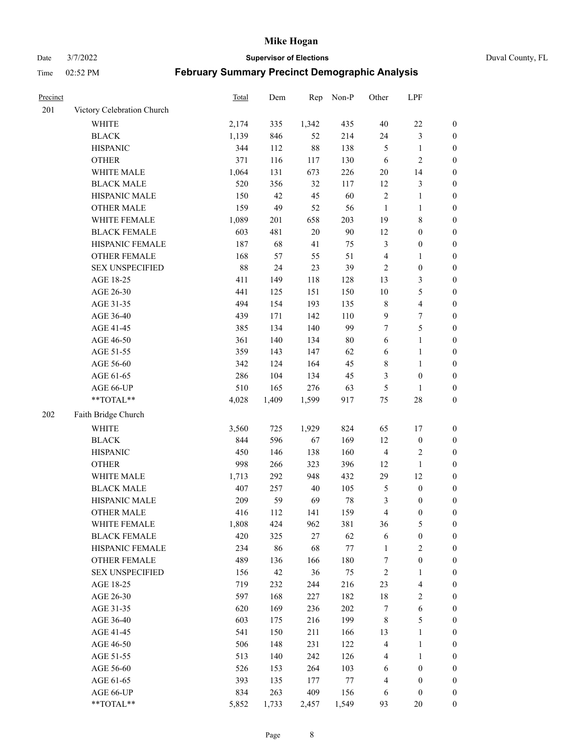Date 3/7/2022 **Supervisor of Elections** Duval County, FL

| Precinct |                            | Total | Dem   | Rep    | Non-P   | Other          | LPF                     |                  |
|----------|----------------------------|-------|-------|--------|---------|----------------|-------------------------|------------------|
| 201      | Victory Celebration Church |       |       |        |         |                |                         |                  |
|          | <b>WHITE</b>               | 2,174 | 335   | 1,342  | 435     | $40\,$         | $22\,$                  | 0                |
|          | <b>BLACK</b>               | 1,139 | 846   | 52     | 214     | 24             | $\mathfrak{Z}$          | $\boldsymbol{0}$ |
|          | <b>HISPANIC</b>            | 344   | 112   | $88\,$ | 138     | $\mathfrak{S}$ | $\mathbf{1}$            | $\boldsymbol{0}$ |
|          | <b>OTHER</b>               | 371   | 116   | 117    | 130     | 6              | $\sqrt{2}$              | $\boldsymbol{0}$ |
|          | WHITE MALE                 | 1,064 | 131   | 673    | 226     | $20\,$         | 14                      | $\boldsymbol{0}$ |
|          | <b>BLACK MALE</b>          | 520   | 356   | 32     | 117     | 12             | $\mathfrak{Z}$          | $\boldsymbol{0}$ |
|          | HISPANIC MALE              | 150   | 42    | 45     | 60      | $\sqrt{2}$     | $\mathbf{1}$            | $\boldsymbol{0}$ |
|          | <b>OTHER MALE</b>          | 159   | 49    | 52     | 56      | $\mathbf{1}$   | $\mathbf{1}$            | $\boldsymbol{0}$ |
|          | WHITE FEMALE               | 1,089 | 201   | 658    | 203     | 19             | $8\,$                   | $\boldsymbol{0}$ |
|          | <b>BLACK FEMALE</b>        | 603   | 481   | $20\,$ | 90      | 12             | $\boldsymbol{0}$        | 0                |
|          | HISPANIC FEMALE            | 187   | 68    | 41     | 75      | 3              | $\boldsymbol{0}$        | 0                |
|          | OTHER FEMALE               | 168   | 57    | 55     | 51      | $\overline{4}$ | $\mathbf{1}$            | $\boldsymbol{0}$ |
|          | <b>SEX UNSPECIFIED</b>     | 88    | 24    | 23     | 39      | $\sqrt{2}$     | $\boldsymbol{0}$        | $\boldsymbol{0}$ |
|          | AGE 18-25                  | 411   | 149   | 118    | 128     | 13             | $\mathfrak{Z}$          | $\boldsymbol{0}$ |
|          | AGE 26-30                  | 441   | 125   | 151    | 150     | 10             | $\mathfrak{S}$          | $\boldsymbol{0}$ |
|          | AGE 31-35                  | 494   | 154   | 193    | 135     | $\,$ 8 $\,$    | $\overline{\mathbf{4}}$ | $\boldsymbol{0}$ |
|          | AGE 36-40                  | 439   | 171   | 142    | 110     | 9              | $\boldsymbol{7}$        | $\boldsymbol{0}$ |
|          | AGE 41-45                  | 385   | 134   | 140    | 99      | 7              | $\mathfrak s$           | $\boldsymbol{0}$ |
|          | AGE 46-50                  | 361   | 140   | 134    | $80\,$  | 6              | $\mathbf{1}$            | $\boldsymbol{0}$ |
|          | AGE 51-55                  | 359   | 143   | 147    | 62      | 6              | $\mathbf{1}$            | 0                |
|          | AGE 56-60                  | 342   | 124   | 164    | 45      | 8              | $\mathbf{1}$            | 0                |
|          | AGE 61-65                  | 286   | 104   | 134    | 45      | 3              | $\boldsymbol{0}$        | 0                |
|          | AGE 66-UP                  | 510   | 165   | 276    | 63      | 5              | $\mathbf{1}$            | $\boldsymbol{0}$ |
|          | $**TOTAL**$                | 4,028 | 1,409 | 1,599  | 917     | $75\,$         | $28\,$                  | $\boldsymbol{0}$ |
| 202      | Faith Bridge Church        |       |       |        |         |                |                         |                  |
|          | <b>WHITE</b>               | 3,560 | 725   | 1,929  | 824     | 65             | 17                      | $\boldsymbol{0}$ |
|          | <b>BLACK</b>               | 844   | 596   | 67     | 169     | 12             | $\boldsymbol{0}$        | $\boldsymbol{0}$ |
|          | <b>HISPANIC</b>            | 450   | 146   | 138    | 160     | $\overline{4}$ | $\sqrt{2}$              | $\boldsymbol{0}$ |
|          | <b>OTHER</b>               | 998   | 266   | 323    | 396     | 12             | $\mathbf{1}$            | $\boldsymbol{0}$ |
|          | WHITE MALE                 | 1,713 | 292   | 948    | 432     | 29             | 12                      | $\boldsymbol{0}$ |
|          | <b>BLACK MALE</b>          | 407   | 257   | $40\,$ | 105     | 5              | $\boldsymbol{0}$        | $\boldsymbol{0}$ |
|          | HISPANIC MALE              | 209   | 59    | 69     | $78\,$  | 3              | $\boldsymbol{0}$        | 0                |
|          | <b>OTHER MALE</b>          | 416   | 112   | 141    | 159     | 4              | $\boldsymbol{0}$        | $\boldsymbol{0}$ |
|          | WHITE FEMALE               | 1,808 | 424   | 962    | 381     | 36             | 5                       | 0                |
|          | <b>BLACK FEMALE</b>        | 420   | 325   | $27\,$ | 62      | 6              | $\boldsymbol{0}$        | $\boldsymbol{0}$ |
|          | HISPANIC FEMALE            | 234   | 86    | 68     | $77 \,$ | $\mathbf{1}$   | $\sqrt{2}$              | $\overline{0}$   |
|          | OTHER FEMALE               | 489   | 136   | 166    | 180     | 7              | $\boldsymbol{0}$        | $\overline{0}$   |
|          | <b>SEX UNSPECIFIED</b>     | 156   | 42    | 36     | 75      | $\overline{c}$ | $\mathbf{1}$            | $\overline{0}$   |
|          | AGE 18-25                  | 719   | 232   | 244    | 216     | 23             | $\overline{\mathbf{4}}$ | $\theta$         |
|          | AGE 26-30                  | 597   | 168   | 227    | 182     | 18             | $\sqrt{2}$              | 0                |
|          | AGE 31-35                  | 620   | 169   | 236    | 202     | 7              | $\sqrt{6}$              | 0                |
|          | AGE 36-40                  | 603   | 175   | 216    | 199     | $\,$ 8 $\,$    | $\mathfrak{S}$          | 0                |
|          | AGE 41-45                  | 541   | 150   | 211    | 166     | 13             | $\mathbf{1}$            | 0                |
|          | AGE 46-50                  | 506   | 148   | 231    | 122     | $\overline{4}$ | $\mathbf{1}$            | 0                |
|          | AGE 51-55                  | 513   | 140   | 242    | 126     | 4              | $\mathbf{1}$            | 0                |
|          | AGE 56-60                  | 526   | 153   | 264    | 103     | 6              | $\boldsymbol{0}$        | $\boldsymbol{0}$ |
|          | AGE 61-65                  | 393   | 135   | 177    | 77      | 4              | $\boldsymbol{0}$        | $\boldsymbol{0}$ |
|          | AGE 66-UP                  | 834   | 263   | 409    | 156     | 6              | $\boldsymbol{0}$        | $\boldsymbol{0}$ |
|          | **TOTAL**                  | 5,852 | 1,733 | 2,457  | 1,549   | 93             | 20                      | $\boldsymbol{0}$ |
|          |                            |       |       |        |         |                |                         |                  |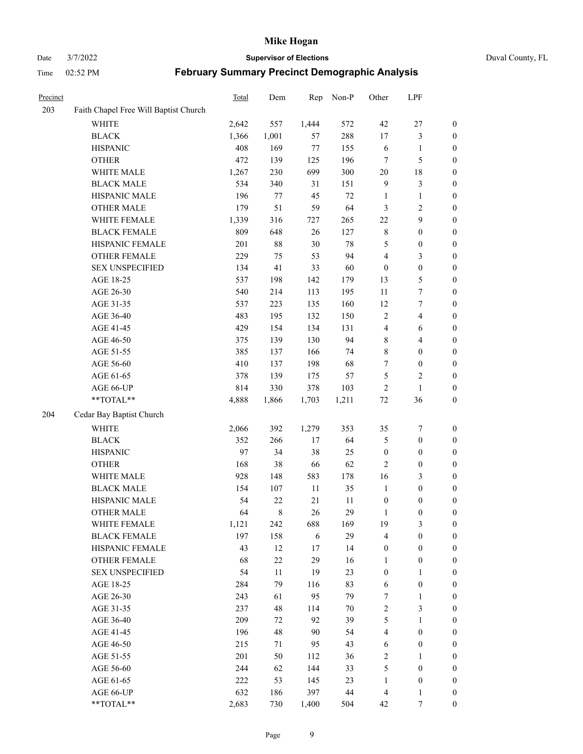#### Date 3/7/2022 **Supervisor of Elections** Duval County, FL

| Precinct |                                       | Total | Dem    | Rep     | Non-P  | Other                   | LPF                     |                  |
|----------|---------------------------------------|-------|--------|---------|--------|-------------------------|-------------------------|------------------|
| 203      | Faith Chapel Free Will Baptist Church |       |        |         |        |                         |                         |                  |
|          | <b>WHITE</b>                          | 2,642 | 557    | 1,444   | 572    | 42                      | $27\,$                  | $\boldsymbol{0}$ |
|          | <b>BLACK</b>                          | 1,366 | 1,001  | 57      | 288    | 17                      | $\mathfrak{Z}$          | $\boldsymbol{0}$ |
|          | <b>HISPANIC</b>                       | 408   | 169    | $77 \,$ | 155    | 6                       | $\mathbf{1}$            | $\boldsymbol{0}$ |
|          | <b>OTHER</b>                          | 472   | 139    | 125     | 196    | 7                       | 5                       | $\boldsymbol{0}$ |
|          | WHITE MALE                            | 1,267 | 230    | 699     | 300    | 20                      | 18                      | $\boldsymbol{0}$ |
|          | <b>BLACK MALE</b>                     | 534   | 340    | 31      | 151    | $\overline{9}$          | $\mathfrak{Z}$          | $\boldsymbol{0}$ |
|          | HISPANIC MALE                         | 196   | 77     | 45      | $72\,$ | $\mathbf{1}$            | $\mathbf{1}$            | $\boldsymbol{0}$ |
|          | <b>OTHER MALE</b>                     | 179   | 51     | 59      | 64     | 3                       | $\sqrt{2}$              | $\boldsymbol{0}$ |
|          | WHITE FEMALE                          | 1,339 | 316    | 727     | 265    | $22\,$                  | $\boldsymbol{9}$        | 0                |
|          | <b>BLACK FEMALE</b>                   | 809   | 648    | 26      | 127    | $\,$ 8 $\,$             | $\boldsymbol{0}$        | $\boldsymbol{0}$ |
|          | HISPANIC FEMALE                       | 201   | 88     | $30\,$  | $78\,$ | 5                       | $\boldsymbol{0}$        | $\boldsymbol{0}$ |
|          | OTHER FEMALE                          | 229   | 75     | 53      | 94     | 4                       | $\mathfrak{Z}$          | $\boldsymbol{0}$ |
|          | <b>SEX UNSPECIFIED</b>                | 134   | 41     | 33      | 60     | $\boldsymbol{0}$        | $\boldsymbol{0}$        | $\boldsymbol{0}$ |
|          | AGE 18-25                             | 537   | 198    | 142     | 179    | 13                      | 5                       | $\boldsymbol{0}$ |
|          | AGE 26-30                             | 540   | 214    | 113     | 195    | $11\,$                  | $\boldsymbol{7}$        | $\boldsymbol{0}$ |
|          | AGE 31-35                             | 537   | 223    | 135     | 160    | 12                      | $\boldsymbol{7}$        | $\boldsymbol{0}$ |
|          | AGE 36-40                             | 483   | 195    | 132     | 150    | $\mathfrak{2}$          | $\overline{4}$          | $\boldsymbol{0}$ |
|          | AGE 41-45                             | 429   | 154    | 134     | 131    | $\overline{\mathbf{4}}$ | 6                       | $\boldsymbol{0}$ |
|          | AGE 46-50                             | 375   | 139    | 130     | 94     | 8                       | $\overline{\mathbf{4}}$ | 0                |
|          | AGE 51-55                             | 385   | 137    | 166     | 74     | 8                       | $\boldsymbol{0}$        | $\boldsymbol{0}$ |
|          | AGE 56-60                             | 410   | 137    | 198     | 68     | 7                       | $\boldsymbol{0}$        | $\boldsymbol{0}$ |
|          | AGE 61-65                             | 378   | 139    | 175     | 57     | 5                       | $\sqrt{2}$              | $\boldsymbol{0}$ |
|          | AGE 66-UP                             | 814   | 330    | 378     | 103    | $\overline{c}$          | $\mathbf{1}$            | $\boldsymbol{0}$ |
|          | $**TOTAL**$                           | 4,888 | 1,866  | 1,703   | 1,211  | $72\,$                  | 36                      | $\boldsymbol{0}$ |
| 204      | Cedar Bay Baptist Church              |       |        |         |        |                         |                         |                  |
|          | <b>WHITE</b>                          | 2,066 | 392    | 1,279   | 353    | 35                      | $\boldsymbol{7}$        | $\boldsymbol{0}$ |
|          | <b>BLACK</b>                          | 352   | 266    | $17\,$  | 64     | 5                       | $\boldsymbol{0}$        | $\boldsymbol{0}$ |
|          | <b>HISPANIC</b>                       | 97    | 34     | 38      | 25     | $\boldsymbol{0}$        | $\boldsymbol{0}$        | $\boldsymbol{0}$ |
|          | <b>OTHER</b>                          | 168   | 38     | 66      | 62     | $\mathfrak{2}$          | $\boldsymbol{0}$        | $\boldsymbol{0}$ |
|          | WHITE MALE                            | 928   | 148    | 583     | 178    | 16                      | $\mathfrak{Z}$          | $\boldsymbol{0}$ |
|          | <b>BLACK MALE</b>                     | 154   | 107    | $11\,$  | 35     | $\mathbf{1}$            | $\boldsymbol{0}$        | 0                |
|          | HISPANIC MALE                         | 54    | 22     | 21      | 11     | $\boldsymbol{0}$        | $\boldsymbol{0}$        | 0                |
|          | <b>OTHER MALE</b>                     | 64    | 8      | 26      | 29     | $\mathbf{1}$            | $\boldsymbol{0}$        | $\boldsymbol{0}$ |
|          | WHITE FEMALE                          | 1,121 | 242    | 688     | 169    | 19                      | $\mathfrak{Z}$          | $\boldsymbol{0}$ |
|          | <b>BLACK FEMALE</b>                   | 197   | 158    | 6       | 29     | 4                       | $\boldsymbol{0}$        | $\overline{0}$   |
|          | HISPANIC FEMALE                       | 43    | 12     | 17      | 14     | $\boldsymbol{0}$        | $\boldsymbol{0}$        | $\overline{0}$   |
|          | <b>OTHER FEMALE</b>                   | 68    | 22     | 29      | 16     | $\mathbf{1}$            | $\boldsymbol{0}$        | $\overline{0}$   |
|          | <b>SEX UNSPECIFIED</b>                | 54    | $11\,$ | 19      | 23     | $\boldsymbol{0}$        | $\mathbf{1}$            | $\overline{0}$   |
|          | AGE 18-25                             | 284   | 79     | 116     | 83     | 6                       | $\boldsymbol{0}$        | 0                |
|          | AGE 26-30                             | 243   | 61     | 95      | 79     | 7                       | $\mathbf{1}$            | 0                |
|          | AGE 31-35                             | 237   | 48     | 114     | $70\,$ | $\sqrt{2}$              | $\mathfrak{Z}$          | 0                |
|          | AGE 36-40                             | 209   | 72     | 92      | 39     | $\mathfrak s$           | $\mathbf{1}$            | 0                |
|          | AGE 41-45                             | 196   | 48     | 90      | 54     | 4                       | $\boldsymbol{0}$        | 0                |
|          | AGE 46-50                             | 215   | 71     | 95      | 43     | 6                       | $\boldsymbol{0}$        | $\boldsymbol{0}$ |
|          | AGE 51-55                             | 201   | 50     | 112     | 36     | $\overline{c}$          | $\mathbf{1}$            | $\boldsymbol{0}$ |
|          | AGE 56-60                             | 244   | 62     | 144     | 33     | 5                       | $\boldsymbol{0}$        | $\overline{0}$   |
|          | AGE 61-65                             | 222   | 53     | 145     | 23     | $\mathbf{1}$            | $\boldsymbol{0}$        | $\overline{0}$   |
|          | AGE 66-UP                             | 632   | 186    | 397     | 44     | $\overline{4}$          | $\mathbf{1}$            | $\boldsymbol{0}$ |
|          | **TOTAL**                             | 2,683 | 730    | 1,400   | 504    | 42                      | $\boldsymbol{7}$        | $\boldsymbol{0}$ |
|          |                                       |       |        |         |        |                         |                         |                  |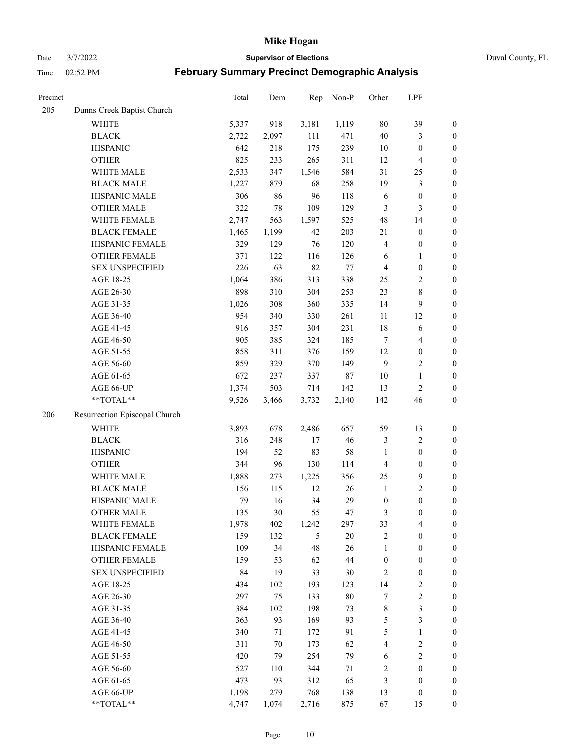Date 3/7/2022 **Supervisor of Elections** Duval County, FL

| Precinct |                               | Total | Dem    | Rep   | Non-P   | Other            | LPF                     |                  |
|----------|-------------------------------|-------|--------|-------|---------|------------------|-------------------------|------------------|
| 205      | Dunns Creek Baptist Church    |       |        |       |         |                  |                         |                  |
|          | <b>WHITE</b>                  | 5,337 | 918    | 3,181 | 1,119   | 80               | 39                      | $\boldsymbol{0}$ |
|          | <b>BLACK</b>                  | 2,722 | 2,097  | 111   | 471     | $40\,$           | $\mathfrak{Z}$          | $\boldsymbol{0}$ |
|          | <b>HISPANIC</b>               | 642   | 218    | 175   | 239     | $10\,$           | $\boldsymbol{0}$        | $\boldsymbol{0}$ |
|          | <b>OTHER</b>                  | 825   | 233    | 265   | 311     | 12               | $\overline{\mathbf{4}}$ | $\boldsymbol{0}$ |
|          | WHITE MALE                    | 2,533 | 347    | 1,546 | 584     | 31               | 25                      | $\boldsymbol{0}$ |
|          | <b>BLACK MALE</b>             | 1,227 | 879    | 68    | 258     | 19               | $\mathfrak{Z}$          | $\boldsymbol{0}$ |
|          | HISPANIC MALE                 | 306   | 86     | 96    | 118     | 6                | $\boldsymbol{0}$        | $\boldsymbol{0}$ |
|          | <b>OTHER MALE</b>             | 322   | 78     | 109   | 129     | $\mathfrak{Z}$   | 3                       | $\boldsymbol{0}$ |
|          | WHITE FEMALE                  | 2,747 | 563    | 1,597 | 525     | 48               | 14                      | $\boldsymbol{0}$ |
|          | <b>BLACK FEMALE</b>           | 1,465 | 1,199  | 42    | 203     | $21\,$           | $\boldsymbol{0}$        | 0                |
|          | HISPANIC FEMALE               | 329   | 129    | 76    | 120     | 4                | $\boldsymbol{0}$        | $\boldsymbol{0}$ |
|          | OTHER FEMALE                  | 371   | 122    | 116   | 126     | 6                | $\mathbf{1}$            | $\boldsymbol{0}$ |
|          | <b>SEX UNSPECIFIED</b>        | 226   | 63     | 82    | $77 \,$ | $\overline{4}$   | $\boldsymbol{0}$        | $\boldsymbol{0}$ |
|          | AGE 18-25                     | 1,064 | 386    | 313   | 338     | 25               | $\sqrt{2}$              | $\boldsymbol{0}$ |
|          | AGE 26-30                     | 898   | 310    | 304   | 253     | 23               | $\,8\,$                 | $\boldsymbol{0}$ |
|          | AGE 31-35                     | 1,026 | 308    | 360   | 335     | 14               | 9                       | $\boldsymbol{0}$ |
|          | AGE 36-40                     | 954   | 340    | 330   | 261     | 11               | 12                      | $\boldsymbol{0}$ |
|          | AGE 41-45                     | 916   | 357    | 304   | 231     | 18               | 6                       | $\boldsymbol{0}$ |
|          | AGE 46-50                     | 905   | 385    | 324   | 185     | $\tau$           | $\overline{\mathbf{4}}$ | $\boldsymbol{0}$ |
|          | AGE 51-55                     | 858   | 311    | 376   | 159     | 12               | $\boldsymbol{0}$        | 0                |
|          | AGE 56-60                     | 859   | 329    | 370   | 149     | 9                | $\sqrt{2}$              | $\boldsymbol{0}$ |
|          | AGE 61-65                     | 672   | 237    | 337   | 87      | 10               | $\mathbf{1}$            | $\boldsymbol{0}$ |
|          | AGE 66-UP                     | 1,374 | 503    | 714   | 142     | 13               | $\sqrt{2}$              | $\boldsymbol{0}$ |
|          | **TOTAL**                     | 9,526 | 3,466  | 3,732 | 2,140   | 142              | 46                      | $\boldsymbol{0}$ |
| 206      | Resurrection Episcopal Church |       |        |       |         |                  |                         |                  |
|          | <b>WHITE</b>                  | 3,893 | 678    | 2,486 | 657     | 59               | 13                      | $\boldsymbol{0}$ |
|          | <b>BLACK</b>                  | 316   | 248    | 17    | 46      | 3                | $\sqrt{2}$              | $\boldsymbol{0}$ |
|          | <b>HISPANIC</b>               | 194   | 52     | 83    | 58      | $\mathbf{1}$     | $\boldsymbol{0}$        | $\boldsymbol{0}$ |
|          | <b>OTHER</b>                  | 344   | 96     | 130   | 114     | $\overline{4}$   | $\boldsymbol{0}$        | $\boldsymbol{0}$ |
|          | WHITE MALE                    | 1,888 | 273    | 1,225 | 356     | 25               | $\mathbf{9}$            | $\boldsymbol{0}$ |
|          | <b>BLACK MALE</b>             | 156   | 115    | 12    | 26      | $\mathbf{1}$     | $\overline{c}$          | $\boldsymbol{0}$ |
|          | HISPANIC MALE                 | 79    | 16     | 34    | 29      | $\boldsymbol{0}$ | $\boldsymbol{0}$        | 0                |
|          | <b>OTHER MALE</b>             | 135   | 30     | 55    | 47      | 3                | $\boldsymbol{0}$        | $\boldsymbol{0}$ |
|          | WHITE FEMALE                  | 1,978 | 402    | 1,242 | 297     | 33               | $\overline{\mathbf{4}}$ | $\boldsymbol{0}$ |
|          | <b>BLACK FEMALE</b>           | 159   | 132    | 5     | $20\,$  | $\sqrt{2}$       | $\boldsymbol{0}$        | $\boldsymbol{0}$ |
|          | HISPANIC FEMALE               | 109   | 34     | 48    | 26      | $\mathbf{1}$     | $\boldsymbol{0}$        | $\boldsymbol{0}$ |
|          | <b>OTHER FEMALE</b>           | 159   | 53     | 62    | 44      | $\boldsymbol{0}$ | $\boldsymbol{0}$        | $\overline{0}$   |
|          | <b>SEX UNSPECIFIED</b>        | 84    | 19     | 33    | 30      | $\sqrt{2}$       | $\boldsymbol{0}$        | 0                |
|          | AGE 18-25                     | 434   | 102    | 193   | 123     | 14               | $\sqrt{2}$              | 0                |
|          | AGE 26-30                     | 297   | 75     | 133   | $80\,$  | 7                | $\sqrt{2}$              | 0                |
|          | AGE 31-35                     | 384   | 102    | 198   | 73      | $\,$ 8 $\,$      | $\mathfrak{Z}$          | 0                |
|          | AGE 36-40                     | 363   | 93     | 169   | 93      | 5                | $\mathfrak{Z}$          | 0                |
|          | AGE 41-45                     | 340   | 71     | 172   | 91      | 5                | $\mathbf{1}$            | 0                |
|          | AGE 46-50                     | 311   | $70\,$ | 173   | 62      | 4                | $\sqrt{2}$              | 0                |
|          | AGE 51-55                     | 420   | 79     | 254   | 79      | 6                | $\sqrt{2}$              | $\boldsymbol{0}$ |
|          | AGE 56-60                     | 527   | 110    | 344   | 71      | $\overline{c}$   | $\boldsymbol{0}$        | $\boldsymbol{0}$ |
|          | AGE 61-65                     | 473   | 93     | 312   | 65      | 3                | $\boldsymbol{0}$        | 0                |
|          | AGE 66-UP                     | 1,198 | 279    | 768   | 138     | 13               | $\boldsymbol{0}$        | 0                |
|          | **TOTAL**                     | 4,747 | 1,074  | 2,716 | 875     | 67               | 15                      | $\boldsymbol{0}$ |
|          |                               |       |        |       |         |                  |                         |                  |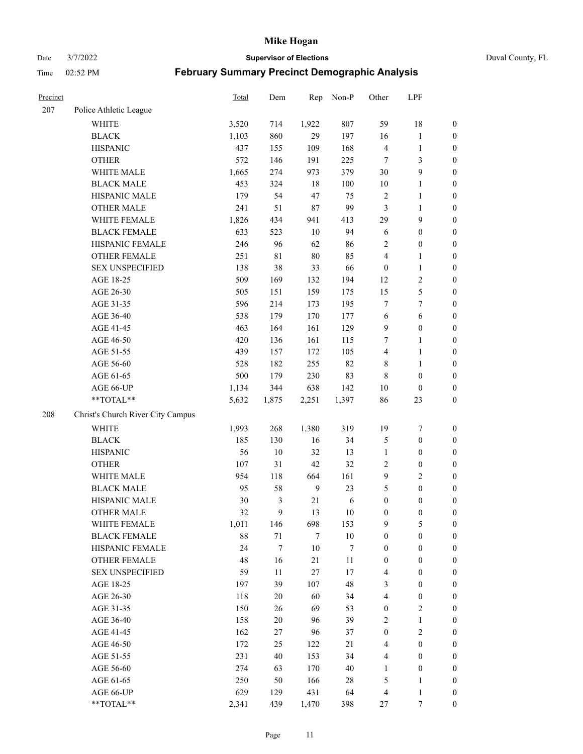Date 3/7/2022 **Supervisor of Elections** Duval County, FL

| Precinct |                                   | Total | Dem    | Rep    | Non-P  | Other                   | LPF              |                  |
|----------|-----------------------------------|-------|--------|--------|--------|-------------------------|------------------|------------------|
| 207      | Police Athletic League            |       |        |        |        |                         |                  |                  |
|          | <b>WHITE</b>                      | 3,520 | 714    | 1,922  | 807    | 59                      | 18               | $\boldsymbol{0}$ |
|          | <b>BLACK</b>                      | 1,103 | 860    | 29     | 197    | 16                      | $\mathbf{1}$     | $\boldsymbol{0}$ |
|          | <b>HISPANIC</b>                   | 437   | 155    | 109    | 168    | 4                       | $\mathbf{1}$     | $\boldsymbol{0}$ |
|          | <b>OTHER</b>                      | 572   | 146    | 191    | 225    | 7                       | 3                | $\boldsymbol{0}$ |
|          | WHITE MALE                        | 1,665 | 274    | 973    | 379    | 30                      | 9                | $\boldsymbol{0}$ |
|          | <b>BLACK MALE</b>                 | 453   | 324    | 18     | 100    | 10                      | $\mathbf{1}$     | $\boldsymbol{0}$ |
|          | HISPANIC MALE                     | 179   | 54     | 47     | 75     | $\overline{c}$          | $\mathbf{1}$     | $\boldsymbol{0}$ |
|          | <b>OTHER MALE</b>                 | 241   | 51     | $87\,$ | 99     | 3                       | $\mathbf{1}$     | $\boldsymbol{0}$ |
|          | WHITE FEMALE                      | 1,826 | 434    | 941    | 413    | 29                      | $\mathbf{9}$     | $\boldsymbol{0}$ |
|          | <b>BLACK FEMALE</b>               | 633   | 523    | 10     | 94     | 6                       | $\boldsymbol{0}$ | $\boldsymbol{0}$ |
|          | HISPANIC FEMALE                   | 246   | 96     | 62     | 86     | $\overline{c}$          | $\boldsymbol{0}$ | 0                |
|          | <b>OTHER FEMALE</b>               | 251   | 81     | $80\,$ | 85     | $\overline{4}$          | $\mathbf{1}$     | $\boldsymbol{0}$ |
|          | <b>SEX UNSPECIFIED</b>            | 138   | 38     | 33     | 66     | $\boldsymbol{0}$        | $\mathbf{1}$     | $\boldsymbol{0}$ |
|          | AGE 18-25                         | 509   | 169    | 132    | 194    | 12                      | $\sqrt{2}$       | $\boldsymbol{0}$ |
|          | AGE 26-30                         | 505   | 151    | 159    | 175    | 15                      | $\mathfrak{S}$   | $\boldsymbol{0}$ |
|          | AGE 31-35                         | 596   | 214    | 173    | 195    | 7                       | $\boldsymbol{7}$ | $\boldsymbol{0}$ |
|          | AGE 36-40                         | 538   | 179    | 170    | 177    | 6                       | 6                | $\boldsymbol{0}$ |
|          | AGE 41-45                         | 463   | 164    | 161    | 129    | 9                       | $\boldsymbol{0}$ | $\boldsymbol{0}$ |
|          | AGE 46-50                         | 420   | 136    | 161    | 115    | 7                       | $\mathbf{1}$     | $\boldsymbol{0}$ |
|          | AGE 51-55                         | 439   | 157    | 172    | 105    | $\overline{\mathbf{4}}$ | $\mathbf{1}$     | $\boldsymbol{0}$ |
|          | AGE 56-60                         | 528   | 182    | 255    | 82     | 8                       | $\mathbf{1}$     | 0                |
|          | AGE 61-65                         | 500   | 179    | 230    | 83     | $\,$ 8 $\,$             | $\boldsymbol{0}$ | $\boldsymbol{0}$ |
|          | AGE 66-UP                         | 1,134 | 344    | 638    | 142    | 10                      | $\boldsymbol{0}$ | $\boldsymbol{0}$ |
|          | $**TOTAL**$                       | 5,632 | 1,875  | 2,251  | 1,397  | 86                      | 23               | $\boldsymbol{0}$ |
| 208      | Christ's Church River City Campus |       |        |        |        |                         |                  |                  |
|          | <b>WHITE</b>                      | 1,993 | 268    | 1,380  | 319    | 19                      | $\boldsymbol{7}$ | $\boldsymbol{0}$ |
|          | <b>BLACK</b>                      | 185   | 130    | 16     | 34     | 5                       | $\boldsymbol{0}$ | $\boldsymbol{0}$ |
|          | <b>HISPANIC</b>                   | 56    | 10     | 32     | 13     | $\mathbf{1}$            | $\boldsymbol{0}$ | $\boldsymbol{0}$ |
|          | <b>OTHER</b>                      | 107   | 31     | $42\,$ | 32     | $\overline{c}$          | $\boldsymbol{0}$ | $\boldsymbol{0}$ |
|          | WHITE MALE                        | 954   | 118    | 664    | 161    | 9                       | $\overline{2}$   | $\boldsymbol{0}$ |
|          | <b>BLACK MALE</b>                 | 95    | 58     | 9      | 23     | 5                       | $\boldsymbol{0}$ | $\boldsymbol{0}$ |
|          | HISPANIC MALE                     | 30    | 3      | 21     | 6      | $\boldsymbol{0}$        | $\boldsymbol{0}$ | $\boldsymbol{0}$ |
|          | <b>OTHER MALE</b>                 | 32    | 9      | 13     | 10     | $\boldsymbol{0}$        | $\boldsymbol{0}$ | $\boldsymbol{0}$ |
|          | WHITE FEMALE                      | 1,011 | 146    | 698    | 153    | 9                       | 5                | 0                |
|          | <b>BLACK FEMALE</b>               | 88    | 71     | 7      | $10\,$ | $\boldsymbol{0}$        | $\boldsymbol{0}$ | $\boldsymbol{0}$ |
|          | HISPANIC FEMALE                   | 24    | $\tau$ | $10\,$ | 7      | $\boldsymbol{0}$        | $\boldsymbol{0}$ | $\overline{0}$   |
|          | OTHER FEMALE                      | 48    | 16     | 21     | 11     | $\boldsymbol{0}$        | $\boldsymbol{0}$ | $\overline{0}$   |
|          | <b>SEX UNSPECIFIED</b>            | 59    | 11     | $27\,$ | 17     | 4                       | $\boldsymbol{0}$ | 0                |
|          | AGE 18-25                         | 197   | 39     | 107    | 48     | 3                       | $\boldsymbol{0}$ | $\overline{0}$   |
|          | AGE 26-30                         | 118   | $20\,$ | 60     | 34     | 4                       | $\boldsymbol{0}$ | 0                |
|          | AGE 31-35                         | 150   | 26     | 69     | 53     | $\boldsymbol{0}$        | $\sqrt{2}$       | 0                |
|          | AGE 36-40                         | 158   | $20\,$ | 96     | 39     | 2                       | $\mathbf{1}$     | 0                |
|          | AGE 41-45                         | 162   | 27     | 96     | 37     | $\boldsymbol{0}$        | $\sqrt{2}$       | 0                |
|          | AGE 46-50                         | 172   | 25     | 122    | 21     | 4                       | $\boldsymbol{0}$ | 0                |
|          | AGE 51-55                         | 231   | 40     | 153    | 34     | 4                       | $\boldsymbol{0}$ | 0                |
|          | AGE 56-60                         | 274   | 63     | 170    | 40     | 1                       | $\boldsymbol{0}$ | $\boldsymbol{0}$ |
|          | AGE 61-65                         | 250   | 50     | 166    | $28\,$ | 5                       | $\mathbf{1}$     | $\boldsymbol{0}$ |
|          | AGE 66-UP                         | 629   | 129    | 431    | 64     | $\overline{4}$          | $\mathbf{1}$     | $\boldsymbol{0}$ |
|          | **TOTAL**                         | 2,341 | 439    | 1,470  | 398    | 27                      | $\boldsymbol{7}$ | $\boldsymbol{0}$ |
|          |                                   |       |        |        |        |                         |                  |                  |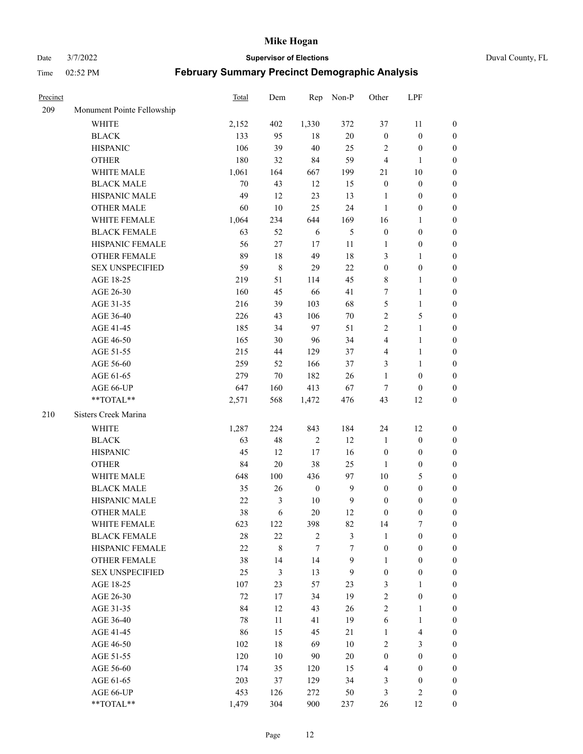Date 3/7/2022 **Supervisor of Elections** Duval County, FL

| Precinct |                            | Total  | Dem    | Rep              | Non-P        | Other            | LPF                     |                  |
|----------|----------------------------|--------|--------|------------------|--------------|------------------|-------------------------|------------------|
| 209      | Monument Pointe Fellowship |        |        |                  |              |                  |                         |                  |
|          | <b>WHITE</b>               | 2,152  | 402    | 1,330            | 372          | 37               | 11                      | 0                |
|          | <b>BLACK</b>               | 133    | 95     | 18               | $20\,$       | $\boldsymbol{0}$ | $\boldsymbol{0}$        | 0                |
|          | <b>HISPANIC</b>            | 106    | 39     | 40               | 25           | 2                | $\boldsymbol{0}$        | $\boldsymbol{0}$ |
|          | <b>OTHER</b>               | 180    | 32     | 84               | 59           | $\overline{4}$   | $\mathbf{1}$            | $\boldsymbol{0}$ |
|          | WHITE MALE                 | 1,061  | 164    | 667              | 199          | 21               | $10\,$                  | $\boldsymbol{0}$ |
|          | <b>BLACK MALE</b>          | 70     | 43     | 12               | 15           | $\boldsymbol{0}$ | $\boldsymbol{0}$        | $\boldsymbol{0}$ |
|          | HISPANIC MALE              | 49     | 12     | 23               | 13           | $\mathbf{1}$     | $\boldsymbol{0}$        | $\boldsymbol{0}$ |
|          | <b>OTHER MALE</b>          | 60     | 10     | 25               | 24           | $\mathbf{1}$     | $\boldsymbol{0}$        | $\boldsymbol{0}$ |
|          | WHITE FEMALE               | 1,064  | 234    | 644              | 169          | 16               | $\mathbf{1}$            | $\boldsymbol{0}$ |
|          | <b>BLACK FEMALE</b>        | 63     | 52     | 6                | 5            | $\boldsymbol{0}$ | $\boldsymbol{0}$        | 0                |
|          | HISPANIC FEMALE            | 56     | 27     | 17               | 11           | 1                | $\boldsymbol{0}$        | 0                |
|          | OTHER FEMALE               | 89     | 18     | 49               | $18\,$       | 3                | $\mathbf{1}$            | $\boldsymbol{0}$ |
|          | <b>SEX UNSPECIFIED</b>     | 59     | 8      | 29               | 22           | $\boldsymbol{0}$ | $\boldsymbol{0}$        | $\boldsymbol{0}$ |
|          | AGE 18-25                  | 219    | 51     | 114              | 45           | 8                | $\mathbf{1}$            | $\boldsymbol{0}$ |
|          | AGE 26-30                  | 160    | 45     | 66               | 41           | 7                | $\mathbf{1}$            | $\boldsymbol{0}$ |
|          | AGE 31-35                  | 216    | 39     | 103              | 68           | 5                | $\mathbf{1}$            | $\boldsymbol{0}$ |
|          | AGE 36-40                  | 226    | 43     | 106              | $70\,$       | $\sqrt{2}$       | $\mathfrak s$           | $\boldsymbol{0}$ |
|          | AGE 41-45                  | 185    | 34     | 97               | 51           | $\mathbf{2}$     | $\mathbf{1}$            | $\boldsymbol{0}$ |
|          | AGE 46-50                  | 165    | 30     | 96               | 34           | 4                | $\mathbf{1}$            | $\boldsymbol{0}$ |
|          | AGE 51-55                  | 215    | 44     | 129              | 37           | 4                | $\mathbf{1}$            | 0                |
|          | AGE 56-60                  | 259    | 52     | 166              | 37           | 3                | $\mathbf{1}$            | 0                |
|          | AGE 61-65                  | 279    | 70     | 182              | 26           | $\mathbf{1}$     | $\boldsymbol{0}$        | 0                |
|          | AGE 66-UP                  | 647    | 160    | 413              | 67           | $\tau$           | $\boldsymbol{0}$        | $\boldsymbol{0}$ |
|          | $**TOTAL**$                | 2,571  | 568    | 1,472            | 476          | 43               | 12                      | $\boldsymbol{0}$ |
| 210      | Sisters Creek Marina       |        |        |                  |              |                  |                         |                  |
|          | <b>WHITE</b>               | 1,287  | 224    | 843              | 184          | 24               | 12                      | $\boldsymbol{0}$ |
|          | <b>BLACK</b>               | 63     | 48     | $\sqrt{2}$       | 12           | $\mathbf{1}$     | $\boldsymbol{0}$        | $\boldsymbol{0}$ |
|          | <b>HISPANIC</b>            | 45     | 12     | $17\,$           | 16           | $\boldsymbol{0}$ | $\boldsymbol{0}$        | $\boldsymbol{0}$ |
|          | <b>OTHER</b>               | 84     | $20\,$ | 38               | 25           | $\mathbf{1}$     | $\boldsymbol{0}$        | $\boldsymbol{0}$ |
|          | WHITE MALE                 | 648    | 100    | 436              | 97           | 10               | $\mathfrak{S}$          | $\boldsymbol{0}$ |
|          | <b>BLACK MALE</b>          | 35     | 26     | $\boldsymbol{0}$ | $\mathbf{9}$ | $\boldsymbol{0}$ | $\boldsymbol{0}$        | $\boldsymbol{0}$ |
|          | HISPANIC MALE              | $22\,$ | 3      | 10               | $\mathbf{9}$ | $\boldsymbol{0}$ | $\boldsymbol{0}$        | 0                |
|          | <b>OTHER MALE</b>          | 38     | 6      | 20               | 12           | $\boldsymbol{0}$ | $\boldsymbol{0}$        | $\boldsymbol{0}$ |
|          | WHITE FEMALE               | 623    | 122    | 398              | 82           | 14               | 7                       | 0                |
|          | <b>BLACK FEMALE</b>        | 28     | 22     | $\overline{2}$   | 3            | $\mathbf{1}$     | $\boldsymbol{0}$        | $\overline{0}$   |
|          | HISPANIC FEMALE            | 22     | 8      | 7                | 7            | $\boldsymbol{0}$ | $\boldsymbol{0}$        | $\overline{0}$   |
|          | <b>OTHER FEMALE</b>        | 38     | 14     | 14               | 9            | 1                | $\boldsymbol{0}$        | $\overline{0}$   |
|          | <b>SEX UNSPECIFIED</b>     | 25     | 3      | 13               | 9            | $\boldsymbol{0}$ | $\boldsymbol{0}$        | 0                |
|          | AGE 18-25                  | 107    | 23     | 57               | 23           | 3                | $\mathbf{1}$            | $\theta$         |
|          | AGE 26-30                  | 72     | 17     | 34               | 19           | $\overline{c}$   | $\boldsymbol{0}$        | 0                |
|          | AGE 31-35                  | 84     | 12     | 43               | 26           | $\overline{c}$   | $\mathbf{1}$            | 0                |
|          | AGE 36-40                  | 78     | 11     | 41               | 19           | 6                | $\mathbf{1}$            | 0                |
|          | AGE 41-45                  | 86     | 15     | 45               | 21           | $\mathbf{1}$     | $\overline{\mathbf{4}}$ | 0                |
|          | AGE 46-50                  | 102    | 18     | 69               | 10           | $\mathbf{2}$     | 3                       | 0                |
|          | AGE 51-55                  | 120    | 10     | 90               | 20           | $\boldsymbol{0}$ | $\boldsymbol{0}$        | $\overline{0}$   |
|          | AGE 56-60                  | 174    | 35     | 120              | 15           | 4                | $\boldsymbol{0}$        | $\overline{0}$   |
|          | AGE 61-65                  | 203    | 37     | 129              | 34           | 3                | $\boldsymbol{0}$        | $\overline{0}$   |
|          | AGE 66-UP                  | 453    | 126    | 272              | 50           | 3                | $\mathbf{2}$            | $\boldsymbol{0}$ |
|          | **TOTAL**                  | 1,479  | 304    | 900              | 237          | 26               | 12                      | $\boldsymbol{0}$ |
|          |                            |        |        |                  |              |                  |                         |                  |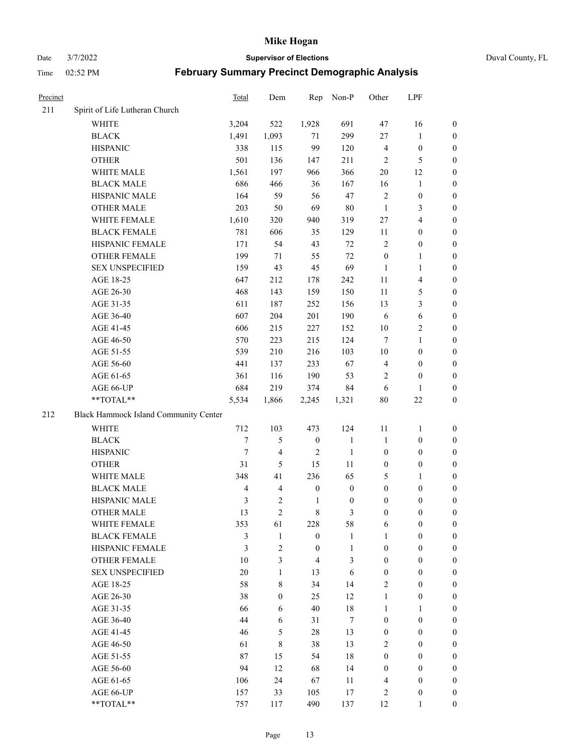Date 3/7/2022 **Supervisor of Elections** Duval County, FL

| Precinct |                                       | Total          | Dem                     | Rep              | Non-P            | Other            | LPF                     |                  |
|----------|---------------------------------------|----------------|-------------------------|------------------|------------------|------------------|-------------------------|------------------|
| 211      | Spirit of Life Lutheran Church        |                |                         |                  |                  |                  |                         |                  |
|          | <b>WHITE</b>                          | 3,204          | 522                     | 1,928            | 691              | 47               | 16                      | 0                |
|          | <b>BLACK</b>                          | 1,491          | 1,093                   | 71               | 299              | $27\,$           | $\mathbf{1}$            | 0                |
|          | <b>HISPANIC</b>                       | 338            | 115                     | 99               | 120              | $\overline{4}$   | $\boldsymbol{0}$        | $\boldsymbol{0}$ |
|          | <b>OTHER</b>                          | 501            | 136                     | 147              | 211              | $\overline{2}$   | $\mathfrak{S}$          | $\boldsymbol{0}$ |
|          | WHITE MALE                            | 1,561          | 197                     | 966              | 366              | 20               | 12                      | $\boldsymbol{0}$ |
|          | <b>BLACK MALE</b>                     | 686            | 466                     | 36               | 167              | 16               | $\mathbf{1}$            | $\boldsymbol{0}$ |
|          | HISPANIC MALE                         | 164            | 59                      | 56               | 47               | $\overline{c}$   | $\boldsymbol{0}$        | $\boldsymbol{0}$ |
|          | OTHER MALE                            | 203            | 50                      | 69               | $80\,$           | $\mathbf{1}$     | $\mathfrak{Z}$          | $\boldsymbol{0}$ |
|          | WHITE FEMALE                          | 1,610          | 320                     | 940              | 319              | 27               | $\overline{4}$          | $\boldsymbol{0}$ |
|          | <b>BLACK FEMALE</b>                   | 781            | 606                     | 35               | 129              | 11               | $\boldsymbol{0}$        | 0                |
|          | HISPANIC FEMALE                       | 171            | 54                      | 43               | 72               | $\overline{c}$   | $\boldsymbol{0}$        | 0                |
|          | OTHER FEMALE                          | 199            | 71                      | 55               | 72               | $\boldsymbol{0}$ | $\mathbf{1}$            | 0                |
|          | <b>SEX UNSPECIFIED</b>                | 159            | 43                      | 45               | 69               | $\mathbf{1}$     | $\mathbf{1}$            | $\boldsymbol{0}$ |
|          | AGE 18-25                             | 647            | 212                     | 178              | 242              | $11\,$           | $\overline{\mathbf{4}}$ | $\boldsymbol{0}$ |
|          | AGE 26-30                             | 468            | 143                     | 159              | 150              | $11\,$           | $\mathfrak{S}$          | $\boldsymbol{0}$ |
|          | AGE 31-35                             | 611            | 187                     | 252              | 156              | 13               | $\mathfrak{Z}$          | $\boldsymbol{0}$ |
|          | AGE 36-40                             | 607            | 204                     | 201              | 190              | 6                | $\sqrt{6}$              | $\boldsymbol{0}$ |
|          | AGE 41-45                             | 606            | 215                     | 227              | 152              | 10               | $\overline{2}$          | $\boldsymbol{0}$ |
|          | AGE 46-50                             | 570            | 223                     | 215              | 124              | $\tau$           | $\mathbf{1}$            | $\boldsymbol{0}$ |
|          | AGE 51-55                             | 539            | 210                     | 216              | 103              | $10\,$           | $\boldsymbol{0}$        | 0                |
|          | AGE 56-60                             | 441            | 137                     | 233              | 67               | $\overline{4}$   | $\boldsymbol{0}$        | 0                |
|          | AGE 61-65                             | 361            | 116                     | 190              | 53               | 2                | $\boldsymbol{0}$        | 0                |
|          | AGE 66-UP                             | 684            | 219                     | 374              | 84               | 6                | $\mathbf{1}$            | $\boldsymbol{0}$ |
|          | $**TOTAL**$                           | 5,534          | 1,866                   | 2,245            | 1,321            | $80\,$           | $22\,$                  | $\boldsymbol{0}$ |
| 212      | Black Hammock Island Community Center |                |                         |                  |                  |                  |                         |                  |
|          | <b>WHITE</b>                          | 712            | 103                     | 473              | 124              | $11\,$           | $\mathbf{1}$            | $\boldsymbol{0}$ |
|          | <b>BLACK</b>                          | $\tau$         | 5                       | $\boldsymbol{0}$ | $\mathbf{1}$     | $\mathbf{1}$     | $\boldsymbol{0}$        | $\boldsymbol{0}$ |
|          | <b>HISPANIC</b>                       | $\tau$         | 4                       | $\overline{2}$   | $\mathbf{1}$     | $\boldsymbol{0}$ | $\boldsymbol{0}$        | $\boldsymbol{0}$ |
|          | <b>OTHER</b>                          | 31             | 5                       | 15               | 11               | $\boldsymbol{0}$ | $\boldsymbol{0}$        | $\boldsymbol{0}$ |
|          | WHITE MALE                            | 348            | 41                      | 236              | 65               | 5                | $\mathbf{1}$            | $\boldsymbol{0}$ |
|          | <b>BLACK MALE</b>                     | $\overline{4}$ | $\overline{\mathbf{4}}$ | $\boldsymbol{0}$ | $\boldsymbol{0}$ | $\boldsymbol{0}$ | $\boldsymbol{0}$        | $\boldsymbol{0}$ |
|          | HISPANIC MALE                         | $\mathfrak{Z}$ | $\mathbf{2}$            | $\mathbf{1}$     | $\boldsymbol{0}$ | $\boldsymbol{0}$ | $\boldsymbol{0}$        | 0                |
|          | <b>OTHER MALE</b>                     | 13             | $\overline{2}$          | $\,8\,$          | 3                | $\boldsymbol{0}$ | $\boldsymbol{0}$        | $\boldsymbol{0}$ |
|          | WHITE FEMALE                          | 353            | 61                      | 228              | 58               | 6                | $\boldsymbol{0}$        | 0                |
|          | <b>BLACK FEMALE</b>                   | 3              | $\mathbf{1}$            | $\boldsymbol{0}$ | $\mathbf{1}$     | $\mathbf{1}$     | $\boldsymbol{0}$        | $\overline{0}$   |
|          | HISPANIC FEMALE                       | 3              | $\overline{c}$          | $\boldsymbol{0}$ | $\mathbf{1}$     | $\boldsymbol{0}$ | $\boldsymbol{0}$        | $\overline{0}$   |
|          | <b>OTHER FEMALE</b>                   | 10             | 3                       | $\overline{4}$   | 3                | $\boldsymbol{0}$ | $\boldsymbol{0}$        | $\overline{0}$   |
|          | <b>SEX UNSPECIFIED</b>                | 20             | $\mathbf{1}$            | 13               | 6                | $\boldsymbol{0}$ | $\boldsymbol{0}$        | $\overline{0}$   |
|          | AGE 18-25                             | 58             | 8                       | 34               | 14               | $\mathbf{2}$     | $\boldsymbol{0}$        | $\theta$         |
|          | AGE 26-30                             | 38             | $\boldsymbol{0}$        | 25               | 12               | $\mathbf{1}$     | $\boldsymbol{0}$        | 0                |
|          | AGE 31-35                             | 66             | 6                       | 40               | 18               | $\mathbf{1}$     | $\mathbf{1}$            | 0                |
|          | AGE 36-40                             | 44             | 6                       | 31               | $\tau$           | $\boldsymbol{0}$ | $\boldsymbol{0}$        | 0                |
|          | AGE 41-45                             | 46             | 5                       | 28               | 13               | $\boldsymbol{0}$ | $\boldsymbol{0}$        | 0                |
|          | AGE 46-50                             | 61             | 8                       | 38               | 13               | 2                | $\boldsymbol{0}$        | 0                |
|          | AGE 51-55                             | 87             | 15                      | 54               | 18               | $\boldsymbol{0}$ | $\boldsymbol{0}$        | $\overline{0}$   |
|          | AGE 56-60                             | 94             | 12                      | 68               | 14               | $\boldsymbol{0}$ | $\boldsymbol{0}$        | $\overline{0}$   |
|          | AGE 61-65                             | 106            | 24                      | 67               | 11               | 4                | $\boldsymbol{0}$        | $\overline{0}$   |
|          | AGE 66-UP                             | 157            | 33                      | 105              | 17               | 2                | $\boldsymbol{0}$        | $\boldsymbol{0}$ |
|          | **TOTAL**                             | 757            | 117                     | 490              | 137              | 12               | $\mathbf{1}$            | $\boldsymbol{0}$ |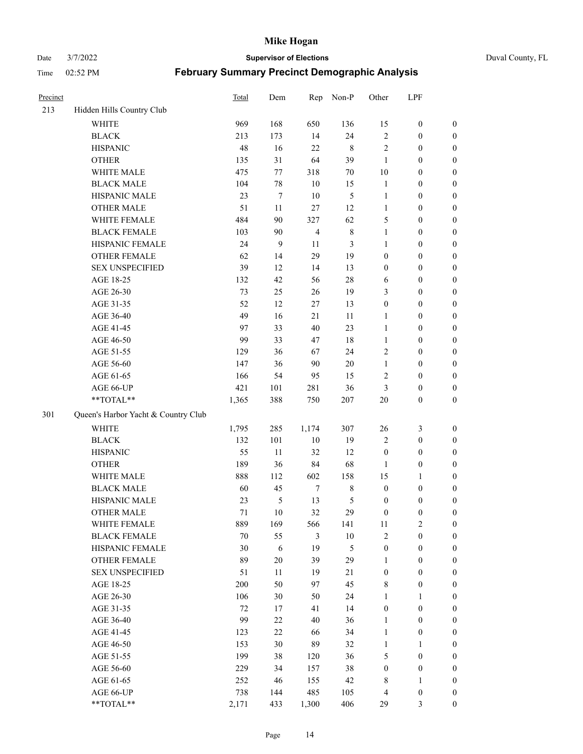Date 3/7/2022 **Supervisor of Elections** Duval County, FL

| Precinct |                                     | <b>Total</b> | Dem              | Rep            | Non-P         | Other            | LPF              |                  |
|----------|-------------------------------------|--------------|------------------|----------------|---------------|------------------|------------------|------------------|
| 213      | Hidden Hills Country Club           |              |                  |                |               |                  |                  |                  |
|          | <b>WHITE</b>                        | 969          | 168              | 650            | 136           | 15               | $\boldsymbol{0}$ | 0                |
|          | <b>BLACK</b>                        | 213          | 173              | 14             | 24            | $\sqrt{2}$       | $\boldsymbol{0}$ | $\boldsymbol{0}$ |
|          | <b>HISPANIC</b>                     | 48           | 16               | 22             | $\,$ 8 $\,$   | $\mathbf{2}$     | $\boldsymbol{0}$ | $\boldsymbol{0}$ |
|          | <b>OTHER</b>                        | 135          | 31               | 64             | 39            | $\mathbf{1}$     | $\boldsymbol{0}$ | $\boldsymbol{0}$ |
|          | WHITE MALE                          | 475          | 77               | 318            | $70\,$        | 10               | $\boldsymbol{0}$ | $\boldsymbol{0}$ |
|          | <b>BLACK MALE</b>                   | 104          | 78               | 10             | 15            | $\mathbf{1}$     | $\boldsymbol{0}$ | $\boldsymbol{0}$ |
|          | HISPANIC MALE                       | 23           | $\boldsymbol{7}$ | $10\,$         | $\mathfrak s$ | $\mathbf{1}$     | $\boldsymbol{0}$ | $\boldsymbol{0}$ |
|          | <b>OTHER MALE</b>                   | 51           | 11               | 27             | 12            | $\mathbf{1}$     | $\boldsymbol{0}$ | $\boldsymbol{0}$ |
|          | WHITE FEMALE                        | 484          | 90               | 327            | 62            | 5                | $\boldsymbol{0}$ | $\boldsymbol{0}$ |
|          | <b>BLACK FEMALE</b>                 | 103          | 90               | $\overline{4}$ | $\,$ 8 $\,$   | $\mathbf{1}$     | $\boldsymbol{0}$ | $\boldsymbol{0}$ |
|          | HISPANIC FEMALE                     | 24           | 9                | 11             | 3             | 1                | $\boldsymbol{0}$ | 0                |
|          | <b>OTHER FEMALE</b>                 | 62           | 14               | 29             | 19            | $\boldsymbol{0}$ | $\boldsymbol{0}$ | $\boldsymbol{0}$ |
|          | <b>SEX UNSPECIFIED</b>              | 39           | 12               | 14             | 13            | $\boldsymbol{0}$ | $\boldsymbol{0}$ | $\boldsymbol{0}$ |
|          | AGE 18-25                           | 132          | 42               | 56             | $28\,$        | 6                | $\boldsymbol{0}$ | $\boldsymbol{0}$ |
|          | AGE 26-30                           | 73           | 25               | 26             | 19            | 3                | $\boldsymbol{0}$ | $\boldsymbol{0}$ |
|          | AGE 31-35                           | 52           | 12               | $27\,$         | 13            | $\boldsymbol{0}$ | $\boldsymbol{0}$ | $\boldsymbol{0}$ |
|          | AGE 36-40                           | 49           | 16               | 21             | 11            | $\mathbf{1}$     | $\boldsymbol{0}$ | $\boldsymbol{0}$ |
|          | AGE 41-45                           | 97           | 33               | 40             | 23            | $\mathbf{1}$     | $\boldsymbol{0}$ | $\boldsymbol{0}$ |
|          | AGE 46-50                           | 99           | 33               | 47             | $18\,$        | $\mathbf{1}$     | $\boldsymbol{0}$ | $\boldsymbol{0}$ |
|          | AGE 51-55                           | 129          | 36               | 67             | 24            | 2                | $\boldsymbol{0}$ | $\boldsymbol{0}$ |
|          | AGE 56-60                           | 147          | 36               | 90             | 20            | $\mathbf{1}$     | $\boldsymbol{0}$ | 0                |
|          | AGE 61-65                           | 166          | 54               | 95             | 15            | $\overline{c}$   | $\boldsymbol{0}$ | 0                |
|          | AGE 66-UP                           | 421          | 101              | 281            | 36            | 3                | $\boldsymbol{0}$ | $\boldsymbol{0}$ |
|          | $**TOTAL**$                         | 1,365        | 388              | 750            | 207           | 20               | $\boldsymbol{0}$ | $\boldsymbol{0}$ |
| 301      | Queen's Harbor Yacht & Country Club |              |                  |                |               |                  |                  |                  |
|          | WHITE                               | 1,795        | 285              | 1,174          | 307           | 26               | $\mathfrak{Z}$   | $\boldsymbol{0}$ |
|          | <b>BLACK</b>                        | 132          | 101              | $10\,$         | 19            | 2                | $\boldsymbol{0}$ | $\boldsymbol{0}$ |
|          | <b>HISPANIC</b>                     | 55           | 11               | 32             | 12            | $\boldsymbol{0}$ | $\boldsymbol{0}$ | $\boldsymbol{0}$ |
|          | <b>OTHER</b>                        | 189          | 36               | 84             | 68            | $\mathbf{1}$     | $\boldsymbol{0}$ | $\boldsymbol{0}$ |
|          | WHITE MALE                          | 888          | 112              | 602            | 158           | 15               | $\mathbf{1}$     | $\boldsymbol{0}$ |
|          | <b>BLACK MALE</b>                   | 60           | 45               | $\tau$         | $8\,$         | $\boldsymbol{0}$ | $\boldsymbol{0}$ | $\boldsymbol{0}$ |
|          | HISPANIC MALE                       | 23           | $\mathfrak s$    | 13             | 5             | $\boldsymbol{0}$ | $\boldsymbol{0}$ | $\boldsymbol{0}$ |
|          | <b>OTHER MALE</b>                   | 71           | 10               | 32             | 29            | $\boldsymbol{0}$ | $\boldsymbol{0}$ | $\boldsymbol{0}$ |
|          | WHITE FEMALE                        | 889          | 169              | 566            | 141           | 11               | 2                | 0                |
|          | <b>BLACK FEMALE</b>                 | 70           | 55               | 3              | $10\,$        | $\mathbf{2}$     | $\boldsymbol{0}$ | $\boldsymbol{0}$ |
|          | HISPANIC FEMALE                     | 30           | 6                | 19             | 5             | $\boldsymbol{0}$ | $\boldsymbol{0}$ | $\overline{0}$   |
|          | <b>OTHER FEMALE</b>                 | 89           | $20\,$           | 39             | 29            | $\mathbf{1}$     | $\boldsymbol{0}$ | $\overline{0}$   |
|          | <b>SEX UNSPECIFIED</b>              | 51           | 11               | 19             | 21            | $\boldsymbol{0}$ | $\boldsymbol{0}$ | $\overline{0}$   |
|          | AGE 18-25                           | 200          | 50               | 97             | 45            | 8                | $\boldsymbol{0}$ | $\theta$         |
|          | AGE 26-30                           | 106          | 30               | 50             | 24            | $\mathbf{1}$     | $\mathbf{1}$     | $\overline{0}$   |
|          | AGE 31-35                           | 72           | 17               | 41             | 14            | $\boldsymbol{0}$ | $\boldsymbol{0}$ | 0                |
|          | AGE 36-40                           | 99           | $22\,$           | 40             | 36            | $\mathbf{1}$     | $\boldsymbol{0}$ | 0                |
|          | AGE 41-45                           | 123          | 22               | 66             | 34            | $\mathbf{1}$     | $\boldsymbol{0}$ | 0                |
|          | AGE 46-50                           | 153          | 30               | 89             | 32            | $\mathbf{1}$     | $\mathbf{1}$     | 0                |
|          | AGE 51-55                           | 199          | 38               | 120            | 36            | 5                | $\boldsymbol{0}$ | $\overline{0}$   |
|          | AGE 56-60                           | 229          | 34               | 157            | 38            | $\boldsymbol{0}$ | $\boldsymbol{0}$ | $\overline{0}$   |
|          | AGE 61-65                           | 252          | 46               | 155            | 42            | 8                | $\mathbf{1}$     | $\overline{0}$   |
|          | AGE 66-UP                           | 738          | 144              | 485            | 105           | $\overline{4}$   | $\boldsymbol{0}$ | $\boldsymbol{0}$ |
|          | **TOTAL**                           | 2,171        | 433              | 1,300          | 406           | 29               | $\mathfrak{Z}$   | $\boldsymbol{0}$ |
|          |                                     |              |                  |                |               |                  |                  |                  |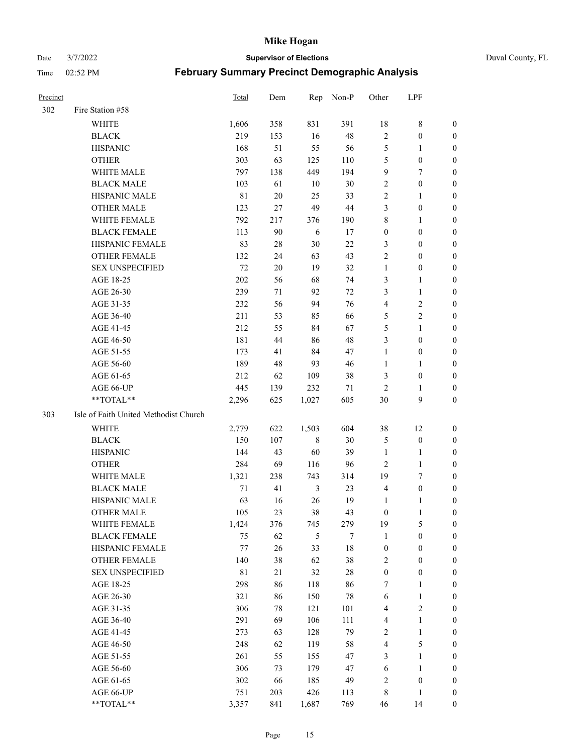#### Date 3/7/2022 **Supervisor of Elections** Duval County, FL

| <b>Precinct</b> |                                       | Total       | Dem | Rep            | Non-P  | Other            | LPF              |                  |
|-----------------|---------------------------------------|-------------|-----|----------------|--------|------------------|------------------|------------------|
| 302             | Fire Station #58                      |             |     |                |        |                  |                  |                  |
|                 | <b>WHITE</b>                          | 1,606       | 358 | 831            | 391    | 18               | $8\,$            | 0                |
|                 | <b>BLACK</b>                          | 219         | 153 | 16             | 48     | $\sqrt{2}$       | $\boldsymbol{0}$ | 0                |
|                 | <b>HISPANIC</b>                       | 168         | 51  | 55             | 56     | 5                | $\mathbf{1}$     | 0                |
|                 | <b>OTHER</b>                          | 303         | 63  | 125            | 110    | 5                | $\boldsymbol{0}$ | $\boldsymbol{0}$ |
|                 | WHITE MALE                            | 797         | 138 | 449            | 194    | 9                | 7                | $\boldsymbol{0}$ |
|                 | <b>BLACK MALE</b>                     | 103         | 61  | 10             | 30     | $\overline{c}$   | $\boldsymbol{0}$ | $\boldsymbol{0}$ |
|                 | HISPANIC MALE                         | $8\sqrt{1}$ | 20  | 25             | 33     | $\mathfrak{2}$   | $\mathbf{1}$     | $\boldsymbol{0}$ |
|                 | <b>OTHER MALE</b>                     | 123         | 27  | 49             | $44\,$ | 3                | $\boldsymbol{0}$ | 0                |
|                 | WHITE FEMALE                          | 792         | 217 | 376            | 190    | $\,$ $\,$        | $\mathbf{1}$     | 0                |
|                 | <b>BLACK FEMALE</b>                   | 113         | 90  | 6              | 17     | $\boldsymbol{0}$ | $\boldsymbol{0}$ | 0                |
|                 | HISPANIC FEMALE                       | 83          | 28  | 30             | $22\,$ | 3                | $\boldsymbol{0}$ | 0                |
|                 | OTHER FEMALE                          | 132         | 24  | 63             | 43     | $\mathbf{2}$     | $\boldsymbol{0}$ | 0                |
|                 | <b>SEX UNSPECIFIED</b>                | 72          | 20  | 19             | 32     | $\mathbf{1}$     | $\boldsymbol{0}$ | $\boldsymbol{0}$ |
|                 | AGE 18-25                             | 202         | 56  | 68             | 74     | 3                | $\mathbf{1}$     | $\boldsymbol{0}$ |
|                 | AGE 26-30                             | 239         | 71  | 92             | $72\,$ | 3                | $\mathbf{1}$     | $\boldsymbol{0}$ |
|                 | AGE 31-35                             | 232         | 56  | 94             | 76     | 4                | $\sqrt{2}$       | $\boldsymbol{0}$ |
|                 | AGE 36-40                             | 211         | 53  | 85             | 66     | 5                | $\sqrt{2}$       | $\boldsymbol{0}$ |
|                 | AGE 41-45                             | 212         | 55  | 84             | 67     | 5                | $\mathbf{1}$     | $\boldsymbol{0}$ |
|                 | AGE 46-50                             | 181         | 44  | 86             | 48     | 3                | $\boldsymbol{0}$ | $\boldsymbol{0}$ |
|                 | AGE 51-55                             | 173         | 41  | 84             | 47     | $\mathbf{1}$     | $\boldsymbol{0}$ | 0                |
|                 | AGE 56-60                             | 189         | 48  | 93             | 46     | $\mathbf{1}$     | $\mathbf{1}$     | 0                |
|                 | AGE 61-65                             | 212         | 62  | 109            | 38     | 3                | $\boldsymbol{0}$ | 0                |
|                 | AGE 66-UP                             | 445         | 139 | 232            | 71     | $\overline{2}$   | $\mathbf{1}$     | 0                |
|                 | **TOTAL**                             | 2,296       | 625 | 1,027          | 605    | 30               | $\boldsymbol{9}$ | $\boldsymbol{0}$ |
| 303             | Isle of Faith United Methodist Church |             |     |                |        |                  |                  |                  |
|                 | <b>WHITE</b>                          | 2,779       | 622 | 1,503          | 604    | 38               | 12               | $\boldsymbol{0}$ |
|                 | <b>BLACK</b>                          | 150         | 107 | $\,$ 8 $\,$    | $30\,$ | 5                | $\boldsymbol{0}$ | $\boldsymbol{0}$ |
|                 | <b>HISPANIC</b>                       | 144         | 43  | 60             | 39     | $\mathbf{1}$     | $\mathbf{1}$     | 0                |
|                 | <b>OTHER</b>                          | 284         | 69  | 116            | 96     | $\overline{c}$   | $\mathbf{1}$     | $\boldsymbol{0}$ |
|                 | WHITE MALE                            | 1,321       | 238 | 743            | 314    | 19               | $\tau$           | $\overline{0}$   |
|                 | <b>BLACK MALE</b>                     | $71\,$      | 41  | $\mathfrak{Z}$ | 23     | $\overline{4}$   | $\boldsymbol{0}$ | 0                |
|                 | HISPANIC MALE                         | 63          | 16  | 26             | 19     | 1                | 1                | 0                |
|                 | <b>OTHER MALE</b>                     | 105         | 23  | 38             | 43     | $\boldsymbol{0}$ | $\mathbf{1}$     | 0                |
|                 | WHITE FEMALE                          | 1,424       | 376 | 745            | 279    | 19               | 5                | 0                |
|                 | <b>BLACK FEMALE</b>                   | 75          | 62  | $\mathfrak{S}$ | 7      | $\mathbf{1}$     | $\boldsymbol{0}$ | $\overline{0}$   |
|                 | HISPANIC FEMALE                       | $77 \,$     | 26  | 33             | $18\,$ | $\boldsymbol{0}$ | $\boldsymbol{0}$ | $\overline{0}$   |
|                 | OTHER FEMALE                          | 140         | 38  | 62             | 38     | 2                | $\boldsymbol{0}$ | $\overline{0}$   |
|                 | <b>SEX UNSPECIFIED</b>                | $8\sqrt{1}$ | 21  | 32             | $28\,$ | $\boldsymbol{0}$ | $\boldsymbol{0}$ | 0                |
|                 | AGE 18-25                             | 298         | 86  | 118            | 86     | 7                | $\mathbf{1}$     | 0                |
|                 | AGE 26-30                             | 321         | 86  | 150            | $78\,$ | 6                | $\mathbf{1}$     | 0                |
|                 | AGE 31-35                             | 306         | 78  | 121            | 101    | 4                | $\sqrt{2}$       | 0                |
|                 | AGE 36-40                             | 291         | 69  | 106            | 111    | 4                | $\mathbf{1}$     | 0                |
|                 | AGE 41-45                             | 273         | 63  | 128            | 79     | $\sqrt{2}$       | $\mathbf{1}$     | 0                |
|                 | AGE 46-50                             | 248         | 62  | 119            | 58     | 4                | $\mathfrak s$    | 0                |
|                 | AGE 51-55                             | 261         | 55  | 155            | 47     | 3                | $\mathbf{1}$     | 0                |
|                 | AGE 56-60                             | 306         | 73  | 179            | 47     | 6                | $\mathbf{1}$     | $\boldsymbol{0}$ |
|                 | AGE 61-65                             | 302         | 66  | 185            | 49     | 2                | $\boldsymbol{0}$ | $\boldsymbol{0}$ |
|                 | AGE 66-UP                             | 751         | 203 | 426            | 113    | 8                | $\mathbf{1}$     | $\boldsymbol{0}$ |
|                 | **TOTAL**                             | 3,357       | 841 | 1,687          | 769    | 46               | 14               | $\boldsymbol{0}$ |
|                 |                                       |             |     |                |        |                  |                  |                  |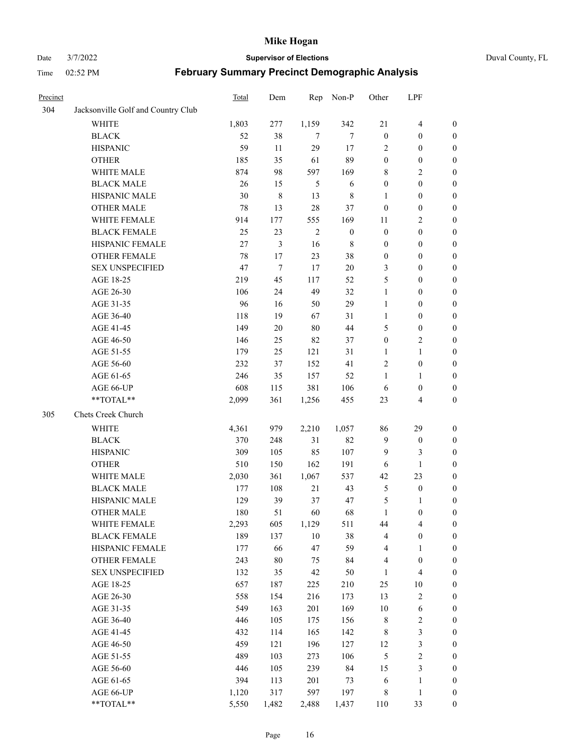#### Date 3/7/2022 **Supervisor of Elections** Duval County, FL

| Precinct |                                    | Total  | Dem    | Rep            | Non-P            | Other            | LPF                     |                  |
|----------|------------------------------------|--------|--------|----------------|------------------|------------------|-------------------------|------------------|
| 304      | Jacksonville Golf and Country Club |        |        |                |                  |                  |                         |                  |
|          | <b>WHITE</b>                       | 1,803  | 277    | 1,159          | 342              | 21               | $\overline{\mathbf{4}}$ | $\boldsymbol{0}$ |
|          | <b>BLACK</b>                       | 52     | 38     | $\tau$         | 7                | $\boldsymbol{0}$ | $\boldsymbol{0}$        | $\boldsymbol{0}$ |
|          | <b>HISPANIC</b>                    | 59     | 11     | 29             | 17               | 2                | $\boldsymbol{0}$        | $\boldsymbol{0}$ |
|          | <b>OTHER</b>                       | 185    | 35     | 61             | 89               | $\boldsymbol{0}$ | $\boldsymbol{0}$        | $\boldsymbol{0}$ |
|          | WHITE MALE                         | 874    | 98     | 597            | 169              | 8                | $\mathbf{2}$            | $\boldsymbol{0}$ |
|          | <b>BLACK MALE</b>                  | 26     | 15     | $\mathfrak{H}$ | 6                | $\boldsymbol{0}$ | $\boldsymbol{0}$        | $\boldsymbol{0}$ |
|          | HISPANIC MALE                      | 30     | 8      | 13             | $\,$ 8 $\,$      | $\mathbf{1}$     | $\boldsymbol{0}$        | $\boldsymbol{0}$ |
|          | <b>OTHER MALE</b>                  | 78     | 13     | 28             | 37               | $\boldsymbol{0}$ | $\boldsymbol{0}$        | $\boldsymbol{0}$ |
|          | WHITE FEMALE                       | 914    | 177    | 555            | 169              | 11               | $\mathfrak{2}$          | $\boldsymbol{0}$ |
|          | <b>BLACK FEMALE</b>                | 25     | 23     | $\overline{2}$ | $\boldsymbol{0}$ | $\boldsymbol{0}$ | $\boldsymbol{0}$        | 0                |
|          | HISPANIC FEMALE                    | $27\,$ | 3      | 16             | $\,$ 8 $\,$      | $\boldsymbol{0}$ | $\boldsymbol{0}$        | $\boldsymbol{0}$ |
|          | OTHER FEMALE                       | 78     | 17     | 23             | 38               | $\boldsymbol{0}$ | $\boldsymbol{0}$        | $\boldsymbol{0}$ |
|          | <b>SEX UNSPECIFIED</b>             | 47     | 7      | 17             | $20\,$           | 3                | $\boldsymbol{0}$        | $\boldsymbol{0}$ |
|          | AGE 18-25                          | 219    | 45     | 117            | 52               | 5                | $\boldsymbol{0}$        | $\boldsymbol{0}$ |
|          | AGE 26-30                          | 106    | 24     | 49             | 32               | $\mathbf{1}$     | $\boldsymbol{0}$        | $\boldsymbol{0}$ |
|          | AGE 31-35                          | 96     | 16     | 50             | 29               | $\mathbf{1}$     | $\boldsymbol{0}$        | $\boldsymbol{0}$ |
|          | AGE 36-40                          | 118    | 19     | 67             | 31               | $\mathbf{1}$     | $\boldsymbol{0}$        | $\boldsymbol{0}$ |
|          | AGE 41-45                          | 149    | $20\,$ | $80\,$         | 44               | 5                | $\boldsymbol{0}$        | $\boldsymbol{0}$ |
|          | AGE 46-50                          | 146    | 25     | 82             | 37               | $\boldsymbol{0}$ | $\sqrt{2}$              | $\boldsymbol{0}$ |
|          | AGE 51-55                          | 179    | 25     | 121            | 31               | 1                | $\mathbf{1}$            | 0                |
|          | AGE 56-60                          | 232    | 37     | 152            | 41               | $\overline{c}$   | $\boldsymbol{0}$        | 0                |
|          | AGE 61-65                          | 246    | 35     | 157            | 52               | $\mathbf{1}$     | $\mathbf{1}$            | 0                |
|          | AGE 66-UP                          | 608    | 115    | 381            | 106              | 6                | $\boldsymbol{0}$        | $\boldsymbol{0}$ |
|          | **TOTAL**                          | 2,099  | 361    | 1,256          | 455              | 23               | $\overline{4}$          | $\boldsymbol{0}$ |
| 305      | Chets Creek Church                 |        |        |                |                  |                  |                         |                  |
|          | <b>WHITE</b>                       | 4,361  | 979    | 2,210          | 1,057            | 86               | 29                      | $\boldsymbol{0}$ |
|          | <b>BLACK</b>                       | 370    | 248    | 31             | 82               | $\overline{9}$   | $\boldsymbol{0}$        | $\boldsymbol{0}$ |
|          | <b>HISPANIC</b>                    | 309    | 105    | 85             | 107              | 9                | 3                       | $\boldsymbol{0}$ |
|          | <b>OTHER</b>                       | 510    | 150    | 162            | 191              | 6                | $\mathbf{1}$            | $\boldsymbol{0}$ |
|          | WHITE MALE                         | 2,030  | 361    | 1,067          | 537              | 42               | 23                      | $\boldsymbol{0}$ |
|          | <b>BLACK MALE</b>                  | 177    | 108    | 21             | 43               | $\sqrt{5}$       | $\boldsymbol{0}$        | $\boldsymbol{0}$ |
|          | HISPANIC MALE                      | 129    | 39     | 37             | 47               | 5                | 1                       | 0                |
|          | <b>OTHER MALE</b>                  | 180    | 51     | 60             | 68               | $\mathbf{1}$     | $\boldsymbol{0}$        | $\boldsymbol{0}$ |
|          | WHITE FEMALE                       | 2,293  | 605    | 1,129          | 511              | 44               | $\overline{\mathbf{4}}$ | $\boldsymbol{0}$ |
|          | <b>BLACK FEMALE</b>                | 189    | 137    | $10\,$         | 38               | 4                | $\boldsymbol{0}$        | $\boldsymbol{0}$ |
|          | HISPANIC FEMALE                    | 177    | 66     | 47             | 59               | 4                | $\mathbf{1}$            | $\boldsymbol{0}$ |
|          | <b>OTHER FEMALE</b>                | 243    | $80\,$ | 75             | 84               | $\overline{4}$   | $\boldsymbol{0}$        | $\overline{0}$   |
|          | <b>SEX UNSPECIFIED</b>             | 132    | 35     | 42             | 50               | $\mathbf{1}$     | $\overline{\mathbf{4}}$ | 0                |
|          | AGE 18-25                          | 657    | 187    | 225            | 210              | 25               | $10\,$                  | 0                |
|          | AGE 26-30                          | 558    | 154    | 216            | 173              | 13               | $\sqrt{2}$              | 0                |
|          | AGE 31-35                          | 549    | 163    | 201            | 169              | $10\,$           | 6                       | 0                |
|          | AGE 36-40                          | 446    | 105    | 175            | 156              | 8                | $\sqrt{2}$              | 0                |
|          | AGE 41-45                          | 432    | 114    | 165            | 142              | $\,$ 8 $\,$      | $\mathfrak{Z}$          | 0                |
|          | AGE 46-50                          | 459    | 121    | 196            | 127              | 12               | $\mathfrak{Z}$          | 0                |
|          | AGE 51-55                          | 489    | 103    | 273            | 106              | 5                | $\sqrt{2}$              | $\boldsymbol{0}$ |
|          | AGE 56-60                          | 446    | 105    | 239            | 84               | 15               | $\mathfrak{Z}$          | $\boldsymbol{0}$ |
|          | AGE 61-65                          | 394    | 113    | 201            | 73               | 6                | $\mathbf{1}$            | 0                |
|          | AGE 66-UP                          | 1,120  | 317    | 597            | 197              | $\,$ 8 $\,$      | $\mathbf{1}$            | 0                |
|          | **TOTAL**                          | 5,550  | 1,482  | 2,488          | 1,437            | 110              | 33                      | $\boldsymbol{0}$ |
|          |                                    |        |        |                |                  |                  |                         |                  |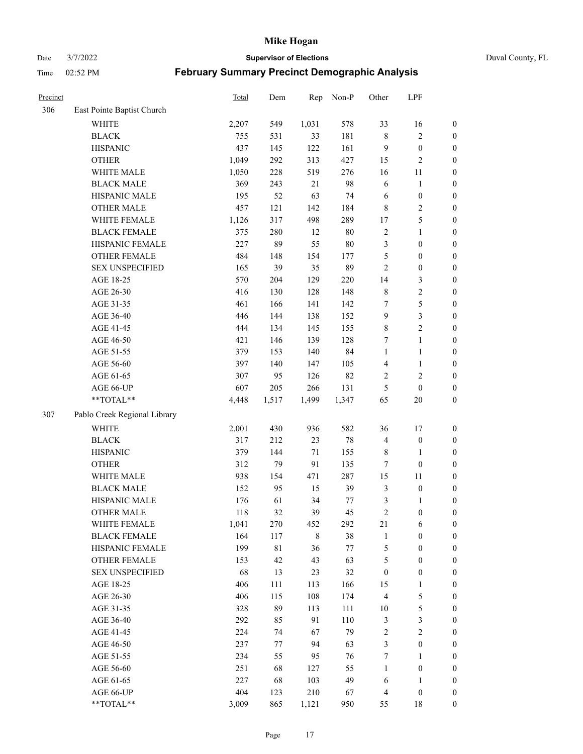Date 3/7/2022 **Supervisor of Elections** Duval County, FL

| Precinct |                              | Total | Dem   | Rep         | Non-P  | Other            | LPF              |                  |
|----------|------------------------------|-------|-------|-------------|--------|------------------|------------------|------------------|
| 306      | East Pointe Baptist Church   |       |       |             |        |                  |                  |                  |
|          | <b>WHITE</b>                 | 2,207 | 549   | 1,031       | 578    | 33               | 16               | 0                |
|          | <b>BLACK</b>                 | 755   | 531   | 33          | 181    | $\,$ 8 $\,$      | $\sqrt{2}$       | $\boldsymbol{0}$ |
|          | <b>HISPANIC</b>              | 437   | 145   | 122         | 161    | 9                | $\boldsymbol{0}$ | $\boldsymbol{0}$ |
|          | <b>OTHER</b>                 | 1,049 | 292   | 313         | 427    | 15               | $\mathbf{2}$     | $\boldsymbol{0}$ |
|          | WHITE MALE                   | 1,050 | 228   | 519         | 276    | 16               | 11               | $\boldsymbol{0}$ |
|          | <b>BLACK MALE</b>            | 369   | 243   | 21          | 98     | 6                | $\mathbf{1}$     | $\boldsymbol{0}$ |
|          | HISPANIC MALE                | 195   | 52    | 63          | 74     | 6                | $\boldsymbol{0}$ | $\boldsymbol{0}$ |
|          | <b>OTHER MALE</b>            | 457   | 121   | 142         | 184    | 8                | $\overline{2}$   | $\boldsymbol{0}$ |
|          | WHITE FEMALE                 | 1,126 | 317   | 498         | 289    | 17               | $\mathfrak s$    | $\boldsymbol{0}$ |
|          | <b>BLACK FEMALE</b>          | 375   | 280   | 12          | $80\,$ | $\overline{c}$   | $\mathbf{1}$     | $\boldsymbol{0}$ |
|          | HISPANIC FEMALE              | 227   | 89    | 55          | $80\,$ | 3                | $\boldsymbol{0}$ | 0                |
|          | OTHER FEMALE                 | 484   | 148   | 154         | 177    | 5                | $\boldsymbol{0}$ | $\boldsymbol{0}$ |
|          | <b>SEX UNSPECIFIED</b>       | 165   | 39    | 35          | 89     | $\mathbf{2}$     | $\boldsymbol{0}$ | $\boldsymbol{0}$ |
|          | AGE 18-25                    | 570   | 204   | 129         | 220    | 14               | $\mathfrak{Z}$   | $\boldsymbol{0}$ |
|          | AGE 26-30                    | 416   | 130   | 128         | 148    | 8                | $\sqrt{2}$       | $\boldsymbol{0}$ |
|          | AGE 31-35                    | 461   | 166   | 141         | 142    | 7                | $\mathfrak s$    | $\boldsymbol{0}$ |
|          | AGE 36-40                    | 446   | 144   | 138         | 152    | 9                | $\mathfrak{Z}$   | $\boldsymbol{0}$ |
|          | AGE 41-45                    | 444   | 134   | 145         | 155    | $\,$ $\,$        | $\overline{2}$   | $\boldsymbol{0}$ |
|          | AGE 46-50                    | 421   | 146   | 139         | 128    | 7                | $\mathbf{1}$     | $\boldsymbol{0}$ |
|          | AGE 51-55                    | 379   | 153   | 140         | 84     | $\mathbf{1}$     | $\mathbf{1}$     | $\boldsymbol{0}$ |
|          | AGE 56-60                    | 397   | 140   | 147         | 105    | $\overline{4}$   | $\mathbf{1}$     | 0                |
|          | AGE 61-65                    | 307   | 95    | 126         | 82     | $\overline{2}$   | $\mathbf{2}$     | 0                |
|          | AGE 66-UP                    | 607   | 205   | 266         | 131    | 5                | $\boldsymbol{0}$ | $\boldsymbol{0}$ |
|          | $**TOTAL**$                  | 4,448 | 1,517 | 1,499       | 1,347  | 65               | $20\,$           | $\boldsymbol{0}$ |
| 307      | Pablo Creek Regional Library |       |       |             |        |                  |                  |                  |
|          | <b>WHITE</b>                 | 2,001 | 430   | 936         | 582    | 36               | 17               | $\boldsymbol{0}$ |
|          | <b>BLACK</b>                 | 317   | 212   | 23          | $78\,$ | 4                | $\boldsymbol{0}$ | $\boldsymbol{0}$ |
|          | <b>HISPANIC</b>              | 379   | 144   | 71          | 155    | 8                | $\mathbf{1}$     | $\boldsymbol{0}$ |
|          | <b>OTHER</b>                 | 312   | 79    | 91          | 135    | 7                | $\boldsymbol{0}$ | $\boldsymbol{0}$ |
|          | WHITE MALE                   | 938   | 154   | 471         | 287    | 15               | 11               | $\boldsymbol{0}$ |
|          | <b>BLACK MALE</b>            | 152   | 95    | 15          | 39     | 3                | $\boldsymbol{0}$ | $\boldsymbol{0}$ |
|          | HISPANIC MALE                | 176   | 61    | 34          | 77     | 3                | 1                | $\boldsymbol{0}$ |
|          | <b>OTHER MALE</b>            | 118   | 32    | 39          | 45     | $\mathfrak{2}$   | $\boldsymbol{0}$ | $\boldsymbol{0}$ |
|          | WHITE FEMALE                 | 1,041 | 270   | 452         | 292    | 21               | 6                | 0                |
|          | <b>BLACK FEMALE</b>          | 164   | 117   | $\,$ 8 $\,$ | 38     | $\mathbf{1}$     | $\boldsymbol{0}$ | $\boldsymbol{0}$ |
|          | HISPANIC FEMALE              | 199   | 81    | 36          | $77\,$ | 5                | $\boldsymbol{0}$ | $\overline{0}$   |
|          | OTHER FEMALE                 | 153   | 42    | 43          | 63     | 5                | $\boldsymbol{0}$ | $\overline{0}$   |
|          | <b>SEX UNSPECIFIED</b>       | 68    | 13    | 23          | 32     | $\boldsymbol{0}$ | $\boldsymbol{0}$ | 0                |
|          | AGE 18-25                    | 406   | 111   | 113         | 166    | 15               | $\mathbf{1}$     | 0                |
|          | AGE 26-30                    | 406   | 115   | 108         | 174    | $\overline{4}$   | $\mathfrak{S}$   | 0                |
|          | AGE 31-35                    | 328   | 89    | 113         | 111    | $10\,$           | $\mathfrak s$    | 0                |
|          | AGE 36-40                    | 292   | 85    | 91          | 110    | 3                | $\mathfrak{Z}$   | 0                |
|          | AGE 41-45                    | 224   | 74    | 67          | 79     | $\sqrt{2}$       | $\overline{2}$   | 0                |
|          | AGE 46-50                    | 237   | 77    | 94          | 63     | 3                | $\boldsymbol{0}$ | 0                |
|          | AGE 51-55                    | 234   | 55    | 95          | 76     | $\tau$           | $\mathbf{1}$     | 0                |
|          | AGE 56-60                    | 251   | 68    | 127         | 55     | 1                | $\boldsymbol{0}$ | $\overline{0}$   |
|          | AGE 61-65                    | 227   | 68    | 103         | 49     | 6                | $\mathbf{1}$     | $\overline{0}$   |
|          | AGE 66-UP                    | 404   | 123   | 210         | 67     | $\overline{4}$   | $\boldsymbol{0}$ | 0                |
|          | **TOTAL**                    | 3,009 | 865   | 1,121       | 950    | 55               | 18               | $\boldsymbol{0}$ |
|          |                              |       |       |             |        |                  |                  |                  |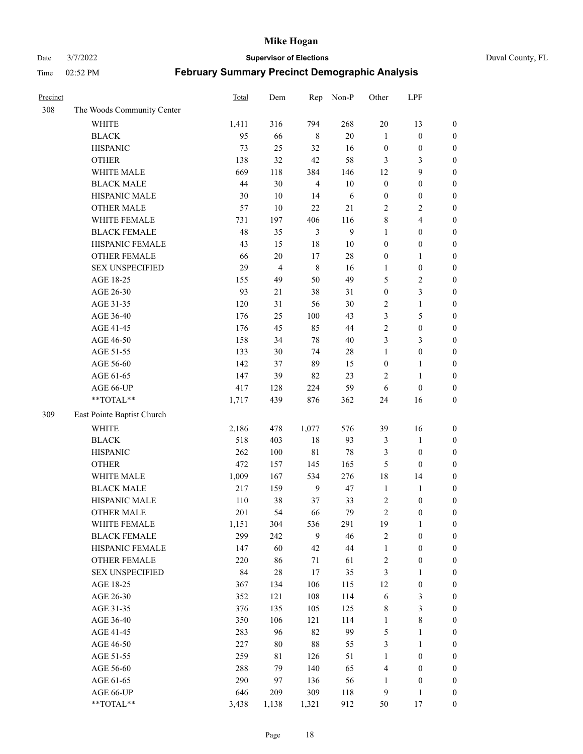Date 3/7/2022 **Supervisor of Elections** Duval County, FL

| Precinct |                            | Total  | Dem            | Rep            | Non-P        | Other            | LPF                     |                  |
|----------|----------------------------|--------|----------------|----------------|--------------|------------------|-------------------------|------------------|
| 308      | The Woods Community Center |        |                |                |              |                  |                         |                  |
|          | <b>WHITE</b>               | 1,411  | 316            | 794            | 268          | 20               | 13                      | $\boldsymbol{0}$ |
|          | <b>BLACK</b>               | 95     | 66             | $\,$ 8 $\,$    | $20\,$       | $\mathbf{1}$     | $\boldsymbol{0}$        | $\boldsymbol{0}$ |
|          | <b>HISPANIC</b>            | 73     | 25             | 32             | 16           | $\boldsymbol{0}$ | $\boldsymbol{0}$        | $\boldsymbol{0}$ |
|          | <b>OTHER</b>               | 138    | 32             | 42             | 58           | 3                | 3                       | $\boldsymbol{0}$ |
|          | WHITE MALE                 | 669    | 118            | 384            | 146          | 12               | 9                       | $\boldsymbol{0}$ |
|          | <b>BLACK MALE</b>          | 44     | 30             | $\overline{4}$ | 10           | $\boldsymbol{0}$ | $\boldsymbol{0}$        | $\boldsymbol{0}$ |
|          | HISPANIC MALE              | $30\,$ | $10\,$         | 14             | 6            | $\boldsymbol{0}$ | $\boldsymbol{0}$        | $\boldsymbol{0}$ |
|          | <b>OTHER MALE</b>          | 57     | 10             | 22             | 21           | $\mathfrak{2}$   | $\overline{2}$          | $\boldsymbol{0}$ |
|          | WHITE FEMALE               | 731    | 197            | 406            | 116          | $\,$ $\,$        | $\overline{\mathbf{4}}$ | $\boldsymbol{0}$ |
|          | <b>BLACK FEMALE</b>        | 48     | 35             | $\mathfrak{Z}$ | $\mathbf{9}$ | $\mathbf{1}$     | $\boldsymbol{0}$        | $\boldsymbol{0}$ |
|          | HISPANIC FEMALE            | 43     | 15             | $18\,$         | $10\,$       | $\boldsymbol{0}$ | $\boldsymbol{0}$        | 0                |
|          | <b>OTHER FEMALE</b>        | 66     | $20\,$         | $17\,$         | $28\,$       | $\boldsymbol{0}$ | $\mathbf{1}$            | $\boldsymbol{0}$ |
|          | <b>SEX UNSPECIFIED</b>     | 29     | $\overline{4}$ | $\,$ 8 $\,$    | 16           | $\mathbf{1}$     | $\boldsymbol{0}$        | $\boldsymbol{0}$ |
|          | AGE 18-25                  | 155    | 49             | 50             | 49           | 5                | $\sqrt{2}$              | $\boldsymbol{0}$ |
|          | AGE 26-30                  | 93     | 21             | 38             | 31           | $\boldsymbol{0}$ | $\mathfrak{Z}$          | $\boldsymbol{0}$ |
|          | AGE 31-35                  | 120    | 31             | 56             | 30           | $\sqrt{2}$       | $\mathbf{1}$            | $\boldsymbol{0}$ |
|          | AGE 36-40                  | 176    | 25             | 100            | 43           | 3                | $\mathfrak{S}$          | $\boldsymbol{0}$ |
|          | AGE 41-45                  | 176    | 45             | 85             | $44\,$       | $\sqrt{2}$       | $\boldsymbol{0}$        | $\boldsymbol{0}$ |
|          | AGE 46-50                  | 158    | 34             | $78\,$         | $40\,$       | 3                | $\mathfrak{Z}$          | $\boldsymbol{0}$ |
|          | AGE 51-55                  | 133    | 30             | 74             | $28\,$       | $\mathbf{1}$     | $\boldsymbol{0}$        | $\boldsymbol{0}$ |
|          | AGE 56-60                  | 142    | 37             | 89             | 15           | $\boldsymbol{0}$ | $\mathbf{1}$            | 0                |
|          | AGE 61-65                  | 147    | 39             | 82             | 23           | 2                | $\mathbf{1}$            | 0                |
|          | AGE 66-UP                  | 417    | 128            | 224            | 59           | 6                | $\boldsymbol{0}$        | $\boldsymbol{0}$ |
|          | $**TOTAL**$                | 1,717  | 439            | 876            | 362          | 24               | 16                      | $\boldsymbol{0}$ |
| 309      | East Pointe Baptist Church |        |                |                |              |                  |                         |                  |
|          | <b>WHITE</b>               | 2,186  | 478            | 1,077          | 576          | 39               | 16                      | $\boldsymbol{0}$ |
|          | <b>BLACK</b>               | 518    | 403            | 18             | 93           | 3                | $\mathbf{1}$            | $\boldsymbol{0}$ |
|          | <b>HISPANIC</b>            | 262    | 100            | $8\sqrt{1}$    | 78           | 3                | $\boldsymbol{0}$        | $\boldsymbol{0}$ |
|          | <b>OTHER</b>               | 472    | 157            | 145            | 165          | 5                | $\boldsymbol{0}$        | $\boldsymbol{0}$ |
|          | WHITE MALE                 | 1,009  | 167            | 534            | 276          | 18               | 14                      | $\boldsymbol{0}$ |
|          | <b>BLACK MALE</b>          | 217    | 159            | $\overline{9}$ | 47           | $\mathbf{1}$     | $\mathbf{1}$            | $\boldsymbol{0}$ |
|          | HISPANIC MALE              | 110    | 38             | 37             | 33           | $\overline{c}$   | $\boldsymbol{0}$        | 0                |
|          | <b>OTHER MALE</b>          | 201    | 54             | 66             | 79           | $\overline{c}$   | $\boldsymbol{0}$        | $\boldsymbol{0}$ |
|          | WHITE FEMALE               | 1,151  | 304            | 536            | 291          | 19               | 1                       | 0                |
|          | <b>BLACK FEMALE</b>        | 299    | 242            | 9              | 46           | $\sqrt{2}$       | $\boldsymbol{0}$        | $\boldsymbol{0}$ |
|          | HISPANIC FEMALE            | 147    | 60             | 42             | 44           | $\mathbf{1}$     | $\boldsymbol{0}$        | $\overline{0}$   |
|          | OTHER FEMALE               | 220    | 86             | 71             | 61           | $\boldsymbol{2}$ | $\boldsymbol{0}$        | $\overline{0}$   |
|          | <b>SEX UNSPECIFIED</b>     | 84     | 28             | 17             | 35           | 3                | $\mathbf{1}$            | 0                |
|          | AGE 18-25                  | 367    | 134            | 106            | 115          | 12               | $\boldsymbol{0}$        | 0                |
|          | AGE 26-30                  | 352    | 121            | 108            | 114          | 6                | $\mathfrak{Z}$          | 0                |
|          | AGE 31-35                  | 376    | 135            | 105            | 125          | 8                | $\mathfrak{Z}$          | 0                |
|          | AGE 36-40                  | 350    | 106            | 121            | 114          | $\mathbf{1}$     | $\,8\,$                 | 0                |
|          | AGE 41-45                  | 283    | 96             | 82             | 99           | $\mathfrak{S}$   | $\mathbf{1}$            | 0                |
|          | AGE 46-50                  | 227    | 80             | $88\,$         | 55           | 3                | $\mathbf{1}$            | 0                |
|          | AGE 51-55                  | 259    | 81             | 126            | 51           | $\mathbf{1}$     | $\boldsymbol{0}$        | 0                |
|          | AGE 56-60                  | 288    | 79             | 140            | 65           | 4                | $\boldsymbol{0}$        | $\boldsymbol{0}$ |
|          | AGE 61-65                  | 290    | 97             | 136            | 56           | 1                | $\boldsymbol{0}$        | $\boldsymbol{0}$ |
|          | AGE 66-UP                  | 646    | 209            | 309            | 118          | 9                | $\mathbf{1}$            | $\boldsymbol{0}$ |
|          | **TOTAL**                  | 3,438  | 1,138          | 1,321          | 912          | 50               | 17                      | $\boldsymbol{0}$ |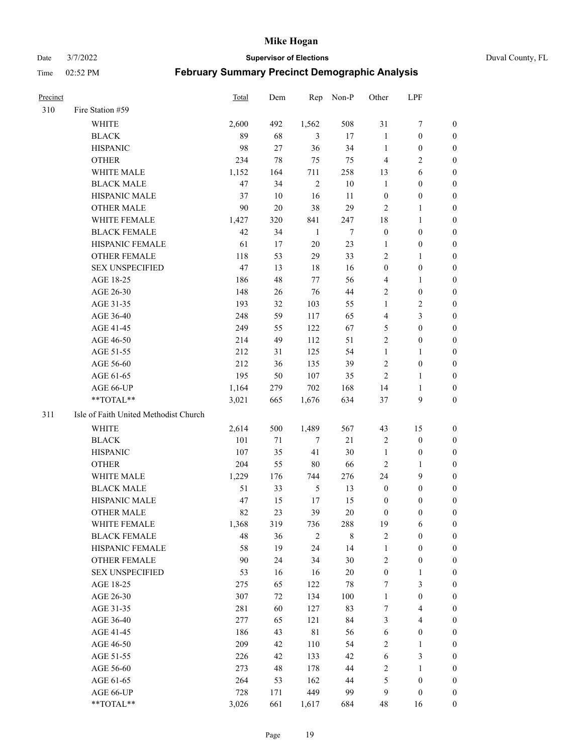#### Date 3/7/2022 **Supervisor of Elections** Duval County, FL

| <b>Precinct</b> |                                       | Total | Dem    | Rep            | Non-P       | Other            | LPF                     |                  |
|-----------------|---------------------------------------|-------|--------|----------------|-------------|------------------|-------------------------|------------------|
| 310             | Fire Station #59                      |       |        |                |             |                  |                         |                  |
|                 | <b>WHITE</b>                          | 2,600 | 492    | 1,562          | 508         | 31               | $\boldsymbol{7}$        | 0                |
|                 | <b>BLACK</b>                          | 89    | 68     | 3              | 17          | $\mathbf{1}$     | $\boldsymbol{0}$        | 0                |
|                 | <b>HISPANIC</b>                       | 98    | 27     | 36             | 34          | $\mathbf{1}$     | $\boldsymbol{0}$        | 0                |
|                 | <b>OTHER</b>                          | 234   | 78     | 75             | 75          | $\overline{4}$   | $\sqrt{2}$              | $\boldsymbol{0}$ |
|                 | WHITE MALE                            | 1,152 | 164    | 711            | 258         | 13               | 6                       | $\boldsymbol{0}$ |
|                 | <b>BLACK MALE</b>                     | 47    | 34     | $\overline{2}$ | $10\,$      | $\mathbf{1}$     | $\boldsymbol{0}$        | 0                |
|                 | HISPANIC MALE                         | 37    | 10     | 16             | 11          | $\boldsymbol{0}$ | $\boldsymbol{0}$        | 0                |
|                 | <b>OTHER MALE</b>                     | 90    | 20     | 38             | 29          | $\mathfrak{2}$   | $\mathbf{1}$            | 0                |
|                 | WHITE FEMALE                          | 1,427 | 320    | 841            | 247         | 18               | $\mathbf{1}$            | 0                |
|                 | <b>BLACK FEMALE</b>                   | 42    | 34     | $\mathbf{1}$   | 7           | $\boldsymbol{0}$ | $\boldsymbol{0}$        | 0                |
|                 | HISPANIC FEMALE                       | 61    | 17     | $20\,$         | 23          | 1                | $\boldsymbol{0}$        | 0                |
|                 | OTHER FEMALE                          | 118   | 53     | 29             | 33          | $\mathfrak{2}$   | $\mathbf{1}$            | 0                |
|                 | <b>SEX UNSPECIFIED</b>                | 47    | 13     | 18             | 16          | $\boldsymbol{0}$ | $\boldsymbol{0}$        | $\boldsymbol{0}$ |
|                 | AGE 18-25                             | 186   | 48     | 77             | 56          | 4                | $\mathbf{1}$            | $\boldsymbol{0}$ |
|                 | AGE 26-30                             | 148   | 26     | 76             | $44\,$      | 2                | $\boldsymbol{0}$        | $\boldsymbol{0}$ |
|                 | AGE 31-35                             | 193   | 32     | 103            | 55          | $\mathbf{1}$     | $\sqrt{2}$              | $\boldsymbol{0}$ |
|                 | AGE 36-40                             | 248   | 59     | 117            | 65          | 4                | $\mathfrak{Z}$          | $\boldsymbol{0}$ |
|                 | AGE 41-45                             | 249   | 55     | 122            | 67          | 5                | $\boldsymbol{0}$        | $\boldsymbol{0}$ |
|                 | AGE 46-50                             | 214   | 49     | 112            | 51          | $\overline{c}$   | $\boldsymbol{0}$        | 0                |
|                 | AGE 51-55                             | 212   | 31     | 125            | 54          | $\mathbf{1}$     | $\mathbf{1}$            | 0                |
|                 | AGE 56-60                             | 212   | 36     | 135            | 39          | 2                | $\boldsymbol{0}$        | 0                |
|                 | AGE 61-65                             | 195   | 50     | 107            | 35          | $\overline{2}$   | $\mathbf{1}$            | 0                |
|                 | AGE 66-UP                             | 1,164 | 279    | 702            | 168         | 14               | $\mathbf{1}$            | 0                |
|                 | **TOTAL**                             | 3,021 | 665    | 1,676          | 634         | 37               | $\boldsymbol{9}$        | $\boldsymbol{0}$ |
| 311             | Isle of Faith United Methodist Church |       |        |                |             |                  |                         |                  |
|                 | <b>WHITE</b>                          | 2,614 | 500    | 1,489          | 567         | 43               | 15                      | $\boldsymbol{0}$ |
|                 | <b>BLACK</b>                          | 101   | $71\,$ | $\tau$         | 21          | $\sqrt{2}$       | $\boldsymbol{0}$        | $\boldsymbol{0}$ |
|                 | <b>HISPANIC</b>                       | 107   | 35     | 41             | 30          | $\mathbf{1}$     | $\boldsymbol{0}$        | $\boldsymbol{0}$ |
|                 | <b>OTHER</b>                          | 204   | 55     | 80             | 66          | $\sqrt{2}$       | $\mathbf{1}$            | $\boldsymbol{0}$ |
|                 | WHITE MALE                            | 1,229 | 176    | 744            | 276         | 24               | 9                       | $\boldsymbol{0}$ |
|                 | <b>BLACK MALE</b>                     | 51    | 33     | $\sqrt{5}$     | 13          | $\boldsymbol{0}$ | $\boldsymbol{0}$        | 0                |
|                 | HISPANIC MALE                         | 47    | 15     | 17             | 15          | $\boldsymbol{0}$ | $\boldsymbol{0}$        | 0                |
|                 | <b>OTHER MALE</b>                     | 82    | 23     | 39             | 20          | $\boldsymbol{0}$ | $\boldsymbol{0}$        | 0                |
|                 | WHITE FEMALE                          | 1,368 | 319    | 736            | 288         | 19               | 6                       | 0                |
|                 | <b>BLACK FEMALE</b>                   | 48    | 36     | $\overline{2}$ | $\,$ 8 $\,$ | $\sqrt{2}$       | $\boldsymbol{0}$        | $\boldsymbol{0}$ |
|                 | HISPANIC FEMALE                       | 58    | 19     | 24             | 14          | $\mathbf{1}$     | $\boldsymbol{0}$        | $\overline{0}$   |
|                 | OTHER FEMALE                          | 90    | 24     | 34             | 30          | 2                | $\boldsymbol{0}$        | $\overline{0}$   |
|                 | <b>SEX UNSPECIFIED</b>                | 53    | 16     | 16             | $20\,$      | $\boldsymbol{0}$ | $\mathbf{1}$            | 0                |
|                 | AGE 18-25                             | 275   | 65     | 122            | 78          | 7                | $\mathfrak{Z}$          | $\theta$         |
|                 | AGE 26-30                             | 307   | 72     | 134            | 100         | $\mathbf{1}$     | $\boldsymbol{0}$        | 0                |
|                 | AGE 31-35                             | 281   | 60     | 127            | 83          | 7                | $\overline{\mathbf{4}}$ | 0                |
|                 | AGE 36-40                             | 277   | 65     | 121            | 84          | 3                | $\overline{4}$          | 0                |
|                 | AGE 41-45                             | 186   | 43     | $8\sqrt{1}$    | 56          | 6                | $\boldsymbol{0}$        | 0                |
|                 | AGE 46-50                             | 209   | 42     | 110            | 54          | $\overline{c}$   | $\mathbf{1}$            | 0                |
|                 | AGE 51-55                             | 226   | 42     | 133            | 42          | 6                | $\mathfrak{Z}$          | 0                |
|                 | AGE 56-60                             | 273   | 48     | 178            | 44          | $\mathbf{2}$     | $\mathbf{1}$            | 0                |
|                 | AGE 61-65                             | 264   | 53     | 162            | 44          | 5                | $\boldsymbol{0}$        | $\overline{0}$   |
|                 | AGE 66-UP                             | 728   | 171    | 449            | 99          | 9                | $\boldsymbol{0}$        | $\boldsymbol{0}$ |
|                 | **TOTAL**                             | 3,026 | 661    | 1,617          | 684         | 48               | 16                      | $\boldsymbol{0}$ |
|                 |                                       |       |        |                |             |                  |                         |                  |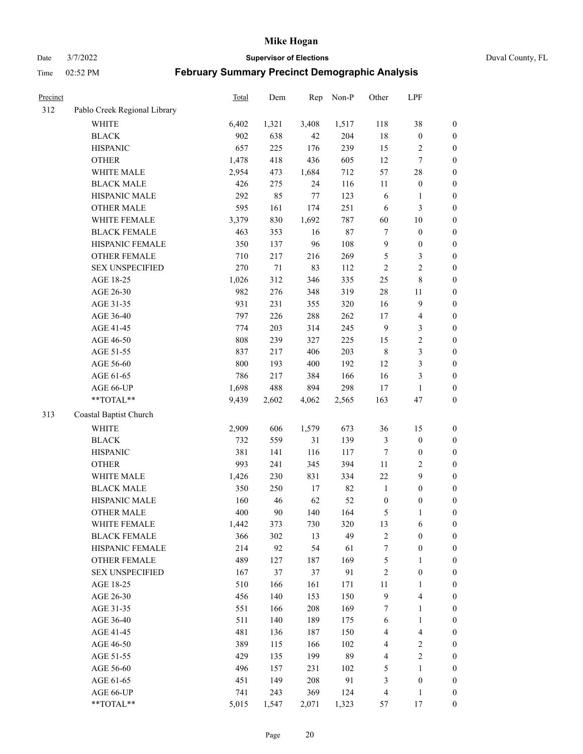Date 3/7/2022 **Supervisor of Elections** Duval County, FL

| <b>Precinct</b> |                              | Total | Dem    | Rep    | Non-P | Other            | LPF                     |                  |
|-----------------|------------------------------|-------|--------|--------|-------|------------------|-------------------------|------------------|
| 312             | Pablo Creek Regional Library |       |        |        |       |                  |                         |                  |
|                 | <b>WHITE</b>                 | 6,402 | 1,321  | 3,408  | 1,517 | 118              | 38                      | 0                |
|                 | <b>BLACK</b>                 | 902   | 638    | 42     | 204   | $18\,$           | $\boldsymbol{0}$        | $\boldsymbol{0}$ |
|                 | <b>HISPANIC</b>              | 657   | 225    | 176    | 239   | 15               | $\overline{c}$          | $\boldsymbol{0}$ |
|                 | <b>OTHER</b>                 | 1,478 | 418    | 436    | 605   | 12               | $\tau$                  | $\boldsymbol{0}$ |
|                 | WHITE MALE                   | 2,954 | 473    | 1,684  | 712   | 57               | $28\,$                  | $\boldsymbol{0}$ |
|                 | <b>BLACK MALE</b>            | 426   | 275    | 24     | 116   | 11               | $\boldsymbol{0}$        | $\boldsymbol{0}$ |
|                 | HISPANIC MALE                | 292   | 85     | $77\,$ | 123   | 6                | $\mathbf{1}$            | $\boldsymbol{0}$ |
|                 | <b>OTHER MALE</b>            | 595   | 161    | 174    | 251   | 6                | $\mathfrak{Z}$          | $\boldsymbol{0}$ |
|                 | WHITE FEMALE                 | 3,379 | 830    | 1,692  | 787   | 60               | $10\,$                  | $\boldsymbol{0}$ |
|                 | <b>BLACK FEMALE</b>          | 463   | 353    | 16     | 87    | 7                | $\boldsymbol{0}$        | $\boldsymbol{0}$ |
|                 | HISPANIC FEMALE              | 350   | 137    | 96     | 108   | $\overline{9}$   | $\boldsymbol{0}$        | 0                |
|                 | OTHER FEMALE                 | 710   | 217    | 216    | 269   | $\mathfrak{S}$   | $\mathfrak{Z}$          | $\boldsymbol{0}$ |
|                 | <b>SEX UNSPECIFIED</b>       | 270   | $71\,$ | 83     | 112   | $\sqrt{2}$       | $\sqrt{2}$              | $\boldsymbol{0}$ |
|                 | AGE 18-25                    | 1,026 | 312    | 346    | 335   | $25\,$           | 8                       | $\boldsymbol{0}$ |
|                 | AGE 26-30                    | 982   | 276    | 348    | 319   | 28               | 11                      | $\boldsymbol{0}$ |
|                 | AGE 31-35                    | 931   | 231    | 355    | 320   | 16               | $\boldsymbol{9}$        | $\boldsymbol{0}$ |
|                 | AGE 36-40                    | 797   | 226    | 288    | 262   | 17               | $\overline{\mathbf{4}}$ | $\boldsymbol{0}$ |
|                 | AGE 41-45                    | 774   | 203    | 314    | 245   | $\overline{9}$   | $\mathfrak{Z}$          | $\boldsymbol{0}$ |
|                 | AGE 46-50                    | 808   | 239    | 327    | 225   | 15               | $\sqrt{2}$              | $\boldsymbol{0}$ |
|                 | AGE 51-55                    | 837   | 217    | 406    | 203   | $\,$ 8 $\,$      | $\mathfrak{Z}$          | $\boldsymbol{0}$ |
|                 | AGE 56-60                    | 800   | 193    | 400    | 192   | 12               | $\mathfrak{Z}$          | 0                |
|                 | AGE 61-65                    | 786   | 217    | 384    | 166   | 16               | $\mathfrak{Z}$          | $\boldsymbol{0}$ |
|                 | AGE 66-UP                    | 1,698 | 488    | 894    | 298   | 17               | $\mathbf{1}$            | $\boldsymbol{0}$ |
|                 | $**TOTAL**$                  | 9,439 | 2,602  | 4,062  | 2,565 | 163              | 47                      | $\boldsymbol{0}$ |
| 313             | Coastal Baptist Church       |       |        |        |       |                  |                         |                  |
|                 | <b>WHITE</b>                 | 2,909 | 606    | 1,579  | 673   | 36               | 15                      | $\boldsymbol{0}$ |
|                 | <b>BLACK</b>                 | 732   | 559    | 31     | 139   | $\mathfrak{Z}$   | $\boldsymbol{0}$        | $\boldsymbol{0}$ |
|                 | <b>HISPANIC</b>              | 381   | 141    | 116    | 117   | 7                | $\boldsymbol{0}$        | $\boldsymbol{0}$ |
|                 | <b>OTHER</b>                 | 993   | 241    | 345    | 394   | 11               | $\sqrt{2}$              | $\boldsymbol{0}$ |
|                 | WHITE MALE                   | 1,426 | 230    | 831    | 334   | $22\,$           | 9                       | $\boldsymbol{0}$ |
|                 | <b>BLACK MALE</b>            | 350   | 250    | 17     | 82    | $\mathbf{1}$     | $\boldsymbol{0}$        | $\boldsymbol{0}$ |
|                 | HISPANIC MALE                | 160   | 46     | 62     | 52    | $\boldsymbol{0}$ | $\boldsymbol{0}$        | $\boldsymbol{0}$ |
|                 | <b>OTHER MALE</b>            | 400   | 90     | 140    | 164   | 5                | $\mathbf{1}$            | $\boldsymbol{0}$ |
|                 | WHITE FEMALE                 | 1,442 | 373    | 730    | 320   | 13               | 6                       | 0                |
|                 | <b>BLACK FEMALE</b>          | 366   | 302    | 13     | 49    | $\sqrt{2}$       | $\boldsymbol{0}$        | $\boldsymbol{0}$ |
|                 | HISPANIC FEMALE              | 214   | 92     | 54     | 61    | $\boldsymbol{7}$ | $\boldsymbol{0}$        | $\overline{0}$   |
|                 | OTHER FEMALE                 | 489   | 127    | 187    | 169   | 5                | $\mathbf{1}$            | $\overline{0}$   |
|                 | <b>SEX UNSPECIFIED</b>       | 167   | 37     | 37     | 91    | 2                | $\boldsymbol{0}$        | 0                |
|                 | AGE 18-25                    | 510   | 166    | 161    | 171   | $11\,$           | $\mathbf{1}$            | 0                |
|                 | AGE 26-30                    | 456   | 140    | 153    | 150   | $\overline{9}$   | $\overline{\mathbf{4}}$ | 0                |
|                 | AGE 31-35                    | 551   | 166    | 208    | 169   | 7                | $\mathbf{1}$            | 0                |
|                 | AGE 36-40                    | 511   | 140    | 189    | 175   | 6                | $\mathbf{1}$            | 0                |
|                 | AGE 41-45                    | 481   | 136    | 187    | 150   | $\overline{4}$   | $\overline{\mathbf{4}}$ | 0                |
|                 | AGE 46-50                    | 389   | 115    | 166    | 102   | 4                | $\overline{c}$          | 0                |
|                 | AGE 51-55                    | 429   | 135    | 199    | 89    | 4                | $\sqrt{2}$              | $\boldsymbol{0}$ |
|                 | AGE 56-60                    | 496   | 157    | 231    | 102   | 5                | 1                       | $\boldsymbol{0}$ |
|                 | AGE 61-65                    | 451   | 149    | 208    | 91    | 3                | $\boldsymbol{0}$        | $\boldsymbol{0}$ |
|                 | AGE 66-UP                    | 741   | 243    | 369    | 124   | $\overline{4}$   | $\mathbf{1}$            | 0                |
|                 | **TOTAL**                    | 5,015 | 1,547  | 2,071  | 1,323 | 57               | 17                      | $\boldsymbol{0}$ |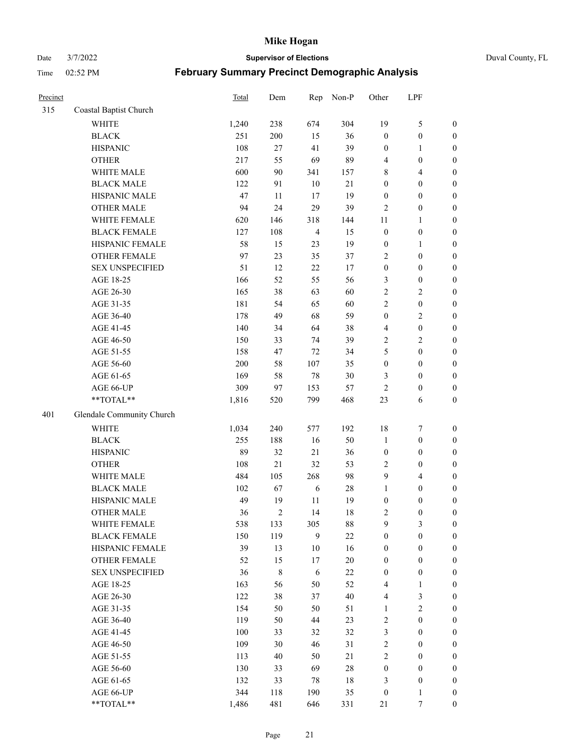Date 3/7/2022 **Supervisor of Elections** Duval County, FL

| Precinct |                           | Total | Dem          | Rep            | Non-P  | Other                   | LPF              |                  |
|----------|---------------------------|-------|--------------|----------------|--------|-------------------------|------------------|------------------|
| 315      | Coastal Baptist Church    |       |              |                |        |                         |                  |                  |
|          | WHITE                     | 1,240 | 238          | 674            | 304    | 19                      | $\mathfrak{S}$   | 0                |
|          | <b>BLACK</b>              | 251   | 200          | 15             | 36     | $\boldsymbol{0}$        | $\boldsymbol{0}$ | 0                |
|          | <b>HISPANIC</b>           | 108   | $27\,$       | 41             | 39     | $\boldsymbol{0}$        | $\mathbf{1}$     | $\boldsymbol{0}$ |
|          | <b>OTHER</b>              | 217   | 55           | 69             | 89     | 4                       | $\boldsymbol{0}$ | $\boldsymbol{0}$ |
|          | WHITE MALE                | 600   | 90           | 341            | 157    | 8                       | $\overline{4}$   | $\boldsymbol{0}$ |
|          | <b>BLACK MALE</b>         | 122   | 91           | 10             | 21     | $\boldsymbol{0}$        | $\boldsymbol{0}$ | $\boldsymbol{0}$ |
|          | HISPANIC MALE             | 47    | 11           | 17             | 19     | $\boldsymbol{0}$        | $\boldsymbol{0}$ | $\boldsymbol{0}$ |
|          | <b>OTHER MALE</b>         | 94    | 24           | 29             | 39     | $\mathfrak{2}$          | $\boldsymbol{0}$ | $\boldsymbol{0}$ |
|          | WHITE FEMALE              | 620   | 146          | 318            | 144    | 11                      | $\mathbf{1}$     | $\boldsymbol{0}$ |
|          | <b>BLACK FEMALE</b>       | 127   | 108          | $\overline{4}$ | 15     | $\boldsymbol{0}$        | $\boldsymbol{0}$ | $\boldsymbol{0}$ |
|          | HISPANIC FEMALE           | 58    | 15           | 23             | 19     | $\boldsymbol{0}$        | $\mathbf{1}$     | $\boldsymbol{0}$ |
|          | OTHER FEMALE              | 97    | 23           | 35             | 37     | 2                       | $\boldsymbol{0}$ | $\boldsymbol{0}$ |
|          | <b>SEX UNSPECIFIED</b>    | 51    | 12           | 22             | 17     | $\boldsymbol{0}$        | $\boldsymbol{0}$ | $\boldsymbol{0}$ |
|          | AGE 18-25                 | 166   | 52           | 55             | 56     | 3                       | $\boldsymbol{0}$ | $\boldsymbol{0}$ |
|          | AGE 26-30                 | 165   | 38           | 63             | 60     | $\overline{c}$          | $\sqrt{2}$       | $\boldsymbol{0}$ |
|          | AGE 31-35                 | 181   | 54           | 65             | 60     | $\sqrt{2}$              | $\boldsymbol{0}$ | $\boldsymbol{0}$ |
|          | AGE 36-40                 | 178   | 49           | 68             | 59     | $\boldsymbol{0}$        | $\sqrt{2}$       | $\boldsymbol{0}$ |
|          | AGE 41-45                 | 140   | 34           | 64             | 38     | $\overline{\mathbf{4}}$ | $\boldsymbol{0}$ | $\boldsymbol{0}$ |
|          | AGE 46-50                 | 150   | 33           | 74             | 39     | 2                       | $\overline{2}$   | $\boldsymbol{0}$ |
|          | AGE 51-55                 | 158   | 47           | 72             | 34     | 5                       | $\boldsymbol{0}$ | $\boldsymbol{0}$ |
|          | AGE 56-60                 | 200   | 58           | 107            | 35     | $\boldsymbol{0}$        | $\boldsymbol{0}$ | 0                |
|          | AGE 61-65                 | 169   | 58           | $78\,$         | 30     | 3                       | $\boldsymbol{0}$ | $\boldsymbol{0}$ |
|          | AGE 66-UP                 | 309   | 97           | 153            | 57     | $\sqrt{2}$              | $\boldsymbol{0}$ | $\boldsymbol{0}$ |
|          | **TOTAL**                 | 1,816 | 520          | 799            | 468    | 23                      | 6                | $\boldsymbol{0}$ |
| 401      | Glendale Community Church |       |              |                |        |                         |                  |                  |
|          | <b>WHITE</b>              | 1,034 | 240          | 577            | 192    | 18                      | $\boldsymbol{7}$ | $\boldsymbol{0}$ |
|          | <b>BLACK</b>              | 255   | 188          | 16             | 50     | $\mathbf{1}$            | $\boldsymbol{0}$ | $\boldsymbol{0}$ |
|          | <b>HISPANIC</b>           | 89    | 32           | 21             | 36     | $\boldsymbol{0}$        | $\boldsymbol{0}$ | $\boldsymbol{0}$ |
|          | <b>OTHER</b>              | 108   | 21           | 32             | 53     | $\mathbf{2}$            | $\boldsymbol{0}$ | $\boldsymbol{0}$ |
|          | WHITE MALE                | 484   | 105          | 268            | 98     | 9                       | $\overline{4}$   | $\boldsymbol{0}$ |
|          | <b>BLACK MALE</b>         | 102   | 67           | $\sqrt{6}$     | $28\,$ | $\mathbf{1}$            | $\boldsymbol{0}$ | $\boldsymbol{0}$ |
|          | HISPANIC MALE             | 49    | 19           | 11             | 19     | $\boldsymbol{0}$        | $\boldsymbol{0}$ | $\boldsymbol{0}$ |
|          | <b>OTHER MALE</b>         | 36    | $\mathbf{2}$ | 14             | 18     | 2                       | $\boldsymbol{0}$ | $\boldsymbol{0}$ |
|          | WHITE FEMALE              | 538   | 133          | 305            | 88     | 9                       | 3                | 0                |
|          | <b>BLACK FEMALE</b>       | 150   | 119          | 9              | $22\,$ | $\boldsymbol{0}$        | $\boldsymbol{0}$ | $\boldsymbol{0}$ |
|          | HISPANIC FEMALE           | 39    | 13           | 10             | 16     | $\boldsymbol{0}$        | $\boldsymbol{0}$ | $\overline{0}$   |
|          | OTHER FEMALE              | 52    | 15           | 17             | $20\,$ | $\boldsymbol{0}$        | $\boldsymbol{0}$ | $\overline{0}$   |
|          | <b>SEX UNSPECIFIED</b>    | 36    | $\,$ $\,$    | 6              | $22\,$ | $\boldsymbol{0}$        | $\boldsymbol{0}$ | 0                |
|          | AGE 18-25                 | 163   | 56           | 50             | 52     | 4                       | $\mathbf{1}$     | $\theta$         |
|          | AGE 26-30                 | 122   | 38           | 37             | 40     | $\overline{\mathbf{4}}$ | $\mathfrak{Z}$   | 0                |
|          | AGE 31-35                 | 154   | 50           | 50             | 51     | $\mathbf{1}$            | $\sqrt{2}$       | 0                |
|          | AGE 36-40                 | 119   | 50           | 44             | 23     | 2                       | $\boldsymbol{0}$ | 0                |
|          | AGE 41-45                 | 100   | 33           | 32             | 32     | 3                       | $\boldsymbol{0}$ | 0                |
|          | AGE 46-50                 | 109   | 30           | 46             | 31     | 2                       | $\boldsymbol{0}$ | 0                |
|          | AGE 51-55                 | 113   | 40           | 50             | 21     | 2                       | $\boldsymbol{0}$ | $\boldsymbol{0}$ |
|          | AGE 56-60                 | 130   | 33           | 69             | $28\,$ | $\boldsymbol{0}$        | $\boldsymbol{0}$ | $\overline{0}$   |
|          | AGE 61-65                 | 132   | 33           | 78             | $18\,$ | 3                       | $\boldsymbol{0}$ | $\overline{0}$   |
|          | AGE 66-UP                 | 344   | 118          | 190            | 35     | $\boldsymbol{0}$        | $\mathbf{1}$     | $\boldsymbol{0}$ |
|          | **TOTAL**                 | 1,486 | 481          | 646            | 331    | 21                      | 7                | $\boldsymbol{0}$ |
|          |                           |       |              |                |        |                         |                  |                  |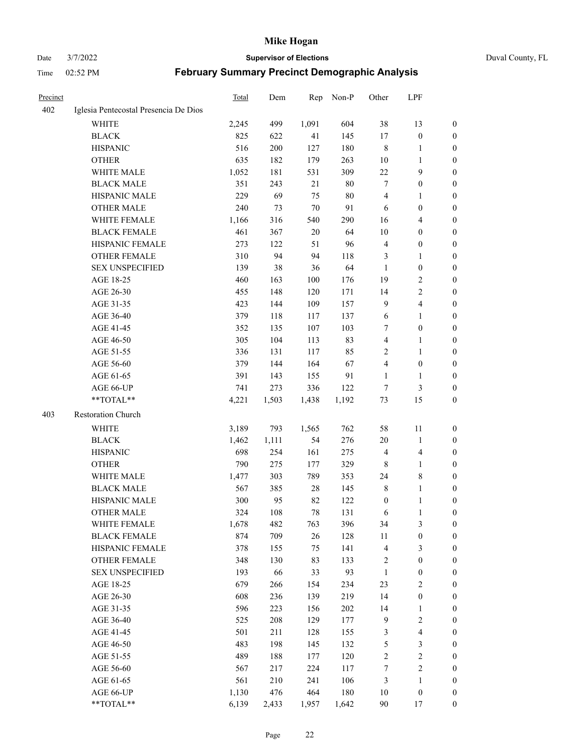#### Date 3/7/2022 **Supervisor of Elections** Duval County, FL

| <b>Precinct</b> |                                       | Total | Dem   | Rep    | Non-P  | Other            | LPF                     |                  |
|-----------------|---------------------------------------|-------|-------|--------|--------|------------------|-------------------------|------------------|
| 402             | Iglesia Pentecostal Presencia De Dios |       |       |        |        |                  |                         |                  |
|                 | <b>WHITE</b>                          | 2,245 | 499   | 1,091  | 604    | 38               | 13                      | 0                |
|                 | <b>BLACK</b>                          | 825   | 622   | 41     | 145    | 17               | $\boldsymbol{0}$        | 0                |
|                 | <b>HISPANIC</b>                       | 516   | 200   | 127    | 180    | $\,$ 8 $\,$      | 1                       | 0                |
|                 | <b>OTHER</b>                          | 635   | 182   | 179    | 263    | 10               | 1                       | $\boldsymbol{0}$ |
|                 | WHITE MALE                            | 1,052 | 181   | 531    | 309    | $22\,$           | 9                       | $\boldsymbol{0}$ |
|                 | <b>BLACK MALE</b>                     | 351   | 243   | 21     | $80\,$ | 7                | $\boldsymbol{0}$        | $\boldsymbol{0}$ |
|                 | HISPANIC MALE                         | 229   | 69    | 75     | $80\,$ | 4                | $\mathbf{1}$            | $\boldsymbol{0}$ |
|                 | <b>OTHER MALE</b>                     | 240   | 73    | 70     | 91     | 6                | $\boldsymbol{0}$        | $\boldsymbol{0}$ |
|                 | WHITE FEMALE                          | 1,166 | 316   | 540    | 290    | 16               | $\overline{4}$          | 0                |
|                 | <b>BLACK FEMALE</b>                   | 461   | 367   | 20     | 64     | 10               | $\boldsymbol{0}$        | 0                |
|                 | HISPANIC FEMALE                       | 273   | 122   | 51     | 96     | $\overline{4}$   | $\boldsymbol{0}$        | 0                |
|                 | <b>OTHER FEMALE</b>                   | 310   | 94    | 94     | 118    | 3                | $\mathbf{1}$            | 0                |
|                 | <b>SEX UNSPECIFIED</b>                | 139   | 38    | 36     | 64     | $\mathbf{1}$     | $\boldsymbol{0}$        | $\boldsymbol{0}$ |
|                 | AGE 18-25                             | 460   | 163   | 100    | 176    | 19               | $\sqrt{2}$              | $\boldsymbol{0}$ |
|                 | AGE 26-30                             | 455   | 148   | 120    | 171    | 14               | $\sqrt{2}$              | $\boldsymbol{0}$ |
|                 | AGE 31-35                             | 423   | 144   | 109    | 157    | 9                | $\overline{\mathbf{4}}$ | $\boldsymbol{0}$ |
|                 | AGE 36-40                             | 379   | 118   | 117    | 137    | 6                | $\mathbf{1}$            | $\boldsymbol{0}$ |
|                 | AGE 41-45                             | 352   | 135   | 107    | 103    | 7                | $\boldsymbol{0}$        | $\boldsymbol{0}$ |
|                 | AGE 46-50                             | 305   | 104   | 113    | 83     | 4                | $\mathbf{1}$            | 0                |
|                 | AGE 51-55                             | 336   | 131   | 117    | 85     | $\sqrt{2}$       | $\mathbf{1}$            | 0                |
|                 | AGE 56-60                             | 379   | 144   | 164    | 67     | $\overline{4}$   | $\boldsymbol{0}$        | 0                |
|                 | AGE 61-65                             | 391   | 143   | 155    | 91     | $\mathbf{1}$     | $\mathbf{1}$            | 0                |
|                 | AGE 66-UP                             | 741   | 273   | 336    | 122    | $\tau$           | 3                       | 0                |
|                 | **TOTAL**                             | 4,221 | 1,503 | 1,438  | 1,192  | 73               | 15                      | $\boldsymbol{0}$ |
| 403             | Restoration Church                    |       |       |        |        |                  |                         |                  |
|                 | <b>WHITE</b>                          | 3,189 | 793   | 1,565  | 762    | 58               | 11                      | $\boldsymbol{0}$ |
|                 | <b>BLACK</b>                          | 1,462 | 1,111 | 54     | 276    | 20               | $\mathbf{1}$            | $\boldsymbol{0}$ |
|                 | <b>HISPANIC</b>                       | 698   | 254   | 161    | 275    | $\overline{4}$   | $\overline{\mathbf{4}}$ | $\boldsymbol{0}$ |
|                 | <b>OTHER</b>                          | 790   | 275   | 177    | 329    | 8                | $\mathbf{1}$            | $\boldsymbol{0}$ |
|                 | WHITE MALE                            | 1,477 | 303   | 789    | 353    | 24               | $\,$ 8 $\,$             | $\overline{0}$   |
|                 | <b>BLACK MALE</b>                     | 567   | 385   | $28\,$ | 145    | $\,$ 8 $\,$      | $\mathbf{1}$            | 0                |
|                 | HISPANIC MALE                         | 300   | 95    | 82     | 122    | $\boldsymbol{0}$ | 1                       | 0                |
|                 | <b>OTHER MALE</b>                     | 324   | 108   | 78     | 131    | 6                | $\mathbf{1}$            | 0                |
|                 | WHITE FEMALE                          | 1,678 | 482   | 763    | 396    | 34               | 3                       | 0                |
|                 | <b>BLACK FEMALE</b>                   | 874   | 709   | 26     | 128    | 11               | $\boldsymbol{0}$        | $\boldsymbol{0}$ |
|                 | HISPANIC FEMALE                       | 378   | 155   | 75     | 141    | 4                | $\mathfrak{Z}$          | $\overline{0}$   |
|                 | OTHER FEMALE                          | 348   | 130   | 83     | 133    | $\boldsymbol{2}$ | $\boldsymbol{0}$        | $\overline{0}$   |
|                 | <b>SEX UNSPECIFIED</b>                | 193   | 66    | 33     | 93     | $\mathbf{1}$     | $\boldsymbol{0}$        | 0                |
|                 | AGE 18-25                             | 679   | 266   | 154    | 234    | 23               | $\sqrt{2}$              | 0                |
|                 | AGE 26-30                             | 608   | 236   | 139    | 219    | 14               | $\boldsymbol{0}$        | 0                |
|                 | AGE 31-35                             | 596   | 223   | 156    | 202    | 14               | $\mathbf{1}$            | 0                |
|                 | AGE 36-40                             | 525   | 208   | 129    | 177    | $\overline{9}$   | $\sqrt{2}$              | 0                |
|                 | AGE 41-45                             | 501   | 211   | 128    | 155    | 3                | $\overline{\mathbf{4}}$ | 0                |
|                 | AGE 46-50                             | 483   | 198   | 145    | 132    | $\mathfrak s$    | $\mathfrak{Z}$          | 0                |
|                 | AGE 51-55                             | 489   | 188   | 177    | 120    | $\sqrt{2}$       | $\sqrt{2}$              | $\overline{0}$   |
|                 | AGE 56-60                             | 567   | 217   | 224    | 117    | 7                | $\sqrt{2}$              | $\boldsymbol{0}$ |
|                 | AGE 61-65                             | 561   | 210   | 241    | 106    | 3                | $\mathbf{1}$            | $\boldsymbol{0}$ |
|                 | AGE 66-UP                             | 1,130 | 476   | 464    | 180    | 10               | $\boldsymbol{0}$        | $\boldsymbol{0}$ |
|                 | **TOTAL**                             | 6,139 | 2,433 | 1,957  | 1,642  | $90\,$           | 17                      | $\boldsymbol{0}$ |
|                 |                                       |       |       |        |        |                  |                         |                  |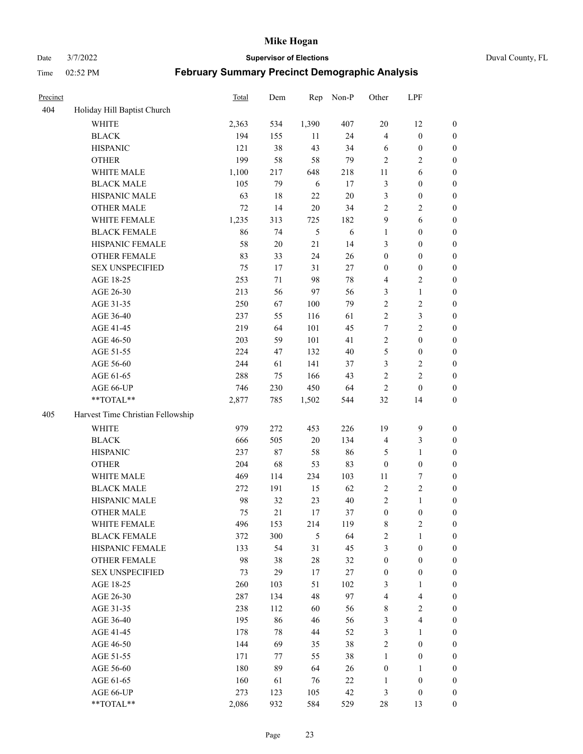Date 3/7/2022 **Supervisor of Elections** Duval County, FL

| Precinct |                                   | <b>Total</b> | Dem    | Rep    | Non-P  | Other            | LPF                     |                  |
|----------|-----------------------------------|--------------|--------|--------|--------|------------------|-------------------------|------------------|
| 404      | Holiday Hill Baptist Church       |              |        |        |        |                  |                         |                  |
|          | <b>WHITE</b>                      | 2,363        | 534    | 1,390  | 407    | 20               | 12                      | 0                |
|          | <b>BLACK</b>                      | 194          | 155    | 11     | 24     | $\overline{4}$   | $\boldsymbol{0}$        | $\boldsymbol{0}$ |
|          | <b>HISPANIC</b>                   | 121          | 38     | 43     | 34     | 6                | $\boldsymbol{0}$        | $\boldsymbol{0}$ |
|          | <b>OTHER</b>                      | 199          | 58     | 58     | 79     | $\overline{2}$   | $\sqrt{2}$              | $\boldsymbol{0}$ |
|          | WHITE MALE                        | 1,100        | 217    | 648    | 218    | 11               | 6                       | $\boldsymbol{0}$ |
|          | <b>BLACK MALE</b>                 | 105          | 79     | 6      | 17     | $\mathfrak{Z}$   | $\boldsymbol{0}$        | $\boldsymbol{0}$ |
|          | HISPANIC MALE                     | 63           | 18     | 22     | $20\,$ | 3                | $\boldsymbol{0}$        | $\boldsymbol{0}$ |
|          | <b>OTHER MALE</b>                 | 72           | 14     | $20\,$ | 34     | $\mathfrak{2}$   | $\overline{2}$          | $\boldsymbol{0}$ |
|          | WHITE FEMALE                      | 1,235        | 313    | 725    | 182    | 9                | $\sqrt{6}$              | $\boldsymbol{0}$ |
|          | <b>BLACK FEMALE</b>               | 86           | 74     | 5      | 6      | $\mathbf{1}$     | $\boldsymbol{0}$        | 0                |
|          | HISPANIC FEMALE                   | 58           | $20\,$ | 21     | 14     | 3                | $\boldsymbol{0}$        | 0                |
|          | <b>OTHER FEMALE</b>               | 83           | 33     | 24     | 26     | $\boldsymbol{0}$ | $\boldsymbol{0}$        | $\boldsymbol{0}$ |
|          | <b>SEX UNSPECIFIED</b>            | 75           | 17     | 31     | 27     | $\boldsymbol{0}$ | $\boldsymbol{0}$        | $\boldsymbol{0}$ |
|          | AGE 18-25                         | 253          | 71     | 98     | $78\,$ | 4                | $\sqrt{2}$              | $\boldsymbol{0}$ |
|          | AGE 26-30                         | 213          | 56     | 97     | 56     | 3                | $\mathbf{1}$            | $\boldsymbol{0}$ |
|          | AGE 31-35                         | 250          | 67     | 100    | 79     | $\sqrt{2}$       | $\sqrt{2}$              | $\boldsymbol{0}$ |
|          | AGE 36-40                         | 237          | 55     | 116    | 61     | $\overline{c}$   | $\mathfrak{Z}$          | $\boldsymbol{0}$ |
|          | AGE 41-45                         | 219          | 64     | 101    | 45     | $\tau$           | $\overline{2}$          | $\boldsymbol{0}$ |
|          | AGE 46-50                         | 203          | 59     | 101    | 41     | $\overline{c}$   | $\boldsymbol{0}$        | $\boldsymbol{0}$ |
|          | AGE 51-55                         | 224          | 47     | 132    | 40     | 5                | $\boldsymbol{0}$        | $\boldsymbol{0}$ |
|          | AGE 56-60                         | 244          | 61     | 141    | 37     | 3                | $\sqrt{2}$              | 0                |
|          | AGE 61-65                         | 288          | 75     | 166    | 43     | $\mathfrak{2}$   | $\overline{c}$          | 0                |
|          | AGE 66-UP                         | 746          | 230    | 450    | 64     | $\sqrt{2}$       | $\boldsymbol{0}$        | $\boldsymbol{0}$ |
|          | $**TOTAL**$                       | 2,877        | 785    | 1,502  | 544    | 32               | 14                      | $\boldsymbol{0}$ |
|          |                                   |              |        |        |        |                  |                         |                  |
| 405      | Harvest Time Christian Fellowship |              |        |        |        |                  |                         |                  |
|          | <b>WHITE</b>                      | 979          | 272    | 453    | 226    | 19               | $\mathbf{9}$            | $\boldsymbol{0}$ |
|          | <b>BLACK</b>                      | 666          | 505    | $20\,$ | 134    | 4                | $\mathfrak{Z}$          | $\boldsymbol{0}$ |
|          | <b>HISPANIC</b>                   | 237          | 87     | 58     | 86     | 5                | $\mathbf{1}$            | $\boldsymbol{0}$ |
|          | <b>OTHER</b>                      | 204          | 68     | 53     | 83     | $\boldsymbol{0}$ | $\boldsymbol{0}$        | $\boldsymbol{0}$ |
|          | WHITE MALE                        | 469          | 114    | 234    | 103    | 11               | $\boldsymbol{7}$        | $\boldsymbol{0}$ |
|          | <b>BLACK MALE</b>                 | 272          | 191    | 15     | 62     | $\sqrt{2}$       | $\sqrt{2}$              | $\boldsymbol{0}$ |
|          | HISPANIC MALE                     | 98           | 32     | 23     | 40     | $\overline{c}$   | $\mathbf{1}$            | $\boldsymbol{0}$ |
|          | <b>OTHER MALE</b>                 | 75           | 21     | 17     | 37     | $\boldsymbol{0}$ | $\boldsymbol{0}$        | $\boldsymbol{0}$ |
|          | WHITE FEMALE                      | 496          | 153    | 214    | 119    | 8                | 2                       | 0                |
|          | <b>BLACK FEMALE</b>               | 372          | 300    | 5      | 64     | $\sqrt{2}$       | $\mathbf{1}$            | $\boldsymbol{0}$ |
|          | HISPANIC FEMALE                   | 133          | 54     | 31     | 45     | 3                | $\boldsymbol{0}$        | $\overline{0}$   |
|          | <b>OTHER FEMALE</b>               | 98           | 38     | $28\,$ | 32     | $\boldsymbol{0}$ | $\boldsymbol{0}$        | $\overline{0}$   |
|          | <b>SEX UNSPECIFIED</b>            | 73           | 29     | 17     | 27     | $\boldsymbol{0}$ | $\boldsymbol{0}$        | 0                |
|          | AGE 18-25                         | 260          | 103    | 51     | 102    | 3                | $\mathbf{1}$            | $\theta$         |
|          | AGE 26-30                         | 287          | 134    | 48     | 97     | 4                | $\overline{\mathbf{4}}$ | 0                |
|          | AGE 31-35                         | 238          | 112    | 60     | 56     | 8                | $\sqrt{2}$              | 0                |
|          | AGE 36-40                         | 195          | 86     | 46     | 56     | 3                | $\overline{\mathbf{4}}$ | 0                |
|          | AGE 41-45                         | 178          | 78     | 44     | 52     | 3                | $\mathbf{1}$            | 0                |
|          | AGE 46-50                         | 144          | 69     | 35     | 38     | $\sqrt{2}$       | $\boldsymbol{0}$        | 0                |
|          | AGE 51-55                         | 171          | 77     | 55     | 38     | $\mathbf{1}$     | $\boldsymbol{0}$        | 0                |
|          | AGE 56-60                         | 180          | 89     | 64     | 26     | $\boldsymbol{0}$ | $\mathbf{1}$            | 0                |
|          | AGE 61-65                         | 160          | 61     | 76     | 22     | 1                | $\boldsymbol{0}$        | $\overline{0}$   |
|          | AGE 66-UP                         | 273          | 123    | 105    | 42     | 3                | $\boldsymbol{0}$        | 0                |
|          | **TOTAL**                         | 2,086        | 932    | 584    | 529    | 28               | 13                      | $\boldsymbol{0}$ |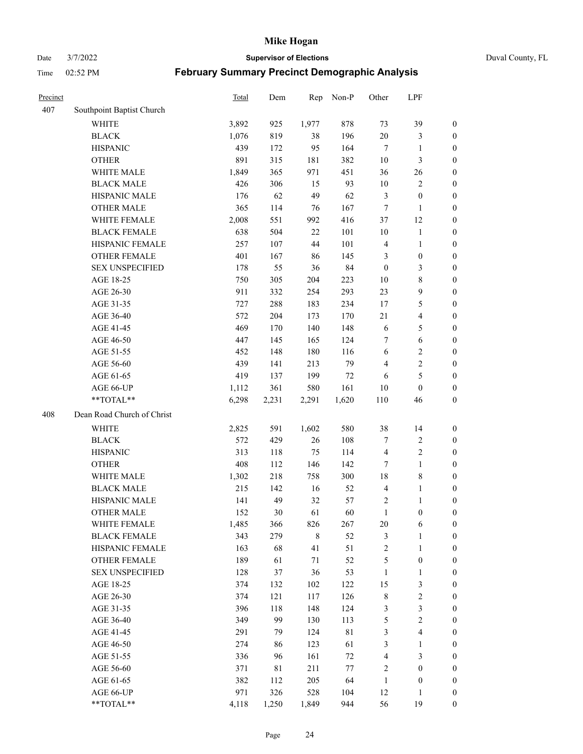Date 3/7/2022 **Supervisor of Elections** Duval County, FL

| Precinct |                            | Total | Dem   | Rep     | Non-P  | Other            | LPF                     |                  |
|----------|----------------------------|-------|-------|---------|--------|------------------|-------------------------|------------------|
| 407      | Southpoint Baptist Church  |       |       |         |        |                  |                         |                  |
|          | <b>WHITE</b>               | 3,892 | 925   | 1,977   | 878    | 73               | 39                      | 0                |
|          | <b>BLACK</b>               | 1,076 | 819   | 38      | 196    | 20               | $\mathfrak{Z}$          | 0                |
|          | <b>HISPANIC</b>            | 439   | 172   | 95      | 164    | $\tau$           | $\mathbf{1}$            | $\boldsymbol{0}$ |
|          | <b>OTHER</b>               | 891   | 315   | 181     | 382    | 10               | 3                       | $\boldsymbol{0}$ |
|          | WHITE MALE                 | 1,849 | 365   | 971     | 451    | 36               | 26                      | $\boldsymbol{0}$ |
|          | <b>BLACK MALE</b>          | 426   | 306   | 15      | 93     | $10\,$           | $\sqrt{2}$              | $\boldsymbol{0}$ |
|          | HISPANIC MALE              | 176   | 62    | 49      | 62     | 3                | $\boldsymbol{0}$        | $\boldsymbol{0}$ |
|          | <b>OTHER MALE</b>          | 365   | 114   | 76      | 167    | $\tau$           | $\mathbf{1}$            | $\boldsymbol{0}$ |
|          | WHITE FEMALE               | 2,008 | 551   | 992     | 416    | 37               | 12                      | $\boldsymbol{0}$ |
|          | <b>BLACK FEMALE</b>        | 638   | 504   | 22      | 101    | 10               | $\mathbf{1}$            | 0                |
|          | HISPANIC FEMALE            | 257   | 107   | 44      | 101    | $\overline{4}$   | $\mathbf{1}$            | 0                |
|          | OTHER FEMALE               | 401   | 167   | 86      | 145    | 3                | $\boldsymbol{0}$        | $\boldsymbol{0}$ |
|          | <b>SEX UNSPECIFIED</b>     | 178   | 55    | 36      | 84     | $\boldsymbol{0}$ | 3                       | $\boldsymbol{0}$ |
|          | AGE 18-25                  | 750   | 305   | 204     | 223    | 10               | $8\,$                   | $\boldsymbol{0}$ |
|          | AGE 26-30                  | 911   | 332   | 254     | 293    | 23               | $\boldsymbol{9}$        | $\boldsymbol{0}$ |
|          | AGE 31-35                  | 727   | 288   | 183     | 234    | 17               | $\mathfrak{S}$          | $\boldsymbol{0}$ |
|          | AGE 36-40                  | 572   | 204   | 173     | 170    | 21               | $\overline{\mathbf{4}}$ | $\boldsymbol{0}$ |
|          | AGE 41-45                  | 469   | 170   | 140     | 148    | 6                | 5                       | $\boldsymbol{0}$ |
|          | AGE 46-50                  | 447   | 145   | 165     | 124    | 7                | $\sqrt{6}$              | $\boldsymbol{0}$ |
|          | AGE 51-55                  | 452   | 148   | 180     | 116    | 6                | $\sqrt{2}$              | $\boldsymbol{0}$ |
|          | AGE 56-60                  | 439   | 141   | 213     | 79     | $\overline{4}$   | $\sqrt{2}$              | 0                |
|          | AGE 61-65                  | 419   | 137   | 199     | $72\,$ | 6                | $\mathfrak s$           | $\boldsymbol{0}$ |
|          | AGE 66-UP                  | 1,112 | 361   | 580     | 161    | 10               | $\boldsymbol{0}$        | $\boldsymbol{0}$ |
|          | **TOTAL**                  | 6,298 | 2,231 | 2,291   | 1,620  | 110              | 46                      | $\boldsymbol{0}$ |
| 408      | Dean Road Church of Christ |       |       |         |        |                  |                         |                  |
|          | <b>WHITE</b>               | 2,825 | 591   | 1,602   | 580    | 38               | 14                      | $\boldsymbol{0}$ |
|          | <b>BLACK</b>               | 572   | 429   | 26      | 108    | 7                | $\sqrt{2}$              | $\boldsymbol{0}$ |
|          | <b>HISPANIC</b>            | 313   | 118   | 75      | 114    | $\overline{4}$   | $\sqrt{2}$              | $\boldsymbol{0}$ |
|          | <b>OTHER</b>               | 408   | 112   | 146     | 142    | 7                | $\mathbf{1}$            | $\boldsymbol{0}$ |
|          | WHITE MALE                 | 1,302 | 218   | 758     | 300    | 18               | $\,$ 8 $\,$             | $\boldsymbol{0}$ |
|          | <b>BLACK MALE</b>          | 215   | 142   | 16      | 52     | $\overline{4}$   | $\mathbf{1}$            | $\boldsymbol{0}$ |
|          | HISPANIC MALE              | 141   | 49    | 32      | 57     | 2                | 1                       | 0                |
|          | <b>OTHER MALE</b>          | 152   | 30    | 61      | 60     | $\mathbf{1}$     | $\boldsymbol{0}$        | $\boldsymbol{0}$ |
|          | WHITE FEMALE               | 1,485 | 366   | 826     | 267    | 20               | 6                       | 0                |
|          | <b>BLACK FEMALE</b>        | 343   | 279   | $\,8\,$ | 52     | 3                | $\mathbf{1}$            | $\boldsymbol{0}$ |
|          | HISPANIC FEMALE            | 163   | 68    | 41      | 51     | $\sqrt{2}$       | $\mathbf{1}$            | $\boldsymbol{0}$ |
|          | OTHER FEMALE               | 189   | 61    | $71\,$  | 52     | 5                | $\boldsymbol{0}$        | $\overline{0}$   |
|          | <b>SEX UNSPECIFIED</b>     | 128   | 37    | 36      | 53     | $\mathbf{1}$     | $\mathbf{1}$            | 0                |
|          | AGE 18-25                  | 374   | 132   | 102     | 122    | 15               | $\mathfrak{Z}$          | 0                |
|          | AGE 26-30                  | 374   | 121   | 117     | 126    | $\,$ 8 $\,$      | $\sqrt{2}$              | 0                |
|          | AGE 31-35                  | 396   | 118   | 148     | 124    | 3                | $\mathfrak{Z}$          | 0                |
|          | AGE 36-40                  | 349   | 99    | 130     | 113    | 5                | $\sqrt{2}$              | 0                |
|          | AGE 41-45                  | 291   | 79    | 124     | 81     | 3                | $\overline{\mathbf{4}}$ | 0                |
|          | AGE 46-50                  | 274   | 86    | 123     | 61     | 3                | $\mathbf{1}$            | 0                |
|          | AGE 51-55                  | 336   | 96    | 161     | $72\,$ | $\overline{4}$   | $\mathfrak{Z}$          | $\boldsymbol{0}$ |
|          | AGE 56-60                  | 371   | 81    | 211     | $77\,$ | 2                | $\boldsymbol{0}$        | $\boldsymbol{0}$ |
|          | AGE 61-65                  | 382   | 112   | 205     | 64     | $\mathbf{1}$     | $\boldsymbol{0}$        | $\boldsymbol{0}$ |
|          | AGE 66-UP                  | 971   | 326   | 528     | 104    | 12               | $\mathbf{1}$            | $\boldsymbol{0}$ |
|          | **TOTAL**                  | 4,118 | 1,250 | 1,849   | 944    | 56               | 19                      | $\boldsymbol{0}$ |
|          |                            |       |       |         |        |                  |                         |                  |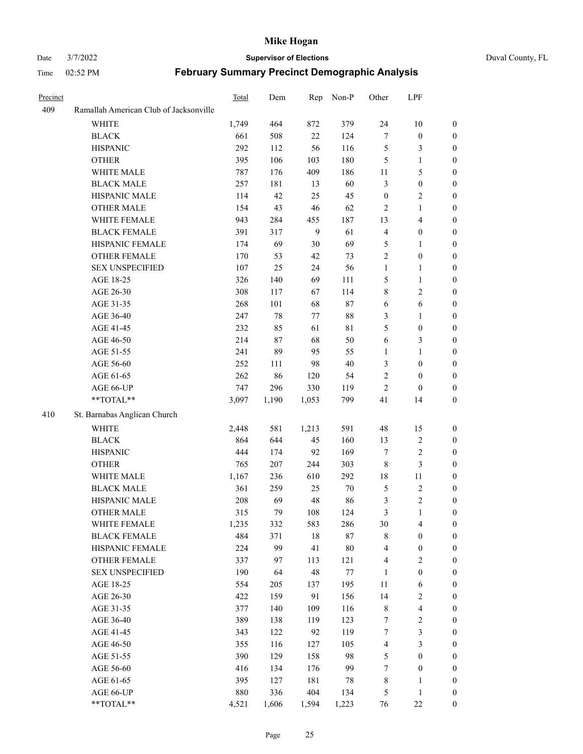#### Date 3/7/2022 **Supervisor of Elections** Duval County, FL

| Precinct |                                        | Total | Dem    | Rep   | Non-P   | Other            | LPF                     |                  |
|----------|----------------------------------------|-------|--------|-------|---------|------------------|-------------------------|------------------|
| 409      | Ramallah American Club of Jacksonville |       |        |       |         |                  |                         |                  |
|          | <b>WHITE</b>                           | 1,749 | 464    | 872   | 379     | 24               | $10\,$                  | $\boldsymbol{0}$ |
|          | <b>BLACK</b>                           | 661   | 508    | 22    | 124     | 7                | $\boldsymbol{0}$        | $\boldsymbol{0}$ |
|          | <b>HISPANIC</b>                        | 292   | 112    | 56    | 116     | 5                | $\mathfrak{Z}$          | $\boldsymbol{0}$ |
|          | <b>OTHER</b>                           | 395   | 106    | 103   | 180     | 5                | $\mathbf{1}$            | $\boldsymbol{0}$ |
|          | WHITE MALE                             | 787   | 176    | 409   | 186     | 11               | $\mathfrak{S}$          | $\boldsymbol{0}$ |
|          | <b>BLACK MALE</b>                      | 257   | 181    | 13    | 60      | 3                | $\boldsymbol{0}$        | $\boldsymbol{0}$ |
|          | HISPANIC MALE                          | 114   | 42     | 25    | 45      | $\boldsymbol{0}$ | $\overline{2}$          | $\boldsymbol{0}$ |
|          | <b>OTHER MALE</b>                      | 154   | 43     | 46    | 62      | $\overline{c}$   | $\mathbf{1}$            | 0                |
|          | WHITE FEMALE                           | 943   | 284    | 455   | 187     | 13               | $\overline{\mathbf{4}}$ | 0                |
|          | <b>BLACK FEMALE</b>                    | 391   | 317    | 9     | 61      | 4                | $\boldsymbol{0}$        | 0                |
|          | HISPANIC FEMALE                        | 174   | 69     | 30    | 69      | $\mathfrak{S}$   | $\mathbf{1}$            | $\boldsymbol{0}$ |
|          | OTHER FEMALE                           | 170   | 53     | 42    | 73      | $\sqrt{2}$       | $\boldsymbol{0}$        | $\boldsymbol{0}$ |
|          | <b>SEX UNSPECIFIED</b>                 | 107   | 25     | 24    | 56      | $\mathbf{1}$     | $\mathbf{1}$            | $\boldsymbol{0}$ |
|          | AGE 18-25                              | 326   | 140    | 69    | 111     | 5                | $\mathbf{1}$            | $\boldsymbol{0}$ |
|          | AGE 26-30                              | 308   | 117    | 67    | 114     | 8                | $\sqrt{2}$              | $\boldsymbol{0}$ |
|          | AGE 31-35                              | 268   | 101    | 68    | 87      | $\sqrt{6}$       | $\sqrt{6}$              | $\boldsymbol{0}$ |
|          | AGE 36-40                              | 247   | $78\,$ | 77    | $88\,$  | 3                | $\mathbf{1}$            | $\boldsymbol{0}$ |
|          | AGE 41-45                              | 232   | 85     | 61    | 81      | 5                | $\boldsymbol{0}$        | 0                |
|          | AGE 46-50                              | 214   | 87     | 68    | 50      | 6                | 3                       | 0                |
|          | AGE 51-55                              | 241   | 89     | 95    | 55      | $\mathbf{1}$     | $\mathbf{1}$            | 0                |
|          | AGE 56-60                              | 252   | 111    | 98    | 40      | 3                | $\boldsymbol{0}$        | $\boldsymbol{0}$ |
|          | AGE 61-65                              | 262   | 86     | 120   | 54      | $\sqrt{2}$       | $\boldsymbol{0}$        | $\boldsymbol{0}$ |
|          | AGE 66-UP                              | 747   | 296    | 330   | 119     | $\overline{c}$   | $\boldsymbol{0}$        | $\boldsymbol{0}$ |
|          | **TOTAL**                              | 3,097 | 1,190  | 1,053 | 799     | 41               | 14                      | $\boldsymbol{0}$ |
| 410      | St. Barnabas Anglican Church           |       |        |       |         |                  |                         |                  |
|          | <b>WHITE</b>                           | 2,448 | 581    | 1,213 | 591     | 48               | 15                      | $\boldsymbol{0}$ |
|          | <b>BLACK</b>                           | 864   | 644    | 45    | 160     | 13               | $\sqrt{2}$              | $\boldsymbol{0}$ |
|          | <b>HISPANIC</b>                        | 444   | 174    | 92    | 169     | 7                | $\sqrt{2}$              | $\overline{0}$   |
|          | <b>OTHER</b>                           | 765   | 207    | 244   | 303     | $\,$ 8 $\,$      | $\mathfrak{Z}$          | $\overline{0}$   |
|          | WHITE MALE                             | 1,167 | 236    | 610   | 292     | 18               | 11                      | 0                |
|          | <b>BLACK MALE</b>                      | 361   | 259    | 25    | $70\,$  | $\mathfrak{S}$   | $\sqrt{2}$              | 0                |
|          | HISPANIC MALE                          | 208   | 69     | 48    | 86      | $\mathfrak{Z}$   | $\sqrt{2}$              | 0                |
|          | <b>OTHER MALE</b>                      | 315   | 79     | 108   | 124     | 3                | $\mathbf{1}$            | $\boldsymbol{0}$ |
|          | WHITE FEMALE                           | 1,235 | 332    | 583   | 286     | 30               | $\overline{\mathbf{4}}$ | $\boldsymbol{0}$ |
|          | <b>BLACK FEMALE</b>                    | 484   | 371    | 18    | 87      | 8                | $\boldsymbol{0}$        | $\boldsymbol{0}$ |
|          | HISPANIC FEMALE                        | 224   | 99     | 41    | $80\,$  | 4                | $\boldsymbol{0}$        | $\overline{0}$   |
|          | <b>OTHER FEMALE</b>                    | 337   | 97     | 113   | 121     | 4                | $\sqrt{2}$              | $\overline{0}$   |
|          | <b>SEX UNSPECIFIED</b>                 | 190   | 64     | 48    | $77 \,$ | $\mathbf{1}$     | $\boldsymbol{0}$        | $\overline{0}$   |
|          | AGE 18-25                              | 554   | 205    | 137   | 195     | $11\,$           | 6                       | 0                |
|          | AGE 26-30                              | 422   | 159    | 91    | 156     | 14               | $\sqrt{2}$              | 0                |
|          | AGE 31-35                              | 377   | 140    | 109   | 116     | 8                | $\overline{\mathbf{4}}$ | 0                |
|          | AGE 36-40                              | 389   | 138    | 119   | 123     | 7                | $\sqrt{2}$              | 0                |
|          | AGE 41-45                              | 343   | 122    | 92    | 119     | 7                | $\mathfrak{Z}$          | $\boldsymbol{0}$ |
|          | AGE 46-50                              | 355   | 116    | 127   | 105     | 4                | $\mathfrak{Z}$          | $\boldsymbol{0}$ |
|          | AGE 51-55                              | 390   | 129    | 158   | 98      | 5                | $\boldsymbol{0}$        | $\boldsymbol{0}$ |
|          | AGE 56-60                              | 416   | 134    | 176   | 99      | 7                | $\boldsymbol{0}$        | $\boldsymbol{0}$ |
|          | AGE 61-65                              | 395   | 127    | 181   | 78      | $\,$ 8 $\,$      | $\mathbf{1}$            | $\overline{0}$   |
|          | AGE 66-UP                              | 880   | 336    | 404   | 134     | 5                | $\mathbf{1}$            | $\overline{0}$   |
|          | **TOTAL**                              | 4,521 | 1,606  | 1,594 | 1,223   | 76               | $22\,$                  | $\boldsymbol{0}$ |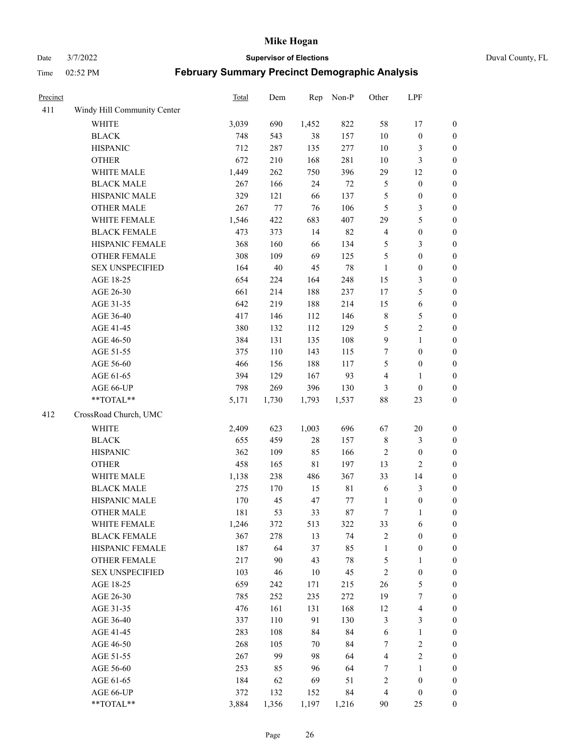Date 3/7/2022 **Supervisor of Elections** Duval County, FL

| Precinct |                             | Total | Dem    | Rep         | Non-P       | Other                   | LPF                     |                  |
|----------|-----------------------------|-------|--------|-------------|-------------|-------------------------|-------------------------|------------------|
| 411      | Windy Hill Community Center |       |        |             |             |                         |                         |                  |
|          | <b>WHITE</b>                | 3,039 | 690    | 1,452       | 822         | 58                      | 17                      | 0                |
|          | <b>BLACK</b>                | 748   | 543    | 38          | 157         | $10\,$                  | $\boldsymbol{0}$        | $\boldsymbol{0}$ |
|          | <b>HISPANIC</b>             | 712   | 287    | 135         | 277         | $10\,$                  | $\mathfrak{Z}$          | $\boldsymbol{0}$ |
|          | <b>OTHER</b>                | 672   | 210    | 168         | 281         | $10\,$                  | $\mathfrak{Z}$          | $\boldsymbol{0}$ |
|          | WHITE MALE                  | 1,449 | 262    | 750         | 396         | 29                      | 12                      | $\boldsymbol{0}$ |
|          | <b>BLACK MALE</b>           | 267   | 166    | 24          | $72\,$      | 5                       | $\boldsymbol{0}$        | $\boldsymbol{0}$ |
|          | HISPANIC MALE               | 329   | 121    | 66          | 137         | 5                       | $\boldsymbol{0}$        | $\boldsymbol{0}$ |
|          | <b>OTHER MALE</b>           | 267   | 77     | 76          | 106         | $\mathfrak{S}$          | $\mathfrak{Z}$          | $\boldsymbol{0}$ |
|          | WHITE FEMALE                | 1,546 | 422    | 683         | 407         | 29                      | $\mathfrak s$           | $\boldsymbol{0}$ |
|          | <b>BLACK FEMALE</b>         | 473   | 373    | 14          | 82          | $\overline{4}$          | $\boldsymbol{0}$        | $\boldsymbol{0}$ |
|          | HISPANIC FEMALE             | 368   | 160    | 66          | 134         | 5                       | $\mathfrak{Z}$          | $\boldsymbol{0}$ |
|          | OTHER FEMALE                | 308   | 109    | 69          | 125         | 5                       | $\boldsymbol{0}$        | $\boldsymbol{0}$ |
|          | <b>SEX UNSPECIFIED</b>      | 164   | $40\,$ | 45          | $78\,$      | $\mathbf{1}$            | $\boldsymbol{0}$        | $\boldsymbol{0}$ |
|          | AGE 18-25                   | 654   | 224    | 164         | 248         | 15                      | $\mathfrak{Z}$          | $\boldsymbol{0}$ |
|          | AGE 26-30                   | 661   | 214    | 188         | 237         | 17                      | $\mathfrak{S}$          | $\boldsymbol{0}$ |
|          | AGE 31-35                   | 642   | 219    | 188         | 214         | 15                      | $\sqrt{6}$              | $\boldsymbol{0}$ |
|          | AGE 36-40                   | 417   | 146    | 112         | 146         | $\,$ $\,$               | $\mathfrak{S}$          | $\boldsymbol{0}$ |
|          | AGE 41-45                   | 380   | 132    | 112         | 129         | 5                       | $\sqrt{2}$              | $\boldsymbol{0}$ |
|          | AGE 46-50                   | 384   | 131    | 135         | 108         | $\mathbf{9}$            | $\mathbf{1}$            | $\boldsymbol{0}$ |
|          | AGE 51-55                   | 375   | 110    | 143         | 115         | 7                       | $\boldsymbol{0}$        | $\boldsymbol{0}$ |
|          | AGE 56-60                   | 466   | 156    | 188         | 117         | 5                       | $\boldsymbol{0}$        | 0                |
|          | AGE 61-65                   | 394   | 129    | 167         | 93          | 4                       | $\mathbf{1}$            | $\boldsymbol{0}$ |
|          | AGE 66-UP                   | 798   | 269    | 396         | 130         | 3                       | $\boldsymbol{0}$        | $\boldsymbol{0}$ |
|          | **TOTAL**                   | 5,171 | 1,730  | 1,793       | 1,537       | 88                      | 23                      | $\boldsymbol{0}$ |
| 412      | CrossRoad Church, UMC       |       |        |             |             |                         |                         |                  |
|          | <b>WHITE</b>                | 2,409 | 623    | 1,003       | 696         | 67                      | $20\,$                  | $\boldsymbol{0}$ |
|          | <b>BLACK</b>                | 655   | 459    | 28          | 157         | $\,$ $\,$               | $\mathfrak{Z}$          | $\boldsymbol{0}$ |
|          | <b>HISPANIC</b>             | 362   | 109    | 85          | 166         | $\overline{c}$          | $\boldsymbol{0}$        | $\boldsymbol{0}$ |
|          | <b>OTHER</b>                | 458   | 165    | $8\sqrt{1}$ | 197         | 13                      | $\overline{c}$          | $\boldsymbol{0}$ |
|          | WHITE MALE                  | 1,138 | 238    | 486         | 367         | 33                      | 14                      | $\boldsymbol{0}$ |
|          | <b>BLACK MALE</b>           | 275   | 170    | 15          | $8\sqrt{1}$ | 6                       | $\mathfrak{Z}$          | $\boldsymbol{0}$ |
|          | HISPANIC MALE               | 170   | 45     | 47          | 77          | 1                       | $\boldsymbol{0}$        | 0                |
|          | <b>OTHER MALE</b>           | 181   | 53     | 33          | 87          | $\tau$                  | $\mathbf{1}$            | $\boldsymbol{0}$ |
|          | WHITE FEMALE                | 1,246 | 372    | 513         | 322         | 33                      | 6                       | 0                |
|          | <b>BLACK FEMALE</b>         | 367   | 278    | 13          | 74          | 2                       | $\boldsymbol{0}$        | $\boldsymbol{0}$ |
|          | HISPANIC FEMALE             | 187   | 64     | 37          | 85          | $\mathbf{1}$            | $\boldsymbol{0}$        | $\overline{0}$   |
|          | <b>OTHER FEMALE</b>         | 217   | 90     | 43          | $78\,$      | 5                       | $\mathbf{1}$            | $\overline{0}$   |
|          | <b>SEX UNSPECIFIED</b>      | 103   | 46     | 10          | 45          | $\mathfrak{2}$          | $\boldsymbol{0}$        | 0                |
|          | AGE 18-25                   | 659   | 242    | 171         | 215         | 26                      | $\mathfrak{S}$          | 0                |
|          | AGE 26-30                   | 785   | 252    | 235         | 272         | 19                      | $\boldsymbol{7}$        | 0                |
|          | AGE 31-35                   | 476   | 161    | 131         | 168         | 12                      | $\overline{\mathbf{4}}$ | 0                |
|          | AGE 36-40                   | 337   | 110    | 91          | 130         | 3                       | $\mathfrak{Z}$          | 0                |
|          | AGE 41-45                   | 283   | 108    | 84          | 84          | 6                       | $\mathbf{1}$            | 0                |
|          | AGE 46-50                   | 268   | 105    | 70          | 84          | 7                       | $\sqrt{2}$              | 0                |
|          | AGE 51-55                   | 267   | 99     | 98          | 64          | $\overline{\mathbf{4}}$ | $\overline{2}$          | 0                |
|          | AGE 56-60                   | 253   | 85     | 96          | 64          | 7                       | 1                       | $\overline{0}$   |
|          | AGE 61-65                   | 184   | 62     | 69          | 51          | 2                       | $\boldsymbol{0}$        | $\overline{0}$   |
|          | AGE 66-UP                   | 372   | 132    | 152         | 84          | 4                       | $\boldsymbol{0}$        | 0                |
|          | **TOTAL**                   | 3,884 | 1,356  | 1,197       | 1,216       | 90                      | 25                      | $\boldsymbol{0}$ |
|          |                             |       |        |             |             |                         |                         |                  |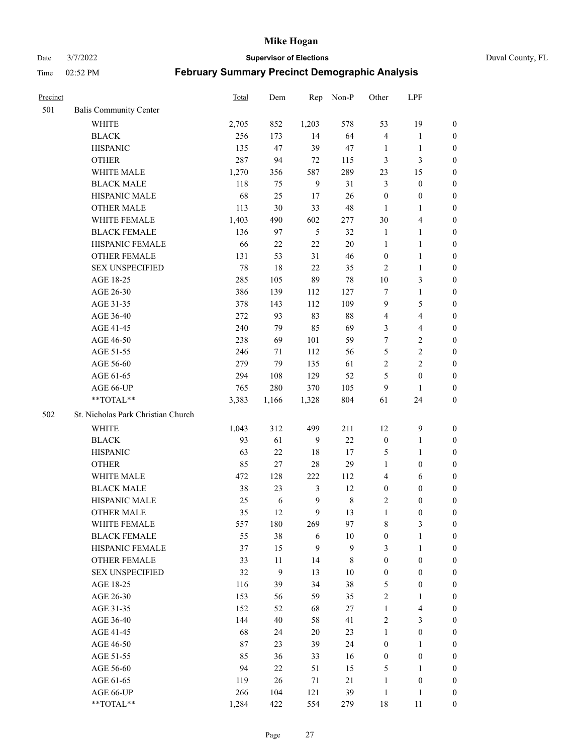Date 3/7/2022 **Supervisor of Elections** Duval County, FL

| Precinct |                                    | Total | Dem    | Rep            | Non-P            | Other            | LPF                     |                  |
|----------|------------------------------------|-------|--------|----------------|------------------|------------------|-------------------------|------------------|
| 501      | <b>Balis Community Center</b>      |       |        |                |                  |                  |                         |                  |
|          | <b>WHITE</b>                       | 2,705 | 852    | 1,203          | 578              | 53               | 19                      | 0                |
|          | <b>BLACK</b>                       | 256   | 173    | 14             | 64               | $\overline{4}$   | $\mathbf{1}$            | 0                |
|          | <b>HISPANIC</b>                    | 135   | 47     | 39             | 47               | 1                | $\mathbf{1}$            | $\boldsymbol{0}$ |
|          | <b>OTHER</b>                       | 287   | 94     | $72\,$         | 115              | 3                | $\mathfrak{Z}$          | $\boldsymbol{0}$ |
|          | WHITE MALE                         | 1,270 | 356    | 587            | 289              | 23               | 15                      | $\boldsymbol{0}$ |
|          | <b>BLACK MALE</b>                  | 118   | 75     | 9              | 31               | 3                | $\boldsymbol{0}$        | $\boldsymbol{0}$ |
|          | HISPANIC MALE                      | 68    | 25     | 17             | 26               | $\boldsymbol{0}$ | $\boldsymbol{0}$        | $\boldsymbol{0}$ |
|          | <b>OTHER MALE</b>                  | 113   | 30     | 33             | 48               | $\mathbf{1}$     | $\mathbf{1}$            | $\boldsymbol{0}$ |
|          | WHITE FEMALE                       | 1,403 | 490    | 602            | 277              | 30               | $\overline{\mathbf{4}}$ | $\boldsymbol{0}$ |
|          | <b>BLACK FEMALE</b>                | 136   | 97     | $\mathfrak{H}$ | 32               | $\mathbf{1}$     | $\mathbf{1}$            | 0                |
|          | HISPANIC FEMALE                    | 66    | 22     | $22\,$         | 20               | $\mathbf{1}$     | $\mathbf{1}$            | 0                |
|          | OTHER FEMALE                       | 131   | 53     | 31             | 46               | $\boldsymbol{0}$ | $\mathbf{1}$            | 0                |
|          | <b>SEX UNSPECIFIED</b>             | 78    | 18     | 22             | 35               | $\mathfrak{2}$   | $\mathbf{1}$            | $\boldsymbol{0}$ |
|          | AGE 18-25                          | 285   | 105    | 89             | $78\,$           | $10\,$           | $\mathfrak{Z}$          | $\boldsymbol{0}$ |
|          | AGE 26-30                          | 386   | 139    | 112            | 127              | 7                | $\mathbf{1}$            | $\boldsymbol{0}$ |
|          | AGE 31-35                          | 378   | 143    | 112            | 109              | $\mathbf{9}$     | $\mathfrak{S}$          | $\boldsymbol{0}$ |
|          | AGE 36-40                          | 272   | 93     | 83             | $88\,$           | 4                | $\overline{\mathbf{4}}$ | $\boldsymbol{0}$ |
|          | AGE 41-45                          | 240   | 79     | 85             | 69               | 3                | $\overline{4}$          | $\boldsymbol{0}$ |
|          | AGE 46-50                          | 238   | 69     | 101            | 59               | 7                | $\sqrt{2}$              | $\boldsymbol{0}$ |
|          | AGE 51-55                          | 246   | 71     | 112            | 56               | 5                | $\sqrt{2}$              | $\boldsymbol{0}$ |
|          | AGE 56-60                          | 279   | 79     | 135            | 61               | $\sqrt{2}$       | $\overline{2}$          | 0                |
|          | AGE 61-65                          | 294   | 108    | 129            | 52               | 5                | $\boldsymbol{0}$        | 0                |
|          | AGE 66-UP                          | 765   | 280    | 370            | 105              | 9                | $\mathbf{1}$            | $\boldsymbol{0}$ |
|          | $**TOTAL**$                        | 3,383 | 1,166  | 1,328          | 804              | 61               | 24                      | $\boldsymbol{0}$ |
| 502      | St. Nicholas Park Christian Church |       |        |                |                  |                  |                         |                  |
|          | <b>WHITE</b>                       | 1,043 | 312    | 499            | 211              | 12               | $\mathbf{9}$            | $\boldsymbol{0}$ |
|          | <b>BLACK</b>                       | 93    | 61     | 9              | 22               | $\boldsymbol{0}$ | $\mathbf{1}$            | $\boldsymbol{0}$ |
|          | <b>HISPANIC</b>                    | 63    | 22     | 18             | 17               | 5                | $\mathbf{1}$            | $\boldsymbol{0}$ |
|          | <b>OTHER</b>                       | 85    | 27     | $28\,$         | 29               | $\mathbf{1}$     | $\boldsymbol{0}$        | $\boldsymbol{0}$ |
|          | WHITE MALE                         | 472   | 128    | 222            | 112              | 4                | 6                       | $\boldsymbol{0}$ |
|          | <b>BLACK MALE</b>                  | 38    | 23     | $\mathfrak{Z}$ | 12               | $\boldsymbol{0}$ | $\boldsymbol{0}$        | $\boldsymbol{0}$ |
|          | HISPANIC MALE                      | 25    | 6      | $\overline{9}$ | $\,$ $\,$        | $\overline{c}$   | $\boldsymbol{0}$        | 0                |
|          | <b>OTHER MALE</b>                  | 35    | 12     | 9              | 13               | $\mathbf{1}$     | $\boldsymbol{0}$        | $\boldsymbol{0}$ |
|          | WHITE FEMALE                       | 557   | 180    | 269            | 97               | 8                | 3                       | 0                |
|          | <b>BLACK FEMALE</b>                | 55    | $38\,$ | 6              | $10\,$           | $\boldsymbol{0}$ | $\mathbf{1}$            | $\boldsymbol{0}$ |
|          | HISPANIC FEMALE                    | 37    | 15     | $\mathbf{9}$   | $\boldsymbol{9}$ | 3                | $\mathbf{1}$            | $\overline{0}$   |
|          | OTHER FEMALE                       | 33    | 11     | 14             | 8                | $\boldsymbol{0}$ | $\boldsymbol{0}$        | $\overline{0}$   |
|          | <b>SEX UNSPECIFIED</b>             | 32    | 9      | 13             | 10               | $\boldsymbol{0}$ | $\boldsymbol{0}$        | 0                |
|          | AGE 18-25                          | 116   | 39     | 34             | 38               | 5                | $\boldsymbol{0}$        | $\overline{0}$   |
|          | AGE 26-30                          | 153   | 56     | 59             | 35               | 2                | $\mathbf{1}$            | 0                |
|          | AGE 31-35                          | 152   | 52     | 68             | 27               | $\mathbf{1}$     | $\overline{\mathbf{4}}$ | 0                |
|          | AGE 36-40                          | 144   | 40     | 58             | 41               | 2                | $\mathfrak{Z}$          | 0                |
|          | AGE 41-45                          | 68    | 24     | 20             | 23               | $\mathbf{1}$     | $\boldsymbol{0}$        | 0                |
|          | AGE 46-50                          | 87    | 23     | 39             | 24               | $\boldsymbol{0}$ | $\mathbf{1}$            | 0                |
|          | AGE 51-55                          | 85    | 36     | 33             | 16               | $\boldsymbol{0}$ | $\boldsymbol{0}$        | $\overline{0}$   |
|          | AGE 56-60                          | 94    | 22     | 51             | 15               | 5                | $\mathbf{1}$            | $\overline{0}$   |
|          | AGE 61-65                          | 119   | 26     | 71             | 21               | $\mathbf{1}$     | $\boldsymbol{0}$        | $\boldsymbol{0}$ |
|          | AGE 66-UP                          | 266   | 104    | 121            | 39               | $\mathbf{1}$     | $\mathbf{1}$            | $\boldsymbol{0}$ |
|          | **TOTAL**                          | 1,284 | 422    | 554            | 279              | 18               | 11                      | $\boldsymbol{0}$ |
|          |                                    |       |        |                |                  |                  |                         |                  |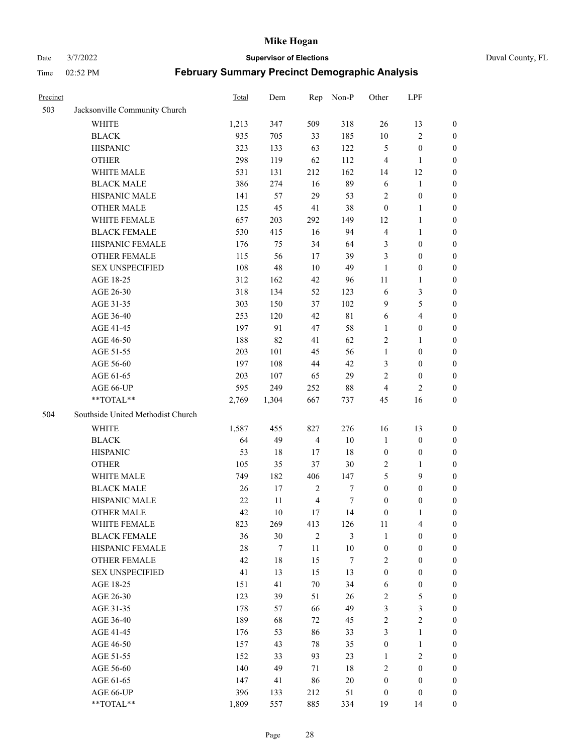Date 3/7/2022 **Supervisor of Elections** Duval County, FL

| Precinct |                                   | Total  | Dem    | Rep            | Non-P            | Other            | LPF              |                  |
|----------|-----------------------------------|--------|--------|----------------|------------------|------------------|------------------|------------------|
| 503      | Jacksonville Community Church     |        |        |                |                  |                  |                  |                  |
|          | <b>WHITE</b>                      | 1,213  | 347    | 509            | 318              | 26               | 13               | 0                |
|          | <b>BLACK</b>                      | 935    | 705    | 33             | 185              | $10\,$           | $\sqrt{2}$       | 0                |
|          | <b>HISPANIC</b>                   | 323    | 133    | 63             | 122              | 5                | $\boldsymbol{0}$ | $\boldsymbol{0}$ |
|          | <b>OTHER</b>                      | 298    | 119    | 62             | 112              | 4                | $\mathbf{1}$     | $\boldsymbol{0}$ |
|          | WHITE MALE                        | 531    | 131    | 212            | 162              | 14               | 12               | $\boldsymbol{0}$ |
|          | <b>BLACK MALE</b>                 | 386    | 274    | 16             | 89               | 6                | 1                | $\boldsymbol{0}$ |
|          | HISPANIC MALE                     | 141    | 57     | 29             | 53               | 2                | $\boldsymbol{0}$ | $\boldsymbol{0}$ |
|          | <b>OTHER MALE</b>                 | 125    | 45     | 41             | 38               | $\boldsymbol{0}$ | $\mathbf{1}$     | $\boldsymbol{0}$ |
|          | WHITE FEMALE                      | 657    | 203    | 292            | 149              | 12               | $\mathbf{1}$     | $\boldsymbol{0}$ |
|          | <b>BLACK FEMALE</b>               | 530    | 415    | 16             | 94               | 4                | $\mathbf{1}$     | 0                |
|          | HISPANIC FEMALE                   | 176    | 75     | 34             | 64               | 3                | $\boldsymbol{0}$ | 0                |
|          | <b>OTHER FEMALE</b>               | 115    | 56     | 17             | 39               | 3                | $\boldsymbol{0}$ | $\boldsymbol{0}$ |
|          | <b>SEX UNSPECIFIED</b>            | 108    | 48     | 10             | 49               | $\mathbf{1}$     | $\boldsymbol{0}$ | $\boldsymbol{0}$ |
|          | AGE 18-25                         | 312    | 162    | 42             | 96               | $11\,$           | 1                | $\boldsymbol{0}$ |
|          | AGE 26-30                         | 318    | 134    | 52             | 123              | 6                | $\mathfrak{Z}$   | $\boldsymbol{0}$ |
|          | AGE 31-35                         | 303    | 150    | 37             | 102              | 9                | 5                | $\boldsymbol{0}$ |
|          | AGE 36-40                         | 253    | 120    | 42             | $8\sqrt{1}$      | 6                | $\overline{4}$   | $\boldsymbol{0}$ |
|          | AGE 41-45                         | 197    | 91     | 47             | 58               | $\mathbf{1}$     | $\boldsymbol{0}$ | $\boldsymbol{0}$ |
|          | AGE 46-50                         | 188    | 82     | 41             | 62               | 2                | $\mathbf{1}$     | $\boldsymbol{0}$ |
|          | AGE 51-55                         | 203    | 101    | 45             | 56               | $\mathbf{1}$     | $\boldsymbol{0}$ | 0                |
|          | AGE 56-60                         | 197    | 108    | 44             | 42               | 3                | $\boldsymbol{0}$ | 0                |
|          | AGE 61-65                         | 203    | 107    | 65             | 29               | 2                | $\boldsymbol{0}$ | 0                |
|          | AGE 66-UP                         | 595    | 249    | 252            | $88\,$           | 4                | $\mathbf{2}$     | $\boldsymbol{0}$ |
|          | **TOTAL**                         | 2,769  | 1,304  | 667            | 737              | 45               | 16               | $\boldsymbol{0}$ |
| 504      | Southside United Methodist Church |        |        |                |                  |                  |                  |                  |
|          | <b>WHITE</b>                      | 1,587  | 455    | 827            | 276              | 16               | 13               | $\boldsymbol{0}$ |
|          | <b>BLACK</b>                      | 64     | 49     | $\overline{4}$ | $10\,$           | $\mathbf{1}$     | $\boldsymbol{0}$ | $\boldsymbol{0}$ |
|          | <b>HISPANIC</b>                   | 53     | 18     | 17             | 18               | $\boldsymbol{0}$ | $\boldsymbol{0}$ | $\boldsymbol{0}$ |
|          | <b>OTHER</b>                      | 105    | 35     | 37             | $30\,$           | 2                | $\mathbf{1}$     | $\boldsymbol{0}$ |
|          | WHITE MALE                        | 749    | 182    | 406            | 147              | 5                | 9                | $\overline{0}$   |
|          | <b>BLACK MALE</b>                 | 26     | 17     | $\sqrt{2}$     | $\boldsymbol{7}$ | $\boldsymbol{0}$ | $\boldsymbol{0}$ | $\boldsymbol{0}$ |
|          | HISPANIC MALE                     | $22\,$ | $11\,$ | $\overline{4}$ | 7                | $\boldsymbol{0}$ | $\boldsymbol{0}$ | 0                |
|          | <b>OTHER MALE</b>                 | 42     | 10     | 17             | 14               | $\boldsymbol{0}$ | $\mathbf{1}$     | 0                |
|          | WHITE FEMALE                      | 823    | 269    | 413            | 126              | 11               | 4                | 0                |
|          | <b>BLACK FEMALE</b>               | 36     | $30\,$ | $\mathbf{2}$   | 3                | $\mathbf{1}$     | $\boldsymbol{0}$ | $\overline{0}$   |
|          | HISPANIC FEMALE                   | $28\,$ | $\tau$ | $11\,$         | $10\,$           | $\boldsymbol{0}$ | $\boldsymbol{0}$ | $\overline{0}$   |
|          | <b>OTHER FEMALE</b>               | 42     | $18\,$ | 15             | 7                | 2                | $\boldsymbol{0}$ | $\overline{0}$   |
|          | <b>SEX UNSPECIFIED</b>            | 41     | 13     | 15             | 13               | $\boldsymbol{0}$ | $\boldsymbol{0}$ | 0                |
|          | AGE 18-25                         | 151    | 41     | $70\,$         | 34               | 6                | $\boldsymbol{0}$ | 0                |
|          | AGE 26-30                         | 123    | 39     | 51             | $26\,$           | 2                | $\mathfrak s$    | 0                |
|          | AGE 31-35                         | 178    | 57     | 66             | 49               | 3                | $\mathfrak{Z}$   | 0                |
|          | AGE 36-40                         | 189    | 68     | 72             | 45               | 2                | $\sqrt{2}$       | 0                |
|          | AGE 41-45                         | 176    | 53     | 86             | 33               | 3                | $\mathbf{1}$     | 0                |
|          | AGE 46-50                         | 157    | 43     | 78             | 35               | $\boldsymbol{0}$ | $\mathbf{1}$     | 0                |
|          | AGE 51-55                         | 152    | 33     | 93             | 23               | $\mathbf{1}$     | $\mathfrak{2}$   | 0                |
|          | AGE 56-60                         | 140    | 49     | 71             | $18\,$           | 2                | $\boldsymbol{0}$ | $\overline{0}$   |
|          | AGE 61-65                         | 147    | 41     | 86             | $20\,$           | $\boldsymbol{0}$ | $\boldsymbol{0}$ | $\overline{0}$   |
|          | AGE 66-UP                         | 396    | 133    | 212            | 51               | $\boldsymbol{0}$ | $\boldsymbol{0}$ | 0                |
|          | **TOTAL**                         | 1,809  | 557    | 885            | 334              | 19               | 14               | $\boldsymbol{0}$ |
|          |                                   |        |        |                |                  |                  |                  |                  |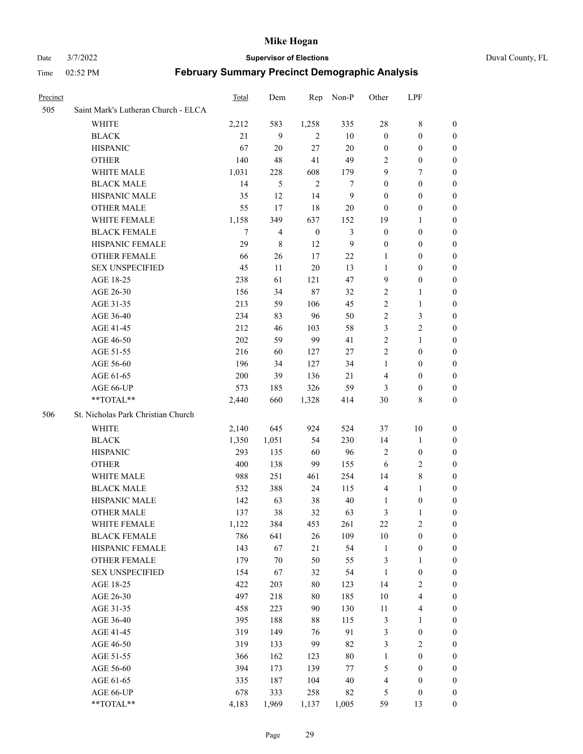Date 3/7/2022 **Supervisor of Elections** Duval County, FL

| Precinct |                                     | Total | Dem    | Rep              | Non-P        | Other            | LPF                     |                  |
|----------|-------------------------------------|-------|--------|------------------|--------------|------------------|-------------------------|------------------|
| 505      | Saint Mark's Lutheran Church - ELCA |       |        |                  |              |                  |                         |                  |
|          | <b>WHITE</b>                        | 2,212 | 583    | 1,258            | 335          | $28\,$           | 8                       | $\boldsymbol{0}$ |
|          | <b>BLACK</b>                        | 21    | 9      | $\overline{2}$   | $10\,$       | $\boldsymbol{0}$ | $\boldsymbol{0}$        | $\boldsymbol{0}$ |
|          | <b>HISPANIC</b>                     | 67    | 20     | 27               | $20\,$       | $\boldsymbol{0}$ | $\boldsymbol{0}$        | $\boldsymbol{0}$ |
|          | <b>OTHER</b>                        | 140   | 48     | 41               | 49           | 2                | $\boldsymbol{0}$        | 0                |
|          | WHITE MALE                          | 1,031 | 228    | 608              | 179          | 9                | 7                       | $\boldsymbol{0}$ |
|          | <b>BLACK MALE</b>                   | 14    | 5      | $\mathbf{2}$     | 7            | $\boldsymbol{0}$ | $\boldsymbol{0}$        | $\boldsymbol{0}$ |
|          | HISPANIC MALE                       | 35    | 12     | 14               | $\mathbf{9}$ | $\boldsymbol{0}$ | $\boldsymbol{0}$        | 0                |
|          | <b>OTHER MALE</b>                   | 55    | 17     | 18               | 20           | $\boldsymbol{0}$ | $\boldsymbol{0}$        | 0                |
|          | WHITE FEMALE                        | 1,158 | 349    | 637              | 152          | 19               | $\mathbf{1}$            | 0                |
|          | <b>BLACK FEMALE</b>                 | 7     | 4      | $\boldsymbol{0}$ | 3            | $\boldsymbol{0}$ | $\boldsymbol{0}$        | 0                |
|          | HISPANIC FEMALE                     | 29    | 8      | 12               | 9            | $\boldsymbol{0}$ | $\boldsymbol{0}$        | $\boldsymbol{0}$ |
|          | OTHER FEMALE                        | 66    | 26     | 17               | 22           | 1                | $\boldsymbol{0}$        | $\boldsymbol{0}$ |
|          | <b>SEX UNSPECIFIED</b>              | 45    | 11     | $20\,$           | 13           | $\mathbf{1}$     | $\boldsymbol{0}$        | $\boldsymbol{0}$ |
|          | AGE 18-25                           | 238   | 61     | 121              | 47           | 9                | $\boldsymbol{0}$        | 0                |
|          | AGE 26-30                           | 156   | 34     | 87               | 32           | $\overline{c}$   | $\mathbf{1}$            | $\boldsymbol{0}$ |
|          | AGE 31-35                           | 213   | 59     | 106              | 45           | $\mathbf{2}$     | $\mathbf{1}$            | $\boldsymbol{0}$ |
|          | AGE 36-40                           | 234   | 83     | 96               | 50           | $\overline{c}$   | $\mathfrak{Z}$          | 0                |
|          | AGE 41-45                           | 212   | 46     | 103              | 58           | 3                | $\sqrt{2}$              | 0                |
|          | AGE 46-50                           | 202   | 59     | 99               | 41           | $\sqrt{2}$       | $\mathbf{1}$            | 0                |
|          | AGE 51-55                           | 216   | 60     | 127              | 27           | $\mathbf{2}$     | $\boldsymbol{0}$        | 0                |
|          | AGE 56-60                           | 196   | 34     | 127              | 34           | $\mathbf{1}$     | $\boldsymbol{0}$        | 0                |
|          | AGE 61-65                           | 200   | 39     | 136              | 21           | 4                | $\boldsymbol{0}$        | $\boldsymbol{0}$ |
|          | AGE 66-UP                           | 573   | 185    | 326              | 59           | 3                | $\boldsymbol{0}$        | $\boldsymbol{0}$ |
|          | $**TOTAL**$                         | 2,440 | 660    | 1,328            | 414          | 30               | $\,8\,$                 | $\boldsymbol{0}$ |
| 506      | St. Nicholas Park Christian Church  |       |        |                  |              |                  |                         |                  |
|          | WHITE                               | 2,140 | 645    | 924              | 524          | 37               | $10\,$                  | $\boldsymbol{0}$ |
|          | <b>BLACK</b>                        | 1,350 | 1,051  | 54               | 230          | 14               | $\mathbf{1}$            | $\boldsymbol{0}$ |
|          | <b>HISPANIC</b>                     | 293   | 135    | 60               | 96           | $\overline{c}$   | $\boldsymbol{0}$        | $\boldsymbol{0}$ |
|          | <b>OTHER</b>                        | 400   | 138    | 99               | 155          | 6                | $\sqrt{2}$              | 0                |
|          | WHITE MALE                          | 988   | 251    | 461              | 254          | 14               | $\,8\,$                 | 0                |
|          | <b>BLACK MALE</b>                   | 532   | 388    | 24               | 115          | $\overline{4}$   | $\mathbf{1}$            | 0                |
|          | HISPANIC MALE                       | 142   | 63     | 38               | $40\,$       | 1                | $\boldsymbol{0}$        | 0                |
|          | <b>OTHER MALE</b>                   | 137   | 38     | 32               | 63           | 3                | $\mathbf{1}$            | $\boldsymbol{0}$ |
|          | WHITE FEMALE                        | 1,122 | 384    | 453              | 261          | 22               | $\sqrt{2}$              | $\boldsymbol{0}$ |
|          | <b>BLACK FEMALE</b>                 | 786   | 641    | 26               | 109          | 10               | $\boldsymbol{0}$        | $\boldsymbol{0}$ |
|          | HISPANIC FEMALE                     | 143   | 67     | 21               | 54           | $\mathbf{1}$     | $\boldsymbol{0}$        | $\overline{0}$   |
|          | <b>OTHER FEMALE</b>                 | 179   | $70\,$ | 50               | 55           | $\mathfrak{Z}$   | $\mathbf{1}$            | $\overline{0}$   |
|          | <b>SEX UNSPECIFIED</b>              | 154   | 67     | 32               | 54           | $\mathbf{1}$     | $\boldsymbol{0}$        | $\overline{0}$   |
|          | AGE 18-25                           | 422   | 203    | $80\,$           | 123          | 14               | $\sqrt{2}$              | 0                |
|          | AGE 26-30                           | 497   | 218    | $80\,$           | 185          | 10               | $\overline{\mathbf{4}}$ | 0                |
|          | AGE 31-35                           | 458   | 223    | 90               | 130          | 11               | $\overline{\mathbf{4}}$ | 0                |
|          | AGE 36-40                           | 395   | 188    | $88\,$           | 115          | 3                | $\mathbf{1}$            | 0                |
|          | AGE 41-45                           | 319   | 149    | 76               | 91           | 3                | $\boldsymbol{0}$        | $\boldsymbol{0}$ |
|          | AGE 46-50                           | 319   | 133    | 99               | 82           | 3                | $\sqrt{2}$              | $\boldsymbol{0}$ |
|          | AGE 51-55                           | 366   | 162    | 123              | $80\,$       | $\mathbf{1}$     | $\boldsymbol{0}$        | $\boldsymbol{0}$ |
|          | AGE 56-60                           | 394   | 173    | 139              | 77           | 5                | $\boldsymbol{0}$        | $\boldsymbol{0}$ |
|          | AGE 61-65                           | 335   | 187    | 104              | 40           | 4                | $\boldsymbol{0}$        | $\boldsymbol{0}$ |
|          | AGE 66-UP                           | 678   | 333    | 258              | 82           | 5                | $\boldsymbol{0}$        | $\boldsymbol{0}$ |
|          | **TOTAL**                           | 4,183 | 1,969  | 1,137            | 1,005        | 59               | 13                      | $\boldsymbol{0}$ |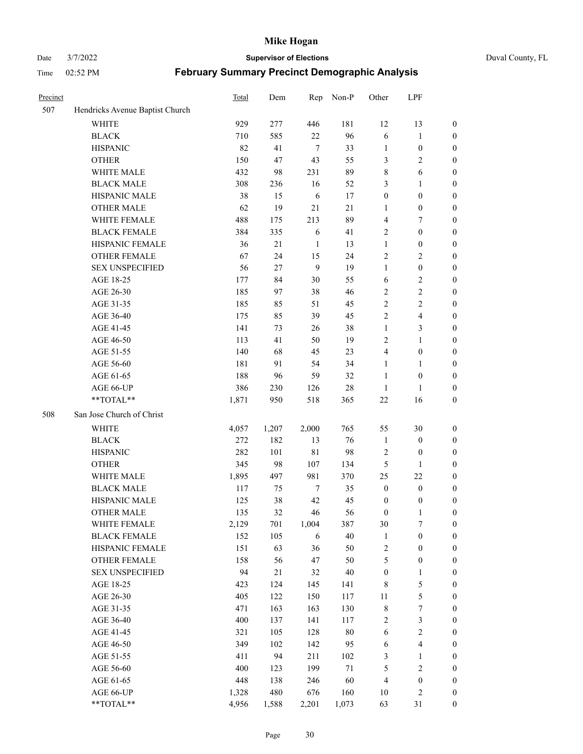#### Date 3/7/2022 **Supervisor of Elections** Duval County, FL

| Precinct |                                 | Total | Dem   | Rep         | Non-P  | Other            | LPF                     |                  |
|----------|---------------------------------|-------|-------|-------------|--------|------------------|-------------------------|------------------|
| 507      | Hendricks Avenue Baptist Church |       |       |             |        |                  |                         |                  |
|          | <b>WHITE</b>                    | 929   | 277   | 446         | 181    | 12               | 13                      | $\boldsymbol{0}$ |
|          | <b>BLACK</b>                    | 710   | 585   | 22          | 96     | 6                | $\mathbf{1}$            | 0                |
|          | <b>HISPANIC</b>                 | 82    | 41    | $\tau$      | 33     | $\mathbf{1}$     | $\boldsymbol{0}$        | $\boldsymbol{0}$ |
|          | <b>OTHER</b>                    | 150   | 47    | 43          | 55     | 3                | $\mathfrak{2}$          | $\boldsymbol{0}$ |
|          | WHITE MALE                      | 432   | 98    | 231         | 89     | 8                | 6                       | $\boldsymbol{0}$ |
|          | <b>BLACK MALE</b>               | 308   | 236   | 16          | 52     | 3                | $\mathbf{1}$            | $\boldsymbol{0}$ |
|          | HISPANIC MALE                   | 38    | 15    | 6           | 17     | $\boldsymbol{0}$ | $\boldsymbol{0}$        | $\boldsymbol{0}$ |
|          | <b>OTHER MALE</b>               | 62    | 19    | 21          | 21     | $\mathbf{1}$     | $\boldsymbol{0}$        | $\boldsymbol{0}$ |
|          | WHITE FEMALE                    | 488   | 175   | 213         | 89     | 4                | $\tau$                  | $\boldsymbol{0}$ |
|          | <b>BLACK FEMALE</b>             | 384   | 335   | 6           | 41     | 2                | $\boldsymbol{0}$        | $\boldsymbol{0}$ |
|          | HISPANIC FEMALE                 | 36    | 21    | 1           | 13     | $\mathbf{1}$     | $\boldsymbol{0}$        | 0                |
|          | <b>OTHER FEMALE</b>             | 67    | 24    | 15          | 24     | $\mathbf{2}$     | $\sqrt{2}$              | $\boldsymbol{0}$ |
|          | <b>SEX UNSPECIFIED</b>          | 56    | 27    | 9           | 19     | $\mathbf{1}$     | $\boldsymbol{0}$        | $\boldsymbol{0}$ |
|          | AGE 18-25                       | 177   | 84    | $30\,$      | 55     | 6                | $\sqrt{2}$              | $\boldsymbol{0}$ |
|          | AGE 26-30                       | 185   | 97    | 38          | 46     | 2                | $\sqrt{2}$              | $\boldsymbol{0}$ |
|          | AGE 31-35                       | 185   | 85    | 51          | 45     | $\sqrt{2}$       | $\sqrt{2}$              | $\boldsymbol{0}$ |
|          | AGE 36-40                       | 175   | 85    | 39          | 45     | $\mathfrak{2}$   | $\overline{\mathbf{4}}$ | $\boldsymbol{0}$ |
|          | AGE 41-45                       | 141   | 73    | 26          | 38     | $\mathbf{1}$     | $\mathfrak{Z}$          | $\boldsymbol{0}$ |
|          | AGE 46-50                       | 113   | 41    | 50          | 19     | $\mathbf{2}$     | $\mathbf{1}$            | $\boldsymbol{0}$ |
|          | AGE 51-55                       | 140   | 68    | 45          | 23     | 4                | $\boldsymbol{0}$        | 0                |
|          | AGE 56-60                       | 181   | 91    | 54          | 34     | $\mathbf{1}$     | $\mathbf{1}$            | 0                |
|          | AGE 61-65                       | 188   | 96    | 59          | 32     | 1                | $\boldsymbol{0}$        | 0                |
|          | AGE 66-UP                       | 386   | 230   | 126         | $28\,$ | $\mathbf{1}$     | $\mathbf{1}$            | $\boldsymbol{0}$ |
|          | $**TOTAL**$                     | 1,871 | 950   | 518         | 365    | $22\,$           | 16                      | $\boldsymbol{0}$ |
| 508      | San Jose Church of Christ       |       |       |             |        |                  |                         |                  |
|          | <b>WHITE</b>                    | 4,057 | 1,207 | 2,000       | 765    | 55               | $30\,$                  | $\boldsymbol{0}$ |
|          | <b>BLACK</b>                    | 272   | 182   | 13          | 76     | $\mathbf{1}$     | $\boldsymbol{0}$        | $\boldsymbol{0}$ |
|          | <b>HISPANIC</b>                 | 282   | 101   | $8\sqrt{1}$ | 98     | 2                | $\boldsymbol{0}$        | $\boldsymbol{0}$ |
|          | <b>OTHER</b>                    | 345   | 98    | 107         | 134    | $\mathfrak s$    | $\mathbf{1}$            | $\boldsymbol{0}$ |
|          | WHITE MALE                      | 1,895 | 497   | 981         | 370    | 25               | 22                      | $\boldsymbol{0}$ |
|          | <b>BLACK MALE</b>               | 117   | 75    | $\tau$      | 35     | $\boldsymbol{0}$ | $\boldsymbol{0}$        | $\boldsymbol{0}$ |
|          | HISPANIC MALE                   | 125   | 38    | 42          | 45     | $\boldsymbol{0}$ | $\boldsymbol{0}$        | 0                |
|          | <b>OTHER MALE</b>               | 135   | 32    | 46          | 56     | $\boldsymbol{0}$ | $\mathbf{1}$            | $\boldsymbol{0}$ |
|          | WHITE FEMALE                    | 2,129 | 701   | 1,004       | 387    | 30               | 7                       | 0                |
|          | <b>BLACK FEMALE</b>             | 152   | 105   | 6           | 40     | $\mathbf{1}$     | $\boldsymbol{0}$        | $\boldsymbol{0}$ |
|          | HISPANIC FEMALE                 | 151   | 63    | 36          | 50     | $\boldsymbol{2}$ | $\boldsymbol{0}$        | $\boldsymbol{0}$ |
|          | OTHER FEMALE                    | 158   | 56    | 47          | 50     | 5                | $\boldsymbol{0}$        | $\overline{0}$   |
|          | <b>SEX UNSPECIFIED</b>          | 94    | 21    | 32          | 40     | $\boldsymbol{0}$ | $\mathbf{1}$            | 0                |
|          | AGE 18-25                       | 423   | 124   | 145         | 141    | $\,$ 8 $\,$      | $\mathfrak s$           | 0                |
|          | AGE 26-30                       | 405   | 122   | 150         | 117    | $11\,$           | $\mathfrak s$           | 0                |
|          | AGE 31-35                       | 471   | 163   | 163         | 130    | $\,$ $\,$        | $\boldsymbol{7}$        | 0                |
|          | AGE 36-40                       | 400   | 137   | 141         | 117    | 2                | $\mathfrak{Z}$          | 0                |
|          | AGE 41-45                       | 321   | 105   | 128         | $80\,$ | 6                | $\sqrt{2}$              | 0                |
|          | AGE 46-50                       | 349   | 102   | 142         | 95     | 6                | $\overline{\mathbf{4}}$ | 0                |
|          | AGE 51-55                       | 411   | 94    | 211         | 102    | $\mathfrak{Z}$   | $\mathbf{1}$            | 0                |
|          | AGE 56-60                       | 400   | 123   | 199         | $71\,$ | 5                | $\sqrt{2}$              | $\boldsymbol{0}$ |
|          | AGE 61-65                       | 448   | 138   | 246         | 60     | $\overline{4}$   | $\boldsymbol{0}$        | $\boldsymbol{0}$ |
|          | AGE 66-UP                       | 1,328 | 480   | 676         | 160    | 10               | $\sqrt{2}$              | $\boldsymbol{0}$ |
|          | **TOTAL**                       | 4,956 | 1,588 | 2,201       | 1,073  | 63               | 31                      | $\boldsymbol{0}$ |
|          |                                 |       |       |             |        |                  |                         |                  |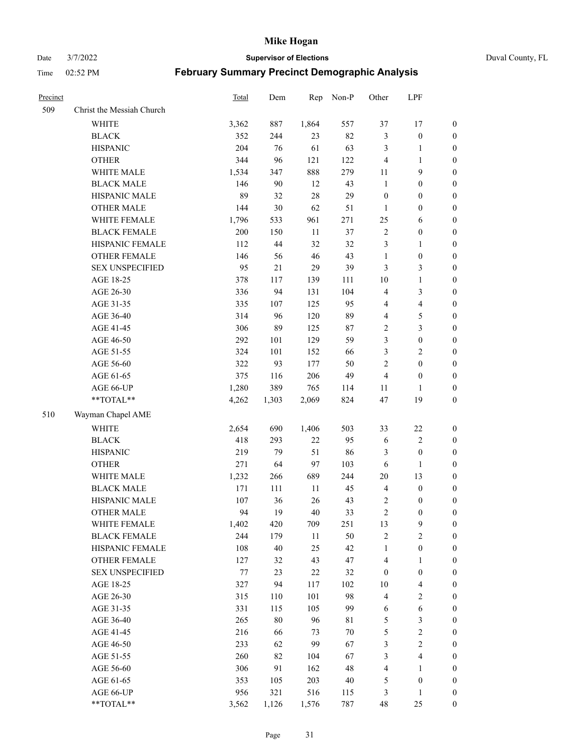Date 3/7/2022 **Supervisor of Elections** Duval County, FL

| Precinct |                           | Total | Dem    | Rep    | Non-P  | Other            | LPF                     |                  |
|----------|---------------------------|-------|--------|--------|--------|------------------|-------------------------|------------------|
| 509      | Christ the Messiah Church |       |        |        |        |                  |                         |                  |
|          | <b>WHITE</b>              | 3,362 | 887    | 1,864  | 557    | 37               | 17                      | 0                |
|          | <b>BLACK</b>              | 352   | 244    | 23     | 82     | 3                | $\boldsymbol{0}$        | 0                |
|          | <b>HISPANIC</b>           | 204   | 76     | 61     | 63     | 3                | $\mathbf{1}$            | $\boldsymbol{0}$ |
|          | <b>OTHER</b>              | 344   | 96     | 121    | 122    | $\overline{4}$   | $\mathbf{1}$            | $\boldsymbol{0}$ |
|          | WHITE MALE                | 1,534 | 347    | 888    | 279    | 11               | 9                       | $\boldsymbol{0}$ |
|          | <b>BLACK MALE</b>         | 146   | 90     | 12     | 43     | $\mathbf{1}$     | $\boldsymbol{0}$        | $\boldsymbol{0}$ |
|          | HISPANIC MALE             | 89    | 32     | $28\,$ | 29     | $\boldsymbol{0}$ | $\boldsymbol{0}$        | $\boldsymbol{0}$ |
|          | <b>OTHER MALE</b>         | 144   | 30     | 62     | 51     | $\mathbf{1}$     | $\boldsymbol{0}$        | $\boldsymbol{0}$ |
|          | WHITE FEMALE              | 1,796 | 533    | 961    | 271    | 25               | 6                       | $\boldsymbol{0}$ |
|          | <b>BLACK FEMALE</b>       | 200   | 150    | 11     | 37     | $\sqrt{2}$       | $\boldsymbol{0}$        | 0                |
|          | HISPANIC FEMALE           | 112   | 44     | 32     | 32     | 3                | $\mathbf{1}$            | 0                |
|          | <b>OTHER FEMALE</b>       | 146   | 56     | $46\,$ | 43     | $\mathbf{1}$     | $\boldsymbol{0}$        | $\boldsymbol{0}$ |
|          | <b>SEX UNSPECIFIED</b>    | 95    | 21     | 29     | 39     | 3                | $\mathfrak{Z}$          | $\boldsymbol{0}$ |
|          | AGE 18-25                 | 378   | 117    | 139    | 111    | $10\,$           | $\mathbf{1}$            | $\boldsymbol{0}$ |
|          | AGE 26-30                 | 336   | 94     | 131    | 104    | 4                | $\mathfrak{Z}$          | $\boldsymbol{0}$ |
|          | AGE 31-35                 | 335   | 107    | 125    | 95     | 4                | $\overline{\mathbf{4}}$ | $\boldsymbol{0}$ |
|          | AGE 36-40                 | 314   | 96     | 120    | 89     | 4                | $\mathfrak{S}$          | $\boldsymbol{0}$ |
|          | AGE 41-45                 | 306   | 89     | 125    | $87\,$ | $\sqrt{2}$       | $\mathfrak{Z}$          | $\boldsymbol{0}$ |
|          | AGE 46-50                 | 292   | 101    | 129    | 59     | 3                | $\boldsymbol{0}$        | $\boldsymbol{0}$ |
|          | AGE 51-55                 | 324   | 101    | 152    | 66     | 3                | $\sqrt{2}$              | $\boldsymbol{0}$ |
|          | AGE 56-60                 | 322   | 93     | 177    | 50     | $\sqrt{2}$       | $\boldsymbol{0}$        | 0                |
|          | AGE 61-65                 | 375   | 116    | 206    | 49     | $\overline{4}$   | $\boldsymbol{0}$        | $\boldsymbol{0}$ |
|          | AGE 66-UP                 | 1,280 | 389    | 765    | 114    | 11               | $\mathbf{1}$            | $\boldsymbol{0}$ |
|          | $**TOTAL**$               | 4,262 | 1,303  | 2,069  | 824    | 47               | 19                      | $\boldsymbol{0}$ |
|          |                           |       |        |        |        |                  |                         |                  |
| 510      | Wayman Chapel AME         |       |        |        |        |                  |                         |                  |
|          | <b>WHITE</b>              | 2,654 | 690    | 1,406  | 503    | 33               | $22\,$                  | $\boldsymbol{0}$ |
|          | <b>BLACK</b>              | 418   | 293    | $22\,$ | 95     | 6                | $\sqrt{2}$              | $\boldsymbol{0}$ |
|          | <b>HISPANIC</b>           | 219   | 79     | 51     | 86     | 3                | $\boldsymbol{0}$        | $\boldsymbol{0}$ |
|          | <b>OTHER</b>              | 271   | 64     | 97     | 103    | 6                | $\mathbf{1}$            | $\boldsymbol{0}$ |
|          | WHITE MALE                | 1,232 | 266    | 689    | 244    | $20\,$           | 13                      | $\boldsymbol{0}$ |
|          | <b>BLACK MALE</b>         | 171   | 111    | 11     | 45     | $\overline{4}$   | $\boldsymbol{0}$        | $\boldsymbol{0}$ |
|          | HISPANIC MALE             | 107   | 36     | 26     | 43     | 2                | $\boldsymbol{0}$        | 0                |
|          | <b>OTHER MALE</b>         | 94    | 19     | $40\,$ | 33     | $\overline{c}$   | $\boldsymbol{0}$        | $\boldsymbol{0}$ |
|          | WHITE FEMALE              | 1,402 | 420    | 709    | 251    | 13               | 9                       | 0                |
|          | <b>BLACK FEMALE</b>       | 244   | 179    | $11\,$ | 50     | $\sqrt{2}$       | $\sqrt{2}$              | $\boldsymbol{0}$ |
|          | HISPANIC FEMALE           | 108   | 40     | 25     | 42     | $\mathbf{1}$     | $\boldsymbol{0}$        | $\overline{0}$   |
|          | OTHER FEMALE              | 127   | 32     | 43     | 47     | 4                | $\mathbf{1}$            | $\overline{0}$   |
|          | <b>SEX UNSPECIFIED</b>    | 77    | 23     | $22\,$ | 32     | $\boldsymbol{0}$ | $\boldsymbol{0}$        | 0                |
|          | AGE 18-25                 | 327   | 94     | 117    | 102    | 10               | $\overline{\mathbf{4}}$ | 0                |
|          | AGE 26-30                 | 315   | 110    | 101    | 98     | 4                | $\sqrt{2}$              | 0                |
|          | AGE 31-35                 | 331   | 115    | 105    | 99     | 6                | $\sqrt{6}$              | 0                |
|          | AGE 36-40                 | 265   | $80\,$ | 96     | 81     | 5                | $\mathfrak{Z}$          | 0                |
|          | AGE 41-45                 | 216   | 66     | 73     | $70\,$ | 5                | $\sqrt{2}$              | 0                |
|          | AGE 46-50                 | 233   | 62     | 99     | 67     | 3                | $\sqrt{2}$              | 0                |
|          | AGE 51-55                 | 260   | 82     | 104    | 67     | 3                | $\overline{\mathbf{4}}$ | 0                |
|          | AGE 56-60                 | 306   | 91     | 162    | 48     | 4                | $\mathbf{1}$            | 0                |
|          | AGE 61-65                 | 353   | 105    | 203    | $40\,$ | 5                | $\boldsymbol{0}$        | $\boldsymbol{0}$ |
|          | AGE 66-UP                 | 956   | 321    | 516    | 115    | 3                | $\mathbf{1}$            | $\boldsymbol{0}$ |
|          | **TOTAL**                 | 3,562 | 1,126  | 1,576  | 787    | 48               | 25                      | $\boldsymbol{0}$ |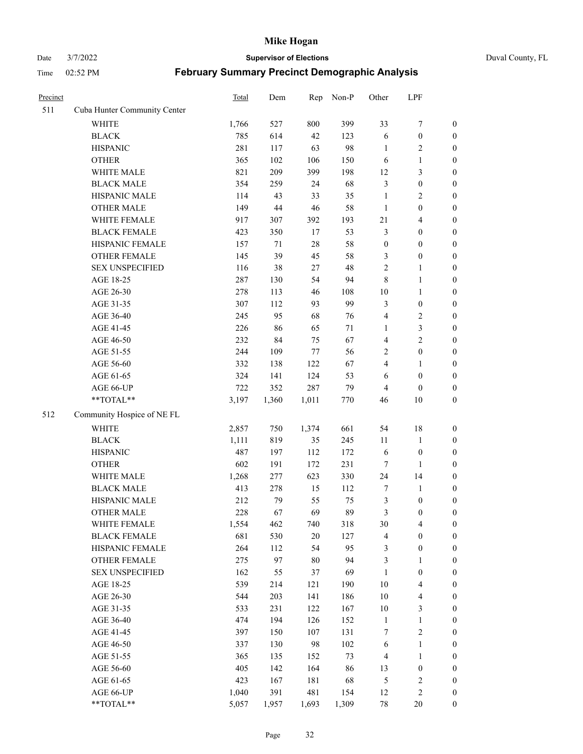# Date 3/7/2022 **Supervisor of Elections** Duval County, FL

| Precinct |                              | <b>Total</b> | Dem    | Rep    | Non-P  | Other            | LPF              |                  |
|----------|------------------------------|--------------|--------|--------|--------|------------------|------------------|------------------|
| 511      | Cuba Hunter Community Center |              |        |        |        |                  |                  |                  |
|          | <b>WHITE</b>                 | 1,766        | 527    | 800    | 399    | 33               | $\boldsymbol{7}$ | 0                |
|          | <b>BLACK</b>                 | 785          | 614    | 42     | 123    | 6                | $\boldsymbol{0}$ | $\boldsymbol{0}$ |
|          | <b>HISPANIC</b>              | 281          | 117    | 63     | 98     | $\mathbf{1}$     | $\overline{c}$   | $\boldsymbol{0}$ |
|          | <b>OTHER</b>                 | 365          | 102    | 106    | 150    | 6                | $\mathbf{1}$     | $\boldsymbol{0}$ |
|          | WHITE MALE                   | 821          | 209    | 399    | 198    | 12               | $\mathfrak{Z}$   | $\boldsymbol{0}$ |
|          | <b>BLACK MALE</b>            | 354          | 259    | 24     | 68     | 3                | $\boldsymbol{0}$ | $\boldsymbol{0}$ |
|          | HISPANIC MALE                | 114          | 43     | 33     | 35     | $\mathbf{1}$     | $\sqrt{2}$       | $\boldsymbol{0}$ |
|          | <b>OTHER MALE</b>            | 149          | $44\,$ | $46\,$ | 58     | $\mathbf{1}$     | $\boldsymbol{0}$ | $\boldsymbol{0}$ |
|          | WHITE FEMALE                 | 917          | 307    | 392    | 193    | 21               | $\overline{4}$   | $\boldsymbol{0}$ |
|          | <b>BLACK FEMALE</b>          | 423          | 350    | 17     | 53     | 3                | $\boldsymbol{0}$ | $\boldsymbol{0}$ |
|          | HISPANIC FEMALE              | 157          | 71     | $28\,$ | 58     | $\boldsymbol{0}$ | $\boldsymbol{0}$ | $\boldsymbol{0}$ |
|          | <b>OTHER FEMALE</b>          | 145          | 39     | 45     | 58     | 3                | $\boldsymbol{0}$ | $\boldsymbol{0}$ |
|          | <b>SEX UNSPECIFIED</b>       | 116          | 38     | 27     | 48     | $\overline{c}$   | $\mathbf{1}$     | $\boldsymbol{0}$ |
|          | AGE 18-25                    | 287          | 130    | 54     | 94     | $\,$ 8 $\,$      | $\mathbf{1}$     | $\boldsymbol{0}$ |
|          | AGE 26-30                    | 278          | 113    | 46     | 108    | $10\,$           | $\mathbf{1}$     | $\boldsymbol{0}$ |
|          | AGE 31-35                    | 307          | 112    | 93     | 99     | 3                | $\boldsymbol{0}$ | $\boldsymbol{0}$ |
|          | AGE 36-40                    | 245          | 95     | 68     | 76     | 4                | $\sqrt{2}$       | $\boldsymbol{0}$ |
|          | AGE 41-45                    | 226          | 86     | 65     | $71\,$ | $\mathbf{1}$     | 3                | $\boldsymbol{0}$ |
|          | AGE 46-50                    | 232          | 84     | 75     | 67     | 4                | $\overline{c}$   | $\boldsymbol{0}$ |
|          | AGE 51-55                    | 244          | 109    | 77     | 56     | $\overline{c}$   | $\boldsymbol{0}$ | $\boldsymbol{0}$ |
|          | AGE 56-60                    | 332          | 138    | 122    | 67     | 4                | 1                | 0                |
|          | AGE 61-65                    | 324          | 141    | 124    | 53     | 6                | $\boldsymbol{0}$ | $\boldsymbol{0}$ |
|          | AGE 66-UP                    | 722          | 352    | 287    | 79     | 4                | $\boldsymbol{0}$ | $\boldsymbol{0}$ |
|          | **TOTAL**                    | 3,197        | 1,360  | 1,011  | 770    | 46               | 10               | $\boldsymbol{0}$ |
| 512      | Community Hospice of NE FL   |              |        |        |        |                  |                  |                  |
|          | <b>WHITE</b>                 | 2,857        | 750    | 1,374  | 661    | 54               | 18               | $\boldsymbol{0}$ |
|          | <b>BLACK</b>                 | 1,111        | 819    | 35     | 245    | 11               | $\mathbf{1}$     | $\boldsymbol{0}$ |
|          | <b>HISPANIC</b>              | 487          | 197    | 112    | 172    | 6                | $\boldsymbol{0}$ | $\boldsymbol{0}$ |
|          | <b>OTHER</b>                 | 602          | 191    | 172    | 231    | 7                | $\mathbf{1}$     | $\boldsymbol{0}$ |
|          | WHITE MALE                   | 1,268        | 277    | 623    | 330    | 24               | 14               | $\boldsymbol{0}$ |
|          | <b>BLACK MALE</b>            | 413          | 278    | 15     | 112    | 7                | $\mathbf{1}$     | $\boldsymbol{0}$ |
|          | HISPANIC MALE                | 212          | 79     | 55     | 75     | 3                | $\boldsymbol{0}$ | 0                |
|          | <b>OTHER MALE</b>            | 228          | 67     | 69     | 89     | 3                | $\boldsymbol{0}$ | $\boldsymbol{0}$ |
|          | WHITE FEMALE                 | 1,554        | 462    | 740    | 318    | 30               | 4                | 0                |
|          | <b>BLACK FEMALE</b>          | 681          | 530    | $20\,$ | 127    | 4                | $\boldsymbol{0}$ | $\boldsymbol{0}$ |
|          | HISPANIC FEMALE              | 264          | 112    | 54     | 95     | 3                | $\boldsymbol{0}$ | $\overline{0}$   |
|          | OTHER FEMALE                 | 275          | 97     | 80     | 94     | 3                | $\mathbf{1}$     | $\overline{0}$   |
|          | <b>SEX UNSPECIFIED</b>       | 162          | 55     | 37     | 69     | $\mathbf{1}$     | $\boldsymbol{0}$ | 0                |
|          | AGE 18-25                    | 539          | 214    | 121    | 190    | 10               | $\overline{4}$   | 0                |
|          | AGE 26-30                    | 544          | 203    | 141    | 186    | $10\,$           | $\overline{4}$   | 0                |
|          | AGE 31-35                    | 533          | 231    | 122    | 167    | $10\,$           | $\mathfrak{Z}$   | 0                |
|          | AGE 36-40                    | 474          | 194    | 126    | 152    | $\mathbf{1}$     | $\mathbf{1}$     | 0                |
|          | AGE 41-45                    | 397          | 150    | 107    | 131    | 7                | $\sqrt{2}$       | 0                |
|          | AGE 46-50                    | 337          | 130    | 98     | 102    | 6                | $\mathbf{1}$     | 0                |
|          | AGE 51-55                    | 365          | 135    | 152    | 73     | 4                | $\mathbf{1}$     | 0                |
|          | AGE 56-60                    | 405          | 142    | 164    | 86     | 13               | $\boldsymbol{0}$ | 0                |
|          | AGE 61-65                    | 423          | 167    | 181    | 68     | 5                | $\sqrt{2}$       | 0                |
|          | AGE 66-UP                    | 1,040        | 391    | 481    | 154    | 12               | $\sqrt{2}$       | 0                |
|          | **TOTAL**                    | 5,057        | 1,957  | 1,693  | 1,309  | 78               | 20               | $\boldsymbol{0}$ |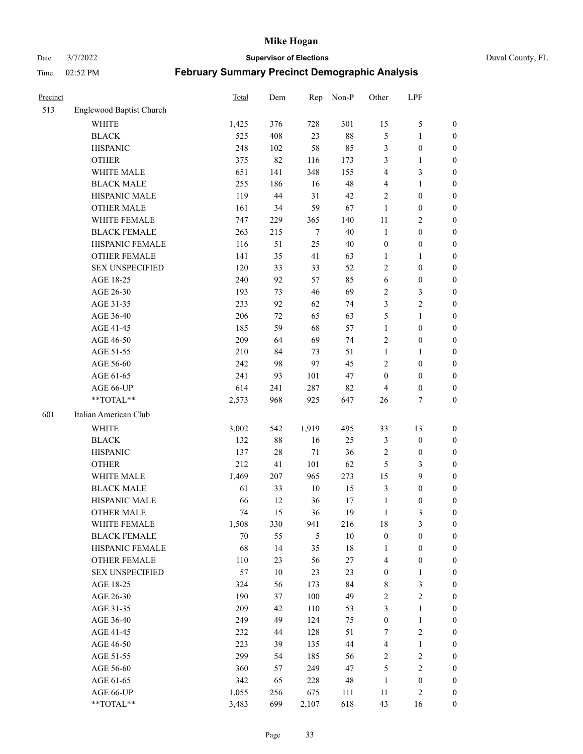Date 3/7/2022 **Supervisor of Elections** Duval County, FL

| Precinct |                          | <b>Total</b> | Dem        | Rep    | Non-P     | Other            | LPF                        |                                      |
|----------|--------------------------|--------------|------------|--------|-----------|------------------|----------------------------|--------------------------------------|
| 513      | Englewood Baptist Church |              |            |        |           |                  |                            |                                      |
|          | <b>WHITE</b>             | 1,425        | 376        | 728    | 301       | 15               | $\mathfrak{S}$             | 0                                    |
|          | <b>BLACK</b>             | 525          | 408        | 23     | $88\,$    | 5                | $\mathbf{1}$               | 0                                    |
|          | <b>HISPANIC</b>          | 248          | 102        | 58     | 85        | 3                | $\boldsymbol{0}$           | $\boldsymbol{0}$                     |
|          | <b>OTHER</b>             | 375          | 82         | 116    | 173       | 3                | $\mathbf{1}$               | $\boldsymbol{0}$                     |
|          | WHITE MALE               | 651          | 141        | 348    | 155       | 4                | $\mathfrak{Z}$             | $\boldsymbol{0}$                     |
|          | <b>BLACK MALE</b>        | 255          | 186        | 16     | 48        | 4                | $\mathbf{1}$               | $\boldsymbol{0}$                     |
|          | HISPANIC MALE            | 119          | 44         | 31     | 42        | $\overline{c}$   | $\boldsymbol{0}$           | $\boldsymbol{0}$                     |
|          | <b>OTHER MALE</b>        | 161          | 34         | 59     | 67        | $\mathbf{1}$     | $\boldsymbol{0}$           | $\boldsymbol{0}$                     |
|          | WHITE FEMALE             | 747          | 229        | 365    | 140       | $11\,$           | $\overline{2}$             | $\boldsymbol{0}$                     |
|          | <b>BLACK FEMALE</b>      | 263          | 215        | $\tau$ | 40        | $\mathbf{1}$     | $\boldsymbol{0}$           | 0                                    |
|          | HISPANIC FEMALE          | 116          | 51         | 25     | 40        | $\boldsymbol{0}$ | $\boldsymbol{0}$           | 0                                    |
|          | <b>OTHER FEMALE</b>      | 141          | 35         | 41     | 63        | $\mathbf{1}$     | $\mathbf{1}$               | $\boldsymbol{0}$                     |
|          | <b>SEX UNSPECIFIED</b>   | 120          | 33         | 33     | 52        | $\mathbf{2}$     | $\boldsymbol{0}$           | $\boldsymbol{0}$                     |
|          | AGE 18-25                | 240          | 92         | 57     | 85        | 6                | $\boldsymbol{0}$           | $\boldsymbol{0}$                     |
|          | AGE 26-30                | 193          | 73         | 46     | 69        | 2                | $\mathfrak{Z}$             | $\boldsymbol{0}$                     |
|          | AGE 31-35                | 233          | 92         | 62     | 74        | 3                | $\sqrt{2}$                 | $\boldsymbol{0}$                     |
|          | AGE 36-40                | 206          | 72         | 65     | 63        | 5                | $\mathbf{1}$               | $\boldsymbol{0}$                     |
|          | AGE 41-45                | 185          | 59         | 68     | 57        | $\mathbf{1}$     | $\boldsymbol{0}$           | $\boldsymbol{0}$                     |
|          | AGE 46-50                | 209          | 64         | 69     | 74        | $\overline{c}$   | $\boldsymbol{0}$           | $\boldsymbol{0}$                     |
|          | AGE 51-55                | 210          | 84         | 73     | 51        | $\mathbf{1}$     | $\mathbf{1}$               |                                      |
|          | AGE 56-60                | 242          | 98         | 97     | 45        | $\overline{c}$   | $\boldsymbol{0}$           | $\boldsymbol{0}$                     |
|          | AGE 61-65                | 241          |            |        | 47        | $\boldsymbol{0}$ | $\boldsymbol{0}$           | 0                                    |
|          |                          |              | 93         | 101    |           |                  |                            | 0                                    |
|          | AGE 66-UP<br>**TOTAL**   | 614          | 241<br>968 | 287    | 82<br>647 | $\overline{4}$   | $\boldsymbol{0}$<br>$\tau$ | $\boldsymbol{0}$<br>$\boldsymbol{0}$ |
|          |                          | 2,573        |            | 925    |           | 26               |                            |                                      |
| 601      | Italian American Club    |              |            |        |           |                  |                            |                                      |
|          | <b>WHITE</b>             | 3,002        | 542        | 1,919  | 495       | 33               | 13                         | $\boldsymbol{0}$                     |
|          | <b>BLACK</b>             | 132          | 88         | 16     | 25        | 3                | $\boldsymbol{0}$           | $\boldsymbol{0}$                     |
|          | <b>HISPANIC</b>          | 137          | 28         | $71\,$ | 36        | 2                | $\boldsymbol{0}$           | $\boldsymbol{0}$                     |
|          | <b>OTHER</b>             | 212          | 41         | 101    | 62        | 5                | $\mathfrak{Z}$             | $\boldsymbol{0}$                     |
|          | WHITE MALE               | 1,469        | 207        | 965    | 273       | 15               | 9                          | $\boldsymbol{0}$                     |
|          | <b>BLACK MALE</b>        | 61           | 33         | $10\,$ | 15        | 3                | $\boldsymbol{0}$           | $\boldsymbol{0}$                     |
|          | HISPANIC MALE            | 66           | 12         | 36     | 17        | $\mathbf{1}$     | $\boldsymbol{0}$           | 0                                    |
|          | <b>OTHER MALE</b>        | 74           | 15         | 36     | 19        | $\mathbf{1}$     | 3                          | $\boldsymbol{0}$                     |
|          | WHITE FEMALE             | 1,508        | 330        | 941    | 216       | 18               | 3                          | 0                                    |
|          | <b>BLACK FEMALE</b>      | 70           | 55         | 5      | $10\,$    | $\boldsymbol{0}$ | $\boldsymbol{0}$           | $\boldsymbol{0}$                     |
|          | HISPANIC FEMALE          | 68           | 14         | 35     | $18\,$    | $\mathbf{1}$     | $\boldsymbol{0}$           | $\overline{0}$                       |
|          | OTHER FEMALE             | 110          | 23         | 56     | 27        | 4                | $\boldsymbol{0}$           | $\overline{0}$                       |
|          | <b>SEX UNSPECIFIED</b>   | 57           | $10\,$     | 23     | 23        | $\boldsymbol{0}$ | $\mathbf{1}$               | 0                                    |
|          | AGE 18-25                | 324          | 56         | 173    | 84        | $\,$ 8 $\,$      | $\mathfrak{Z}$             | $\theta$                             |
|          | AGE 26-30                | 190          | 37         | 100    | 49        | 2                | $\sqrt{2}$                 | 0                                    |
|          | AGE 31-35                | 209          | 42         | 110    | 53        | 3                | $\mathbf{1}$               | 0                                    |
|          | AGE 36-40                | 249          | 49         | 124    | 75        | $\boldsymbol{0}$ | $\mathbf{1}$               | 0                                    |
|          | AGE 41-45                | 232          | 44         | 128    | 51        | 7                | $\sqrt{2}$                 | 0                                    |
|          | AGE 46-50                | 223          | 39         | 135    | 44        | 4                | $\mathbf{1}$               | 0                                    |
|          | AGE 51-55                | 299          | 54         | 185    | 56        | $\overline{c}$   | $\sqrt{2}$                 | $\boldsymbol{0}$                     |
|          | AGE 56-60                | 360          | 57         | 249    | 47        | 5                | $\sqrt{2}$                 | $\overline{0}$                       |
|          | AGE 61-65                | 342          | 65         | 228    | 48        | $\mathbf{1}$     | $\boldsymbol{0}$           | $\boldsymbol{0}$                     |
|          | AGE 66-UP                | 1,055        | 256        | 675    | 111       | 11               | $\mathfrak{2}$             | $\boldsymbol{0}$                     |
|          | **TOTAL**                | 3,483        | 699        | 2,107  | 618       | 43               | 16                         | $\boldsymbol{0}$                     |
|          |                          |              |            |        |           |                  |                            |                                      |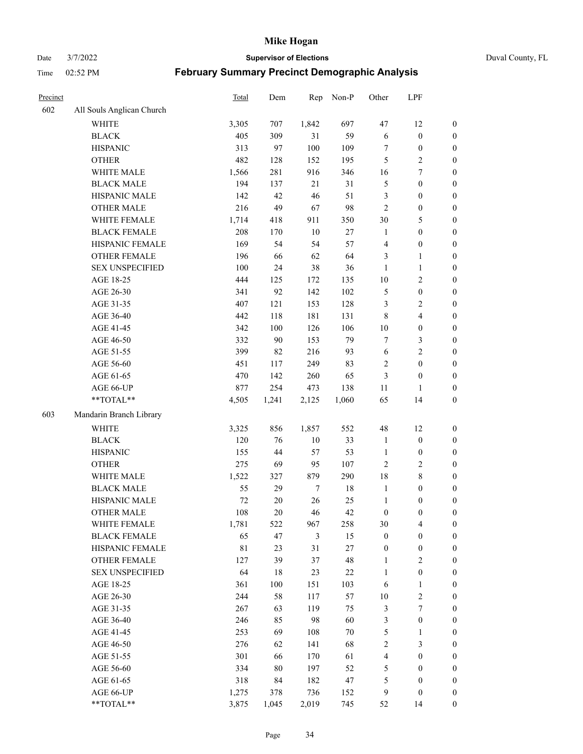Date 3/7/2022 **Supervisor of Elections** Duval County, FL

| Precinct |                           | Total       | Dem    | Rep    | Non-P  | Other            | LPF                     |                  |
|----------|---------------------------|-------------|--------|--------|--------|------------------|-------------------------|------------------|
| 602      | All Souls Anglican Church |             |        |        |        |                  |                         |                  |
|          | WHITE                     | 3,305       | 707    | 1,842  | 697    | 47               | 12                      | 0                |
|          | <b>BLACK</b>              | 405         | 309    | 31     | 59     | 6                | $\boldsymbol{0}$        | 0                |
|          | <b>HISPANIC</b>           | 313         | 97     | 100    | 109    | $\tau$           | $\boldsymbol{0}$        | $\boldsymbol{0}$ |
|          | <b>OTHER</b>              | 482         | 128    | 152    | 195    | 5                | $\sqrt{2}$              | $\boldsymbol{0}$ |
|          | WHITE MALE                | 1,566       | 281    | 916    | 346    | 16               | $\tau$                  | $\boldsymbol{0}$ |
|          | <b>BLACK MALE</b>         | 194         | 137    | 21     | 31     | 5                | $\boldsymbol{0}$        | $\boldsymbol{0}$ |
|          | HISPANIC MALE             | 142         | 42     | 46     | 51     | 3                | $\boldsymbol{0}$        | $\boldsymbol{0}$ |
|          | <b>OTHER MALE</b>         | 216         | 49     | 67     | 98     | $\mathfrak{2}$   | $\boldsymbol{0}$        | $\boldsymbol{0}$ |
|          | WHITE FEMALE              | 1,714       | 418    | 911    | 350    | 30               | $\mathfrak{S}$          | $\boldsymbol{0}$ |
|          | <b>BLACK FEMALE</b>       | 208         | 170    | 10     | 27     | $\mathbf{1}$     | $\boldsymbol{0}$        | 0                |
|          | HISPANIC FEMALE           | 169         | 54     | 54     | 57     | 4                | $\boldsymbol{0}$        | 0                |
|          | OTHER FEMALE              | 196         | 66     | 62     | 64     | 3                | $\mathbf{1}$            | $\boldsymbol{0}$ |
|          | <b>SEX UNSPECIFIED</b>    | 100         | 24     | 38     | 36     | $\mathbf{1}$     | $\mathbf{1}$            | $\boldsymbol{0}$ |
|          | AGE 18-25                 | 444         | 125    | 172    | 135    | $10\,$           | $\sqrt{2}$              | $\boldsymbol{0}$ |
|          | AGE 26-30                 | 341         | 92     | 142    | 102    | 5                | $\boldsymbol{0}$        | $\boldsymbol{0}$ |
|          | AGE 31-35                 | 407         | 121    | 153    | 128    | 3                | $\sqrt{2}$              | $\boldsymbol{0}$ |
|          | AGE 36-40                 | 442         | 118    | 181    | 131    | $\,$ 8 $\,$      | $\overline{\mathbf{4}}$ | $\boldsymbol{0}$ |
|          | AGE 41-45                 | 342         | 100    | 126    | 106    | $10\,$           | $\boldsymbol{0}$        | $\boldsymbol{0}$ |
|          | AGE 46-50                 | 332         | 90     | 153    | 79     | 7                | $\mathfrak{Z}$          | $\boldsymbol{0}$ |
|          | AGE 51-55                 | 399         | 82     | 216    | 93     | 6                | $\sqrt{2}$              | $\boldsymbol{0}$ |
|          | AGE 56-60                 | 451         | 117    | 249    | 83     | $\sqrt{2}$       | $\boldsymbol{0}$        | 0                |
|          | AGE 61-65                 | 470         | 142    | 260    | 65     | $\mathfrak{Z}$   | $\boldsymbol{0}$        | $\boldsymbol{0}$ |
|          | AGE 66-UP                 | 877         | 254    | 473    | 138    | 11               | $\mathbf{1}$            | $\boldsymbol{0}$ |
|          | **TOTAL**                 | 4,505       | 1,241  | 2,125  | 1,060  | 65               | 14                      | $\boldsymbol{0}$ |
| 603      | Mandarin Branch Library   |             |        |        |        |                  |                         |                  |
|          | WHITE                     | 3,325       | 856    | 1,857  | 552    | 48               | 12                      | $\boldsymbol{0}$ |
|          | <b>BLACK</b>              | 120         | 76     | 10     | 33     | $\mathbf{1}$     | $\boldsymbol{0}$        | $\boldsymbol{0}$ |
|          | <b>HISPANIC</b>           | 155         | 44     | 57     | 53     | $\mathbf{1}$     | $\boldsymbol{0}$        | $\boldsymbol{0}$ |
|          | <b>OTHER</b>              | 275         | 69     | 95     | 107    | $\overline{c}$   | $\sqrt{2}$              | $\boldsymbol{0}$ |
|          | WHITE MALE                | 1,522       | 327    | 879    | 290    | 18               | $8\,$                   | $\boldsymbol{0}$ |
|          | <b>BLACK MALE</b>         | 55          | 29     | $\tau$ | $18\,$ | $\mathbf{1}$     | $\boldsymbol{0}$        | $\boldsymbol{0}$ |
|          | HISPANIC MALE             | $72\,$      | $20\,$ | 26     | 25     | $\mathbf{1}$     | $\boldsymbol{0}$        | $\boldsymbol{0}$ |
|          | <b>OTHER MALE</b>         | 108         | 20     | 46     | 42     | $\boldsymbol{0}$ | $\boldsymbol{0}$        | $\boldsymbol{0}$ |
|          | WHITE FEMALE              | 1,781       | 522    | 967    | 258    | 30               | 4                       | 0                |
|          | <b>BLACK FEMALE</b>       | 65          | 47     | 3      | 15     | $\boldsymbol{0}$ | $\boldsymbol{0}$        | $\boldsymbol{0}$ |
|          | HISPANIC FEMALE           | $8\sqrt{1}$ | 23     | 31     | 27     | $\boldsymbol{0}$ | $\boldsymbol{0}$        | $\overline{0}$   |
|          | OTHER FEMALE              | 127         | 39     | 37     | 48     | $\mathbf{1}$     | $\sqrt{2}$              | $\overline{0}$   |
|          | <b>SEX UNSPECIFIED</b>    | 64          | 18     | 23     | 22     | $\mathbf{1}$     | $\boldsymbol{0}$        | 0                |
|          | AGE 18-25                 | 361         | 100    | 151    | 103    | 6                | $\mathbf{1}$            | 0                |
|          | AGE 26-30                 | 244         | 58     | 117    | 57     | $10\,$           | $\overline{2}$          | 0                |
|          | AGE 31-35                 | 267         | 63     | 119    | 75     | 3                | $\boldsymbol{7}$        | 0                |
|          | AGE 36-40                 | 246         | 85     | 98     | 60     | 3                | $\boldsymbol{0}$        | 0                |
|          | AGE 41-45                 | 253         | 69     | 108    | $70\,$ | 5                | $\mathbf{1}$            | 0                |
|          | AGE 46-50                 | 276         | 62     | 141    | 68     | 2                | $\mathfrak{Z}$          | 0                |
|          | AGE 51-55                 | 301         | 66     | 170    | 61     | $\overline{4}$   | $\boldsymbol{0}$        | $\boldsymbol{0}$ |
|          | AGE 56-60                 | 334         | $80\,$ | 197    | 52     | 5                | $\boldsymbol{0}$        | $\boldsymbol{0}$ |
|          | AGE 61-65                 | 318         | 84     | 182    | 47     | 5                | $\boldsymbol{0}$        | $\overline{0}$   |
|          | AGE 66-UP                 | 1,275       | 378    | 736    | 152    | 9                | $\boldsymbol{0}$        | $\boldsymbol{0}$ |
|          | **TOTAL**                 | 3,875       | 1,045  | 2,019  | 745    | 52               | 14                      | $\boldsymbol{0}$ |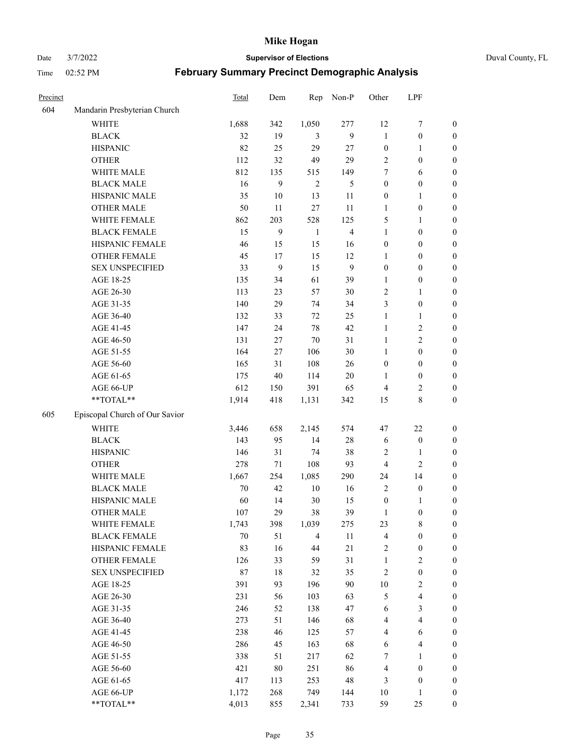Date 3/7/2022 **Supervisor of Elections** Duval County, FL

| Precinct |                                | Total  | Dem    | Rep            | Non-P          | Other                   | LPF                     |                  |
|----------|--------------------------------|--------|--------|----------------|----------------|-------------------------|-------------------------|------------------|
| 604      | Mandarin Presbyterian Church   |        |        |                |                |                         |                         |                  |
|          | <b>WHITE</b>                   | 1,688  | 342    | 1,050          | 277            | 12                      | $\boldsymbol{7}$        | 0                |
|          | <b>BLACK</b>                   | 32     | 19     | 3              | 9              | $\mathbf{1}$            | $\boldsymbol{0}$        | $\boldsymbol{0}$ |
|          | <b>HISPANIC</b>                | 82     | 25     | 29             | 27             | $\boldsymbol{0}$        | $\mathbf{1}$            | $\boldsymbol{0}$ |
|          | <b>OTHER</b>                   | 112    | 32     | 49             | 29             | $\mathbf{2}$            | $\boldsymbol{0}$        | $\boldsymbol{0}$ |
|          | WHITE MALE                     | 812    | 135    | 515            | 149            | 7                       | 6                       | $\boldsymbol{0}$ |
|          | <b>BLACK MALE</b>              | 16     | 9      | $\mathfrak{2}$ | 5              | $\boldsymbol{0}$        | $\boldsymbol{0}$        | $\boldsymbol{0}$ |
|          | HISPANIC MALE                  | 35     | $10\,$ | 13             | 11             | $\boldsymbol{0}$        | $\mathbf{1}$            | $\boldsymbol{0}$ |
|          | <b>OTHER MALE</b>              | 50     | 11     | 27             | 11             | $\mathbf{1}$            | $\boldsymbol{0}$        | $\boldsymbol{0}$ |
|          | WHITE FEMALE                   | 862    | 203    | 528            | 125            | 5                       | $\mathbf{1}$            | $\boldsymbol{0}$ |
|          | <b>BLACK FEMALE</b>            | 15     | 9      | $\mathbf{1}$   | $\overline{4}$ | $\mathbf{1}$            | $\boldsymbol{0}$        | 0                |
|          | HISPANIC FEMALE                | 46     | 15     | 15             | 16             | $\boldsymbol{0}$        | $\boldsymbol{0}$        | 0                |
|          | OTHER FEMALE                   | 45     | 17     | 15             | 12             | $\mathbf{1}$            | $\boldsymbol{0}$        | 0                |
|          | <b>SEX UNSPECIFIED</b>         | 33     | 9      | 15             | 9              | $\boldsymbol{0}$        | $\boldsymbol{0}$        | $\boldsymbol{0}$ |
|          | AGE 18-25                      | 135    | 34     | 61             | 39             | 1                       | $\boldsymbol{0}$        | $\boldsymbol{0}$ |
|          | AGE 26-30                      | 113    | 23     | 57             | 30             | $\overline{c}$          | $\mathbf{1}$            | $\boldsymbol{0}$ |
|          | AGE 31-35                      | 140    | 29     | 74             | 34             | 3                       | $\boldsymbol{0}$        | $\boldsymbol{0}$ |
|          | AGE 36-40                      | 132    | 33     | 72             | 25             | $\mathbf{1}$            | $\mathbf{1}$            | $\boldsymbol{0}$ |
|          | AGE 41-45                      | 147    | 24     | 78             | 42             | $\mathbf{1}$            | $\sqrt{2}$              | $\boldsymbol{0}$ |
|          | AGE 46-50                      | 131    | 27     | $70\,$         | 31             | $\mathbf{1}$            | $\overline{2}$          | $\boldsymbol{0}$ |
|          | AGE 51-55                      | 164    | 27     | 106            | 30             | $\mathbf{1}$            | $\boldsymbol{0}$        | $\boldsymbol{0}$ |
|          | AGE 56-60                      | 165    | 31     | 108            | 26             | $\boldsymbol{0}$        | $\boldsymbol{0}$        | 0                |
|          | AGE 61-65                      | 175    | 40     | 114            | $20\,$         | 1                       | $\boldsymbol{0}$        | 0                |
|          | AGE 66-UP                      | 612    | 150    | 391            | 65             | $\overline{4}$          | $\overline{c}$          | 0                |
|          | **TOTAL**                      | 1,914  | 418    | 1,131          | 342            | 15                      | $\,$ 8 $\,$             | $\boldsymbol{0}$ |
| 605      | Episcopal Church of Our Savior |        |        |                |                |                         |                         |                  |
|          | <b>WHITE</b>                   | 3,446  | 658    | 2,145          | 574            | 47                      | $22\,$                  | $\boldsymbol{0}$ |
|          | <b>BLACK</b>                   | 143    | 95     | 14             | $28\,$         | 6                       | $\boldsymbol{0}$        | $\boldsymbol{0}$ |
|          | <b>HISPANIC</b>                | 146    | 31     | 74             | 38             | 2                       | $\mathbf{1}$            | $\boldsymbol{0}$ |
|          | <b>OTHER</b>                   | 278    | 71     | 108            | 93             | 4                       | $\mathfrak{2}$          | $\boldsymbol{0}$ |
|          | WHITE MALE                     | 1,667  | 254    | 1,085          | 290            | 24                      | 14                      | $\boldsymbol{0}$ |
|          | <b>BLACK MALE</b>              | $70\,$ | 42     | $10\,$         | 16             | $\mathfrak{2}$          | $\boldsymbol{0}$        | $\boldsymbol{0}$ |
|          | HISPANIC MALE                  | 60     | 14     | 30             | 15             | $\boldsymbol{0}$        | 1                       | 0                |
|          | <b>OTHER MALE</b>              | 107    | 29     | 38             | 39             | $\mathbf{1}$            | $\boldsymbol{0}$        | $\boldsymbol{0}$ |
|          | WHITE FEMALE                   | 1,743  | 398    | 1,039          | 275            | 23                      | 8                       | 0                |
|          | <b>BLACK FEMALE</b>            | 70     | 51     | $\overline{4}$ | 11             | $\overline{\mathbf{4}}$ | $\boldsymbol{0}$        | $\boldsymbol{0}$ |
|          | HISPANIC FEMALE                | 83     | 16     | 44             | 21             | $\sqrt{2}$              | $\boldsymbol{0}$        | $\overline{0}$   |
|          | OTHER FEMALE                   | 126    | 33     | 59             | 31             | $\mathbf{1}$            | $\sqrt{2}$              | $\overline{0}$   |
|          | <b>SEX UNSPECIFIED</b>         | 87     | $18\,$ | 32             | 35             | $\sqrt{2}$              | $\boldsymbol{0}$        | 0                |
|          | AGE 18-25                      | 391    | 93     | 196            | 90             | $10\,$                  | $\sqrt{2}$              | 0                |
|          | AGE 26-30                      | 231    | 56     | 103            | 63             | 5                       | $\overline{\mathbf{4}}$ | 0                |
|          | AGE 31-35                      | 246    | 52     | 138            | 47             | 6                       | $\mathfrak{Z}$          | 0                |
|          | AGE 36-40                      | 273    | 51     | 146            | 68             | 4                       | $\overline{\mathbf{4}}$ | 0                |
|          | AGE 41-45                      | 238    | 46     | 125            | 57             | $\overline{4}$          | 6                       | 0                |
|          | AGE 46-50                      | 286    | 45     | 163            | 68             | 6                       | $\overline{\mathbf{4}}$ | 0                |
|          | AGE 51-55                      | 338    | 51     | 217            | 62             | 7                       | $\mathbf{1}$            | $\boldsymbol{0}$ |
|          | AGE 56-60                      | 421    | 80     | 251            | 86             | 4                       | $\boldsymbol{0}$        | $\boldsymbol{0}$ |
|          | AGE 61-65                      | 417    | 113    | 253            | 48             | 3                       | $\boldsymbol{0}$        | $\boldsymbol{0}$ |
|          | AGE 66-UP                      | 1,172  | 268    | 749            | 144            | 10                      | $\mathbf{1}$            | $\boldsymbol{0}$ |
|          | **TOTAL**                      | 4,013  | 855    | 2,341          | 733            | 59                      | 25                      | $\boldsymbol{0}$ |
|          |                                |        |        |                |                |                         |                         |                  |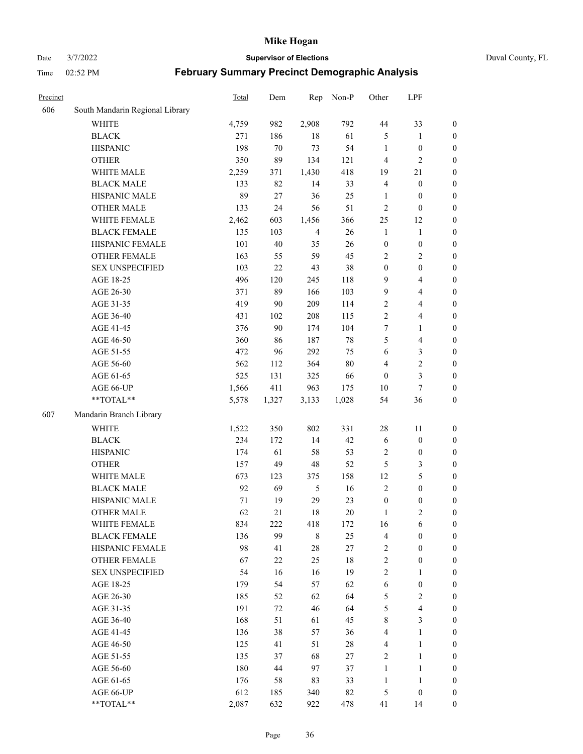#### Date 3/7/2022 **Supervisor of Elections** Duval County, FL

| Precinct |                                 | Total | Dem   | Rep            | Non-P  | Other            | LPF                     |                  |
|----------|---------------------------------|-------|-------|----------------|--------|------------------|-------------------------|------------------|
| 606      | South Mandarin Regional Library |       |       |                |        |                  |                         |                  |
|          | <b>WHITE</b>                    | 4,759 | 982   | 2,908          | 792    | 44               | 33                      | 0                |
|          | <b>BLACK</b>                    | 271   | 186   | 18             | 61     | 5                | $\mathbf{1}$            | $\boldsymbol{0}$ |
|          | <b>HISPANIC</b>                 | 198   | 70    | 73             | 54     | $\mathbf{1}$     | $\boldsymbol{0}$        | $\boldsymbol{0}$ |
|          | <b>OTHER</b>                    | 350   | 89    | 134            | 121    | 4                | $\mathbf{2}$            | $\boldsymbol{0}$ |
|          | WHITE MALE                      | 2,259 | 371   | 1,430          | 418    | 19               | 21                      | $\boldsymbol{0}$ |
|          | <b>BLACK MALE</b>               | 133   | 82    | 14             | 33     | 4                | $\boldsymbol{0}$        | $\boldsymbol{0}$ |
|          | HISPANIC MALE                   | 89    | 27    | 36             | 25     | $\mathbf{1}$     | $\boldsymbol{0}$        | $\boldsymbol{0}$ |
|          | <b>OTHER MALE</b>               | 133   | 24    | 56             | 51     | $\overline{c}$   | $\boldsymbol{0}$        | $\boldsymbol{0}$ |
|          | WHITE FEMALE                    | 2,462 | 603   | 1,456          | 366    | 25               | 12                      | $\boldsymbol{0}$ |
|          | <b>BLACK FEMALE</b>             | 135   | 103   | $\overline{4}$ | 26     | $\mathbf{1}$     | $\mathbf{1}$            | $\boldsymbol{0}$ |
|          | HISPANIC FEMALE                 | 101   | 40    | 35             | 26     | $\boldsymbol{0}$ | $\boldsymbol{0}$        | 0                |
|          | <b>OTHER FEMALE</b>             | 163   | 55    | 59             | 45     | $\mathbf{2}$     | $\sqrt{2}$              | $\boldsymbol{0}$ |
|          | <b>SEX UNSPECIFIED</b>          | 103   | 22    | 43             | 38     | $\boldsymbol{0}$ | $\boldsymbol{0}$        | $\boldsymbol{0}$ |
|          | AGE 18-25                       | 496   | 120   | 245            | 118    | 9                | $\overline{\mathbf{4}}$ | $\boldsymbol{0}$ |
|          | AGE 26-30                       | 371   | 89    | 166            | 103    | 9                | $\overline{\mathbf{4}}$ | $\boldsymbol{0}$ |
|          | AGE 31-35                       | 419   | 90    | 209            | 114    | $\sqrt{2}$       | $\overline{\mathbf{4}}$ | $\boldsymbol{0}$ |
|          | AGE 36-40                       | 431   | 102   | 208            | 115    | $\overline{c}$   | $\overline{\mathbf{4}}$ | $\boldsymbol{0}$ |
|          | AGE 41-45                       | 376   | 90    | 174            | 104    | 7                | $\mathbf{1}$            | $\boldsymbol{0}$ |
|          | AGE 46-50                       | 360   | 86    | 187            | $78\,$ | 5                | $\overline{\mathbf{4}}$ | $\boldsymbol{0}$ |
|          | AGE 51-55                       | 472   | 96    | 292            | 75     | 6                | $\mathfrak{Z}$          | $\boldsymbol{0}$ |
|          | AGE 56-60                       | 562   | 112   | 364            | 80     | 4                | $\sqrt{2}$              | 0                |
|          | AGE 61-65                       | 525   | 131   | 325            | 66     | $\boldsymbol{0}$ | $\mathfrak{Z}$          | $\boldsymbol{0}$ |
|          | AGE 66-UP                       | 1,566 | 411   | 963            | 175    | 10               | $\tau$                  | $\boldsymbol{0}$ |
|          | $**TOTAL**$                     | 5,578 | 1,327 | 3,133          | 1,028  | 54               | 36                      | $\boldsymbol{0}$ |
| 607      | Mandarin Branch Library         |       |       |                |        |                  |                         |                  |
|          | <b>WHITE</b>                    | 1,522 | 350   | 802            | 331    | 28               | 11                      | $\boldsymbol{0}$ |
|          | <b>BLACK</b>                    | 234   | 172   | 14             | 42     | 6                | $\boldsymbol{0}$        | $\boldsymbol{0}$ |
|          | <b>HISPANIC</b>                 | 174   | 61    | 58             | 53     | 2                | $\boldsymbol{0}$        | $\boldsymbol{0}$ |
|          | <b>OTHER</b>                    | 157   | 49    | $48\,$         | 52     | 5                | $\mathfrak{Z}$          | $\boldsymbol{0}$ |
|          | WHITE MALE                      | 673   | 123   | 375            | 158    | 12               | $\mathfrak{S}$          | $\boldsymbol{0}$ |
|          | <b>BLACK MALE</b>               | 92    | 69    | $\sqrt{5}$     | 16     | $\mathfrak{2}$   | $\boldsymbol{0}$        | $\boldsymbol{0}$ |
|          | HISPANIC MALE                   | 71    | 19    | 29             | 23     | $\boldsymbol{0}$ | $\boldsymbol{0}$        | $\boldsymbol{0}$ |
|          | <b>OTHER MALE</b>               | 62    | 21    | 18             | 20     | $\mathbf{1}$     | $\mathfrak{2}$          | $\boldsymbol{0}$ |
|          | WHITE FEMALE                    | 834   | 222   | 418            | 172    | 16               | 6                       | 0                |
|          | <b>BLACK FEMALE</b>             | 136   | 99    | $\,$ 8 $\,$    | 25     | 4                | $\boldsymbol{0}$        | $\overline{0}$   |
|          | HISPANIC FEMALE                 | 98    | 41    | $28\,$         | 27     | $\overline{c}$   | $\boldsymbol{0}$        | $\overline{0}$   |
|          | OTHER FEMALE                    | 67    | 22    | 25             | $18\,$ | $\overline{c}$   | $\boldsymbol{0}$        | $\overline{0}$   |
|          | <b>SEX UNSPECIFIED</b>          | 54    | 16    | 16             | 19     | 2                | $\mathbf{1}$            | 0                |
|          | AGE 18-25                       | 179   | 54    | 57             | 62     | $\sqrt{6}$       | $\boldsymbol{0}$        | 0                |
|          | AGE 26-30                       | 185   | 52    | 62             | 64     | 5                | $\overline{2}$          | 0                |
|          | AGE 31-35                       | 191   | 72    | 46             | 64     | 5                | $\overline{4}$          | 0                |
|          | AGE 36-40                       | 168   | 51    | 61             | 45     | 8                | $\mathfrak{Z}$          | 0                |
|          | AGE 41-45                       | 136   | 38    | 57             | 36     | $\overline{4}$   | $\mathbf{1}$            | 0                |
|          | AGE 46-50                       | 125   | 41    | 51             | $28\,$ | 4                | $\mathbf{1}$            | 0                |
|          | AGE 51-55                       | 135   | 37    | 68             | 27     | $\overline{c}$   | $\mathbf{1}$            | 0                |
|          | AGE 56-60                       | 180   | 44    | 97             | 37     | 1                | $\mathbf{1}$            | 0                |
|          | AGE 61-65                       | 176   | 58    | 83             | 33     | $\mathbf{1}$     | $\mathbf{1}$            | 0                |
|          | AGE 66-UP                       | 612   | 185   | 340            | 82     | 5                | $\boldsymbol{0}$        | 0                |
|          | **TOTAL**                       | 2,087 | 632   | 922            | 478    | 41               | 14                      | $\boldsymbol{0}$ |
|          |                                 |       |       |                |        |                  |                         |                  |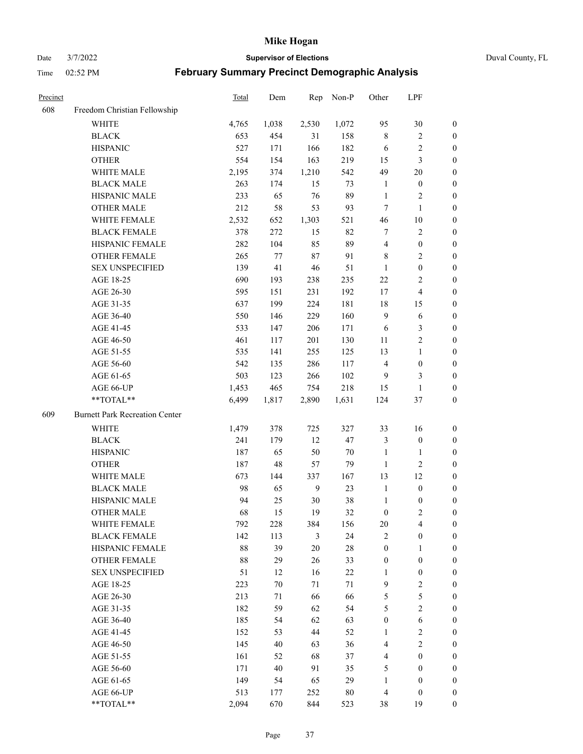Date 3/7/2022 **Supervisor of Elections** Duval County, FL

| Precinct |                                       | <b>Total</b> | Dem   | Rep    | Non-P  | Other            | LPF                     |                  |
|----------|---------------------------------------|--------------|-------|--------|--------|------------------|-------------------------|------------------|
| 608      | Freedom Christian Fellowship          |              |       |        |        |                  |                         |                  |
|          | <b>WHITE</b>                          | 4,765        | 1,038 | 2,530  | 1,072  | 95               | $30\,$                  | $\boldsymbol{0}$ |
|          | <b>BLACK</b>                          | 653          | 454   | 31     | 158    | $\,$ 8 $\,$      | $\sqrt{2}$              | $\boldsymbol{0}$ |
|          | <b>HISPANIC</b>                       | 527          | 171   | 166    | 182    | 6                | $\sqrt{2}$              | $\boldsymbol{0}$ |
|          | <b>OTHER</b>                          | 554          | 154   | 163    | 219    | 15               | $\mathfrak{Z}$          | $\boldsymbol{0}$ |
|          | WHITE MALE                            | 2,195        | 374   | 1,210  | 542    | 49               | $20\,$                  | $\boldsymbol{0}$ |
|          | <b>BLACK MALE</b>                     | 263          | 174   | 15     | 73     | $\mathbf{1}$     | $\boldsymbol{0}$        | $\boldsymbol{0}$ |
|          | HISPANIC MALE                         | 233          | 65    | 76     | 89     | $\mathbf{1}$     | $\sqrt{2}$              | $\boldsymbol{0}$ |
|          | <b>OTHER MALE</b>                     | 212          | 58    | 53     | 93     | $\tau$           | $\mathbf{1}$            | $\boldsymbol{0}$ |
|          | WHITE FEMALE                          | 2,532        | 652   | 1,303  | 521    | 46               | $10\,$                  | $\boldsymbol{0}$ |
|          | <b>BLACK FEMALE</b>                   | 378          | 272   | 15     | 82     | 7                | $\sqrt{2}$              | 0                |
|          | HISPANIC FEMALE                       | 282          | 104   | 85     | 89     | $\overline{4}$   | $\boldsymbol{0}$        | 0                |
|          | OTHER FEMALE                          | 265          | 77    | $87\,$ | 91     | 8                | $\sqrt{2}$              | 0                |
|          | <b>SEX UNSPECIFIED</b>                | 139          | 41    | $46\,$ | 51     | $\mathbf{1}$     | $\boldsymbol{0}$        | $\boldsymbol{0}$ |
|          | AGE 18-25                             | 690          | 193   | 238    | 235    | $22\,$           | $\sqrt{2}$              | $\boldsymbol{0}$ |
|          | AGE 26-30                             | 595          | 151   | 231    | 192    | 17               | $\overline{\mathbf{4}}$ | $\boldsymbol{0}$ |
|          | AGE 31-35                             | 637          | 199   | 224    | 181    | 18               | 15                      | $\boldsymbol{0}$ |
|          | AGE 36-40                             | 550          | 146   | 229    | 160    | $\mathbf{9}$     | 6                       | $\boldsymbol{0}$ |
|          | AGE 41-45                             | 533          | 147   | 206    | 171    | 6                | $\mathfrak{Z}$          | $\boldsymbol{0}$ |
|          | AGE 46-50                             | 461          | 117   | 201    | 130    | 11               | $\overline{2}$          | $\boldsymbol{0}$ |
|          | AGE 51-55                             | 535          | 141   | 255    | 125    | 13               | $\mathbf{1}$            | $\boldsymbol{0}$ |
|          | AGE 56-60                             | 542          | 135   | 286    | 117    | $\overline{4}$   | $\boldsymbol{0}$        | 0                |
|          | AGE 61-65                             | 503          | 123   | 266    | 102    | 9                | 3                       | 0                |
|          | AGE 66-UP                             | 1,453        | 465   | 754    | 218    | 15               | $\mathbf{1}$            | $\boldsymbol{0}$ |
|          | **TOTAL**                             | 6,499        | 1,817 | 2,890  | 1,631  | 124              | $37\,$                  | $\boldsymbol{0}$ |
| 609      | <b>Burnett Park Recreation Center</b> |              |       |        |        |                  |                         |                  |
|          | <b>WHITE</b>                          | 1,479        | 378   | 725    | 327    | 33               | 16                      | $\boldsymbol{0}$ |
|          | <b>BLACK</b>                          | 241          | 179   | 12     | 47     | 3                | $\boldsymbol{0}$        | $\boldsymbol{0}$ |
|          | <b>HISPANIC</b>                       | 187          | 65    | 50     | 70     | $\mathbf{1}$     | $\mathbf{1}$            | $\boldsymbol{0}$ |
|          | <b>OTHER</b>                          | 187          | 48    | 57     | 79     | $\mathbf{1}$     | $\sqrt{2}$              | $\boldsymbol{0}$ |
|          | WHITE MALE                            | 673          | 144   | 337    | 167    | 13               | 12                      | $\boldsymbol{0}$ |
|          | <b>BLACK MALE</b>                     | 98           | 65    | 9      | 23     | $\mathbf{1}$     | $\boldsymbol{0}$        | $\boldsymbol{0}$ |
|          | HISPANIC MALE                         | 94           | 25    | $30\,$ | 38     | $\mathbf{1}$     | $\boldsymbol{0}$        | 0                |
|          | <b>OTHER MALE</b>                     | 68           | 15    | 19     | 32     | $\boldsymbol{0}$ | $\mathbf{2}$            | 0                |
|          | WHITE FEMALE                          | 792          | 228   | 384    | 156    | 20               | 4                       | 0                |
|          | <b>BLACK FEMALE</b>                   | 142          | 113   | 3      | 24     | $\mathbf{2}$     | $\boldsymbol{0}$        | $\boldsymbol{0}$ |
|          | HISPANIC FEMALE                       | 88           | 39    | $20\,$ | $28\,$ | $\boldsymbol{0}$ | $\mathbf{1}$            | $\overline{0}$   |
|          | <b>OTHER FEMALE</b>                   | 88           | 29    | 26     | 33     | $\boldsymbol{0}$ | $\boldsymbol{0}$        | $\overline{0}$   |
|          | <b>SEX UNSPECIFIED</b>                | 51           | 12    | 16     | 22     | $\mathbf{1}$     | $\boldsymbol{0}$        | 0                |
|          | AGE 18-25                             | 223          | 70    | 71     | 71     | 9                | $\sqrt{2}$              | 0                |
|          | AGE 26-30                             | 213          | 71    | 66     | 66     | 5                | $\mathfrak s$           | 0                |
|          | AGE 31-35                             | 182          | 59    | 62     | 54     | 5                | $\overline{2}$          | 0                |
|          | AGE 36-40                             | 185          | 54    | 62     | 63     | $\boldsymbol{0}$ | $\sqrt{6}$              | 0                |
|          | AGE 41-45                             | 152          | 53    | 44     | 52     | 1                | $\sqrt{2}$              | 0                |
|          | AGE 46-50                             | 145          | 40    | 63     | 36     | 4                | $\sqrt{2}$              | 0                |
|          | AGE 51-55                             | 161          | 52    | 68     | 37     | $\overline{4}$   | $\boldsymbol{0}$        | $\overline{0}$   |
|          | AGE 56-60                             | 171          | 40    | 91     | 35     | 5                | $\boldsymbol{0}$        | $\overline{0}$   |
|          | AGE 61-65                             | 149          | 54    | 65     | 29     | $\mathbf{1}$     | $\boldsymbol{0}$        | $\overline{0}$   |
|          | AGE 66-UP                             | 513          | 177   | 252    | 80     | $\overline{4}$   | $\boldsymbol{0}$        | 0                |
|          | **TOTAL**                             | 2,094        | 670   | 844    | 523    | 38               | 19                      | $\boldsymbol{0}$ |
|          |                                       |              |       |        |        |                  |                         |                  |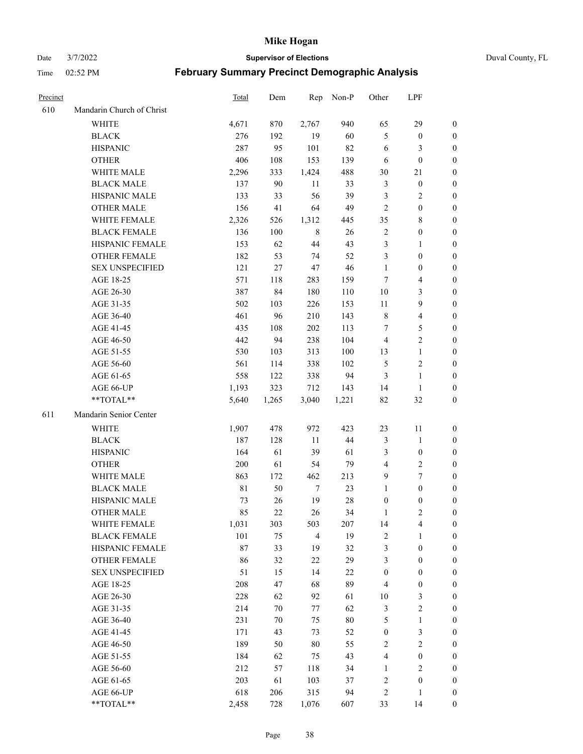Date 3/7/2022 **Supervisor of Elections** Duval County, FL

| Precinct |                           | Total       | Dem    | Rep            | Non-P  | Other            | LPF                     |                  |
|----------|---------------------------|-------------|--------|----------------|--------|------------------|-------------------------|------------------|
| 610      | Mandarin Church of Christ |             |        |                |        |                  |                         |                  |
|          | <b>WHITE</b>              | 4,671       | 870    | 2,767          | 940    | 65               | 29                      | $\boldsymbol{0}$ |
|          | <b>BLACK</b>              | 276         | 192    | 19             | 60     | 5                | $\boldsymbol{0}$        | 0                |
|          | <b>HISPANIC</b>           | 287         | 95     | 101            | 82     | 6                | 3                       | $\boldsymbol{0}$ |
|          | <b>OTHER</b>              | 406         | 108    | 153            | 139    | 6                | $\boldsymbol{0}$        | $\boldsymbol{0}$ |
|          | WHITE MALE                | 2,296       | 333    | 1,424          | 488    | 30               | 21                      | $\boldsymbol{0}$ |
|          | <b>BLACK MALE</b>         | 137         | 90     | 11             | 33     | 3                | $\boldsymbol{0}$        | $\boldsymbol{0}$ |
|          | HISPANIC MALE             | 133         | 33     | 56             | 39     | 3                | $\sqrt{2}$              | $\boldsymbol{0}$ |
|          | <b>OTHER MALE</b>         | 156         | 41     | 64             | 49     | $\overline{2}$   | $\boldsymbol{0}$        | $\boldsymbol{0}$ |
|          | WHITE FEMALE              | 2,326       | 526    | 1,312          | 445    | 35               | $\,$ 8 $\,$             | $\boldsymbol{0}$ |
|          | <b>BLACK FEMALE</b>       | 136         | 100    | 8              | 26     | $\sqrt{2}$       | $\boldsymbol{0}$        | 0                |
|          | HISPANIC FEMALE           | 153         | 62     | 44             | 43     | 3                | $\mathbf{1}$            | 0                |
|          | OTHER FEMALE              | 182         | 53     | 74             | 52     | 3                | $\boldsymbol{0}$        | 0                |
|          | <b>SEX UNSPECIFIED</b>    | 121         | 27     | $47\,$         | 46     | $\mathbf{1}$     | $\boldsymbol{0}$        | $\boldsymbol{0}$ |
|          | AGE 18-25                 | 571         | 118    | 283            | 159    | 7                | $\overline{\mathbf{4}}$ | $\boldsymbol{0}$ |
|          | AGE 26-30                 | 387         | 84     | 180            | 110    | 10               | $\mathfrak{Z}$          | $\boldsymbol{0}$ |
|          | AGE 31-35                 | 502         | 103    | 226            | 153    | 11               | $\boldsymbol{9}$        | $\boldsymbol{0}$ |
|          | AGE 36-40                 | 461         | 96     | 210            | 143    | $\,$ 8 $\,$      | $\overline{4}$          | $\boldsymbol{0}$ |
|          | AGE 41-45                 | 435         | 108    | 202            | 113    | 7                | 5                       | $\boldsymbol{0}$ |
|          | AGE 46-50                 | 442         | 94     | 238            | 104    | $\overline{4}$   | $\overline{2}$          | $\boldsymbol{0}$ |
|          | AGE 51-55                 | 530         | 103    | 313            | 100    | 13               | $\mathbf{1}$            | 0                |
|          | AGE 56-60                 | 561         | 114    | 338            | 102    | 5                | $\sqrt{2}$              | 0                |
|          | AGE 61-65                 | 558         | 122    | 338            | 94     | $\mathfrak{Z}$   | $\mathbf{1}$            | 0                |
|          | AGE 66-UP                 | 1,193       | 323    | 712            | 143    | 14               | $\mathbf{1}$            | 0                |
|          | **TOTAL**                 | 5,640       | 1,265  | 3,040          | 1,221  | 82               | $32\,$                  | $\boldsymbol{0}$ |
| 611      | Mandarin Senior Center    |             |        |                |        |                  |                         |                  |
|          |                           |             |        |                | 423    |                  |                         |                  |
|          | <b>WHITE</b>              | 1,907       | 478    | 972            |        | 23               | 11                      | $\boldsymbol{0}$ |
|          | <b>BLACK</b>              | 187         | 128    | 11             | 44     | 3                | $\mathbf{1}$            | $\boldsymbol{0}$ |
|          | <b>HISPANIC</b>           | 164         | 61     | 39             | 61     | 3                | $\boldsymbol{0}$        | $\boldsymbol{0}$ |
|          | <b>OTHER</b>              | 200         | 61     | 54             | 79     | 4                | $\sqrt{2}$              | $\boldsymbol{0}$ |
|          | WHITE MALE                | 863         | 172    | 462            | 213    | 9                | $\tau$                  | $\boldsymbol{0}$ |
|          | <b>BLACK MALE</b>         | $8\sqrt{1}$ | 50     | $\tau$         | 23     | $\mathbf{1}$     | $\mathbf{0}$            | $\boldsymbol{0}$ |
|          | HISPANIC MALE             | 73          | 26     | 19             | $28\,$ | $\boldsymbol{0}$ | $\boldsymbol{0}$        | 0                |
|          | <b>OTHER MALE</b>         | 85          | 22     | 26             | 34     | 1                | $\mathbf{2}$            | 0                |
|          | WHITE FEMALE              | 1,031       | 303    | 503            | 207    | 14               | 4                       | 0                |
|          | <b>BLACK FEMALE</b>       | 101         | 75     | $\overline{4}$ | 19     | $\sqrt{2}$       | $\mathbf{1}$            | $\boldsymbol{0}$ |
|          | HISPANIC FEMALE           | 87          | 33     | 19             | 32     | 3                | $\boldsymbol{0}$        | $\overline{0}$   |
|          | OTHER FEMALE              | 86          | 32     | $22\,$         | 29     | 3                | $\boldsymbol{0}$        | $\overline{0}$   |
|          | <b>SEX UNSPECIFIED</b>    | 51          | 15     | 14             | 22     | $\boldsymbol{0}$ | $\boldsymbol{0}$        | 0                |
|          | AGE 18-25                 | 208         | 47     | 68             | 89     | 4                | $\boldsymbol{0}$        | 0                |
|          | AGE 26-30                 | 228         | 62     | 92             | 61     | $10\,$           | $\mathfrak{Z}$          | 0                |
|          | AGE 31-35                 | 214         | $70\,$ | 77             | 62     | 3                | $\sqrt{2}$              | 0                |
|          | AGE 36-40                 | 231         | $70\,$ | 75             | $80\,$ | 5                | $\mathbf{1}$            | 0                |
|          | AGE 41-45                 | 171         | 43     | 73             | 52     | $\boldsymbol{0}$ | $\mathfrak{Z}$          | 0                |
|          | AGE 46-50                 | 189         | 50     | $80\,$         | 55     | $\overline{c}$   | $\sqrt{2}$              | 0                |
|          | AGE 51-55                 | 184         | 62     | 75             | 43     | $\overline{4}$   | $\boldsymbol{0}$        | 0                |
|          | AGE 56-60                 | 212         | 57     | 118            | 34     | 1                | $\mathfrak{2}$          | 0                |
|          | AGE 61-65                 | 203         | 61     | 103            | 37     | 2                | $\boldsymbol{0}$        | $\overline{0}$   |
|          | AGE 66-UP                 | 618         | 206    | 315            | 94     | 2                | $\mathbf{1}$            | $\boldsymbol{0}$ |
|          | **TOTAL**                 | 2,458       | 728    | 1,076          | 607    | 33               | 14                      | $\boldsymbol{0}$ |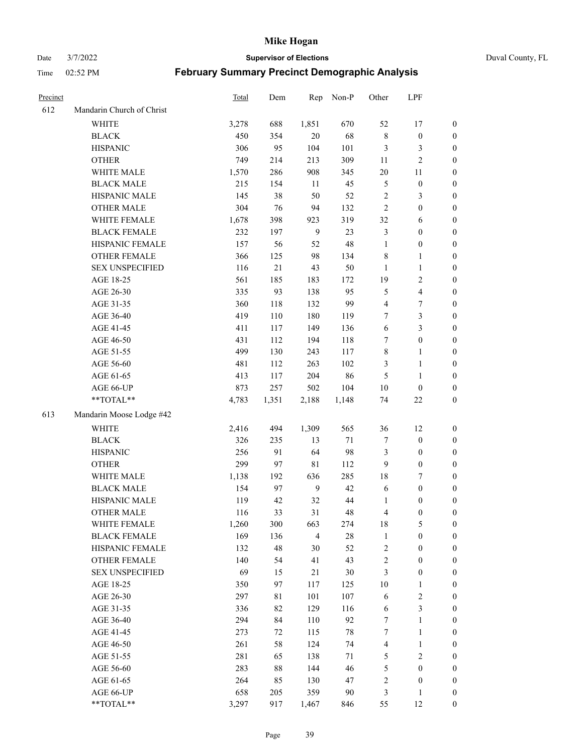Date 3/7/2022 **Supervisor of Elections** Duval County, FL

| Precinct |                           | Total | Dem      | Rep            | Non-P  | Other          | LPF                     |                  |
|----------|---------------------------|-------|----------|----------------|--------|----------------|-------------------------|------------------|
| 612      | Mandarin Church of Christ |       |          |                |        |                |                         |                  |
|          | <b>WHITE</b>              | 3,278 | 688      | 1,851          | 670    | 52             | 17                      | 0                |
|          | <b>BLACK</b>              | 450   | 354      | $20\,$         | 68     | $\,$ 8 $\,$    | $\boldsymbol{0}$        | $\boldsymbol{0}$ |
|          | <b>HISPANIC</b>           | 306   | 95       | 104            | 101    | 3              | 3                       | $\boldsymbol{0}$ |
|          | <b>OTHER</b>              | 749   | 214      | 213            | 309    | 11             | $\sqrt{2}$              | $\boldsymbol{0}$ |
|          | WHITE MALE                | 1,570 | 286      | 908            | 345    | $20\,$         | 11                      | $\boldsymbol{0}$ |
|          | <b>BLACK MALE</b>         | 215   | 154      | 11             | 45     | 5              | $\boldsymbol{0}$        | $\boldsymbol{0}$ |
|          | HISPANIC MALE             | 145   | 38       | 50             | 52     | 2              | $\mathfrak{Z}$          | $\boldsymbol{0}$ |
|          | <b>OTHER MALE</b>         | 304   | 76       | 94             | 132    | $\overline{2}$ | $\boldsymbol{0}$        | $\boldsymbol{0}$ |
|          | WHITE FEMALE              | 1,678 | 398      | 923            | 319    | 32             | 6                       | $\boldsymbol{0}$ |
|          | <b>BLACK FEMALE</b>       | 232   | 197      | 9              | 23     | 3              | $\boldsymbol{0}$        | 0                |
|          | HISPANIC FEMALE           | 157   | 56       | 52             | 48     | $\mathbf{1}$   | $\boldsymbol{0}$        | 0                |
|          | OTHER FEMALE              | 366   | 125      | 98             | 134    | $\,$ 8 $\,$    | $\mathbf{1}$            | 0                |
|          | <b>SEX UNSPECIFIED</b>    | 116   | 21       | 43             | 50     | $\mathbf{1}$   | $\mathbf{1}$            | $\boldsymbol{0}$ |
|          | AGE 18-25                 | 561   | 185      | 183            | 172    | 19             | $\sqrt{2}$              | $\boldsymbol{0}$ |
|          | AGE 26-30                 | 335   | 93       | 138            | 95     | 5              | $\overline{\mathbf{4}}$ | $\boldsymbol{0}$ |
|          | AGE 31-35                 | 360   | 118      | 132            | 99     | 4              | $\boldsymbol{7}$        | $\boldsymbol{0}$ |
|          | AGE 36-40                 | 419   | 110      | 180            | 119    | 7              | $\mathfrak{Z}$          | $\boldsymbol{0}$ |
|          | AGE 41-45                 | 411   | 117      | 149            | 136    | $\sqrt{6}$     | $\mathfrak{Z}$          | $\boldsymbol{0}$ |
|          | AGE 46-50                 | 431   | 112      | 194            | 118    | 7              | $\boldsymbol{0}$        | $\boldsymbol{0}$ |
|          | AGE 51-55                 | 499   | 130      | 243            | 117    | 8              | $\mathbf{1}$            | 0                |
|          | AGE 56-60                 | 481   | 112      | 263            | 102    | 3              | $\mathbf{1}$            | 0                |
|          | AGE 61-65                 | 413   | 117      | 204            | 86     | 5              | $\mathbf{1}$            | 0                |
|          | AGE 66-UP                 | 873   | 257      | 502            | 104    | $10\,$         | $\boldsymbol{0}$        | $\boldsymbol{0}$ |
|          | $**TOTAL**$               | 4,783 | 1,351    | 2,188          | 1,148  | 74             | $22\,$                  | $\boldsymbol{0}$ |
| 613      | Mandarin Moose Lodge #42  |       |          |                |        |                |                         |                  |
|          | <b>WHITE</b>              | 2,416 | 494      | 1,309          | 565    | 36             | 12                      | $\boldsymbol{0}$ |
|          | <b>BLACK</b>              | 326   | 235      | 13             | $71\,$ | 7              | $\boldsymbol{0}$        | $\boldsymbol{0}$ |
|          | <b>HISPANIC</b>           | 256   | 91       | 64             | 98     | 3              | $\boldsymbol{0}$        | $\boldsymbol{0}$ |
|          | <b>OTHER</b>              | 299   | 97       | $8\sqrt{1}$    | 112    | 9              | $\boldsymbol{0}$        | $\boldsymbol{0}$ |
|          | WHITE MALE                | 1,138 | 192      | 636            | 285    | 18             | $\boldsymbol{7}$        | $\boldsymbol{0}$ |
|          | <b>BLACK MALE</b>         | 154   | 97       | 9              | 42     | 6              | $\boldsymbol{0}$        | $\boldsymbol{0}$ |
|          | HISPANIC MALE             | 119   | 42       | 32             | 44     | 1              | $\boldsymbol{0}$        | $\boldsymbol{0}$ |
|          | <b>OTHER MALE</b>         | 116   | 33       | 31             | 48     | 4              | $\boldsymbol{0}$        | $\boldsymbol{0}$ |
|          | WHITE FEMALE              | 1,260 | 300      | 663            | 274    | 18             | 5                       | 0                |
|          | <b>BLACK FEMALE</b>       | 169   | 136      | $\overline{4}$ | $28\,$ | $\mathbf{1}$   | $\boldsymbol{0}$        | $\boldsymbol{0}$ |
|          | HISPANIC FEMALE           | 132   | 48       | 30             | 52     | $\overline{c}$ | $\boldsymbol{0}$        | $\overline{0}$   |
|          | <b>OTHER FEMALE</b>       | 140   | 54       | 41             | 43     | $\overline{c}$ | $\boldsymbol{0}$        | $\overline{0}$   |
|          | <b>SEX UNSPECIFIED</b>    | 69    | 15       | 21             | 30     | 3              | $\boldsymbol{0}$        | 0                |
|          | AGE 18-25                 | 350   | 97       | 117            | 125    | 10             | $\mathbf{1}$            | 0                |
|          | AGE 26-30                 | 297   | 81       | 101            | 107    | 6              | $\sqrt{2}$              | 0                |
|          | AGE 31-35                 | 336   | 82       | 129            | 116    | 6              | $\mathfrak{Z}$          | 0                |
|          | AGE 36-40                 | 294   |          |                | 92     |                | $\mathbf{1}$            |                  |
|          | AGE 41-45                 | 273   | 84<br>72 | 110<br>115     | 78     | 7<br>7         | $\mathbf{1}$            | 0                |
|          |                           |       |          |                |        |                |                         | 0                |
|          | AGE 46-50                 | 261   | 58       | 124            | 74     | 4              | $\mathbf{1}$            | 0                |
|          | AGE 51-55                 | 281   | 65       | 138            | 71     | 5              | $\sqrt{2}$              | 0                |
|          | AGE 56-60                 | 283   | 88       | 144            | 46     | 5              | $\boldsymbol{0}$        | $\overline{0}$   |
|          | AGE 61-65                 | 264   | 85       | 130            | 47     | $\overline{c}$ | $\boldsymbol{0}$        | $\boldsymbol{0}$ |
|          | AGE 66-UP                 | 658   | 205      | 359            | 90     | 3              | $\mathbf{1}$            | $\boldsymbol{0}$ |
|          | **TOTAL**                 | 3,297 | 917      | 1,467          | 846    | 55             | 12                      | $\boldsymbol{0}$ |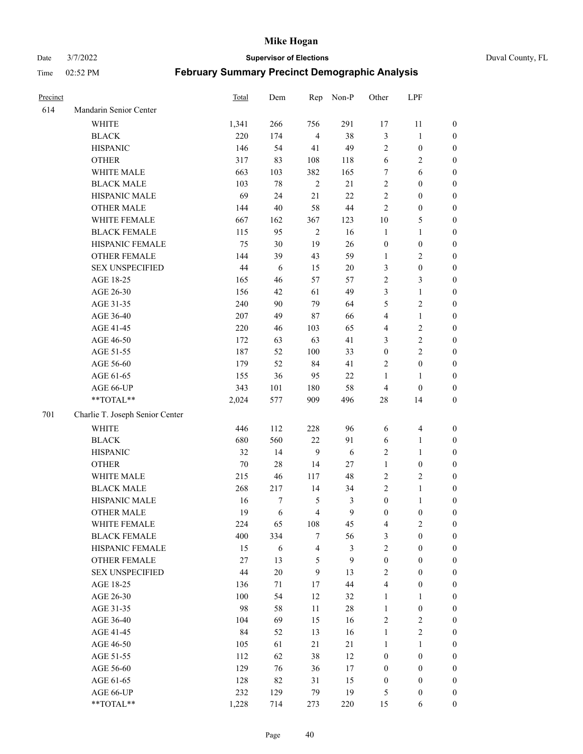Date 3/7/2022 **Supervisor of Elections** Duval County, FL

| Precinct |                                 | Total  | Dem        | Rep            | Non-P   | Other            | LPF                          |                  |
|----------|---------------------------------|--------|------------|----------------|---------|------------------|------------------------------|------------------|
| 614      | Mandarin Senior Center          |        |            |                |         |                  |                              |                  |
|          | WHITE                           | 1,341  | 266        | 756            | 291     | 17               | 11                           | 0                |
|          | <b>BLACK</b>                    | 220    | 174        | $\overline{4}$ | 38      | $\mathfrak{Z}$   | $\mathbf{1}$                 | 0                |
|          | <b>HISPANIC</b>                 | 146    | 54         | 41             | 49      | $\mathbf{2}$     | $\boldsymbol{0}$             | $\boldsymbol{0}$ |
|          | <b>OTHER</b>                    | 317    | 83         | 108            | 118     | 6                | $\sqrt{2}$                   | $\boldsymbol{0}$ |
|          | WHITE MALE                      | 663    | 103        | 382            | 165     | 7                | 6                            | $\boldsymbol{0}$ |
|          | <b>BLACK MALE</b>               | 103    | 78         | $\overline{2}$ | 21      | $\sqrt{2}$       | $\boldsymbol{0}$             | $\boldsymbol{0}$ |
|          | HISPANIC MALE                   | 69     | 24         | $21\,$         | 22      | $\overline{c}$   | $\boldsymbol{0}$             | $\boldsymbol{0}$ |
|          | OTHER MALE                      | 144    | $40\,$     | 58             | $44\,$  | $\mathbf{2}$     | $\boldsymbol{0}$             | $\boldsymbol{0}$ |
|          | WHITE FEMALE                    | 667    | 162        | 367            | 123     | $10\,$           | $\mathfrak{S}$               | $\boldsymbol{0}$ |
|          | <b>BLACK FEMALE</b>             | 115    | 95         | $\sqrt{2}$     | 16      | $\mathbf{1}$     | $\mathbf{1}$                 | $\boldsymbol{0}$ |
|          | HISPANIC FEMALE                 | 75     | 30         | 19             | 26      | $\boldsymbol{0}$ | $\boldsymbol{0}$             | 0                |
|          | <b>OTHER FEMALE</b>             | 144    | 39         | 43             | 59      | $\mathbf{1}$     | $\sqrt{2}$                   | 0                |
|          | <b>SEX UNSPECIFIED</b>          | 44     | $\sqrt{6}$ | 15             | $20\,$  | 3                | $\boldsymbol{0}$             | $\boldsymbol{0}$ |
|          | AGE 18-25                       | 165    | 46         | 57             | 57      | $\overline{c}$   | $\mathfrak{Z}$               | $\boldsymbol{0}$ |
|          | AGE 26-30                       | 156    | 42         | 61             | 49      | 3                | $\mathbf{1}$                 | $\boldsymbol{0}$ |
|          | AGE 31-35                       | 240    | 90         | 79             | 64      | 5                | $\sqrt{2}$                   | $\boldsymbol{0}$ |
|          | AGE 36-40                       | 207    | 49         | 87             | 66      | 4                | $\mathbf{1}$                 | $\boldsymbol{0}$ |
|          | AGE 41-45                       | 220    | 46         | 103            | 65      | 4                | $\sqrt{2}$                   | $\boldsymbol{0}$ |
|          | AGE 46-50                       | 172    | 63         | 63             | 41      | 3                | $\sqrt{2}$                   | $\boldsymbol{0}$ |
|          | AGE 51-55                       | 187    | 52         | 100            | 33      | $\boldsymbol{0}$ | $\sqrt{2}$                   | $\boldsymbol{0}$ |
|          | AGE 56-60                       | 179    | 52         | 84             | 41      | $\overline{c}$   | $\boldsymbol{0}$             | 0                |
|          | AGE 61-65                       | 155    | 36         | 95             | 22      | 1                | $\mathbf{1}$                 | 0                |
|          | AGE 66-UP                       | 343    | 101        | 180            | 58      | $\overline{4}$   | $\boldsymbol{0}$             | $\boldsymbol{0}$ |
|          | $**TOTAL**$                     | 2,024  | 577        | 909            | 496     | $28\,$           | 14                           | $\boldsymbol{0}$ |
| 701      | Charlie T. Joseph Senior Center |        |            |                |         |                  |                              |                  |
|          | <b>WHITE</b>                    | 446    | 112        |                | 96      |                  |                              |                  |
|          |                                 | 680    |            | 228            |         | 6                | $\overline{\mathbf{4}}$      | $\boldsymbol{0}$ |
|          | <b>BLACK</b><br><b>HISPANIC</b> | 32     | 560<br>14  | $22\,$<br>9    | 91<br>6 | 6                | $\mathbf{1}$<br>$\mathbf{1}$ | $\boldsymbol{0}$ |
|          |                                 |        |            |                |         | $\overline{c}$   |                              | $\boldsymbol{0}$ |
|          | <b>OTHER</b>                    | $70\,$ | 28         | 14             | 27      | $\mathbf{1}$     | $\boldsymbol{0}$             | $\boldsymbol{0}$ |
|          | WHITE MALE                      | 215    | 46         | 117            | 48      | $\sqrt{2}$       | $\overline{2}$               | $\boldsymbol{0}$ |
|          | <b>BLACK MALE</b>               | 268    | 217        | 14             | 34      | $\mathbf{2}$     | $\mathbf{1}$                 | $\boldsymbol{0}$ |
|          | HISPANIC MALE                   | 16     | 7          | 5              | 3<br>9  | $\boldsymbol{0}$ | $\mathbf{1}$                 | 0                |
|          | <b>OTHER MALE</b>               | 19     | 6          | $\overline{4}$ |         | $\boldsymbol{0}$ | $\boldsymbol{0}$             | $\boldsymbol{0}$ |
|          | WHITE FEMALE                    | 224    | 65         | 108            | 45      | 4                | 2                            | 0                |
|          | <b>BLACK FEMALE</b>             | 400    | 334        | $\tau$         | 56      | 3                | $\boldsymbol{0}$             | $\boldsymbol{0}$ |
|          | HISPANIC FEMALE                 | 15     | 6          | $\overline{4}$ | 3       | $\overline{c}$   | $\boldsymbol{0}$             | $\overline{0}$   |
|          | OTHER FEMALE                    | 27     | 13         | $\mathfrak{S}$ | 9       | $\boldsymbol{0}$ | $\boldsymbol{0}$             | $\overline{0}$   |
|          | <b>SEX UNSPECIFIED</b>          | 44     | $20\,$     | 9              | 13      | $\overline{c}$   | $\boldsymbol{0}$             | 0                |
|          | AGE 18-25                       | 136    | 71         | 17             | $44\,$  | 4                | $\boldsymbol{0}$             | $\theta$         |
|          | AGE 26-30                       | 100    | 54         | 12             | 32      | $\mathbf{1}$     | $\mathbf{1}$                 | 0                |
|          | AGE 31-35                       | 98     | 58         | $11\,$         | $28\,$  | $\mathbf{1}$     | $\boldsymbol{0}$             | 0                |
|          | AGE 36-40                       | 104    | 69         | 15             | 16      | 2                | $\sqrt{2}$                   | 0                |
|          | AGE 41-45                       | 84     | 52         | 13             | 16      | $\mathbf{1}$     | $\overline{2}$               | 0                |
|          | AGE 46-50                       | 105    | 61         | 21             | 21      | 1                | $\mathbf{1}$                 | 0                |
|          | AGE 51-55                       | 112    | 62         | 38             | 12      | $\boldsymbol{0}$ | $\boldsymbol{0}$             | $\overline{0}$   |
|          | AGE 56-60                       | 129    | 76         | 36             | $17\,$  | $\boldsymbol{0}$ | $\boldsymbol{0}$             | $\overline{0}$   |
|          | AGE 61-65                       | 128    | 82         | 31             | 15      | $\boldsymbol{0}$ | $\boldsymbol{0}$             | $\overline{0}$   |
|          | AGE 66-UP                       | 232    | 129        | 79             | 19      | 5                | $\boldsymbol{0}$             | $\boldsymbol{0}$ |
|          | **TOTAL**                       | 1,228  | 714        | 273            | 220     | 15               | 6                            | $\boldsymbol{0}$ |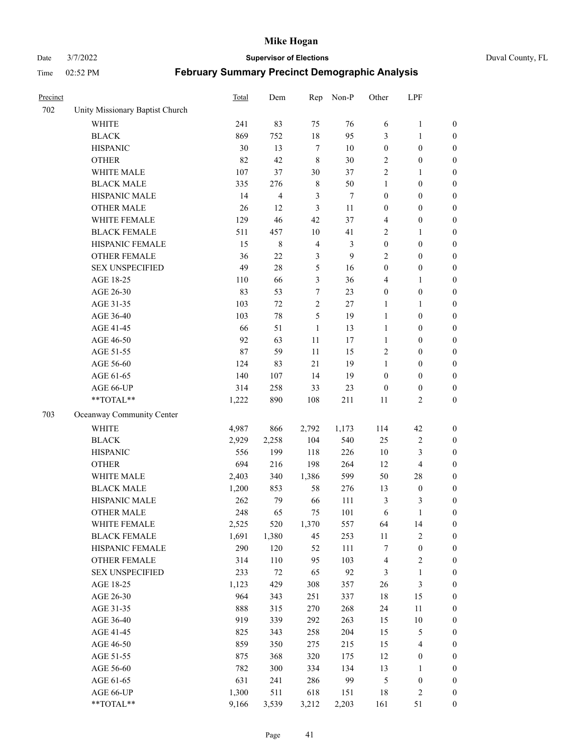Date 3/7/2022 **Supervisor of Elections** Duval County, FL

| Precinct |                                 | <b>Total</b> | Dem    | Rep            | Non-P  | Other            | LPF                     |                  |
|----------|---------------------------------|--------------|--------|----------------|--------|------------------|-------------------------|------------------|
| 702      | Unity Missionary Baptist Church |              |        |                |        |                  |                         |                  |
|          | <b>WHITE</b>                    | 241          | 83     | 75             | 76     | 6                | $\mathbf{1}$            | 0                |
|          | <b>BLACK</b>                    | 869          | 752    | $18\,$         | 95     | 3                | $\mathbf{1}$            | $\boldsymbol{0}$ |
|          | <b>HISPANIC</b>                 | 30           | 13     | $\tau$         | 10     | $\boldsymbol{0}$ | $\boldsymbol{0}$        | $\boldsymbol{0}$ |
|          | <b>OTHER</b>                    | 82           | 42     | $\,8\,$        | 30     | 2                | $\boldsymbol{0}$        | $\boldsymbol{0}$ |
|          | WHITE MALE                      | 107          | 37     | 30             | 37     | 2                | $\mathbf{1}$            | $\boldsymbol{0}$ |
|          | <b>BLACK MALE</b>               | 335          | 276    | $\,$ 8 $\,$    | 50     | $\mathbf{1}$     | $\boldsymbol{0}$        | $\boldsymbol{0}$ |
|          | HISPANIC MALE                   | 14           | 4      | 3              | $\tau$ | $\boldsymbol{0}$ | $\boldsymbol{0}$        | $\boldsymbol{0}$ |
|          | <b>OTHER MALE</b>               | 26           | 12     | 3              | 11     | $\boldsymbol{0}$ | $\boldsymbol{0}$        | $\boldsymbol{0}$ |
|          | WHITE FEMALE                    | 129          | 46     | 42             | 37     | 4                | $\boldsymbol{0}$        | $\boldsymbol{0}$ |
|          | <b>BLACK FEMALE</b>             | 511          | 457    | $10\,$         | 41     | $\sqrt{2}$       | $\mathbf{1}$            | $\boldsymbol{0}$ |
|          | HISPANIC FEMALE                 | 15           | 8      | $\overline{4}$ | 3      | $\boldsymbol{0}$ | $\boldsymbol{0}$        | $\boldsymbol{0}$ |
|          | <b>OTHER FEMALE</b>             | 36           | 22     | $\mathfrak{Z}$ | 9      | $\mathbf{2}$     | $\boldsymbol{0}$        | $\boldsymbol{0}$ |
|          | <b>SEX UNSPECIFIED</b>          | 49           | 28     | 5              | 16     | $\boldsymbol{0}$ | $\boldsymbol{0}$        | $\boldsymbol{0}$ |
|          | AGE 18-25                       | 110          | 66     | $\mathfrak{Z}$ | 36     | 4                | $\mathbf{1}$            | $\boldsymbol{0}$ |
|          | AGE 26-30                       | 83           | 53     | 7              | 23     | $\boldsymbol{0}$ | $\boldsymbol{0}$        | $\boldsymbol{0}$ |
|          | AGE 31-35                       | 103          | 72     | $\sqrt{2}$     | 27     | $\mathbf{1}$     | $\mathbf{1}$            | $\boldsymbol{0}$ |
|          | AGE 36-40                       | 103          | 78     | 5              | 19     | $\mathbf{1}$     | $\boldsymbol{0}$        | $\boldsymbol{0}$ |
|          | AGE 41-45                       | 66           | 51     | $\mathbf{1}$   | 13     | $\mathbf{1}$     | $\boldsymbol{0}$        | $\boldsymbol{0}$ |
|          | AGE 46-50                       | 92           | 63     | 11             | 17     | $\mathbf{1}$     | $\boldsymbol{0}$        | $\boldsymbol{0}$ |
|          | AGE 51-55                       | 87           | 59     | 11             | 15     | $\overline{c}$   | $\boldsymbol{0}$        | $\boldsymbol{0}$ |
|          | AGE 56-60                       | 124          | 83     | 21             | 19     | $\mathbf{1}$     | $\boldsymbol{0}$        | 0                |
|          | AGE 61-65                       | 140          | 107    | 14             | 19     | $\boldsymbol{0}$ | $\boldsymbol{0}$        | 0                |
|          | AGE 66-UP                       | 314          | 258    | 33             | 23     | $\boldsymbol{0}$ | $\boldsymbol{0}$        | $\boldsymbol{0}$ |
|          | **TOTAL**                       | 1,222        | 890    | 108            | 211    | 11               | $\sqrt{2}$              | $\boldsymbol{0}$ |
| 703      | Oceanway Community Center       |              |        |                |        |                  |                         |                  |
|          | <b>WHITE</b>                    | 4,987        | 866    | 2,792          | 1,173  | 114              | 42                      | $\boldsymbol{0}$ |
|          | <b>BLACK</b>                    | 2,929        | 2,258  | 104            | 540    | 25               | $\sqrt{2}$              | $\boldsymbol{0}$ |
|          | <b>HISPANIC</b>                 | 556          | 199    | 118            | 226    | 10               | 3                       | $\boldsymbol{0}$ |
|          | <b>OTHER</b>                    | 694          | 216    | 198            | 264    | 12               | $\overline{\mathbf{4}}$ | $\boldsymbol{0}$ |
|          | WHITE MALE                      | 2,403        | 340    | 1,386          | 599    | 50               | $28\,$                  | $\boldsymbol{0}$ |
|          | <b>BLACK MALE</b>               | 1,200        | 853    | 58             | 276    | 13               | $\boldsymbol{0}$        | $\boldsymbol{0}$ |
|          | HISPANIC MALE                   | 262          | 79     | 66             | 111    | $\mathfrak{Z}$   | 3                       | $\boldsymbol{0}$ |
|          | <b>OTHER MALE</b>               | 248          | 65     | 75             | 101    | 6                | $\mathbf{1}$            | $\boldsymbol{0}$ |
|          | WHITE FEMALE                    | 2,525        | 520    | 1,370          | 557    | 64               | 14                      | 0                |
|          | <b>BLACK FEMALE</b>             | 1,691        | 1,380  | 45             | 253    | 11               | $\sqrt{2}$              | $\boldsymbol{0}$ |
|          | HISPANIC FEMALE                 | 290          | 120    | 52             | 111    | 7                | $\boldsymbol{0}$        | $\boldsymbol{0}$ |
|          | OTHER FEMALE                    | 314          | 110    | 95             | 103    | $\overline{4}$   | $\sqrt{2}$              | $\overline{0}$   |
|          | <b>SEX UNSPECIFIED</b>          | 233          | $72\,$ | 65             | 92     | 3                | $\mathbf{1}$            | 0                |
|          | AGE 18-25                       | 1,123        | 429    | 308            | 357    | 26               | $\mathfrak{Z}$          | 0                |
|          | AGE 26-30                       | 964          | 343    | 251            | 337    | 18               | 15                      | 0                |
|          | AGE 31-35                       | 888          | 315    | 270            | 268    | 24               | 11                      | 0                |
|          | AGE 36-40                       | 919          | 339    | 292            | 263    | 15               | $10\,$                  | 0                |
|          | AGE 41-45                       | 825          | 343    | 258            | 204    | 15               | $\mathfrak{S}$          | 0                |
|          | AGE 46-50                       | 859          | 350    | 275            | 215    | 15               | $\overline{\mathbf{4}}$ | 0                |
|          | AGE 51-55                       | 875          | 368    | 320            | 175    | 12               | $\boldsymbol{0}$        | 0                |
|          | AGE 56-60                       | 782          | 300    | 334            | 134    | 13               | $\mathbf{1}$            | 0                |
|          | AGE 61-65                       | 631          | 241    | 286            | 99     | 5                | $\boldsymbol{0}$        | $\boldsymbol{0}$ |
|          | AGE 66-UP                       | 1,300        | 511    | 618            | 151    | 18               | $\sqrt{2}$              | 0                |
|          | **TOTAL**                       | 9,166        | 3,539  | 3,212          | 2,203  | 161              | 51                      | $\boldsymbol{0}$ |
|          |                                 |              |        |                |        |                  |                         |                  |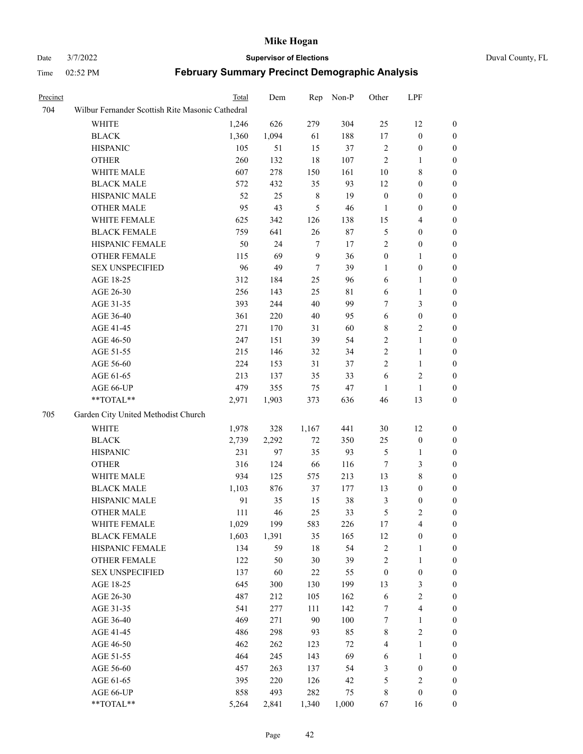# Date 3/7/2022 **Supervisor of Elections** Duval County, FL

| Precinct |                                                           | Total | Dem   | Rep              | Non-P       | Other            | LPF              |                  |
|----------|-----------------------------------------------------------|-------|-------|------------------|-------------|------------------|------------------|------------------|
| 704      | Wilbur Fernander Scottish Rite Masonic Cathedral          |       |       |                  |             |                  |                  |                  |
|          | WHITE                                                     | 1,246 | 626   | 279              | 304         | 25               | 12               | $\boldsymbol{0}$ |
|          | <b>BLACK</b>                                              | 1,360 | 1,094 | 61               | 188         | $17\,$           | $\boldsymbol{0}$ | $\boldsymbol{0}$ |
|          | <b>HISPANIC</b>                                           | 105   | 51    | 15               | 37          | 2                | $\boldsymbol{0}$ | $\boldsymbol{0}$ |
|          | <b>OTHER</b>                                              | 260   | 132   | $18\,$           | $107\,$     | $\sqrt{2}$       | $\mathbf{1}$     | $\boldsymbol{0}$ |
|          | WHITE MALE                                                | 607   | 278   | 150              | 161         | $10\,$           | $\,$ 8 $\,$      | $\boldsymbol{0}$ |
|          | <b>BLACK MALE</b>                                         | 572   | 432   | 35               | 93          | 12               | $\boldsymbol{0}$ | 0                |
|          | HISPANIC MALE                                             | 52    | 25    | $8\,$            | 19          | $\boldsymbol{0}$ | $\boldsymbol{0}$ | 0                |
|          | <b>OTHER MALE</b>                                         | 95    | 43    | 5                | 46          | 1                | $\boldsymbol{0}$ | 0                |
|          | WHITE FEMALE                                              | 625   | 342   | 126              | 138         | 15               | $\overline{4}$   | $\boldsymbol{0}$ |
|          | <b>BLACK FEMALE</b>                                       | 759   | 641   | 26               | $87\,$      | 5                | $\boldsymbol{0}$ | $\boldsymbol{0}$ |
|          | HISPANIC FEMALE                                           | 50    | 24    | 7                | 17          | 2                | $\boldsymbol{0}$ | $\boldsymbol{0}$ |
|          | <b>OTHER FEMALE</b>                                       | 115   | 69    | $\boldsymbol{9}$ | 36          | $\boldsymbol{0}$ | $\mathbf{1}$     | $\boldsymbol{0}$ |
|          | <b>SEX UNSPECIFIED</b>                                    | 96    | 49    | $\tau$           | 39          | $\mathbf{1}$     | $\boldsymbol{0}$ | $\boldsymbol{0}$ |
|          | AGE 18-25                                                 | 312   | 184   | 25               | 96          | 6                | $\mathbf{1}$     | $\boldsymbol{0}$ |
|          | AGE 26-30                                                 | 256   | 143   | 25               | $8\sqrt{1}$ | 6                | $\mathbf{1}$     | $\boldsymbol{0}$ |
|          | AGE 31-35                                                 | 393   | 244   | 40               | 99          | 7                | $\mathfrak{Z}$   | 0                |
|          | AGE 36-40                                                 | 361   | 220   | $40\,$           | 95          | 6                | $\boldsymbol{0}$ | 0                |
|          | AGE 41-45                                                 | 271   | 170   | 31               | 60          | 8                | $\overline{c}$   | 0                |
|          | AGE 46-50                                                 | 247   | 151   | 39               | 54          | $\overline{c}$   | $\mathbf{1}$     | 0                |
|          | AGE 51-55                                                 | 215   | 146   | 32               | 34          | $\overline{c}$   | $\mathbf{1}$     | $\boldsymbol{0}$ |
|          | AGE 56-60                                                 | 224   | 153   | 31               | 37          | 2                | $\mathbf{1}$     | $\boldsymbol{0}$ |
|          | AGE 61-65                                                 | 213   | 137   | 35               | 33          | 6                | $\mathfrak{2}$   | 0                |
|          | AGE 66-UP                                                 | 479   | 355   | 75               | 47          | $\mathbf{1}$     | $\mathbf{1}$     | 0                |
|          | $\mathrm{*}\mathrm{*}\mathrm{TOTAL} \mathrm{*}\mathrm{*}$ | 2,971 | 1,903 | 373              | 636         | 46               | 13               | $\boldsymbol{0}$ |
| 705      | Garden City United Methodist Church                       |       |       |                  |             |                  |                  |                  |
|          | WHITE                                                     | 1,978 | 328   | 1,167            | 441         | $30\,$           | 12               | $\boldsymbol{0}$ |
|          | <b>BLACK</b>                                              | 2,739 | 2,292 | $72\,$           | 350         | 25               | $\boldsymbol{0}$ | $\boldsymbol{0}$ |
|          | <b>HISPANIC</b>                                           | 231   | 97    | 35               | 93          | $\mathfrak{S}$   | $\mathbf{1}$     | 0                |
|          | <b>OTHER</b>                                              | 316   | 124   | 66               | 116         | $\boldsymbol{7}$ | $\mathfrak{Z}$   | 0                |
|          | WHITE MALE                                                | 934   | 125   | 575              | 213         | 13               | $\,$ 8 $\,$      | 0                |
|          | <b>BLACK MALE</b>                                         | 1,103 | 876   | 37               | 177         | 13               | $\boldsymbol{0}$ | 0                |
|          | HISPANIC MALE                                             | 91    | 35    | 15               | $38\,$      | 3                | $\boldsymbol{0}$ | $\boldsymbol{0}$ |
|          | <b>OTHER MALE</b>                                         | 111   | 46    | 25               | 33          | 5                | $\mathfrak{2}$   | $\boldsymbol{0}$ |
|          | WHITE FEMALE                                              | 1,029 | 199   | 583              | 226         | 17               | $\overline{4}$   | $\boldsymbol{0}$ |
|          | <b>BLACK FEMALE</b>                                       | 1,603 | 1,391 | 35               | 165         | 12               | $\boldsymbol{0}$ | $\overline{0}$   |
|          | HISPANIC FEMALE                                           | 134   | 59    | $18\,$           | 54          | $\overline{c}$   | $\mathbf{1}$     | $\overline{0}$   |
|          | <b>OTHER FEMALE</b>                                       | 122   | 50    | 30               | 39          | $\overline{c}$   | $\mathbf{1}$     | 0                |
|          | <b>SEX UNSPECIFIED</b>                                    | 137   | 60    | $22\,$           | 55          | $\boldsymbol{0}$ | $\boldsymbol{0}$ | 0                |
|          | AGE 18-25                                                 | 645   | 300   | 130              | 199         | 13               | $\mathfrak{Z}$   | 0                |
|          | AGE 26-30                                                 | 487   | 212   | 105              | 162         | 6                | $\sqrt{2}$       | 0                |
|          | AGE 31-35                                                 | 541   | 277   | 111              | 142         | 7                | $\overline{4}$   | 0                |
|          | AGE 36-40                                                 | 469   | 271   | $90\,$           | 100         | 7                | $\mathbf{1}$     | $\boldsymbol{0}$ |
|          | AGE 41-45                                                 | 486   | 298   | 93               | 85          | 8                | $\sqrt{2}$       | $\boldsymbol{0}$ |
|          | AGE 46-50                                                 | 462   | 262   | 123              | 72          | 4                | $\mathbf{1}$     | $\boldsymbol{0}$ |
|          | AGE 51-55                                                 | 464   | 245   | 143              | 69          | 6                | $\mathbf{1}$     | $\overline{0}$   |
|          | AGE 56-60                                                 | 457   | 263   | 137              | 54          | 3                | $\boldsymbol{0}$ | $\overline{0}$   |
|          | AGE 61-65                                                 | 395   | 220   | 126              | 42          | 5                | $\sqrt{2}$       | $\overline{0}$   |
|          | AGE 66-UP                                                 | 858   | 493   | 282              | 75          | $\,$ 8 $\,$      | $\boldsymbol{0}$ | $\boldsymbol{0}$ |
|          | **TOTAL**                                                 | 5,264 | 2,841 | 1,340            | 1,000       | 67               | 16               | $\boldsymbol{0}$ |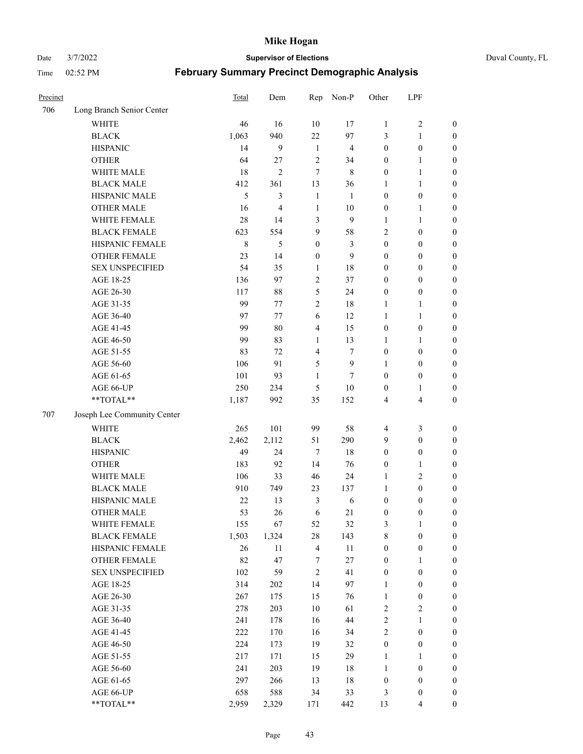Date 3/7/2022 **Supervisor of Elections** Duval County, FL

| Precinct |                                                             | Total       | Dem            | Rep              | Non-P          | Other            | LPF                     |                  |
|----------|-------------------------------------------------------------|-------------|----------------|------------------|----------------|------------------|-------------------------|------------------|
| 706      | Long Branch Senior Center                                   |             |                |                  |                |                  |                         |                  |
|          | <b>WHITE</b>                                                | 46          | 16             | 10               | 17             | $\mathbf{1}$     | $\sqrt{2}$              | $\boldsymbol{0}$ |
|          | <b>BLACK</b>                                                | 1,063       | 940            | 22               | 97             | 3                | $\mathbf{1}$            | $\boldsymbol{0}$ |
|          | <b>HISPANIC</b>                                             | 14          | 9              | $\mathbf{1}$     | $\overline{4}$ | $\boldsymbol{0}$ | $\boldsymbol{0}$        | $\boldsymbol{0}$ |
|          | <b>OTHER</b>                                                | 64          | 27             | $\overline{2}$   | 34             | $\boldsymbol{0}$ | $\mathbf{1}$            | $\boldsymbol{0}$ |
|          | WHITE MALE                                                  | 18          | $\overline{2}$ | $\tau$           | $\,$ 8 $\,$    | $\boldsymbol{0}$ | $\mathbf{1}$            | $\boldsymbol{0}$ |
|          | <b>BLACK MALE</b>                                           | 412         | 361            | 13               | 36             | $\mathbf{1}$     | $\mathbf{1}$            | $\boldsymbol{0}$ |
|          | HISPANIC MALE                                               | 5           | 3              | $\mathbf{1}$     | $\mathbf{1}$   | $\boldsymbol{0}$ | $\boldsymbol{0}$        | $\boldsymbol{0}$ |
|          | <b>OTHER MALE</b>                                           | 16          | $\overline{4}$ | 1                | 10             | $\boldsymbol{0}$ | 1                       | $\boldsymbol{0}$ |
|          | WHITE FEMALE                                                | 28          | 14             | $\mathfrak{Z}$   | $\mathbf{9}$   | $\mathbf{1}$     | $\mathbf{1}$            | $\boldsymbol{0}$ |
|          | <b>BLACK FEMALE</b>                                         | 623         | 554            | 9                | 58             | $\overline{c}$   | $\boldsymbol{0}$        | 0                |
|          | HISPANIC FEMALE                                             | $\,$ 8 $\,$ | 5              | $\boldsymbol{0}$ | 3              | $\boldsymbol{0}$ | $\boldsymbol{0}$        | $\boldsymbol{0}$ |
|          | OTHER FEMALE                                                | 23          | 14             | $\boldsymbol{0}$ | 9              | $\boldsymbol{0}$ | $\boldsymbol{0}$        | $\boldsymbol{0}$ |
|          | <b>SEX UNSPECIFIED</b>                                      | 54          | 35             | $\mathbf{1}$     | 18             | $\boldsymbol{0}$ | $\boldsymbol{0}$        | $\boldsymbol{0}$ |
|          | AGE 18-25                                                   | 136         | 97             | $\sqrt{2}$       | 37             | $\boldsymbol{0}$ | $\boldsymbol{0}$        | $\boldsymbol{0}$ |
|          | AGE 26-30                                                   | 117         | 88             | 5                | 24             | $\boldsymbol{0}$ | $\boldsymbol{0}$        | $\boldsymbol{0}$ |
|          | AGE 31-35                                                   | 99          | 77             | $\sqrt{2}$       | 18             | $\mathbf{1}$     | $\mathbf{1}$            | $\boldsymbol{0}$ |
|          | AGE 36-40                                                   | 97          | 77             | $\sqrt{6}$       | 12             | $\mathbf{1}$     | $\mathbf{1}$            | $\boldsymbol{0}$ |
|          | AGE 41-45                                                   | 99          | 80             | $\overline{4}$   | 15             | $\boldsymbol{0}$ | $\boldsymbol{0}$        | $\boldsymbol{0}$ |
|          | AGE 46-50                                                   | 99          | 83             | $\mathbf{1}$     | 13             | $\mathbf{1}$     | 1                       | $\boldsymbol{0}$ |
|          | AGE 51-55                                                   | 83          | 72             | $\overline{4}$   | 7              | $\boldsymbol{0}$ | $\boldsymbol{0}$        | $\boldsymbol{0}$ |
|          | AGE 56-60                                                   | 106         | 91             | 5                | 9              | $\mathbf{1}$     | $\boldsymbol{0}$        | 0                |
|          | AGE 61-65                                                   | 101         | 93             | $\mathbf{1}$     | 7              | $\boldsymbol{0}$ | $\boldsymbol{0}$        | $\boldsymbol{0}$ |
|          | AGE 66-UP                                                   | 250         | 234            | 5                | $10\,$         | $\boldsymbol{0}$ | $\mathbf{1}$            | $\boldsymbol{0}$ |
|          | $**TOTAL**$                                                 | 1,187       | 992            | 35               | 152            | 4                | $\overline{\mathbf{4}}$ | $\boldsymbol{0}$ |
| 707      | Joseph Lee Community Center                                 |             |                |                  |                |                  |                         |                  |
|          | <b>WHITE</b>                                                | 265         | 101            | 99               | 58             | 4                | $\mathfrak{Z}$          | $\boldsymbol{0}$ |
|          | <b>BLACK</b>                                                | 2,462       | 2,112          | 51               | 290            | 9                | $\boldsymbol{0}$        | $\boldsymbol{0}$ |
|          | <b>HISPANIC</b>                                             | 49          | 24             | $\tau$           | 18             | $\boldsymbol{0}$ | $\boldsymbol{0}$        | $\boldsymbol{0}$ |
|          | <b>OTHER</b>                                                | 183         | 92             | 14               | 76             | $\boldsymbol{0}$ | $\mathbf{1}$            | $\boldsymbol{0}$ |
|          | WHITE MALE                                                  | 106         | 33             | 46               | 24             | 1                | $\mathbf{2}$            | $\boldsymbol{0}$ |
|          | <b>BLACK MALE</b>                                           | 910         | 749            | 23               | 137            | $\mathbf{1}$     | $\boldsymbol{0}$        | $\boldsymbol{0}$ |
|          | HISPANIC MALE                                               | 22          | 13             | 3                | 6              | $\boldsymbol{0}$ | $\boldsymbol{0}$        | 0                |
|          | <b>OTHER MALE</b>                                           | 53          | 26             | 6                | 21             | $\boldsymbol{0}$ | $\boldsymbol{0}$        | $\boldsymbol{0}$ |
|          | WHITE FEMALE                                                | 155         | 67             | 52               | 32             | 3                | $\mathbf{1}$            | $\boldsymbol{0}$ |
|          | <b>BLACK FEMALE</b>                                         | 1,503       | 1,324          | $28\,$           | 143            | $\,$ $\,$        | $\boldsymbol{0}$        | $\boldsymbol{0}$ |
|          | HISPANIC FEMALE                                             | 26          | $11\,$         | $\overline{4}$   | $11\,$         | $\boldsymbol{0}$ | $\boldsymbol{0}$        | $\overline{0}$   |
|          | <b>OTHER FEMALE</b>                                         | 82          | 47             | 7                | 27             | $\boldsymbol{0}$ | $\mathbf{1}$            | $\overline{0}$   |
|          | <b>SEX UNSPECIFIED</b>                                      | 102         | 59             | $\sqrt{2}$       | 41             | $\boldsymbol{0}$ | $\boldsymbol{0}$        | 0                |
|          | AGE 18-25                                                   | 314         | $202\,$        | 14               | 97             | $\mathbf{1}$     | $\boldsymbol{0}$        | $\theta$         |
|          | AGE 26-30                                                   | 267         | 175            | 15               | 76             | $\mathbf{1}$     | $\boldsymbol{0}$        | 0                |
|          | AGE 31-35                                                   | 278         | 203            | $10\,$           | 61             | $\sqrt{2}$       | $\sqrt{2}$              | 0                |
|          | AGE 36-40                                                   | 241         | 178            | 16               | 44             | $\sqrt{2}$       | $\mathbf{1}$            | 0                |
|          | AGE 41-45                                                   | 222         | 170            | 16               | 34             | $\sqrt{2}$       | $\boldsymbol{0}$        | 0                |
|          | AGE 46-50                                                   | 224         | 173            | 19               | 32             | $\boldsymbol{0}$ | $\boldsymbol{0}$        | 0                |
|          | AGE 51-55                                                   | 217         | 171            | 15               | 29             | 1                | $\mathbf{1}$            | $\boldsymbol{0}$ |
|          | AGE 56-60                                                   | 241         | 203            | 19               | 18             | $\mathbf{1}$     | $\boldsymbol{0}$        | $\boldsymbol{0}$ |
|          | AGE 61-65                                                   | 297         | 266            | 13               | 18             | $\boldsymbol{0}$ | $\boldsymbol{0}$        | $\boldsymbol{0}$ |
|          | AGE 66-UP                                                   | 658         | 588            | 34               | 33             | 3                | $\boldsymbol{0}$        | 0                |
|          | $\mathrm{*}\mathrm{*} \mathrm{TOTAL} \mathrm{*} \mathrm{*}$ | 2,959       | 2,329          | 171              | 442            | 13               | $\overline{4}$          | $\boldsymbol{0}$ |
|          |                                                             |             |                |                  |                |                  |                         |                  |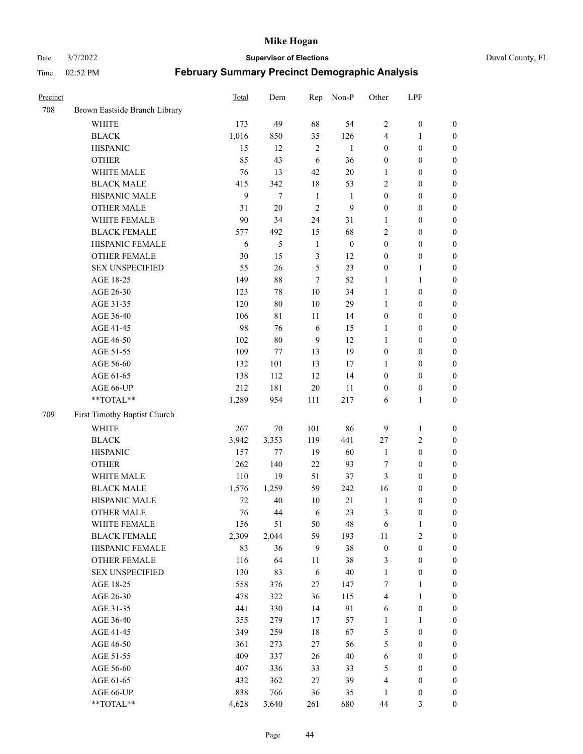Date 3/7/2022 **Supervisor of Elections** Duval County, FL

| Precinct |                               | Total | Dem    | Rep            | Non-P        | Other                   | LPF              |                  |
|----------|-------------------------------|-------|--------|----------------|--------------|-------------------------|------------------|------------------|
| 708      | Brown Eastside Branch Library |       |        |                |              |                         |                  |                  |
|          | <b>WHITE</b>                  | 173   | 49     | 68             | 54           | $\overline{2}$          | $\boldsymbol{0}$ | 0                |
|          | <b>BLACK</b>                  | 1,016 | 850    | 35             | 126          | 4                       | $\mathbf{1}$     | $\boldsymbol{0}$ |
|          | <b>HISPANIC</b>               | 15    | 12     | $\overline{2}$ | 1            | $\boldsymbol{0}$        | $\boldsymbol{0}$ | $\boldsymbol{0}$ |
|          | <b>OTHER</b>                  | 85    | 43     | 6              | 36           | $\boldsymbol{0}$        | $\boldsymbol{0}$ | $\boldsymbol{0}$ |
|          | WHITE MALE                    | 76    | 13     | 42             | $20\,$       | 1                       | $\boldsymbol{0}$ | $\boldsymbol{0}$ |
|          | <b>BLACK MALE</b>             | 415   | 342    | 18             | 53           | $\overline{c}$          | $\boldsymbol{0}$ | $\boldsymbol{0}$ |
|          | HISPANIC MALE                 | 9     | $\tau$ | $\mathbf{1}$   | 1            | $\boldsymbol{0}$        | $\boldsymbol{0}$ | $\boldsymbol{0}$ |
|          | <b>OTHER MALE</b>             | 31    | 20     | $\overline{2}$ | 9            | $\boldsymbol{0}$        | $\boldsymbol{0}$ | $\boldsymbol{0}$ |
|          | WHITE FEMALE                  | 90    | 34     | 24             | 31           | 1                       | $\boldsymbol{0}$ | $\boldsymbol{0}$ |
|          | <b>BLACK FEMALE</b>           | 577   | 492    | 15             | 68           | $\overline{c}$          | $\boldsymbol{0}$ | $\boldsymbol{0}$ |
|          | HISPANIC FEMALE               | 6     | 5      | $\mathbf{1}$   | $\mathbf{0}$ | $\boldsymbol{0}$        | $\boldsymbol{0}$ | 0                |
|          | <b>OTHER FEMALE</b>           | 30    | 15     | $\mathfrak{Z}$ | 12           | $\boldsymbol{0}$        | $\boldsymbol{0}$ | $\boldsymbol{0}$ |
|          | <b>SEX UNSPECIFIED</b>        | 55    | 26     | 5              | 23           | $\boldsymbol{0}$        | $\mathbf{1}$     | $\boldsymbol{0}$ |
|          | AGE 18-25                     | 149   | 88     | 7              | 52           | 1                       | $\mathbf{1}$     | $\boldsymbol{0}$ |
|          | AGE 26-30                     | 123   | 78     | 10             | 34           | $\mathbf{1}$            | $\boldsymbol{0}$ | $\boldsymbol{0}$ |
|          | AGE 31-35                     | 120   | 80     | 10             | 29           | $\mathbf{1}$            | $\boldsymbol{0}$ | $\boldsymbol{0}$ |
|          | AGE 36-40                     | 106   | 81     | 11             | 14           | $\boldsymbol{0}$        | $\boldsymbol{0}$ | $\boldsymbol{0}$ |
|          | AGE 41-45                     | 98    | 76     | $\sqrt{6}$     | 15           | $\mathbf{1}$            | $\boldsymbol{0}$ | $\boldsymbol{0}$ |
|          | AGE 46-50                     | 102   | $80\,$ | 9              | 12           | $\mathbf{1}$            | $\boldsymbol{0}$ | $\boldsymbol{0}$ |
|          | AGE 51-55                     | 109   | 77     | 13             | 19           | $\boldsymbol{0}$        | $\boldsymbol{0}$ | $\boldsymbol{0}$ |
|          | AGE 56-60                     | 132   | 101    | 13             | 17           | 1                       | $\boldsymbol{0}$ | 0                |
|          | AGE 61-65                     | 138   | 112    | 12             | 14           | $\boldsymbol{0}$        | $\boldsymbol{0}$ | 0                |
|          | AGE 66-UP                     | 212   | 181    | $20\,$         | 11           | $\boldsymbol{0}$        | $\boldsymbol{0}$ | $\boldsymbol{0}$ |
|          | $**TOTAL**$                   | 1,289 | 954    | 111            | 217          | 6                       | $\mathbf{1}$     | $\boldsymbol{0}$ |
| 709      | First Timothy Baptist Church  |       |        |                |              |                         |                  |                  |
|          | WHITE                         | 267   | $70\,$ | 101            | 86           | 9                       | $\mathbf{1}$     | $\boldsymbol{0}$ |
|          | <b>BLACK</b>                  | 3,942 | 3,353  | 119            | 441          | 27                      | $\sqrt{2}$       | $\boldsymbol{0}$ |
|          | <b>HISPANIC</b>               | 157   | 77     | 19             | 60           | $\mathbf{1}$            | $\boldsymbol{0}$ | $\boldsymbol{0}$ |
|          | <b>OTHER</b>                  | 262   | 140    | 22             | 93           | 7                       | $\boldsymbol{0}$ | $\boldsymbol{0}$ |
|          | WHITE MALE                    | 110   | 19     | 51             | 37           | 3                       | $\boldsymbol{0}$ | $\boldsymbol{0}$ |
|          | <b>BLACK MALE</b>             | 1,576 | 1,259  | 59             | 242          | 16                      | $\boldsymbol{0}$ | $\boldsymbol{0}$ |
|          | HISPANIC MALE                 | 72    | 40     | 10             | 21           | $\mathbf{1}$            | $\boldsymbol{0}$ | $\boldsymbol{0}$ |
|          | <b>OTHER MALE</b>             | 76    | 44     | 6              | 23           | 3                       | $\boldsymbol{0}$ | $\boldsymbol{0}$ |
|          | WHITE FEMALE                  | 156   | 51     | 50             | 48           | 6                       | 1                | 0                |
|          | <b>BLACK FEMALE</b>           | 2,309 | 2,044  | 59             | 193          | 11                      | $\sqrt{2}$       | $\boldsymbol{0}$ |
|          | HISPANIC FEMALE               | 83    | 36     | 9              | 38           | $\boldsymbol{0}$        | $\boldsymbol{0}$ | $\overline{0}$   |
|          | OTHER FEMALE                  | 116   | 64     | 11             | 38           | 3                       | $\boldsymbol{0}$ | $\overline{0}$   |
|          | <b>SEX UNSPECIFIED</b>        | 130   | 83     | 6              | 40           | $\mathbf{1}$            | $\boldsymbol{0}$ | 0                |
|          | AGE 18-25                     | 558   | 376    | 27             | 147          | 7                       | $\mathbf{1}$     | $\overline{0}$   |
|          | AGE 26-30                     | 478   | 322    | 36             | 115          | $\overline{\mathbf{4}}$ | $\mathbf{1}$     | 0                |
|          | AGE 31-35                     | 441   | 330    | 14             | 91           | 6                       | $\boldsymbol{0}$ | 0                |
|          | AGE 36-40                     | 355   | 279    | 17             | 57           | $\mathbf{1}$            | $\mathbf{1}$     | 0                |
|          | AGE 41-45                     | 349   | 259    | 18             | 67           | 5                       | $\boldsymbol{0}$ | 0                |
|          | AGE 46-50                     | 361   | 273    | $27\,$         | 56           | 5                       | $\boldsymbol{0}$ | 0                |
|          | AGE 51-55                     | 409   | 337    | 26             | 40           | 6                       | $\boldsymbol{0}$ | $\boldsymbol{0}$ |
|          | AGE 56-60                     | 407   | 336    | 33             | 33           | 5                       | $\boldsymbol{0}$ | $\boldsymbol{0}$ |
|          | AGE 61-65                     | 432   | 362    | 27             | 39           | 4                       | $\boldsymbol{0}$ | $\boldsymbol{0}$ |
|          | AGE 66-UP                     | 838   | 766    | 36             | 35           | $\mathbf{1}$            | $\boldsymbol{0}$ | $\boldsymbol{0}$ |
|          | **TOTAL**                     | 4,628 | 3,640  | 261            | 680          | 44                      | $\mathfrak{Z}$   | $\boldsymbol{0}$ |
|          |                               |       |        |                |              |                         |                  |                  |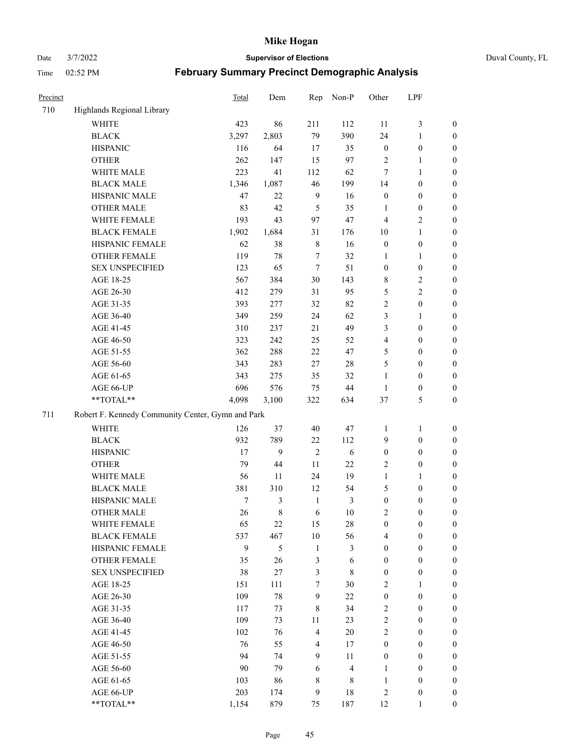Date 3/7/2022 **Supervisor of Elections** Duval County, FL

| Precinct |                                                   | <b>Total</b> | Dem   | Rep            | Non-P                   | Other            | LPF              |                  |
|----------|---------------------------------------------------|--------------|-------|----------------|-------------------------|------------------|------------------|------------------|
| 710      | Highlands Regional Library                        |              |       |                |                         |                  |                  |                  |
|          | <b>WHITE</b>                                      | 423          | 86    | 211            | 112                     | 11               | $\mathfrak{Z}$   | 0                |
|          | <b>BLACK</b>                                      | 3,297        | 2,803 | 79             | 390                     | 24               | $\mathbf{1}$     | 0                |
|          | <b>HISPANIC</b>                                   | 116          | 64    | 17             | 35                      | $\boldsymbol{0}$ | $\boldsymbol{0}$ | $\boldsymbol{0}$ |
|          | <b>OTHER</b>                                      | 262          | 147   | 15             | 97                      | 2                | $\mathbf{1}$     | $\boldsymbol{0}$ |
|          | WHITE MALE                                        | 223          | 41    | 112            | 62                      | 7                | $\mathbf{1}$     | $\boldsymbol{0}$ |
|          | <b>BLACK MALE</b>                                 | 1,346        | 1,087 | 46             | 199                     | 14               | $\boldsymbol{0}$ | $\boldsymbol{0}$ |
|          | HISPANIC MALE                                     | 47           | 22    | $\overline{9}$ | 16                      | $\boldsymbol{0}$ | $\boldsymbol{0}$ | $\boldsymbol{0}$ |
|          | <b>OTHER MALE</b>                                 | 83           | 42    | 5              | 35                      | $\mathbf{1}$     | $\boldsymbol{0}$ | $\boldsymbol{0}$ |
|          | WHITE FEMALE                                      | 193          | 43    | 97             | 47                      | 4                | $\mathfrak{2}$   | $\boldsymbol{0}$ |
|          | <b>BLACK FEMALE</b>                               | 1,902        | 1,684 | 31             | 176                     | 10               | $\mathbf{1}$     | $\boldsymbol{0}$ |
|          | HISPANIC FEMALE                                   | 62           | 38    | $\,$ 8 $\,$    | 16                      | $\boldsymbol{0}$ | $\boldsymbol{0}$ | 0                |
|          | <b>OTHER FEMALE</b>                               | 119          | 78    | $\tau$         | 32                      | 1                | $\mathbf{1}$     | 0                |
|          | <b>SEX UNSPECIFIED</b>                            | 123          | 65    | $\tau$         | 51                      | $\boldsymbol{0}$ | $\boldsymbol{0}$ | $\boldsymbol{0}$ |
|          | AGE 18-25                                         | 567          | 384   | $30\,$         | 143                     | 8                | $\sqrt{2}$       | $\boldsymbol{0}$ |
|          | AGE 26-30                                         | 412          | 279   | 31             | 95                      | 5                | $\sqrt{2}$       | $\boldsymbol{0}$ |
|          | AGE 31-35                                         | 393          | 277   | 32             | 82                      | $\sqrt{2}$       | $\boldsymbol{0}$ | $\boldsymbol{0}$ |
|          | AGE 36-40                                         | 349          | 259   | 24             | 62                      | 3                | $\mathbf{1}$     | $\boldsymbol{0}$ |
|          | AGE 41-45                                         | 310          | 237   | 21             | 49                      | 3                | $\boldsymbol{0}$ | $\boldsymbol{0}$ |
|          | AGE 46-50                                         | 323          | 242   | 25             | 52                      | 4                | $\boldsymbol{0}$ | $\boldsymbol{0}$ |
|          | AGE 51-55                                         | 362          | 288   | $22\,$         | 47                      | 5                | $\boldsymbol{0}$ | $\boldsymbol{0}$ |
|          | AGE 56-60                                         | 343          | 283   | 27             | 28                      | 5                | $\boldsymbol{0}$ | 0                |
|          | AGE 61-65                                         | 343          | 275   | 35             | 32                      | $\mathbf{1}$     | $\boldsymbol{0}$ | 0                |
|          | AGE 66-UP                                         | 696          | 576   | 75             | 44                      | $\mathbf{1}$     | $\boldsymbol{0}$ | $\boldsymbol{0}$ |
|          | $**TOTAL**$                                       | 4,098        | 3,100 | 322            | 634                     | 37               | $\mathfrak s$    | $\boldsymbol{0}$ |
| 711      | Robert F. Kennedy Community Center, Gymn and Park |              |       |                |                         |                  |                  |                  |
|          | WHITE                                             | 126          | 37    | 40             | 47                      | 1                | $\mathbf{1}$     | $\boldsymbol{0}$ |
|          | <b>BLACK</b>                                      | 932          | 789   | $22\,$         | 112                     | 9                | $\boldsymbol{0}$ | $\boldsymbol{0}$ |
|          | <b>HISPANIC</b>                                   | 17           | 9     | $\overline{2}$ | 6                       | $\boldsymbol{0}$ | $\boldsymbol{0}$ | $\boldsymbol{0}$ |
|          | <b>OTHER</b>                                      | 79           | 44    | 11             | 22                      | $\overline{c}$   | $\boldsymbol{0}$ | $\boldsymbol{0}$ |
|          | WHITE MALE                                        | 56           | 11    | 24             | 19                      | $\mathbf{1}$     | $\mathbf{1}$     | $\boldsymbol{0}$ |
|          | <b>BLACK MALE</b>                                 | 381          | 310   | 12             | 54                      | 5                | $\boldsymbol{0}$ | $\boldsymbol{0}$ |
|          | HISPANIC MALE                                     | $\tau$       | 3     | $\mathbf{1}$   | 3                       | $\boldsymbol{0}$ | $\boldsymbol{0}$ | $\boldsymbol{0}$ |
|          | <b>OTHER MALE</b>                                 | 26           | 8     | 6              | 10                      | 2                | $\boldsymbol{0}$ | $\boldsymbol{0}$ |
|          | WHITE FEMALE                                      | 65           | 22    | 15             | 28                      | $\boldsymbol{0}$ | $\boldsymbol{0}$ | 0                |
|          | <b>BLACK FEMALE</b>                               | 537          | 467   | $10\,$         | 56                      | 4                | $\boldsymbol{0}$ | $\overline{0}$   |
|          | HISPANIC FEMALE                                   | 9            | 5     | $\mathbf{1}$   | 3                       | $\boldsymbol{0}$ | $\boldsymbol{0}$ | $\overline{0}$   |
|          | <b>OTHER FEMALE</b>                               | 35           | 26    | $\mathfrak{Z}$ | 6                       | $\boldsymbol{0}$ | $\boldsymbol{0}$ | $\overline{0}$   |
|          | <b>SEX UNSPECIFIED</b>                            | 38           | 27    | $\mathfrak{Z}$ | $\,$ 8 $\,$             | $\boldsymbol{0}$ | $\boldsymbol{0}$ | $\overline{0}$   |
|          | AGE 18-25                                         | 151          | 111   | 7              | 30                      | $\overline{c}$   | $\mathbf{1}$     | $\overline{0}$   |
|          | AGE 26-30                                         | 109          | 78    | $\overline{9}$ | 22                      | $\boldsymbol{0}$ | $\boldsymbol{0}$ | $\overline{0}$   |
|          | AGE 31-35                                         | 117          | 73    | $\,$ 8 $\,$    | 34                      | $\sqrt{2}$       | $\boldsymbol{0}$ | 0                |
|          | AGE 36-40                                         | 109          | 73    | 11             | 23                      | $\sqrt{2}$       | $\boldsymbol{0}$ | 0                |
|          | AGE 41-45                                         | 102          | 76    | $\overline{4}$ | 20                      | $\mathbf{2}$     | $\boldsymbol{0}$ | 0                |
|          | AGE 46-50                                         | 76           | 55    | $\overline{4}$ | 17                      | $\boldsymbol{0}$ | $\boldsymbol{0}$ | 0                |
|          | AGE 51-55                                         | 94           | 74    | 9              | 11                      | $\boldsymbol{0}$ | $\boldsymbol{0}$ | $\boldsymbol{0}$ |
|          | AGE 56-60                                         | 90           | 79    | 6              | $\overline{\mathbf{4}}$ | 1                | $\boldsymbol{0}$ | $\overline{0}$   |
|          | AGE 61-65                                         | 103          | 86    | 8              | 8                       | $\mathbf{1}$     | $\boldsymbol{0}$ | $\boldsymbol{0}$ |
|          | AGE 66-UP                                         | 203          | 174   | $\mathbf{9}$   | 18                      | 2                | $\boldsymbol{0}$ | $\boldsymbol{0}$ |
|          | **TOTAL**                                         | 1,154        | 879   | 75             | 187                     | 12               | $\mathbf{1}$     | $\boldsymbol{0}$ |
|          |                                                   |              |       |                |                         |                  |                  |                  |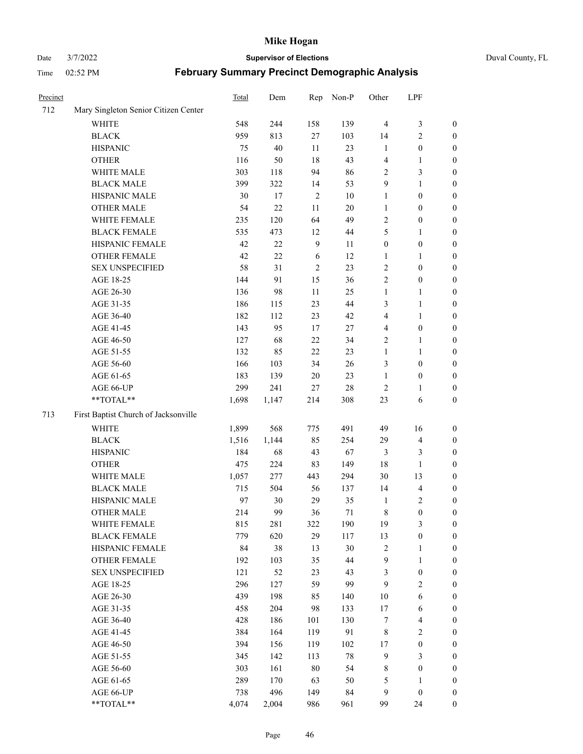## Date 3/7/2022 **Supervisor of Elections** Duval County, FL

| Precinct |                                      | Total | Dem    | Rep            | Non-P  | Other                   | LPF                     |                  |
|----------|--------------------------------------|-------|--------|----------------|--------|-------------------------|-------------------------|------------------|
| 712      | Mary Singleton Senior Citizen Center |       |        |                |        |                         |                         |                  |
|          | WHITE                                | 548   | 244    | 158            | 139    | $\overline{4}$          | $\mathfrak{Z}$          | 0                |
|          | <b>BLACK</b>                         | 959   | 813    | $27\,$         | 103    | 14                      | $\sqrt{2}$              | 0                |
|          | <b>HISPANIC</b>                      | 75    | 40     | 11             | 23     | $\mathbf{1}$            | $\boldsymbol{0}$        | $\boldsymbol{0}$ |
|          | <b>OTHER</b>                         | 116   | 50     | 18             | 43     | 4                       | $\mathbf{1}$            | $\boldsymbol{0}$ |
|          | WHITE MALE                           | 303   | 118    | 94             | 86     | 2                       | $\mathfrak{Z}$          | $\boldsymbol{0}$ |
|          | <b>BLACK MALE</b>                    | 399   | 322    | 14             | 53     | 9                       | $\mathbf{1}$            | $\boldsymbol{0}$ |
|          | HISPANIC MALE                        | 30    | 17     | $\sqrt{2}$     | $10\,$ | $\mathbf{1}$            | $\boldsymbol{0}$        | $\boldsymbol{0}$ |
|          | <b>OTHER MALE</b>                    | 54    | 22     | 11             | $20\,$ | $\mathbf{1}$            | $\boldsymbol{0}$        | $\boldsymbol{0}$ |
|          | WHITE FEMALE                         | 235   | 120    | 64             | 49     | 2                       | $\boldsymbol{0}$        | $\boldsymbol{0}$ |
|          | <b>BLACK FEMALE</b>                  | 535   | 473    | 12             | 44     | 5                       | $\mathbf{1}$            | 0                |
|          | HISPANIC FEMALE                      | 42    | $22\,$ | $\overline{9}$ | 11     | $\boldsymbol{0}$        | $\boldsymbol{0}$        | 0                |
|          | OTHER FEMALE                         | 42    | 22     | 6              | 12     | $\mathbf{1}$            | $\mathbf{1}$            | 0                |
|          | <b>SEX UNSPECIFIED</b>               | 58    | 31     | $\sqrt{2}$     | 23     | $\sqrt{2}$              | $\boldsymbol{0}$        | $\boldsymbol{0}$ |
|          | AGE 18-25                            | 144   | 91     | 15             | 36     | $\sqrt{2}$              | $\boldsymbol{0}$        | $\boldsymbol{0}$ |
|          | AGE 26-30                            | 136   | 98     | 11             | 25     | $\mathbf{1}$            | $\mathbf{1}$            | $\boldsymbol{0}$ |
|          | AGE 31-35                            | 186   | 115    | 23             | 44     | 3                       | $\mathbf{1}$            | $\boldsymbol{0}$ |
|          | AGE 36-40                            | 182   | 112    | 23             | 42     | 4                       | $\mathbf{1}$            | $\boldsymbol{0}$ |
|          | AGE 41-45                            | 143   | 95     | 17             | 27     | $\overline{\mathbf{4}}$ | $\boldsymbol{0}$        | $\boldsymbol{0}$ |
|          | AGE 46-50                            | 127   | 68     | $22\,$         | 34     | 2                       | $\mathbf{1}$            | $\boldsymbol{0}$ |
|          | AGE 51-55                            | 132   | 85     | $22\,$         | 23     | $\mathbf{1}$            | $\mathbf{1}$            | 0                |
|          | AGE 56-60                            | 166   | 103    | 34             | 26     | 3                       | $\boldsymbol{0}$        | 0                |
|          | AGE 61-65                            | 183   | 139    | 20             | 23     | $\mathbf{1}$            | $\boldsymbol{0}$        | 0                |
|          | AGE 66-UP                            | 299   | 241    | $27\,$         | $28\,$ | $\overline{c}$          | $\mathbf{1}$            | $\boldsymbol{0}$ |
|          | **TOTAL**                            | 1,698 | 1,147  | 214            | 308    | 23                      | 6                       | $\boldsymbol{0}$ |
| 713      | First Baptist Church of Jacksonville |       |        |                |        |                         |                         |                  |
|          | <b>WHITE</b>                         | 1,899 | 568    | 775            | 491    | 49                      | 16                      | $\boldsymbol{0}$ |
|          | <b>BLACK</b>                         | 1,516 | 1,144  | 85             | 254    | 29                      | $\overline{\mathbf{4}}$ | $\boldsymbol{0}$ |
|          | <b>HISPANIC</b>                      | 184   | 68     | 43             | 67     | 3                       | $\mathfrak{Z}$          | $\boldsymbol{0}$ |
|          | <b>OTHER</b>                         | 475   | 224    | 83             | 149    | 18                      | $\mathbf{1}$            | $\boldsymbol{0}$ |
|          | WHITE MALE                           | 1,057 | 277    | 443            | 294    | 30                      | 13                      | $\boldsymbol{0}$ |
|          | <b>BLACK MALE</b>                    | 715   | 504    | 56             | 137    | 14                      | $\overline{\mathbf{4}}$ | $\boldsymbol{0}$ |
|          | HISPANIC MALE                        | 97    | 30     | 29             | 35     | $\mathbf{1}$            | $\overline{c}$          | $\boldsymbol{0}$ |
|          | <b>OTHER MALE</b>                    | 214   | 99     | 36             | $71\,$ | 8                       | $\boldsymbol{0}$        | 0                |
|          | WHITE FEMALE                         | 815   | 281    | 322            | 190    | 19                      | 3                       | 0                |
|          | <b>BLACK FEMALE</b>                  | 779   | 620    | 29             | 117    | 13                      | $\boldsymbol{0}$        | $\boldsymbol{0}$ |
|          | HISPANIC FEMALE                      | 84    | 38     | 13             | 30     | $\overline{c}$          | $\mathbf{1}$            | $\overline{0}$   |
|          | OTHER FEMALE                         | 192   | 103    | 35             | 44     | 9                       | $\mathbf{1}$            | $\overline{0}$   |
|          | <b>SEX UNSPECIFIED</b>               | 121   | 52     | 23             | 43     | 3                       | $\boldsymbol{0}$        | 0                |
|          | AGE 18-25                            | 296   | 127    | 59             | 99     | 9                       | $\sqrt{2}$              | $\theta$         |
|          | AGE 26-30                            | 439   | 198    | 85             | 140    | $10\,$                  | $\sqrt{6}$              | 0                |
|          | AGE 31-35                            | 458   | 204    | 98             | 133    | $17\,$                  | 6                       | 0                |
|          | AGE 36-40                            | 428   | 186    | 101            | 130    | 7                       | $\overline{\mathbf{4}}$ | 0                |
|          | AGE 41-45                            | 384   | 164    | 119            | 91     | 8                       | $\overline{2}$          | 0                |
|          | AGE 46-50                            | 394   | 156    | 119            | 102    | $17\,$                  | $\boldsymbol{0}$        | 0                |
|          | AGE 51-55                            | 345   | 142    | 113            | $78\,$ | 9                       | 3                       | $\overline{0}$   |
|          | AGE 56-60                            | 303   | 161    | 80             | 54     | 8                       | $\boldsymbol{0}$        | $\overline{0}$   |
|          | AGE 61-65                            | 289   | 170    | 63             | 50     | 5                       | 1                       | $\overline{0}$   |
|          | AGE 66-UP                            | 738   | 496    | 149            | 84     | 9                       | $\boldsymbol{0}$        | $\boldsymbol{0}$ |
|          | **TOTAL**                            | 4,074 | 2,004  | 986            | 961    | 99                      | 24                      | $\boldsymbol{0}$ |
|          |                                      |       |        |                |        |                         |                         |                  |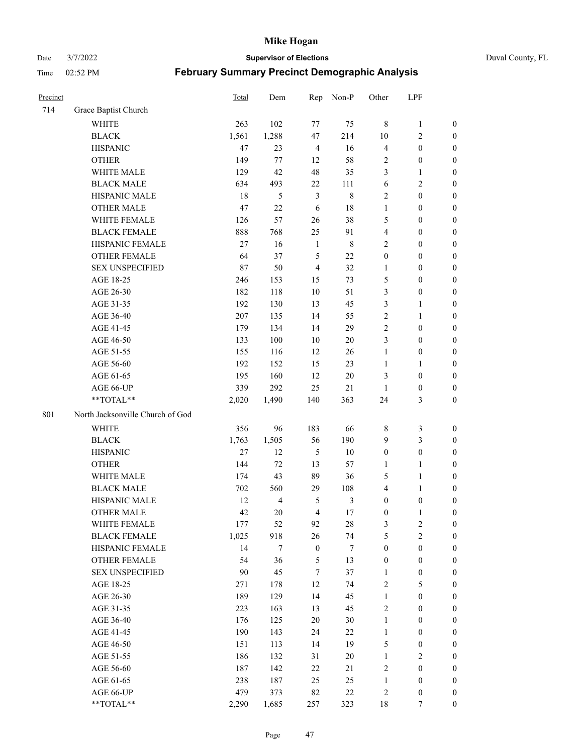Date 3/7/2022 **Supervisor of Elections** Duval County, FL

| Precinct |                                  | Total  | Dem            | Rep              | Non-P          | Other            | LPF              |                  |
|----------|----------------------------------|--------|----------------|------------------|----------------|------------------|------------------|------------------|
| 714      | Grace Baptist Church             |        |                |                  |                |                  |                  |                  |
|          | <b>WHITE</b>                     | 263    | 102            | 77               | 75             | $\,8\,$          | $\mathbf{1}$     | 0                |
|          | <b>BLACK</b>                     | 1,561  | 1,288          | 47               | 214            | 10               | $\sqrt{2}$       | $\boldsymbol{0}$ |
|          | <b>HISPANIC</b>                  | 47     | 23             | $\overline{4}$   | 16             | 4                | $\boldsymbol{0}$ | $\boldsymbol{0}$ |
|          | <b>OTHER</b>                     | 149    | 77             | 12               | 58             | 2                | $\boldsymbol{0}$ | $\boldsymbol{0}$ |
|          | WHITE MALE                       | 129    | 42             | 48               | 35             | 3                | $\mathbf{1}$     | $\boldsymbol{0}$ |
|          | <b>BLACK MALE</b>                | 634    | 493            | $22\,$           | 111            | 6                | $\sqrt{2}$       | $\boldsymbol{0}$ |
|          | HISPANIC MALE                    | 18     | 5              | $\mathfrak{Z}$   | $\,$ 8 $\,$    | $\mathbf{2}$     | $\boldsymbol{0}$ | $\boldsymbol{0}$ |
|          | <b>OTHER MALE</b>                | 47     | 22             | 6                | $18\,$         | $\mathbf{1}$     | $\boldsymbol{0}$ | $\boldsymbol{0}$ |
|          | WHITE FEMALE                     | 126    | 57             | 26               | 38             | 5                | $\boldsymbol{0}$ | $\boldsymbol{0}$ |
|          | <b>BLACK FEMALE</b>              | 888    | 768            | 25               | 91             | $\overline{4}$   | $\boldsymbol{0}$ | $\boldsymbol{0}$ |
|          | HISPANIC FEMALE                  | $27\,$ | 16             | $\mathbf{1}$     | $\,$ 8 $\,$    | $\mathbf{2}$     | $\boldsymbol{0}$ | 0                |
|          | OTHER FEMALE                     | 64     | 37             | 5                | 22             | $\boldsymbol{0}$ | $\boldsymbol{0}$ | $\boldsymbol{0}$ |
|          | <b>SEX UNSPECIFIED</b>           | 87     | 50             | $\overline{4}$   | 32             | $\mathbf{1}$     | $\boldsymbol{0}$ | $\boldsymbol{0}$ |
|          | AGE 18-25                        | 246    | 153            | 15               | 73             | 5                | $\boldsymbol{0}$ | $\boldsymbol{0}$ |
|          | AGE 26-30                        | 182    | 118            | 10               | 51             | 3                | $\boldsymbol{0}$ | $\boldsymbol{0}$ |
|          | AGE 31-35                        | 192    | 130            | 13               | 45             | 3                | $\mathbf{1}$     | $\boldsymbol{0}$ |
|          | AGE 36-40                        | 207    | 135            | 14               | 55             | $\sqrt{2}$       | $\mathbf{1}$     | $\boldsymbol{0}$ |
|          | AGE 41-45                        | 179    | 134            | 14               | 29             | $\mathbf{2}$     | $\boldsymbol{0}$ | $\boldsymbol{0}$ |
|          | AGE 46-50                        | 133    | 100            | 10               | $20\,$         | 3                | $\boldsymbol{0}$ | $\boldsymbol{0}$ |
|          | AGE 51-55                        | 155    | 116            | 12               | 26             | $\mathbf{1}$     | $\boldsymbol{0}$ | $\boldsymbol{0}$ |
|          | AGE 56-60                        | 192    | 152            | 15               | 23             | $\mathbf{1}$     | $\mathbf{1}$     | 0                |
|          | AGE 61-65                        | 195    | 160            | 12               | $20\,$         | 3                | $\boldsymbol{0}$ | 0                |
|          | AGE 66-UP                        | 339    | 292            | 25               | $21\,$         | $\mathbf{1}$     | $\boldsymbol{0}$ | $\boldsymbol{0}$ |
|          | **TOTAL**                        | 2,020  | 1,490          | 140              | 363            | 24               | $\mathfrak{Z}$   | $\boldsymbol{0}$ |
| 801      | North Jacksonville Church of God |        |                |                  |                |                  |                  |                  |
|          | <b>WHITE</b>                     | 356    | 96             | 183              | 66             | 8                | $\mathfrak{Z}$   | $\boldsymbol{0}$ |
|          | <b>BLACK</b>                     | 1,763  | 1,505          | 56               | 190            | 9                | $\mathfrak{Z}$   | $\boldsymbol{0}$ |
|          | <b>HISPANIC</b>                  | 27     | 12             | $\mathfrak s$    | 10             | $\boldsymbol{0}$ | $\boldsymbol{0}$ | $\boldsymbol{0}$ |
|          | <b>OTHER</b>                     | 144    | 72             | 13               | 57             | $\mathbf{1}$     | $\mathbf{1}$     | $\boldsymbol{0}$ |
|          | WHITE MALE                       | 174    | 43             | 89               | 36             | 5                | $\mathbf{1}$     | $\boldsymbol{0}$ |
|          | <b>BLACK MALE</b>                | 702    | 560            | 29               | 108            | 4                | $\mathbf{1}$     | $\boldsymbol{0}$ |
|          | HISPANIC MALE                    | 12     | $\overline{4}$ | 5                | $\mathfrak{Z}$ | $\boldsymbol{0}$ | $\boldsymbol{0}$ | 0                |
|          | <b>OTHER MALE</b>                | 42     | 20             | $\overline{4}$   | $17\,$         | $\boldsymbol{0}$ | $\mathbf{1}$     | 0                |
|          | WHITE FEMALE                     | 177    | 52             | 92               | 28             | 3                | 2                | 0                |
|          | <b>BLACK FEMALE</b>              | 1,025  | 918            | 26               | 74             | 5                | $\sqrt{2}$       | $\boldsymbol{0}$ |
|          | HISPANIC FEMALE                  | 14     | 7              | $\boldsymbol{0}$ | $\tau$         | $\boldsymbol{0}$ | $\boldsymbol{0}$ | $\overline{0}$   |
|          | OTHER FEMALE                     | 54     | 36             | 5                | 13             | $\boldsymbol{0}$ | $\boldsymbol{0}$ | $\overline{0}$   |
|          | <b>SEX UNSPECIFIED</b>           | 90     | 45             | $\boldsymbol{7}$ | 37             | $\mathbf{1}$     | $\boldsymbol{0}$ | 0                |
|          | AGE 18-25                        | 271    | 178            | 12               | 74             | 2                | $\mathfrak{S}$   | $\theta$         |
|          | AGE 26-30                        | 189    | 129            | 14               | 45             | $\mathbf{1}$     | $\boldsymbol{0}$ | 0                |
|          | AGE 31-35                        | 223    | 163            | 13               | 45             | 2                | $\boldsymbol{0}$ | 0                |
|          | AGE 36-40                        | 176    | 125            | 20               | 30             | $\mathbf{1}$     | $\boldsymbol{0}$ | 0                |
|          | AGE 41-45                        | 190    | 143            | 24               | 22             | $\mathbf{1}$     | $\boldsymbol{0}$ | 0                |
|          | AGE 46-50                        | 151    | 113            | 14               | 19             | 5                | $\boldsymbol{0}$ | 0                |
|          | AGE 51-55                        | 186    | 132            | 31               | $20\,$         | $\mathbf{1}$     | $\overline{2}$   | 0                |
|          | AGE 56-60                        | 187    | 142            | 22               | 21             | $\sqrt{2}$       | $\boldsymbol{0}$ | $\overline{0}$   |
|          | AGE 61-65                        | 238    | 187            | 25               | 25             | $\mathbf{1}$     | $\boldsymbol{0}$ | $\boldsymbol{0}$ |
|          | AGE 66-UP                        | 479    | 373            | 82               | $22\,$         | $\overline{c}$   | $\boldsymbol{0}$ | 0                |
|          | **TOTAL**                        | 2,290  | 1,685          | 257              | 323            | 18               | 7                | $\boldsymbol{0}$ |
|          |                                  |        |                |                  |                |                  |                  |                  |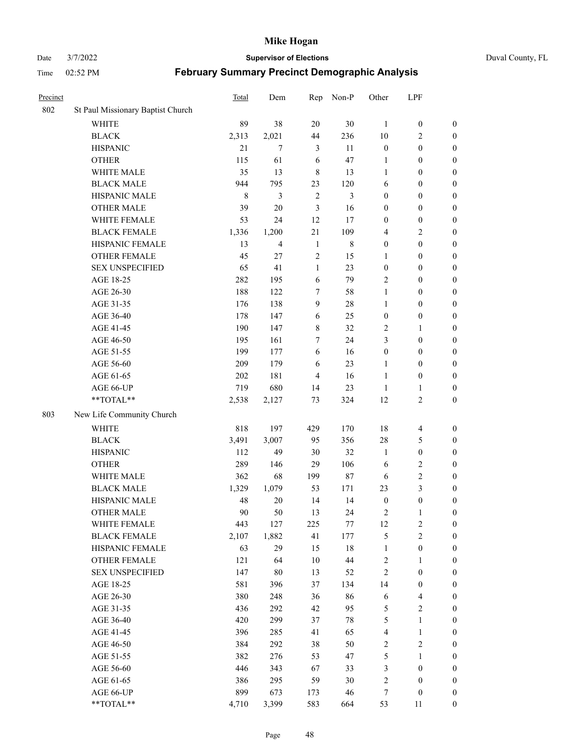Date 3/7/2022 **Supervisor of Elections** Duval County, FL

| Precinct |                                   | <b>Total</b> | Dem    | Rep            | Non-P       | Other            | LPF                     |                  |
|----------|-----------------------------------|--------------|--------|----------------|-------------|------------------|-------------------------|------------------|
| 802      | St Paul Missionary Baptist Church |              |        |                |             |                  |                         |                  |
|          | <b>WHITE</b>                      | 89           | 38     | 20             | 30          | 1                | $\boldsymbol{0}$        | $\boldsymbol{0}$ |
|          | <b>BLACK</b>                      | 2,313        | 2,021  | 44             | 236         | 10               | $\overline{c}$          | $\boldsymbol{0}$ |
|          | <b>HISPANIC</b>                   | 21           | 7      | 3              | 11          | $\boldsymbol{0}$ | $\boldsymbol{0}$        | $\boldsymbol{0}$ |
|          | <b>OTHER</b>                      | 115          | 61     | 6              | 47          | 1                | $\boldsymbol{0}$        | $\boldsymbol{0}$ |
|          | WHITE MALE                        | 35           | 13     | $\,8\,$        | 13          | $\mathbf{1}$     | $\boldsymbol{0}$        | $\boldsymbol{0}$ |
|          | <b>BLACK MALE</b>                 | 944          | 795    | 23             | 120         | 6                | $\boldsymbol{0}$        | $\boldsymbol{0}$ |
|          | HISPANIC MALE                     | $\,$ 8 $\,$  | 3      | $\overline{2}$ | 3           | $\boldsymbol{0}$ | $\boldsymbol{0}$        | $\boldsymbol{0}$ |
|          | <b>OTHER MALE</b>                 | 39           | 20     | 3              | 16          | $\boldsymbol{0}$ | $\boldsymbol{0}$        | $\boldsymbol{0}$ |
|          | WHITE FEMALE                      | 53           | 24     | 12             | 17          | $\boldsymbol{0}$ | $\boldsymbol{0}$        | $\boldsymbol{0}$ |
|          | <b>BLACK FEMALE</b>               | 1,336        | 1,200  | $21\,$         | 109         | 4                | $\sqrt{2}$              | $\boldsymbol{0}$ |
|          | HISPANIC FEMALE                   | 13           | 4      | $\mathbf{1}$   | $\,$ 8 $\,$ | $\boldsymbol{0}$ | $\boldsymbol{0}$        | $\boldsymbol{0}$ |
|          | <b>OTHER FEMALE</b>               | 45           | 27     | $\overline{2}$ | 15          | $\mathbf{1}$     | $\boldsymbol{0}$        | $\boldsymbol{0}$ |
|          | <b>SEX UNSPECIFIED</b>            | 65           | 41     | $\mathbf{1}$   | 23          | $\boldsymbol{0}$ | $\boldsymbol{0}$        | $\boldsymbol{0}$ |
|          | AGE 18-25                         | 282          | 195    | 6              | 79          | $\sqrt{2}$       | $\boldsymbol{0}$        | $\boldsymbol{0}$ |
|          | AGE 26-30                         | 188          | 122    | 7              | 58          | $\mathbf{1}$     | $\boldsymbol{0}$        | $\boldsymbol{0}$ |
|          | AGE 31-35                         | 176          | 138    | $\mathbf{9}$   | 28          | $\mathbf{1}$     | $\boldsymbol{0}$        | $\boldsymbol{0}$ |
|          | AGE 36-40                         | 178          | 147    | 6              | 25          | $\boldsymbol{0}$ | $\boldsymbol{0}$        | $\boldsymbol{0}$ |
|          | AGE 41-45                         | 190          | 147    | 8              | 32          | $\mathfrak{2}$   | $\mathbf{1}$            | $\boldsymbol{0}$ |
|          | AGE 46-50                         | 195          | 161    | $\tau$         | 24          | 3                | $\boldsymbol{0}$        | $\boldsymbol{0}$ |
|          | AGE 51-55                         | 199          | 177    | 6              | 16          | $\boldsymbol{0}$ | $\boldsymbol{0}$        | $\boldsymbol{0}$ |
|          | AGE 56-60                         | 209          | 179    | 6              | 23          | 1                | $\boldsymbol{0}$        | 0                |
|          | AGE 61-65                         | 202          | 181    | $\overline{4}$ | 16          | $\mathbf{1}$     | $\boldsymbol{0}$        | 0                |
|          | AGE 66-UP                         | 719          | 680    | 14             | 23          | $\mathbf{1}$     | $\mathbf{1}$            | $\boldsymbol{0}$ |
|          | **TOTAL**                         | 2,538        | 2,127  | 73             | 324         | 12               | $\sqrt{2}$              | $\boldsymbol{0}$ |
| 803      | New Life Community Church         |              |        |                |             |                  |                         |                  |
|          | <b>WHITE</b>                      | 818          | 197    | 429            | 170         | 18               | $\overline{\mathbf{4}}$ | $\boldsymbol{0}$ |
|          | <b>BLACK</b>                      | 3,491        | 3,007  | 95             | 356         | 28               | $\mathfrak{S}$          | $\boldsymbol{0}$ |
|          | <b>HISPANIC</b>                   | 112          | 49     | 30             | 32          | $\mathbf{1}$     | $\boldsymbol{0}$        | $\boldsymbol{0}$ |
|          | <b>OTHER</b>                      | 289          | 146    | 29             | 106         | 6                | $\sqrt{2}$              | $\boldsymbol{0}$ |
|          | WHITE MALE                        | 362          | 68     | 199            | $87\,$      | 6                | $\mathfrak{2}$          | $\boldsymbol{0}$ |
|          | <b>BLACK MALE</b>                 | 1,329        | 1,079  | 53             | 171         | 23               | 3                       | $\boldsymbol{0}$ |
|          | HISPANIC MALE                     | 48           | $20\,$ | 14             | 14          | $\boldsymbol{0}$ | $\boldsymbol{0}$        | $\boldsymbol{0}$ |
|          | <b>OTHER MALE</b>                 | 90           | 50     | 13             | 24          | 2                | $\mathbf{1}$            | $\boldsymbol{0}$ |
|          | WHITE FEMALE                      | 443          | 127    | 225            | 77          | 12               | 2                       | 0                |
|          | <b>BLACK FEMALE</b>               | 2,107        | 1,882  | 41             | 177         | 5                | $\sqrt{2}$              | $\boldsymbol{0}$ |
|          | HISPANIC FEMALE                   | 63           | 29     | 15             | $18\,$      | $\mathbf{1}$     | $\boldsymbol{0}$        | $\overline{0}$   |
|          | <b>OTHER FEMALE</b>               | 121          | 64     | $10\,$         | 44          | $\overline{c}$   | $\mathbf{1}$            | $\overline{0}$   |
|          | <b>SEX UNSPECIFIED</b>            | 147          | $80\,$ | 13             | 52          | $\overline{c}$   | $\boldsymbol{0}$        | 0                |
|          | AGE 18-25                         | 581          | 396    | 37             | 134         | 14               | $\boldsymbol{0}$        | 0                |
|          | AGE 26-30                         | 380          | 248    | 36             | 86          | 6                | $\overline{\mathbf{4}}$ | 0                |
|          | AGE 31-35                         | 436          | 292    | 42             | 95          | 5                | $\overline{2}$          | 0                |
|          | AGE 36-40                         | 420          | 299    | 37             | $78\,$      | 5                | $\mathbf{1}$            | 0                |
|          | AGE 41-45                         | 396          | 285    | 41             | 65          | $\overline{4}$   | $\mathbf{1}$            | 0                |
|          | AGE 46-50                         | 384          | 292    | 38             | 50          | 2                | $\sqrt{2}$              | 0                |
|          | AGE 51-55                         | 382          | 276    | 53             | 47          | 5                | $\mathbf{1}$            | 0                |
|          | AGE 56-60                         | 446          | 343    | 67             | 33          | 3                | $\boldsymbol{0}$        | $\overline{0}$   |
|          | AGE 61-65                         | 386          | 295    | 59             | 30          | $\overline{c}$   | $\boldsymbol{0}$        | $\overline{0}$   |
|          | AGE 66-UP                         | 899          | 673    | 173            | 46          | 7                | $\boldsymbol{0}$        | $\boldsymbol{0}$ |
|          | **TOTAL**                         | 4,710        | 3,399  | 583            | 664         | 53               | 11                      | $\boldsymbol{0}$ |
|          |                                   |              |        |                |             |                  |                         |                  |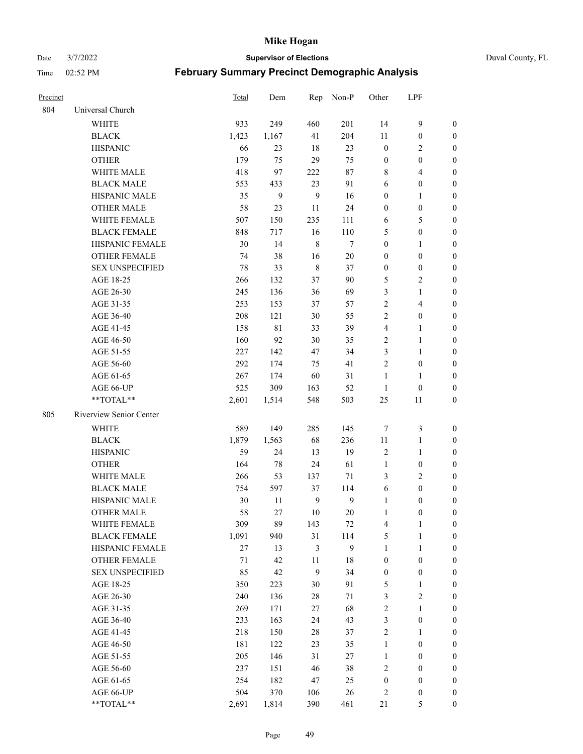Date 3/7/2022 **Supervisor of Elections** Duval County, FL

|                         | <b>Total</b>                                                                                                                                                                                             | Dem                                                                                            | Rep                                                                           | Non-P                                                                           | Other                                                                                                    | LPF                                                                                              |                                                                                                                              |
|-------------------------|----------------------------------------------------------------------------------------------------------------------------------------------------------------------------------------------------------|------------------------------------------------------------------------------------------------|-------------------------------------------------------------------------------|---------------------------------------------------------------------------------|----------------------------------------------------------------------------------------------------------|--------------------------------------------------------------------------------------------------|------------------------------------------------------------------------------------------------------------------------------|
| Universal Church        |                                                                                                                                                                                                          |                                                                                                |                                                                               |                                                                                 |                                                                                                          |                                                                                                  |                                                                                                                              |
| <b>WHITE</b>            | 933                                                                                                                                                                                                      | 249                                                                                            | 460                                                                           | 201                                                                             | 14                                                                                                       | $\mathbf{9}$                                                                                     | $\boldsymbol{0}$                                                                                                             |
| <b>BLACK</b>            | 1,423                                                                                                                                                                                                    | 1,167                                                                                          | 41                                                                            | 204                                                                             | 11                                                                                                       | $\boldsymbol{0}$                                                                                 | $\boldsymbol{0}$                                                                                                             |
| <b>HISPANIC</b>         | 66                                                                                                                                                                                                       | 23                                                                                             | 18                                                                            | 23                                                                              | $\boldsymbol{0}$                                                                                         | $\overline{2}$                                                                                   | $\boldsymbol{0}$                                                                                                             |
| <b>OTHER</b>            | 179                                                                                                                                                                                                      | 75                                                                                             | 29                                                                            | 75                                                                              | $\boldsymbol{0}$                                                                                         | $\boldsymbol{0}$                                                                                 | $\boldsymbol{0}$                                                                                                             |
| WHITE MALE              | 418                                                                                                                                                                                                      | 97                                                                                             | 222                                                                           | 87                                                                              | 8                                                                                                        | $\overline{4}$                                                                                   | $\boldsymbol{0}$                                                                                                             |
| <b>BLACK MALE</b>       | 553                                                                                                                                                                                                      | 433                                                                                            | 23                                                                            | 91                                                                              | 6                                                                                                        | $\boldsymbol{0}$                                                                                 | $\boldsymbol{0}$                                                                                                             |
| <b>HISPANIC MALE</b>    | 35                                                                                                                                                                                                       | 9                                                                                              | 9                                                                             | 16                                                                              | $\boldsymbol{0}$                                                                                         | $\mathbf{1}$                                                                                     | $\boldsymbol{0}$                                                                                                             |
| <b>OTHER MALE</b>       | 58                                                                                                                                                                                                       | 23                                                                                             | 11                                                                            | 24                                                                              | $\boldsymbol{0}$                                                                                         | $\boldsymbol{0}$                                                                                 | $\boldsymbol{0}$                                                                                                             |
| WHITE FEMALE            | 507                                                                                                                                                                                                      | 150                                                                                            | 235                                                                           | 111                                                                             | 6                                                                                                        | $\mathfrak{S}$                                                                                   | $\boldsymbol{0}$                                                                                                             |
| <b>BLACK FEMALE</b>     | 848                                                                                                                                                                                                      | 717                                                                                            | 16                                                                            | 110                                                                             | 5                                                                                                        | $\boldsymbol{0}$                                                                                 | 0                                                                                                                            |
| HISPANIC FEMALE         | 30                                                                                                                                                                                                       | 14                                                                                             | $\,8\,$                                                                       | $\tau$                                                                          | $\boldsymbol{0}$                                                                                         | $\mathbf{1}$                                                                                     | 0                                                                                                                            |
| <b>OTHER FEMALE</b>     | 74                                                                                                                                                                                                       | 38                                                                                             | 16                                                                            | $20\,$                                                                          | $\boldsymbol{0}$                                                                                         | $\boldsymbol{0}$                                                                                 | 0                                                                                                                            |
| <b>SEX UNSPECIFIED</b>  | 78                                                                                                                                                                                                       | 33                                                                                             | $\,$ 8 $\,$                                                                   | 37                                                                              | $\boldsymbol{0}$                                                                                         | $\boldsymbol{0}$                                                                                 | $\boldsymbol{0}$                                                                                                             |
| AGE 18-25               | 266                                                                                                                                                                                                      | 132                                                                                            | 37                                                                            | 90                                                                              | 5                                                                                                        | $\sqrt{2}$                                                                                       | $\boldsymbol{0}$                                                                                                             |
| AGE 26-30               | 245                                                                                                                                                                                                      | 136                                                                                            | 36                                                                            | 69                                                                              | 3                                                                                                        | $\mathbf{1}$                                                                                     | $\boldsymbol{0}$                                                                                                             |
| AGE 31-35               | 253                                                                                                                                                                                                      | 153                                                                                            | 37                                                                            | 57                                                                              | $\sqrt{2}$                                                                                               | $\overline{\mathbf{4}}$                                                                          | $\boldsymbol{0}$                                                                                                             |
| AGE 36-40               | 208                                                                                                                                                                                                      | 121                                                                                            | $30\,$                                                                        | 55                                                                              | $\mathfrak{2}$                                                                                           | $\boldsymbol{0}$                                                                                 | $\boldsymbol{0}$                                                                                                             |
| AGE 41-45               | 158                                                                                                                                                                                                      | $8\sqrt{1}$                                                                                    | 33                                                                            | 39                                                                              | $\overline{4}$                                                                                           | $\mathbf{1}$                                                                                     | $\boldsymbol{0}$                                                                                                             |
| AGE 46-50               | 160                                                                                                                                                                                                      | 92                                                                                             | $30\,$                                                                        | 35                                                                              | $\overline{c}$                                                                                           | $\mathbf{1}$                                                                                     | $\boldsymbol{0}$                                                                                                             |
| AGE 51-55               | 227                                                                                                                                                                                                      | 142                                                                                            | 47                                                                            | 34                                                                              | 3                                                                                                        | $\mathbf{1}$                                                                                     | 0                                                                                                                            |
| AGE 56-60               | 292                                                                                                                                                                                                      | 174                                                                                            | 75                                                                            | 41                                                                              | $\overline{2}$                                                                                           | $\boldsymbol{0}$                                                                                 | 0                                                                                                                            |
| AGE 61-65               | 267                                                                                                                                                                                                      | 174                                                                                            | 60                                                                            | 31                                                                              | 1                                                                                                        | $\mathbf{1}$                                                                                     | 0                                                                                                                            |
| AGE 66-UP               | 525                                                                                                                                                                                                      | 309                                                                                            | 163                                                                           | 52                                                                              | $\mathbf{1}$                                                                                             | $\boldsymbol{0}$                                                                                 | 0                                                                                                                            |
| **TOTAL**               | 2,601                                                                                                                                                                                                    | 1,514                                                                                          | 548                                                                           | 503                                                                             | 25                                                                                                       | 11                                                                                               | $\boldsymbol{0}$                                                                                                             |
| Riverview Senior Center |                                                                                                                                                                                                          |                                                                                                |                                                                               |                                                                                 |                                                                                                          |                                                                                                  |                                                                                                                              |
|                         |                                                                                                                                                                                                          |                                                                                                |                                                                               |                                                                                 |                                                                                                          |                                                                                                  | $\boldsymbol{0}$                                                                                                             |
|                         |                                                                                                                                                                                                          |                                                                                                |                                                                               |                                                                                 |                                                                                                          |                                                                                                  | $\boldsymbol{0}$                                                                                                             |
|                         |                                                                                                                                                                                                          | 24                                                                                             | 13                                                                            |                                                                                 |                                                                                                          | $\mathbf{1}$                                                                                     | $\boldsymbol{0}$                                                                                                             |
|                         |                                                                                                                                                                                                          |                                                                                                |                                                                               |                                                                                 | $\mathbf{1}$                                                                                             | $\boldsymbol{0}$                                                                                 | $\boldsymbol{0}$                                                                                                             |
| WHITE MALE              |                                                                                                                                                                                                          |                                                                                                |                                                                               |                                                                                 |                                                                                                          |                                                                                                  | $\boldsymbol{0}$                                                                                                             |
| <b>BLACK MALE</b>       |                                                                                                                                                                                                          |                                                                                                |                                                                               |                                                                                 |                                                                                                          | $\boldsymbol{0}$                                                                                 | $\boldsymbol{0}$                                                                                                             |
|                         |                                                                                                                                                                                                          | 11                                                                                             |                                                                               |                                                                                 | $\mathbf{1}$                                                                                             |                                                                                                  | 0                                                                                                                            |
| <b>OTHER MALE</b>       | 58                                                                                                                                                                                                       | 27                                                                                             | 10                                                                            |                                                                                 | $\mathbf{1}$                                                                                             | $\boldsymbol{0}$                                                                                 | 0                                                                                                                            |
|                         |                                                                                                                                                                                                          |                                                                                                |                                                                               |                                                                                 |                                                                                                          |                                                                                                  | 0                                                                                                                            |
|                         |                                                                                                                                                                                                          |                                                                                                |                                                                               |                                                                                 |                                                                                                          | $\mathbf{1}$                                                                                     | $\boldsymbol{0}$                                                                                                             |
| HISPANIC FEMALE         | $27\,$                                                                                                                                                                                                   | 13                                                                                             | 3                                                                             | 9                                                                               | $\mathbf{1}$                                                                                             | $\mathbf{1}$                                                                                     | $\overline{0}$                                                                                                               |
|                         |                                                                                                                                                                                                          |                                                                                                |                                                                               |                                                                                 |                                                                                                          | $\boldsymbol{0}$                                                                                 | $\overline{0}$                                                                                                               |
|                         |                                                                                                                                                                                                          |                                                                                                | $\mathbf{9}$                                                                  |                                                                                 |                                                                                                          | $\boldsymbol{0}$                                                                                 | 0                                                                                                                            |
| AGE 18-25               | 350                                                                                                                                                                                                      | 223                                                                                            | 30                                                                            | 91                                                                              | 5                                                                                                        | $\mathbf{1}$                                                                                     | 0                                                                                                                            |
| AGE 26-30               | 240                                                                                                                                                                                                      | 136                                                                                            | $28\,$                                                                        | 71                                                                              | 3                                                                                                        | $\mathfrak{2}$                                                                                   | 0                                                                                                                            |
|                         |                                                                                                                                                                                                          |                                                                                                |                                                                               |                                                                                 |                                                                                                          | $\mathbf{1}$                                                                                     | 0                                                                                                                            |
|                         |                                                                                                                                                                                                          |                                                                                                |                                                                               |                                                                                 |                                                                                                          |                                                                                                  | 0                                                                                                                            |
| AGE 41-45               | 218                                                                                                                                                                                                      | 150                                                                                            | 28                                                                            | 37                                                                              | $\sqrt{2}$                                                                                               | $\mathbf{1}$                                                                                     | 0                                                                                                                            |
|                         |                                                                                                                                                                                                          |                                                                                                | 23                                                                            |                                                                                 | $\mathbf{1}$                                                                                             |                                                                                                  | 0                                                                                                                            |
| AGE 51-55               | 205                                                                                                                                                                                                      | 146                                                                                            | 31                                                                            | 27                                                                              | $\mathbf{1}$                                                                                             | $\boldsymbol{0}$                                                                                 | 0                                                                                                                            |
| AGE 56-60               | 237                                                                                                                                                                                                      | 151                                                                                            | 46                                                                            | 38                                                                              | $\overline{c}$                                                                                           | $\boldsymbol{0}$                                                                                 | $\overline{0}$                                                                                                               |
| AGE 61-65               | 254                                                                                                                                                                                                      | 182                                                                                            | 47                                                                            | 25                                                                              | $\boldsymbol{0}$                                                                                         | $\boldsymbol{0}$                                                                                 | $\boldsymbol{0}$                                                                                                             |
| AGE 66-UP               | 504                                                                                                                                                                                                      | 370                                                                                            | 106                                                                           | 26                                                                              | 2                                                                                                        | $\boldsymbol{0}$                                                                                 | 0                                                                                                                            |
| **TOTAL**               | 2,691                                                                                                                                                                                                    | 1,814                                                                                          | 390                                                                           | 461                                                                             | 21                                                                                                       | $\mathfrak{S}$                                                                                   | $\boldsymbol{0}$                                                                                                             |
|                         | <b>WHITE</b><br><b>BLACK</b><br><b>HISPANIC</b><br><b>OTHER</b><br>HISPANIC MALE<br>WHITE FEMALE<br><b>BLACK FEMALE</b><br>OTHER FEMALE<br><b>SEX UNSPECIFIED</b><br>AGE 31-35<br>AGE 36-40<br>AGE 46-50 | 589<br>1,879<br>59<br>164<br>266<br>754<br>30<br>309<br>1,091<br>71<br>85<br>269<br>233<br>181 | 149<br>1,563<br>78<br>53<br>597<br>89<br>940<br>42<br>42<br>171<br>163<br>122 | 285<br>68<br>24<br>137<br>37<br>$\mathbf{9}$<br>143<br>31<br>11<br>$27\,$<br>24 | 145<br>236<br>19<br>61<br>71<br>114<br>$\mathbf{9}$<br>20<br>72<br>114<br>$18\,$<br>34<br>68<br>43<br>35 | $\tau$<br>11<br>2<br>3<br>6<br>4<br>5<br>$\boldsymbol{0}$<br>$\boldsymbol{0}$<br>$\sqrt{2}$<br>3 | $\mathfrak{Z}$<br>$\mathbf{1}$<br>$\overline{2}$<br>$\boldsymbol{0}$<br>$\mathbf{1}$<br>$\boldsymbol{0}$<br>$\boldsymbol{0}$ |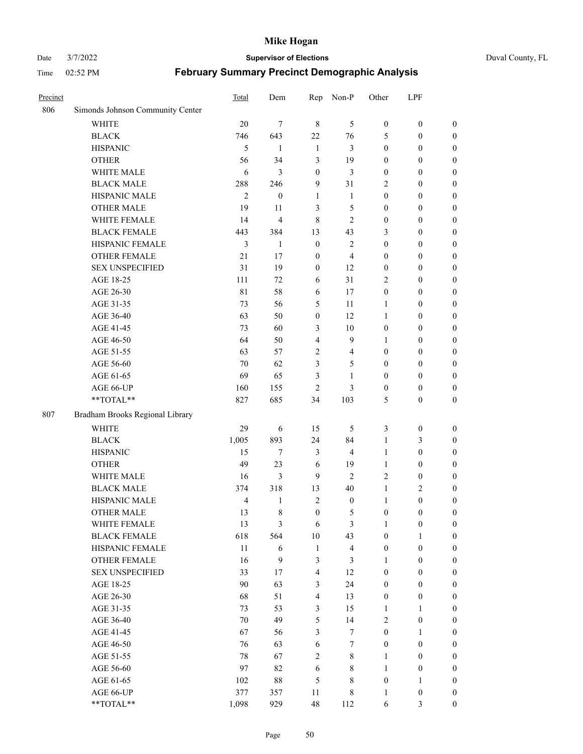#### Date 3/7/2022 **Supervisor of Elections** Duval County, FL

| Precinct |                                  | Total          | Dem              | Rep              | Non-P                   | Other            | LPF              |                  |
|----------|----------------------------------|----------------|------------------|------------------|-------------------------|------------------|------------------|------------------|
| 806      | Simonds Johnson Community Center |                |                  |                  |                         |                  |                  |                  |
|          | <b>WHITE</b>                     | 20             | $\tau$           | $\,8\,$          | 5                       | $\boldsymbol{0}$ | $\boldsymbol{0}$ | $\boldsymbol{0}$ |
|          | <b>BLACK</b>                     | 746            | 643              | 22               | 76                      | 5                | $\boldsymbol{0}$ | $\boldsymbol{0}$ |
|          | <b>HISPANIC</b>                  | 5              | 1                | $\mathbf{1}$     | 3                       | $\boldsymbol{0}$ | $\boldsymbol{0}$ | $\boldsymbol{0}$ |
|          | <b>OTHER</b>                     | 56             | 34               | 3                | 19                      | $\boldsymbol{0}$ | $\boldsymbol{0}$ | $\boldsymbol{0}$ |
|          | WHITE MALE                       | 6              | 3                | $\boldsymbol{0}$ | 3                       | $\boldsymbol{0}$ | $\boldsymbol{0}$ | $\boldsymbol{0}$ |
|          | <b>BLACK MALE</b>                | 288            | 246              | 9                | 31                      | 2                | $\boldsymbol{0}$ | $\boldsymbol{0}$ |
|          | HISPANIC MALE                    | $\mathbf{2}$   | $\boldsymbol{0}$ | 1                | $\mathbf{1}$            | $\boldsymbol{0}$ | $\boldsymbol{0}$ | $\boldsymbol{0}$ |
|          | <b>OTHER MALE</b>                | 19             | 11               | 3                | 5                       | $\boldsymbol{0}$ | $\boldsymbol{0}$ | $\boldsymbol{0}$ |
|          | WHITE FEMALE                     | 14             | 4                | $\,8\,$          | $\mathbf{2}$            | $\boldsymbol{0}$ | $\boldsymbol{0}$ | 0                |
|          | <b>BLACK FEMALE</b>              | 443            | 384              | 13               | 43                      | 3                | $\boldsymbol{0}$ | $\boldsymbol{0}$ |
|          | HISPANIC FEMALE                  | 3              | $\mathbf{1}$     | $\boldsymbol{0}$ | $\mathbf{2}$            | $\boldsymbol{0}$ | $\boldsymbol{0}$ | $\boldsymbol{0}$ |
|          | <b>OTHER FEMALE</b>              | 21             | 17               | $\boldsymbol{0}$ | $\overline{4}$          | $\boldsymbol{0}$ | $\boldsymbol{0}$ | $\boldsymbol{0}$ |
|          | <b>SEX UNSPECIFIED</b>           | 31             | 19               | $\boldsymbol{0}$ | 12                      | $\boldsymbol{0}$ | $\boldsymbol{0}$ | $\boldsymbol{0}$ |
|          | AGE 18-25                        | 111            | 72               | 6                | 31                      | $\overline{c}$   | $\boldsymbol{0}$ | $\boldsymbol{0}$ |
|          | AGE 26-30                        | 81             | 58               | 6                | 17                      | $\boldsymbol{0}$ | $\boldsymbol{0}$ | $\boldsymbol{0}$ |
|          | AGE 31-35                        | 73             | 56               | 5                | 11                      | $\mathbf{1}$     | $\boldsymbol{0}$ | $\boldsymbol{0}$ |
|          | AGE 36-40                        | 63             | 50               | $\boldsymbol{0}$ | 12                      | $\mathbf{1}$     | $\boldsymbol{0}$ | $\boldsymbol{0}$ |
|          | AGE 41-45                        | 73             | 60               | $\mathfrak{Z}$   | $10\,$                  | $\boldsymbol{0}$ | $\boldsymbol{0}$ | $\boldsymbol{0}$ |
|          | AGE 46-50                        | 64             | 50               | $\overline{4}$   | 9                       | 1                | $\boldsymbol{0}$ | 0                |
|          | AGE 51-55                        | 63             | 57               | $\overline{2}$   | $\overline{4}$          | $\boldsymbol{0}$ | $\boldsymbol{0}$ | $\boldsymbol{0}$ |
|          | AGE 56-60                        | 70             | 62               | 3                | 5                       | $\boldsymbol{0}$ | $\boldsymbol{0}$ | $\boldsymbol{0}$ |
|          | AGE 61-65                        | 69             | 65               | 3                | $\mathbf{1}$            | $\boldsymbol{0}$ | $\boldsymbol{0}$ | $\boldsymbol{0}$ |
|          | AGE 66-UP                        | 160            | 155              | $\overline{2}$   | 3                       | $\boldsymbol{0}$ | $\boldsymbol{0}$ | $\boldsymbol{0}$ |
|          | **TOTAL**                        | 827            | 685              | 34               | 103                     | 5                | $\boldsymbol{0}$ | $\boldsymbol{0}$ |
| 807      | Bradham Brooks Regional Library  |                |                  |                  |                         |                  |                  |                  |
|          | <b>WHITE</b>                     | 29             | 6                | 15               | 5                       | 3                | $\boldsymbol{0}$ | $\boldsymbol{0}$ |
|          | <b>BLACK</b>                     | 1,005          | 893              | 24               | 84                      | $\mathbf{1}$     | $\mathfrak{Z}$   | $\boldsymbol{0}$ |
|          | <b>HISPANIC</b>                  | 15             | $\tau$           | $\mathfrak{Z}$   | $\overline{4}$          | $\mathbf{1}$     | $\boldsymbol{0}$ | $\boldsymbol{0}$ |
|          | <b>OTHER</b>                     | 49             | 23               | 6                | 19                      | $\mathbf{1}$     | $\boldsymbol{0}$ | $\boldsymbol{0}$ |
|          | WHITE MALE                       | 16             | 3                | 9                | $\mathbf{2}$            | $\overline{c}$   | $\boldsymbol{0}$ | $\boldsymbol{0}$ |
|          | <b>BLACK MALE</b>                | 374            | 318              | 13               | 40                      | $\mathbf{1}$     | $\mathbf{2}$     | 0                |
|          | HISPANIC MALE                    | $\overline{4}$ | 1                | $\overline{2}$   | $\boldsymbol{0}$        | 1                | $\boldsymbol{0}$ | 0                |
|          | <b>OTHER MALE</b>                | 13             | 8                | $\boldsymbol{0}$ | 5                       | $\boldsymbol{0}$ | $\boldsymbol{0}$ | $\boldsymbol{0}$ |
|          | WHITE FEMALE                     | 13             | $\mathfrak{Z}$   | 6                | 3                       | 1                | $\boldsymbol{0}$ | $\boldsymbol{0}$ |
|          | <b>BLACK FEMALE</b>              | 618            | 564              | $10\,$           | 43                      | $\boldsymbol{0}$ | $\mathbf{1}$     | $\boldsymbol{0}$ |
|          | HISPANIC FEMALE                  | 11             | 6                | $\mathbf{1}$     | $\overline{\mathbf{4}}$ | $\boldsymbol{0}$ | $\boldsymbol{0}$ | $\overline{0}$   |
|          | <b>OTHER FEMALE</b>              | 16             | 9                | $\mathfrak{Z}$   | 3                       | 1                | $\boldsymbol{0}$ | $\overline{0}$   |
|          | <b>SEX UNSPECIFIED</b>           | 33             | 17               | $\overline{4}$   | 12                      | $\boldsymbol{0}$ | $\boldsymbol{0}$ | $\overline{0}$   |
|          | AGE 18-25                        | 90             | 63               | $\mathfrak{Z}$   | 24                      | $\boldsymbol{0}$ | $\boldsymbol{0}$ | $\overline{0}$   |
|          | AGE 26-30                        | 68             | 51               | $\overline{4}$   | 13                      | $\boldsymbol{0}$ | $\boldsymbol{0}$ | 0                |
|          | AGE 31-35                        | 73             | 53               | $\mathfrak{Z}$   | 15                      | $\mathbf{1}$     | $\mathbf{1}$     | 0                |
|          | AGE 36-40                        | 70             | 49               | $\mathfrak s$    | 14                      | $\mathbf{2}$     | $\boldsymbol{0}$ | $\boldsymbol{0}$ |
|          | AGE 41-45                        | 67             | 56               | $\mathfrak{Z}$   | $\boldsymbol{7}$        | $\boldsymbol{0}$ | $\mathbf{1}$     | $\boldsymbol{0}$ |
|          | AGE 46-50                        | 76             | 63               | 6                | $\tau$                  | $\boldsymbol{0}$ | $\boldsymbol{0}$ | $\boldsymbol{0}$ |
|          | AGE 51-55                        | 78             | 67               | $\sqrt{2}$       | $\,$ 8 $\,$             | $\mathbf{1}$     | $\boldsymbol{0}$ | $\boldsymbol{0}$ |
|          | AGE 56-60                        | 97             | 82               | $\sqrt{6}$       | 8                       | $\mathbf{1}$     | $\boldsymbol{0}$ | $\boldsymbol{0}$ |
|          | AGE 61-65                        | 102            | 88               | $\mathfrak{S}$   | 8                       | $\boldsymbol{0}$ | $\mathbf{1}$     | $\boldsymbol{0}$ |
|          | AGE 66-UP                        | 377            | 357              | 11               | $\,8\,$                 | $\mathbf{1}$     | $\boldsymbol{0}$ | $\overline{0}$   |
|          | **TOTAL**                        | 1,098          | 929              | 48               | 112                     | $\sqrt{6}$       | $\mathfrak{Z}$   | $\boldsymbol{0}$ |
|          |                                  |                |                  |                  |                         |                  |                  |                  |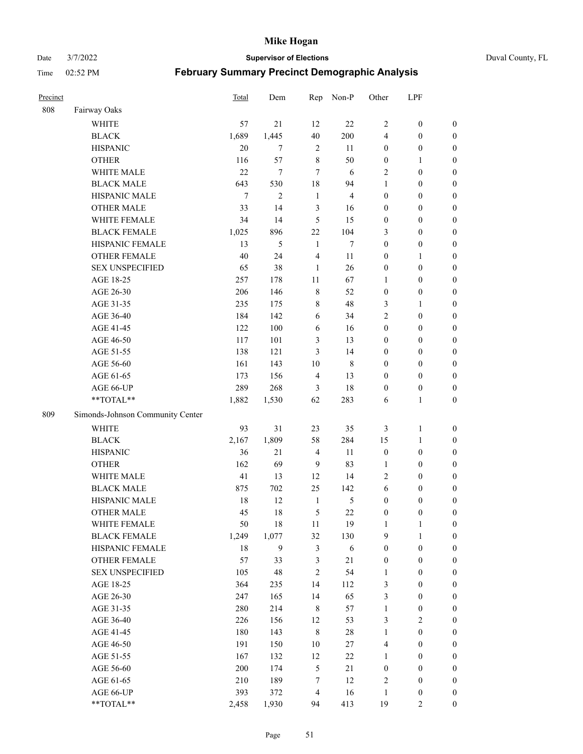Date 3/7/2022 **Supervisor of Elections** Duval County, FL

| Precinct |                                    | Total  | Dem            | Rep            | Non-P          | Other            | LPF              |                  |
|----------|------------------------------------|--------|----------------|----------------|----------------|------------------|------------------|------------------|
| 808      | Fairway Oaks                       |        |                |                |                |                  |                  |                  |
|          | <b>WHITE</b>                       | 57     | 21             | 12             | 22             | $\overline{2}$   | $\boldsymbol{0}$ | 0                |
|          | <b>BLACK</b>                       | 1,689  | 1,445          | 40             | 200            | 4                | $\boldsymbol{0}$ | $\boldsymbol{0}$ |
|          | <b>HISPANIC</b>                    | 20     | 7              | $\overline{2}$ | 11             | $\boldsymbol{0}$ | $\boldsymbol{0}$ | $\boldsymbol{0}$ |
|          | <b>OTHER</b>                       | 116    | 57             | $\,8\,$        | 50             | $\boldsymbol{0}$ | $\mathbf{1}$     | $\boldsymbol{0}$ |
|          | WHITE MALE                         | 22     | 7              | $\overline{7}$ | 6              | 2                | $\boldsymbol{0}$ | $\boldsymbol{0}$ |
|          | <b>BLACK MALE</b>                  | 643    | 530            | 18             | 94             | 1                | $\boldsymbol{0}$ | $\boldsymbol{0}$ |
|          | HISPANIC MALE                      | $\tau$ | $\overline{2}$ | $\mathbf{1}$   | $\overline{4}$ | $\boldsymbol{0}$ | $\boldsymbol{0}$ | $\boldsymbol{0}$ |
|          | <b>OTHER MALE</b>                  | 33     | 14             | 3              | 16             | $\boldsymbol{0}$ | $\boldsymbol{0}$ | $\boldsymbol{0}$ |
|          | WHITE FEMALE                       | 34     | 14             | 5              | 15             | $\boldsymbol{0}$ | $\boldsymbol{0}$ | $\boldsymbol{0}$ |
|          | <b>BLACK FEMALE</b>                | 1,025  | 896            | $22\,$         | 104            | 3                | $\boldsymbol{0}$ | $\boldsymbol{0}$ |
|          | HISPANIC FEMALE                    | 13     | 5              | 1              | $\tau$         | $\boldsymbol{0}$ | $\boldsymbol{0}$ | $\boldsymbol{0}$ |
|          | <b>OTHER FEMALE</b>                | 40     | 24             | $\overline{4}$ | 11             | $\boldsymbol{0}$ | $\mathbf{1}$     | $\boldsymbol{0}$ |
|          | <b>SEX UNSPECIFIED</b>             | 65     | 38             | $\mathbf{1}$   | 26             | $\boldsymbol{0}$ | $\boldsymbol{0}$ | $\boldsymbol{0}$ |
|          | AGE 18-25                          | 257    | 178            | 11             | 67             | 1                | $\boldsymbol{0}$ | $\boldsymbol{0}$ |
|          | AGE 26-30                          | 206    | 146            | $\,8\,$        | 52             | $\boldsymbol{0}$ | $\boldsymbol{0}$ | $\boldsymbol{0}$ |
|          | AGE 31-35                          | 235    | 175            | $\,8\,$        | 48             | 3                | $\mathbf{1}$     | $\boldsymbol{0}$ |
|          | AGE 36-40                          | 184    | 142            | 6              | 34             | $\overline{c}$   | $\boldsymbol{0}$ | $\boldsymbol{0}$ |
|          | AGE 41-45                          | 122    | 100            | 6              | 16             | $\boldsymbol{0}$ | $\boldsymbol{0}$ | $\boldsymbol{0}$ |
|          | AGE 46-50                          | 117    | 101            | $\mathfrak{Z}$ | 13             | $\boldsymbol{0}$ | $\boldsymbol{0}$ | $\boldsymbol{0}$ |
|          | AGE 51-55                          | 138    | 121            | 3              | 14             | $\boldsymbol{0}$ | $\boldsymbol{0}$ | $\boldsymbol{0}$ |
|          | AGE 56-60                          | 161    | 143            | 10             | $\,$ 8 $\,$    | $\boldsymbol{0}$ | $\boldsymbol{0}$ | 0                |
|          | AGE 61-65                          | 173    | 156            | $\overline{4}$ | 13             | $\boldsymbol{0}$ | $\boldsymbol{0}$ | $\boldsymbol{0}$ |
|          | AGE 66-UP                          | 289    | 268            | 3              | 18             | $\boldsymbol{0}$ | $\boldsymbol{0}$ | $\boldsymbol{0}$ |
|          | **TOTAL**                          | 1,882  | 1,530          | 62             | 283            | 6                | $\mathbf{1}$     | $\boldsymbol{0}$ |
| 809      | Simonds-Johnson Community Center   |        |                |                |                |                  |                  |                  |
|          |                                    |        |                |                |                |                  |                  |                  |
|          | <b>WHITE</b>                       | 93     | 31             | 23             | 35             | 3                | $\mathbf{1}$     | $\boldsymbol{0}$ |
|          | <b>BLACK</b>                       | 2,167  | 1,809          | 58             | 284            | 15               | $\mathbf{1}$     | $\boldsymbol{0}$ |
|          | <b>HISPANIC</b>                    | 36     | 21             | $\overline{4}$ | 11             | $\boldsymbol{0}$ | $\boldsymbol{0}$ | $\boldsymbol{0}$ |
|          | <b>OTHER</b>                       | 162    | 69             | 9              | 83             | $\mathbf{1}$     | $\boldsymbol{0}$ | $\boldsymbol{0}$ |
|          | WHITE MALE                         | 41     | 13             | 12             | 14             | $\mathbf{2}$     | $\boldsymbol{0}$ | $\boldsymbol{0}$ |
|          | <b>BLACK MALE</b>                  | 875    | 702            | 25             | 142            | 6                | $\boldsymbol{0}$ | $\boldsymbol{0}$ |
|          | HISPANIC MALE<br><b>OTHER MALE</b> | 18     | 12             | $\mathbf{1}$   | 5              | $\boldsymbol{0}$ | $\boldsymbol{0}$ | $\boldsymbol{0}$ |
|          |                                    | 45     | 18             | 5              | 22             | $\boldsymbol{0}$ | $\boldsymbol{0}$ | $\boldsymbol{0}$ |
|          | WHITE FEMALE                       | 50     | 18             | 11             | 19             | 1                | 1                | 0                |
|          | <b>BLACK FEMALE</b>                | 1,249  | 1,077          | 32             | 130            | 9                | $\mathbf{1}$     | $\boldsymbol{0}$ |
|          | HISPANIC FEMALE                    | 18     | 9              | $\mathfrak{Z}$ | 6              | $\boldsymbol{0}$ | $\boldsymbol{0}$ | $\overline{0}$   |
|          | OTHER FEMALE                       | 57     | 33             | $\mathfrak{Z}$ | 21             | $\boldsymbol{0}$ | $\boldsymbol{0}$ | $\overline{0}$   |
|          | <b>SEX UNSPECIFIED</b>             | 105    | 48             | $\mathfrak{2}$ | 54             | $\mathbf{1}$     | $\boldsymbol{0}$ | $\overline{0}$   |
|          | AGE 18-25                          | 364    | 235            | 14             | 112            | 3                | $\boldsymbol{0}$ | $\overline{0}$   |
|          | AGE 26-30                          | 247    | 165            | 14             | 65             | 3                | $\boldsymbol{0}$ | $\overline{0}$   |
|          | AGE 31-35                          | 280    | 214            | $\,8\,$        | 57             | $\mathbf{1}$     | $\boldsymbol{0}$ | 0                |
|          | AGE 36-40                          | 226    | 156            | 12             | 53             | 3                | $\sqrt{2}$       | 0                |
|          | AGE 41-45                          | 180    | 143            | $\,8\,$        | $28\,$         | $\mathbf{1}$     | $\boldsymbol{0}$ | 0                |
|          | AGE 46-50                          | 191    | 150            | 10             | 27             | 4                | $\boldsymbol{0}$ | $\boldsymbol{0}$ |
|          | AGE 51-55                          | 167    | 132            | 12             | 22             | $\mathbf{1}$     | $\boldsymbol{0}$ | $\boldsymbol{0}$ |
|          | AGE 56-60                          | 200    | 174            | $\mathfrak{S}$ | 21             | $\boldsymbol{0}$ | $\boldsymbol{0}$ | $\boldsymbol{0}$ |
|          | AGE 61-65                          | 210    | 189            | 7              | 12             | 2                | $\boldsymbol{0}$ | $\boldsymbol{0}$ |
|          | AGE 66-UP                          | 393    | 372            | $\overline{4}$ | 16             | $\mathbf{1}$     | $\boldsymbol{0}$ | $\boldsymbol{0}$ |
|          | **TOTAL**                          | 2,458  | 1,930          | 94             | 413            | 19               | $\overline{2}$   | $\boldsymbol{0}$ |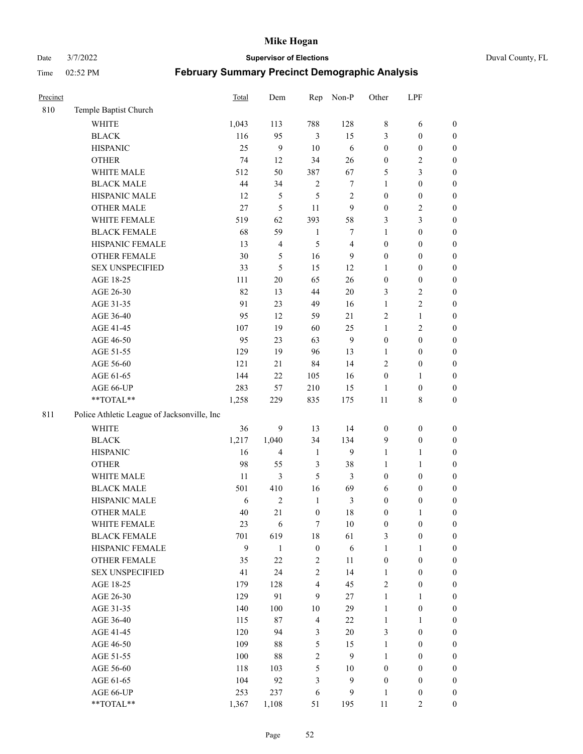Date 3/7/2022 **Supervisor of Elections** Duval County, FL

| Precinct |                                             | <b>Total</b> | Dem            | Rep                     | Non-P          | Other            | LPF              |                  |
|----------|---------------------------------------------|--------------|----------------|-------------------------|----------------|------------------|------------------|------------------|
| 810      | Temple Baptist Church                       |              |                |                         |                |                  |                  |                  |
|          | <b>WHITE</b>                                | 1,043        | 113            | 788                     | 128            | 8                | 6                | 0                |
|          | <b>BLACK</b>                                | 116          | 95             | $\mathfrak{Z}$          | 15             | 3                | $\boldsymbol{0}$ | $\boldsymbol{0}$ |
|          | <b>HISPANIC</b>                             | 25           | 9              | 10                      | 6              | $\boldsymbol{0}$ | $\boldsymbol{0}$ | $\boldsymbol{0}$ |
|          | <b>OTHER</b>                                | 74           | 12             | 34                      | 26             | $\boldsymbol{0}$ | $\sqrt{2}$       | $\boldsymbol{0}$ |
|          | WHITE MALE                                  | 512          | 50             | 387                     | 67             | 5                | $\mathfrak{Z}$   | $\boldsymbol{0}$ |
|          | <b>BLACK MALE</b>                           | 44           | 34             | $\sqrt{2}$              | 7              | $\mathbf{1}$     | $\boldsymbol{0}$ | $\boldsymbol{0}$ |
|          | HISPANIC MALE                               | 12           | 5              | 5                       | 2              | $\boldsymbol{0}$ | $\boldsymbol{0}$ | $\boldsymbol{0}$ |
|          | <b>OTHER MALE</b>                           | 27           | 5              | 11                      | 9              | $\boldsymbol{0}$ | $\mathbf{2}$     | $\boldsymbol{0}$ |
|          | WHITE FEMALE                                | 519          | 62             | 393                     | 58             | 3                | $\mathfrak{Z}$   | $\boldsymbol{0}$ |
|          | <b>BLACK FEMALE</b>                         | 68           | 59             | $\mathbf{1}$            | 7              | $\mathbf{1}$     | $\boldsymbol{0}$ | $\boldsymbol{0}$ |
|          | HISPANIC FEMALE                             | 13           | 4              | 5                       | $\overline{4}$ | $\boldsymbol{0}$ | $\boldsymbol{0}$ | 0                |
|          | <b>OTHER FEMALE</b>                         | 30           | 5              | 16                      | 9              | $\boldsymbol{0}$ | $\boldsymbol{0}$ | $\boldsymbol{0}$ |
|          | <b>SEX UNSPECIFIED</b>                      | 33           | 5              | 15                      | 12             | $\mathbf{1}$     | $\boldsymbol{0}$ | $\boldsymbol{0}$ |
|          | AGE 18-25                                   | 111          | $20\,$         | 65                      | 26             | $\boldsymbol{0}$ | $\boldsymbol{0}$ | $\boldsymbol{0}$ |
|          | AGE 26-30                                   | 82           | 13             | 44                      | $20\,$         | 3                | $\sqrt{2}$       | $\boldsymbol{0}$ |
|          | AGE 31-35                                   | 91           | 23             | 49                      | 16             | $\mathbf{1}$     | $\sqrt{2}$       | $\boldsymbol{0}$ |
|          | AGE 36-40                                   | 95           | 12             | 59                      | 21             | $\overline{c}$   | $\mathbf{1}$     | $\boldsymbol{0}$ |
|          | AGE 41-45                                   | 107          | 19             | 60                      | 25             | $\mathbf{1}$     | $\mathfrak{2}$   | $\boldsymbol{0}$ |
|          | AGE 46-50                                   | 95           | 23             | 63                      | $\mathbf{9}$   | $\boldsymbol{0}$ | $\boldsymbol{0}$ | $\boldsymbol{0}$ |
|          | AGE 51-55                                   | 129          | 19             | 96                      | 13             | 1                | $\boldsymbol{0}$ | $\boldsymbol{0}$ |
|          | AGE 56-60                                   | 121          | 21             | 84                      | 14             | $\overline{c}$   | $\boldsymbol{0}$ | 0                |
|          | AGE 61-65                                   | 144          | 22             | 105                     | 16             | $\boldsymbol{0}$ | $\mathbf{1}$     | 0                |
|          | AGE 66-UP                                   | 283          | 57             | 210                     | 15             | $\mathbf{1}$     | $\boldsymbol{0}$ | $\boldsymbol{0}$ |
|          | $**TOTAL**$                                 | 1,258        | 229            | 835                     | 175            | 11               | $\,$ 8 $\,$      | $\boldsymbol{0}$ |
| 811      | Police Athletic League of Jacksonville, Inc |              |                |                         |                |                  |                  |                  |
|          | WHITE                                       | 36           | 9              | 13                      | 14             | $\boldsymbol{0}$ | $\boldsymbol{0}$ | $\boldsymbol{0}$ |
|          | <b>BLACK</b>                                | 1,217        | 1,040          | 34                      | 134            | $\overline{9}$   | $\boldsymbol{0}$ | $\boldsymbol{0}$ |
|          | <b>HISPANIC</b>                             | 16           | 4              | $\mathbf{1}$            | 9              | $\mathbf{1}$     | $\mathbf{1}$     | $\boldsymbol{0}$ |
|          |                                             | 98           |                | $\mathfrak{Z}$          | 38             | $\mathbf{1}$     |                  |                  |
|          | <b>OTHER</b><br>WHITE MALE                  |              | 55             |                         |                |                  | $\mathbf{1}$     | $\boldsymbol{0}$ |
|          | <b>BLACK MALE</b>                           | 11           | 3<br>410       | 5<br>16                 | 3<br>69        | $\boldsymbol{0}$ | $\boldsymbol{0}$ | $\boldsymbol{0}$ |
|          |                                             | 501          |                |                         |                | 6                | $\boldsymbol{0}$ | $\boldsymbol{0}$ |
|          | HISPANIC MALE                               | 6            | $\overline{c}$ | $\mathbf{1}$            | 3              | $\boldsymbol{0}$ | $\boldsymbol{0}$ | $\boldsymbol{0}$ |
|          | <b>OTHER MALE</b>                           | 40           | 21             | $\boldsymbol{0}$        | 18             | $\boldsymbol{0}$ | $\mathbf{1}$     | $\boldsymbol{0}$ |
|          | WHITE FEMALE                                | 23           | 6              | 7                       | 10             | $\boldsymbol{0}$ | $\boldsymbol{0}$ | 0                |
|          | <b>BLACK FEMALE</b>                         | 701<br>9     | 619            | $18\,$                  | 61             | 3                | $\boldsymbol{0}$ | $\boldsymbol{0}$ |
|          | HISPANIC FEMALE                             |              | $\mathbf{1}$   | $\boldsymbol{0}$        | 6              | $\mathbf{1}$     | $\mathbf{1}$     | $\boldsymbol{0}$ |
|          | OTHER FEMALE                                | 35           | $22\,$         | $\sqrt{2}$              | 11             | $\boldsymbol{0}$ | $\boldsymbol{0}$ | $\overline{0}$   |
|          | <b>SEX UNSPECIFIED</b>                      | 41           | 24             | $\mathbf{2}$            | 14             | $\mathbf{1}$     | $\boldsymbol{0}$ | $\overline{0}$   |
|          | AGE 18-25                                   | 179          | 128            | $\overline{\mathbf{4}}$ | 45             | $\mathfrak{2}$   | $\boldsymbol{0}$ | $\overline{0}$   |
|          | AGE 26-30                                   | 129          | 91             | 9                       | 27             | $\mathbf{1}$     | $\mathbf{1}$     | $\overline{0}$   |
|          | AGE 31-35                                   | 140          | 100            | $10\,$                  | 29             | $\mathbf{1}$     | $\boldsymbol{0}$ | 0                |
|          | AGE 36-40                                   | 115          | 87             | $\overline{4}$          | $22\,$         | $\mathbf{1}$     | $\mathbf{1}$     | 0                |
|          | AGE 41-45                                   | 120          | 94             | 3                       | 20             | 3                | $\boldsymbol{0}$ | 0                |
|          | AGE 46-50                                   | 109          | 88             | $\mathfrak{S}$          | 15             | $\mathbf{1}$     | $\boldsymbol{0}$ | 0                |
|          | AGE 51-55                                   | 100          | 88             | $\mathbf{2}$            | 9              | $\mathbf{1}$     | $\boldsymbol{0}$ | $\boldsymbol{0}$ |
|          | AGE 56-60                                   | 118          | 103            | $\mathfrak{S}$          | 10             | $\boldsymbol{0}$ | $\boldsymbol{0}$ | $\boldsymbol{0}$ |
|          | AGE 61-65                                   | 104          | 92             | 3                       | 9              | $\boldsymbol{0}$ | $\boldsymbol{0}$ | $\boldsymbol{0}$ |
|          | AGE 66-UP                                   | 253          | 237            | 6                       | 9              | $\mathbf{1}$     | $\boldsymbol{0}$ | $\boldsymbol{0}$ |
|          | **TOTAL**                                   | 1,367        | 1,108          | 51                      | 195            | 11               | $\mathbf{2}$     | $\boldsymbol{0}$ |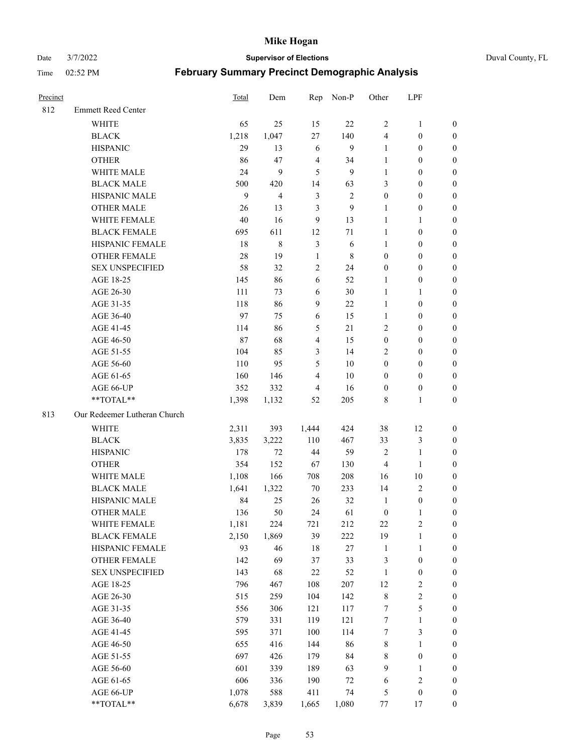Date 3/7/2022 **Supervisor of Elections** Duval County, FL

| Precinct |                              | <b>Total</b> | Dem                     | Rep                     | Non-P      | Other            | LPF              |                  |
|----------|------------------------------|--------------|-------------------------|-------------------------|------------|------------------|------------------|------------------|
| 812      | <b>Emmett Reed Center</b>    |              |                         |                         |            |                  |                  |                  |
|          | <b>WHITE</b>                 | 65           | 25                      | 15                      | 22         | $\overline{2}$   | $\mathbf{1}$     | 0                |
|          | <b>BLACK</b>                 | 1,218        | 1,047                   | 27                      | 140        | 4                | $\boldsymbol{0}$ | 0                |
|          | <b>HISPANIC</b>              | 29           | 13                      | 6                       | 9          | $\mathbf{1}$     | $\boldsymbol{0}$ | $\boldsymbol{0}$ |
|          | <b>OTHER</b>                 | 86           | 47                      | $\overline{4}$          | 34         | 1                | $\boldsymbol{0}$ | $\boldsymbol{0}$ |
|          | WHITE MALE                   | 24           | 9                       | 5                       | 9          | $\mathbf{1}$     | $\boldsymbol{0}$ | $\boldsymbol{0}$ |
|          | <b>BLACK MALE</b>            | 500          | 420                     | 14                      | 63         | 3                | $\boldsymbol{0}$ | $\boldsymbol{0}$ |
|          | HISPANIC MALE                | 9            | $\overline{\mathbf{4}}$ | $\mathfrak{Z}$          | $\sqrt{2}$ | $\boldsymbol{0}$ | $\boldsymbol{0}$ | $\boldsymbol{0}$ |
|          | <b>OTHER MALE</b>            | 26           | 13                      | $\mathfrak{Z}$          | 9          | $\mathbf{1}$     | $\boldsymbol{0}$ | $\boldsymbol{0}$ |
|          | WHITE FEMALE                 | $40\,$       | 16                      | $\boldsymbol{9}$        | 13         | $\mathbf{1}$     | $\mathbf{1}$     | $\boldsymbol{0}$ |
|          | <b>BLACK FEMALE</b>          | 695          | 611                     | 12                      | 71         | $\mathbf{1}$     | $\boldsymbol{0}$ | 0                |
|          | HISPANIC FEMALE              | 18           | $\,8\,$                 | $\mathfrak{Z}$          | 6          | $\mathbf{1}$     | $\boldsymbol{0}$ | 0                |
|          | <b>OTHER FEMALE</b>          | 28           | 19                      | $\mathbf{1}$            | 8          | $\boldsymbol{0}$ | $\boldsymbol{0}$ | $\boldsymbol{0}$ |
|          | <b>SEX UNSPECIFIED</b>       | 58           | 32                      | $\sqrt{2}$              | 24         | $\boldsymbol{0}$ | $\boldsymbol{0}$ | $\boldsymbol{0}$ |
|          | AGE 18-25                    | 145          | 86                      | 6                       | 52         | 1                | $\boldsymbol{0}$ | $\boldsymbol{0}$ |
|          | AGE 26-30                    | 111          | 73                      | 6                       | 30         | $\mathbf{1}$     | $\mathbf{1}$     | $\boldsymbol{0}$ |
|          | AGE 31-35                    | 118          | 86                      | $\boldsymbol{9}$        | 22         | $\mathbf{1}$     | $\boldsymbol{0}$ | $\boldsymbol{0}$ |
|          | AGE 36-40                    | 97           | 75                      | 6                       | 15         | $\mathbf{1}$     | $\boldsymbol{0}$ | $\boldsymbol{0}$ |
|          | AGE 41-45                    | 114          | 86                      | $\mathfrak s$           | 21         | $\mathfrak{2}$   | $\boldsymbol{0}$ | $\boldsymbol{0}$ |
|          | AGE 46-50                    | 87           | 68                      | $\overline{\mathbf{4}}$ | 15         | $\boldsymbol{0}$ | $\boldsymbol{0}$ | $\boldsymbol{0}$ |
|          | AGE 51-55                    | 104          | 85                      | 3                       | 14         | $\mathfrak{2}$   | $\boldsymbol{0}$ | $\boldsymbol{0}$ |
|          | AGE 56-60                    | 110          | 95                      | 5                       | 10         | $\boldsymbol{0}$ | $\boldsymbol{0}$ | 0                |
|          | AGE 61-65                    | 160          | 146                     | $\overline{4}$          | 10         | $\boldsymbol{0}$ | $\boldsymbol{0}$ | 0                |
|          | AGE 66-UP                    | 352          | 332                     | 4                       | 16         | $\boldsymbol{0}$ | $\boldsymbol{0}$ | $\boldsymbol{0}$ |
|          | **TOTAL**                    | 1,398        | 1,132                   | 52                      | 205        | 8                | $\mathbf{1}$     | $\boldsymbol{0}$ |
| 813      | Our Redeemer Lutheran Church |              |                         |                         |            |                  |                  |                  |
|          | <b>WHITE</b>                 | 2,311        | 393                     | 1,444                   | 424        | 38               | 12               | $\boldsymbol{0}$ |
|          | <b>BLACK</b>                 | 3,835        | 3,222                   | 110                     | 467        | 33               | $\mathfrak{Z}$   | $\boldsymbol{0}$ |
|          | <b>HISPANIC</b>              | 178          | 72                      | 44                      | 59         | $\overline{c}$   | $\mathbf{1}$     | $\boldsymbol{0}$ |
|          | <b>OTHER</b>                 | 354          | 152                     | 67                      | 130        | 4                | $\mathbf{1}$     | $\boldsymbol{0}$ |
|          | WHITE MALE                   | 1,108        | 166                     | 708                     | 208        | 16               | $10\,$           | $\boldsymbol{0}$ |
|          | <b>BLACK MALE</b>            | 1,641        | 1,322                   | 70                      | 233        | 14               | $\overline{2}$   | $\boldsymbol{0}$ |
|          | HISPANIC MALE                | 84           | 25                      | 26                      | 32         | $\mathbf{1}$     | $\boldsymbol{0}$ | 0                |
|          | <b>OTHER MALE</b>            | 136          | 50                      | 24                      | 61         | $\boldsymbol{0}$ | $\mathbf{1}$     | 0                |
|          | WHITE FEMALE                 | 1,181        | 224                     | 721                     | 212        | 22               | 2                | 0                |
|          | <b>BLACK FEMALE</b>          | 2,150        | 1,869                   | 39                      | 222        | 19               | $\mathbf{1}$     | $\boldsymbol{0}$ |
|          | HISPANIC FEMALE              | 93           | 46                      | 18                      | 27         | $\mathbf{1}$     | $\mathbf{1}$     | 0                |
|          | OTHER FEMALE                 | 142          | 69                      | 37                      | 33         | 3                | $\boldsymbol{0}$ | 0                |
|          | <b>SEX UNSPECIFIED</b>       | 143          | 68                      | $22\,$                  | 52         | $\mathbf{1}$     | $\boldsymbol{0}$ | 0                |
|          | AGE 18-25                    | 796          | 467                     | 108                     | 207        | 12               | $\sqrt{2}$       | 0                |
|          | AGE 26-30                    | 515          | 259                     | 104                     | 142        | $\,$ 8 $\,$      | $\sqrt{2}$       | 0                |
|          | AGE 31-35                    | 556          | 306                     | 121                     | 117        | 7                | $\mathfrak s$    | 0                |
|          | AGE 36-40                    | 579          | 331                     | 119                     | 121        | 7                | $\mathbf{1}$     | 0                |
|          | AGE 41-45                    | 595          | 371                     | 100                     | 114        | 7                | $\mathfrak{Z}$   | 0                |
|          | AGE 46-50                    | 655          | 416                     | 144                     | 86         | 8                | $\mathbf{1}$     | 0                |
|          | AGE 51-55                    | 697          | 426                     | 179                     | 84         | 8                | $\boldsymbol{0}$ | 0                |
|          | AGE 56-60                    | 601          | 339                     | 189                     | 63         | 9                | $\mathbf{1}$     | 0                |
|          | AGE 61-65                    | 606          | 336                     | 190                     | 72         | 6                | $\sqrt{2}$       | 0                |
|          | AGE 66-UP                    | 1,078        | 588                     | 411                     | 74         | 5                | $\boldsymbol{0}$ | 0                |
|          | **TOTAL**                    | 6,678        | 3,839                   | 1,665                   | 1,080      | 77               | 17               | $\boldsymbol{0}$ |
|          |                              |              |                         |                         |            |                  |                  |                  |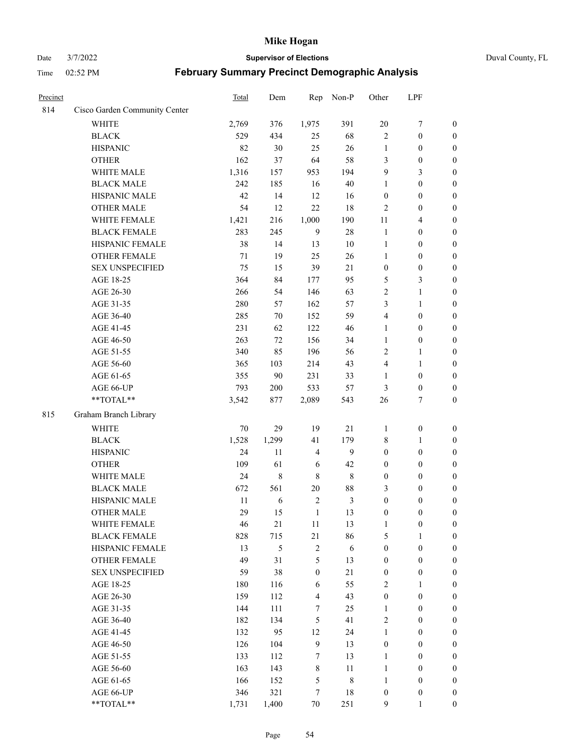#### Date 3/7/2022 **Supervisor of Elections** Duval County, FL

| Precinct |                               | Total  | Dem        | Rep              | Non-P          | Other                   | LPF              |                  |
|----------|-------------------------------|--------|------------|------------------|----------------|-------------------------|------------------|------------------|
| 814      | Cisco Garden Community Center |        |            |                  |                |                         |                  |                  |
|          | <b>WHITE</b>                  | 2,769  | 376        | 1,975            | 391            | $20\,$                  | $\boldsymbol{7}$ | 0                |
|          | <b>BLACK</b>                  | 529    | 434        | 25               | 68             | $\mathbf{2}$            | $\boldsymbol{0}$ | $\boldsymbol{0}$ |
|          | <b>HISPANIC</b>               | 82     | 30         | 25               | 26             | $\mathbf{1}$            | $\boldsymbol{0}$ | $\boldsymbol{0}$ |
|          | <b>OTHER</b>                  | 162    | 37         | 64               | 58             | 3                       | $\boldsymbol{0}$ | $\boldsymbol{0}$ |
|          | WHITE MALE                    | 1,316  | 157        | 953              | 194            | 9                       | 3                | $\boldsymbol{0}$ |
|          | <b>BLACK MALE</b>             | 242    | 185        | 16               | 40             | 1                       | $\boldsymbol{0}$ | $\boldsymbol{0}$ |
|          | HISPANIC MALE                 | 42     | 14         | 12               | 16             | $\boldsymbol{0}$        | $\boldsymbol{0}$ | $\boldsymbol{0}$ |
|          | <b>OTHER MALE</b>             | 54     | 12         | 22               | $18\,$         | $\mathfrak{2}$          | $\boldsymbol{0}$ | $\boldsymbol{0}$ |
|          | WHITE FEMALE                  | 1,421  | 216        | 1,000            | 190            | $11\,$                  | $\overline{4}$   | $\boldsymbol{0}$ |
|          | <b>BLACK FEMALE</b>           | 283    | 245        | 9                | $28\,$         | $\mathbf{1}$            | $\boldsymbol{0}$ | $\boldsymbol{0}$ |
|          | HISPANIC FEMALE               | 38     | 14         | 13               | 10             | $\mathbf{1}$            | $\boldsymbol{0}$ | 0                |
|          | <b>OTHER FEMALE</b>           | 71     | 19         | 25               | 26             | 1                       | $\boldsymbol{0}$ | $\boldsymbol{0}$ |
|          | <b>SEX UNSPECIFIED</b>        | 75     | 15         | 39               | 21             | $\boldsymbol{0}$        | $\boldsymbol{0}$ | $\boldsymbol{0}$ |
|          | AGE 18-25                     | 364    | 84         | 177              | 95             | 5                       | $\mathfrak{Z}$   | $\boldsymbol{0}$ |
|          | AGE 26-30                     | 266    | 54         | 146              | 63             | 2                       | $\mathbf{1}$     | $\boldsymbol{0}$ |
|          | AGE 31-35                     | 280    | 57         | 162              | 57             | 3                       | $\mathbf{1}$     | $\boldsymbol{0}$ |
|          | AGE 36-40                     | 285    | 70         | 152              | 59             | 4                       | $\boldsymbol{0}$ | $\boldsymbol{0}$ |
|          | AGE 41-45                     | 231    | 62         | 122              | 46             | $\mathbf{1}$            | $\boldsymbol{0}$ | $\boldsymbol{0}$ |
|          | AGE 46-50                     | 263    | 72         | 156              | 34             | $\mathbf{1}$            | $\boldsymbol{0}$ | $\boldsymbol{0}$ |
|          | AGE 51-55                     | 340    | 85         | 196              | 56             | $\sqrt{2}$              | $\mathbf{1}$     | $\boldsymbol{0}$ |
|          | AGE 56-60                     | 365    | 103        | 214              | 43             | $\overline{\mathbf{4}}$ | $\mathbf{1}$     | 0                |
|          | AGE 61-65                     | 355    | 90         | 231              | 33             | 1                       | $\boldsymbol{0}$ | 0                |
|          | AGE 66-UP                     | 793    | 200        | 533              | 57             | 3                       | $\boldsymbol{0}$ | $\boldsymbol{0}$ |
|          | **TOTAL**                     | 3,542  | 877        | 2,089            | 543            | 26                      | $\tau$           | $\boldsymbol{0}$ |
| 815      | Graham Branch Library         |        |            |                  |                |                         |                  |                  |
|          | WHITE                         | 70     | 29         | 19               | $21\,$         | 1                       | $\boldsymbol{0}$ | $\boldsymbol{0}$ |
|          | <b>BLACK</b>                  | 1,528  | 1,299      | 41               | 179            | 8                       | $\mathbf{1}$     | $\boldsymbol{0}$ |
|          | <b>HISPANIC</b>               | 24     | 11         | $\overline{4}$   | 9              | $\boldsymbol{0}$        | $\boldsymbol{0}$ | $\boldsymbol{0}$ |
|          | <b>OTHER</b>                  | 109    | 61         | 6                | 42             | $\boldsymbol{0}$        | $\boldsymbol{0}$ | $\boldsymbol{0}$ |
|          | WHITE MALE                    | 24     | $\,8\,$    | $\,$ 8 $\,$      | $\,$ 8 $\,$    | $\boldsymbol{0}$        | $\boldsymbol{0}$ | $\boldsymbol{0}$ |
|          | <b>BLACK MALE</b>             | 672    | 561        | 20               | $88\,$         | 3                       | $\boldsymbol{0}$ | $\boldsymbol{0}$ |
|          | HISPANIC MALE                 | $11\,$ | $\sqrt{6}$ | $\sqrt{2}$       | $\mathfrak{Z}$ | $\boldsymbol{0}$        | $\boldsymbol{0}$ | $\boldsymbol{0}$ |
|          | <b>OTHER MALE</b>             | 29     | 15         | $\mathbf{1}$     | 13             | $\boldsymbol{0}$        | $\boldsymbol{0}$ | $\boldsymbol{0}$ |
|          | WHITE FEMALE                  | 46     | 21         | 11               | 13             | 1                       | $\boldsymbol{0}$ | 0                |
|          | <b>BLACK FEMALE</b>           | 828    | 715        | 21               | 86             | 5                       | $\mathbf{1}$     | $\boldsymbol{0}$ |
|          | HISPANIC FEMALE               | 13     | 5          | $\sqrt{2}$       | $\sqrt{6}$     | $\boldsymbol{0}$        | $\boldsymbol{0}$ | $\overline{0}$   |
|          | OTHER FEMALE                  | 49     | 31         | 5                | 13             | $\boldsymbol{0}$        | $\boldsymbol{0}$ | $\overline{0}$   |
|          | <b>SEX UNSPECIFIED</b>        | 59     | 38         | $\boldsymbol{0}$ | 21             | $\boldsymbol{0}$        | $\boldsymbol{0}$ | $\overline{0}$   |
|          | AGE 18-25                     | 180    | 116        | 6                | 55             | 2                       | $\mathbf{1}$     | $\overline{0}$   |
|          | AGE 26-30                     | 159    | 112        | $\overline{4}$   | 43             | $\boldsymbol{0}$        | $\boldsymbol{0}$ | $\overline{0}$   |
|          | AGE 31-35                     | 144    | 111        | 7                | 25             | $\mathbf{1}$            | $\boldsymbol{0}$ | 0                |
|          | AGE 36-40                     | 182    | 134        | 5                | 41             | 2                       | $\boldsymbol{0}$ | 0                |
|          | AGE 41-45                     | 132    | 95         | 12               | 24             | $\mathbf{1}$            | $\boldsymbol{0}$ | 0                |
|          | AGE 46-50                     | 126    | 104        | $\overline{9}$   | 13             | $\boldsymbol{0}$        | $\boldsymbol{0}$ | 0                |
|          | AGE 51-55                     | 133    | 112        | 7                | 13             | $\mathbf{1}$            | $\boldsymbol{0}$ | $\boldsymbol{0}$ |
|          | AGE 56-60                     | 163    | 143        | $\,$ 8 $\,$      | 11             | $\mathbf{1}$            | $\boldsymbol{0}$ | $\boldsymbol{0}$ |
|          | AGE 61-65                     | 166    | 152        | 5                | 8              | $\mathbf{1}$            | $\boldsymbol{0}$ | $\boldsymbol{0}$ |
|          | AGE 66-UP                     | 346    | 321        | 7                | 18             | $\boldsymbol{0}$        | $\boldsymbol{0}$ | $\boldsymbol{0}$ |
|          | **TOTAL**                     | 1,731  | 1,400      | 70               | 251            | 9                       | $\mathbf{1}$     | $\boldsymbol{0}$ |
|          |                               |        |            |                  |                |                         |                  |                  |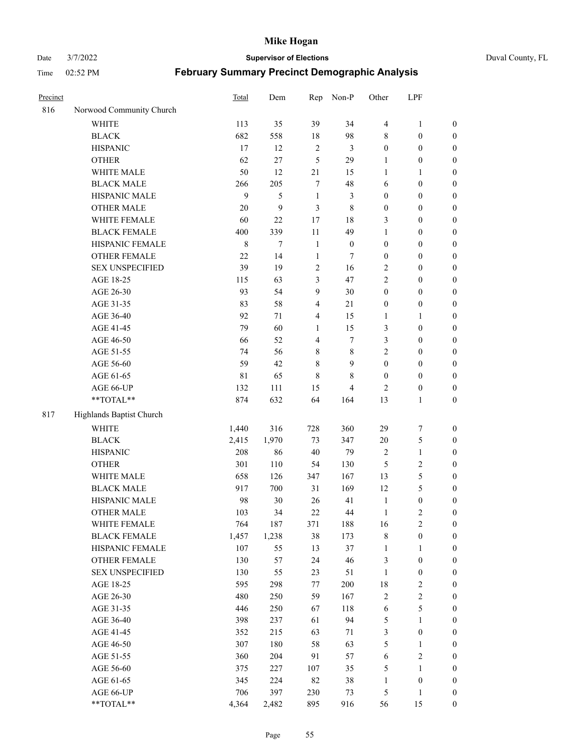Date 3/7/2022 **Supervisor of Elections** Duval County, FL

|                          |                                                                                                                                                                                                                                                                                                                                                   | Dem                                                                                                                                             | Rep                                                                                                                             |                                                                                                           |                                                                                                                             |                                                                                                                                |                                                                                                                                                                                                                                                  |
|--------------------------|---------------------------------------------------------------------------------------------------------------------------------------------------------------------------------------------------------------------------------------------------------------------------------------------------------------------------------------------------|-------------------------------------------------------------------------------------------------------------------------------------------------|---------------------------------------------------------------------------------------------------------------------------------|-----------------------------------------------------------------------------------------------------------|-----------------------------------------------------------------------------------------------------------------------------|--------------------------------------------------------------------------------------------------------------------------------|--------------------------------------------------------------------------------------------------------------------------------------------------------------------------------------------------------------------------------------------------|
| Norwood Community Church |                                                                                                                                                                                                                                                                                                                                                   |                                                                                                                                                 |                                                                                                                                 |                                                                                                           |                                                                                                                             |                                                                                                                                |                                                                                                                                                                                                                                                  |
| <b>WHITE</b>             | 113                                                                                                                                                                                                                                                                                                                                               | 35                                                                                                                                              | 39                                                                                                                              | 34                                                                                                        | $\overline{4}$                                                                                                              | $\mathbf{1}$                                                                                                                   | 0                                                                                                                                                                                                                                                |
| <b>BLACK</b>             | 682                                                                                                                                                                                                                                                                                                                                               | 558                                                                                                                                             | $18\,$                                                                                                                          | 98                                                                                                        | 8                                                                                                                           | $\boldsymbol{0}$                                                                                                               | $\boldsymbol{0}$                                                                                                                                                                                                                                 |
| <b>HISPANIC</b>          | 17                                                                                                                                                                                                                                                                                                                                                | 12                                                                                                                                              | $\sqrt{2}$                                                                                                                      | $\mathfrak{Z}$                                                                                            | $\boldsymbol{0}$                                                                                                            | $\boldsymbol{0}$                                                                                                               | $\boldsymbol{0}$                                                                                                                                                                                                                                 |
| <b>OTHER</b>             | 62                                                                                                                                                                                                                                                                                                                                                | 27                                                                                                                                              | 5                                                                                                                               | 29                                                                                                        | 1                                                                                                                           | $\boldsymbol{0}$                                                                                                               | $\boldsymbol{0}$                                                                                                                                                                                                                                 |
| WHITE MALE               | 50                                                                                                                                                                                                                                                                                                                                                | 12                                                                                                                                              | 21                                                                                                                              | 15                                                                                                        | $\mathbf{1}$                                                                                                                | 1                                                                                                                              | $\boldsymbol{0}$                                                                                                                                                                                                                                 |
|                          | 266                                                                                                                                                                                                                                                                                                                                               |                                                                                                                                                 | $\tau$                                                                                                                          |                                                                                                           | 6                                                                                                                           | $\boldsymbol{0}$                                                                                                               | $\boldsymbol{0}$                                                                                                                                                                                                                                 |
| HISPANIC MALE            | 9                                                                                                                                                                                                                                                                                                                                                 | 5                                                                                                                                               | $\mathbf{1}$                                                                                                                    | 3                                                                                                         | $\boldsymbol{0}$                                                                                                            | $\boldsymbol{0}$                                                                                                               | $\boldsymbol{0}$                                                                                                                                                                                                                                 |
| <b>OTHER MALE</b>        | 20                                                                                                                                                                                                                                                                                                                                                | 9                                                                                                                                               | 3                                                                                                                               | $\,$ 8 $\,$                                                                                               | $\boldsymbol{0}$                                                                                                            | $\boldsymbol{0}$                                                                                                               | $\boldsymbol{0}$                                                                                                                                                                                                                                 |
| WHITE FEMALE             | 60                                                                                                                                                                                                                                                                                                                                                | 22                                                                                                                                              | 17                                                                                                                              | 18                                                                                                        | 3                                                                                                                           | $\boldsymbol{0}$                                                                                                               | $\boldsymbol{0}$                                                                                                                                                                                                                                 |
| <b>BLACK FEMALE</b>      | 400                                                                                                                                                                                                                                                                                                                                               | 339                                                                                                                                             | $11\,$                                                                                                                          | 49                                                                                                        | $\mathbf{1}$                                                                                                                | $\boldsymbol{0}$                                                                                                               | $\boldsymbol{0}$                                                                                                                                                                                                                                 |
| HISPANIC FEMALE          | $\,$ 8 $\,$                                                                                                                                                                                                                                                                                                                                       | $\tau$                                                                                                                                          | $\mathbf{1}$                                                                                                                    | $\boldsymbol{0}$                                                                                          | $\boldsymbol{0}$                                                                                                            | $\boldsymbol{0}$                                                                                                               | 0                                                                                                                                                                                                                                                |
| <b>OTHER FEMALE</b>      | 22                                                                                                                                                                                                                                                                                                                                                | 14                                                                                                                                              | $\mathbf{1}$                                                                                                                    | 7                                                                                                         | $\boldsymbol{0}$                                                                                                            | $\boldsymbol{0}$                                                                                                               | $\boldsymbol{0}$                                                                                                                                                                                                                                 |
| <b>SEX UNSPECIFIED</b>   | 39                                                                                                                                                                                                                                                                                                                                                | 19                                                                                                                                              | $\sqrt{2}$                                                                                                                      | 16                                                                                                        | $\mathfrak{2}$                                                                                                              | $\boldsymbol{0}$                                                                                                               | $\boldsymbol{0}$                                                                                                                                                                                                                                 |
| AGE 18-25                | 115                                                                                                                                                                                                                                                                                                                                               | 63                                                                                                                                              | $\mathfrak{Z}$                                                                                                                  | 47                                                                                                        | $\mathfrak{2}$                                                                                                              | $\boldsymbol{0}$                                                                                                               | $\boldsymbol{0}$                                                                                                                                                                                                                                 |
| AGE 26-30                | 93                                                                                                                                                                                                                                                                                                                                                | 54                                                                                                                                              | 9                                                                                                                               | 30                                                                                                        | $\boldsymbol{0}$                                                                                                            | $\boldsymbol{0}$                                                                                                               | $\boldsymbol{0}$                                                                                                                                                                                                                                 |
| AGE 31-35                | 83                                                                                                                                                                                                                                                                                                                                                | 58                                                                                                                                              | $\overline{4}$                                                                                                                  | 21                                                                                                        | $\boldsymbol{0}$                                                                                                            | $\boldsymbol{0}$                                                                                                               | $\boldsymbol{0}$                                                                                                                                                                                                                                 |
| AGE 36-40                | 92                                                                                                                                                                                                                                                                                                                                                | 71                                                                                                                                              | 4                                                                                                                               | 15                                                                                                        | $\mathbf{1}$                                                                                                                | $\mathbf{1}$                                                                                                                   | $\boldsymbol{0}$                                                                                                                                                                                                                                 |
| AGE 41-45                | 79                                                                                                                                                                                                                                                                                                                                                | 60                                                                                                                                              | $\mathbf{1}$                                                                                                                    | 15                                                                                                        | 3                                                                                                                           | $\boldsymbol{0}$                                                                                                               | $\boldsymbol{0}$                                                                                                                                                                                                                                 |
| AGE 46-50                | 66                                                                                                                                                                                                                                                                                                                                                | 52                                                                                                                                              | $\overline{4}$                                                                                                                  | $\tau$                                                                                                    | 3                                                                                                                           | $\boldsymbol{0}$                                                                                                               | $\boldsymbol{0}$                                                                                                                                                                                                                                 |
| AGE 51-55                | 74                                                                                                                                                                                                                                                                                                                                                | 56                                                                                                                                              | $\,$ 8 $\,$                                                                                                                     | $\,$ 8 $\,$                                                                                               | $\overline{c}$                                                                                                              | $\boldsymbol{0}$                                                                                                               | $\boldsymbol{0}$                                                                                                                                                                                                                                 |
| AGE 56-60                | 59                                                                                                                                                                                                                                                                                                                                                | 42                                                                                                                                              | $\,8\,$                                                                                                                         | 9                                                                                                         | $\boldsymbol{0}$                                                                                                            | $\boldsymbol{0}$                                                                                                               | 0                                                                                                                                                                                                                                                |
| AGE 61-65                | $8\sqrt{1}$                                                                                                                                                                                                                                                                                                                                       | 65                                                                                                                                              | $\,8\,$                                                                                                                         | 8                                                                                                         | $\boldsymbol{0}$                                                                                                            | $\boldsymbol{0}$                                                                                                               | 0                                                                                                                                                                                                                                                |
| AGE 66-UP                | 132                                                                                                                                                                                                                                                                                                                                               | 111                                                                                                                                             | 15                                                                                                                              | $\overline{\mathcal{L}}$                                                                                  | 2                                                                                                                           | $\boldsymbol{0}$                                                                                                               | $\boldsymbol{0}$                                                                                                                                                                                                                                 |
| $**TOTAL**$              | 874                                                                                                                                                                                                                                                                                                                                               | 632                                                                                                                                             | 64                                                                                                                              | 164                                                                                                       | 13                                                                                                                          | $\mathbf{1}$                                                                                                                   | $\boldsymbol{0}$                                                                                                                                                                                                                                 |
|                          |                                                                                                                                                                                                                                                                                                                                                   |                                                                                                                                                 |                                                                                                                                 |                                                                                                           |                                                                                                                             |                                                                                                                                |                                                                                                                                                                                                                                                  |
|                          |                                                                                                                                                                                                                                                                                                                                                   |                                                                                                                                                 |                                                                                                                                 |                                                                                                           |                                                                                                                             |                                                                                                                                | $\boldsymbol{0}$                                                                                                                                                                                                                                 |
|                          |                                                                                                                                                                                                                                                                                                                                                   |                                                                                                                                                 |                                                                                                                                 |                                                                                                           |                                                                                                                             |                                                                                                                                | $\boldsymbol{0}$                                                                                                                                                                                                                                 |
|                          |                                                                                                                                                                                                                                                                                                                                                   |                                                                                                                                                 |                                                                                                                                 |                                                                                                           |                                                                                                                             |                                                                                                                                | $\boldsymbol{0}$                                                                                                                                                                                                                                 |
|                          |                                                                                                                                                                                                                                                                                                                                                   |                                                                                                                                                 |                                                                                                                                 |                                                                                                           |                                                                                                                             |                                                                                                                                | $\boldsymbol{0}$                                                                                                                                                                                                                                 |
|                          |                                                                                                                                                                                                                                                                                                                                                   |                                                                                                                                                 |                                                                                                                                 |                                                                                                           |                                                                                                                             |                                                                                                                                | $\boldsymbol{0}$                                                                                                                                                                                                                                 |
|                          |                                                                                                                                                                                                                                                                                                                                                   |                                                                                                                                                 |                                                                                                                                 |                                                                                                           |                                                                                                                             |                                                                                                                                | $\boldsymbol{0}$                                                                                                                                                                                                                                 |
|                          |                                                                                                                                                                                                                                                                                                                                                   |                                                                                                                                                 |                                                                                                                                 |                                                                                                           |                                                                                                                             |                                                                                                                                | $\boldsymbol{0}$                                                                                                                                                                                                                                 |
|                          |                                                                                                                                                                                                                                                                                                                                                   |                                                                                                                                                 |                                                                                                                                 |                                                                                                           |                                                                                                                             |                                                                                                                                | $\boldsymbol{0}$                                                                                                                                                                                                                                 |
|                          |                                                                                                                                                                                                                                                                                                                                                   |                                                                                                                                                 |                                                                                                                                 |                                                                                                           |                                                                                                                             |                                                                                                                                | 0                                                                                                                                                                                                                                                |
|                          |                                                                                                                                                                                                                                                                                                                                                   |                                                                                                                                                 |                                                                                                                                 |                                                                                                           |                                                                                                                             |                                                                                                                                | $\boldsymbol{0}$                                                                                                                                                                                                                                 |
|                          |                                                                                                                                                                                                                                                                                                                                                   |                                                                                                                                                 |                                                                                                                                 |                                                                                                           | $\mathbf{1}$                                                                                                                | $\mathbf{1}$                                                                                                                   | $\overline{0}$                                                                                                                                                                                                                                   |
|                          |                                                                                                                                                                                                                                                                                                                                                   |                                                                                                                                                 |                                                                                                                                 |                                                                                                           |                                                                                                                             |                                                                                                                                | $\overline{0}$                                                                                                                                                                                                                                   |
|                          |                                                                                                                                                                                                                                                                                                                                                   |                                                                                                                                                 |                                                                                                                                 |                                                                                                           | $\mathbf{1}$                                                                                                                |                                                                                                                                | 0                                                                                                                                                                                                                                                |
| AGE 18-25                |                                                                                                                                                                                                                                                                                                                                                   |                                                                                                                                                 |                                                                                                                                 |                                                                                                           |                                                                                                                             |                                                                                                                                | 0                                                                                                                                                                                                                                                |
|                          |                                                                                                                                                                                                                                                                                                                                                   |                                                                                                                                                 | 59                                                                                                                              |                                                                                                           |                                                                                                                             |                                                                                                                                | 0                                                                                                                                                                                                                                                |
|                          |                                                                                                                                                                                                                                                                                                                                                   |                                                                                                                                                 |                                                                                                                                 |                                                                                                           |                                                                                                                             |                                                                                                                                | 0                                                                                                                                                                                                                                                |
|                          |                                                                                                                                                                                                                                                                                                                                                   |                                                                                                                                                 |                                                                                                                                 | 94                                                                                                        |                                                                                                                             | $\mathbf{1}$                                                                                                                   | 0                                                                                                                                                                                                                                                |
| AGE 41-45                | 352                                                                                                                                                                                                                                                                                                                                               | 215                                                                                                                                             | 63                                                                                                                              | 71                                                                                                        | 3                                                                                                                           | $\boldsymbol{0}$                                                                                                               | 0                                                                                                                                                                                                                                                |
|                          |                                                                                                                                                                                                                                                                                                                                                   |                                                                                                                                                 |                                                                                                                                 |                                                                                                           |                                                                                                                             | $\mathbf{1}$                                                                                                                   | 0                                                                                                                                                                                                                                                |
| AGE 51-55                | 360                                                                                                                                                                                                                                                                                                                                               | 204                                                                                                                                             | 91                                                                                                                              | 57                                                                                                        | 6                                                                                                                           | $\sqrt{2}$                                                                                                                     | 0                                                                                                                                                                                                                                                |
| AGE 56-60                | 375                                                                                                                                                                                                                                                                                                                                               | 227                                                                                                                                             | 107                                                                                                                             | 35                                                                                                        | 5                                                                                                                           | 1                                                                                                                              | $\overline{0}$                                                                                                                                                                                                                                   |
| AGE 61-65                | 345                                                                                                                                                                                                                                                                                                                                               | 224                                                                                                                                             | 82                                                                                                                              | 38                                                                                                        | $\mathbf{1}$                                                                                                                | $\boldsymbol{0}$                                                                                                               | $\boldsymbol{0}$                                                                                                                                                                                                                                 |
| AGE 66-UP                | 706                                                                                                                                                                                                                                                                                                                                               | 397                                                                                                                                             | 230                                                                                                                             | 73                                                                                                        | 5                                                                                                                           | $\mathbf{1}$                                                                                                                   | $\boldsymbol{0}$                                                                                                                                                                                                                                 |
| **TOTAL**                | 4,364                                                                                                                                                                                                                                                                                                                                             | 2,482                                                                                                                                           | 895                                                                                                                             | 916                                                                                                       | 56                                                                                                                          | 15                                                                                                                             | $\boldsymbol{0}$                                                                                                                                                                                                                                 |
|                          | <b>BLACK MALE</b><br>Highlands Baptist Church<br><b>WHITE</b><br><b>BLACK</b><br><b>HISPANIC</b><br><b>OTHER</b><br>WHITE MALE<br><b>BLACK MALE</b><br>HISPANIC MALE<br><b>OTHER MALE</b><br>WHITE FEMALE<br><b>BLACK FEMALE</b><br>HISPANIC FEMALE<br>OTHER FEMALE<br><b>SEX UNSPECIFIED</b><br>AGE 26-30<br>AGE 31-35<br>AGE 36-40<br>AGE 46-50 | <b>Total</b><br>1,440<br>2,415<br>208<br>301<br>658<br>917<br>98<br>103<br>764<br>1,457<br>107<br>130<br>130<br>595<br>480<br>446<br>398<br>307 | 205<br>316<br>1,970<br>86<br>110<br>126<br>700<br>30<br>34<br>187<br>1,238<br>55<br>57<br>55<br>298<br>250<br>250<br>237<br>180 | 728<br>73<br>$40\,$<br>54<br>347<br>31<br>26<br>22<br>371<br>38<br>13<br>24<br>23<br>77<br>67<br>61<br>58 | Non-P<br>48<br>360<br>347<br>79<br>130<br>167<br>169<br>41<br>44<br>188<br>173<br>37<br>46<br>51<br>200<br>167<br>118<br>63 | Other<br>29<br>$20\,$<br>2<br>5<br>13<br>12<br>$\mathbf{1}$<br>$\mathbf{1}$<br>16<br>8<br>3<br>18<br>$\sqrt{2}$<br>6<br>5<br>5 | LPF<br>$\boldsymbol{7}$<br>$\mathfrak{S}$<br>$\mathbf{1}$<br>$\sqrt{2}$<br>$\mathfrak{S}$<br>5<br>$\boldsymbol{0}$<br>$\mathbf{2}$<br>2<br>$\boldsymbol{0}$<br>$\boldsymbol{0}$<br>$\boldsymbol{0}$<br>$\sqrt{2}$<br>$\sqrt{2}$<br>$\mathfrak s$ |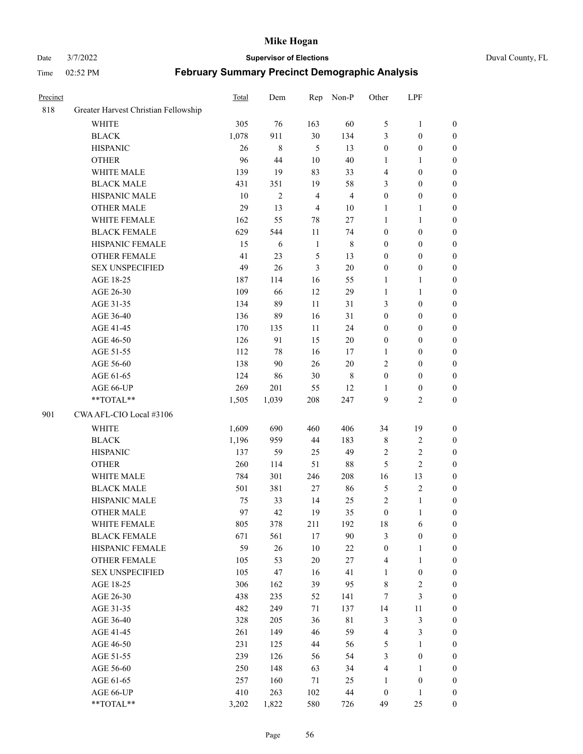#### Date 3/7/2022 **Supervisor of Elections** Duval County, FL

| Precinct |                                      | <b>Total</b> | Dem          | Rep            | Non-P          | Other            | LPF              |                  |
|----------|--------------------------------------|--------------|--------------|----------------|----------------|------------------|------------------|------------------|
| 818      | Greater Harvest Christian Fellowship |              |              |                |                |                  |                  |                  |
|          | <b>WHITE</b>                         | 305          | 76           | 163            | 60             | 5                | $\mathbf{1}$     | 0                |
|          | <b>BLACK</b>                         | 1,078        | 911          | 30             | 134            | 3                | $\boldsymbol{0}$ | 0                |
|          | <b>HISPANIC</b>                      | 26           | $\,$ 8 $\,$  | 5              | 13             | $\boldsymbol{0}$ | $\boldsymbol{0}$ | $\boldsymbol{0}$ |
|          | <b>OTHER</b>                         | 96           | 44           | 10             | $40\,$         | 1                | 1                | $\boldsymbol{0}$ |
|          | WHITE MALE                           | 139          | 19           | 83             | 33             | 4                | $\boldsymbol{0}$ | $\boldsymbol{0}$ |
|          | <b>BLACK MALE</b>                    | 431          | 351          | 19             | 58             | 3                | $\boldsymbol{0}$ | $\boldsymbol{0}$ |
|          | HISPANIC MALE                        | 10           | $\mathbf{2}$ | $\overline{4}$ | $\overline{4}$ | $\boldsymbol{0}$ | $\boldsymbol{0}$ | $\boldsymbol{0}$ |
|          | <b>OTHER MALE</b>                    | 29           | 13           | $\overline{4}$ | $10\,$         | $\mathbf{1}$     | $\mathbf{1}$     | $\boldsymbol{0}$ |
|          | WHITE FEMALE                         | 162          | 55           | 78             | $27\,$         | $\mathbf{1}$     | $\mathbf{1}$     | $\boldsymbol{0}$ |
|          | <b>BLACK FEMALE</b>                  | 629          | 544          | $11\,$         | 74             | $\boldsymbol{0}$ | $\boldsymbol{0}$ | 0                |
|          | HISPANIC FEMALE                      | 15           | 6            | $\mathbf{1}$   | $\,$ 8 $\,$    | $\boldsymbol{0}$ | $\boldsymbol{0}$ | 0                |
|          | OTHER FEMALE                         | 41           | 23           | $\mathfrak{S}$ | 13             | $\boldsymbol{0}$ | $\boldsymbol{0}$ | $\boldsymbol{0}$ |
|          | <b>SEX UNSPECIFIED</b>               | 49           | 26           | 3              | $20\,$         | $\boldsymbol{0}$ | $\boldsymbol{0}$ | $\boldsymbol{0}$ |
|          | AGE 18-25                            | 187          | 114          | 16             | 55             | 1                | 1                | $\boldsymbol{0}$ |
|          | AGE 26-30                            | 109          | 66           | 12             | 29             | $\mathbf{1}$     | $\mathbf{1}$     | $\boldsymbol{0}$ |
|          | AGE 31-35                            | 134          | 89           | 11             | 31             | 3                | $\boldsymbol{0}$ | $\boldsymbol{0}$ |
|          | AGE 36-40                            | 136          | 89           | 16             | 31             | $\boldsymbol{0}$ | $\boldsymbol{0}$ | $\boldsymbol{0}$ |
|          | AGE 41-45                            | 170          | 135          | 11             | 24             | $\boldsymbol{0}$ | $\boldsymbol{0}$ | $\boldsymbol{0}$ |
|          | AGE 46-50                            | 126          | 91           | 15             | $20\,$         | $\boldsymbol{0}$ | $\boldsymbol{0}$ | $\boldsymbol{0}$ |
|          | AGE 51-55                            | 112          | 78           | 16             | 17             | $\mathbf{1}$     | $\boldsymbol{0}$ | $\boldsymbol{0}$ |
|          | AGE 56-60                            | 138          | 90           | 26             | $20\,$         | 2                | $\boldsymbol{0}$ | 0                |
|          | AGE 61-65                            | 124          | 86           | 30             | 8              | $\boldsymbol{0}$ | $\boldsymbol{0}$ | 0                |
|          | AGE 66-UP                            | 269          | 201          | 55             | 12             | 1                | $\boldsymbol{0}$ | $\boldsymbol{0}$ |
|          | **TOTAL**                            | 1,505        | 1,039        | 208            | 247            | 9                | $\overline{2}$   | $\boldsymbol{0}$ |
| 901      | CWA AFL-CIO Local #3106              |              |              |                |                |                  |                  |                  |
|          | <b>WHITE</b>                         | 1,609        | 690          | 460            | 406            | 34               | 19               | $\boldsymbol{0}$ |
|          | <b>BLACK</b>                         | 1,196        | 959          | 44             | 183            | 8                | $\sqrt{2}$       | $\boldsymbol{0}$ |
|          | <b>HISPANIC</b>                      | 137          | 59           | 25             | 49             | 2                | $\overline{c}$   | $\boldsymbol{0}$ |
|          | <b>OTHER</b>                         | 260          | 114          | 51             | $88\,$         | 5                | $\overline{c}$   | $\boldsymbol{0}$ |
|          | WHITE MALE                           | 784          | 301          | 246            | 208            | 16               | 13               | $\boldsymbol{0}$ |
|          | <b>BLACK MALE</b>                    | 501          | 381          | 27             | 86             | 5                | $\sqrt{2}$       | $\boldsymbol{0}$ |
|          | HISPANIC MALE                        | 75           | 33           | 14             | 25             | $\sqrt{2}$       | $\mathbf{1}$     | 0                |
|          | OTHER MALE                           | 97           | 42           | 19             | 35             | $\boldsymbol{0}$ | $\mathbf{1}$     | $\boldsymbol{0}$ |
|          | WHITE FEMALE                         | 805          | 378          | 211            | 192            | 18               | 6                | 0                |
|          | <b>BLACK FEMALE</b>                  | 671          | 561          | 17             | 90             | 3                | $\boldsymbol{0}$ | $\overline{0}$   |
|          | HISPANIC FEMALE                      | 59           | 26           | 10             | $22\,$         | $\boldsymbol{0}$ | 1                | $\overline{0}$   |
|          | OTHER FEMALE                         | 105          | 53           | $20\,$         | $27\,$         | 4                | $\mathbf{1}$     | $\overline{0}$   |
|          | <b>SEX UNSPECIFIED</b>               | 105          | 47           | 16             | 41             | $\mathbf{1}$     | $\boldsymbol{0}$ | 0                |
|          | AGE 18-25                            | 306          | 162          | 39             | 95             | 8                | $\sqrt{2}$       | 0                |
|          | AGE 26-30                            | 438          | 235          | 52             | 141            | 7                | $\mathfrak{Z}$   | 0                |
|          | AGE 31-35                            | 482          | 249          | 71             | 137            | 14               | $11\,$           | 0                |
|          | AGE 36-40                            | 328          | 205          | 36             | $8\sqrt{1}$    | 3                | $\mathfrak{Z}$   | 0                |
|          | AGE 41-45                            | 261          | 149          | 46             | 59             | $\overline{4}$   | $\mathfrak{Z}$   | 0                |
|          | AGE 46-50                            | 231          | 125          | 44             | 56             | 5                | $\mathbf{1}$     | 0                |
|          | AGE 51-55                            | 239          | 126          | 56             | 54             | 3                | $\boldsymbol{0}$ | 0                |
|          | AGE 56-60                            | 250          | 148          | 63             | 34             | 4                | 1                | 0                |
|          | AGE 61-65                            | 257          | 160          | 71             | 25             | 1                | $\boldsymbol{0}$ | $\overline{0}$   |
|          | AGE 66-UP                            | 410          | 263          | 102            | 44             | $\boldsymbol{0}$ | $\mathbf{1}$     | 0                |
|          | **TOTAL**                            | 3,202        | 1,822        | 580            | 726            | 49               | 25               | $\boldsymbol{0}$ |
|          |                                      |              |              |                |                |                  |                  |                  |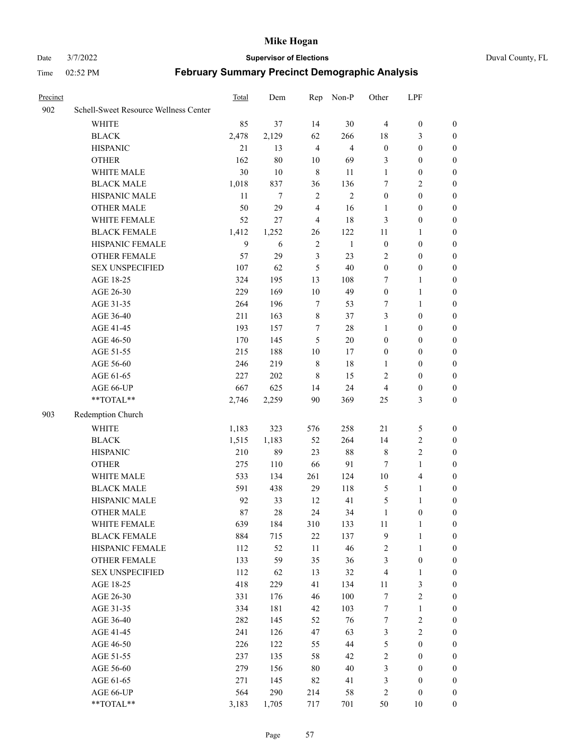#### Date 3/7/2022 **Supervisor of Elections** Duval County, FL

| Precinct |                                                           | Total  | Dem     | Rep            | Non-P          | Other            | LPF                     |                  |
|----------|-----------------------------------------------------------|--------|---------|----------------|----------------|------------------|-------------------------|------------------|
| 902      | Schell-Sweet Resource Wellness Center                     |        |         |                |                |                  |                         |                  |
|          | <b>WHITE</b>                                              | 85     | 37      | 14             | 30             | $\overline{4}$   | $\boldsymbol{0}$        | $\boldsymbol{0}$ |
|          | <b>BLACK</b>                                              | 2,478  | 2,129   | 62             | 266            | 18               | 3                       | $\boldsymbol{0}$ |
|          | <b>HISPANIC</b>                                           | 21     | 13      | $\overline{4}$ | $\overline{4}$ | $\boldsymbol{0}$ | $\boldsymbol{0}$        | $\boldsymbol{0}$ |
|          | <b>OTHER</b>                                              | 162    | 80      | 10             | 69             | 3                | $\boldsymbol{0}$        | $\boldsymbol{0}$ |
|          | WHITE MALE                                                | 30     | 10      | $\,$ 8 $\,$    | 11             | 1                | $\boldsymbol{0}$        | $\boldsymbol{0}$ |
|          | <b>BLACK MALE</b>                                         | 1,018  | 837     | 36             | 136            | 7                | $\overline{2}$          | $\boldsymbol{0}$ |
|          | HISPANIC MALE                                             | $11\,$ | $\tau$  | $\sqrt{2}$     | $\overline{2}$ | $\boldsymbol{0}$ | $\boldsymbol{0}$        | $\boldsymbol{0}$ |
|          | <b>OTHER MALE</b>                                         | 50     | 29      | $\overline{4}$ | 16             | 1                | $\boldsymbol{0}$        | 0                |
|          | WHITE FEMALE                                              | 52     | 27      | $\overline{4}$ | $18\,$         | 3                | $\boldsymbol{0}$        | 0                |
|          | <b>BLACK FEMALE</b>                                       | 1,412  | 1,252   | 26             | 122            | 11               | $\mathbf{1}$            | 0                |
|          | HISPANIC FEMALE                                           | 9      | 6       | $\overline{2}$ | $\mathbf{1}$   | $\boldsymbol{0}$ | $\boldsymbol{0}$        | $\boldsymbol{0}$ |
|          | OTHER FEMALE                                              | 57     | 29      | $\mathfrak{Z}$ | 23             | $\mathbf{2}$     | $\boldsymbol{0}$        | $\boldsymbol{0}$ |
|          | <b>SEX UNSPECIFIED</b>                                    | 107    | 62      | 5              | 40             | $\boldsymbol{0}$ | $\boldsymbol{0}$        | $\boldsymbol{0}$ |
|          | AGE 18-25                                                 | 324    | 195     | 13             | 108            | 7                | $\mathbf{1}$            | $\boldsymbol{0}$ |
|          | AGE 26-30                                                 | 229    | 169     | 10             | 49             | $\boldsymbol{0}$ | $\mathbf{1}$            | $\boldsymbol{0}$ |
|          | AGE 31-35                                                 | 264    | 196     | $\tau$         | 53             | 7                | $\mathbf{1}$            | $\boldsymbol{0}$ |
|          | AGE 36-40                                                 | 211    | 163     | $\,$ 8 $\,$    | 37             | 3                | $\boldsymbol{0}$        | $\boldsymbol{0}$ |
|          | AGE 41-45                                                 | 193    | 157     | 7              | $28\,$         | $\mathbf{1}$     | $\boldsymbol{0}$        | $\boldsymbol{0}$ |
|          | AGE 46-50                                                 | 170    | 145     | 5              | 20             | $\boldsymbol{0}$ | $\boldsymbol{0}$        | 0                |
|          | AGE 51-55                                                 | 215    | 188     | 10             | 17             | $\boldsymbol{0}$ | $\boldsymbol{0}$        | 0                |
|          | AGE 56-60                                                 | 246    | 219     | $\,$ 8 $\,$    | $18\,$         | 1                | $\boldsymbol{0}$        | $\boldsymbol{0}$ |
|          | AGE 61-65                                                 | 227    | 202     | 8              | 15             | $\overline{c}$   | $\boldsymbol{0}$        | $\boldsymbol{0}$ |
|          | AGE 66-UP                                                 | 667    | 625     | 14             | 24             | 4                | $\boldsymbol{0}$        | $\boldsymbol{0}$ |
|          | $\mathrm{*}\mathrm{*}\mathrm{TOTAL} \mathrm{*}\mathrm{*}$ | 2,746  | 2,259   | 90             | 369            | 25               | 3                       | $\boldsymbol{0}$ |
| 903      | Redemption Church                                         |        |         |                |                |                  |                         |                  |
|          | <b>WHITE</b>                                              | 1,183  | 323     | 576            | 258            | 21               | 5                       | $\boldsymbol{0}$ |
|          | <b>BLACK</b>                                              | 1,515  | 1,183   | 52             | 264            | 14               | $\sqrt{2}$              | $\boldsymbol{0}$ |
|          | <b>HISPANIC</b>                                           | 210    | 89      | 23             | $88\,$         | $\,$ 8 $\,$      | $\sqrt{2}$              | $\boldsymbol{0}$ |
|          | <b>OTHER</b>                                              | 275    | $110\,$ | 66             | 91             | 7                | $\mathbf{1}$            | $\boldsymbol{0}$ |
|          | WHITE MALE                                                | 533    | 134     | 261            | 124            | $10\,$           | $\overline{\mathbf{4}}$ | 0                |
|          | <b>BLACK MALE</b>                                         | 591    | 438     | 29             | 118            | $\mathfrak{S}$   | $\mathbf{1}$            | 0                |
|          | HISPANIC MALE                                             | 92     | 33      | 12             | 41             | 5                | $\mathbf{1}$            | 0                |
|          | <b>OTHER MALE</b>                                         | 87     | 28      | 24             | 34             | $\mathbf{1}$     | $\boldsymbol{0}$        | $\boldsymbol{0}$ |
|          | WHITE FEMALE                                              | 639    | 184     | 310            | 133            | 11               | 1                       | $\boldsymbol{0}$ |
|          | <b>BLACK FEMALE</b>                                       | 884    | 715     | $22\,$         | 137            | 9                | $\mathbf{1}$            | $\boldsymbol{0}$ |
|          | HISPANIC FEMALE                                           | 112    | 52      | 11             | 46             | 2                | $\mathbf{1}$            | $\overline{0}$   |
|          | <b>OTHER FEMALE</b>                                       | 133    | 59      | 35             | 36             | 3                | $\boldsymbol{0}$        | $\theta$         |
|          | <b>SEX UNSPECIFIED</b>                                    | 112    | 62      | 13             | 32             | 4                | $\mathbf{1}$            | $\theta$         |
|          | AGE 18-25                                                 | 418    | 229     | 41             | 134            | 11               | $\mathfrak{Z}$          | 0                |
|          | AGE 26-30                                                 | 331    | 176     | 46             | 100            | 7                | $\sqrt{2}$              | 0                |
|          | AGE 31-35                                                 | 334    | 181     | 42             | 103            | $\boldsymbol{7}$ | $\mathbf{1}$            | 0                |
|          | AGE 36-40                                                 | 282    | 145     | 52             | 76             | $\boldsymbol{7}$ | $\sqrt{2}$              | 0                |
|          | AGE 41-45                                                 | 241    | 126     | 47             | 63             | 3                | $\sqrt{2}$              | 0                |
|          | AGE 46-50                                                 | 226    | 122     | 55             | 44             | 5                | $\boldsymbol{0}$        | $\boldsymbol{0}$ |
|          | AGE 51-55                                                 | 237    | 135     | 58             | 42             | $\overline{c}$   | $\boldsymbol{0}$        | $\boldsymbol{0}$ |
|          | AGE 56-60                                                 | 279    | 156     | 80             | 40             | 3                | $\boldsymbol{0}$        | $\overline{0}$   |
|          | AGE 61-65                                                 | 271    | 145     | 82             | 41             | 3                | $\boldsymbol{0}$        | $\overline{0}$   |
|          | AGE 66-UP                                                 | 564    | 290     | 214            | 58             | $\sqrt{2}$       | $\boldsymbol{0}$        | $\overline{0}$   |
|          | **TOTAL**                                                 | 3,183  | 1,705   | 717            | 701            | 50               | 10                      | $\boldsymbol{0}$ |
|          |                                                           |        |         |                |                |                  |                         |                  |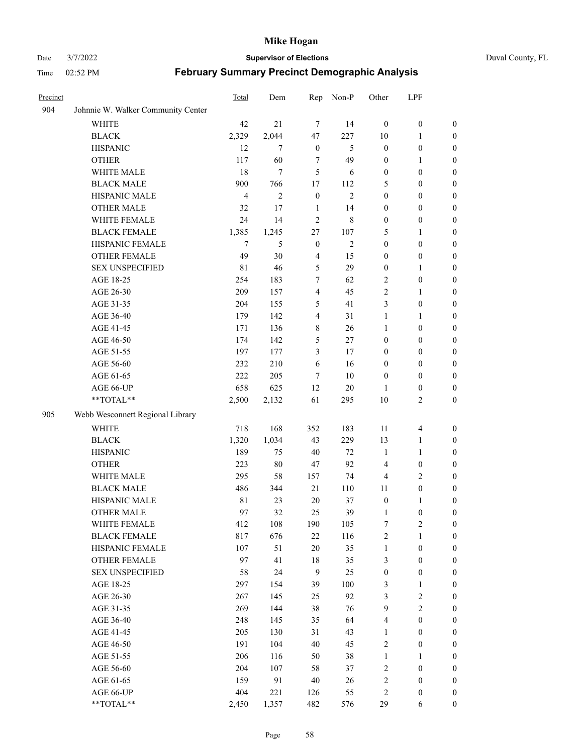#### Date 3/7/2022 **Supervisor of Elections** Duval County, FL

| Precinct |                                    | Total          | Dem            | Rep              | Non-P          | Other            | LPF                     |                  |
|----------|------------------------------------|----------------|----------------|------------------|----------------|------------------|-------------------------|------------------|
| 904      | Johnnie W. Walker Community Center |                |                |                  |                |                  |                         |                  |
|          | <b>WHITE</b>                       | 42             | 21             | $\tau$           | 14             | $\mathbf{0}$     | $\boldsymbol{0}$        | $\boldsymbol{0}$ |
|          | <b>BLACK</b>                       | 2,329          | 2,044          | 47               | 227            | 10               | $\mathbf{1}$            | $\boldsymbol{0}$ |
|          | <b>HISPANIC</b>                    | 12             | 7              | $\boldsymbol{0}$ | 5              | $\boldsymbol{0}$ | $\boldsymbol{0}$        | $\boldsymbol{0}$ |
|          | <b>OTHER</b>                       | 117            | 60             | 7                | 49             | $\boldsymbol{0}$ | $\mathbf{1}$            | $\boldsymbol{0}$ |
|          | WHITE MALE                         | 18             | $\overline{7}$ | 5                | 6              | $\boldsymbol{0}$ | $\boldsymbol{0}$        | $\boldsymbol{0}$ |
|          | <b>BLACK MALE</b>                  | 900            | 766            | 17               | 112            | 5                | $\boldsymbol{0}$        | $\boldsymbol{0}$ |
|          | HISPANIC MALE                      | $\overline{4}$ | $\overline{2}$ | $\boldsymbol{0}$ | $\mathbf{2}$   | $\boldsymbol{0}$ | $\boldsymbol{0}$        | $\boldsymbol{0}$ |
|          | <b>OTHER MALE</b>                  | 32             | 17             | 1                | 14             | $\boldsymbol{0}$ | $\boldsymbol{0}$        | 0                |
|          | WHITE FEMALE                       | 24             | 14             | $\overline{2}$   | $\,$ 8 $\,$    | $\boldsymbol{0}$ | $\boldsymbol{0}$        | 0                |
|          | <b>BLACK FEMALE</b>                | 1,385          | 1,245          | 27               | 107            | 5                | $\mathbf{1}$            | $\boldsymbol{0}$ |
|          | HISPANIC FEMALE                    | $\tau$         | 5              | $\boldsymbol{0}$ | $\overline{c}$ | $\boldsymbol{0}$ | $\boldsymbol{0}$        | $\boldsymbol{0}$ |
|          | OTHER FEMALE                       | 49             | 30             | $\overline{4}$   | 15             | $\boldsymbol{0}$ | $\boldsymbol{0}$        | $\boldsymbol{0}$ |
|          | <b>SEX UNSPECIFIED</b>             | 81             | 46             | $\mathfrak s$    | 29             | $\boldsymbol{0}$ | $\mathbf{1}$            | $\boldsymbol{0}$ |
|          | AGE 18-25                          | 254            | 183            | $\tau$           | 62             | $\overline{c}$   | $\boldsymbol{0}$        | $\boldsymbol{0}$ |
|          | AGE 26-30                          | 209            | 157            | $\overline{4}$   | 45             | $\mathfrak{2}$   | $\mathbf{1}$            | $\boldsymbol{0}$ |
|          | AGE 31-35                          | 204            | 155            | 5                | 41             | 3                | $\boldsymbol{0}$        | $\boldsymbol{0}$ |
|          | AGE 36-40                          | 179            | 142            | $\overline{4}$   | 31             | $\mathbf{1}$     | $\mathbf{1}$            | $\boldsymbol{0}$ |
|          | AGE 41-45                          | 171            | 136            | $\,$ 8 $\,$      | 26             | 1                | $\boldsymbol{0}$        | $\boldsymbol{0}$ |
|          | AGE 46-50                          | 174            | 142            | 5                | 27             | $\boldsymbol{0}$ | $\boldsymbol{0}$        | 0                |
|          | AGE 51-55                          | 197            | 177            | 3                | 17             | $\boldsymbol{0}$ | $\boldsymbol{0}$        | $\boldsymbol{0}$ |
|          | AGE 56-60                          | 232            | 210            | 6                | 16             | $\boldsymbol{0}$ | $\boldsymbol{0}$        | $\boldsymbol{0}$ |
|          | AGE 61-65                          | 222            | 205            | $\overline{7}$   | 10             | $\boldsymbol{0}$ | $\boldsymbol{0}$        | $\boldsymbol{0}$ |
|          | AGE 66-UP                          | 658            | 625            | 12               | 20             | 1                | $\boldsymbol{0}$        | $\boldsymbol{0}$ |
|          | **TOTAL**                          | 2,500          | 2,132          | 61               | 295            | 10               | $\mathfrak{2}$          | $\boldsymbol{0}$ |
| 905      | Webb Wesconnett Regional Library   |                |                |                  |                |                  |                         |                  |
|          | <b>WHITE</b>                       | 718            | 168            | 352              | 183            | 11               | $\overline{\mathbf{4}}$ | $\boldsymbol{0}$ |
|          | <b>BLACK</b>                       | 1,320          | 1,034          | 43               | 229            | 13               | $\mathbf{1}$            | $\boldsymbol{0}$ |
|          | <b>HISPANIC</b>                    | 189            | 75             | 40               | 72             | $\mathbf{1}$     | $\mathbf{1}$            | $\boldsymbol{0}$ |
|          | <b>OTHER</b>                       | 223            | $80\,$         | 47               | 92             | $\overline{4}$   | $\boldsymbol{0}$        | $\boldsymbol{0}$ |
|          | WHITE MALE                         | 295            | 58             | 157              | 74             | $\overline{4}$   | $\sqrt{2}$              | $\boldsymbol{0}$ |
|          | <b>BLACK MALE</b>                  | 486            | 344            | 21               | 110            | 11               | $\boldsymbol{0}$        | 0                |
|          | HISPANIC MALE                      | $8\sqrt{1}$    | 23             | 20               | 37             | $\boldsymbol{0}$ | $\mathbf{1}$            | 0                |
|          | <b>OTHER MALE</b>                  | 97             | 32             | 25               | 39             | $\mathbf{1}$     | $\boldsymbol{0}$        | $\boldsymbol{0}$ |
|          | WHITE FEMALE                       | 412            | 108            | 190              | 105            | $\boldsymbol{7}$ | $\sqrt{2}$              | $\boldsymbol{0}$ |
|          | <b>BLACK FEMALE</b>                | 817            | 676            | $22\,$           | 116            | $\sqrt{2}$       | $\mathbf{1}$            | $\boldsymbol{0}$ |
|          | HISPANIC FEMALE                    | 107            | 51             | $20\,$           | 35             | $\mathbf{1}$     | $\boldsymbol{0}$        | $\overline{0}$   |
|          | <b>OTHER FEMALE</b>                | 97             | 41             | $18\,$           | 35             | 3                | $\boldsymbol{0}$        | $\overline{0}$   |
|          | <b>SEX UNSPECIFIED</b>             | 58             | 24             | $\overline{9}$   | 25             | $\boldsymbol{0}$ | $\boldsymbol{0}$        | $\overline{0}$   |
|          | AGE 18-25                          | 297            | 154            | 39               | 100            | 3                | $\mathbf{1}$            | $\overline{0}$   |
|          | AGE 26-30                          | 267            | 145            | 25               | 92             | 3                | $\sqrt{2}$              | 0                |
|          | AGE 31-35                          | 269            | 144            | 38               | 76             | $\boldsymbol{9}$ | $\overline{2}$          | 0                |
|          | AGE 36-40                          | 248            | 145            | 35               | 64             | 4                | $\boldsymbol{0}$        | $\boldsymbol{0}$ |
|          | AGE 41-45                          | 205            | 130            | 31               | 43             | $\mathbf{1}$     | $\boldsymbol{0}$        | $\overline{0}$   |
|          | AGE 46-50                          | 191            | 104            | 40               | 45             | $\sqrt{2}$       | $\boldsymbol{0}$        | $\boldsymbol{0}$ |
|          | AGE 51-55                          | 206            | 116            | 50               | 38             | $\mathbf{1}$     | $\mathbf{1}$            | $\boldsymbol{0}$ |
|          | AGE 56-60                          | 204            | 107            | 58               | 37             | 2                | $\boldsymbol{0}$        | $\boldsymbol{0}$ |
|          | AGE 61-65                          | 159            | 91             | $40\,$           | 26             | 2                | $\boldsymbol{0}$        | $\overline{0}$   |
|          | AGE 66-UP                          | 404            | 221            | 126              | 55             | $\sqrt{2}$       | $\boldsymbol{0}$        | $\overline{0}$   |
|          | **TOTAL**                          | 2,450          | 1,357          | 482              | 576            | 29               | 6                       | $\boldsymbol{0}$ |
|          |                                    |                |                |                  |                |                  |                         |                  |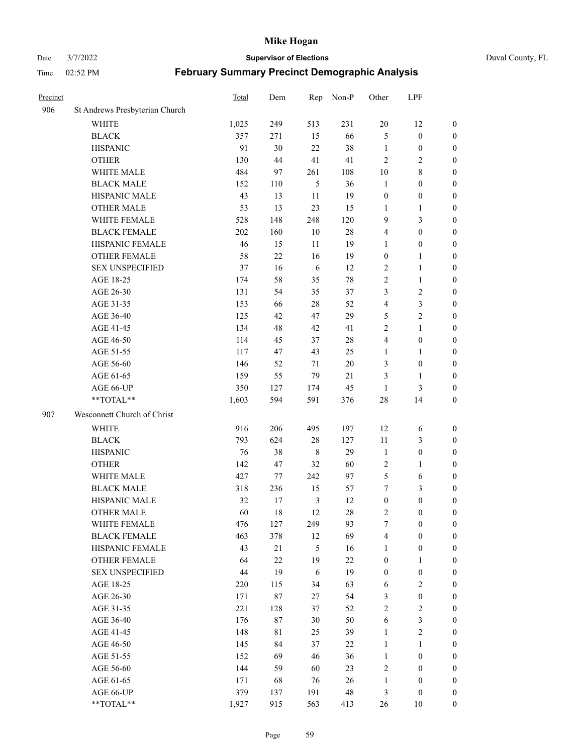#### Date 3/7/2022 **Supervisor of Elections** Duval County, FL

| Precinct |                                     | Total      | Dem       | Rep                  | Non-P    | Other                 | LPF                                  |                                      |
|----------|-------------------------------------|------------|-----------|----------------------|----------|-----------------------|--------------------------------------|--------------------------------------|
| 906      | St Andrews Presbyterian Church      |            |           |                      |          |                       |                                      |                                      |
|          | <b>WHITE</b>                        | 1,025      | 249       | 513                  | 231      | 20                    | 12                                   | $\boldsymbol{0}$                     |
|          | <b>BLACK</b>                        | 357        | 271       | 15                   | 66       | 5                     | $\boldsymbol{0}$                     | 0                                    |
|          | <b>HISPANIC</b>                     | 91         | 30        | 22                   | 38       | $\mathbf{1}$          | $\boldsymbol{0}$                     | $\boldsymbol{0}$                     |
|          | <b>OTHER</b>                        | 130        | 44        | 41                   | 41       | $\overline{2}$        | $\mathbf{2}$                         | $\boldsymbol{0}$                     |
|          | WHITE MALE                          | 484        | 97        | 261                  | 108      | 10                    | $8\,$                                | $\boldsymbol{0}$                     |
|          | <b>BLACK MALE</b>                   | 152        | 110       | 5                    | 36       | $\mathbf{1}$          | $\boldsymbol{0}$                     | $\boldsymbol{0}$                     |
|          | HISPANIC MALE                       | 43         | 13        | 11                   | 19       | $\boldsymbol{0}$      | $\boldsymbol{0}$                     | $\boldsymbol{0}$                     |
|          | <b>OTHER MALE</b>                   | 53         | 13        | 23                   | 15       | $\mathbf{1}$          | $\mathbf{1}$                         | $\boldsymbol{0}$                     |
|          | WHITE FEMALE                        | 528        | 148       | 248                  | 120      | 9                     | $\mathfrak{Z}$                       | $\boldsymbol{0}$                     |
|          | <b>BLACK FEMALE</b>                 | 202        | 160       | $10\,$               | $28\,$   | 4                     | $\boldsymbol{0}$                     | 0                                    |
|          | HISPANIC FEMALE                     | 46         | 15        | 11                   | 19       | 1                     | $\boldsymbol{0}$                     | 0                                    |
|          | <b>OTHER FEMALE</b>                 | 58         | 22        | 16                   | 19       | $\boldsymbol{0}$      | $\mathbf{1}$                         | 0                                    |
|          | <b>SEX UNSPECIFIED</b>              | 37         | 16        | $\sqrt{6}$           | 12       | $\mathbf{2}$          | $\mathbf{1}$                         | $\boldsymbol{0}$                     |
|          | AGE 18-25                           | 174        | 58        | 35                   | $78\,$   | $\sqrt{2}$            | $\mathbf{1}$                         | $\boldsymbol{0}$                     |
|          | AGE 26-30                           | 131        | 54        | 35                   | 37       | 3                     | $\sqrt{2}$                           | $\boldsymbol{0}$                     |
|          | AGE 31-35                           | 153        | 66        | 28                   | 52       | 4                     | $\mathfrak{Z}$                       | $\boldsymbol{0}$                     |
|          | AGE 36-40                           | 125        | 42        | 47                   | 29       | 5                     | $\sqrt{2}$                           | $\boldsymbol{0}$                     |
|          | AGE 41-45                           | 134        | 48        | 42                   | 41       | $\mathbf{2}$          | $\mathbf{1}$                         | $\boldsymbol{0}$                     |
|          | AGE 46-50                           | 114        | 45        | 37                   | $28\,$   | 4                     | $\boldsymbol{0}$                     | $\boldsymbol{0}$                     |
|          | AGE 51-55                           | 117        | 47        | 43                   | 25       | 1                     | $\mathbf{1}$                         | $\boldsymbol{0}$                     |
|          | AGE 56-60                           | 146        | 52        | 71                   | 20       | 3                     | $\boldsymbol{0}$                     | 0                                    |
|          | AGE 61-65                           | 159        | 55        | 79                   | 21       | 3                     | $\mathbf{1}$                         | 0                                    |
|          | AGE 66-UP                           | 350        | 127       | 174                  | 45       | $\mathbf{1}$          | $\mathfrak{Z}$                       | $\boldsymbol{0}$                     |
|          | $**TOTAL**$                         | 1,603      | 594       | 591                  | 376      | 28                    | 14                                   | $\boldsymbol{0}$                     |
| 907      | Wesconnett Church of Christ         |            |           |                      |          |                       |                                      |                                      |
|          | <b>WHITE</b>                        | 916        | 206       | 495                  | 197      | 12                    |                                      |                                      |
|          | <b>BLACK</b>                        | 793        | 624       | $28\,$               | 127      | $11\,$                | 6<br>$\mathfrak{Z}$                  | $\boldsymbol{0}$                     |
|          | <b>HISPANIC</b>                     | 76         | 38        | $\,$ 8 $\,$          | 29       | $\mathbf{1}$          | $\boldsymbol{0}$                     | $\boldsymbol{0}$                     |
|          |                                     |            |           |                      |          |                       |                                      | $\boldsymbol{0}$                     |
|          | <b>OTHER</b><br>WHITE MALE          | 142        | 47        | 32                   | 60       | 2                     | $\mathbf{1}$                         | $\boldsymbol{0}$                     |
|          | <b>BLACK MALE</b>                   | 427        | 77<br>236 | 242                  | 97       | $\mathfrak{S}$<br>7   | 6<br>$\mathfrak{Z}$                  | $\boldsymbol{0}$                     |
|          | HISPANIC MALE                       | 318<br>32  |           | 15<br>$\mathfrak{Z}$ | 57       |                       | $\boldsymbol{0}$                     | $\boldsymbol{0}$                     |
|          |                                     | 60         | 17<br>18  | 12                   | 12<br>28 | $\boldsymbol{0}$<br>2 | $\boldsymbol{0}$                     | $\boldsymbol{0}$<br>$\boldsymbol{0}$ |
|          | <b>OTHER MALE</b>                   |            |           |                      |          |                       |                                      | 0                                    |
|          | WHITE FEMALE<br><b>BLACK FEMALE</b> | 476<br>463 | 127       | 249                  | 93<br>69 | 7<br>4                | $\boldsymbol{0}$<br>$\boldsymbol{0}$ |                                      |
|          | HISPANIC FEMALE                     | 43         | 378<br>21 | 12<br>5              | 16       | $\mathbf{1}$          | $\boldsymbol{0}$                     | $\boldsymbol{0}$<br>$\overline{0}$   |
|          | <b>OTHER FEMALE</b>                 | 64         | 22        | 19                   | 22       | $\boldsymbol{0}$      | $\mathbf{1}$                         | $\overline{0}$                       |
|          | <b>SEX UNSPECIFIED</b>              | $44\,$     | 19        | 6                    | 19       | $\boldsymbol{0}$      | $\boldsymbol{0}$                     | 0                                    |
|          | AGE 18-25                           | 220        | 115       | 34                   | 63       | 6                     | $\sqrt{2}$                           | $\theta$                             |
|          | AGE 26-30                           | 171        | 87        | $27\,$               | 54       | 3                     | $\boldsymbol{0}$                     | 0                                    |
|          | AGE 31-35                           | 221        | 128       | 37                   | 52       | $\overline{c}$        | $\sqrt{2}$                           | 0                                    |
|          | AGE 36-40                           | 176        | 87        | $30\,$               | 50       | 6                     | $\mathfrak{Z}$                       | 0                                    |
|          | AGE 41-45                           | 148        | 81        | 25                   | 39       | $\mathbf{1}$          | $\sqrt{2}$                           | 0                                    |
|          | AGE 46-50                           | 145        | 84        | 37                   | 22       | $\mathbf{1}$          | $\mathbf{1}$                         | 0                                    |
|          | AGE 51-55                           | 152        | 69        | 46                   | 36       | $\mathbf{1}$          | $\boldsymbol{0}$                     | 0                                    |
|          | AGE 56-60                           | 144        | 59        | 60                   | 23       | 2                     | $\boldsymbol{0}$                     | $\overline{0}$                       |
|          | AGE 61-65                           | 171        | 68        | 76                   | 26       | $\mathbf{1}$          | $\boldsymbol{0}$                     | $\overline{0}$                       |
|          | AGE 66-UP                           | 379        | 137       | 191                  | 48       | 3                     | $\boldsymbol{0}$                     | $\boldsymbol{0}$                     |
|          | **TOTAL**                           | 1,927      | 915       | 563                  | 413      | 26                    | 10                                   | $\boldsymbol{0}$                     |
|          |                                     |            |           |                      |          |                       |                                      |                                      |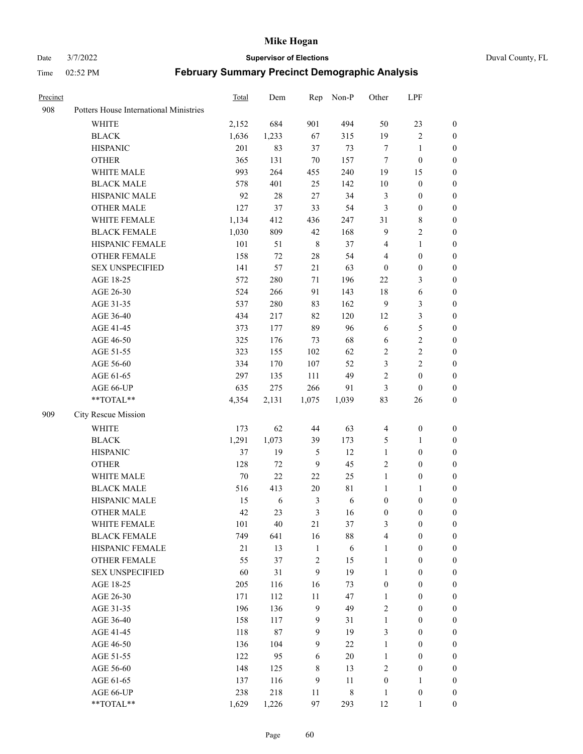Date 3/7/2022 **Supervisor of Elections** Duval County, FL

| Precinct |                                        | Total  | Dem   | Rep            | Non-P     | Other            | LPF              |                  |
|----------|----------------------------------------|--------|-------|----------------|-----------|------------------|------------------|------------------|
| 908      | Potters House International Ministries |        |       |                |           |                  |                  |                  |
|          | <b>WHITE</b>                           | 2,152  | 684   | 901            | 494       | 50               | 23               | $\boldsymbol{0}$ |
|          | <b>BLACK</b>                           | 1,636  | 1,233 | 67             | 315       | 19               | $\sqrt{2}$       | $\boldsymbol{0}$ |
|          | <b>HISPANIC</b>                        | 201    | 83    | 37             | 73        | 7                | 1                | $\boldsymbol{0}$ |
|          | <b>OTHER</b>                           | 365    | 131   | 70             | 157       | 7                | $\boldsymbol{0}$ | $\boldsymbol{0}$ |
|          | WHITE MALE                             | 993    | 264   | 455            | 240       | 19               | 15               | $\boldsymbol{0}$ |
|          | <b>BLACK MALE</b>                      | 578    | 401   | 25             | 142       | 10               | $\boldsymbol{0}$ | $\boldsymbol{0}$ |
|          | HISPANIC MALE                          | 92     | 28    | $27\,$         | 34        | $\mathfrak{Z}$   | $\boldsymbol{0}$ | $\boldsymbol{0}$ |
|          | <b>OTHER MALE</b>                      | 127    | 37    | 33             | 54        | $\mathfrak{Z}$   | $\boldsymbol{0}$ | 0                |
|          | WHITE FEMALE                           | 1,134  | 412   | 436            | 247       | 31               | $\,$ 8 $\,$      | 0                |
|          | <b>BLACK FEMALE</b>                    | 1,030  | 809   | 42             | 168       | 9                | $\sqrt{2}$       | 0                |
|          | HISPANIC FEMALE                        | 101    | 51    | $\,$ 8 $\,$    | 37        | 4                | $\mathbf{1}$     | $\boldsymbol{0}$ |
|          | OTHER FEMALE                           | 158    | 72    | $28\,$         | 54        | 4                | $\boldsymbol{0}$ | $\boldsymbol{0}$ |
|          | <b>SEX UNSPECIFIED</b>                 | 141    | 57    | 21             | 63        | $\boldsymbol{0}$ | $\boldsymbol{0}$ | $\boldsymbol{0}$ |
|          | AGE 18-25                              | 572    | 280   | 71             | 196       | $22\,$           | $\mathfrak{Z}$   | $\boldsymbol{0}$ |
|          | AGE 26-30                              | 524    | 266   | 91             | 143       | 18               | 6                | $\boldsymbol{0}$ |
|          | AGE 31-35                              | 537    | 280   | 83             | 162       | $\overline{9}$   | $\mathfrak{Z}$   | $\boldsymbol{0}$ |
|          | AGE 36-40                              | 434    | 217   | 82             | 120       | 12               | $\mathfrak{Z}$   | $\boldsymbol{0}$ |
|          | AGE 41-45                              | 373    | 177   | 89             | 96        | 6                | 5                | $\boldsymbol{0}$ |
|          | AGE 46-50                              | 325    | 176   | 73             | 68        | 6                | $\mathbf{2}$     | 0                |
|          | AGE 51-55                              | 323    | 155   | 102            | 62        | $\overline{c}$   | $\sqrt{2}$       | 0                |
|          | AGE 56-60                              | 334    | 170   | 107            | 52        | 3                | $\sqrt{2}$       | 0                |
|          | AGE 61-65                              | 297    | 135   | 111            | 49        | $\sqrt{2}$       | $\boldsymbol{0}$ | $\boldsymbol{0}$ |
|          | AGE 66-UP                              | 635    | 275   | 266            | 91        | 3                | $\boldsymbol{0}$ | $\boldsymbol{0}$ |
|          | $**TOTAL**$                            | 4,354  | 2,131 | 1,075          | 1,039     | 83               | 26               | $\boldsymbol{0}$ |
| 909      | City Rescue Mission                    |        |       |                |           |                  |                  |                  |
|          | WHITE                                  | 173    | 62    | $44\,$         | 63        | $\overline{4}$   | $\boldsymbol{0}$ | $\boldsymbol{0}$ |
|          | <b>BLACK</b>                           | 1,291  | 1,073 | 39             | 173       | 5                | $\mathbf{1}$     | $\boldsymbol{0}$ |
|          | <b>HISPANIC</b>                        | 37     | 19    | $\mathfrak s$  | 12        | $\mathbf{1}$     | $\boldsymbol{0}$ | $\boldsymbol{0}$ |
|          | <b>OTHER</b>                           | 128    | 72    | $\overline{9}$ | 45        | $\mathfrak{2}$   | $\boldsymbol{0}$ | $\boldsymbol{0}$ |
|          | WHITE MALE                             | 70     | 22    | $22\,$         | 25        | $\mathbf{1}$     | $\boldsymbol{0}$ | 0                |
|          | <b>BLACK MALE</b>                      | 516    | 413   | 20             | 81        | 1                | $\mathbf{1}$     | 0                |
|          | HISPANIC MALE                          | 15     | 6     | 3              | 6         | $\boldsymbol{0}$ | $\boldsymbol{0}$ | 0                |
|          | <b>OTHER MALE</b>                      | 42     | 23    | 3              | 16        | $\boldsymbol{0}$ | $\boldsymbol{0}$ | $\boldsymbol{0}$ |
|          | WHITE FEMALE                           | 101    | 40    | $21\,$         | 37        | 3                | $\boldsymbol{0}$ | $\boldsymbol{0}$ |
|          | <b>BLACK FEMALE</b>                    | 749    | 641   | 16             | 88        | 4                | $\boldsymbol{0}$ | $\overline{0}$   |
|          | HISPANIC FEMALE                        | $21\,$ | 13    | $\mathbf{1}$   | 6         | $\mathbf{1}$     | $\boldsymbol{0}$ | $\overline{0}$   |
|          | <b>OTHER FEMALE</b>                    | 55     | 37    | $\sqrt{2}$     | 15        | $\mathbf{1}$     | $\boldsymbol{0}$ | $\overline{0}$   |
|          | <b>SEX UNSPECIFIED</b>                 | 60     | 31    | 9              | 19        | $\mathbf{1}$     | $\boldsymbol{0}$ | $\overline{0}$   |
|          | AGE 18-25                              | 205    | 116   | 16             | 73        | $\boldsymbol{0}$ | $\boldsymbol{0}$ | $\overline{0}$   |
|          | AGE 26-30                              | 171    | 112   | $11\,$         | 47        | $\mathbf{1}$     | $\boldsymbol{0}$ | 0                |
|          | AGE 31-35                              | 196    | 136   | $\mathbf{9}$   | 49        | $\overline{c}$   | $\boldsymbol{0}$ | 0                |
|          | AGE 36-40                              | 158    | 117   | $\overline{9}$ | 31        | $\mathbf{1}$     | $\boldsymbol{0}$ | 0                |
|          | AGE 41-45                              | 118    | 87    | 9              | 19        | 3                | $\boldsymbol{0}$ | 0                |
|          | AGE 46-50                              | 136    | 104   | 9              | 22        | $\mathbf{1}$     | $\boldsymbol{0}$ | $\boldsymbol{0}$ |
|          | AGE 51-55                              | 122    | 95    | 6              | $20\,$    | $\mathbf{1}$     | $\boldsymbol{0}$ | $\boldsymbol{0}$ |
|          | AGE 56-60                              | 148    | 125   | 8              | 13        | $\overline{c}$   | $\boldsymbol{0}$ | $\overline{0}$   |
|          | AGE 61-65                              | 137    | 116   | 9              | 11        | $\boldsymbol{0}$ | $\mathbf{1}$     | $\overline{0}$   |
|          | AGE 66-UP                              | 238    | 218   | 11             | $\,$ $\,$ | $\mathbf{1}$     | $\boldsymbol{0}$ | $\overline{0}$   |
|          | **TOTAL**                              | 1,629  | 1,226 | 97             | 293       | 12               | $\mathbf{1}$     | $\boldsymbol{0}$ |
|          |                                        |        |       |                |           |                  |                  |                  |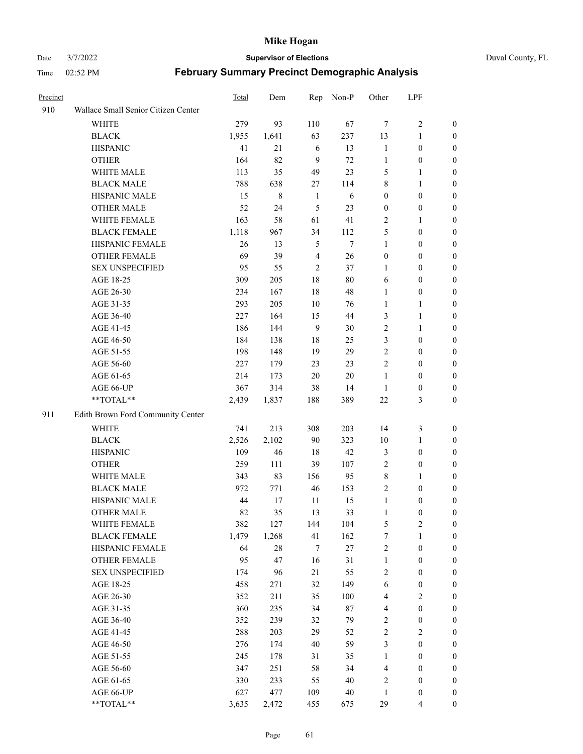#### Date 3/7/2022 **Supervisor of Elections** Duval County, FL

| Precinct |                                     | <b>Total</b> | Dem    | Rep            | Non-P  | Other            | LPF              |                  |
|----------|-------------------------------------|--------------|--------|----------------|--------|------------------|------------------|------------------|
| 910      | Wallace Small Senior Citizen Center |              |        |                |        |                  |                  |                  |
|          | <b>WHITE</b>                        | 279          | 93     | 110            | 67     | $\tau$           | $\sqrt{2}$       | 0                |
|          | <b>BLACK</b>                        | 1,955        | 1,641  | 63             | 237    | 13               | $\mathbf{1}$     | 0                |
|          | <b>HISPANIC</b>                     | 41           | 21     | 6              | 13     | $\mathbf{1}$     | $\boldsymbol{0}$ | 0                |
|          | <b>OTHER</b>                        | 164          | 82     | 9              | 72     | 1                | $\boldsymbol{0}$ | $\boldsymbol{0}$ |
|          | WHITE MALE                          | 113          | 35     | 49             | 23     | 5                | $\mathbf{1}$     | $\boldsymbol{0}$ |
|          | <b>BLACK MALE</b>                   | 788          | 638    | 27             | 114    | 8                | $\mathbf{1}$     | $\boldsymbol{0}$ |
|          | HISPANIC MALE                       | 15           | 8      | $\mathbf{1}$   | 6      | $\boldsymbol{0}$ | $\boldsymbol{0}$ | $\boldsymbol{0}$ |
|          | <b>OTHER MALE</b>                   | 52           | 24     | 5              | 23     | $\boldsymbol{0}$ | $\boldsymbol{0}$ | $\boldsymbol{0}$ |
|          | WHITE FEMALE                        | 163          | 58     | 61             | 41     | 2                | $\mathbf{1}$     | $\boldsymbol{0}$ |
|          | <b>BLACK FEMALE</b>                 | 1,118        | 967    | 34             | 112    | 5                | $\boldsymbol{0}$ | 0                |
|          | HISPANIC FEMALE                     | 26           | 13     | 5              | $\tau$ | $\mathbf{1}$     | $\boldsymbol{0}$ | 0                |
|          | <b>OTHER FEMALE</b>                 | 69           | 39     | $\overline{4}$ | 26     | $\boldsymbol{0}$ | $\boldsymbol{0}$ | 0                |
|          | <b>SEX UNSPECIFIED</b>              | 95           | 55     | $\mathfrak{2}$ | 37     | $\mathbf{1}$     | $\boldsymbol{0}$ | $\boldsymbol{0}$ |
|          | AGE 18-25                           | 309          | 205    | 18             | 80     | 6                | $\boldsymbol{0}$ | $\boldsymbol{0}$ |
|          | AGE 26-30                           | 234          | 167    | 18             | 48     | $\mathbf{1}$     | $\boldsymbol{0}$ | $\boldsymbol{0}$ |
|          | AGE 31-35                           | 293          | 205    | 10             | 76     | $\mathbf{1}$     | $\mathbf{1}$     | $\boldsymbol{0}$ |
|          | AGE 36-40                           | 227          | 164    | 15             | 44     | 3                | $\mathbf{1}$     | $\boldsymbol{0}$ |
|          | AGE 41-45                           | 186          | 144    | 9              | 30     | $\mathbf{2}$     | $\mathbf{1}$     | $\boldsymbol{0}$ |
|          | AGE 46-50                           | 184          | 138    | 18             | 25     | 3                | $\boldsymbol{0}$ | $\boldsymbol{0}$ |
|          | AGE 51-55                           | 198          | 148    | 19             | 29     | $\sqrt{2}$       | $\boldsymbol{0}$ | 0                |
|          | AGE 56-60                           | 227          | 179    | 23             | 23     | $\overline{c}$   | $\boldsymbol{0}$ | 0                |
|          | AGE 61-65                           | 214          | 173    | 20             | $20\,$ | $\mathbf{1}$     | $\boldsymbol{0}$ | 0                |
|          | AGE 66-UP                           | 367          | 314    | 38             | 14     | $\mathbf{1}$     | $\boldsymbol{0}$ | $\boldsymbol{0}$ |
|          | **TOTAL**                           | 2,439        | 1,837  | 188            | 389    | $22\,$           | $\mathfrak{Z}$   | $\boldsymbol{0}$ |
| 911      | Edith Brown Ford Community Center   |              |        |                |        |                  |                  |                  |
|          | <b>WHITE</b>                        | 741          | 213    | 308            | 203    | 14               | $\mathfrak{Z}$   | $\boldsymbol{0}$ |
|          | <b>BLACK</b>                        | 2,526        | 2,102  | 90             | 323    | 10               | $\mathbf{1}$     | $\boldsymbol{0}$ |
|          | <b>HISPANIC</b>                     | 109          | 46     | 18             | 42     | 3                | $\boldsymbol{0}$ | $\boldsymbol{0}$ |
|          | <b>OTHER</b>                        | 259          | 111    | 39             | 107    | $\overline{c}$   | $\boldsymbol{0}$ | $\boldsymbol{0}$ |
|          | WHITE MALE                          | 343          | 83     | 156            | 95     | 8                | $\mathbf{1}$     | $\boldsymbol{0}$ |
|          | <b>BLACK MALE</b>                   | 972          | 771    | 46             | 153    | $\overline{c}$   | $\boldsymbol{0}$ | $\boldsymbol{0}$ |
|          | HISPANIC MALE                       | 44           | 17     | 11             | 15     | $\mathbf{1}$     | $\boldsymbol{0}$ | 0                |
|          | <b>OTHER MALE</b>                   | 82           | 35     | 13             | 33     | $\mathbf{1}$     | $\boldsymbol{0}$ | 0                |
|          | WHITE FEMALE                        | 382          | 127    | 144            | 104    | 5                | 2                | 0                |
|          | <b>BLACK FEMALE</b>                 | 1,479        | 1,268  | 41             | 162    | 7                | $\mathbf{1}$     | $\boldsymbol{0}$ |
|          | HISPANIC FEMALE                     | 64           | $28\,$ | $\tau$         | 27     | $\sqrt{2}$       | $\boldsymbol{0}$ | $\overline{0}$   |
|          | OTHER FEMALE                        | 95           | 47     | 16             | 31     | $\mathbf{1}$     | $\boldsymbol{0}$ | $\overline{0}$   |
|          | <b>SEX UNSPECIFIED</b>              | 174          | 96     | 21             | 55     | 2                | $\boldsymbol{0}$ | 0                |
|          | AGE 18-25                           | 458          | 271    | 32             | 149    | 6                | $\boldsymbol{0}$ | 0                |
|          | AGE 26-30                           | 352          | 211    | 35             | 100    | $\overline{4}$   | $\overline{2}$   | 0                |
|          | AGE 31-35                           | 360          | 235    | 34             | 87     | 4                | $\boldsymbol{0}$ | 0                |
|          | AGE 36-40                           | 352          | 239    | 32             | 79     | 2                | $\boldsymbol{0}$ | 0                |
|          | AGE 41-45                           | 288          | 203    | 29             | 52     | $\overline{c}$   | $\overline{2}$   | 0                |
|          | AGE 46-50                           | 276          | 174    | 40             | 59     | 3                | $\boldsymbol{0}$ | 0                |
|          | AGE 51-55                           | 245          | 178    | 31             | 35     | $\mathbf{1}$     | $\boldsymbol{0}$ | 0                |
|          | AGE 56-60                           | 347          | 251    | 58             | 34     | 4                | $\boldsymbol{0}$ | $\overline{0}$   |
|          | AGE 61-65                           | 330          | 233    | 55             | 40     | 2                | $\boldsymbol{0}$ | $\overline{0}$   |
|          | AGE 66-UP                           | 627          | 477    | 109            | 40     | $\mathbf{1}$     | $\boldsymbol{0}$ | 0                |
|          | **TOTAL**                           | 3,635        | 2,472  | 455            | 675    | 29               | $\overline{4}$   | $\boldsymbol{0}$ |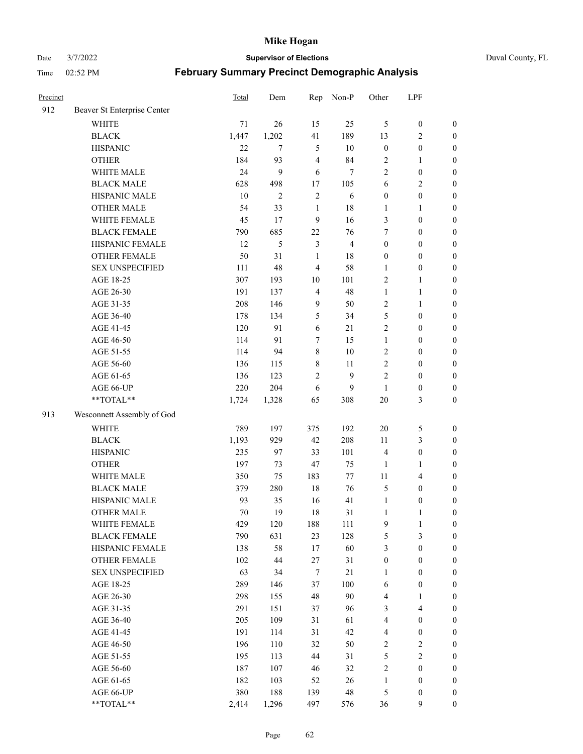Date 3/7/2022 **Supervisor of Elections** Duval County, FL

| Precinct |                             | Total | Dem            | Rep            | Non-P          | Other                   | LPF                     |                  |
|----------|-----------------------------|-------|----------------|----------------|----------------|-------------------------|-------------------------|------------------|
| 912      | Beaver St Enterprise Center |       |                |                |                |                         |                         |                  |
|          | <b>WHITE</b>                | 71    | 26             | 15             | 25             | 5                       | $\boldsymbol{0}$        | $\boldsymbol{0}$ |
|          | <b>BLACK</b>                | 1,447 | 1,202          | 41             | 189            | 13                      | $\overline{c}$          | $\boldsymbol{0}$ |
|          | <b>HISPANIC</b>             | 22    | $\tau$         | 5              | 10             | $\boldsymbol{0}$        | $\boldsymbol{0}$        | $\boldsymbol{0}$ |
|          | <b>OTHER</b>                | 184   | 93             | $\overline{4}$ | 84             | $\sqrt{2}$              | $\mathbf{1}$            | $\boldsymbol{0}$ |
|          | WHITE MALE                  | 24    | 9              | 6              | 7              | $\overline{c}$          | $\boldsymbol{0}$        | $\boldsymbol{0}$ |
|          | <b>BLACK MALE</b>           | 628   | 498            | 17             | 105            | 6                       | $\mathbf{2}$            | $\boldsymbol{0}$ |
|          | HISPANIC MALE               | 10    | $\overline{2}$ | $\mathfrak{2}$ | 6              | $\boldsymbol{0}$        | $\boldsymbol{0}$        | $\boldsymbol{0}$ |
|          | <b>OTHER MALE</b>           | 54    | 33             | $\mathbf{1}$   | $18\,$         | $\mathbf{1}$            | $\mathbf{1}$            | $\boldsymbol{0}$ |
|          | WHITE FEMALE                | 45    | 17             | $\mathbf{9}$   | 16             | 3                       | $\boldsymbol{0}$        | $\boldsymbol{0}$ |
|          | <b>BLACK FEMALE</b>         | 790   | 685            | $22\,$         | 76             | 7                       | $\boldsymbol{0}$        | $\boldsymbol{0}$ |
|          | HISPANIC FEMALE             | 12    | 5              | $\mathfrak{Z}$ | $\overline{4}$ | $\boldsymbol{0}$        | $\boldsymbol{0}$        | $\boldsymbol{0}$ |
|          | <b>OTHER FEMALE</b>         | 50    | 31             | 1              | $18\,$         | $\boldsymbol{0}$        | $\boldsymbol{0}$        | $\boldsymbol{0}$ |
|          | <b>SEX UNSPECIFIED</b>      | 111   | 48             | $\overline{4}$ | 58             | $\mathbf{1}$            | $\boldsymbol{0}$        | $\boldsymbol{0}$ |
|          | AGE 18-25                   | 307   | 193            | 10             | 101            | $\mathfrak{2}$          | $\mathbf{1}$            | $\boldsymbol{0}$ |
|          | AGE 26-30                   | 191   | 137            | $\overline{4}$ | 48             | $\mathbf{1}$            | $\mathbf{1}$            | $\boldsymbol{0}$ |
|          | AGE 31-35                   | 208   | 146            | $\mathbf{9}$   | 50             | $\sqrt{2}$              | $\mathbf{1}$            | $\boldsymbol{0}$ |
|          | AGE 36-40                   | 178   | 134            | 5              | 34             | 5                       | $\boldsymbol{0}$        | $\boldsymbol{0}$ |
|          | AGE 41-45                   | 120   | 91             | 6              | 21             | $\mathfrak{2}$          | $\boldsymbol{0}$        | $\boldsymbol{0}$ |
|          | AGE 46-50                   | 114   | 91             | $\tau$         | 15             | $\mathbf{1}$            | $\boldsymbol{0}$        | $\boldsymbol{0}$ |
|          | AGE 51-55                   | 114   | 94             | $\,$ 8 $\,$    | $10\,$         | $\sqrt{2}$              | $\boldsymbol{0}$        | $\boldsymbol{0}$ |
|          | AGE 56-60                   | 136   | 115            | $\,$ 8 $\,$    | 11             | $\overline{c}$          | $\boldsymbol{0}$        | 0                |
|          | AGE 61-65                   | 136   | 123            | $\mathfrak{2}$ | 9              | $\overline{c}$          | $\boldsymbol{0}$        | $\boldsymbol{0}$ |
|          | AGE 66-UP                   | 220   | 204            | 6              | 9              | $\mathbf{1}$            | $\boldsymbol{0}$        | $\boldsymbol{0}$ |
|          | **TOTAL**                   | 1,724 | 1,328          | 65             | 308            | 20                      | $\mathfrak{Z}$          | $\boldsymbol{0}$ |
| 913      | Wesconnett Assembly of God  |       |                |                |                |                         |                         |                  |
|          | WHITE                       | 789   | 197            | 375            | 192            | $20\,$                  | 5                       | $\boldsymbol{0}$ |
|          | <b>BLACK</b>                | 1,193 | 929            | 42             | 208            | 11                      | $\mathfrak{Z}$          | $\boldsymbol{0}$ |
|          | <b>HISPANIC</b>             | 235   | 97             | 33             | 101            | 4                       | $\boldsymbol{0}$        | $\boldsymbol{0}$ |
|          | <b>OTHER</b>                | 197   | 73             | 47             | 75             | $\mathbf{1}$            | $\mathbf{1}$            | $\boldsymbol{0}$ |
|          | WHITE MALE                  | 350   | 75             | 183            | $77\,$         | 11                      | $\overline{4}$          | $\boldsymbol{0}$ |
|          | <b>BLACK MALE</b>           | 379   | 280            | $18\,$         | 76             | 5                       | $\boldsymbol{0}$        | $\boldsymbol{0}$ |
|          | HISPANIC MALE               | 93    | 35             | 16             | 41             | $\mathbf{1}$            | $\boldsymbol{0}$        | $\boldsymbol{0}$ |
|          | <b>OTHER MALE</b>           | 70    | 19             | 18             | 31             | $\mathbf{1}$            | $\mathbf{1}$            | $\boldsymbol{0}$ |
|          | WHITE FEMALE                | 429   | 120            | 188            | 111            | 9                       | 1                       | 0                |
|          | <b>BLACK FEMALE</b>         | 790   | 631            | 23             | 128            | 5                       | 3                       | $\boldsymbol{0}$ |
|          | HISPANIC FEMALE             | 138   | 58             | 17             | 60             | 3                       | $\boldsymbol{0}$        | $\overline{0}$   |
|          | OTHER FEMALE                | 102   | 44             | $27\,$         | 31             | $\boldsymbol{0}$        | $\boldsymbol{0}$        | $\overline{0}$   |
|          | <b>SEX UNSPECIFIED</b>      | 63    | 34             | 7              | 21             | $\mathbf{1}$            | $\boldsymbol{0}$        | $\overline{0}$   |
|          | AGE 18-25                   | 289   | 146            | 37             | 100            | 6                       | $\boldsymbol{0}$        | $\theta$         |
|          | AGE 26-30                   | 298   | 155            | 48             | 90             | 4                       | $\mathbf{1}$            | 0                |
|          | AGE 31-35                   | 291   | 151            | 37             | 96             | 3                       | $\overline{\mathbf{4}}$ | 0                |
|          | AGE 36-40                   | 205   | 109            | 31             | 61             | $\overline{\mathbf{4}}$ | $\boldsymbol{0}$        | 0                |
|          | AGE 41-45                   | 191   | 114            | 31             | 42             | $\overline{\mathbf{4}}$ | $\boldsymbol{0}$        | 0                |
|          | AGE 46-50                   | 196   | 110            | 32             | 50             | 2                       | $\sqrt{2}$              | 0                |
|          | AGE 51-55                   | 195   | 113            | 44             | 31             | 5                       | $\sqrt{2}$              | $\overline{0}$   |
|          | AGE 56-60                   | 187   | 107            | 46             | 32             | $\sqrt{2}$              | $\boldsymbol{0}$        | $\overline{0}$   |
|          | AGE 61-65                   | 182   | 103            | 52             | 26             | $\mathbf{1}$            | $\boldsymbol{0}$        | $\overline{0}$   |
|          | AGE 66-UP                   | 380   | 188            | 139            | $\sqrt{48}$    | 5                       | $\boldsymbol{0}$        | $\boldsymbol{0}$ |
|          | **TOTAL**                   | 2,414 | 1,296          | 497            | 576            | 36                      | $\mathbf{9}$            | $\boldsymbol{0}$ |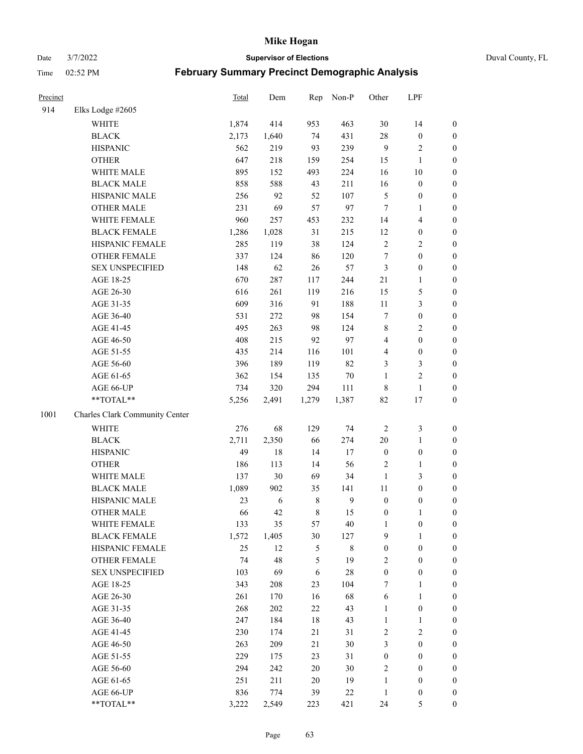Date 3/7/2022 **Supervisor of Elections** Duval County, FL

| Precinct |                                | Total | Dem        | Rep           | Non-P          | Other            | LPF                     |                                      |
|----------|--------------------------------|-------|------------|---------------|----------------|------------------|-------------------------|--------------------------------------|
| 914      | Elks Lodge #2605               |       |            |               |                |                  |                         |                                      |
|          | WHITE                          | 1,874 | 414        | 953           | 463            | 30               | 14                      | 0                                    |
|          | <b>BLACK</b>                   | 2,173 | 1,640      | 74            | 431            | 28               | $\boldsymbol{0}$        | 0                                    |
|          | <b>HISPANIC</b>                | 562   | 219        | 93            | 239            | 9                | $\sqrt{2}$              | $\boldsymbol{0}$                     |
|          | <b>OTHER</b>                   | 647   | 218        | 159           | 254            | 15               | $\mathbf{1}$            | $\boldsymbol{0}$                     |
|          | WHITE MALE                     | 895   | 152        | 493           | 224            | 16               | $10\,$                  | $\boldsymbol{0}$                     |
|          | <b>BLACK MALE</b>              | 858   | 588        | 43            | 211            | 16               | $\boldsymbol{0}$        | $\boldsymbol{0}$                     |
|          | HISPANIC MALE                  | 256   | 92         | 52            | 107            | $\mathfrak s$    | $\boldsymbol{0}$        | $\boldsymbol{0}$                     |
|          | <b>OTHER MALE</b>              | 231   | 69         | 57            | 97             | $\tau$           | $\mathbf{1}$            | $\boldsymbol{0}$                     |
|          | WHITE FEMALE                   | 960   | 257        | 453           | 232            | 14               | $\overline{\mathbf{4}}$ | $\boldsymbol{0}$                     |
|          | <b>BLACK FEMALE</b>            | 1,286 | 1,028      | 31            | 215            | 12               | $\boldsymbol{0}$        | 0                                    |
|          | HISPANIC FEMALE                | 285   | 119        | 38            | 124            | $\sqrt{2}$       | $\sqrt{2}$              | 0                                    |
|          | OTHER FEMALE                   | 337   | 124        | 86            | 120            | $\boldsymbol{7}$ | $\boldsymbol{0}$        | $\boldsymbol{0}$                     |
|          | <b>SEX UNSPECIFIED</b>         | 148   | 62         | 26            | 57             | 3                | $\boldsymbol{0}$        | $\boldsymbol{0}$                     |
|          | AGE 18-25                      | 670   | 287        | 117           | 244            | 21               | $\mathbf{1}$            | $\boldsymbol{0}$                     |
|          | AGE 26-30                      | 616   | 261        | 119           | 216            | 15               | $\mathfrak{S}$          | $\boldsymbol{0}$                     |
|          | AGE 31-35                      | 609   | 316        | 91            | 188            | $11\,$           | $\mathfrak{Z}$          | $\boldsymbol{0}$                     |
|          | AGE 36-40                      | 531   | 272        | 98            | 154            | 7                | $\boldsymbol{0}$        | $\boldsymbol{0}$                     |
|          | AGE 41-45                      | 495   | 263        | 98            | 124            | 8                | $\overline{2}$          | $\boldsymbol{0}$                     |
|          | AGE 46-50                      | 408   | 215        | 92            | 97             | $\overline{4}$   | $\boldsymbol{0}$        | $\boldsymbol{0}$                     |
|          | AGE 51-55                      | 435   | 214        | 116           | 101            | 4                | $\boldsymbol{0}$        | $\boldsymbol{0}$                     |
|          | AGE 56-60                      | 396   | 189        | 119           | 82             | 3                | $\mathfrak{Z}$          | 0                                    |
|          | AGE 61-65                      | 362   | 154        | 135           | $70\,$         | $\mathbf{1}$     | $\sqrt{2}$              | $\boldsymbol{0}$                     |
|          | AGE 66-UP                      | 734   | 320        | 294           | 111            | 8                | $\mathbf{1}$            | $\boldsymbol{0}$                     |
|          | **TOTAL**                      | 5,256 | 2,491      | 1,279         | 1,387          | 82               | $17\,$                  | $\boldsymbol{0}$                     |
| 1001     | Charles Clark Community Center |       |            |               |                |                  |                         |                                      |
|          | <b>WHITE</b>                   | 276   | 68         | 129           | 74             | $\sqrt{2}$       | $\mathfrak{Z}$          | $\boldsymbol{0}$                     |
|          | <b>BLACK</b>                   | 2,711 | 2,350      | 66            | 274            | 20               | $\mathbf{1}$            |                                      |
|          | <b>HISPANIC</b>                | 49    | 18         | 14            | 17             | $\boldsymbol{0}$ | $\boldsymbol{0}$        | $\boldsymbol{0}$<br>$\boldsymbol{0}$ |
|          | <b>OTHER</b>                   | 186   | 113        | 14            | 56             | $\overline{c}$   | $\mathbf{1}$            | $\boldsymbol{0}$                     |
|          | WHITE MALE                     | 137   | 30         | 69            | 34             | $\mathbf{1}$     | $\mathfrak{Z}$          | $\boldsymbol{0}$                     |
|          | <b>BLACK MALE</b>              | 1,089 | 902        | 35            | 141            | 11               | $\boldsymbol{0}$        | $\boldsymbol{0}$                     |
|          | HISPANIC MALE                  | 23    | $\sqrt{6}$ | $\,$ 8 $\,$   | $\overline{9}$ | $\boldsymbol{0}$ | $\boldsymbol{0}$        | $\boldsymbol{0}$                     |
|          | <b>OTHER MALE</b>              | 66    | 42         | $\,$ 8 $\,$   | 15             | $\boldsymbol{0}$ | $\mathbf{1}$            | $\boldsymbol{0}$                     |
|          | WHITE FEMALE                   | 133   | 35         | 57            | 40             | 1                | $\boldsymbol{0}$        | 0                                    |
|          | <b>BLACK FEMALE</b>            | 1,572 | 1,405      | 30            | 127            | 9                | $\mathbf{1}$            | $\boldsymbol{0}$                     |
|          | HISPANIC FEMALE                | 25    | 12         | $\mathfrak s$ | $8\,$          | $\boldsymbol{0}$ | $\boldsymbol{0}$        | $\overline{0}$                       |
|          | <b>OTHER FEMALE</b>            | 74    | 48         | 5             | 19             | 2                | $\boldsymbol{0}$        | $\overline{0}$                       |
|          | <b>SEX UNSPECIFIED</b>         | 103   | 69         | 6             | 28             | $\boldsymbol{0}$ | $\boldsymbol{0}$        | 0                                    |
|          | AGE 18-25                      | 343   | 208        | 23            | 104            | 7                | $\mathbf{1}$            | $\overline{0}$                       |
|          | AGE 26-30                      | 261   | 170        | 16            | 68             | 6                | $\mathbf{1}$            | 0                                    |
|          | AGE 31-35                      | 268   | 202        | 22            | 43             | $\mathbf{1}$     | $\boldsymbol{0}$        | 0                                    |
|          | AGE 36-40                      | 247   | 184        | 18            | 43             | $\mathbf{1}$     | $\mathbf{1}$            | 0                                    |
|          | AGE 41-45                      | 230   | 174        | 21            | 31             | 2                | $\mathbf{2}$            | 0                                    |
|          | AGE 46-50                      | 263   | 209        | 21            | 30             | 3                | $\boldsymbol{0}$        | 0                                    |
|          | AGE 51-55                      | 229   | 175        | 23            | 31             | $\boldsymbol{0}$ | $\boldsymbol{0}$        | $\boldsymbol{0}$                     |
|          | AGE 56-60                      | 294   | 242        | 20            | 30             | $\mathbf{2}$     | $\boldsymbol{0}$        | $\overline{0}$                       |
|          | AGE 61-65                      | 251   | 211        | 20            | 19             | $\mathbf{1}$     | $\boldsymbol{0}$        | $\overline{0}$                       |
|          | AGE 66-UP                      | 836   | 774        | 39            | 22             | $\mathbf{1}$     | $\boldsymbol{0}$        | 0                                    |
|          | **TOTAL**                      | 3,222 | 2,549      | 223           | 421            | 24               | $\mathfrak{S}$          | $\boldsymbol{0}$                     |
|          |                                |       |            |               |                |                  |                         |                                      |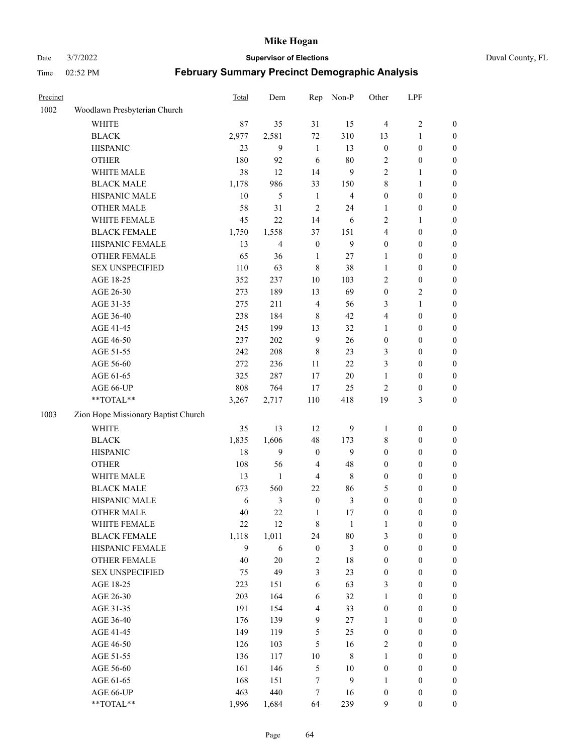Date 3/7/2022 **Supervisor of Elections** Duval County, FL

| Precinct |                                     | <b>Total</b> | Dem            | Rep              | Non-P          | Other            | LPF              |                  |
|----------|-------------------------------------|--------------|----------------|------------------|----------------|------------------|------------------|------------------|
| 1002     | Woodlawn Presbyterian Church        |              |                |                  |                |                  |                  |                  |
|          | <b>WHITE</b>                        | 87           | 35             | 31               | 15             | $\overline{4}$   | $\sqrt{2}$       | 0                |
|          | <b>BLACK</b>                        | 2,977        | 2,581          | 72               | 310            | 13               | $\mathbf{1}$     | 0                |
|          | <b>HISPANIC</b>                     | 23           | 9              | $\mathbf{1}$     | 13             | $\boldsymbol{0}$ | $\boldsymbol{0}$ | 0                |
|          | <b>OTHER</b>                        | 180          | 92             | 6                | $80\,$         | $\overline{c}$   | $\boldsymbol{0}$ | $\boldsymbol{0}$ |
|          | WHITE MALE                          | 38           | 12             | 14               | 9              | 2                | 1                | $\boldsymbol{0}$ |
|          | <b>BLACK MALE</b>                   | 1,178        | 986            | 33               | 150            | 8                | 1                | $\boldsymbol{0}$ |
|          | HISPANIC MALE                       | 10           | 5              | $\mathbf{1}$     | $\overline{4}$ | $\boldsymbol{0}$ | $\boldsymbol{0}$ | $\boldsymbol{0}$ |
|          | <b>OTHER MALE</b>                   | 58           | 31             | $\overline{2}$   | 24             | $\mathbf{1}$     | $\boldsymbol{0}$ | $\boldsymbol{0}$ |
|          | WHITE FEMALE                        | 45           | 22             | 14               | 6              | 2                | 1                | $\boldsymbol{0}$ |
|          | <b>BLACK FEMALE</b>                 | 1,750        | 1,558          | 37               | 151            | 4                | $\boldsymbol{0}$ | $\boldsymbol{0}$ |
|          | HISPANIC FEMALE                     | 13           | $\overline{4}$ | $\boldsymbol{0}$ | 9              | $\boldsymbol{0}$ | $\boldsymbol{0}$ | 0                |
|          | OTHER FEMALE                        | 65           | 36             | $\mathbf{1}$     | 27             | 1                | $\boldsymbol{0}$ | 0                |
|          | <b>SEX UNSPECIFIED</b>              | 110          | 63             | $\,$ 8 $\,$      | 38             | $\mathbf{1}$     | $\boldsymbol{0}$ | $\boldsymbol{0}$ |
|          | AGE 18-25                           | 352          | 237            | $10\,$           | 103            | 2                | $\boldsymbol{0}$ | $\boldsymbol{0}$ |
|          | AGE 26-30                           | 273          | 189            | 13               | 69             | $\boldsymbol{0}$ | $\sqrt{2}$       | $\boldsymbol{0}$ |
|          | AGE 31-35                           | 275          | 211            | $\overline{4}$   | 56             | 3                | $\mathbf{1}$     | $\boldsymbol{0}$ |
|          | AGE 36-40                           | 238          | 184            | $\,8\,$          | 42             | 4                | $\boldsymbol{0}$ | $\boldsymbol{0}$ |
|          | AGE 41-45                           | 245          | 199            | 13               | 32             | $\mathbf{1}$     | $\boldsymbol{0}$ | $\boldsymbol{0}$ |
|          | AGE 46-50                           | 237          | 202            | $\overline{9}$   | 26             | $\boldsymbol{0}$ | $\boldsymbol{0}$ | $\boldsymbol{0}$ |
|          | AGE 51-55                           | 242          | 208            | $\,$ 8 $\,$      | 23             | 3                | $\boldsymbol{0}$ | $\boldsymbol{0}$ |
|          | AGE 56-60                           | 272          | 236            | 11               | 22             | 3                | $\boldsymbol{0}$ | 0                |
|          | AGE 61-65                           | 325          | 287            | 17               | 20             | $\mathbf{1}$     | $\boldsymbol{0}$ | 0                |
|          | AGE 66-UP                           | 808          | 764            | 17               | 25             | $\overline{2}$   | $\boldsymbol{0}$ | $\boldsymbol{0}$ |
|          | **TOTAL**                           | 3,267        | 2,717          | 110              | 418            | 19               | $\mathfrak{Z}$   | $\boldsymbol{0}$ |
| 1003     |                                     |              |                |                  |                |                  |                  |                  |
|          | Zion Hope Missionary Baptist Church |              |                |                  |                |                  |                  |                  |
|          | <b>WHITE</b>                        | 35           | 13             | 12               | 9              | 1                | $\boldsymbol{0}$ | $\boldsymbol{0}$ |
|          | <b>BLACK</b>                        | 1,835        | 1,606          | 48               | 173            | 8                | $\boldsymbol{0}$ | $\boldsymbol{0}$ |
|          | <b>HISPANIC</b>                     | 18           | 9              | $\boldsymbol{0}$ | 9              | $\boldsymbol{0}$ | $\boldsymbol{0}$ | $\boldsymbol{0}$ |
|          | <b>OTHER</b>                        | 108          | 56             | $\overline{4}$   | 48             | $\boldsymbol{0}$ | $\boldsymbol{0}$ | $\boldsymbol{0}$ |
|          | WHITE MALE                          | 13           | $\mathbf{1}$   | $\overline{4}$   | $\,$ 8 $\,$    | $\boldsymbol{0}$ | $\boldsymbol{0}$ | $\boldsymbol{0}$ |
|          | <b>BLACK MALE</b>                   | 673          | 560            | 22               | 86             | 5                | $\boldsymbol{0}$ | $\boldsymbol{0}$ |
|          | HISPANIC MALE                       | 6            | $\mathfrak{Z}$ | $\boldsymbol{0}$ | $\mathfrak{Z}$ | $\boldsymbol{0}$ | $\boldsymbol{0}$ | $\boldsymbol{0}$ |
|          | OTHER MALE                          | 40           | 22             | $\mathbf{1}$     | 17             | $\boldsymbol{0}$ | $\boldsymbol{0}$ | $\boldsymbol{0}$ |
|          | WHITE FEMALE                        | 22           | 12             | 8                | 1              | 1                | $\boldsymbol{0}$ | 0                |
|          | <b>BLACK FEMALE</b>                 | 1,118        | 1,011          | 24               | $80\,$         | 3                | $\boldsymbol{0}$ | $\boldsymbol{0}$ |
|          | HISPANIC FEMALE                     | 9            | 6              | $\boldsymbol{0}$ | 3              | $\boldsymbol{0}$ | $\boldsymbol{0}$ | $\overline{0}$   |
|          | OTHER FEMALE                        | 40           | $20\,$         | $\boldsymbol{2}$ | 18             | $\boldsymbol{0}$ | $\boldsymbol{0}$ | $\overline{0}$   |
|          | <b>SEX UNSPECIFIED</b>              | 75           | 49             | 3                | 23             | $\boldsymbol{0}$ | $\boldsymbol{0}$ | $\overline{0}$   |
|          | AGE 18-25                           | 223          | 151            | 6                | 63             | 3                | $\boldsymbol{0}$ | $\overline{0}$   |
|          | AGE 26-30                           | 203          | 164            | 6                | 32             | $\mathbf{1}$     | $\boldsymbol{0}$ | $\overline{0}$   |
|          | AGE 31-35                           | 191          | 154            | $\overline{4}$   | 33             | $\boldsymbol{0}$ | $\boldsymbol{0}$ | 0                |
|          | AGE 36-40                           | 176          | 139            | 9                | $27\,$         | $\mathbf{1}$     | $\boldsymbol{0}$ | 0                |
|          | AGE 41-45                           | 149          | 119            | 5                | 25             | $\boldsymbol{0}$ | $\boldsymbol{0}$ | 0                |
|          | AGE 46-50                           | 126          | 103            | 5                | 16             | 2                | $\boldsymbol{0}$ | 0                |
|          | AGE 51-55                           | 136          | 117            | $10\,$           | $\,$ 8 $\,$    | $\mathbf{1}$     | $\boldsymbol{0}$ | $\boldsymbol{0}$ |
|          | AGE 56-60                           | 161          | 146            | 5                | 10             | $\boldsymbol{0}$ | $\boldsymbol{0}$ | $\boldsymbol{0}$ |
|          | AGE 61-65                           | 168          | 151            | 7                | $\mathbf{9}$   | 1                | $\boldsymbol{0}$ | $\overline{0}$   |
|          | AGE 66-UP                           | 463          | 440            | 7                | 16             | $\boldsymbol{0}$ | $\boldsymbol{0}$ | $\boldsymbol{0}$ |
|          | **TOTAL**                           | 1,996        | 1,684          | 64               | 239            | 9                | $\boldsymbol{0}$ | $\boldsymbol{0}$ |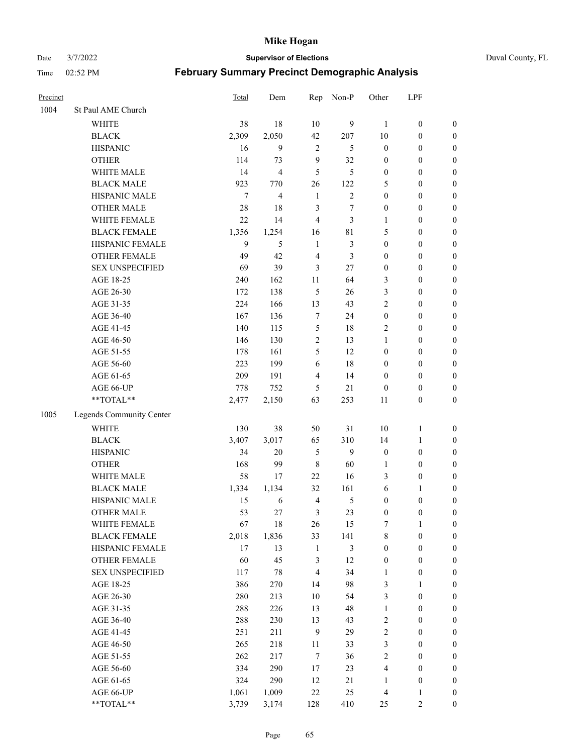#### Date 3/7/2022 **Supervisor of Elections** Duval County, FL

| Precinct |                          | Total  | Dem   | Rep            | Non-P          | Other            | LPF              |                  |
|----------|--------------------------|--------|-------|----------------|----------------|------------------|------------------|------------------|
| 1004     | St Paul AME Church       |        |       |                |                |                  |                  |                  |
|          | <b>WHITE</b>             | 38     | 18    | 10             | 9              | $\mathbf{1}$     | $\boldsymbol{0}$ | $\boldsymbol{0}$ |
|          | <b>BLACK</b>             | 2,309  | 2,050 | 42             | 207            | 10               | $\boldsymbol{0}$ | $\boldsymbol{0}$ |
|          | <b>HISPANIC</b>          | 16     | 9     | $\overline{2}$ | 5              | $\boldsymbol{0}$ | $\boldsymbol{0}$ | $\boldsymbol{0}$ |
|          | <b>OTHER</b>             | 114    | 73    | 9              | 32             | $\boldsymbol{0}$ | $\boldsymbol{0}$ | $\boldsymbol{0}$ |
|          | WHITE MALE               | 14     | 4     | 5              | 5              | $\boldsymbol{0}$ | $\boldsymbol{0}$ | $\boldsymbol{0}$ |
|          | <b>BLACK MALE</b>        | 923    | 770   | 26             | 122            | 5                | $\boldsymbol{0}$ | $\boldsymbol{0}$ |
|          | HISPANIC MALE            | $\tau$ | 4     | $\mathbf{1}$   | $\overline{c}$ | $\boldsymbol{0}$ | $\boldsymbol{0}$ | $\boldsymbol{0}$ |
|          | <b>OTHER MALE</b>        | 28     | 18    | 3              | $\tau$         | $\boldsymbol{0}$ | $\boldsymbol{0}$ | $\boldsymbol{0}$ |
|          | WHITE FEMALE             | 22     | 14    | $\overline{4}$ | 3              | 1                | $\boldsymbol{0}$ | $\boldsymbol{0}$ |
|          | <b>BLACK FEMALE</b>      | 1,356  | 1,254 | 16             | 81             | 5                | $\boldsymbol{0}$ | $\boldsymbol{0}$ |
|          | HISPANIC FEMALE          | 9      | 5     | $\mathbf{1}$   | 3              | $\boldsymbol{0}$ | $\boldsymbol{0}$ | 0                |
|          | <b>OTHER FEMALE</b>      | 49     | 42    | $\overline{4}$ | 3              | $\boldsymbol{0}$ | $\boldsymbol{0}$ | $\boldsymbol{0}$ |
|          | <b>SEX UNSPECIFIED</b>   | 69     | 39    | 3              | 27             | $\boldsymbol{0}$ | $\boldsymbol{0}$ | $\boldsymbol{0}$ |
|          | AGE 18-25                | 240    | 162   | 11             | 64             | 3                | $\boldsymbol{0}$ | $\boldsymbol{0}$ |
|          | AGE 26-30                | 172    | 138   | 5              | 26             | 3                | $\boldsymbol{0}$ | $\boldsymbol{0}$ |
|          | AGE 31-35                | 224    | 166   | 13             | 43             | $\mathfrak{2}$   | $\boldsymbol{0}$ | $\boldsymbol{0}$ |
|          | AGE 36-40                | 167    | 136   | 7              | 24             | $\boldsymbol{0}$ | $\boldsymbol{0}$ | $\boldsymbol{0}$ |
|          | AGE 41-45                | 140    | 115   | $\mathfrak{S}$ | 18             | $\mathfrak{2}$   | $\boldsymbol{0}$ | $\boldsymbol{0}$ |
|          | AGE 46-50                | 146    | 130   | $\sqrt{2}$     | 13             | $\mathbf{1}$     | $\boldsymbol{0}$ | $\boldsymbol{0}$ |
|          | AGE 51-55                | 178    | 161   | 5              | 12             | $\boldsymbol{0}$ | $\boldsymbol{0}$ | $\boldsymbol{0}$ |
|          | AGE 56-60                | 223    | 199   | 6              | 18             | $\boldsymbol{0}$ | $\boldsymbol{0}$ | 0                |
|          | AGE 61-65                | 209    | 191   | $\overline{4}$ | 14             | $\boldsymbol{0}$ | $\boldsymbol{0}$ | 0                |
|          | AGE 66-UP                | 778    | 752   | 5              | 21             | $\boldsymbol{0}$ | $\boldsymbol{0}$ | $\boldsymbol{0}$ |
|          | $**TOTAL**$              | 2,477  | 2,150 | 63             | 253            | 11               | $\boldsymbol{0}$ | $\boldsymbol{0}$ |
| 1005     | Legends Community Center |        |       |                |                |                  |                  |                  |
|          | WHITE                    | 130    | 38    | 50             | 31             | 10               | $\mathbf{1}$     | $\boldsymbol{0}$ |
|          | <b>BLACK</b>             | 3,407  | 3,017 | 65             | 310            | 14               | $\mathbf{1}$     | $\boldsymbol{0}$ |
|          | <b>HISPANIC</b>          | 34     | 20    | $\mathfrak{H}$ | 9              | $\boldsymbol{0}$ | $\boldsymbol{0}$ | $\boldsymbol{0}$ |
|          | <b>OTHER</b>             | 168    | 99    | $\,$ 8 $\,$    | 60             | $\mathbf{1}$     | $\boldsymbol{0}$ | $\boldsymbol{0}$ |
|          | WHITE MALE               | 58     | 17    | 22             | 16             | 3                | $\boldsymbol{0}$ | $\boldsymbol{0}$ |
|          | <b>BLACK MALE</b>        | 1,334  | 1,134 | 32             | 161            | 6                | $\mathbf{1}$     | $\boldsymbol{0}$ |
|          | HISPANIC MALE            | 15     | 6     | $\overline{4}$ | 5              | $\boldsymbol{0}$ | $\boldsymbol{0}$ | $\boldsymbol{0}$ |
|          | <b>OTHER MALE</b>        | 53     | 27    | 3              | 23             | $\boldsymbol{0}$ | $\boldsymbol{0}$ | $\boldsymbol{0}$ |
|          | WHITE FEMALE             | 67     | 18    | 26             | 15             | 7                | 1                | 0                |
|          | <b>BLACK FEMALE</b>      | 2,018  | 1,836 | 33             | 141            | 8                | $\boldsymbol{0}$ | $\boldsymbol{0}$ |
|          | HISPANIC FEMALE          | 17     | 13    | $\mathbf{1}$   | 3              | $\boldsymbol{0}$ | $\boldsymbol{0}$ | $\overline{0}$   |
|          | OTHER FEMALE             | 60     | 45    | $\mathfrak{Z}$ | 12             | $\boldsymbol{0}$ | $\boldsymbol{0}$ | $\overline{0}$   |
|          | <b>SEX UNSPECIFIED</b>   | 117    | 78    | $\overline{4}$ | 34             | $\mathbf{1}$     | $\boldsymbol{0}$ | 0                |
|          | AGE 18-25                | 386    | 270   | 14             | 98             | 3                | $\mathbf{1}$     | $\overline{0}$   |
|          | AGE 26-30                | 280    | 213   | $10\,$         | 54             | 3                | $\boldsymbol{0}$ | 0                |
|          | AGE 31-35                | 288    | 226   | 13             | 48             | $\mathbf{1}$     | $\boldsymbol{0}$ | 0                |
|          | AGE 36-40                | 288    | 230   | 13             | 43             | 2                | $\boldsymbol{0}$ | 0                |
|          | AGE 41-45                | 251    | 211   | 9              | 29             | $\sqrt{2}$       | $\boldsymbol{0}$ | 0                |
|          | AGE 46-50                | 265    | 218   | 11             | 33             | 3                | $\boldsymbol{0}$ | 0                |
|          | AGE 51-55                | 262    | 217   | $\tau$         | 36             | $\sqrt{2}$       | $\boldsymbol{0}$ | $\boldsymbol{0}$ |
|          | AGE 56-60                | 334    | 290   | 17             | 23             | 4                | $\boldsymbol{0}$ | $\boldsymbol{0}$ |
|          | AGE 61-65                | 324    | 290   | 12             | 21             | 1                | $\boldsymbol{0}$ | $\boldsymbol{0}$ |
|          | AGE 66-UP                | 1,061  | 1,009 | $22\,$         | 25             | $\overline{4}$   | $\mathbf{1}$     | $\boldsymbol{0}$ |
|          | **TOTAL**                | 3,739  | 3,174 | 128            | 410            | 25               | $\mathfrak{2}$   | $\boldsymbol{0}$ |
|          |                          |        |       |                |                |                  |                  |                  |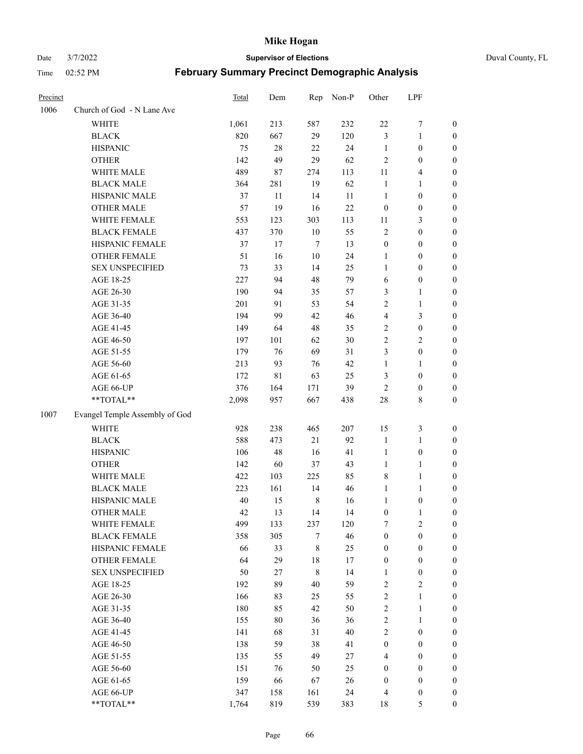Date 3/7/2022 **Supervisor of Elections** Duval County, FL

| Precinct |                                | Total | Dem    | Rep         | Non-P  | Other            | LPF              |                       |
|----------|--------------------------------|-------|--------|-------------|--------|------------------|------------------|-----------------------|
| 1006     | Church of God - N Lane Ave     |       |        |             |        |                  |                  |                       |
|          | <b>WHITE</b>                   | 1,061 | 213    | 587         | 232    | $22\,$           | $\boldsymbol{7}$ | 0                     |
|          | <b>BLACK</b>                   | 820   | 667    | 29          | 120    | 3                | $\mathbf{1}$     | $\boldsymbol{0}$      |
|          | <b>HISPANIC</b>                | 75    | $28\,$ | 22          | 24     | $\mathbf{1}$     | $\boldsymbol{0}$ | $\boldsymbol{0}$      |
|          | <b>OTHER</b>                   | 142   | 49     | 29          | 62     | $\mathfrak{2}$   | $\boldsymbol{0}$ | $\boldsymbol{0}$      |
|          | WHITE MALE                     | 489   | 87     | 274         | 113    | 11               | $\overline{4}$   | $\boldsymbol{0}$      |
|          | <b>BLACK MALE</b>              | 364   | 281    | 19          | 62     | $\mathbf{1}$     | 1                | $\boldsymbol{0}$      |
|          | HISPANIC MALE                  | 37    | 11     | 14          | 11     | $\mathbf{1}$     | $\boldsymbol{0}$ | $\boldsymbol{0}$      |
|          | <b>OTHER MALE</b>              | 57    | 19     | 16          | 22     | $\boldsymbol{0}$ | $\boldsymbol{0}$ | $\boldsymbol{0}$      |
|          | WHITE FEMALE                   | 553   | 123    | 303         | 113    | 11               | $\mathfrak{Z}$   | $\boldsymbol{0}$      |
|          | <b>BLACK FEMALE</b>            | 437   | 370    | $10\,$      | 55     | 2                | $\boldsymbol{0}$ | 0                     |
|          | HISPANIC FEMALE                | 37    | 17     | $\tau$      | 13     | $\boldsymbol{0}$ | 0                | 0                     |
|          | <b>OTHER FEMALE</b>            | 51    | 16     | $10\,$      | 24     | 1                | $\boldsymbol{0}$ | 0                     |
|          | <b>SEX UNSPECIFIED</b>         | 73    | 33     | 14          | 25     | $\mathbf{1}$     | $\boldsymbol{0}$ | $\boldsymbol{0}$      |
|          | AGE 18-25                      | 227   | 94     | 48          | 79     | 6                | $\boldsymbol{0}$ | $\boldsymbol{0}$      |
|          | AGE 26-30                      | 190   | 94     | 35          | 57     | 3                | $\mathbf{1}$     | $\boldsymbol{0}$      |
|          | AGE 31-35                      | 201   | 91     | 53          | 54     | $\overline{c}$   | $\mathbf{1}$     | $\boldsymbol{0}$      |
|          | AGE 36-40                      | 194   | 99     | 42          | 46     | 4                | 3                | $\boldsymbol{0}$      |
|          | AGE 41-45                      | 149   | 64     | 48          | 35     | $\overline{c}$   | $\boldsymbol{0}$ | $\boldsymbol{0}$      |
|          | AGE 46-50                      | 197   | 101    | 62          | 30     | $\overline{2}$   | $\mathfrak{2}$   | $\boldsymbol{0}$      |
|          | AGE 51-55                      | 179   | 76     | 69          | 31     | 3                | $\boldsymbol{0}$ | $\boldsymbol{0}$      |
|          | AGE 56-60                      | 213   | 93     | 76          | 42     | $\mathbf{1}$     | 1                |                       |
|          | AGE 61-65                      | 172   | 81     | 63          | 25     | 3                | $\boldsymbol{0}$ | 0<br>0                |
|          | AGE 66-UP                      | 376   | 164    |             | 39     | $\mathfrak{2}$   | $\boldsymbol{0}$ |                       |
|          | **TOTAL**                      | 2,098 | 957    | 171<br>667  | 438    | $28\,$           | $\,$ 8 $\,$      | 0<br>$\boldsymbol{0}$ |
|          |                                |       |        |             |        |                  |                  |                       |
| 1007     | Evangel Temple Assembly of God |       |        |             |        |                  |                  |                       |
|          | <b>WHITE</b>                   | 928   | 238    | 465         | 207    | 15               | $\mathfrak z$    | $\boldsymbol{0}$      |
|          | <b>BLACK</b>                   | 588   | 473    | 21          | 92     | $\mathbf{1}$     | $\mathbf{1}$     | $\boldsymbol{0}$      |
|          | <b>HISPANIC</b>                | 106   | 48     | 16          | 41     | $\mathbf{1}$     | $\boldsymbol{0}$ | $\boldsymbol{0}$      |
|          | <b>OTHER</b>                   | 142   | 60     | 37          | 43     | $\mathbf{1}$     | $\mathbf{1}$     | $\boldsymbol{0}$      |
|          | WHITE MALE                     | 422   | 103    | 225         | 85     | 8                | $\mathbf{1}$     | $\boldsymbol{0}$      |
|          | <b>BLACK MALE</b>              | 223   | 161    | 14          | 46     | $\mathbf{1}$     | 1                | $\boldsymbol{0}$      |
|          | HISPANIC MALE                  | 40    | 15     | $\,8\,$     | 16     | 1                | $\boldsymbol{0}$ | 0                     |
|          | <b>OTHER MALE</b>              | 42    | 13     | 14          | 14     | $\boldsymbol{0}$ | $\mathbf{1}$     | 0                     |
|          | WHITE FEMALE                   | 499   | 133    | 237         | 120    | 7                | $\overline{c}$   | 0                     |
|          | <b>BLACK FEMALE</b>            | 358   | 305    | 7           | 46     | $\boldsymbol{0}$ | $\boldsymbol{0}$ | $\boldsymbol{0}$      |
|          | HISPANIC FEMALE                | 66    | 33     | $\,$ 8 $\,$ | 25     | $\boldsymbol{0}$ | $\boldsymbol{0}$ | $\overline{0}$        |
|          | <b>OTHER FEMALE</b>            | 64    | 29     | 18          | 17     | $\boldsymbol{0}$ | $\boldsymbol{0}$ | $\overline{0}$        |
|          | <b>SEX UNSPECIFIED</b>         | 50    | 27     | $\,$ $\,$   | 14     | $\mathbf{1}$     | $\boldsymbol{0}$ | 0                     |
|          | AGE 18-25                      | 192   | 89     | 40          | 59     | 2                | $\sqrt{2}$       | 0                     |
|          | AGE 26-30                      | 166   | 83     | 25          | 55     | $\overline{c}$   | $\mathbf{1}$     | 0                     |
|          | AGE 31-35                      | 180   | 85     | 42          | 50     | $\overline{c}$   | $\mathbf{1}$     | 0                     |
|          | AGE 36-40                      | 155   | $80\,$ | 36          | 36     | 2                | $\mathbf{1}$     | 0                     |
|          | AGE 41-45                      | 141   | 68     | 31          | $40\,$ | $\overline{2}$   | $\boldsymbol{0}$ | 0                     |
|          | AGE 46-50                      | 138   | 59     | 38          | 41     | $\boldsymbol{0}$ | $\boldsymbol{0}$ | 0                     |
|          | AGE 51-55                      | 135   | 55     | 49          | $27\,$ | 4                | $\boldsymbol{0}$ | $\overline{0}$        |
|          | AGE 56-60                      | 151   | 76     | 50          | 25     | $\boldsymbol{0}$ | $\boldsymbol{0}$ | $\overline{0}$        |
|          | AGE 61-65                      | 159   | 66     | 67          | 26     | $\boldsymbol{0}$ | $\boldsymbol{0}$ | $\overline{0}$        |
|          | AGE 66-UP                      | 347   | 158    | 161         | 24     | 4                | $\boldsymbol{0}$ | 0                     |
|          | **TOTAL**                      | 1,764 | 819    | 539         | 383    | 18               | $\mathfrak{S}$   | $\boldsymbol{0}$      |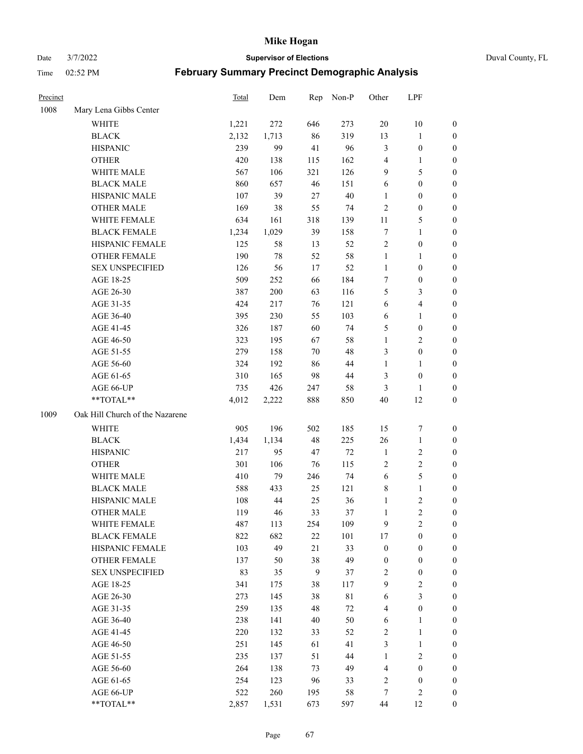Date 3/7/2022 **Supervisor of Elections** Duval County, FL

| Precinct |                                 | <b>Total</b> | Dem   | Rep          | Non-P       | Other            | LPF              |                  |
|----------|---------------------------------|--------------|-------|--------------|-------------|------------------|------------------|------------------|
| 1008     | Mary Lena Gibbs Center          |              |       |              |             |                  |                  |                  |
|          | <b>WHITE</b>                    | 1,221        | 272   | 646          | 273         | $20\,$           | 10               | 0                |
|          | <b>BLACK</b>                    | 2,132        | 1,713 | 86           | 319         | 13               | $\mathbf{1}$     | 0                |
|          | <b>HISPANIC</b>                 | 239          | 99    | 41           | 96          | 3                | $\boldsymbol{0}$ | $\boldsymbol{0}$ |
|          | <b>OTHER</b>                    | 420          | 138   | 115          | 162         | 4                | 1                | $\boldsymbol{0}$ |
|          | WHITE MALE                      | 567          | 106   | 321          | 126         | 9                | 5                | $\boldsymbol{0}$ |
|          | <b>BLACK MALE</b>               | 860          | 657   | 46           | 151         | 6                | $\boldsymbol{0}$ | $\boldsymbol{0}$ |
|          | HISPANIC MALE                   | 107          | 39    | 27           | $40\,$      | 1                | $\boldsymbol{0}$ | $\boldsymbol{0}$ |
|          | <b>OTHER MALE</b>               | 169          | 38    | 55           | 74          | $\mathfrak{2}$   | $\boldsymbol{0}$ | $\boldsymbol{0}$ |
|          | WHITE FEMALE                    | 634          | 161   | 318          | 139         | $11\,$           | $\mathfrak s$    | $\boldsymbol{0}$ |
|          | <b>BLACK FEMALE</b>             | 1,234        | 1,029 | 39           | 158         | 7                | $\mathbf{1}$     | 0                |
|          | HISPANIC FEMALE                 | 125          | 58    | 13           | 52          | $\sqrt{2}$       | $\boldsymbol{0}$ | 0                |
|          | <b>OTHER FEMALE</b>             | 190          | 78    | 52           | 58          | $\mathbf{1}$     | $\mathbf{1}$     | 0                |
|          | <b>SEX UNSPECIFIED</b>          | 126          | 56    | 17           | 52          | $\mathbf{1}$     | $\boldsymbol{0}$ | $\boldsymbol{0}$ |
|          | AGE 18-25                       | 509          | 252   | 66           | 184         | 7                | $\boldsymbol{0}$ | $\boldsymbol{0}$ |
|          | AGE 26-30                       | 387          | 200   | 63           | 116         | 5                | $\mathfrak{Z}$   | $\boldsymbol{0}$ |
|          | AGE 31-35                       | 424          | 217   | 76           | 121         | 6                | $\overline{4}$   | $\boldsymbol{0}$ |
|          | AGE 36-40                       | 395          | 230   | 55           | 103         | 6                | $\mathbf{1}$     | $\boldsymbol{0}$ |
|          | AGE 41-45                       | 326          | 187   | 60           | 74          | 5                | $\boldsymbol{0}$ | $\boldsymbol{0}$ |
|          | AGE 46-50                       | 323          | 195   | 67           | 58          | $\mathbf{1}$     | $\mathfrak{2}$   | $\boldsymbol{0}$ |
|          | AGE 51-55                       | 279          | 158   | 70           | 48          | 3                | $\boldsymbol{0}$ | 0                |
|          | AGE 56-60                       | 324          | 192   | 86           | 44          | $\mathbf{1}$     | 1                | 0                |
|          | AGE 61-65                       | 310          | 165   | 98           | 44          | 3                | $\boldsymbol{0}$ | 0                |
|          | AGE 66-UP                       | 735          | 426   | 247          | 58          | 3                | 1                | $\boldsymbol{0}$ |
|          | **TOTAL**                       | 4,012        | 2,222 | 888          | 850         | 40               | 12               | $\boldsymbol{0}$ |
| 1009     | Oak Hill Church of the Nazarene |              |       |              |             |                  |                  |                  |
|          | <b>WHITE</b>                    | 905          | 196   | 502          | 185         | 15               | $\boldsymbol{7}$ | $\boldsymbol{0}$ |
|          | <b>BLACK</b>                    | 1,434        | 1,134 | 48           | 225         | 26               | $\mathbf{1}$     | $\boldsymbol{0}$ |
|          | <b>HISPANIC</b>                 | 217          | 95    | 47           | 72          | $\mathbf{1}$     | $\sqrt{2}$       | $\boldsymbol{0}$ |
|          | <b>OTHER</b>                    | 301          | 106   | 76           | 115         | 2                | $\sqrt{2}$       | $\boldsymbol{0}$ |
|          | WHITE MALE                      | 410          | 79    | 246          | 74          | $\sqrt{6}$       | 5                | $\boldsymbol{0}$ |
|          | <b>BLACK MALE</b>               | 588          | 433   | 25           | 121         | 8                | $\mathbf{1}$     | $\boldsymbol{0}$ |
|          | HISPANIC MALE                   | 108          | 44    | 25           | 36          | $\mathbf{1}$     | $\sqrt{2}$       | 0                |
|          | <b>OTHER MALE</b>               | 119          | 46    | 33           | 37          | $\mathbf{1}$     | $\overline{2}$   | 0                |
|          | WHITE FEMALE                    | 487          | 113   | 254          | 109         | 9                | 2                | 0                |
|          | <b>BLACK FEMALE</b>             | 822          | 682   | 22           | 101         | 17               | $\boldsymbol{0}$ | $\overline{0}$   |
|          | HISPANIC FEMALE                 | 103          | 49    | 21           | 33          | $\boldsymbol{0}$ | $\boldsymbol{0}$ | $\overline{0}$   |
|          | <b>OTHER FEMALE</b>             | 137          | 50    | 38           | 49          | $\boldsymbol{0}$ | $\boldsymbol{0}$ | $\overline{0}$   |
|          | <b>SEX UNSPECIFIED</b>          | 83           | 35    | $\mathbf{9}$ | 37          | 2                | $\boldsymbol{0}$ | 0                |
|          | AGE 18-25                       | 341          | 175   | 38           | 117         | 9                | $\sqrt{2}$       | 0                |
|          | AGE 26-30                       | 273          | 145   | 38           | $8\sqrt{1}$ | 6                | 3                | 0                |
|          | AGE 31-35                       | 259          | 135   | 48           | $72\,$      | 4                | $\boldsymbol{0}$ | 0                |
|          | AGE 36-40                       | 238          | 141   | 40           | 50          | 6                | 1                | 0                |
|          | AGE 41-45                       | 220          | 132   | 33           | 52          | 2                | $\mathbf{1}$     | 0                |
|          | AGE 46-50                       | 251          | 145   | 61           | 41          | 3                | $\mathbf{1}$     | 0                |
|          | AGE 51-55                       | 235          | 137   | 51           | 44          | $\mathbf{1}$     | $\sqrt{2}$       | 0                |
|          | AGE 56-60                       | 264          | 138   | 73           | 49          | 4                | $\boldsymbol{0}$ | 0                |
|          | AGE 61-65                       | 254          | 123   | 96           | 33          | 2                | $\boldsymbol{0}$ | $\overline{0}$   |
|          | AGE 66-UP                       | 522          | 260   | 195          | 58          | 7                | $\mathfrak{2}$   | 0                |
|          | **TOTAL**                       | 2,857        | 1,531 | 673          | 597         | 44               | 12               | $\boldsymbol{0}$ |
|          |                                 |              |       |              |             |                  |                  |                  |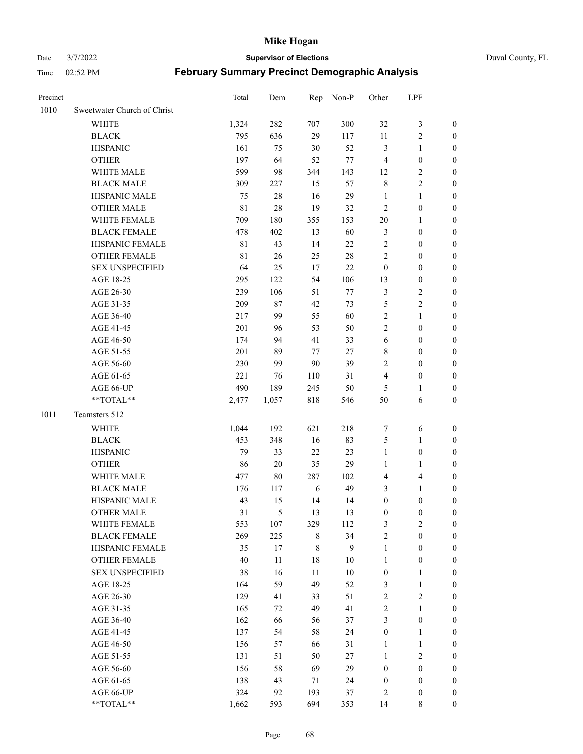Date 3/7/2022 **Supervisor of Elections** Duval County, FL

| Precinct |                                    | <b>Total</b> | Dem    |             | Rep Non-P | Other            | LPF              |                  |
|----------|------------------------------------|--------------|--------|-------------|-----------|------------------|------------------|------------------|
| 1010     | Sweetwater Church of Christ        |              |        |             |           |                  |                  |                  |
|          | <b>WHITE</b>                       | 1,324        | 282    | 707         | 300       | 32               | $\mathfrak{Z}$   | 0                |
|          | <b>BLACK</b>                       | 795          | 636    | 29          | 117       | 11               | $\sqrt{2}$       | 0                |
|          | <b>HISPANIC</b>                    | 161          | 75     | $30\,$      | 52        | 3                | $\mathbf{1}$     | $\boldsymbol{0}$ |
|          | <b>OTHER</b>                       | 197          | 64     | 52          | $77\,$    | 4                | $\boldsymbol{0}$ | $\boldsymbol{0}$ |
|          | WHITE MALE                         | 599          | 98     | 344         | 143       | 12               | $\sqrt{2}$       | $\boldsymbol{0}$ |
|          | <b>BLACK MALE</b>                  | 309          | 227    | 15          | 57        | $\,$ $\,$        | $\sqrt{2}$       | $\boldsymbol{0}$ |
|          | HISPANIC MALE                      | 75           | $28\,$ | 16          | 29        | $\mathbf{1}$     | $\mathbf{1}$     | $\boldsymbol{0}$ |
|          | <b>OTHER MALE</b>                  | 81           | $28\,$ | 19          | 32        | $\mathbf{2}$     | $\boldsymbol{0}$ | $\boldsymbol{0}$ |
|          | WHITE FEMALE                       | 709          | 180    | 355         | 153       | $20\,$           | $\mathbf{1}$     | $\boldsymbol{0}$ |
|          | <b>BLACK FEMALE</b>                | 478          | 402    | 13          | 60        | 3                | $\boldsymbol{0}$ | 0                |
|          | HISPANIC FEMALE                    | 81           | 43     | 14          | $22\,$    | $\overline{c}$   | $\boldsymbol{0}$ | 0                |
|          | <b>OTHER FEMALE</b>                | 81           | 26     | 25          | $28\,$    | $\overline{c}$   | $\boldsymbol{0}$ | $\boldsymbol{0}$ |
|          | <b>SEX UNSPECIFIED</b>             | 64           | 25     | 17          | 22        | $\boldsymbol{0}$ | $\boldsymbol{0}$ | $\boldsymbol{0}$ |
|          | AGE 18-25                          | 295          | 122    | 54          | 106       | 13               | $\boldsymbol{0}$ | $\boldsymbol{0}$ |
|          | AGE 26-30                          | 239          | 106    | 51          | $77\,$    | 3                | $\sqrt{2}$       | $\boldsymbol{0}$ |
|          | AGE 31-35                          | 209          | $87\,$ | 42          | 73        | 5                | $\sqrt{2}$       | $\boldsymbol{0}$ |
|          | AGE 36-40                          | 217          | 99     | 55          | 60        | $\overline{c}$   | $\mathbf{1}$     | $\boldsymbol{0}$ |
|          | AGE 41-45                          | 201          | 96     | 53          | 50        | $\overline{c}$   | $\boldsymbol{0}$ | $\boldsymbol{0}$ |
|          | AGE 46-50                          | 174          | 94     | 41          | 33        | $\sqrt{6}$       | $\boldsymbol{0}$ | $\boldsymbol{0}$ |
|          | AGE 51-55                          | 201          | 89     | 77          | $27\,$    | 8                | $\boldsymbol{0}$ | $\boldsymbol{0}$ |
|          | AGE 56-60                          | 230          | 99     | 90          | 39        | 2                | $\boldsymbol{0}$ | 0                |
|          | AGE 61-65                          | 221          | 76     | 110         | 31        | 4                | $\boldsymbol{0}$ | 0                |
|          | AGE 66-UP                          | 490          | 189    | 245         | 50        | 5                | 1                | $\boldsymbol{0}$ |
|          | **TOTAL**                          | 2,477        | 1,057  | 818         | 546       | 50               | 6                | $\boldsymbol{0}$ |
| 1011     | Teamsters 512                      |              |        |             |           |                  |                  |                  |
|          |                                    |              |        |             |           |                  |                  |                  |
|          | <b>WHITE</b>                       | 1,044        | 192    | 621         | 218       | 7                | 6                | $\boldsymbol{0}$ |
|          | <b>BLACK</b>                       | 453          | 348    | 16          | 83        | 5                | $\mathbf{1}$     | $\boldsymbol{0}$ |
|          | <b>HISPANIC</b>                    | 79           | 33     | 22          | 23        | $\mathbf{1}$     | $\boldsymbol{0}$ | $\boldsymbol{0}$ |
|          | <b>OTHER</b>                       | 86           | $20\,$ | 35          | 29        | $\mathbf{1}$     | $\mathbf{1}$     | $\boldsymbol{0}$ |
|          | WHITE MALE                         | 477          | 80     | 287         | 102       | 4                | $\overline{4}$   | $\boldsymbol{0}$ |
|          | <b>BLACK MALE</b>                  | 176          | 117    | 6           | 49        | 3                | $\mathbf{1}$     | $\boldsymbol{0}$ |
|          | HISPANIC MALE<br><b>OTHER MALE</b> | 43           | 15     | 14          | 14        | $\boldsymbol{0}$ | $\boldsymbol{0}$ | 0                |
|          |                                    | 31           | 5      | 13          | 13        | $\boldsymbol{0}$ | $\boldsymbol{0}$ | 0                |
|          | WHITE FEMALE                       | 553          | 107    | 329         | 112       | 3                | $\overline{c}$   | 0                |
|          | <b>BLACK FEMALE</b>                | 269          | 225    | 8           | 34        | $\overline{c}$   | $\boldsymbol{0}$ | $\overline{0}$   |
|          | HISPANIC FEMALE                    | 35           | 17     | $\,$ 8 $\,$ | 9         | $\mathbf{1}$     | $\boldsymbol{0}$ | $\overline{0}$   |
|          | OTHER FEMALE                       | 40           | 11     | 18          | $10\,$    | $\mathbf{1}$     | $\boldsymbol{0}$ | 0                |
|          | <b>SEX UNSPECIFIED</b>             | 38           | 16     | 11          | $10\,$    | $\boldsymbol{0}$ | $\mathbf{1}$     | 0                |
|          | AGE 18-25                          | 164          | 59     | 49          | 52        | 3                | $\mathbf{1}$     | 0                |
|          | AGE 26-30                          | 129          | 41     | 33          | 51        | $\overline{c}$   | $\mathfrak{2}$   | 0                |
|          | AGE 31-35                          | 165          | 72     | 49          | 41        | $\overline{c}$   | $\mathbf{1}$     | 0                |
|          | AGE 36-40                          | 162          | 66     | 56          | 37        | 3                | $\boldsymbol{0}$ | 0                |
|          | AGE 41-45                          | 137          | 54     | 58          | 24        | $\boldsymbol{0}$ | $\mathbf{1}$     | 0                |
|          | AGE 46-50                          | 156          | 57     | 66          | 31        | $\mathbf{1}$     | $\mathbf{1}$     | 0                |
|          | AGE 51-55                          | 131          | 51     | 50          | $27\,$    | $\mathbf{1}$     | $\sqrt{2}$       | 0                |
|          | AGE 56-60                          | 156          | 58     | 69          | 29        | $\boldsymbol{0}$ | $\boldsymbol{0}$ | 0                |
|          | AGE 61-65                          | 138          | 43     | 71          | 24        | $\boldsymbol{0}$ | $\boldsymbol{0}$ | 0                |
|          | AGE 66-UP                          | 324          | 92     | 193         | 37        | 2                | $\boldsymbol{0}$ | 0                |
|          | **TOTAL**                          | 1,662        | 593    | 694         | 353       | 14               | 8                | $\boldsymbol{0}$ |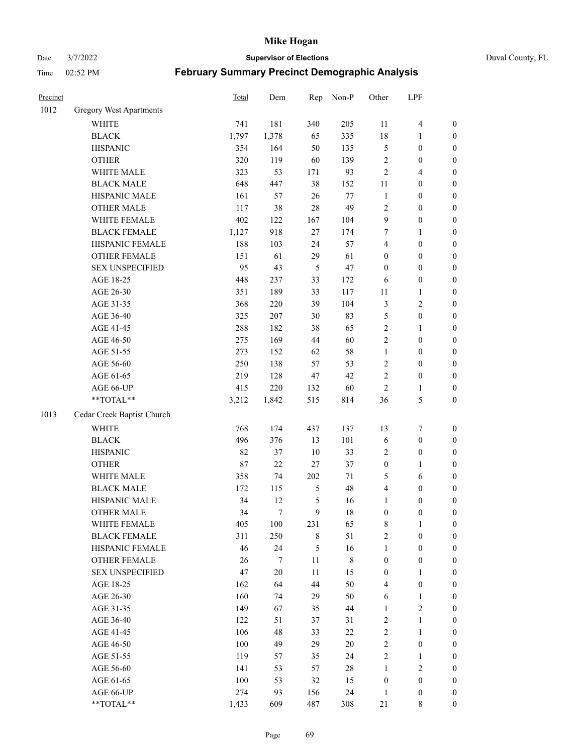Date 3/7/2022 **Supervisor of Elections** Duval County, FL

| Precinct |                            | <b>Total</b> | Dem    | Rep            | Non-P       | Other            | LPF              |                  |
|----------|----------------------------|--------------|--------|----------------|-------------|------------------|------------------|------------------|
| 1012     | Gregory West Apartments    |              |        |                |             |                  |                  |                  |
|          | WHITE                      | 741          | 181    | 340            | 205         | 11               | $\overline{4}$   | 0                |
|          | <b>BLACK</b>               | 1,797        | 1,378  | 65             | 335         | 18               | 1                | $\boldsymbol{0}$ |
|          | <b>HISPANIC</b>            | 354          | 164    | 50             | 135         | 5                | $\boldsymbol{0}$ | $\boldsymbol{0}$ |
|          | <b>OTHER</b>               | 320          | 119    | 60             | 139         | 2                | $\boldsymbol{0}$ | $\boldsymbol{0}$ |
|          | WHITE MALE                 | 323          | 53     | 171            | 93          | 2                | $\overline{4}$   | $\boldsymbol{0}$ |
|          | <b>BLACK MALE</b>          | 648          | 447    | 38             | 152         | 11               | $\boldsymbol{0}$ | $\boldsymbol{0}$ |
|          | HISPANIC MALE              | 161          | 57     | 26             | 77          | $\mathbf{1}$     | $\boldsymbol{0}$ | $\boldsymbol{0}$ |
|          | <b>OTHER MALE</b>          | 117          | 38     | 28             | 49          | 2                | $\boldsymbol{0}$ | $\boldsymbol{0}$ |
|          | WHITE FEMALE               | 402          | 122    | 167            | 104         | 9                | $\boldsymbol{0}$ | $\boldsymbol{0}$ |
|          | <b>BLACK FEMALE</b>        | 1,127        | 918    | $27\,$         | 174         | 7                | 1                | $\boldsymbol{0}$ |
|          | HISPANIC FEMALE            | 188          | 103    | 24             | 57          | 4                | $\boldsymbol{0}$ | $\boldsymbol{0}$ |
|          | <b>OTHER FEMALE</b>        | 151          | 61     | 29             | 61          | $\boldsymbol{0}$ | $\boldsymbol{0}$ | $\boldsymbol{0}$ |
|          | <b>SEX UNSPECIFIED</b>     | 95           | 43     | $\mathfrak{S}$ | 47          | $\boldsymbol{0}$ | $\boldsymbol{0}$ | $\boldsymbol{0}$ |
|          | AGE 18-25                  | 448          | 237    | 33             | 172         | 6                | $\boldsymbol{0}$ | $\boldsymbol{0}$ |
|          | AGE 26-30                  | 351          | 189    | 33             | 117         | $11\,$           | $\mathbf{1}$     | $\boldsymbol{0}$ |
|          | AGE 31-35                  | 368          | 220    | 39             | 104         | 3                | $\sqrt{2}$       | $\boldsymbol{0}$ |
|          | AGE 36-40                  | 325          | 207    | 30             | 83          | 5                | $\boldsymbol{0}$ | $\boldsymbol{0}$ |
|          | AGE 41-45                  | 288          | 182    | 38             | 65          | $\overline{2}$   | $\mathbf{1}$     | $\boldsymbol{0}$ |
|          | AGE 46-50                  | 275          | 169    | 44             | 60          | $\overline{2}$   | $\boldsymbol{0}$ | $\boldsymbol{0}$ |
|          | AGE 51-55                  | 273          | 152    | 62             | 58          | $\mathbf{1}$     | $\boldsymbol{0}$ | $\boldsymbol{0}$ |
|          | AGE 56-60                  | 250          | 138    | 57             | 53          | $\overline{c}$   | $\boldsymbol{0}$ | $\boldsymbol{0}$ |
|          | AGE 61-65                  | 219          | 128    | 47             | 42          | $\overline{c}$   | $\boldsymbol{0}$ | $\boldsymbol{0}$ |
|          | AGE 66-UP                  | 415          | 220    | 132            | 60          | $\overline{2}$   | $\mathbf{1}$     | $\boldsymbol{0}$ |
|          | **TOTAL**                  | 3,212        | 1,842  | 515            | 814         | 36               | $\mathfrak s$    | $\boldsymbol{0}$ |
| 1013     | Cedar Creek Baptist Church |              |        |                |             |                  |                  |                  |
|          | <b>WHITE</b>               | 768          | 174    | 437            | 137         | 13               | $\boldsymbol{7}$ | $\boldsymbol{0}$ |
|          | <b>BLACK</b>               | 496          | 376    | 13             | 101         | 6                | $\boldsymbol{0}$ | $\boldsymbol{0}$ |
|          | <b>HISPANIC</b>            | 82           | 37     | 10             | 33          | 2                | $\boldsymbol{0}$ | $\boldsymbol{0}$ |
|          | <b>OTHER</b>               | 87           | 22     | 27             | 37          | $\boldsymbol{0}$ | $\mathbf{1}$     | $\boldsymbol{0}$ |
|          | WHITE MALE                 | 358          | 74     | 202            | $71\,$      | 5                | 6                | $\boldsymbol{0}$ |
|          | <b>BLACK MALE</b>          | 172          | 115    | $\mathfrak{S}$ | 48          | 4                | $\boldsymbol{0}$ | $\boldsymbol{0}$ |
|          | HISPANIC MALE              | 34           | 12     | 5              | 16          | $\mathbf{1}$     | $\boldsymbol{0}$ | $\boldsymbol{0}$ |
|          | <b>OTHER MALE</b>          | 34           | $\tau$ | 9              | 18          | $\boldsymbol{0}$ | $\boldsymbol{0}$ | $\boldsymbol{0}$ |
|          | WHITE FEMALE               | 405          | 100    | 231            | 65          | 8                | 1                | 0                |
|          | <b>BLACK FEMALE</b>        | 311          | 250    | $\,$ 8 $\,$    | 51          | $\overline{c}$   | $\boldsymbol{0}$ | $\overline{0}$   |
|          | HISPANIC FEMALE            | 46           | 24     | 5              | 16          | $\mathbf{1}$     | $\boldsymbol{0}$ | $\overline{0}$   |
|          | <b>OTHER FEMALE</b>        | 26           | 7      | 11             | $\,$ 8 $\,$ | $\boldsymbol{0}$ | $\boldsymbol{0}$ | $\overline{0}$   |
|          | <b>SEX UNSPECIFIED</b>     | 47           | $20\,$ | 11             | 15          | $\boldsymbol{0}$ | $\mathbf{1}$     | 0                |
|          | AGE 18-25                  | 162          | 64     | 44             | 50          | 4                | $\boldsymbol{0}$ | 0                |
|          | AGE 26-30                  | 160          | 74     | 29             | 50          | 6                | $\mathbf{1}$     | 0                |
|          | AGE 31-35                  | 149          | 67     | 35             | 44          | $\mathbf{1}$     | $\overline{2}$   | 0                |
|          | AGE 36-40                  | 122          | 51     | 37             | 31          | 2                | $\mathbf{1}$     | 0                |
|          | AGE 41-45                  | 106          | 48     | 33             | 22          | $\overline{c}$   | $\mathbf{1}$     | 0                |
|          | AGE 46-50                  | 100          | 49     | 29             | 20          | $\overline{c}$   | $\boldsymbol{0}$ | 0                |
|          | AGE 51-55                  | 119          | 57     | 35             | 24          | $\overline{2}$   | $\mathbf{1}$     | 0                |
|          | AGE 56-60                  | 141          | 53     | 57             | 28          | $\mathbf{1}$     | $\sqrt{2}$       | $\overline{0}$   |
|          | AGE 61-65                  | 100          | 53     | 32             | 15          | $\boldsymbol{0}$ | $\boldsymbol{0}$ | $\overline{0}$   |
|          | AGE 66-UP                  | 274          | 93     | 156            | 24          | $\mathbf{1}$     | $\boldsymbol{0}$ | 0                |
|          | **TOTAL**                  | 1,433        | 609    | 487            | 308         | 21               | 8                | $\boldsymbol{0}$ |
|          |                            |              |        |                |             |                  |                  |                  |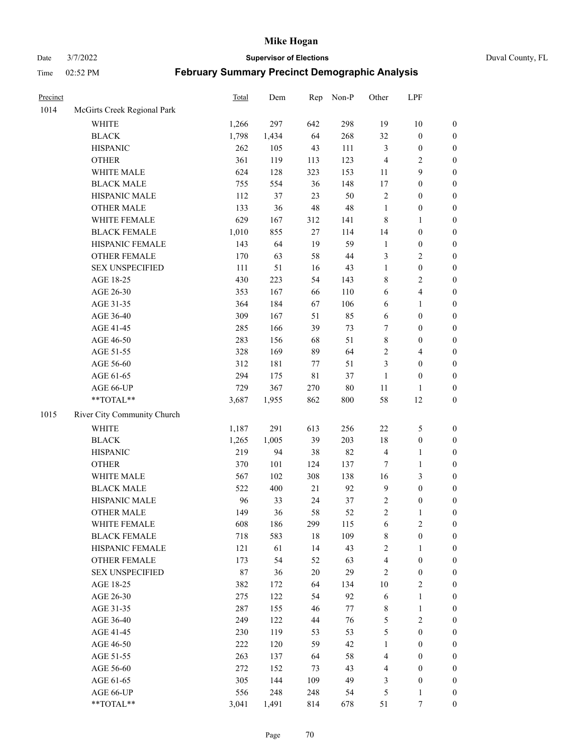Date 3/7/2022 **Supervisor of Elections** Duval County, FL

| Precinct |                             | <b>Total</b> | Dem   | Rep         | Non-P  | Other          | LPF              |                  |
|----------|-----------------------------|--------------|-------|-------------|--------|----------------|------------------|------------------|
| 1014     | McGirts Creek Regional Park |              |       |             |        |                |                  |                  |
|          | <b>WHITE</b>                | 1,266        | 297   | 642         | 298    | 19             | 10               | 0                |
|          | <b>BLACK</b>                | 1,798        | 1,434 | 64          | 268    | 32             | $\boldsymbol{0}$ | $\boldsymbol{0}$ |
|          | <b>HISPANIC</b>             | 262          | 105   | 43          | 111    | 3              | $\boldsymbol{0}$ | $\boldsymbol{0}$ |
|          | <b>OTHER</b>                | 361          | 119   | 113         | 123    | 4              | $\sqrt{2}$       | $\boldsymbol{0}$ |
|          | WHITE MALE                  | 624          | 128   | 323         | 153    | 11             | 9                | $\boldsymbol{0}$ |
|          | <b>BLACK MALE</b>           | 755          | 554   | 36          | 148    | 17             | $\boldsymbol{0}$ | $\boldsymbol{0}$ |
|          | HISPANIC MALE               | 112          | 37    | 23          | 50     | 2              | $\boldsymbol{0}$ | $\boldsymbol{0}$ |
|          | <b>OTHER MALE</b>           | 133          | 36    | 48          | 48     | $\mathbf{1}$   | $\boldsymbol{0}$ | $\boldsymbol{0}$ |
|          | WHITE FEMALE                | 629          | 167   | 312         | 141    | 8              | 1                | $\boldsymbol{0}$ |
|          | <b>BLACK FEMALE</b>         | 1,010        | 855   | $27\,$      | 114    | 14             | $\boldsymbol{0}$ | $\boldsymbol{0}$ |
|          | HISPANIC FEMALE             | 143          | 64    | 19          | 59     | $\mathbf{1}$   | $\boldsymbol{0}$ | 0                |
|          | <b>OTHER FEMALE</b>         | 170          | 63    | 58          | 44     | 3              | $\sqrt{2}$       | $\boldsymbol{0}$ |
|          | <b>SEX UNSPECIFIED</b>      | 111          | 51    | 16          | 43     | $\mathbf{1}$   | $\boldsymbol{0}$ | $\boldsymbol{0}$ |
|          | AGE 18-25                   | 430          | 223   | 54          | 143    | 8              | $\sqrt{2}$       | $\boldsymbol{0}$ |
|          | AGE 26-30                   | 353          | 167   | 66          | 110    | 6              | $\overline{4}$   | $\boldsymbol{0}$ |
|          | AGE 31-35                   | 364          | 184   | 67          | 106    | 6              | $\mathbf{1}$     | $\boldsymbol{0}$ |
|          | AGE 36-40                   | 309          | 167   | 51          | 85     | 6              | $\boldsymbol{0}$ | $\boldsymbol{0}$ |
|          | AGE 41-45                   | 285          | 166   | 39          | 73     | 7              | $\boldsymbol{0}$ | $\boldsymbol{0}$ |
|          | AGE 46-50                   | 283          | 156   | 68          | 51     | 8              | $\boldsymbol{0}$ | $\boldsymbol{0}$ |
|          | AGE 51-55                   | 328          | 169   | 89          | 64     | $\overline{c}$ | $\overline{4}$   | $\boldsymbol{0}$ |
|          | AGE 56-60                   | 312          | 181   | 77          | 51     | 3              | $\boldsymbol{0}$ | 0                |
|          | AGE 61-65                   | 294          | 175   | $8\sqrt{1}$ | 37     | $\mathbf{1}$   | $\boldsymbol{0}$ | $\boldsymbol{0}$ |
|          | AGE 66-UP                   | 729          | 367   | 270         | $80\,$ | $11\,$         | 1                | $\boldsymbol{0}$ |
|          | $**TOTAL**$                 | 3,687        | 1,955 | 862         | 800    | 58             | 12               | $\boldsymbol{0}$ |
| 1015     | River City Community Church |              |       |             |        |                |                  |                  |
|          | <b>WHITE</b>                | 1,187        | 291   | 613         | 256    | $22\,$         | $\mathfrak s$    | $\boldsymbol{0}$ |
|          | <b>BLACK</b>                | 1,265        | 1,005 | 39          | 203    | 18             | $\boldsymbol{0}$ | $\boldsymbol{0}$ |
|          | <b>HISPANIC</b>             | 219          | 94    | 38          | 82     | 4              | $\mathbf{1}$     | $\boldsymbol{0}$ |
|          | <b>OTHER</b>                | 370          | 101   | 124         | 137    | 7              | $\mathbf{1}$     | $\boldsymbol{0}$ |
|          | WHITE MALE                  | 567          | 102   | 308         | 138    | 16             | 3                | $\boldsymbol{0}$ |
|          | <b>BLACK MALE</b>           | 522          | 400   | 21          | 92     | $\mathbf{9}$   | $\boldsymbol{0}$ | $\boldsymbol{0}$ |
|          | HISPANIC MALE               | 96           | 33    | 24          | 37     | 2              | $\boldsymbol{0}$ | $\boldsymbol{0}$ |
|          | <b>OTHER MALE</b>           | 149          | 36    | 58          | 52     | $\overline{c}$ | $\mathbf{1}$     | $\boldsymbol{0}$ |
|          | <b>WHITE FEMALE</b>         | 608          | 186   | 299         | 115    | 6              | $\overline{c}$   | 0                |
|          | <b>BLACK FEMALE</b>         | 718          | 583   | 18          | 109    | 8              | $\boldsymbol{0}$ | $\boldsymbol{0}$ |
|          | HISPANIC FEMALE             | 121          | 61    | 14          | 43     | $\overline{c}$ | 1                | $\overline{0}$   |
|          | <b>OTHER FEMALE</b>         | 173          | 54    | 52          | 63     | 4              | $\boldsymbol{0}$ | $\overline{0}$   |
|          | <b>SEX UNSPECIFIED</b>      | 87           | 36    | 20          | 29     | 2              | $\boldsymbol{0}$ | 0                |
|          | AGE 18-25                   | 382          | 172   | 64          | 134    | $10\,$         | $\sqrt{2}$       | 0                |
|          | AGE 26-30                   | 275          | 122   | 54          | 92     | 6              | $\mathbf{1}$     | 0                |
|          | AGE 31-35                   | 287          | 155   | 46          | $77\,$ | 8              | $\mathbf{1}$     | 0                |
|          | AGE 36-40                   | 249          | 122   | 44          | 76     | 5              | $\sqrt{2}$       | 0                |
|          | AGE 41-45                   | 230          | 119   | 53          | 53     | 5              | $\boldsymbol{0}$ | 0                |
|          | AGE 46-50                   | 222          | 120   | 59          | 42     | $\mathbf{1}$   | $\boldsymbol{0}$ | 0                |
|          | AGE 51-55                   | 263          | 137   | 64          | 58     | 4              | $\boldsymbol{0}$ | $\overline{0}$   |
|          | AGE 56-60                   | 272          | 152   | 73          | 43     | 4              | $\boldsymbol{0}$ | $\overline{0}$   |
|          | AGE 61-65                   | 305          | 144   | 109         | 49     | 3              | $\boldsymbol{0}$ | $\overline{0}$   |
|          | AGE 66-UP                   | 556          | 248   | 248         | 54     | 5              | $\mathbf{1}$     | 0                |
|          | **TOTAL**                   | 3,041        | 1,491 | 814         | 678    | 51             | 7                | $\boldsymbol{0}$ |
|          |                             |              |       |             |        |                |                  |                  |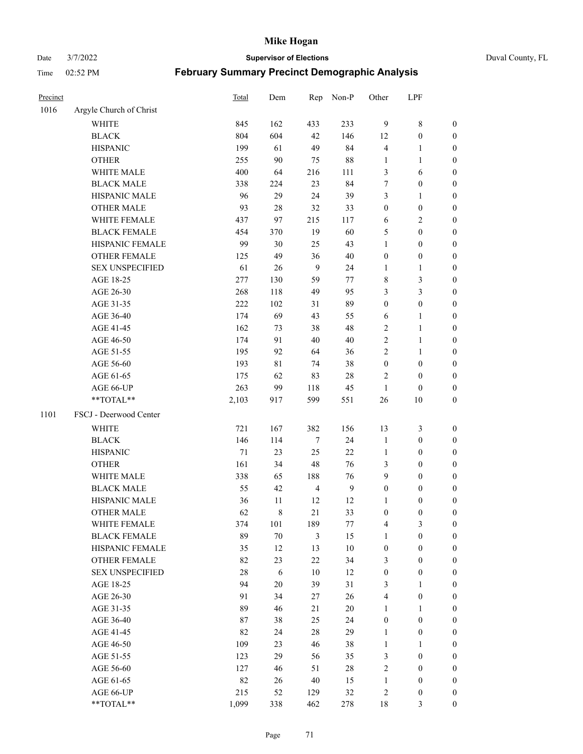Date 3/7/2022 **Supervisor of Elections** Duval County, FL

| Precinct |                         | Total | Dem         | Rep            | Non-P            | Other                   | LPF              |                  |
|----------|-------------------------|-------|-------------|----------------|------------------|-------------------------|------------------|------------------|
| 1016     | Argyle Church of Christ |       |             |                |                  |                         |                  |                  |
|          | <b>WHITE</b>            | 845   | 162         | 433            | 233              | $\overline{9}$          | $\,$ $\,$        | 0                |
|          | <b>BLACK</b>            | 804   | 604         | 42             | 146              | 12                      | $\boldsymbol{0}$ | 0                |
|          | <b>HISPANIC</b>         | 199   | 61          | 49             | 84               | 4                       | $\mathbf{1}$     | $\boldsymbol{0}$ |
|          | <b>OTHER</b>            | 255   | 90          | 75             | 88               | 1                       | 1                | $\boldsymbol{0}$ |
|          | WHITE MALE              | 400   | 64          | 216            | 111              | 3                       | 6                | $\boldsymbol{0}$ |
|          | <b>BLACK MALE</b>       | 338   | 224         | 23             | 84               | 7                       | $\boldsymbol{0}$ | $\boldsymbol{0}$ |
|          | HISPANIC MALE           | 96    | 29          | 24             | 39               | 3                       | $\mathbf{1}$     | $\boldsymbol{0}$ |
|          | <b>OTHER MALE</b>       | 93    | 28          | 32             | 33               | $\boldsymbol{0}$        | $\boldsymbol{0}$ | $\boldsymbol{0}$ |
|          | WHITE FEMALE            | 437   | 97          | 215            | 117              | 6                       | $\sqrt{2}$       | $\boldsymbol{0}$ |
|          | <b>BLACK FEMALE</b>     | 454   | 370         | 19             | 60               | 5                       | $\boldsymbol{0}$ | $\boldsymbol{0}$ |
|          | HISPANIC FEMALE         | 99    | 30          | 25             | 43               | $\mathbf{1}$            | $\boldsymbol{0}$ | 0                |
|          | OTHER FEMALE            | 125   | 49          | 36             | 40               | $\boldsymbol{0}$        | $\boldsymbol{0}$ | $\boldsymbol{0}$ |
|          | <b>SEX UNSPECIFIED</b>  | 61    | 26          | 9              | 24               | $\mathbf{1}$            | $\mathbf{1}$     | $\boldsymbol{0}$ |
|          | AGE 18-25               | 277   | 130         | 59             | $77 \,$          | 8                       | $\mathfrak{Z}$   | $\boldsymbol{0}$ |
|          | AGE 26-30               | 268   | 118         | 49             | 95               | 3                       | $\mathfrak{Z}$   | $\boldsymbol{0}$ |
|          | AGE 31-35               | 222   | 102         | 31             | 89               | $\boldsymbol{0}$        | $\boldsymbol{0}$ | $\boldsymbol{0}$ |
|          | AGE 36-40               | 174   | 69          | 43             | 55               | 6                       | $\mathbf{1}$     | $\boldsymbol{0}$ |
|          | AGE 41-45               | 162   | 73          | 38             | 48               | 2                       | $\mathbf{1}$     | $\boldsymbol{0}$ |
|          | AGE 46-50               | 174   | 91          | 40             | $40\,$           | $\overline{c}$          | $\mathbf{1}$     | $\boldsymbol{0}$ |
|          | AGE 51-55               | 195   | 92          | 64             | 36               | 2                       | $\mathbf{1}$     | 0                |
|          | AGE 56-60               | 193   | 81          | 74             | 38               | $\boldsymbol{0}$        | $\boldsymbol{0}$ | 0                |
|          | AGE 61-65               | 175   | 62          | 83             | 28               | 2                       | $\boldsymbol{0}$ | 0                |
|          | AGE 66-UP               | 263   | 99          | 118            | 45               | $\mathbf{1}$            | $\boldsymbol{0}$ | $\boldsymbol{0}$ |
|          | $**TOTAL**$             | 2,103 | 917         | 599            | 551              | 26                      | 10               | $\boldsymbol{0}$ |
| 1101     | FSCJ - Deerwood Center  |       |             |                |                  |                         |                  |                  |
|          | <b>WHITE</b>            | 721   | 167         | 382            | 156              | 13                      | $\mathfrak z$    | $\boldsymbol{0}$ |
|          | <b>BLACK</b>            | 146   | 114         | 7              | 24               | $\mathbf{1}$            | $\boldsymbol{0}$ | $\boldsymbol{0}$ |
|          | <b>HISPANIC</b>         | 71    | 23          | 25             | 22               | $\mathbf{1}$            | $\boldsymbol{0}$ | $\boldsymbol{0}$ |
|          | <b>OTHER</b>            | 161   | 34          | 48             | 76               | 3                       | $\boldsymbol{0}$ | $\boldsymbol{0}$ |
|          | WHITE MALE              | 338   | 65          | 188            | 76               | 9                       | $\boldsymbol{0}$ | $\boldsymbol{0}$ |
|          | <b>BLACK MALE</b>       | 55    | 42          | $\overline{4}$ | $\boldsymbol{9}$ | $\boldsymbol{0}$        | $\boldsymbol{0}$ | $\boldsymbol{0}$ |
|          | HISPANIC MALE           | 36    | 11          | 12             | 12               | 1                       | $\boldsymbol{0}$ | 0                |
|          | <b>OTHER MALE</b>       | 62    | $\,$ 8 $\,$ | 21             | 33               | $\boldsymbol{0}$        | $\boldsymbol{0}$ | $\boldsymbol{0}$ |
|          | WHITE FEMALE            | 374   | 101         | 189            | 77               | 4                       | 3                | 0                |
|          | <b>BLACK FEMALE</b>     | 89    | $70\,$      | 3              | 15               | 1                       | $\boldsymbol{0}$ | $\overline{0}$   |
|          | HISPANIC FEMALE         | 35    | 12          | 13             | 10               | $\boldsymbol{0}$        | $\boldsymbol{0}$ | $\overline{0}$   |
|          | <b>OTHER FEMALE</b>     | 82    | 23          | 22             | 34               | 3                       | $\boldsymbol{0}$ | $\overline{0}$   |
|          | <b>SEX UNSPECIFIED</b>  | 28    | 6           | 10             | 12               | $\boldsymbol{0}$        | $\boldsymbol{0}$ | 0                |
|          | AGE 18-25               | 94    | 20          | 39             | 31               | 3                       | $\mathbf{1}$     | 0                |
|          | AGE 26-30               | 91    | 34          | 27             | 26               | 4                       | $\boldsymbol{0}$ | 0                |
|          | AGE 31-35               | 89    | 46          | 21             | $20\,$           | 1                       | 1                | 0                |
|          | AGE 36-40               | 87    | 38          | 25             | 24               | $\boldsymbol{0}$        | $\boldsymbol{0}$ | 0                |
|          | AGE 41-45               | 82    | 24          | 28             | 29               | $\mathbf{1}$            | $\boldsymbol{0}$ | 0                |
|          | AGE 46-50               | 109   | 23          | 46             | 38               | $\mathbf{1}$            | 1                | 0                |
|          | AGE 51-55               | 123   | 29          | 56             | 35               | 3                       | $\boldsymbol{0}$ | 0                |
|          | AGE 56-60               | 127   | 46          | 51             | 28               | $\overline{c}$          | $\boldsymbol{0}$ | $\overline{0}$   |
|          | AGE 61-65               | 82    | 26          | 40             | 15               | 1                       | $\boldsymbol{0}$ | $\overline{0}$   |
|          | AGE 66-UP               | 215   | 52          | 129            | 32               | $\overline{\mathbf{c}}$ | $\boldsymbol{0}$ | 0                |
|          | **TOTAL**               | 1,099 | 338         | 462            | 278              | 18                      | 3                | $\boldsymbol{0}$ |
|          |                         |       |             |                |                  |                         |                  |                  |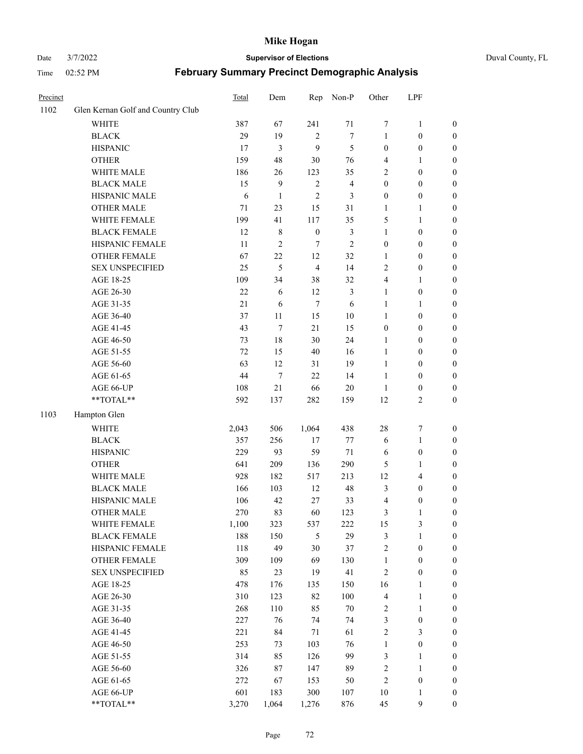#### Date 3/7/2022 **Supervisor of Elections** Duval County, FL

| Precinct |                                   | Total  | Dem              | Rep              | Non-P                   | Other            | LPF              |                  |
|----------|-----------------------------------|--------|------------------|------------------|-------------------------|------------------|------------------|------------------|
| 1102     | Glen Kernan Golf and Country Club |        |                  |                  |                         |                  |                  |                  |
|          | <b>WHITE</b>                      | 387    | 67               | 241              | 71                      | 7                | $\mathbf{1}$     | 0                |
|          | <b>BLACK</b>                      | 29     | 19               | $\sqrt{2}$       | $\tau$                  | $\mathbf{1}$     | $\boldsymbol{0}$ | $\boldsymbol{0}$ |
|          | <b>HISPANIC</b>                   | 17     | 3                | 9                | 5                       | $\boldsymbol{0}$ | $\boldsymbol{0}$ | $\boldsymbol{0}$ |
|          | <b>OTHER</b>                      | 159    | 48               | 30               | 76                      | 4                | 1                | $\boldsymbol{0}$ |
|          | WHITE MALE                        | 186    | 26               | 123              | 35                      | 2                | $\boldsymbol{0}$ | $\boldsymbol{0}$ |
|          | <b>BLACK MALE</b>                 | 15     | 9                | $\sqrt{2}$       | $\overline{\mathbf{4}}$ | $\boldsymbol{0}$ | $\boldsymbol{0}$ | $\boldsymbol{0}$ |
|          | HISPANIC MALE                     | 6      | $\mathbf{1}$     | $\mathfrak{2}$   | 3                       | $\boldsymbol{0}$ | $\boldsymbol{0}$ | $\boldsymbol{0}$ |
|          | <b>OTHER MALE</b>                 | 71     | 23               | 15               | 31                      | $\mathbf{1}$     | $\mathbf{1}$     | $\boldsymbol{0}$ |
|          | WHITE FEMALE                      | 199    | 41               | 117              | 35                      | 5                | 1                | $\boldsymbol{0}$ |
|          | <b>BLACK FEMALE</b>               | 12     | $\,$ 8 $\,$      | $\boldsymbol{0}$ | $\mathfrak{Z}$          | $\mathbf{1}$     | $\boldsymbol{0}$ | 0                |
|          | HISPANIC FEMALE                   | 11     | $\overline{2}$   | 7                | $\overline{2}$          | $\boldsymbol{0}$ | $\boldsymbol{0}$ | 0                |
|          | <b>OTHER FEMALE</b>               | 67     | 22               | 12               | 32                      | $\mathbf{1}$     | $\boldsymbol{0}$ | $\boldsymbol{0}$ |
|          | <b>SEX UNSPECIFIED</b>            | 25     | 5                | $\overline{4}$   | 14                      | $\mathbf{2}$     | $\boldsymbol{0}$ | $\boldsymbol{0}$ |
|          | AGE 18-25                         | 109    | 34               | 38               | 32                      | 4                | 1                | $\boldsymbol{0}$ |
|          | AGE 26-30                         | $22\,$ | 6                | 12               | 3                       | $\mathbf{1}$     | $\boldsymbol{0}$ | $\boldsymbol{0}$ |
|          | AGE 31-35                         | 21     | 6                | $\tau$           | 6                       | $\mathbf{1}$     | $\mathbf{1}$     | $\boldsymbol{0}$ |
|          | AGE 36-40                         | 37     | 11               | 15               | $10\,$                  | $\mathbf{1}$     | $\boldsymbol{0}$ | $\boldsymbol{0}$ |
|          | AGE 41-45                         | 43     | $\tau$           | 21               | 15                      | $\boldsymbol{0}$ | $\boldsymbol{0}$ | $\boldsymbol{0}$ |
|          | AGE 46-50                         | 73     | $18\,$           | 30               | 24                      | $\mathbf{1}$     | $\boldsymbol{0}$ | $\boldsymbol{0}$ |
|          | AGE 51-55                         | 72     | 15               | 40               | 16                      | $\mathbf{1}$     | $\boldsymbol{0}$ | $\boldsymbol{0}$ |
|          | AGE 56-60                         | 63     | 12               | 31               | 19                      | $\mathbf{1}$     | $\boldsymbol{0}$ | 0                |
|          | AGE 61-65                         | 44     | $\boldsymbol{7}$ | 22               | 14                      | $\mathbf{1}$     | $\boldsymbol{0}$ | 0                |
|          | AGE 66-UP                         | 108    | 21               | 66               | $20\,$                  | $\mathbf{1}$     | $\boldsymbol{0}$ | $\boldsymbol{0}$ |
|          | **TOTAL**                         | 592    | 137              | 282              | 159                     | 12               | $\sqrt{2}$       | $\boldsymbol{0}$ |
| 1103     | Hampton Glen                      |        |                  |                  |                         |                  |                  |                  |
|          | <b>WHITE</b>                      | 2,043  | 506              | 1,064            | 438                     | 28               | $\boldsymbol{7}$ | $\boldsymbol{0}$ |
|          | <b>BLACK</b>                      | 357    | 256              | $17$             | $77 \,$                 | 6                | $\mathbf{1}$     | $\boldsymbol{0}$ |
|          | <b>HISPANIC</b>                   | 229    | 93               | 59               | 71                      | 6                | $\boldsymbol{0}$ | $\boldsymbol{0}$ |
|          | <b>OTHER</b>                      | 641    | 209              | 136              | 290                     | 5                | $\mathbf{1}$     | $\boldsymbol{0}$ |
|          | WHITE MALE                        | 928    | 182              | 517              | 213                     | 12               | $\overline{4}$   | $\boldsymbol{0}$ |
|          | <b>BLACK MALE</b>                 | 166    | 103              | 12               | 48                      | 3                | $\boldsymbol{0}$ | $\boldsymbol{0}$ |
|          | HISPANIC MALE                     | 106    | 42               | 27               | 33                      | 4                | $\boldsymbol{0}$ | $\boldsymbol{0}$ |
|          | OTHER MALE                        | 270    | 83               | 60               | 123                     | 3                | $\mathbf{1}$     | $\boldsymbol{0}$ |
|          | WHITE FEMALE                      | 1,100  | 323              | 537              | 222                     | 15               | 3                | 0                |
|          | <b>BLACK FEMALE</b>               | 188    | 150              | 5                | 29                      | 3                | $\mathbf{1}$     | $\boldsymbol{0}$ |
|          | HISPANIC FEMALE                   | 118    | 49               | 30               | 37                      | $\sqrt{2}$       | $\boldsymbol{0}$ | $\overline{0}$   |
|          | <b>OTHER FEMALE</b>               | 309    | 109              | 69               | 130                     | $\mathbf{1}$     | $\boldsymbol{0}$ | 0                |
|          | <b>SEX UNSPECIFIED</b>            | 85     | 23               | 19               | 41                      | $\overline{c}$   | $\boldsymbol{0}$ | 0                |
|          | AGE 18-25                         | 478    | 176              | 135              | 150                     | 16               | $\mathbf{1}$     | 0                |
|          | AGE 26-30                         | 310    | 123              | 82               | 100                     | 4                | $\mathbf{1}$     | 0                |
|          | AGE 31-35                         | 268    | 110              | 85               | $70\,$                  | 2                | $\mathbf{1}$     | 0                |
|          | AGE 36-40                         | 227    | 76               | 74               | 74                      | 3                | $\boldsymbol{0}$ | 0                |
|          | AGE 41-45                         | 221    | 84               | 71               | 61                      | $\overline{c}$   | 3                | 0                |
|          | AGE 46-50                         | 253    | 73               | 103              | 76                      | $\mathbf{1}$     | $\boldsymbol{0}$ | 0                |
|          | AGE 51-55                         | 314    | 85               | 126              | 99                      | 3                | $\mathbf{1}$     | 0                |
|          | AGE 56-60                         | 326    | 87               | 147              | 89                      | 2                | $\mathbf{1}$     | 0                |
|          | AGE 61-65                         | 272    | 67               | 153              | 50                      | $\overline{c}$   | $\boldsymbol{0}$ | 0                |
|          | AGE 66-UP                         | 601    | 183              | 300              | 107                     | 10               | $\mathbf{1}$     | 0                |
|          | **TOTAL**                         | 3,270  | 1,064            | 1,276            | 876                     | 45               | $\mathbf{9}$     | $\boldsymbol{0}$ |
|          |                                   |        |                  |                  |                         |                  |                  |                  |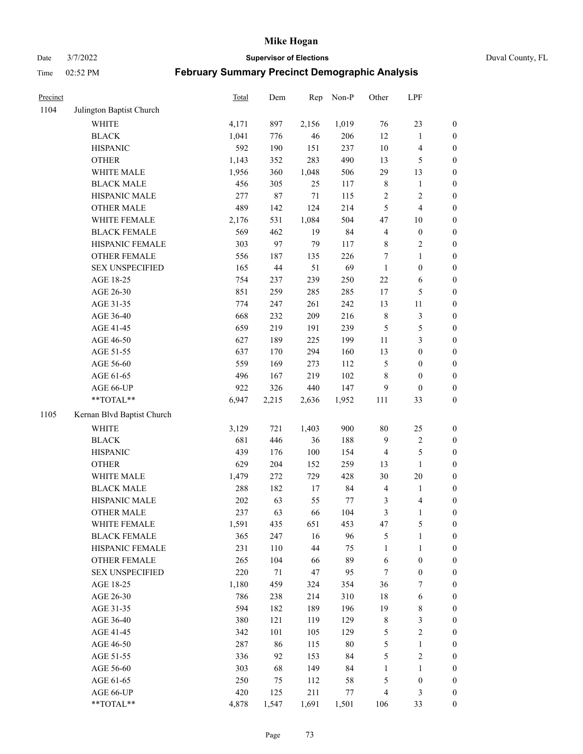Date 3/7/2022 **Supervisor of Elections** Duval County, FL

| Precinct |                            | <b>Total</b> | Dem    | Rep         | Non-P  | Other                   | LPF              |                  |
|----------|----------------------------|--------------|--------|-------------|--------|-------------------------|------------------|------------------|
| 1104     | Julington Baptist Church   |              |        |             |        |                         |                  |                  |
|          | <b>WHITE</b>               | 4,171        | 897    | 2,156       | 1,019  | 76                      | 23               | 0                |
|          | <b>BLACK</b>               | 1,041        | 776    | 46          | 206    | 12                      | $\mathbf{1}$     | $\boldsymbol{0}$ |
|          | <b>HISPANIC</b>            | 592          | 190    | 151         | 237    | $10\,$                  | $\overline{4}$   | $\boldsymbol{0}$ |
|          | <b>OTHER</b>               | 1,143        | 352    | 283         | 490    | 13                      | 5                | $\boldsymbol{0}$ |
|          | WHITE MALE                 | 1,956        | 360    | 1,048       | 506    | 29                      | 13               | $\boldsymbol{0}$ |
|          | <b>BLACK MALE</b>          | 456          | 305    | 25          | 117    | $\,$ 8 $\,$             | 1                | $\boldsymbol{0}$ |
|          | HISPANIC MALE              | 277          | $87\,$ | $71\,$      | 115    | 2                       | $\sqrt{2}$       | $\boldsymbol{0}$ |
|          | <b>OTHER MALE</b>          | 489          | 142    | 124         | 214    | 5                       | $\overline{4}$   | $\boldsymbol{0}$ |
|          | WHITE FEMALE               | 2,176        | 531    | 1,084       | 504    | $47\,$                  | 10               | $\boldsymbol{0}$ |
|          | <b>BLACK FEMALE</b>        | 569          | 462    | 19          | 84     | $\overline{\mathbf{4}}$ | $\boldsymbol{0}$ | $\boldsymbol{0}$ |
|          | HISPANIC FEMALE            | 303          | 97     | 79          | 117    | $8\,$                   | $\sqrt{2}$       | $\boldsymbol{0}$ |
|          | <b>OTHER FEMALE</b>        | 556          | 187    | 135         | 226    | $\tau$                  | $\mathbf{1}$     | $\boldsymbol{0}$ |
|          | <b>SEX UNSPECIFIED</b>     | 165          | $44\,$ | 51          | 69     | $\mathbf{1}$            | $\boldsymbol{0}$ | $\boldsymbol{0}$ |
|          | AGE 18-25                  | 754          | 237    | 239         | 250    | $22\,$                  | 6                | $\boldsymbol{0}$ |
|          | AGE 26-30                  | 851          | 259    | 285         | 285    | 17                      | $\mathfrak s$    | $\boldsymbol{0}$ |
|          | AGE 31-35                  | 774          | 247    | 261         | 242    | 13                      | $11\,$           | $\boldsymbol{0}$ |
|          | AGE 36-40                  | 668          | 232    | 209         | 216    | $\,$ $\,$               | $\sqrt{3}$       | $\boldsymbol{0}$ |
|          | AGE 41-45                  | 659          | 219    | 191         | 239    | 5                       | 5                | $\boldsymbol{0}$ |
|          | AGE 46-50                  | 627          | 189    | 225         | 199    | $11\,$                  | $\mathfrak{Z}$   | $\boldsymbol{0}$ |
|          | AGE 51-55                  | 637          | 170    | 294         | 160    | 13                      | $\boldsymbol{0}$ | $\boldsymbol{0}$ |
|          | AGE 56-60                  | 559          | 169    | 273         | 112    | 5                       | $\boldsymbol{0}$ | 0                |
|          | AGE 61-65                  | 496          | 167    | 219         | 102    | 8                       | $\boldsymbol{0}$ | $\boldsymbol{0}$ |
|          | AGE 66-UP                  | 922          | 326    | 440         | 147    | 9                       | $\boldsymbol{0}$ | $\boldsymbol{0}$ |
|          | $**TOTAL**$                | 6,947        | 2,215  | 2,636       | 1,952  | 111                     | 33               | $\boldsymbol{0}$ |
| 1105     | Kernan Blvd Baptist Church |              |        |             |        |                         |                  |                  |
|          | <b>WHITE</b>               |              | 721    |             | 900    | $80\,$                  |                  |                  |
|          | <b>BLACK</b>               | 3,129<br>681 | 446    | 1,403<br>36 | 188    | 9                       | 25<br>$\sqrt{2}$ | $\boldsymbol{0}$ |
|          | <b>HISPANIC</b>            | 439          |        | 100         |        |                         | $\mathfrak s$    | $\boldsymbol{0}$ |
|          |                            |              | 176    |             | 154    | 4                       |                  | $\boldsymbol{0}$ |
|          | <b>OTHER</b>               | 629          | 204    | 152         | 259    | 13                      | $\mathbf{1}$     | $\boldsymbol{0}$ |
|          | WHITE MALE                 | 1,479        | 272    | 729         | 428    | 30                      | 20               | $\boldsymbol{0}$ |
|          | <b>BLACK MALE</b>          | 288          | 182    | 17          | 84     | 4                       | $\mathbf{1}$     | $\boldsymbol{0}$ |
|          | HISPANIC MALE              | $202\,$      | 63     | 55          | 77     | 3                       | 4                | 0                |
|          | <b>OTHER MALE</b>          | 237          | 63     | 66          | 104    | 3                       | $\mathbf{1}$     | $\boldsymbol{0}$ |
|          | WHITE FEMALE               | 1,591        | 435    | 651         | 453    | 47                      | 5                | 0                |
|          | <b>BLACK FEMALE</b>        | 365          | 247    | 16          | 96     | 5                       | $\mathbf{1}$     | $\boldsymbol{0}$ |
|          | HISPANIC FEMALE            | 231          | 110    | 44          | 75     | $\mathbf{1}$            | $\mathbf{1}$     | $\overline{0}$   |
|          | <b>OTHER FEMALE</b>        | 265          | 104    | 66          | 89     | 6                       | $\boldsymbol{0}$ | 0                |
|          | <b>SEX UNSPECIFIED</b>     | 220          | 71     | 47          | 95     | 7                       | $\boldsymbol{0}$ | 0                |
|          | AGE 18-25                  | 1,180        | 459    | 324         | 354    | 36                      | 7                | 0                |
|          | AGE 26-30                  | 786          | 238    | 214         | 310    | 18                      | 6                | 0                |
|          | AGE 31-35                  | 594          | 182    | 189         | 196    | 19                      | $\,$ $\,$        | 0                |
|          | AGE 36-40                  | 380          | 121    | 119         | 129    | $\,$ 8 $\,$             | $\sqrt{3}$       | 0                |
|          | AGE 41-45                  | 342          | 101    | 105         | 129    | 5                       | $\sqrt{2}$       | 0                |
|          | AGE 46-50                  | 287          | 86     | 115         | $80\,$ | 5                       | $\mathbf{1}$     | 0                |
|          | AGE 51-55                  | 336          | 92     | 153         | 84     | 5                       | $\sqrt{2}$       | 0                |
|          | AGE 56-60                  | 303          | 68     | 149         | 84     | 1                       | 1                | 0                |
|          | AGE 61-65                  | 250          | 75     | 112         | 58     | 5                       | $\boldsymbol{0}$ | 0                |
|          | AGE 66-UP                  | 420          | 125    | 211         | 77     | 4                       | $\mathfrak{Z}$   | 0                |
|          | **TOTAL**                  | 4,878        | 1,547  | 1,691       | 1,501  | 106                     | 33               | $\boldsymbol{0}$ |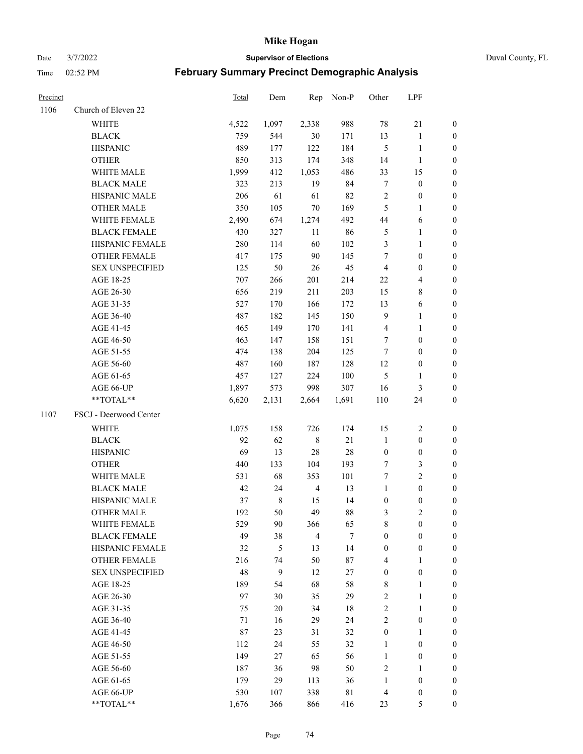Date 3/7/2022 **Supervisor of Elections** Duval County, FL

| Precinct |                        | Total | Dem         | Rep            | Non-P       | Other            | LPF                     |                  |
|----------|------------------------|-------|-------------|----------------|-------------|------------------|-------------------------|------------------|
| 1106     | Church of Eleven 22    |       |             |                |             |                  |                         |                  |
|          | <b>WHITE</b>           | 4,522 | 1,097       | 2,338          | 988         | 78               | $21\,$                  | 0                |
|          | <b>BLACK</b>           | 759   | 544         | 30             | 171         | 13               | $\mathbf{1}$            | 0                |
|          | <b>HISPANIC</b>        | 489   | 177         | 122            | 184         | $\mathfrak{S}$   | $\mathbf{1}$            | 0                |
|          | <b>OTHER</b>           | 850   | 313         | 174            | 348         | 14               | $\mathbf{1}$            | $\boldsymbol{0}$ |
|          | WHITE MALE             | 1,999 | 412         | 1,053          | 486         | 33               | 15                      | $\boldsymbol{0}$ |
|          | <b>BLACK MALE</b>      | 323   | 213         | 19             | 84          | $\boldsymbol{7}$ | $\boldsymbol{0}$        | $\boldsymbol{0}$ |
|          | HISPANIC MALE          | 206   | 61          | 61             | 82          | $\sqrt{2}$       | $\boldsymbol{0}$        | $\boldsymbol{0}$ |
|          | <b>OTHER MALE</b>      | 350   | 105         | 70             | 169         | $\mathfrak{S}$   | $\mathbf{1}$            | $\boldsymbol{0}$ |
|          | WHITE FEMALE           | 2,490 | 674         | 1,274          | 492         | $44\,$           | 6                       | 0                |
|          | <b>BLACK FEMALE</b>    | 430   | 327         | 11             | 86          | 5                | $\mathbf{1}$            | 0                |
|          | HISPANIC FEMALE        | 280   | 114         | 60             | 102         | 3                | $\mathbf{1}$            | 0                |
|          | OTHER FEMALE           | 417   | 175         | 90             | 145         | 7                | $\boldsymbol{0}$        | 0                |
|          | <b>SEX UNSPECIFIED</b> | 125   | 50          | 26             | 45          | $\overline{4}$   | $\boldsymbol{0}$        | $\boldsymbol{0}$ |
|          | AGE 18-25              | 707   | 266         | 201            | 214         | 22               | $\overline{\mathbf{4}}$ | $\boldsymbol{0}$ |
|          | AGE 26-30              | 656   | 219         | 211            | 203         | 15               | $\,$ 8 $\,$             | $\boldsymbol{0}$ |
|          | AGE 31-35              | 527   | 170         | 166            | 172         | 13               | 6                       | $\boldsymbol{0}$ |
|          | AGE 36-40              | 487   | 182         | 145            | 150         | $\overline{9}$   | $\mathbf{1}$            | $\boldsymbol{0}$ |
|          | AGE 41-45              | 465   | 149         | 170            | 141         | $\overline{4}$   | $\mathbf{1}$            | $\boldsymbol{0}$ |
|          | AGE 46-50              | 463   | 147         | 158            | 151         | 7                | $\boldsymbol{0}$        | $\boldsymbol{0}$ |
|          | AGE 51-55              | 474   | 138         | 204            | 125         | 7                | $\boldsymbol{0}$        | $\boldsymbol{0}$ |
|          | AGE 56-60              | 487   | 160         | 187            | 128         | 12               | $\boldsymbol{0}$        | 0                |
|          | AGE 61-65              | 457   | 127         | 224            | 100         | 5                | $\mathbf{1}$            | 0                |
|          | AGE 66-UP              | 1,897 | 573         | 998            | 307         | 16               | 3                       | 0                |
|          | **TOTAL**              | 6,620 | 2,131       | 2,664          | 1,691       | 110              | 24                      | $\boldsymbol{0}$ |
| 1107     | FSCJ - Deerwood Center |       |             |                |             |                  |                         |                  |
|          | <b>WHITE</b>           | 1,075 | 158         | 726            | 174         | 15               | $\sqrt{2}$              | $\boldsymbol{0}$ |
|          | <b>BLACK</b>           | 92    | 62          | $\,$ 8 $\,$    | 21          | $\mathbf{1}$     | $\boldsymbol{0}$        | $\boldsymbol{0}$ |
|          | <b>HISPANIC</b>        | 69    | 13          | 28             | 28          | $\boldsymbol{0}$ | $\boldsymbol{0}$        | $\boldsymbol{0}$ |
|          | <b>OTHER</b>           | 440   | 133         | 104            | 193         | 7                | $\mathfrak{Z}$          | $\boldsymbol{0}$ |
|          | WHITE MALE             | 531   | 68          | 353            | 101         | $\tau$           | $\overline{2}$          | $\boldsymbol{0}$ |
|          | <b>BLACK MALE</b>      | 42    | 24          | $\overline{4}$ | 13          | $\mathbf{1}$     | $\boldsymbol{0}$        | $\boldsymbol{0}$ |
|          | HISPANIC MALE          | 37    | $\,$ 8 $\,$ | 15             | 14          | $\boldsymbol{0}$ | $\boldsymbol{0}$        | 0                |
|          | <b>OTHER MALE</b>      | 192   | 50          | 49             | 88          | 3                | $\mathbf{2}$            | 0                |
|          | WHITE FEMALE           | 529   | 90          | 366            | 65          | 8                | $\boldsymbol{0}$        | 0                |
|          | <b>BLACK FEMALE</b>    | 49    | 38          | $\overline{4}$ | $\tau$      | $\boldsymbol{0}$ | $\boldsymbol{0}$        | $\overline{0}$   |
|          | HISPANIC FEMALE        | 32    | 5           | 13             | 14          | $\boldsymbol{0}$ | $\boldsymbol{0}$        | $\overline{0}$   |
|          | OTHER FEMALE           | 216   | 74          | 50             | 87          | 4                | $\mathbf{1}$            | $\overline{0}$   |
|          | <b>SEX UNSPECIFIED</b> | 48    | 9           | 12             | 27          | $\boldsymbol{0}$ | $\boldsymbol{0}$        | 0                |
|          | AGE 18-25              | 189   | 54          | 68             | 58          | 8                | $\mathbf{1}$            | 0                |
|          | AGE 26-30              | 97    | 30          | 35             | 29          | 2                | $\mathbf{1}$            | 0                |
|          | AGE 31-35              | 75    | $20\,$      | 34             | $18\,$      | 2                | $\mathbf{1}$            | 0                |
|          | AGE 36-40              | 71    | 16          | 29             | 24          | $\mathfrak{2}$   | $\boldsymbol{0}$        | 0                |
|          | AGE 41-45              | 87    | 23          | 31             | 32          | $\boldsymbol{0}$ | $\mathbf{1}$            | 0                |
|          | AGE 46-50              | 112   | 24          | 55             | 32          | $\mathbf{1}$     | $\boldsymbol{0}$        | 0                |
|          | AGE 51-55              | 149   | 27          | 65             | 56          | $\mathbf{1}$     | $\boldsymbol{0}$        | 0                |
|          | AGE 56-60              | 187   | 36          | 98             | 50          | $\overline{c}$   | 1                       | 0                |
|          | AGE 61-65              | 179   | 29          | 113            | 36          | $\mathbf{1}$     | $\boldsymbol{0}$        | 0                |
|          | AGE 66-UP              | 530   | 107         | 338            | $8\sqrt{1}$ | $\overline{4}$   | $\boldsymbol{0}$        | 0                |
|          | **TOTAL**              | 1,676 | 366         | 866            | 416         | 23               | 5                       | $\boldsymbol{0}$ |
|          |                        |       |             |                |             |                  |                         |                  |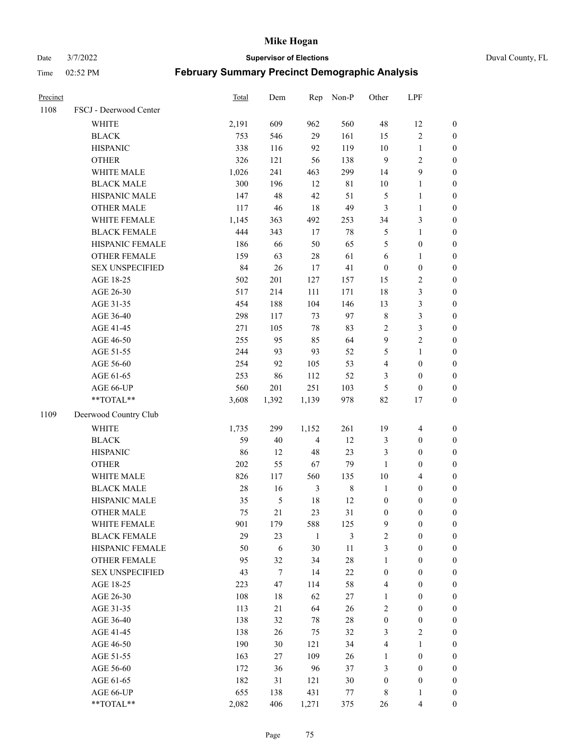#### Date 3/7/2022 **Supervisor of Elections** Duval County, FL

| Precinct |                        | <b>Total</b> | Dem            | Rep            | Non-P       | Other            | LPF              |                  |
|----------|------------------------|--------------|----------------|----------------|-------------|------------------|------------------|------------------|
| 1108     | FSCJ - Deerwood Center |              |                |                |             |                  |                  |                  |
|          | <b>WHITE</b>           | 2,191        | 609            | 962            | 560         | 48               | 12               | $\boldsymbol{0}$ |
|          | <b>BLACK</b>           | 753          | 546            | 29             | 161         | 15               | $\sqrt{2}$       | $\boldsymbol{0}$ |
|          | <b>HISPANIC</b>        | 338          | 116            | 92             | 119         | $10\,$           | $\mathbf{1}$     | $\boldsymbol{0}$ |
|          | <b>OTHER</b>           | 326          | 121            | 56             | 138         | 9                | $\sqrt{2}$       | $\boldsymbol{0}$ |
|          | WHITE MALE             | 1,026        | 241            | 463            | 299         | 14               | 9                | $\boldsymbol{0}$ |
|          | <b>BLACK MALE</b>      | 300          | 196            | 12             | 81          | $10\,$           | $\mathbf{1}$     | $\boldsymbol{0}$ |
|          | HISPANIC MALE          | 147          | 48             | 42             | 51          | 5                | $\mathbf{1}$     | $\boldsymbol{0}$ |
|          | <b>OTHER MALE</b>      | 117          | 46             | 18             | 49          | 3                | $\mathbf{1}$     | $\boldsymbol{0}$ |
|          | WHITE FEMALE           | 1,145        | 363            | 492            | 253         | 34               | $\mathfrak{Z}$   | $\boldsymbol{0}$ |
|          | <b>BLACK FEMALE</b>    | 444          | 343            | 17             | $78\,$      | 5                | $\mathbf{1}$     | $\boldsymbol{0}$ |
|          | HISPANIC FEMALE        | 186          | 66             | 50             | 65          | 5                | $\boldsymbol{0}$ | 0                |
|          | <b>OTHER FEMALE</b>    | 159          | 63             | $28\,$         | 61          | 6                | $\mathbf{1}$     | $\boldsymbol{0}$ |
|          | <b>SEX UNSPECIFIED</b> | 84           | 26             | 17             | 41          | $\boldsymbol{0}$ | $\boldsymbol{0}$ | $\boldsymbol{0}$ |
|          | AGE 18-25              | 502          | 201            | 127            | 157         | 15               | $\sqrt{2}$       | $\boldsymbol{0}$ |
|          | AGE 26-30              | 517          | 214            | 111            | 171         | 18               | $\mathfrak{Z}$   | $\boldsymbol{0}$ |
|          | AGE 31-35              | 454          | 188            | 104            | 146         | 13               | $\mathfrak{Z}$   | $\boldsymbol{0}$ |
|          | AGE 36-40              | 298          | 117            | 73             | 97          | $\,$ $\,$        | $\mathfrak{Z}$   | $\boldsymbol{0}$ |
|          | AGE 41-45              | 271          | 105            | $78\,$         | 83          | $\sqrt{2}$       | $\mathfrak{Z}$   | $\boldsymbol{0}$ |
|          | AGE 46-50              | 255          | 95             | 85             | 64          | $\boldsymbol{9}$ | $\overline{c}$   | $\boldsymbol{0}$ |
|          | AGE 51-55              | 244          | 93             | 93             | 52          | 5                | $\mathbf{1}$     | $\boldsymbol{0}$ |
|          | AGE 56-60              | 254          | 92             | 105            | 53          | 4                | $\boldsymbol{0}$ | 0                |
|          | AGE 61-65              | 253          | 86             | 112            | 52          | 3                | $\boldsymbol{0}$ | $\boldsymbol{0}$ |
|          | AGE 66-UP              | 560          | 201            | 251            | 103         | 5                | $\boldsymbol{0}$ | $\boldsymbol{0}$ |
|          | $**TOTAL**$            | 3,608        | 1,392          | 1,139          | 978         | 82               | 17               | $\boldsymbol{0}$ |
| 1109     | Deerwood Country Club  |              |                |                |             |                  |                  |                  |
|          | <b>WHITE</b>           | 1,735        | 299            | 1,152          | 261         | 19               | $\overline{4}$   | $\boldsymbol{0}$ |
|          | <b>BLACK</b>           | 59           | $40\,$         | $\overline{4}$ | 12          | 3                | $\boldsymbol{0}$ | $\boldsymbol{0}$ |
|          | <b>HISPANIC</b>        | 86           | 12             | 48             | 23          | 3                | $\boldsymbol{0}$ | $\boldsymbol{0}$ |
|          | <b>OTHER</b>           | 202          | 55             | 67             | 79          | $\mathbf{1}$     | $\boldsymbol{0}$ | $\boldsymbol{0}$ |
|          | WHITE MALE             | 826          | 117            | 560            | 135         | $10\,$           | $\overline{4}$   | $\boldsymbol{0}$ |
|          | <b>BLACK MALE</b>      | $28\,$       | 16             | $\mathfrak{Z}$ | $\,$ 8 $\,$ | $\mathbf{1}$     | $\boldsymbol{0}$ | $\boldsymbol{0}$ |
|          | HISPANIC MALE          | 35           | $\mathfrak{S}$ | 18             | 12          | $\boldsymbol{0}$ | $\boldsymbol{0}$ | $\boldsymbol{0}$ |
|          | <b>OTHER MALE</b>      | 75           | 21             | 23             | 31          | $\boldsymbol{0}$ | $\boldsymbol{0}$ | $\boldsymbol{0}$ |
|          | WHITE FEMALE           | 901          | 179            | 588            | 125         | 9                | 0                | 0                |
|          | <b>BLACK FEMALE</b>    | 29           | 23             | $\mathbf{1}$   | 3           | $\overline{c}$   | $\boldsymbol{0}$ | $\overline{0}$   |
|          | HISPANIC FEMALE        | 50           | $\sqrt{6}$     | 30             | $11\,$      | 3                | $\boldsymbol{0}$ | $\overline{0}$   |
|          | <b>OTHER FEMALE</b>    | 95           | 32             | 34             | $28\,$      | $\mathbf{1}$     | $\boldsymbol{0}$ | $\overline{0}$   |
|          | <b>SEX UNSPECIFIED</b> | 43           | $\tau$         | 14             | $22\,$      | $\boldsymbol{0}$ | $\boldsymbol{0}$ | 0                |
|          | AGE 18-25              | 223          | 47             | 114            | 58          | 4                | $\boldsymbol{0}$ | 0                |
|          | AGE 26-30              | 108          | 18             | 62             | $27\,$      | $\mathbf{1}$     | $\boldsymbol{0}$ | 0                |
|          | AGE 31-35              | 113          | 21             | 64             | 26          | 2                | $\boldsymbol{0}$ | 0                |
|          | AGE 36-40              | 138          | 32             | 78             | $28\,$      | $\boldsymbol{0}$ | $\boldsymbol{0}$ | 0                |
|          | AGE 41-45              | 138          | 26             | 75             | 32          | 3                | $\mathfrak{2}$   | 0                |
|          | AGE 46-50              | 190          | 30             | 121            | 34          | 4                | $\mathbf{1}$     | 0                |
|          | AGE 51-55              | 163          | 27             | 109            | 26          | $\mathbf{1}$     | $\boldsymbol{0}$ | 0                |
|          | AGE 56-60              | 172          | 36             | 96             | 37          | 3                | $\boldsymbol{0}$ | 0                |
|          | AGE 61-65              | 182          | 31             | 121            | $30\,$      | $\boldsymbol{0}$ | $\boldsymbol{0}$ | 0                |
|          | AGE 66-UP              | 655          | 138            | 431            | 77          | 8                | $\mathbf{1}$     | 0                |
|          | **TOTAL**              | 2,082        | 406            | 1,271          | 375         | 26               | $\overline{4}$   | $\boldsymbol{0}$ |
|          |                        |              |                |                |             |                  |                  |                  |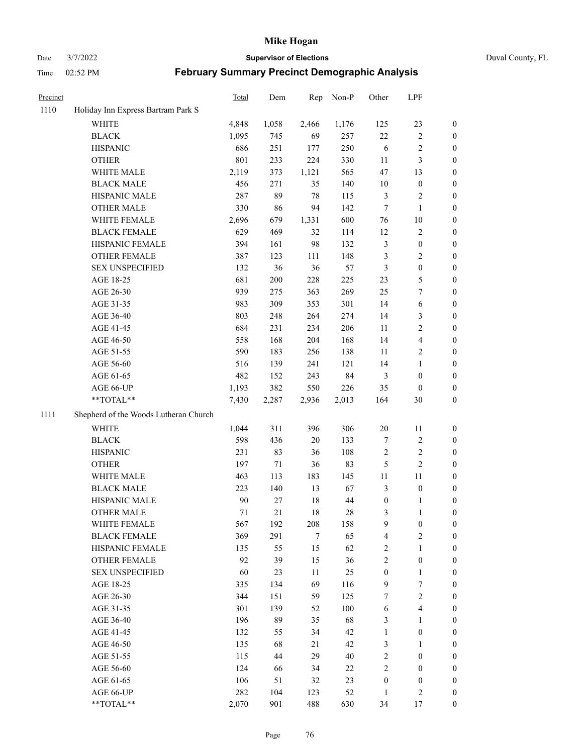Date 3/7/2022 **Supervisor of Elections** Duval County, FL

| Precinct |                                       | <b>Total</b> | Dem   | Rep    | Non-P | Other            | LPF                     |                  |
|----------|---------------------------------------|--------------|-------|--------|-------|------------------|-------------------------|------------------|
| 1110     | Holiday Inn Express Bartram Park S    |              |       |        |       |                  |                         |                  |
|          | <b>WHITE</b>                          | 4,848        | 1,058 | 2,466  | 1,176 | 125              | 23                      | 0                |
|          | <b>BLACK</b>                          | 1,095        | 745   | 69     | 257   | $22\,$           | $\sqrt{2}$              | 0                |
|          | <b>HISPANIC</b>                       | 686          | 251   | 177    | 250   | 6                | $\sqrt{2}$              | 0                |
|          | <b>OTHER</b>                          | 801          | 233   | 224    | 330   | 11               | $\mathfrak{Z}$          | $\boldsymbol{0}$ |
|          | WHITE MALE                            | 2,119        | 373   | 1,121  | 565   | 47               | 13                      | $\boldsymbol{0}$ |
|          | <b>BLACK MALE</b>                     | 456          | 271   | 35     | 140   | 10               | $\boldsymbol{0}$        | $\boldsymbol{0}$ |
|          | HISPANIC MALE                         | 287          | 89    | 78     | 115   | 3                | $\sqrt{2}$              | $\boldsymbol{0}$ |
|          | <b>OTHER MALE</b>                     | 330          | 86    | 94     | 142   | $\tau$           | $\mathbf{1}$            | $\boldsymbol{0}$ |
|          | WHITE FEMALE                          | 2,696        | 679   | 1,331  | 600   | 76               | $10\,$                  | 0                |
|          | <b>BLACK FEMALE</b>                   | 629          | 469   | 32     | 114   | 12               | $\sqrt{2}$              | 0                |
|          | HISPANIC FEMALE                       | 394          | 161   | 98     | 132   | 3                | $\boldsymbol{0}$        | 0                |
|          | OTHER FEMALE                          | 387          | 123   | 111    | 148   | 3                | $\sqrt{2}$              | 0                |
|          | <b>SEX UNSPECIFIED</b>                | 132          | 36    | 36     | 57    | 3                | $\boldsymbol{0}$        | $\boldsymbol{0}$ |
|          | AGE 18-25                             | 681          | 200   | 228    | 225   | 23               | $\mathfrak{S}$          | $\boldsymbol{0}$ |
|          | AGE 26-30                             | 939          | 275   | 363    | 269   | 25               | $\boldsymbol{7}$        | $\boldsymbol{0}$ |
|          | AGE 31-35                             | 983          | 309   | 353    | 301   | 14               | 6                       | $\boldsymbol{0}$ |
|          | AGE 36-40                             | 803          | 248   | 264    | 274   | 14               | $\mathfrak{Z}$          | $\boldsymbol{0}$ |
|          | AGE 41-45                             | 684          | 231   | 234    | 206   | 11               | $\sqrt{2}$              | $\boldsymbol{0}$ |
|          | AGE 46-50                             | 558          | 168   | 204    | 168   | 14               | $\overline{\mathbf{4}}$ | $\boldsymbol{0}$ |
|          | AGE 51-55                             | 590          | 183   | 256    | 138   | 11               | $\sqrt{2}$              | 0                |
|          | AGE 56-60                             | 516          | 139   | 241    | 121   | 14               | $\mathbf{1}$            | 0                |
|          | AGE 61-65                             | 482          | 152   | 243    | 84    | $\mathfrak{Z}$   | $\boldsymbol{0}$        | 0                |
|          | AGE 66-UP                             | 1,193        | 382   | 550    | 226   | 35               | $\boldsymbol{0}$        | $\boldsymbol{0}$ |
|          | $**TOTAL**$                           | 7,430        | 2,287 | 2,936  | 2,013 | 164              | $30\,$                  | $\boldsymbol{0}$ |
| 1111     | Shepherd of the Woods Lutheran Church |              |       |        |       |                  |                         |                  |
|          | <b>WHITE</b>                          | 1,044        | 311   | 396    | 306   | $20\,$           | 11                      | $\boldsymbol{0}$ |
|          | <b>BLACK</b>                          | 598          | 436   | $20\,$ | 133   | 7                | $\sqrt{2}$              | $\boldsymbol{0}$ |
|          | <b>HISPANIC</b>                       | 231          | 83    | 36     | 108   | $\overline{c}$   | $\sqrt{2}$              | $\boldsymbol{0}$ |
|          | <b>OTHER</b>                          | 197          | 71    | 36     | 83    | 5                | $\sqrt{2}$              | $\boldsymbol{0}$ |
|          | WHITE MALE                            | 463          | 113   | 183    | 145   | 11               | $11\,$                  | $\boldsymbol{0}$ |
|          | <b>BLACK MALE</b>                     | 223          | 140   | 13     | 67    | 3                | $\boldsymbol{0}$        | 0                |
|          | HISPANIC MALE                         | 90           | 27    | $18\,$ | 44    | $\boldsymbol{0}$ | 1                       | 0                |
|          | <b>OTHER MALE</b>                     | 71           | 21    | $18\,$ | 28    | 3                | $\mathbf{1}$            | 0                |
|          | WHITE FEMALE                          | 567          | 192   | 208    | 158   | 9                | $\boldsymbol{0}$        | 0                |
|          | <b>BLACK FEMALE</b>                   | 369          | 291   | 7      | 65    | 4                | $\sqrt{2}$              | $\overline{0}$   |
|          | HISPANIC FEMALE                       | 135          | 55    | 15     | 62    | $\sqrt{2}$       | $\mathbf{1}$            | $\overline{0}$   |
|          | <b>OTHER FEMALE</b>                   | 92           | 39    | 15     | 36    | $\overline{c}$   | $\boldsymbol{0}$        | $\overline{0}$   |
|          | <b>SEX UNSPECIFIED</b>                | 60           | 23    | 11     | 25    | $\boldsymbol{0}$ | $\mathbf{1}$            | 0                |
|          | AGE 18-25                             | 335          | 134   | 69     | 116   | 9                | $\boldsymbol{7}$        | $\theta$         |
|          | AGE 26-30                             | 344          | 151   | 59     | 125   | 7                | $\overline{2}$          | 0                |
|          | AGE 31-35                             | 301          | 139   | 52     | 100   | 6                | $\overline{4}$          | 0                |
|          | AGE 36-40                             | 196          | 89    | 35     | 68    | 3                | $\mathbf{1}$            | 0                |
|          | AGE 41-45                             | 132          | 55    | 34     | 42    | $\mathbf{1}$     | $\boldsymbol{0}$        | 0                |
|          | AGE 46-50                             | 135          | 68    | 21     | 42    | 3                | $\mathbf{1}$            | 0                |
|          | AGE 51-55                             | 115          | 44    | 29     | 40    | $\sqrt{2}$       | $\boldsymbol{0}$        | 0                |
|          | AGE 56-60                             | 124          | 66    | 34     | 22    | $\mathbf{2}$     | $\boldsymbol{0}$        | $\overline{0}$   |
|          | AGE 61-65                             | 106          | 51    | 32     | 23    | $\boldsymbol{0}$ | $\boldsymbol{0}$        | $\overline{0}$   |
|          | AGE 66-UP                             | 282          | 104   | 123    | 52    | $\mathbf{1}$     | $\mathfrak{2}$          | 0                |
|          | **TOTAL**                             | 2,070        | 901   | 488    | 630   | 34               | 17                      | $\boldsymbol{0}$ |
|          |                                       |              |       |        |       |                  |                         |                  |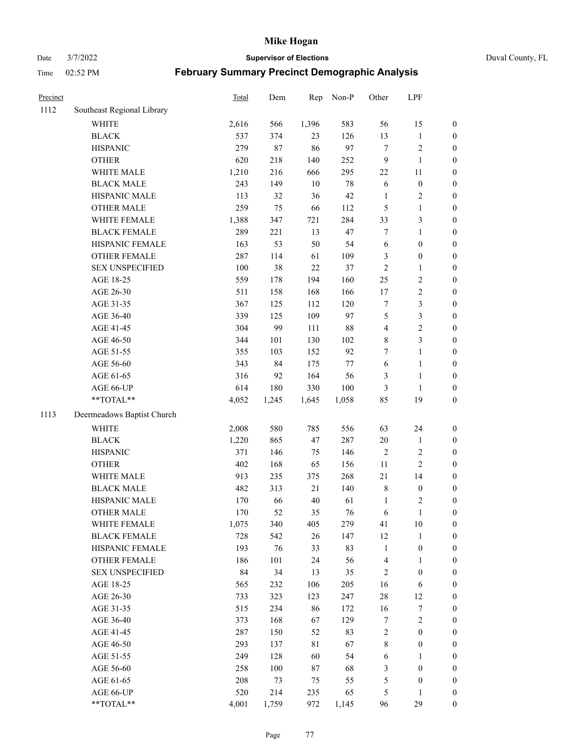Date 3/7/2022 **Supervisor of Elections** Duval County, FL

| Precinct |                            | Total | Dem    | Rep    | Non-P  | Other                   | LPF              |                  |
|----------|----------------------------|-------|--------|--------|--------|-------------------------|------------------|------------------|
| 1112     | Southeast Regional Library |       |        |        |        |                         |                  |                  |
|          | <b>WHITE</b>               | 2,616 | 566    | 1,396  | 583    | 56                      | 15               | 0                |
|          | <b>BLACK</b>               | 537   | 374    | 23     | 126    | 13                      | $\mathbf{1}$     | $\boldsymbol{0}$ |
|          | <b>HISPANIC</b>            | 279   | $87\,$ | 86     | 97     | $\tau$                  | $\sqrt{2}$       | $\boldsymbol{0}$ |
|          | <b>OTHER</b>               | 620   | 218    | 140    | 252    | 9                       | $\mathbf{1}$     | $\boldsymbol{0}$ |
|          | WHITE MALE                 | 1,210 | 216    | 666    | 295    | 22                      | 11               | $\boldsymbol{0}$ |
|          | <b>BLACK MALE</b>          | 243   | 149    | 10     | $78\,$ | 6                       | $\boldsymbol{0}$ | $\boldsymbol{0}$ |
|          | HISPANIC MALE              | 113   | 32     | 36     | $42\,$ | $\mathbf{1}$            | $\sqrt{2}$       | $\boldsymbol{0}$ |
|          | <b>OTHER MALE</b>          | 259   | 75     | 66     | 112    | 5                       | $\mathbf{1}$     | $\boldsymbol{0}$ |
|          | WHITE FEMALE               | 1,388 | 347    | 721    | 284    | 33                      | $\mathfrak{Z}$   | $\boldsymbol{0}$ |
|          | <b>BLACK FEMALE</b>        | 289   | 221    | 13     | 47     | 7                       | $\mathbf{1}$     | $\boldsymbol{0}$ |
|          | HISPANIC FEMALE            | 163   | 53     | 50     | 54     | 6                       | $\boldsymbol{0}$ | $\boldsymbol{0}$ |
|          | OTHER FEMALE               | 287   | 114    | 61     | 109    | 3                       | $\boldsymbol{0}$ | $\boldsymbol{0}$ |
|          | <b>SEX UNSPECIFIED</b>     | 100   | 38     | 22     | 37     | $\sqrt{2}$              | $\mathbf{1}$     | $\boldsymbol{0}$ |
|          | AGE 18-25                  | 559   | 178    | 194    | 160    | $25\,$                  | $\sqrt{2}$       | $\boldsymbol{0}$ |
|          | AGE 26-30                  | 511   | 158    | 168    | 166    | 17                      | $\sqrt{2}$       | $\boldsymbol{0}$ |
|          | AGE 31-35                  | 367   | 125    | 112    | 120    | $\boldsymbol{7}$        | $\mathfrak{Z}$   | $\boldsymbol{0}$ |
|          | AGE 36-40                  | 339   | 125    | 109    | 97     | 5                       | $\mathfrak{Z}$   | $\boldsymbol{0}$ |
|          | AGE 41-45                  | 304   | 99     | 111    | $88\,$ | $\overline{\mathbf{4}}$ | $\sqrt{2}$       | $\boldsymbol{0}$ |
|          | AGE 46-50                  | 344   | 101    | 130    | 102    | 8                       | $\mathfrak{Z}$   | $\boldsymbol{0}$ |
|          | AGE 51-55                  | 355   | 103    | 152    | 92     | 7                       | $\mathbf{1}$     | $\boldsymbol{0}$ |
|          | AGE 56-60                  | 343   | 84     | 175    | $77\,$ | $\sqrt{6}$              | $\mathbf{1}$     | 0                |
|          | AGE 61-65                  | 316   | 92     | 164    | 56     | 3                       | $\mathbf{1}$     | 0                |
|          | AGE 66-UP                  | 614   | 180    | 330    | 100    | 3                       | $\mathbf{1}$     | $\boldsymbol{0}$ |
|          | **TOTAL**                  | 4,052 | 1,245  | 1,645  | 1,058  | 85                      | 19               | $\boldsymbol{0}$ |
| 1113     | Deermeadows Baptist Church |       |        |        |        |                         |                  |                  |
|          | <b>WHITE</b>               | 2,008 | 580    | 785    | 556    | 63                      | 24               | $\boldsymbol{0}$ |
|          | <b>BLACK</b>               | 1,220 | 865    | 47     | 287    | $20\,$                  | $\mathbf{1}$     | $\boldsymbol{0}$ |
|          | <b>HISPANIC</b>            | 371   | 146    | 75     | 146    | $\overline{c}$          | $\sqrt{2}$       | $\boldsymbol{0}$ |
|          | <b>OTHER</b>               | 402   | 168    | 65     | 156    | 11                      | $\overline{c}$   | $\boldsymbol{0}$ |
|          | WHITE MALE                 | 913   | 235    | 375    | 268    | 21                      | 14               | $\boldsymbol{0}$ |
|          | <b>BLACK MALE</b>          | 482   | 313    | 21     | 140    | $\,8\,$                 | $\boldsymbol{0}$ | $\boldsymbol{0}$ |
|          | HISPANIC MALE              | 170   | 66     | $40\,$ | 61     | $\mathbf{1}$            | $\overline{c}$   | $\boldsymbol{0}$ |
|          | <b>OTHER MALE</b>          | 170   | 52     | 35     | 76     | 6                       | $\mathbf{1}$     | $\boldsymbol{0}$ |
|          | WHITE FEMALE               | 1,075 | 340    | 405    | 279    | 41                      | 10               | 0                |
|          | <b>BLACK FEMALE</b>        | 728   | 542    | 26     | 147    | 12                      | $\mathbf{1}$     | $\boldsymbol{0}$ |
|          | HISPANIC FEMALE            | 193   | 76     | 33     | 83     | $\mathbf{1}$            | $\boldsymbol{0}$ | $\overline{0}$   |
|          | <b>OTHER FEMALE</b>        | 186   | 101    | 24     | 56     | 4                       | $\mathbf{1}$     | $\overline{0}$   |
|          | <b>SEX UNSPECIFIED</b>     | 84    | 34     | 13     | 35     | 2                       | $\boldsymbol{0}$ | 0                |
|          | AGE 18-25                  | 565   | 232    | 106    | 205    | 16                      | 6                | 0                |
|          | AGE 26-30                  | 733   | 323    | 123    | 247    | $28\,$                  | 12               | 0                |
|          | AGE 31-35                  | 515   | 234    | 86     | 172    | 16                      | $\boldsymbol{7}$ | 0                |
|          | AGE 36-40                  | 373   | 168    | 67     | 129    | 7                       | $\sqrt{2}$       | 0                |
|          | AGE 41-45                  | 287   | 150    | 52     | 83     | 2                       | $\boldsymbol{0}$ | 0                |
|          | AGE 46-50                  | 293   | 137    | 81     | 67     | $\,$ 8 $\,$             | $\boldsymbol{0}$ | 0                |
|          | AGE 51-55                  | 249   | 128    | 60     | 54     | 6                       | 1                | 0                |
|          | AGE 56-60                  | 258   | 100    | 87     | 68     | 3                       | $\boldsymbol{0}$ | 0                |
|          | AGE 61-65                  | 208   | 73     | 75     | 55     | 5                       | $\boldsymbol{0}$ | $\overline{0}$   |
|          | AGE 66-UP                  | 520   | 214    | 235    | 65     | 5                       | $\mathbf{1}$     | 0                |
|          | **TOTAL**                  | 4,001 | 1,759  | 972    | 1,145  | 96                      | 29               | $\boldsymbol{0}$ |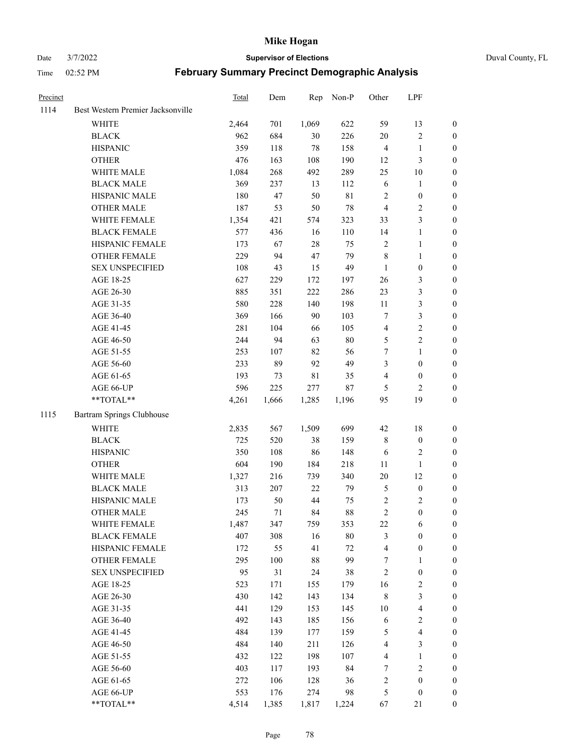# Date 3/7/2022 **Supervisor of Elections** Duval County, FL

| Precinct |                                   | <b>Total</b> | Dem   | Rep         | Non-P       | Other                   | LPF                     |                  |
|----------|-----------------------------------|--------------|-------|-------------|-------------|-------------------------|-------------------------|------------------|
| 1114     | Best Western Premier Jacksonville |              |       |             |             |                         |                         |                  |
|          | <b>WHITE</b>                      | 2,464        | 701   | 1,069       | 622         | 59                      | 13                      | 0                |
|          | <b>BLACK</b>                      | 962          | 684   | 30          | 226         | $20\,$                  | $\sqrt{2}$              | 0                |
|          | <b>HISPANIC</b>                   | 359          | 118   | 78          | 158         | $\overline{4}$          | $\mathbf{1}$            | $\boldsymbol{0}$ |
|          | <b>OTHER</b>                      | 476          | 163   | 108         | 190         | 12                      | $\mathfrak{Z}$          | $\boldsymbol{0}$ |
|          | WHITE MALE                        | 1,084        | 268   | 492         | 289         | 25                      | $10\,$                  | $\boldsymbol{0}$ |
|          | <b>BLACK MALE</b>                 | 369          | 237   | 13          | 112         | $\sqrt{6}$              | $\mathbf{1}$            | $\boldsymbol{0}$ |
|          | HISPANIC MALE                     | 180          | 47    | 50          | $8\sqrt{1}$ | $\sqrt{2}$              | $\boldsymbol{0}$        | $\boldsymbol{0}$ |
|          | <b>OTHER MALE</b>                 | 187          | 53    | 50          | $78\,$      | $\overline{4}$          | $\overline{2}$          | $\boldsymbol{0}$ |
|          | WHITE FEMALE                      | 1,354        | 421   | 574         | 323         | 33                      | $\mathfrak{Z}$          | $\boldsymbol{0}$ |
|          | <b>BLACK FEMALE</b>               | 577          | 436   | 16          | 110         | 14                      | $\mathbf{1}$            | 0                |
|          | HISPANIC FEMALE                   | 173          | 67    | 28          | 75          | $\sqrt{2}$              | $\mathbf{1}$            | 0                |
|          | OTHER FEMALE                      | 229          | 94    | 47          | 79          | $\,$ 8 $\,$             | $\mathbf{1}$            | 0                |
|          | <b>SEX UNSPECIFIED</b>            | 108          | 43    | 15          | 49          | $\mathbf{1}$            | $\boldsymbol{0}$        | $\boldsymbol{0}$ |
|          | AGE 18-25                         | 627          | 229   | 172         | 197         | $26\,$                  | $\mathfrak{Z}$          | $\boldsymbol{0}$ |
|          | AGE 26-30                         | 885          | 351   | 222         | 286         | 23                      | $\mathfrak{Z}$          | $\boldsymbol{0}$ |
|          | AGE 31-35                         | 580          | 228   | 140         | 198         | 11                      | $\mathfrak{Z}$          | $\boldsymbol{0}$ |
|          | AGE 36-40                         | 369          | 166   | 90          | 103         | 7                       | $\mathfrak{Z}$          | $\boldsymbol{0}$ |
|          | AGE 41-45                         | 281          | 104   | 66          | 105         | $\overline{4}$          | $\sqrt{2}$              | $\overline{0}$   |
|          | AGE 46-50                         | 244          | 94    | 63          | $80\,$      | 5                       | $\overline{2}$          | $\boldsymbol{0}$ |
|          | AGE 51-55                         | 253          | 107   | 82          | 56          | 7                       | $\mathbf{1}$            | 0                |
|          | AGE 56-60                         | 233          | 89    | 92          | 49          | 3                       | $\boldsymbol{0}$        | 0                |
|          | AGE 61-65                         | 193          | 73    | $8\sqrt{1}$ | 35          | 4                       | $\boldsymbol{0}$        | 0                |
|          | AGE 66-UP                         | 596          | 225   | 277         | $87\,$      | 5                       | 2                       | $\boldsymbol{0}$ |
|          | **TOTAL**                         | 4,261        | 1,666 | 1,285       | 1,196       | 95                      | 19                      | $\boldsymbol{0}$ |
| 1115     | Bartram Springs Clubhouse         |              |       |             |             |                         |                         |                  |
|          | <b>WHITE</b>                      | 2,835        | 567   | 1,509       | 699         | 42                      | $18\,$                  | $\boldsymbol{0}$ |
|          | <b>BLACK</b>                      | 725          | 520   | 38          | 159         | $\,$ $\,$               | $\boldsymbol{0}$        | $\boldsymbol{0}$ |
|          | <b>HISPANIC</b>                   | 350          | 108   | 86          | 148         | 6                       | $\mathbf{2}$            | $\boldsymbol{0}$ |
|          | <b>OTHER</b>                      | 604          | 190   | 184         | 218         | 11                      | $\mathbf{1}$            | $\boldsymbol{0}$ |
|          | WHITE MALE                        | 1,327        | 216   | 739         | 340         | $20\,$                  | 12                      | $\boldsymbol{0}$ |
|          | <b>BLACK MALE</b>                 | 313          | 207   | 22          | 79          | 5                       | $\boldsymbol{0}$        | $\boldsymbol{0}$ |
|          | HISPANIC MALE                     | 173          | 50    | 44          | 75          | $\sqrt{2}$              | $\overline{c}$          | 0                |
|          | <b>OTHER MALE</b>                 | 245          | 71    | 84          | $88\,$      | $\overline{c}$          | $\boldsymbol{0}$        | 0                |
|          | WHITE FEMALE                      | 1,487        | 347   | 759         | 353         | 22                      | 6                       | 0                |
|          | <b>BLACK FEMALE</b>               | 407          | 308   | 16          | $80\,$      | 3                       | $\boldsymbol{0}$        | $\boldsymbol{0}$ |
|          | HISPANIC FEMALE                   | 172          | 55    | 41          | $72\,$      | 4                       | $\boldsymbol{0}$        | $\overline{0}$   |
|          | OTHER FEMALE                      | 295          | 100   | 88          | 99          | 7                       | $\mathbf{1}$            | $\overline{0}$   |
|          | <b>SEX UNSPECIFIED</b>            | 95           | 31    | 24          | 38          | $\overline{c}$          | $\boldsymbol{0}$        | 0                |
|          | AGE 18-25                         | 523          | 171   | 155         | 179         | 16                      | $\sqrt{2}$              | 0                |
|          | AGE 26-30                         | 430          | 142   | 143         | 134         | 8                       | $\mathfrak{Z}$          | 0                |
|          | AGE 31-35                         | 441          | 129   | 153         | 145         | $10\,$                  | $\overline{\mathbf{4}}$ | 0                |
|          | AGE 36-40                         | 492          | 143   | 185         | 156         | 6                       | $\sqrt{2}$              | 0                |
|          | AGE 41-45                         | 484          | 139   | 177         | 159         | 5                       | $\overline{\mathbf{4}}$ | 0                |
|          | AGE 46-50                         | 484          | 140   | 211         | 126         | 4                       | $\mathfrak{Z}$          | 0                |
|          | AGE 51-55                         | 432          | 122   | 198         | 107         | $\overline{\mathbf{4}}$ | $\mathbf{1}$            | $\boldsymbol{0}$ |
|          | AGE 56-60                         | 403          | 117   | 193         | 84          | 7                       | $\sqrt{2}$              | $\boldsymbol{0}$ |
|          | AGE 61-65                         | 272          | 106   | 128         | 36          | 2                       | $\boldsymbol{0}$        | $\boldsymbol{0}$ |
|          | AGE 66-UP                         | 553          | 176   | 274         | 98          | 5                       | $\boldsymbol{0}$        | 0                |
|          | **TOTAL**                         | 4,514        | 1,385 | 1,817       | 1,224       | 67                      | 21                      | $\boldsymbol{0}$ |
|          |                                   |              |       |             |             |                         |                         |                  |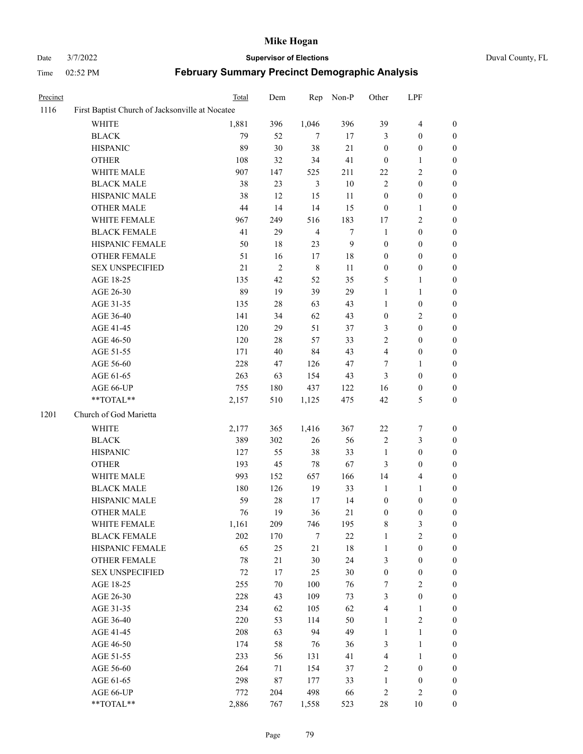# Date 3/7/2022 **Supervisor of Elections** Duval County, FL

| Precinct |                                                 | Total  | Dem        | Rep            | Non-P  | Other            | LPF                     |                  |
|----------|-------------------------------------------------|--------|------------|----------------|--------|------------------|-------------------------|------------------|
| 1116     | First Baptist Church of Jacksonville at Nocatee |        |            |                |        |                  |                         |                  |
|          | <b>WHITE</b>                                    | 1,881  | 396        | 1,046          | 396    | 39               | $\overline{\mathbf{4}}$ | $\boldsymbol{0}$ |
|          | <b>BLACK</b>                                    | 79     | 52         | $\tau$         | 17     | 3                | $\boldsymbol{0}$        | $\boldsymbol{0}$ |
|          | <b>HISPANIC</b>                                 | 89     | 30         | 38             | 21     | $\boldsymbol{0}$ | $\boldsymbol{0}$        | $\boldsymbol{0}$ |
|          | <b>OTHER</b>                                    | 108    | 32         | 34             | 41     | $\boldsymbol{0}$ | $\mathbf{1}$            | $\boldsymbol{0}$ |
|          | WHITE MALE                                      | 907    | 147        | 525            | 211    | $22\,$           | $\sqrt{2}$              | $\boldsymbol{0}$ |
|          | <b>BLACK MALE</b>                               | 38     | 23         | $\mathfrak{Z}$ | $10\,$ | $\sqrt{2}$       | $\boldsymbol{0}$        | $\boldsymbol{0}$ |
|          | HISPANIC MALE                                   | 38     | 12         | 15             | 11     | $\boldsymbol{0}$ | $\boldsymbol{0}$        | $\boldsymbol{0}$ |
|          | <b>OTHER MALE</b>                               | 44     | 14         | 14             | 15     | $\boldsymbol{0}$ | 1                       | 0                |
|          | WHITE FEMALE                                    | 967    | 249        | 516            | 183    | 17               | $\sqrt{2}$              | 0                |
|          | <b>BLACK FEMALE</b>                             | 41     | 29         | $\overline{4}$ | $\tau$ | $\mathbf{1}$     | $\boldsymbol{0}$        | $\boldsymbol{0}$ |
|          | HISPANIC FEMALE                                 | 50     | $18\,$     | 23             | 9      | $\boldsymbol{0}$ | $\boldsymbol{0}$        | $\boldsymbol{0}$ |
|          | OTHER FEMALE                                    | 51     | 16         | 17             | $18\,$ | $\boldsymbol{0}$ | $\boldsymbol{0}$        | $\boldsymbol{0}$ |
|          | <b>SEX UNSPECIFIED</b>                          | 21     | $\sqrt{2}$ | $\,$ 8 $\,$    | 11     | $\boldsymbol{0}$ | $\boldsymbol{0}$        | $\boldsymbol{0}$ |
|          | AGE 18-25                                       | 135    | 42         | 52             | 35     | 5                | $\mathbf{1}$            | $\boldsymbol{0}$ |
|          | AGE 26-30                                       | 89     | 19         | 39             | 29     | $\mathbf{1}$     | $\mathbf{1}$            | $\boldsymbol{0}$ |
|          | AGE 31-35                                       | 135    | $28\,$     | 63             | 43     | $\mathbf{1}$     | $\boldsymbol{0}$        | $\boldsymbol{0}$ |
|          | AGE 36-40                                       | 141    | 34         | 62             | 43     | $\boldsymbol{0}$ | $\sqrt{2}$              | $\boldsymbol{0}$ |
|          | AGE 41-45                                       | 120    | 29         | 51             | 37     | 3                | $\boldsymbol{0}$        | 0                |
|          | AGE 46-50                                       | 120    | $28\,$     | 57             | 33     | $\sqrt{2}$       | $\boldsymbol{0}$        | 0                |
|          | AGE 51-55                                       | 171    | $40\,$     | 84             | 43     | $\overline{4}$   | $\boldsymbol{0}$        | $\boldsymbol{0}$ |
|          | AGE 56-60                                       | 228    | 47         | 126            | $47\,$ | 7                | 1                       | $\boldsymbol{0}$ |
|          | AGE 61-65                                       | 263    | 63         | 154            | 43     | 3                | $\boldsymbol{0}$        | $\boldsymbol{0}$ |
|          | AGE 66-UP                                       | 755    | 180        | 437            | 122    | 16               | $\boldsymbol{0}$        | 0                |
|          | **TOTAL**                                       | 2,157  | 510        | 1,125          | 475    | 42               | 5                       | $\boldsymbol{0}$ |
| 1201     | Church of God Marietta                          |        |            |                |        |                  |                         |                  |
|          | WHITE                                           | 2,177  | 365        | 1,416          | 367    | $22\,$           | $\boldsymbol{7}$        | $\boldsymbol{0}$ |
|          | <b>BLACK</b>                                    | 389    | 302        | $26\,$         | 56     | $\sqrt{2}$       | $\mathfrak{Z}$          | $\boldsymbol{0}$ |
|          | <b>HISPANIC</b>                                 | 127    | 55         | 38             | 33     | $\mathbf{1}$     | $\boldsymbol{0}$        | $\boldsymbol{0}$ |
|          | <b>OTHER</b>                                    | 193    | 45         | 78             | 67     | 3                | $\boldsymbol{0}$        | $\boldsymbol{0}$ |
|          | WHITE MALE                                      | 993    | 152        | 657            | 166    | 14               | $\overline{4}$          | 0                |
|          | <b>BLACK MALE</b>                               | 180    | 126        | 19             | 33     | $\mathbf{1}$     | 1                       | 0                |
|          | HISPANIC MALE                                   | 59     | $28\,$     | 17             | 14     | $\boldsymbol{0}$ | $\boldsymbol{0}$        | 0                |
|          | <b>OTHER MALE</b>                               | 76     | 19         | 36             | $21\,$ | $\boldsymbol{0}$ | $\boldsymbol{0}$        | $\boldsymbol{0}$ |
|          | WHITE FEMALE                                    | 1,161  | 209        | 746            | 195    | 8                | 3                       | $\boldsymbol{0}$ |
|          | <b>BLACK FEMALE</b>                             | 202    | 170        | $\tau$         | 22     | $\mathbf{1}$     | $\sqrt{2}$              | $\overline{0}$   |
|          | HISPANIC FEMALE                                 | 65     | 25         | 21             | 18     | $\mathbf{1}$     | $\boldsymbol{0}$        | 0                |
|          | <b>OTHER FEMALE</b>                             | $78\,$ | 21         | 30             | 24     | 3                | $\boldsymbol{0}$        | 0                |
|          | <b>SEX UNSPECIFIED</b>                          | $72\,$ | 17         | 25             | $30\,$ | $\boldsymbol{0}$ | $\boldsymbol{0}$        | 0                |
|          | AGE 18-25                                       | 255    | $70\,$     | 100            | 76     | 7                | $\sqrt{2}$              | 0                |
|          | AGE 26-30                                       | 228    | 43         | 109            | 73     | 3                | $\boldsymbol{0}$        | 0                |
|          | AGE 31-35                                       | 234    | 62         | 105            | 62     | 4                | 1                       | 0                |
|          | AGE 36-40                                       | 220    | 53         | 114            | 50     | $\mathbf{1}$     | $\sqrt{2}$              | 0                |
|          | AGE 41-45                                       | 208    | 63         | 94             | 49     | $\mathbf{1}$     | $\mathbf{1}$            | 0                |
|          | AGE 46-50                                       | 174    | 58         | 76             | 36     | 3                | $\mathbf{1}$            | $\boldsymbol{0}$ |
|          | AGE 51-55                                       | 233    | 56         | 131            | 41     | 4                | $\mathbf{1}$            | 0                |
|          | AGE 56-60                                       | 264    | 71         | 154            | 37     | $\overline{c}$   | $\boldsymbol{0}$        | 0                |
|          | AGE 61-65                                       | 298    | 87         | 177            | 33     | $\mathbf{1}$     | $\boldsymbol{0}$        | 0                |
|          | AGE 66-UP                                       | 772    | 204        | 498            | 66     | $\sqrt{2}$       | $\sqrt{2}$              | 0                |
|          | **TOTAL**                                       | 2,886  | 767        | 1,558          | 523    | $28\,$           | 10                      | $\boldsymbol{0}$ |
|          |                                                 |        |            |                |        |                  |                         |                  |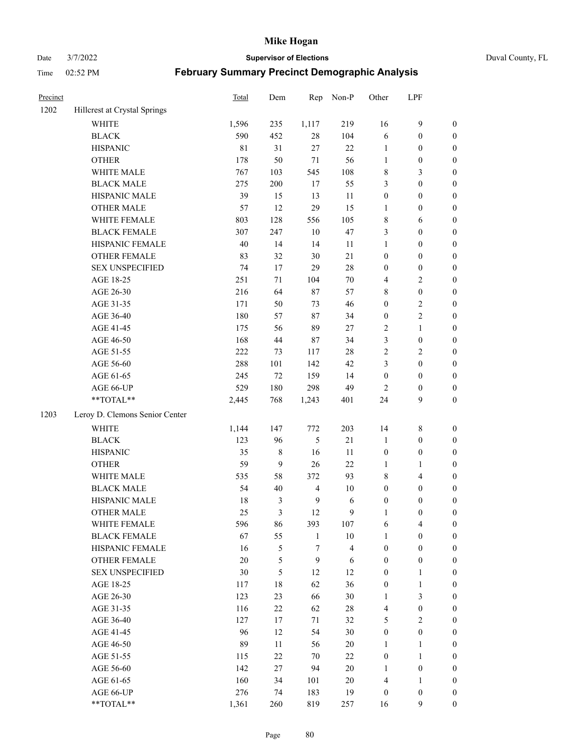Date 3/7/2022 **Supervisor of Elections** Duval County, FL

| Precinct |                                | Total       | Dem    | Rep            | Non-P                   | Other            | LPF              |                  |
|----------|--------------------------------|-------------|--------|----------------|-------------------------|------------------|------------------|------------------|
| 1202     | Hillcrest at Crystal Springs   |             |        |                |                         |                  |                  |                  |
|          | <b>WHITE</b>                   | 1,596       | 235    | 1,117          | 219                     | 16               | $\mathbf{9}$     | 0                |
|          | <b>BLACK</b>                   | 590         | 452    | $28\,$         | 104                     | 6                | $\boldsymbol{0}$ | $\boldsymbol{0}$ |
|          | <b>HISPANIC</b>                | $8\sqrt{1}$ | 31     | 27             | 22                      | $\mathbf{1}$     | $\boldsymbol{0}$ | $\boldsymbol{0}$ |
|          | <b>OTHER</b>                   | 178         | 50     | $71\,$         | 56                      | 1                | $\boldsymbol{0}$ | $\boldsymbol{0}$ |
|          | WHITE MALE                     | 767         | 103    | 545            | 108                     | 8                | $\mathfrak{Z}$   | $\boldsymbol{0}$ |
|          | <b>BLACK MALE</b>              | 275         | 200    | 17             | 55                      | 3                | $\boldsymbol{0}$ | $\boldsymbol{0}$ |
|          | HISPANIC MALE                  | 39          | 15     | 13             | 11                      | $\boldsymbol{0}$ | $\boldsymbol{0}$ | $\boldsymbol{0}$ |
|          | <b>OTHER MALE</b>              | 57          | 12     | 29             | 15                      | $\mathbf{1}$     | $\boldsymbol{0}$ | $\boldsymbol{0}$ |
|          | WHITE FEMALE                   | 803         | 128    | 556            | 105                     | 8                | 6                | $\boldsymbol{0}$ |
|          | <b>BLACK FEMALE</b>            | 307         | 247    | 10             | 47                      | 3                | $\boldsymbol{0}$ | $\boldsymbol{0}$ |
|          | HISPANIC FEMALE                | $40\,$      | 14     | 14             | 11                      | $\mathbf{1}$     | $\boldsymbol{0}$ | 0                |
|          | OTHER FEMALE                   | 83          | 32     | 30             | 21                      | $\boldsymbol{0}$ | $\boldsymbol{0}$ | 0                |
|          | <b>SEX UNSPECIFIED</b>         | 74          | 17     | 29             | $28\,$                  | $\boldsymbol{0}$ | $\boldsymbol{0}$ | $\boldsymbol{0}$ |
|          | AGE 18-25                      | 251         | 71     | 104            | $70\,$                  | 4                | $\sqrt{2}$       | $\boldsymbol{0}$ |
|          | AGE 26-30                      | 216         | 64     | 87             | 57                      | 8                | $\boldsymbol{0}$ | $\boldsymbol{0}$ |
|          | AGE 31-35                      | 171         | 50     | 73             | 46                      | $\boldsymbol{0}$ | $\sqrt{2}$       | $\boldsymbol{0}$ |
|          | AGE 36-40                      | 180         | 57     | 87             | 34                      | $\boldsymbol{0}$ | $\sqrt{2}$       | $\boldsymbol{0}$ |
|          | AGE 41-45                      | 175         | 56     | 89             | 27                      | $\sqrt{2}$       | $\mathbf{1}$     | $\boldsymbol{0}$ |
|          | AGE 46-50                      | 168         | 44     | 87             | 34                      | 3                | $\boldsymbol{0}$ | $\boldsymbol{0}$ |
|          | AGE 51-55                      | 222         | 73     | 117            | $28\,$                  | $\sqrt{2}$       | $\sqrt{2}$       | $\boldsymbol{0}$ |
|          | AGE 56-60                      | 288         | 101    | 142            | 42                      | 3                | $\boldsymbol{0}$ | 0                |
|          | AGE 61-65                      | 245         | $72\,$ | 159            | 14                      | $\boldsymbol{0}$ | $\boldsymbol{0}$ | 0                |
|          | AGE 66-UP                      | 529         | 180    | 298            | 49                      | $\overline{c}$   | $\boldsymbol{0}$ | $\boldsymbol{0}$ |
|          | **TOTAL**                      | 2,445       | 768    | 1,243          | 401                     | 24               | 9                | $\boldsymbol{0}$ |
| 1203     | Leroy D. Clemons Senior Center |             |        |                |                         |                  |                  |                  |
|          | <b>WHITE</b>                   | 1,144       | 147    | 772            | 203                     | 14               | $\,$ 8 $\,$      | $\boldsymbol{0}$ |
|          | <b>BLACK</b>                   | 123         | 96     | 5              | 21                      | $\mathbf{1}$     | $\boldsymbol{0}$ | $\boldsymbol{0}$ |
|          | <b>HISPANIC</b>                | 35          | 8      | 16             | 11                      | $\boldsymbol{0}$ | $\boldsymbol{0}$ | $\boldsymbol{0}$ |
|          | <b>OTHER</b>                   | 59          | 9      | 26             | 22                      | $\mathbf{1}$     | $\mathbf{1}$     | $\boldsymbol{0}$ |
|          | WHITE MALE                     | 535         | 58     | 372            | 93                      | 8                | $\overline{4}$   | $\boldsymbol{0}$ |
|          | <b>BLACK MALE</b>              | 54          | 40     | $\overline{4}$ | $10\,$                  | $\boldsymbol{0}$ | $\boldsymbol{0}$ | $\boldsymbol{0}$ |
|          | HISPANIC MALE                  | 18          | 3      | $\overline{9}$ | 6                       | $\boldsymbol{0}$ | $\boldsymbol{0}$ | $\boldsymbol{0}$ |
|          | <b>OTHER MALE</b>              | 25          | 3      | 12             | 9                       | $\mathbf{1}$     | $\boldsymbol{0}$ | $\boldsymbol{0}$ |
|          | WHITE FEMALE                   | 596         | 86     | 393            | 107                     | 6                | 4                | 0                |
|          | <b>BLACK FEMALE</b>            | 67          | 55     | $\mathbf{1}$   | $10\,$                  | $\mathbf{1}$     | $\boldsymbol{0}$ | $\overline{0}$   |
|          | HISPANIC FEMALE                | 16          | 5      | $\tau$         | $\overline{\mathbf{4}}$ | $\boldsymbol{0}$ | $\boldsymbol{0}$ | $\overline{0}$   |
|          | OTHER FEMALE                   | $20\,$      | 5      | 9              | 6                       | $\boldsymbol{0}$ | $\boldsymbol{0}$ | $\overline{0}$   |
|          | <b>SEX UNSPECIFIED</b>         | 30          | 5      | 12             | 12                      | $\boldsymbol{0}$ | $\mathbf{1}$     | 0                |
|          | AGE 18-25                      | 117         | 18     | 62             | 36                      | $\boldsymbol{0}$ | $\mathbf{1}$     | $\theta$         |
|          | AGE 26-30                      | 123         | 23     | 66             | 30                      | $\mathbf{1}$     | $\mathfrak{Z}$   | 0                |
|          | AGE 31-35                      | 116         | 22     | 62             | $28\,$                  | $\overline{4}$   | $\boldsymbol{0}$ | 0                |
|          | AGE 36-40                      | 127         | 17     | 71             | 32                      | 5                | $\sqrt{2}$       | 0                |
|          | AGE 41-45                      | 96          | 12     | 54             | 30                      | $\boldsymbol{0}$ | $\boldsymbol{0}$ | 0                |
|          | AGE 46-50                      | 89          | 11     | 56             | $20\,$                  | 1                | $\mathbf{1}$     | 0                |
|          | AGE 51-55                      | 115         | 22     | 70             | 22                      | $\boldsymbol{0}$ | $\mathbf{1}$     | 0                |
|          | AGE 56-60                      | 142         | 27     | 94             | $20\,$                  | 1                | $\boldsymbol{0}$ | 0                |
|          | AGE 61-65                      | 160         | 34     | 101            | $20\,$                  | 4                | $\mathbf{1}$     | $\overline{0}$   |
|          | AGE 66-UP                      | 276         | 74     | 183            | 19                      | $\boldsymbol{0}$ | $\boldsymbol{0}$ | $\boldsymbol{0}$ |
|          | **TOTAL**                      | 1,361       | 260    | 819            | 257                     | 16               | 9                | $\boldsymbol{0}$ |
|          |                                |             |        |                |                         |                  |                  |                  |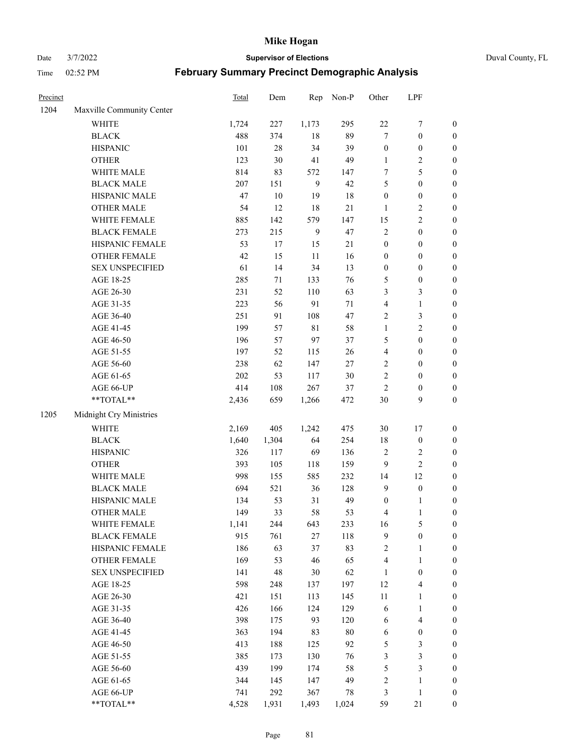Date 3/7/2022 **Supervisor of Elections** Duval County, FL

| Precinct |                                                           | Total | Dem    | Rep          | Non-P  | Other            | LPF              |                  |
|----------|-----------------------------------------------------------|-------|--------|--------------|--------|------------------|------------------|------------------|
| 1204     | Maxville Community Center                                 |       |        |              |        |                  |                  |                  |
|          | <b>WHITE</b>                                              | 1,724 | 227    | 1,173        | 295    | $22\,$           | $\boldsymbol{7}$ | 0                |
|          | <b>BLACK</b>                                              | 488   | 374    | $18\,$       | 89     | $\tau$           | $\boldsymbol{0}$ | $\boldsymbol{0}$ |
|          | <b>HISPANIC</b>                                           | 101   | $28\,$ | 34           | 39     | $\boldsymbol{0}$ | $\boldsymbol{0}$ | $\boldsymbol{0}$ |
|          | <b>OTHER</b>                                              | 123   | $30\,$ | 41           | 49     | 1                | $\sqrt{2}$       | $\boldsymbol{0}$ |
|          | WHITE MALE                                                | 814   | 83     | 572          | 147    | 7                | 5                | $\boldsymbol{0}$ |
|          | <b>BLACK MALE</b>                                         | 207   | 151    | $\mathbf{9}$ | 42     | 5                | $\boldsymbol{0}$ | $\boldsymbol{0}$ |
|          | HISPANIC MALE                                             | 47    | $10\,$ | 19           | 18     | $\boldsymbol{0}$ | $\boldsymbol{0}$ | $\boldsymbol{0}$ |
|          | <b>OTHER MALE</b>                                         | 54    | 12     | 18           | $21\,$ | $\mathbf{1}$     | $\sqrt{2}$       | $\boldsymbol{0}$ |
|          | WHITE FEMALE                                              | 885   | 142    | 579          | 147    | 15               | $\sqrt{2}$       | $\boldsymbol{0}$ |
|          | <b>BLACK FEMALE</b>                                       | 273   | 215    | $\mathbf{9}$ | 47     | 2                | $\boldsymbol{0}$ | $\boldsymbol{0}$ |
|          | HISPANIC FEMALE                                           | 53    | 17     | 15           | 21     | $\boldsymbol{0}$ | $\boldsymbol{0}$ | $\boldsymbol{0}$ |
|          | <b>OTHER FEMALE</b>                                       | 42    | 15     | 11           | 16     | $\boldsymbol{0}$ | $\boldsymbol{0}$ | $\boldsymbol{0}$ |
|          | <b>SEX UNSPECIFIED</b>                                    | 61    | 14     | 34           | 13     | $\boldsymbol{0}$ | $\boldsymbol{0}$ | $\boldsymbol{0}$ |
|          | AGE 18-25                                                 | 285   | $71\,$ | 133          | 76     | 5                | $\boldsymbol{0}$ | $\boldsymbol{0}$ |
|          | AGE 26-30                                                 | 231   | 52     | 110          | 63     | 3                | $\mathfrak{Z}$   | $\boldsymbol{0}$ |
|          | AGE 31-35                                                 | 223   | 56     | 91           | $71\,$ | 4                | $\mathbf{1}$     | $\boldsymbol{0}$ |
|          | AGE 36-40                                                 | 251   | 91     | 108          | 47     | 2                | 3                | $\boldsymbol{0}$ |
|          | AGE 41-45                                                 | 199   | 57     | $8\sqrt{1}$  | 58     | $\mathbf{1}$     | $\mathfrak{2}$   | $\boldsymbol{0}$ |
|          | AGE 46-50                                                 | 196   | 57     | 97           | 37     | 5                | $\boldsymbol{0}$ | $\boldsymbol{0}$ |
|          | AGE 51-55                                                 | 197   | 52     | 115          | $26\,$ | 4                | $\boldsymbol{0}$ | $\boldsymbol{0}$ |
|          | AGE 56-60                                                 | 238   | 62     | 147          | 27     | $\overline{c}$   | $\boldsymbol{0}$ | 0                |
|          | AGE 61-65                                                 | 202   | 53     | 117          | 30     | $\overline{c}$   | $\boldsymbol{0}$ | $\boldsymbol{0}$ |
|          | AGE 66-UP                                                 | 414   | 108    | 267          | 37     | $\sqrt{2}$       | $\boldsymbol{0}$ | $\boldsymbol{0}$ |
|          | $\mathrm{*}\mathrm{*}\mathrm{TOTAL} \mathrm{*}\mathrm{*}$ | 2,436 | 659    | 1,266        | 472    | $30\,$           | 9                | $\boldsymbol{0}$ |
| 1205     | Midnight Cry Ministries                                   |       |        |              |        |                  |                  |                  |
|          | <b>WHITE</b>                                              | 2,169 | 405    | 1,242        | 475    | 30               | 17               | $\boldsymbol{0}$ |
|          | <b>BLACK</b>                                              | 1,640 | 1,304  | 64           | 254    | 18               | $\boldsymbol{0}$ | $\boldsymbol{0}$ |
|          | <b>HISPANIC</b>                                           | 326   | 117    | 69           | 136    | 2                | $\sqrt{2}$       | $\boldsymbol{0}$ |
|          | <b>OTHER</b>                                              | 393   | 105    | 118          | 159    | 9                | $\sqrt{2}$       | $\boldsymbol{0}$ |
|          | WHITE MALE                                                | 998   | 155    | 585          | 232    | 14               | 12               | $\boldsymbol{0}$ |
|          | <b>BLACK MALE</b>                                         | 694   | 521    | 36           | 128    | $\mathbf{9}$     | $\boldsymbol{0}$ | $\boldsymbol{0}$ |
|          | HISPANIC MALE                                             | 134   | 53     | 31           | 49     | $\boldsymbol{0}$ | 1                | $\boldsymbol{0}$ |
|          | <b>OTHER MALE</b>                                         | 149   | 33     | 58           | 53     | 4                | $\mathbf{1}$     | $\boldsymbol{0}$ |
|          | WHITE FEMALE                                              | 1,141 | 244    | 643          | 233    | 16               | 5                | 0                |
|          | <b>BLACK FEMALE</b>                                       | 915   | 761    | 27           | 118    | 9                | $\boldsymbol{0}$ | $\boldsymbol{0}$ |
|          | HISPANIC FEMALE                                           | 186   | 63     | 37           | 83     | 2                | $\mathbf{1}$     | $\overline{0}$   |
|          | <b>OTHER FEMALE</b>                                       | 169   | 53     | 46           | 65     | 4                | $\mathbf{1}$     | $\overline{0}$   |
|          | <b>SEX UNSPECIFIED</b>                                    | 141   | 48     | 30           | 62     | $\mathbf{1}$     | $\boldsymbol{0}$ | 0                |
|          | AGE 18-25                                                 | 598   | 248    | 137          | 197    | 12               | $\overline{4}$   | 0                |
|          | AGE 26-30                                                 | 421   | 151    | 113          | 145    | 11               | $\mathbf{1}$     | 0                |
|          | AGE 31-35                                                 | 426   | 166    | 124          | 129    | 6                | $\mathbf{1}$     | 0                |
|          | AGE 36-40                                                 | 398   | 175    | 93           | 120    | 6                | $\overline{4}$   | 0                |
|          | AGE 41-45                                                 | 363   | 194    | 83           | $80\,$ | 6                | $\boldsymbol{0}$ | 0                |
|          | AGE 46-50                                                 | 413   | 188    | 125          | 92     | 5                | 3                | 0                |
|          | AGE 51-55                                                 | 385   | 173    | 130          | 76     | 3                | $\mathfrak{Z}$   | $\boldsymbol{0}$ |
|          | AGE 56-60                                                 | 439   | 199    | 174          | 58     | 5                | $\mathfrak{Z}$   | $\boldsymbol{0}$ |
|          | AGE 61-65                                                 | 344   | 145    | 147          | 49     | 2                | $\mathbf{1}$     | $\boldsymbol{0}$ |
|          | AGE 66-UP                                                 | 741   | 292    | 367          | 78     | 3                | $\mathbf{1}$     | 0                |
|          | **TOTAL**                                                 | 4,528 | 1,931  | 1,493        | 1,024  | 59               | $21\,$           | $\boldsymbol{0}$ |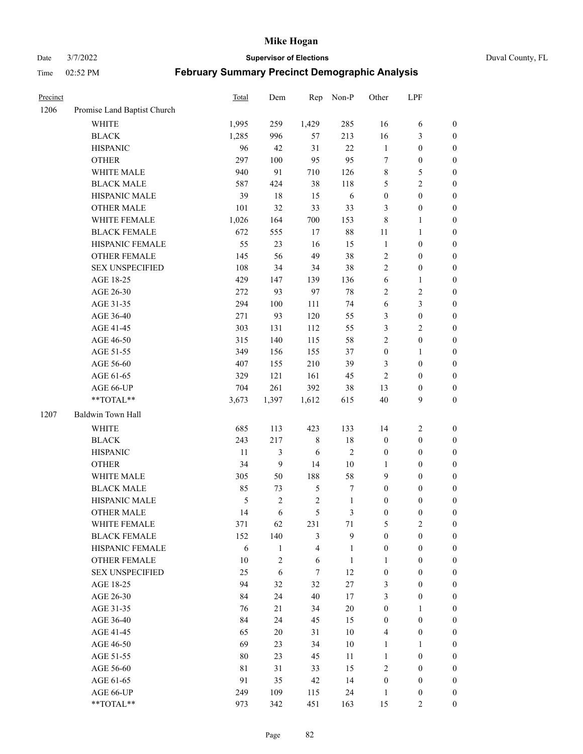Date 3/7/2022 **Supervisor of Elections** Duval County, FL

| Precinct |                             | Total | Dem          | Rep                     | Non-P            | Other            | LPF              |                  |
|----------|-----------------------------|-------|--------------|-------------------------|------------------|------------------|------------------|------------------|
| 1206     | Promise Land Baptist Church |       |              |                         |                  |                  |                  |                  |
|          | <b>WHITE</b>                | 1,995 | 259          | 1,429                   | 285              | 16               | 6                | 0                |
|          | <b>BLACK</b>                | 1,285 | 996          | 57                      | 213              | 16               | $\mathfrak{Z}$   | $\boldsymbol{0}$ |
|          | <b>HISPANIC</b>             | 96    | 42           | 31                      | 22               | $\mathbf{1}$     | $\boldsymbol{0}$ | $\boldsymbol{0}$ |
|          | <b>OTHER</b>                | 297   | 100          | 95                      | 95               | 7                | $\boldsymbol{0}$ | $\boldsymbol{0}$ |
|          | WHITE MALE                  | 940   | 91           | 710                     | 126              | 8                | 5                | $\boldsymbol{0}$ |
|          | <b>BLACK MALE</b>           | 587   | 424          | 38                      | 118              | 5                | $\sqrt{2}$       | $\boldsymbol{0}$ |
|          | HISPANIC MALE               | 39    | $18\,$       | 15                      | 6                | $\boldsymbol{0}$ | $\boldsymbol{0}$ | $\boldsymbol{0}$ |
|          | <b>OTHER MALE</b>           | 101   | 32           | 33                      | 33               | 3                | $\boldsymbol{0}$ | $\boldsymbol{0}$ |
|          | WHITE FEMALE                | 1,026 | 164          | 700                     | 153              | $\,$ 8 $\,$      | $\mathbf{1}$     | $\boldsymbol{0}$ |
|          | <b>BLACK FEMALE</b>         | 672   | 555          | 17                      | $88\,$           | 11               | $\mathbf{1}$     | 0                |
|          | HISPANIC FEMALE             | 55    | 23           | 16                      | 15               | $\mathbf{1}$     | $\boldsymbol{0}$ | 0                |
|          | <b>OTHER FEMALE</b>         | 145   | 56           | 49                      | 38               | 2                | $\boldsymbol{0}$ | $\boldsymbol{0}$ |
|          | <b>SEX UNSPECIFIED</b>      | 108   | 34           | 34                      | 38               | $\overline{2}$   | $\boldsymbol{0}$ | $\boldsymbol{0}$ |
|          | AGE 18-25                   | 429   | 147          | 139                     | 136              | 6                | $\mathbf{1}$     | $\boldsymbol{0}$ |
|          | AGE 26-30                   | 272   | 93           | 97                      | $78\,$           | 2                | $\sqrt{2}$       | $\boldsymbol{0}$ |
|          | AGE 31-35                   | 294   | 100          | 111                     | 74               | 6                | $\mathfrak{Z}$   | $\boldsymbol{0}$ |
|          | AGE 36-40                   | 271   | 93           | 120                     | 55               | 3                | $\boldsymbol{0}$ | $\boldsymbol{0}$ |
|          | AGE 41-45                   | 303   | 131          | 112                     | 55               | 3                | $\overline{2}$   | $\boldsymbol{0}$ |
|          | AGE 46-50                   | 315   | 140          | 115                     | 58               | $\overline{c}$   | $\boldsymbol{0}$ | $\boldsymbol{0}$ |
|          | AGE 51-55                   | 349   | 156          | 155                     | 37               | $\boldsymbol{0}$ | $\mathbf{1}$     | $\boldsymbol{0}$ |
|          | AGE 56-60                   | 407   | 155          | 210                     | 39               | 3                | $\boldsymbol{0}$ | 0                |
|          | AGE 61-65                   | 329   | 121          | 161                     | 45               | $\mathbf{2}$     | $\boldsymbol{0}$ | 0                |
|          | AGE 66-UP                   | 704   | 261          | 392                     | 38               | 13               | $\boldsymbol{0}$ | $\boldsymbol{0}$ |
|          | **TOTAL**                   | 3,673 | 1,397        | 1,612                   | 615              | 40               | $\boldsymbol{9}$ | $\boldsymbol{0}$ |
| 1207     | Baldwin Town Hall           |       |              |                         |                  |                  |                  |                  |
|          |                             |       |              |                         |                  |                  |                  |                  |
|          | <b>WHITE</b>                | 685   | 113          | 423                     | 133              | 14               | $\sqrt{2}$       | $\boldsymbol{0}$ |
|          | <b>BLACK</b>                | 243   | 217          | 8                       | 18               | $\boldsymbol{0}$ | $\boldsymbol{0}$ | $\boldsymbol{0}$ |
|          | <b>HISPANIC</b>             | 11    | 3            | 6                       | $\sqrt{2}$       | $\boldsymbol{0}$ | $\boldsymbol{0}$ | $\boldsymbol{0}$ |
|          | <b>OTHER</b>                | 34    | 9            | 14                      | $10\,$           | 1                | $\boldsymbol{0}$ | $\boldsymbol{0}$ |
|          | WHITE MALE                  | 305   | 50           | 188                     | 58               | 9                | $\boldsymbol{0}$ | $\boldsymbol{0}$ |
|          | <b>BLACK MALE</b>           | 85    | 73           | $\mathfrak{S}$          | $\boldsymbol{7}$ | $\boldsymbol{0}$ | $\boldsymbol{0}$ | $\boldsymbol{0}$ |
|          | HISPANIC MALE               | 5     | $\sqrt{2}$   | $\sqrt{2}$              | $\mathbf{1}$     | $\boldsymbol{0}$ | $\boldsymbol{0}$ | $\boldsymbol{0}$ |
|          | OTHER MALE                  | 14    | 6            | 5                       | $\mathfrak{Z}$   | $\boldsymbol{0}$ | $\boldsymbol{0}$ | $\boldsymbol{0}$ |
|          | WHITE FEMALE                | 371   | 62           | 231                     | 71               | 5                | 2                | 0                |
|          | <b>BLACK FEMALE</b>         | 152   | 140          | 3                       | 9                | $\boldsymbol{0}$ | $\boldsymbol{0}$ | $\overline{0}$   |
|          | HISPANIC FEMALE             | 6     | $\mathbf{1}$ | $\overline{\mathbf{4}}$ | $\mathbf{1}$     | $\boldsymbol{0}$ | $\boldsymbol{0}$ | $\overline{0}$   |
|          | OTHER FEMALE                | 10    | 2            | 6                       | $\mathbf{1}$     | 1                | $\boldsymbol{0}$ | $\overline{0}$   |
|          | <b>SEX UNSPECIFIED</b>      | 25    | 6            | 7                       | 12               | $\boldsymbol{0}$ | $\boldsymbol{0}$ | $\overline{0}$   |
|          | AGE 18-25                   | 94    | 32           | 32                      | $27\,$           | 3                | $\boldsymbol{0}$ | $\theta$         |
|          | AGE 26-30                   | 84    | 24           | 40                      | 17               | 3                | $\boldsymbol{0}$ | 0                |
|          | AGE 31-35                   | 76    | 21           | 34                      | $20\,$           | $\boldsymbol{0}$ | $\mathbf{1}$     | 0                |
|          | AGE 36-40                   | 84    | 24           | 45                      | 15               | $\boldsymbol{0}$ | $\boldsymbol{0}$ | 0                |
|          | AGE 41-45                   | 65    | 20           | 31                      | 10               | $\overline{4}$   | $\boldsymbol{0}$ | 0                |
|          | AGE 46-50                   | 69    | 23           | 34                      | $10\,$           | 1                | 1                | 0                |
|          | AGE 51-55                   | 80    | 23           | 45                      | 11               | $\mathbf{1}$     | $\boldsymbol{0}$ | $\overline{0}$   |
|          | AGE 56-60                   | 81    | 31           | 33                      | 15               | 2                | $\boldsymbol{0}$ | $\overline{0}$   |
|          | AGE 61-65                   | 91    | 35           | 42                      | 14               | $\boldsymbol{0}$ | $\boldsymbol{0}$ | $\overline{0}$   |
|          | AGE 66-UP                   | 249   | 109          | 115                     | 24               | $\mathbf{1}$     | $\boldsymbol{0}$ | 0                |
|          | **TOTAL**                   | 973   | 342          | 451                     | 163              | 15               | $\overline{2}$   | $\boldsymbol{0}$ |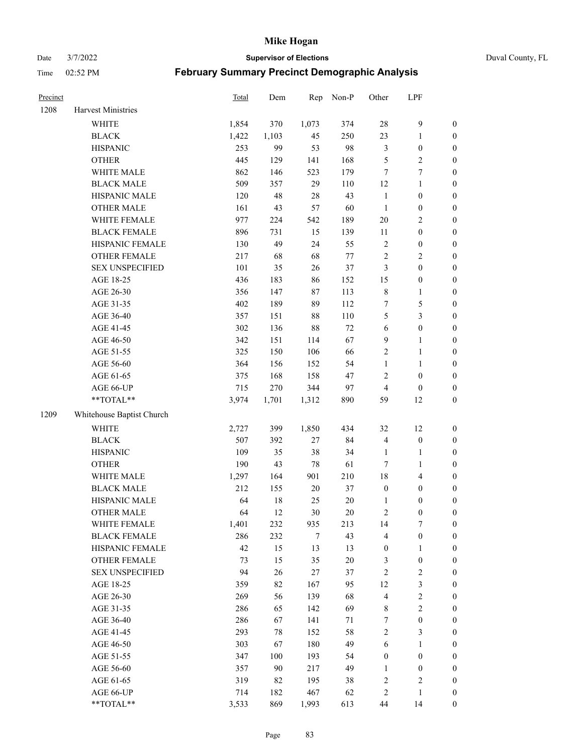Date 3/7/2022 **Supervisor of Elections** Duval County, FL

| Precinct |                           | Total | Dem    | Rep    | Non-P  | Other                   | LPF                     |                  |
|----------|---------------------------|-------|--------|--------|--------|-------------------------|-------------------------|------------------|
| 1208     | Harvest Ministries        |       |        |        |        |                         |                         |                  |
|          | <b>WHITE</b>              | 1,854 | 370    | 1,073  | 374    | 28                      | $\mathbf{9}$            | 0                |
|          | <b>BLACK</b>              | 1,422 | 1,103  | 45     | 250    | 23                      | $\mathbf{1}$            | $\boldsymbol{0}$ |
|          | <b>HISPANIC</b>           | 253   | 99     | 53     | 98     | 3                       | $\boldsymbol{0}$        | $\boldsymbol{0}$ |
|          | <b>OTHER</b>              | 445   | 129    | 141    | 168    | 5                       | $\sqrt{2}$              | $\boldsymbol{0}$ |
|          | WHITE MALE                | 862   | 146    | 523    | 179    | 7                       | $\tau$                  | $\boldsymbol{0}$ |
|          | <b>BLACK MALE</b>         | 509   | 357    | 29     | 110    | 12                      | $\mathbf{1}$            | $\boldsymbol{0}$ |
|          | HISPANIC MALE             | 120   | 48     | 28     | 43     | $\mathbf{1}$            | $\boldsymbol{0}$        | $\boldsymbol{0}$ |
|          | <b>OTHER MALE</b>         | 161   | 43     | 57     | 60     | $\mathbf{1}$            | $\boldsymbol{0}$        | $\boldsymbol{0}$ |
|          | WHITE FEMALE              | 977   | 224    | 542    | 189    | $20\,$                  | $\overline{2}$          | $\boldsymbol{0}$ |
|          | <b>BLACK FEMALE</b>       | 896   | 731    | 15     | 139    | $11\,$                  | $\boldsymbol{0}$        | $\boldsymbol{0}$ |
|          | HISPANIC FEMALE           | 130   | 49     | 24     | 55     | $\sqrt{2}$              | $\boldsymbol{0}$        | 0                |
|          | OTHER FEMALE              | 217   | 68     | 68     | $77\,$ | $\sqrt{2}$              | $\sqrt{2}$              | $\boldsymbol{0}$ |
|          | <b>SEX UNSPECIFIED</b>    | 101   | 35     | 26     | 37     | 3                       | $\boldsymbol{0}$        | $\boldsymbol{0}$ |
|          | AGE 18-25                 | 436   | 183    | 86     | 152    | 15                      | $\boldsymbol{0}$        | $\boldsymbol{0}$ |
|          | AGE 26-30                 | 356   | 147    | 87     | 113    | $\,$ $\,$               | $\mathbf{1}$            | $\boldsymbol{0}$ |
|          | AGE 31-35                 | 402   | 189    | 89     | 112    | 7                       | $\mathfrak s$           | $\boldsymbol{0}$ |
|          | AGE 36-40                 | 357   | 151    | 88     | 110    | 5                       | $\mathfrak{Z}$          | $\boldsymbol{0}$ |
|          | AGE 41-45                 | 302   | 136    | 88     | $72\,$ | $\sqrt{6}$              | $\boldsymbol{0}$        | $\boldsymbol{0}$ |
|          | AGE 46-50                 | 342   | 151    | 114    | 67     | $\mathbf{9}$            | $\mathbf{1}$            | $\boldsymbol{0}$ |
|          | AGE 51-55                 | 325   | 150    | 106    | 66     | 2                       | $\mathbf{1}$            | 0                |
|          | AGE 56-60                 | 364   | 156    | 152    | 54     | $\mathbf{1}$            | 1                       | 0                |
|          | AGE 61-65                 | 375   | 168    | 158    | 47     | $\mathbf{2}$            | $\boldsymbol{0}$        | 0                |
|          | AGE 66-UP                 | 715   | 270    | 344    | 97     | $\overline{4}$          | $\boldsymbol{0}$        | $\boldsymbol{0}$ |
|          | **TOTAL**                 | 3,974 | 1,701  | 1,312  | 890    | 59                      | 12                      | $\boldsymbol{0}$ |
| 1209     | Whitehouse Baptist Church |       |        |        |        |                         |                         |                  |
|          | <b>WHITE</b>              | 2,727 | 399    | 1,850  | 434    | 32                      | 12                      | $\boldsymbol{0}$ |
|          | <b>BLACK</b>              | 507   | 392    | 27     | 84     | 4                       | $\boldsymbol{0}$        | $\boldsymbol{0}$ |
|          | <b>HISPANIC</b>           | 109   | 35     | 38     | 34     | $\mathbf{1}$            | $\mathbf{1}$            | $\boldsymbol{0}$ |
|          | <b>OTHER</b>              | 190   | 43     | $78\,$ | 61     | $\tau$                  | $\mathbf{1}$            | $\boldsymbol{0}$ |
|          | WHITE MALE                | 1,297 | 164    | 901    | 210    | 18                      | $\overline{\mathbf{4}}$ | $\boldsymbol{0}$ |
|          | <b>BLACK MALE</b>         | 212   | 155    | $20\,$ | 37     | $\boldsymbol{0}$        | $\boldsymbol{0}$        | $\boldsymbol{0}$ |
|          | HISPANIC MALE             | 64    | $18\,$ | 25     | $20\,$ | 1                       | $\boldsymbol{0}$        | $\boldsymbol{0}$ |
|          | <b>OTHER MALE</b>         | 64    | 12     | 30     | $20\,$ | $\overline{c}$          | $\boldsymbol{0}$        | $\boldsymbol{0}$ |
|          | WHITE FEMALE              | 1,401 | 232    | 935    | 213    | 14                      | 7                       | 0                |
|          | <b>BLACK FEMALE</b>       | 286   | 232    | 7      | 43     | 4                       | $\boldsymbol{0}$        | $\boldsymbol{0}$ |
|          | HISPANIC FEMALE           | 42    | 15     | 13     | 13     | $\boldsymbol{0}$        | $\mathbf{1}$            | $\overline{0}$   |
|          | OTHER FEMALE              | 73    | 15     | 35     | $20\,$ | 3                       | $\boldsymbol{0}$        | $\overline{0}$   |
|          | <b>SEX UNSPECIFIED</b>    | 94    | 26     | 27     | 37     | 2                       | $\sqrt{2}$              | 0                |
|          | AGE 18-25                 | 359   | 82     | 167    | 95     | 12                      | $\mathfrak{Z}$          | 0                |
|          | AGE 26-30                 | 269   | 56     | 139    | 68     | $\overline{\mathbf{4}}$ | $\sqrt{2}$              | 0                |
|          | AGE 31-35                 | 286   | 65     | 142    | 69     | 8                       | $\sqrt{2}$              | 0                |
|          | AGE 36-40                 | 286   | 67     | 141    | 71     | 7                       | $\boldsymbol{0}$        | 0                |
|          | AGE 41-45                 | 293   | 78     | 152    | 58     | $\overline{c}$          | $\mathfrak{Z}$          | 0                |
|          | AGE 46-50                 | 303   | 67     | 180    | 49     | 6                       | $\mathbf{1}$            | 0                |
|          | AGE 51-55                 | 347   | 100    | 193    | 54     | $\boldsymbol{0}$        | $\boldsymbol{0}$        | 0                |
|          | AGE 56-60                 | 357   | 90     | 217    | 49     | 1                       | $\boldsymbol{0}$        | 0                |
|          | AGE 61-65                 | 319   | 82     | 195    | 38     | 2                       | $\sqrt{2}$              | 0                |
|          | AGE 66-UP                 | 714   | 182    | 467    | 62     | 2                       | $\mathbf{1}$            | $\boldsymbol{0}$ |
|          | $**TOTAL**$               | 3,533 | 869    | 1,993  | 613    | 44                      | 14                      | $\boldsymbol{0}$ |
|          |                           |       |        |        |        |                         |                         |                  |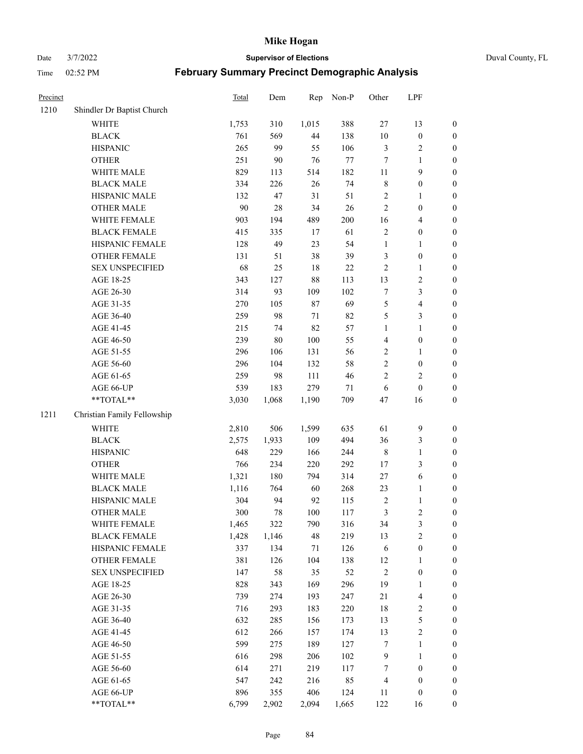Date 3/7/2022 **Supervisor of Elections** Duval County, FL

| Precinct |                             | <b>Total</b> | Dem    | Rep    | Non-P   | Other          | LPF                      |                  |
|----------|-----------------------------|--------------|--------|--------|---------|----------------|--------------------------|------------------|
| 1210     | Shindler Dr Baptist Church  |              |        |        |         |                |                          |                  |
|          | <b>WHITE</b>                | 1,753        | 310    | 1,015  | 388     | $27\,$         | 13                       | 0                |
|          | <b>BLACK</b>                | 761          | 569    | 44     | 138     | $10\,$         | $\boldsymbol{0}$         | $\boldsymbol{0}$ |
|          | <b>HISPANIC</b>             | 265          | 99     | 55     | 106     | 3              | $\sqrt{2}$               | $\boldsymbol{0}$ |
|          | <b>OTHER</b>                | 251          | 90     | 76     | $77\,$  | 7              | 1                        | $\boldsymbol{0}$ |
|          | WHITE MALE                  | 829          | 113    | 514    | 182     | 11             | 9                        | $\boldsymbol{0}$ |
|          | <b>BLACK MALE</b>           | 334          | 226    | 26     | 74      | 8              | $\boldsymbol{0}$         | $\boldsymbol{0}$ |
|          | HISPANIC MALE               | 132          | 47     | 31     | 51      | 2              | $\mathbf{1}$             | $\boldsymbol{0}$ |
|          | <b>OTHER MALE</b>           | 90           | $28\,$ | 34     | 26      | $\overline{2}$ | $\boldsymbol{0}$         | $\boldsymbol{0}$ |
|          | WHITE FEMALE                | 903          | 194    | 489    | $200\,$ | 16             | $\overline{4}$           | $\boldsymbol{0}$ |
|          | <b>BLACK FEMALE</b>         | 415          | 335    | 17     | 61      | 2              | $\boldsymbol{0}$         | $\boldsymbol{0}$ |
|          | HISPANIC FEMALE             | 128          | 49     | 23     | 54      | $\mathbf{1}$   | $\mathbf{1}$             | 0                |
|          | <b>OTHER FEMALE</b>         | 131          | 51     | 38     | 39      | 3              | $\boldsymbol{0}$         | $\boldsymbol{0}$ |
|          | <b>SEX UNSPECIFIED</b>      | 68           | 25     | 18     | $22\,$  | 2              | $\mathbf{1}$             | $\boldsymbol{0}$ |
|          | AGE 18-25                   | 343          | 127    | 88     | 113     | 13             | $\sqrt{2}$               | $\boldsymbol{0}$ |
|          | AGE 26-30                   | 314          | 93     | 109    | 102     | 7              | $\mathfrak{Z}$           | $\boldsymbol{0}$ |
|          | AGE 31-35                   | 270          | 105    | $87\,$ | 69      | 5              | $\overline{4}$           | $\boldsymbol{0}$ |
|          | AGE 36-40                   | 259          | 98     | 71     | 82      | 5              | $\mathfrak{Z}$           | $\boldsymbol{0}$ |
|          | AGE 41-45                   | 215          | 74     | 82     | 57      | $\mathbf{1}$   | $\mathbf{1}$             | $\boldsymbol{0}$ |
|          | AGE 46-50                   | 239          | $80\,$ | 100    | 55      | 4              | $\boldsymbol{0}$         | $\boldsymbol{0}$ |
|          | AGE 51-55                   | 296          | 106    | 131    | 56      | 2              | 1                        | $\boldsymbol{0}$ |
|          | AGE 56-60                   | 296          | 104    | 132    | 58      | $\overline{c}$ | $\boldsymbol{0}$         | 0                |
|          | AGE 61-65                   | 259          | 98     | 111    | 46      | $\overline{2}$ | $\overline{2}$           | $\boldsymbol{0}$ |
|          | AGE 66-UP                   | 539          | 183    | 279    | 71      | $\sqrt{6}$     | $\boldsymbol{0}$         | $\boldsymbol{0}$ |
|          | $**TOTAL**$                 | 3,030        | 1,068  | 1,190  | 709     | 47             | 16                       | $\boldsymbol{0}$ |
| 1211     | Christian Family Fellowship |              |        |        |         |                |                          |                  |
|          | <b>WHITE</b>                | 2,810        | 506    | 1,599  | 635     | 61             | $\mathbf{9}$             | $\boldsymbol{0}$ |
|          | <b>BLACK</b>                | 2,575        | 1,933  | 109    | 494     | 36             | $\mathfrak{Z}$           | $\boldsymbol{0}$ |
|          | <b>HISPANIC</b>             | 648          | 229    | 166    | 244     | 8              | $\mathbf{1}$             | $\boldsymbol{0}$ |
|          | <b>OTHER</b>                | 766          | 234    | 220    | 292     | 17             | 3                        | $\boldsymbol{0}$ |
|          | WHITE MALE                  | 1,321        | 180    | 794    | 314     | 27             | 6                        | $\boldsymbol{0}$ |
|          | <b>BLACK MALE</b>           | 1,116        | 764    | 60     | 268     | 23             | $\mathbf{1}$             | $\boldsymbol{0}$ |
|          | HISPANIC MALE               | 304          | 94     | 92     | 115     | $\overline{c}$ | $\mathbf{1}$             | $\boldsymbol{0}$ |
|          | <b>OTHER MALE</b>           | 300          | 78     | 100    | 117     | 3              | $\overline{2}$           | $\boldsymbol{0}$ |
|          | WHITE FEMALE                | 1,465        | 322    | 790    | 316     | 34             | 3                        | 0                |
|          | <b>BLACK FEMALE</b>         | 1,428        | 1,146  | 48     | 219     | 13             | $\sqrt{2}$               | $\overline{0}$   |
|          | HISPANIC FEMALE             | 337          | 134    | 71     | 126     | 6              | $\boldsymbol{0}$         | $\overline{0}$   |
|          | <b>OTHER FEMALE</b>         | 381          | 126    | 104    | 138     | 12             | 1                        | $\overline{0}$   |
|          | <b>SEX UNSPECIFIED</b>      | 147          | 58     | 35     | 52      | $\overline{c}$ | $\boldsymbol{0}$         | 0                |
|          | AGE 18-25                   | 828          | 343    | 169    | 296     | 19             | $\mathbf{1}$             | 0                |
|          | AGE 26-30                   | 739          | 274    | 193    | 247     | 21             | $\overline{\mathcal{L}}$ | 0                |
|          | AGE 31-35                   | 716          | 293    | 183    | 220     | 18             | $\sqrt{2}$               | 0                |
|          | AGE 36-40                   | 632          | 285    | 156    | 173     | 13             | 5                        | 0                |
|          | AGE 41-45                   | 612          | 266    | 157    | 174     | 13             | $\sqrt{2}$               | 0                |
|          | AGE 46-50                   | 599          | 275    | 189    | 127     | 7              | $\mathbf{1}$             | 0                |
|          | AGE 51-55                   | 616          | 298    | 206    | 102     | 9              | $\mathbf{1}$             | 0                |
|          | AGE 56-60                   | 614          | 271    | 219    | 117     | 7              | $\boldsymbol{0}$         | 0                |
|          | AGE 61-65                   | 547          | 242    | 216    | 85      | 4              | $\boldsymbol{0}$         | $\boldsymbol{0}$ |
|          | AGE 66-UP                   | 896          | 355    | 406    | 124     | 11             | $\boldsymbol{0}$         | 0                |
|          | **TOTAL**                   | 6,799        | 2,902  | 2,094  | 1,665   | 122            | 16                       | $\boldsymbol{0}$ |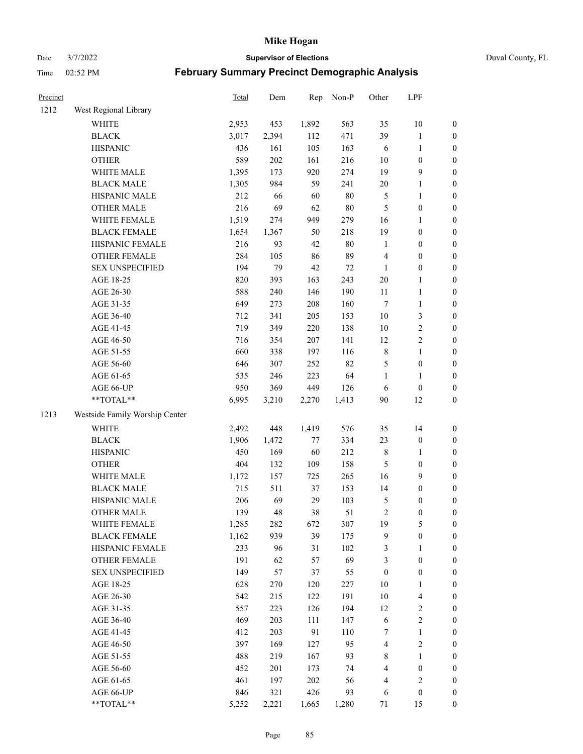Date 3/7/2022 **Supervisor of Elections** Duval County, FL

| Precinct |                                | Total | Dem   | Rep   | Non-P  | Other            | LPF                      |                  |
|----------|--------------------------------|-------|-------|-------|--------|------------------|--------------------------|------------------|
| 1212     | West Regional Library          |       |       |       |        |                  |                          |                  |
|          | <b>WHITE</b>                   | 2,953 | 453   | 1,892 | 563    | 35               | 10                       | 0                |
|          | <b>BLACK</b>                   | 3,017 | 2,394 | 112   | 471    | 39               | $\mathbf{1}$             | $\boldsymbol{0}$ |
|          | <b>HISPANIC</b>                | 436   | 161   | 105   | 163    | 6                | $\mathbf{1}$             | $\boldsymbol{0}$ |
|          | <b>OTHER</b>                   | 589   | 202   | 161   | 216    | 10               | $\boldsymbol{0}$         | $\boldsymbol{0}$ |
|          | WHITE MALE                     | 1,395 | 173   | 920   | 274    | 19               | $\mathbf{9}$             | $\boldsymbol{0}$ |
|          | <b>BLACK MALE</b>              | 1,305 | 984   | 59    | 241    | 20               | $\mathbf{1}$             | $\boldsymbol{0}$ |
|          | HISPANIC MALE                  | 212   | 66    | 60    | 80     | 5                | $\mathbf{1}$             | $\boldsymbol{0}$ |
|          | <b>OTHER MALE</b>              | 216   | 69    | 62    | 80     | 5                | $\boldsymbol{0}$         | $\boldsymbol{0}$ |
|          | WHITE FEMALE                   | 1,519 | 274   | 949   | 279    | 16               | 1                        | $\boldsymbol{0}$ |
|          | <b>BLACK FEMALE</b>            | 1,654 | 1,367 | 50    | 218    | 19               | $\boldsymbol{0}$         | $\boldsymbol{0}$ |
|          | HISPANIC FEMALE                | 216   | 93    | 42    | 80     | $\mathbf{1}$     | $\boldsymbol{0}$         | $\boldsymbol{0}$ |
|          | OTHER FEMALE                   | 284   | 105   | 86    | 89     | 4                | $\boldsymbol{0}$         | $\boldsymbol{0}$ |
|          | <b>SEX UNSPECIFIED</b>         | 194   | 79    | 42    | $72\,$ | $\mathbf{1}$     | $\boldsymbol{0}$         | $\boldsymbol{0}$ |
|          | AGE 18-25                      | 820   | 393   | 163   | 243    | $20\,$           | $\mathbf{1}$             | $\boldsymbol{0}$ |
|          | AGE 26-30                      | 588   | 240   | 146   | 190    | $11\,$           | $\mathbf{1}$             | $\boldsymbol{0}$ |
|          | AGE 31-35                      | 649   | 273   | 208   | 160    | $\boldsymbol{7}$ | $\mathbf{1}$             | $\boldsymbol{0}$ |
|          | AGE 36-40                      | 712   | 341   | 205   | 153    | 10               | 3                        | $\boldsymbol{0}$ |
|          | AGE 41-45                      | 719   | 349   | 220   | 138    | 10               | $\sqrt{2}$               | $\boldsymbol{0}$ |
|          | AGE 46-50                      | 716   | 354   | 207   | 141    | 12               | $\sqrt{2}$               | $\boldsymbol{0}$ |
|          | AGE 51-55                      | 660   | 338   | 197   | 116    | $\,$ $\,$        | $\mathbf{1}$             | $\boldsymbol{0}$ |
|          | AGE 56-60                      | 646   | 307   | 252   | 82     | 5                | $\boldsymbol{0}$         | $\boldsymbol{0}$ |
|          | AGE 61-65                      | 535   | 246   | 223   | 64     | $\mathbf{1}$     | 1                        | $\boldsymbol{0}$ |
|          | AGE 66-UP                      | 950   | 369   | 449   | 126    | 6                | $\boldsymbol{0}$         | $\boldsymbol{0}$ |
|          | $**TOTAL**$                    | 6,995 | 3,210 | 2,270 | 1,413  | 90               | 12                       | $\boldsymbol{0}$ |
| 1213     | Westside Family Worship Center |       |       |       |        |                  |                          |                  |
|          | <b>WHITE</b>                   | 2,492 | 448   | 1,419 | 576    | 35               | 14                       | $\boldsymbol{0}$ |
|          | <b>BLACK</b>                   | 1,906 | 1,472 | 77    | 334    | 23               | $\boldsymbol{0}$         | $\boldsymbol{0}$ |
|          | <b>HISPANIC</b>                | 450   | 169   | 60    | 212    | 8                | $\mathbf{1}$             | $\boldsymbol{0}$ |
|          | <b>OTHER</b>                   | 404   | 132   | 109   | 158    | 5                | $\boldsymbol{0}$         | $\boldsymbol{0}$ |
|          | WHITE MALE                     | 1,172 | 157   | 725   | 265    | 16               | $\mathbf{9}$             | $\boldsymbol{0}$ |
|          | <b>BLACK MALE</b>              | 715   | 511   | 37    | 153    | 14               | $\boldsymbol{0}$         | $\boldsymbol{0}$ |
|          | HISPANIC MALE                  | 206   | 69    | 29    | 103    | 5                | $\boldsymbol{0}$         | $\boldsymbol{0}$ |
|          | <b>OTHER MALE</b>              | 139   | 48    | 38    | 51     | $\overline{c}$   | $\boldsymbol{0}$         | $\boldsymbol{0}$ |
|          | WHITE FEMALE                   | 1,285 | 282   | 672   | 307    | 19               | 5                        | 0                |
|          | <b>BLACK FEMALE</b>            | 1,162 | 939   | 39    | 175    | 9                | $\boldsymbol{0}$         | $\boldsymbol{0}$ |
|          | HISPANIC FEMALE                | 233   | 96    | 31    | 102    | 3                | 1                        | $\overline{0}$   |
|          | OTHER FEMALE                   | 191   | 62    | 57    | 69     | 3                | $\boldsymbol{0}$         | $\overline{0}$   |
|          | <b>SEX UNSPECIFIED</b>         | 149   | 57    | 37    | 55     | $\boldsymbol{0}$ | $\boldsymbol{0}$         | 0                |
|          | AGE 18-25                      | 628   | 270   | 120   | 227    | 10               | $\mathbf{1}$             | 0                |
|          | AGE 26-30                      | 542   | 215   | 122   | 191    | 10               | $\overline{\mathcal{L}}$ | 0                |
|          | AGE 31-35                      | 557   | 223   | 126   | 194    | 12               | $\sqrt{2}$               | 0                |
|          | AGE 36-40                      | 469   | 203   | 111   | 147    | 6                | $\sqrt{2}$               | 0                |
|          | AGE 41-45                      | 412   | 203   | 91    | 110    | 7                | $\mathbf{1}$             | 0                |
|          | AGE 46-50                      | 397   | 169   | 127   | 95     | 4                | $\sqrt{2}$               | 0                |
|          | AGE 51-55                      | 488   | 219   | 167   | 93     | 8                | $\mathbf{1}$             | 0                |
|          | AGE 56-60                      | 452   | 201   | 173   | 74     | 4                | $\boldsymbol{0}$         | 0                |
|          | AGE 61-65                      | 461   | 197   | 202   | 56     | 4                | $\sqrt{2}$               | 0                |
|          | AGE 66-UP                      | 846   | 321   | 426   | 93     | 6                | $\boldsymbol{0}$         | 0                |
|          | **TOTAL**                      | 5,252 | 2,221 | 1,665 | 1,280  | 71               | 15                       | $\boldsymbol{0}$ |
|          |                                |       |       |       |        |                  |                          |                  |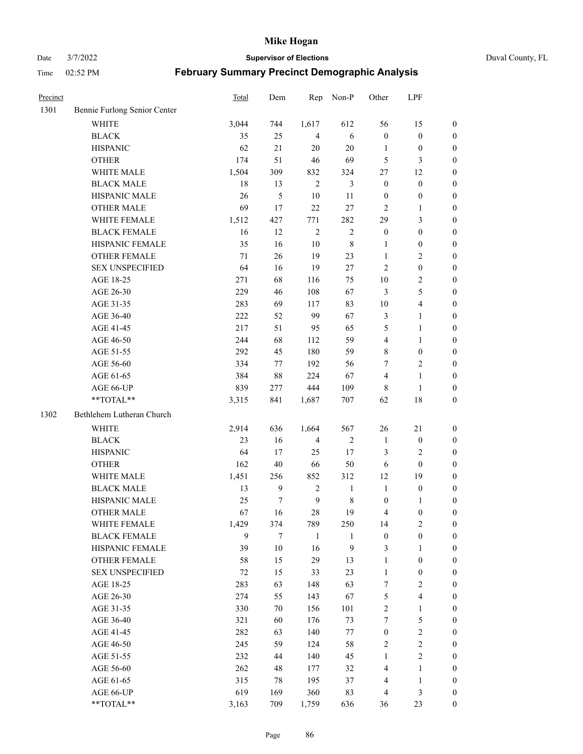Date 3/7/2022 **Supervisor of Elections** Duval County, FL

| Precinct |                              | <b>Total</b> | Dem          | Rep              | Non-P          | Other            | LPF                     |                  |
|----------|------------------------------|--------------|--------------|------------------|----------------|------------------|-------------------------|------------------|
| 1301     | Bennie Furlong Senior Center |              |              |                  |                |                  |                         |                  |
|          | <b>WHITE</b>                 | 3,044        | 744          | 1,617            | 612            | 56               | 15                      | 0                |
|          | <b>BLACK</b>                 | 35           | 25           | $\overline{4}$   | 6              | $\boldsymbol{0}$ | $\boldsymbol{0}$        | 0                |
|          | <b>HISPANIC</b>              | 62           | 21           | 20               | $20\,$         | 1                | $\boldsymbol{0}$        | $\boldsymbol{0}$ |
|          | <b>OTHER</b>                 | 174          | 51           | 46               | 69             | 5                | 3                       | $\boldsymbol{0}$ |
|          | WHITE MALE                   | 1,504        | 309          | 832              | 324            | 27               | 12                      | $\boldsymbol{0}$ |
|          | <b>BLACK MALE</b>            | 18           | 13           | $\overline{2}$   | $\mathfrak{Z}$ | $\boldsymbol{0}$ | $\boldsymbol{0}$        | $\boldsymbol{0}$ |
|          | HISPANIC MALE                | 26           | 5            | 10               | 11             | $\boldsymbol{0}$ | $\boldsymbol{0}$        | $\boldsymbol{0}$ |
|          | <b>OTHER MALE</b>            | 69           | 17           | 22               | 27             | $\mathbf{2}$     | $\mathbf{1}$            | $\boldsymbol{0}$ |
|          | WHITE FEMALE                 | 1,512        | 427          | 771              | 282            | 29               | $\mathfrak{Z}$          | $\boldsymbol{0}$ |
|          | <b>BLACK FEMALE</b>          | 16           | 12           | $\sqrt{2}$       | $\sqrt{2}$     | $\boldsymbol{0}$ | $\boldsymbol{0}$        | 0                |
|          | HISPANIC FEMALE              | 35           | 16           | 10               | $\,$ 8 $\,$    | 1                | $\boldsymbol{0}$        | 0                |
|          | <b>OTHER FEMALE</b>          | 71           | 26           | 19               | 23             | 1                | $\sqrt{2}$              | $\boldsymbol{0}$ |
|          | <b>SEX UNSPECIFIED</b>       | 64           | 16           | 19               | 27             | $\mathbf{2}$     | $\boldsymbol{0}$        | $\boldsymbol{0}$ |
|          | AGE 18-25                    | 271          | 68           | 116              | 75             | $10\,$           | $\sqrt{2}$              | $\boldsymbol{0}$ |
|          | AGE 26-30                    | 229          | 46           | 108              | 67             | 3                | $\mathfrak{S}$          | $\boldsymbol{0}$ |
|          | AGE 31-35                    | 283          | 69           | 117              | 83             | $10\,$           | $\overline{\mathbf{4}}$ | $\boldsymbol{0}$ |
|          | AGE 36-40                    | 222          | 52           | 99               | 67             | 3                | $\mathbf{1}$            | $\boldsymbol{0}$ |
|          | AGE 41-45                    | 217          | 51           | 95               | 65             | 5                | $\mathbf{1}$            | $\boldsymbol{0}$ |
|          | AGE 46-50                    | 244          | 68           | 112              | 59             | $\overline{4}$   | $\mathbf{1}$            | $\boldsymbol{0}$ |
|          | AGE 51-55                    | 292          | 45           | 180              | 59             | 8                | $\boldsymbol{0}$        | 0                |
|          | AGE 56-60                    | 334          | 77           | 192              | 56             | 7                | $\sqrt{2}$              | 0                |
|          | AGE 61-65                    | 384          | 88           | 224              | 67             | 4                | $\mathbf{1}$            | 0                |
|          | AGE 66-UP                    | 839          | 277          | 444              | 109            | 8                | $\mathbf{1}$            | $\boldsymbol{0}$ |
|          | **TOTAL**                    | 3,315        | 841          | 1,687            | 707            | 62               | $18\,$                  | $\boldsymbol{0}$ |
| 1302     | Bethlehem Lutheran Church    |              |              |                  |                |                  |                         |                  |
|          | <b>WHITE</b>                 | 2,914        | 636          | 1,664            | 567            | 26               | $21\,$                  | $\boldsymbol{0}$ |
|          | <b>BLACK</b>                 | 23           | 16           | $\overline{4}$   | $\sqrt{2}$     | $\mathbf{1}$     | $\boldsymbol{0}$        | $\boldsymbol{0}$ |
|          | <b>HISPANIC</b>              | 64           | 17           | 25               | 17             | 3                | $\mathbf{2}$            | $\boldsymbol{0}$ |
|          | <b>OTHER</b>                 | 162          | $40\,$       | 66               | 50             | 6                | $\boldsymbol{0}$        | $\boldsymbol{0}$ |
|          | WHITE MALE                   | 1,451        | 256          | 852              | 312            | 12               | 19                      | $\boldsymbol{0}$ |
|          | <b>BLACK MALE</b>            | 13           | $\mathbf{9}$ | $\sqrt{2}$       | $\mathbf{1}$   | $\mathbf{1}$     | $\boldsymbol{0}$        | $\boldsymbol{0}$ |
|          | HISPANIC MALE                | 25           | $\tau$       | $\boldsymbol{9}$ | $\,$ 8 $\,$    | $\boldsymbol{0}$ | 1                       | 0                |
|          | OTHER MALE                   | 67           | 16           | 28               | 19             | 4                | $\boldsymbol{0}$        | $\boldsymbol{0}$ |
|          | WHITE FEMALE                 | 1,429        | 374          | 789              | 250            | 14               | 2                       | 0                |
|          | <b>BLACK FEMALE</b>          | 9            | 7            | $\mathbf{1}$     | $\mathbf{1}$   | $\boldsymbol{0}$ | $\boldsymbol{0}$        | $\boldsymbol{0}$ |
|          | HISPANIC FEMALE              | 39           | $10\,$       | 16               | 9              | 3                | 1                       | $\overline{0}$   |
|          | OTHER FEMALE                 | 58           | 15           | 29               | 13             | $\mathbf{1}$     | $\boldsymbol{0}$        | $\overline{0}$   |
|          | <b>SEX UNSPECIFIED</b>       | 72           | 15           | 33               | 23             | $\mathbf{1}$     | $\boldsymbol{0}$        | 0                |
|          | AGE 18-25                    | 283          | 63           | 148              | 63             | 7                | $\sqrt{2}$              | 0                |
|          | AGE 26-30                    | 274          | 55           | 143              | 67             | 5                | $\overline{\mathbf{4}}$ | 0                |
|          | AGE 31-35                    | 330          | 70           | 156              | 101            | $\overline{c}$   | $\mathbf{1}$            | 0                |
|          | AGE 36-40                    | 321          | 60           | 176              | 73             | 7                | $\mathfrak{S}$          | 0                |
|          | AGE 41-45                    | 282          | 63           | 140              | 77             | $\boldsymbol{0}$ | $\sqrt{2}$              | 0                |
|          | AGE 46-50                    | 245          | 59           | 124              | 58             | 2                | $\sqrt{2}$              | 0                |
|          | AGE 51-55                    | 232          | 44           | 140              | 45             | $\mathbf{1}$     | $\overline{2}$          | 0                |
|          | AGE 56-60                    | 262          | 48           | 177              | 32             | 4                | 1                       | $\overline{0}$   |
|          | AGE 61-65                    | 315          | 78           | 195              | 37             | 4                | $\mathbf{1}$            | $\overline{0}$   |
|          | AGE 66-UP                    | 619          | 169          | 360              | 83             | 4                | $\mathfrak{Z}$          | 0                |
|          | **TOTAL**                    | 3,163        | 709          | 1,759            | 636            | 36               | 23                      | $\boldsymbol{0}$ |
|          |                              |              |              |                  |                |                  |                         |                  |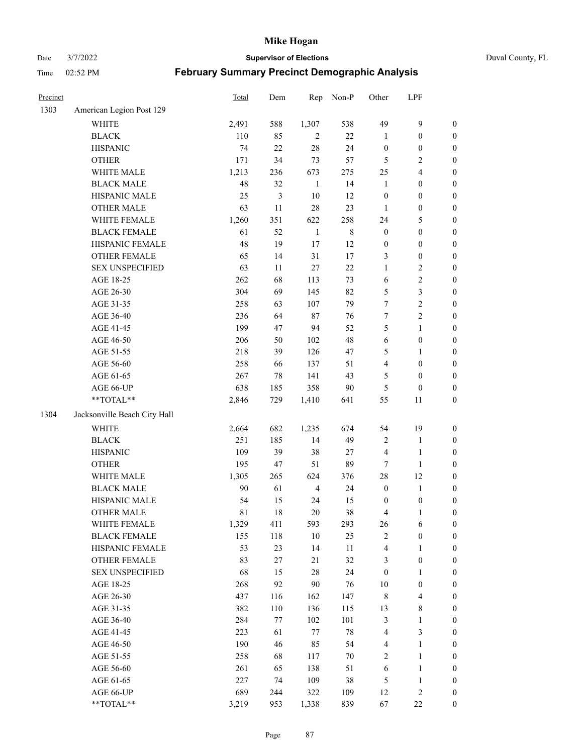Date 3/7/2022 **Supervisor of Elections** Duval County, FL

| Precinct |                              | Total  | Dem | Rep            | Non-P       | Other                   | LPF                     |                  |
|----------|------------------------------|--------|-----|----------------|-------------|-------------------------|-------------------------|------------------|
| 1303     | American Legion Post 129     |        |     |                |             |                         |                         |                  |
|          | <b>WHITE</b>                 | 2,491  | 588 | 1,307          | 538         | 49                      | $\mathbf{9}$            | 0                |
|          | <b>BLACK</b>                 | 110    | 85  | $\overline{2}$ | 22          | $\mathbf{1}$            | $\boldsymbol{0}$        | $\boldsymbol{0}$ |
|          | <b>HISPANIC</b>              | 74     | 22  | 28             | 24          | $\boldsymbol{0}$        | $\boldsymbol{0}$        | $\boldsymbol{0}$ |
|          | <b>OTHER</b>                 | 171    | 34  | 73             | 57          | 5                       | $\sqrt{2}$              | $\boldsymbol{0}$ |
|          | WHITE MALE                   | 1,213  | 236 | 673            | 275         | $25\,$                  | $\overline{\mathbf{4}}$ | $\boldsymbol{0}$ |
|          | <b>BLACK MALE</b>            | 48     | 32  | $\mathbf{1}$   | 14          | $\mathbf{1}$            | $\boldsymbol{0}$        | $\boldsymbol{0}$ |
|          | HISPANIC MALE                | 25     | 3   | 10             | 12          | $\boldsymbol{0}$        | $\boldsymbol{0}$        | $\boldsymbol{0}$ |
|          | <b>OTHER MALE</b>            | 63     | 11  | 28             | 23          | $\mathbf{1}$            | $\boldsymbol{0}$        | $\boldsymbol{0}$ |
|          | WHITE FEMALE                 | 1,260  | 351 | 622            | 258         | 24                      | $\mathfrak{S}$          | $\boldsymbol{0}$ |
|          | <b>BLACK FEMALE</b>          | 61     | 52  | $\mathbf{1}$   | $\,$ 8 $\,$ | $\boldsymbol{0}$        | $\boldsymbol{0}$        | $\boldsymbol{0}$ |
|          | HISPANIC FEMALE              | 48     | 19  | 17             | 12          | $\boldsymbol{0}$        | $\boldsymbol{0}$        | 0                |
|          | OTHER FEMALE                 | 65     | 14  | 31             | 17          | 3                       | $\boldsymbol{0}$        | $\boldsymbol{0}$ |
|          | <b>SEX UNSPECIFIED</b>       | 63     | 11  | $27\,$         | $22\,$      | $\mathbf{1}$            | $\sqrt{2}$              | $\boldsymbol{0}$ |
|          | AGE 18-25                    | 262    | 68  | 113            | 73          | 6                       | $\sqrt{2}$              | $\boldsymbol{0}$ |
|          | AGE 26-30                    | 304    | 69  | 145            | 82          | 5                       | $\mathfrak{Z}$          | $\boldsymbol{0}$ |
|          | AGE 31-35                    | 258    | 63  | 107            | 79          | $\boldsymbol{7}$        | $\sqrt{2}$              | $\boldsymbol{0}$ |
|          | AGE 36-40                    | 236    | 64  | $87\,$         | 76          | $\boldsymbol{7}$        | $\sqrt{2}$              | $\boldsymbol{0}$ |
|          | AGE 41-45                    | 199    | 47  | 94             | 52          | 5                       | $\mathbf{1}$            | $\boldsymbol{0}$ |
|          | AGE 46-50                    | 206    | 50  | 102            | 48          | $\sqrt{6}$              | $\boldsymbol{0}$        | $\boldsymbol{0}$ |
|          | AGE 51-55                    | 218    | 39  | 126            | 47          | 5                       | 1                       | $\boldsymbol{0}$ |
|          | AGE 56-60                    | 258    | 66  | 137            | 51          | $\overline{\mathbf{4}}$ | $\boldsymbol{0}$        | 0                |
|          | AGE 61-65                    | 267    | 78  | 141            | 43          | 5                       | $\boldsymbol{0}$        | 0                |
|          | AGE 66-UP                    | 638    | 185 | 358            | $90\,$      | 5                       | $\boldsymbol{0}$        | $\boldsymbol{0}$ |
|          | **TOTAL**                    | 2,846  | 729 | 1,410          | 641         | 55                      | 11                      | $\boldsymbol{0}$ |
| 1304     | Jacksonville Beach City Hall |        |     |                |             |                         |                         |                  |
|          | WHITE                        | 2,664  | 682 | 1,235          | 674         | 54                      | 19                      | $\boldsymbol{0}$ |
|          | <b>BLACK</b>                 | 251    | 185 | 14             | 49          | 2                       | $\mathbf{1}$            | $\boldsymbol{0}$ |
|          | <b>HISPANIC</b>              | 109    | 39  | 38             | $27\,$      | 4                       | $\mathbf{1}$            | $\boldsymbol{0}$ |
|          | <b>OTHER</b>                 | 195    | 47  | 51             | 89          | $\tau$                  | $\mathbf{1}$            | $\boldsymbol{0}$ |
|          | WHITE MALE                   | 1,305  | 265 | 624            | 376         | 28                      | 12                      | $\boldsymbol{0}$ |
|          | <b>BLACK MALE</b>            | $90\,$ | 61  | $\overline{4}$ | 24          | $\boldsymbol{0}$        | $\mathbf{1}$            | $\boldsymbol{0}$ |
|          | HISPANIC MALE                | 54     | 15  | 24             | 15          | $\boldsymbol{0}$        | $\boldsymbol{0}$        | 0                |
|          | OTHER MALE                   | 81     | 18  | 20             | 38          | 4                       | $\mathbf{1}$            | $\boldsymbol{0}$ |
|          | WHITE FEMALE                 | 1,329  | 411 | 593            | 293         | 26                      | 6                       | 0                |
|          | <b>BLACK FEMALE</b>          | 155    | 118 | $10\,$         | 25          | 2                       | $\boldsymbol{0}$        | $\boldsymbol{0}$ |
|          | HISPANIC FEMALE              | 53     | 23  | 14             | $11\,$      | 4                       | $\mathbf{1}$            | $\overline{0}$   |
|          | <b>OTHER FEMALE</b>          | 83     | 27  | 21             | 32          | 3                       | $\boldsymbol{0}$        | $\overline{0}$   |
|          | <b>SEX UNSPECIFIED</b>       | 68     | 15  | 28             | 24          | $\boldsymbol{0}$        | $\mathbf{1}$            | 0                |
|          | AGE 18-25                    | 268    | 92  | 90             | 76          | 10                      | $\boldsymbol{0}$        | 0                |
|          | AGE 26-30                    | 437    | 116 | 162            | 147         | 8                       | $\overline{\mathbf{4}}$ | 0                |
|          | AGE 31-35                    | 382    | 110 | 136            | 115         | 13                      | $8\,$                   | 0                |
|          | AGE 36-40                    | 284    | 77  | 102            | 101         | 3                       | $\mathbf{1}$            | 0                |
|          | AGE 41-45                    | 223    | 61  | $77\,$         | $78\,$      | 4                       | $\mathfrak{Z}$          | 0                |
|          | AGE 46-50                    | 190    | 46  | 85             | 54          | 4                       | $\mathbf{1}$            | 0                |
|          | AGE 51-55                    | 258    | 68  | 117            | $70\,$      | $\overline{2}$          | $\mathbf{1}$            | 0                |
|          | AGE 56-60                    | 261    | 65  | 138            | 51          | 6                       | $\mathbf{1}$            | 0                |
|          | AGE 61-65                    | 227    | 74  | 109            | 38          | 5                       | $\mathbf{1}$            | $\overline{0}$   |
|          | AGE 66-UP                    | 689    | 244 | 322            | 109         | 12                      | $\sqrt{2}$              | 0                |
|          | **TOTAL**                    | 3,219  | 953 | 1,338          | 839         | 67                      | $22\,$                  | $\boldsymbol{0}$ |
|          |                              |        |     |                |             |                         |                         |                  |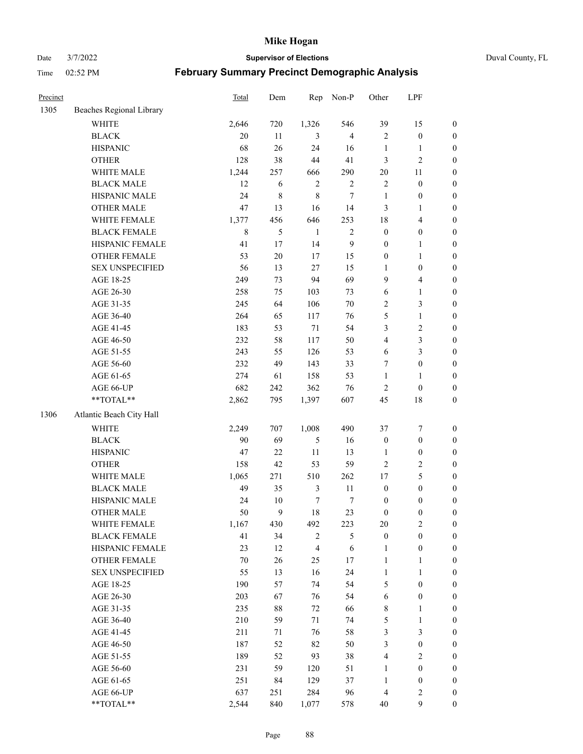Date 3/7/2022 **Supervisor of Elections** Duval County, FL

| Precinct |                          | Total  | Dem    | Rep              | Non-P            | Other                   | LPF                     |                  |
|----------|--------------------------|--------|--------|------------------|------------------|-------------------------|-------------------------|------------------|
| 1305     | Beaches Regional Library |        |        |                  |                  |                         |                         |                  |
|          | <b>WHITE</b>             | 2,646  | 720    | 1,326            | 546              | 39                      | 15                      | 0                |
|          | <b>BLACK</b>             | 20     | 11     | 3                | $\overline{4}$   | $\mathfrak{2}$          | $\boldsymbol{0}$        | 0                |
|          | <b>HISPANIC</b>          | 68     | 26     | 24               | 16               | $\mathbf{1}$            | $\mathbf{1}$            | $\boldsymbol{0}$ |
|          | <b>OTHER</b>             | 128    | 38     | 44               | 41               | 3                       | $\sqrt{2}$              | $\boldsymbol{0}$ |
|          | WHITE MALE               | 1,244  | 257    | 666              | 290              | $20\,$                  | 11                      | $\boldsymbol{0}$ |
|          | <b>BLACK MALE</b>        | 12     | 6      | $\sqrt{2}$       | $\sqrt{2}$       | $\sqrt{2}$              | $\boldsymbol{0}$        | $\boldsymbol{0}$ |
|          | HISPANIC MALE            | 24     | 8      | $\,$ 8 $\,$      | $\boldsymbol{7}$ | $\mathbf{1}$            | $\boldsymbol{0}$        | $\boldsymbol{0}$ |
|          | OTHER MALE               | 47     | 13     | 16               | 14               | 3                       | $\mathbf{1}$            | $\boldsymbol{0}$ |
|          | WHITE FEMALE             | 1,377  | 456    | 646              | 253              | 18                      | $\overline{\mathbf{4}}$ | $\boldsymbol{0}$ |
|          | <b>BLACK FEMALE</b>      | 8      | 5      | $\mathbf{1}$     | $\sqrt{2}$       | $\boldsymbol{0}$        | $\boldsymbol{0}$        | 0                |
|          | HISPANIC FEMALE          | 41     | 17     | 14               | $\mathbf{9}$     | $\boldsymbol{0}$        | $\mathbf{1}$            | 0                |
|          | <b>OTHER FEMALE</b>      | 53     | $20\,$ | 17               | 15               | $\boldsymbol{0}$        | $\mathbf{1}$            | $\boldsymbol{0}$ |
|          | <b>SEX UNSPECIFIED</b>   | 56     | 13     | 27               | 15               | $\mathbf{1}$            | $\boldsymbol{0}$        | $\boldsymbol{0}$ |
|          | AGE 18-25                | 249    | 73     | 94               | 69               | 9                       | $\overline{\mathbf{4}}$ | $\boldsymbol{0}$ |
|          | AGE 26-30                | 258    | 75     | 103              | 73               | 6                       | $\mathbf{1}$            | $\boldsymbol{0}$ |
|          | AGE 31-35                | 245    | 64     | 106              | $70\,$           | $\overline{c}$          | $\mathfrak{Z}$          | $\boldsymbol{0}$ |
|          | AGE 36-40                | 264    | 65     | 117              | 76               | 5                       | $\mathbf{1}$            | $\boldsymbol{0}$ |
|          | AGE 41-45                | 183    | 53     | 71               | 54               | 3                       | $\sqrt{2}$              | $\boldsymbol{0}$ |
|          | AGE 46-50                | 232    | 58     | 117              | 50               | $\overline{\mathbf{4}}$ | $\mathfrak{Z}$          | $\boldsymbol{0}$ |
|          | AGE 51-55                | 243    | 55     | 126              | 53               | 6                       | $\mathfrak{Z}$          | $\boldsymbol{0}$ |
|          | AGE 56-60                | 232    | 49     | 143              | 33               | 7                       | $\boldsymbol{0}$        | 0                |
|          | AGE 61-65                | 274    | 61     | 158              | 53               | $\mathbf{1}$            | $\mathbf{1}$            | 0                |
|          | AGE 66-UP                | 682    | 242    | 362              | 76               | $\sqrt{2}$              | $\boldsymbol{0}$        | $\boldsymbol{0}$ |
|          | **TOTAL**                | 2,862  | 795    | 1,397            | 607              | 45                      | $18\,$                  | $\boldsymbol{0}$ |
| 1306     | Atlantic Beach City Hall |        |        |                  |                  |                         |                         |                  |
|          | WHITE                    | 2,249  | 707    | 1,008            | 490              | 37                      | $\boldsymbol{7}$        | $\boldsymbol{0}$ |
|          | <b>BLACK</b>             | 90     | 69     | $\mathfrak{S}$   | 16               | $\boldsymbol{0}$        | $\boldsymbol{0}$        | $\boldsymbol{0}$ |
|          | <b>HISPANIC</b>          | 47     | 22     | $11\,$           | 13               | $\mathbf{1}$            | $\boldsymbol{0}$        | $\boldsymbol{0}$ |
|          | <b>OTHER</b>             | 158    | 42     | 53               | 59               | $\overline{c}$          | $\sqrt{2}$              | $\boldsymbol{0}$ |
|          | WHITE MALE               | 1,065  | 271    | 510              | 262              | 17                      | $\mathfrak{S}$          | $\boldsymbol{0}$ |
|          | <b>BLACK MALE</b>        | 49     | 35     | $\mathfrak{Z}$   | $11\,$           | $\boldsymbol{0}$        | $\boldsymbol{0}$        | $\boldsymbol{0}$ |
|          | HISPANIC MALE            | 24     | $10\,$ | $\boldsymbol{7}$ | 7                | $\boldsymbol{0}$        | $\boldsymbol{0}$        | $\boldsymbol{0}$ |
|          | OTHER MALE               | 50     | 9      | 18               | 23               | $\boldsymbol{0}$        | $\boldsymbol{0}$        | $\boldsymbol{0}$ |
|          | WHITE FEMALE             | 1,167  | 430    | 492              | 223              | 20                      | 2                       | 0                |
|          | <b>BLACK FEMALE</b>      | 41     | 34     | $\sqrt{2}$       | $\mathfrak{S}$   | $\boldsymbol{0}$        | $\boldsymbol{0}$        | $\boldsymbol{0}$ |
|          | HISPANIC FEMALE          | 23     | 12     | $\overline{4}$   | $\sqrt{6}$       | $\mathbf{1}$            | $\boldsymbol{0}$        | $\overline{0}$   |
|          | OTHER FEMALE             | $70\,$ | 26     | 25               | 17               | $\mathbf{1}$            | $\mathbf{1}$            | $\overline{0}$   |
|          | <b>SEX UNSPECIFIED</b>   | 55     | 13     | 16               | 24               | $\mathbf{1}$            | $\mathbf{1}$            | 0                |
|          | AGE 18-25                | 190    | 57     | 74               | 54               | 5                       | $\boldsymbol{0}$        | 0                |
|          | AGE 26-30                | 203    | 67     | 76               | 54               | 6                       | $\boldsymbol{0}$        | 0                |
|          | AGE 31-35                | 235    | $88\,$ | 72               | 66               | 8                       | 1                       | 0                |
|          | AGE 36-40                | 210    | 59     | 71               | 74               | 5                       | $\mathbf{1}$            | 0                |
|          | AGE 41-45                | 211    | 71     | 76               | 58               | 3                       | $\mathfrak{Z}$          | 0                |
|          | AGE 46-50                | 187    | 52     | 82               | 50               | 3                       | $\boldsymbol{0}$        | 0                |
|          | AGE 51-55                | 189    | 52     | 93               | 38               | 4                       | $\overline{2}$          | 0                |
|          | AGE 56-60                | 231    | 59     | 120              | 51               | 1                       | $\boldsymbol{0}$        | $\overline{0}$   |
|          | AGE 61-65                | 251    | 84     | 129              | 37               | $\mathbf{1}$            | $\boldsymbol{0}$        | $\overline{0}$   |
|          | AGE 66-UP                | 637    | 251    | 284              | 96               | 4                       | $\mathfrak{2}$          | 0                |
|          | **TOTAL**                | 2,544  | 840    | 1,077            | 578              | 40                      | $\mathbf{9}$            | $\boldsymbol{0}$ |
|          |                          |        |        |                  |                  |                         |                         |                  |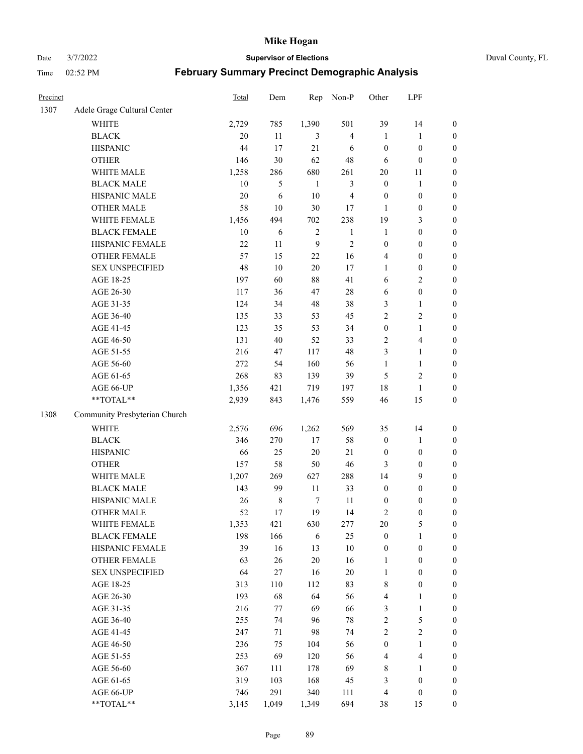Date 3/7/2022 **Supervisor of Elections** Duval County, FL

| Precinct |                               | <b>Total</b> | Dem         | Rep          | Non-P                   | Other            | LPF                     |                  |
|----------|-------------------------------|--------------|-------------|--------------|-------------------------|------------------|-------------------------|------------------|
| 1307     | Adele Grage Cultural Center   |              |             |              |                         |                  |                         |                  |
|          | <b>WHITE</b>                  | 2,729        | 785         | 1,390        | 501                     | 39               | 14                      | 0                |
|          | <b>BLACK</b>                  | 20           | 11          | 3            | $\overline{4}$          | $\mathbf{1}$     | $\mathbf{1}$            | $\boldsymbol{0}$ |
|          | <b>HISPANIC</b>               | 44           | 17          | 21           | 6                       | $\boldsymbol{0}$ | $\boldsymbol{0}$        | $\boldsymbol{0}$ |
|          | <b>OTHER</b>                  | 146          | 30          | 62           | 48                      | 6                | $\boldsymbol{0}$        | $\boldsymbol{0}$ |
|          | WHITE MALE                    | 1,258        | 286         | 680          | 261                     | $20\,$           | 11                      | $\boldsymbol{0}$ |
|          | <b>BLACK MALE</b>             | 10           | 5           | $\mathbf{1}$ | $\mathfrak{Z}$          | $\boldsymbol{0}$ | 1                       | $\boldsymbol{0}$ |
|          | HISPANIC MALE                 | 20           | 6           | 10           | $\overline{\mathbf{4}}$ | $\boldsymbol{0}$ | $\boldsymbol{0}$        | $\boldsymbol{0}$ |
|          | <b>OTHER MALE</b>             | 58           | 10          | 30           | 17                      | $\mathbf{1}$     | $\boldsymbol{0}$        | $\boldsymbol{0}$ |
|          | WHITE FEMALE                  | 1,456        | 494         | 702          | 238                     | 19               | $\mathfrak{Z}$          | $\boldsymbol{0}$ |
|          | <b>BLACK FEMALE</b>           | $10\,$       | 6           | $\sqrt{2}$   | $\mathbf{1}$            | $\mathbf{1}$     | $\boldsymbol{0}$        | $\boldsymbol{0}$ |
|          | HISPANIC FEMALE               | 22           | 11          | 9            | $\sqrt{2}$              | $\boldsymbol{0}$ | $\boldsymbol{0}$        | 0                |
|          | OTHER FEMALE                  | 57           | 15          | 22           | 16                      | 4                | $\boldsymbol{0}$        | $\boldsymbol{0}$ |
|          | <b>SEX UNSPECIFIED</b>        | 48           | 10          | 20           | 17                      | $\mathbf{1}$     | $\boldsymbol{0}$        | $\boldsymbol{0}$ |
|          | AGE 18-25                     | 197          | 60          | 88           | 41                      | 6                | $\sqrt{2}$              | $\boldsymbol{0}$ |
|          | AGE 26-30                     | 117          | 36          | 47           | $28\,$                  | 6                | $\boldsymbol{0}$        | $\boldsymbol{0}$ |
|          | AGE 31-35                     | 124          | 34          | 48           | 38                      | 3                | $\mathbf{1}$            | $\boldsymbol{0}$ |
|          | AGE 36-40                     | 135          | 33          | 53           | 45                      | 2                | $\sqrt{2}$              | $\boldsymbol{0}$ |
|          | AGE 41-45                     | 123          | 35          | 53           | 34                      | $\boldsymbol{0}$ | $\mathbf{1}$            | $\boldsymbol{0}$ |
|          | AGE 46-50                     | 131          | 40          | 52           | 33                      | 2                | $\overline{\mathbf{4}}$ | $\boldsymbol{0}$ |
|          | AGE 51-55                     | 216          | 47          | 117          | 48                      | 3                | $\mathbf{1}$            | $\boldsymbol{0}$ |
|          | AGE 56-60                     | 272          | 54          | 160          | 56                      | $\mathbf{1}$     | $\mathbf{1}$            | 0                |
|          | AGE 61-65                     | 268          | 83          | 139          | 39                      | 5                | $\sqrt{2}$              | 0                |
|          | AGE 66-UP                     | 1,356        | 421         | 719          | 197                     | 18               | $\mathbf{1}$            | $\boldsymbol{0}$ |
|          | **TOTAL**                     | 2,939        | 843         | 1,476        | 559                     | 46               | 15                      | $\boldsymbol{0}$ |
| 1308     | Community Presbyterian Church |              |             |              |                         |                  |                         |                  |
|          | WHITE                         | 2,576        | 696         | 1,262        | 569                     | 35               | 14                      | $\boldsymbol{0}$ |
|          | <b>BLACK</b>                  | 346          | 270         | $17\,$       | 58                      | $\boldsymbol{0}$ | $\mathbf{1}$            | $\boldsymbol{0}$ |
|          | <b>HISPANIC</b>               | 66           | 25          | 20           | 21                      | $\boldsymbol{0}$ | $\boldsymbol{0}$        | $\boldsymbol{0}$ |
|          | <b>OTHER</b>                  | 157          | 58          | 50           | $46\,$                  | 3                | $\boldsymbol{0}$        | $\boldsymbol{0}$ |
|          | WHITE MALE                    | 1,207        | 269         | 627          | 288                     | 14               | 9                       | $\boldsymbol{0}$ |
|          | <b>BLACK MALE</b>             | 143          | 99          | 11           | 33                      | $\boldsymbol{0}$ | $\boldsymbol{0}$        | $\boldsymbol{0}$ |
|          | HISPANIC MALE                 | 26           | $\,$ 8 $\,$ | $\tau$       | 11                      | $\boldsymbol{0}$ | $\boldsymbol{0}$        | $\boldsymbol{0}$ |
|          | OTHER MALE                    | 52           | 17          | 19           | 14                      | 2                | $\boldsymbol{0}$        | $\boldsymbol{0}$ |
|          | WHITE FEMALE                  | 1,353        | 421         | 630          | 277                     | 20               | 5                       | 0                |
|          | <b>BLACK FEMALE</b>           | 198          | 166         | 6            | 25                      | $\boldsymbol{0}$ | $\mathbf{1}$            | $\boldsymbol{0}$ |
|          | HISPANIC FEMALE               | 39           | 16          | 13           | $10\,$                  | $\boldsymbol{0}$ | $\boldsymbol{0}$        | $\overline{0}$   |
|          | OTHER FEMALE                  | 63           | 26          | 20           | 16                      | $\mathbf{1}$     | $\boldsymbol{0}$        | $\overline{0}$   |
|          | <b>SEX UNSPECIFIED</b>        | 64           | 27          | 16           | $20\,$                  | $\mathbf{1}$     | $\boldsymbol{0}$        | 0                |
|          | AGE 18-25                     | 313          | 110         | 112          | 83                      | 8                | $\boldsymbol{0}$        | $\theta$         |
|          | AGE 26-30                     | 193          | 68          | 64           | 56                      | 4                | $\mathbf{1}$            | 0                |
|          | AGE 31-35                     | 216          | 77          | 69           | 66                      | 3                | $\mathbf{1}$            | 0                |
|          | AGE 36-40                     | 255          | 74          | 96           | $78\,$                  | $\overline{c}$   | $\mathfrak{S}$          | 0                |
|          | AGE 41-45                     | 247          | 71          | 98           | 74                      | $\overline{c}$   | $\sqrt{2}$              | 0                |
|          | AGE 46-50                     | 236          | 75          | 104          | 56                      | $\boldsymbol{0}$ | $\mathbf{1}$            | 0                |
|          | AGE 51-55                     | 253          | 69          | 120          | 56                      | 4                | $\overline{\mathbf{4}}$ | 0                |
|          | AGE 56-60                     | 367          | 111         | 178          | 69                      | 8                | 1                       | $\overline{0}$   |
|          | AGE 61-65                     | 319          | 103         | 168          | 45                      | 3                | $\boldsymbol{0}$        | $\overline{0}$   |
|          | AGE 66-UP                     | 746          | 291         | 340          | 111                     | 4                | $\boldsymbol{0}$        | 0                |
|          | **TOTAL**                     | 3,145        | 1,049       | 1,349        | 694                     | 38               | 15                      | $\boldsymbol{0}$ |
|          |                               |              |             |              |                         |                  |                         |                  |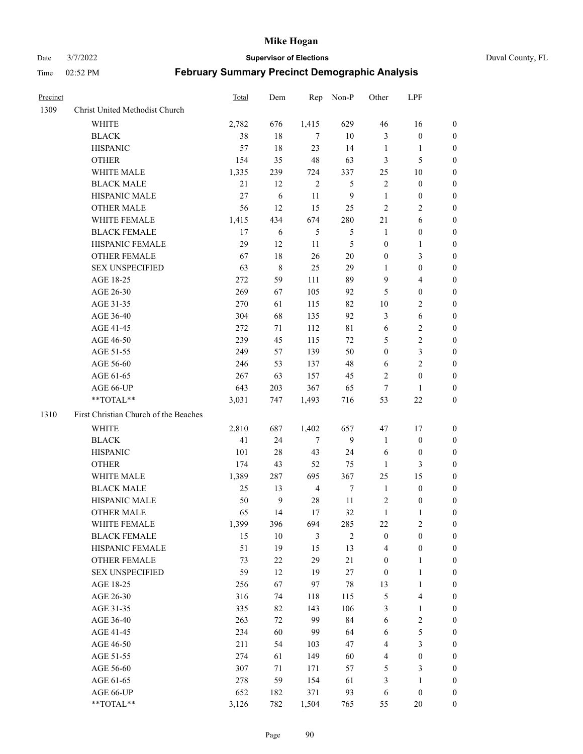Date 3/7/2022 **Supervisor of Elections** Duval County, FL

| Precinct |                                       | Total | Dem          | Rep            | Non-P          | Other            | LPF              |                  |
|----------|---------------------------------------|-------|--------------|----------------|----------------|------------------|------------------|------------------|
| 1309     | Christ United Methodist Church        |       |              |                |                |                  |                  |                  |
|          | <b>WHITE</b>                          | 2,782 | 676          | 1,415          | 629            | $46\,$           | 16               | 0                |
|          | <b>BLACK</b>                          | 38    | 18           | 7              | 10             | 3                | $\boldsymbol{0}$ | 0                |
|          | <b>HISPANIC</b>                       | 57    | 18           | 23             | 14             | $\mathbf{1}$     | $\mathbf{1}$     | 0                |
|          | <b>OTHER</b>                          | 154   | 35           | 48             | 63             | 3                | 5                | $\boldsymbol{0}$ |
|          | WHITE MALE                            | 1,335 | 239          | 724            | 337            | 25               | 10               | $\boldsymbol{0}$ |
|          | <b>BLACK MALE</b>                     | 21    | 12           | $\sqrt{2}$     | 5              | $\mathbf{2}$     | $\boldsymbol{0}$ | $\boldsymbol{0}$ |
|          | HISPANIC MALE                         | 27    | 6            | 11             | $\overline{9}$ | $\mathbf{1}$     | $\boldsymbol{0}$ | $\boldsymbol{0}$ |
|          | <b>OTHER MALE</b>                     | 56    | 12           | 15             | 25             | $\mathbf{2}$     | $\overline{2}$   | $\boldsymbol{0}$ |
|          | WHITE FEMALE                          | 1,415 | 434          | 674            | 280            | 21               | 6                | 0                |
|          | <b>BLACK FEMALE</b>                   | 17    | 6            | $\mathfrak{S}$ | 5              | $\mathbf{1}$     | $\boldsymbol{0}$ | 0                |
|          | HISPANIC FEMALE                       | 29    | 12           | 11             | 5              | $\boldsymbol{0}$ | $\mathbf{1}$     | 0                |
|          | OTHER FEMALE                          | 67    | 18           | 26             | $20\,$         | $\boldsymbol{0}$ | $\mathfrak{Z}$   | 0                |
|          | <b>SEX UNSPECIFIED</b>                | 63    | $\,$ 8 $\,$  | 25             | 29             | $\mathbf{1}$     | $\boldsymbol{0}$ | $\boldsymbol{0}$ |
|          | AGE 18-25                             | 272   | 59           | 111            | 89             | 9                | $\overline{4}$   | $\boldsymbol{0}$ |
|          | AGE 26-30                             | 269   | 67           | 105            | 92             | 5                | $\boldsymbol{0}$ | $\boldsymbol{0}$ |
|          | AGE 31-35                             | 270   | 61           | 115            | 82             | 10               | $\sqrt{2}$       | $\boldsymbol{0}$ |
|          | AGE 36-40                             | 304   | 68           | 135            | 92             | 3                | $\sqrt{6}$       | $\boldsymbol{0}$ |
|          | AGE 41-45                             | 272   | 71           | 112            | $8\sqrt{1}$    | $\sqrt{6}$       | $\sqrt{2}$       | $\boldsymbol{0}$ |
|          | AGE 46-50                             | 239   | 45           | 115            | $72\,$         | 5                | $\sqrt{2}$       | $\boldsymbol{0}$ |
|          | AGE 51-55                             | 249   | 57           | 139            | 50             | $\boldsymbol{0}$ | $\mathfrak{Z}$   | 0                |
|          | AGE 56-60                             | 246   | 53           | 137            | 48             | 6                | $\overline{2}$   | 0                |
|          | AGE 61-65                             | 267   | 63           | 157            | 45             | 2                | $\boldsymbol{0}$ | 0                |
|          | AGE 66-UP                             | 643   | 203          | 367            | 65             | $\tau$           | $\mathbf{1}$     | 0                |
|          | **TOTAL**                             | 3,031 | 747          | 1,493          | 716            | 53               | $22\,$           | $\boldsymbol{0}$ |
| 1310     | First Christian Church of the Beaches |       |              |                |                |                  |                  |                  |
|          | <b>WHITE</b>                          | 2,810 | 687          | 1,402          | 657            | 47               | 17               | $\boldsymbol{0}$ |
|          | <b>BLACK</b>                          | 41    | 24           | $\tau$         | 9              | $\mathbf{1}$     | $\boldsymbol{0}$ | $\boldsymbol{0}$ |
|          | <b>HISPANIC</b>                       | 101   | $28\,$       | 43             | 24             | 6                | $\boldsymbol{0}$ | $\boldsymbol{0}$ |
|          | <b>OTHER</b>                          | 174   | 43           | 52             | 75             | $\mathbf{1}$     | $\mathfrak{Z}$   | $\boldsymbol{0}$ |
|          | WHITE MALE                            | 1,389 | 287          | 695            | 367            | 25               | 15               | $\overline{0}$   |
|          | <b>BLACK MALE</b>                     | 25    | 13           | $\overline{4}$ | $\tau$         | $\mathbf{1}$     | $\boldsymbol{0}$ | $\boldsymbol{0}$ |
|          | HISPANIC MALE                         | 50    | $\mathbf{9}$ | 28             | 11             | $\overline{c}$   | $\boldsymbol{0}$ | 0                |
|          | <b>OTHER MALE</b>                     | 65    | 14           | 17             | 32             | $\mathbf{1}$     | 1                | 0                |
|          | WHITE FEMALE                          | 1,399 | 396          | 694            | 285            | 22               | 2                | 0                |
|          | <b>BLACK FEMALE</b>                   | 15    | 10           | 3              | $\overline{2}$ | $\boldsymbol{0}$ | $\boldsymbol{0}$ | $\boldsymbol{0}$ |
|          | HISPANIC FEMALE                       | 51    | 19           | 15             | 13             | 4                | $\boldsymbol{0}$ | $\overline{0}$   |
|          | OTHER FEMALE                          | 73    | $22\,$       | 29             | 21             | $\boldsymbol{0}$ | $\mathbf{1}$     | $\overline{0}$   |
|          | <b>SEX UNSPECIFIED</b>                | 59    | 12           | 19             | $27\,$         | $\boldsymbol{0}$ | $\mathbf{1}$     | 0                |
|          | AGE 18-25                             | 256   | 67           | 97             | $78\,$         | 13               | $\mathbf{1}$     | 0                |
|          | AGE 26-30                             | 316   | 74           | 118            | 115            | 5                | $\overline{4}$   | 0                |
|          | AGE 31-35                             | 335   | 82           | 143            | 106            | 3                | $\mathbf{1}$     | 0                |
|          | AGE 36-40                             | 263   | 72           | 99             | 84             | 6                | $\sqrt{2}$       | 0                |
|          | AGE 41-45                             | 234   | 60           | 99             | 64             | 6                | $\mathfrak{S}$   | 0                |
|          | AGE 46-50                             | 211   | 54           | 103            | 47             | 4                | $\mathfrak{Z}$   | 0                |
|          | AGE 51-55                             | 274   | 61           | 149            | 60             | 4                | $\boldsymbol{0}$ | $\overline{0}$   |
|          | AGE 56-60                             | 307   | 71           | 171            | 57             | 5                | $\mathfrak{Z}$   | $\overline{0}$   |
|          | AGE 61-65                             | 278   | 59           | 154            | 61             | 3                | $\mathbf{1}$     | $\overline{0}$   |
|          | AGE 66-UP                             | 652   | 182          | 371            | 93             | 6                | $\boldsymbol{0}$ | 0                |
|          | **TOTAL**                             | 3,126 | 782          | 1,504          | 765            | 55               | 20               | $\boldsymbol{0}$ |
|          |                                       |       |              |                |                |                  |                  |                  |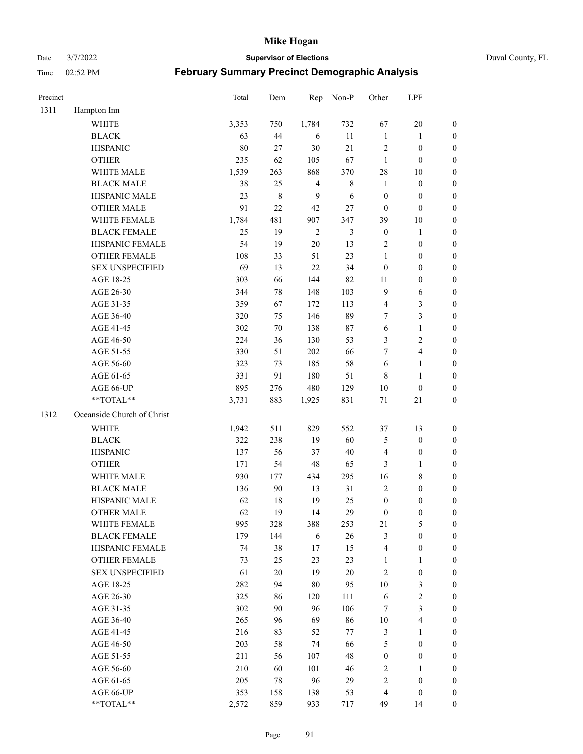Date 3/7/2022 **Supervisor of Elections** Duval County, FL

| Precinct |                            | <b>Total</b> | Dem     | Rep            | Non-P          | Other            | LPF              |                  |
|----------|----------------------------|--------------|---------|----------------|----------------|------------------|------------------|------------------|
| 1311     | Hampton Inn                |              |         |                |                |                  |                  |                  |
|          | <b>WHITE</b>               | 3,353        | 750     | 1,784          | 732            | 67               | 20               | 0                |
|          | <b>BLACK</b>               | 63           | 44      | 6              | 11             | $\mathbf{1}$     | $\mathbf{1}$     | 0                |
|          | <b>HISPANIC</b>            | 80           | 27      | 30             | 21             | $\sqrt{2}$       | $\boldsymbol{0}$ | $\boldsymbol{0}$ |
|          | <b>OTHER</b>               | 235          | 62      | 105            | 67             | $\mathbf{1}$     | $\boldsymbol{0}$ | $\boldsymbol{0}$ |
|          | WHITE MALE                 | 1,539        | 263     | 868            | 370            | 28               | 10               | $\boldsymbol{0}$ |
|          | <b>BLACK MALE</b>          | 38           | 25      | $\overline{4}$ | $8\,$          | $\mathbf{1}$     | $\boldsymbol{0}$ | $\boldsymbol{0}$ |
|          | HISPANIC MALE              | 23           | $\,8\,$ | 9              | 6              | $\boldsymbol{0}$ | $\boldsymbol{0}$ | $\boldsymbol{0}$ |
|          | <b>OTHER MALE</b>          | 91           | 22      | 42             | 27             | $\boldsymbol{0}$ | $\boldsymbol{0}$ | $\boldsymbol{0}$ |
|          | WHITE FEMALE               | 1,784        | 481     | 907            | 347            | 39               | 10               | $\boldsymbol{0}$ |
|          | <b>BLACK FEMALE</b>        | 25           | 19      | $\sqrt{2}$     | $\mathfrak{Z}$ | $\boldsymbol{0}$ | $\mathbf{1}$     | $\boldsymbol{0}$ |
|          | HISPANIC FEMALE            | 54           | 19      | $20\,$         | 13             | 2                | $\boldsymbol{0}$ | 0                |
|          | <b>OTHER FEMALE</b>        | 108          | 33      | 51             | 23             | $\mathbf{1}$     | $\boldsymbol{0}$ | $\boldsymbol{0}$ |
|          | <b>SEX UNSPECIFIED</b>     | 69           | 13      | 22             | 34             | $\boldsymbol{0}$ | $\boldsymbol{0}$ | $\boldsymbol{0}$ |
|          | AGE 18-25                  | 303          | 66      | 144            | 82             | 11               | $\boldsymbol{0}$ | $\boldsymbol{0}$ |
|          | AGE 26-30                  | 344          | 78      | 148            | 103            | 9                | 6                | $\boldsymbol{0}$ |
|          | AGE 31-35                  | 359          | 67      | 172            | 113            | 4                | $\mathfrak{Z}$   | $\boldsymbol{0}$ |
|          | AGE 36-40                  | 320          | 75      | 146            | 89             | $\tau$           | 3                | $\boldsymbol{0}$ |
|          | AGE 41-45                  | 302          | $70\,$  | 138            | $87\,$         | $\sqrt{6}$       | $\mathbf{1}$     | $\boldsymbol{0}$ |
|          | AGE 46-50                  | 224          | 36      | 130            | 53             | 3                | $\sqrt{2}$       | $\boldsymbol{0}$ |
|          | AGE 51-55                  | 330          | 51      | 202            | 66             | 7                | $\overline{4}$   | 0                |
|          | AGE 56-60                  | 323          | 73      | 185            | 58             | 6                | $\mathbf{1}$     | 0                |
|          | AGE 61-65                  | 331          | 91      | 180            | 51             | 8                | $\mathbf{1}$     | $\boldsymbol{0}$ |
|          | AGE 66-UP                  | 895          | 276     | 480            | 129            | $10\,$           | $\boldsymbol{0}$ | $\boldsymbol{0}$ |
|          | **TOTAL**                  | 3,731        | 883     | 1,925          | 831            | $71\,$           | $21\,$           | $\boldsymbol{0}$ |
| 1312     | Oceanside Church of Christ |              |         |                |                |                  |                  |                  |
|          | <b>WHITE</b>               | 1,942        | 511     | 829            | 552            | 37               | 13               | $\boldsymbol{0}$ |
|          | <b>BLACK</b>               | 322          | 238     | 19             | 60             | 5                | $\boldsymbol{0}$ | $\boldsymbol{0}$ |
|          | <b>HISPANIC</b>            | 137          | 56      | 37             | $40\,$         | 4                | $\boldsymbol{0}$ | $\boldsymbol{0}$ |
|          | <b>OTHER</b>               | 171          | 54      | 48             | 65             | 3                | $\mathbf{1}$     | $\boldsymbol{0}$ |
|          | WHITE MALE                 | 930          | 177     | 434            | 295            | 16               | $\,$ 8 $\,$      | $\boldsymbol{0}$ |
|          | <b>BLACK MALE</b>          | 136          | $90\,$  | 13             | 31             | $\overline{2}$   | $\boldsymbol{0}$ | $\boldsymbol{0}$ |
|          | HISPANIC MALE              | 62           | 18      | 19             | 25             | $\boldsymbol{0}$ | $\boldsymbol{0}$ | $\boldsymbol{0}$ |
|          | <b>OTHER MALE</b>          | 62           | 19      | 14             | 29             | $\boldsymbol{0}$ | $\boldsymbol{0}$ | $\boldsymbol{0}$ |
|          | WHITE FEMALE               | 995          | 328     | 388            | 253            | 21               | 5                | 0                |
|          | <b>BLACK FEMALE</b>        | 179          | 144     | 6              | 26             | 3                | $\boldsymbol{0}$ | $\overline{0}$   |
|          | HISPANIC FEMALE            | 74           | 38      | 17             | 15             | 4                | $\boldsymbol{0}$ | $\overline{0}$   |
|          | <b>OTHER FEMALE</b>        | 73           | 25      | 23             | 23             | $\mathbf{1}$     | $\mathbf{1}$     | $\overline{0}$   |
|          | <b>SEX UNSPECIFIED</b>     | 61           | $20\,$  | 19             | $20\,$         | 2                | $\boldsymbol{0}$ | 0                |
|          | AGE 18-25                  | 282          | 94      | 80             | 95             | $10\,$           | $\mathfrak{Z}$   | 0                |
|          | AGE 26-30                  | 325          | 86      | 120            | 111            | 6                | $\sqrt{2}$       | 0                |
|          | AGE 31-35                  | 302          | 90      | 96             | 106            | 7                | $\mathfrak{Z}$   | 0                |
|          | AGE 36-40                  | 265          | 96      | 69             | 86             | $10\,$           | $\overline{4}$   | 0                |
|          | AGE 41-45                  | 216          | 83      | 52             | 77             | 3                | $\mathbf{1}$     | 0                |
|          | AGE 46-50                  | 203          | 58      | 74             | 66             | 5                | $\boldsymbol{0}$ | 0                |
|          | AGE 51-55                  | 211          | 56      | 107            | 48             | $\boldsymbol{0}$ | $\boldsymbol{0}$ | 0                |
|          | AGE 56-60                  | 210          | 60      | 101            | 46             | 2                | 1                | 0                |
|          | AGE 61-65                  | 205          | 78      | 96             | 29             | 2                | $\boldsymbol{0}$ | 0                |
|          | AGE 66-UP                  | 353          | 158     | 138            | 53             | 4                | $\boldsymbol{0}$ | 0                |
|          | **TOTAL**                  | 2,572        | 859     | 933            | 717            | 49               | 14               | $\boldsymbol{0}$ |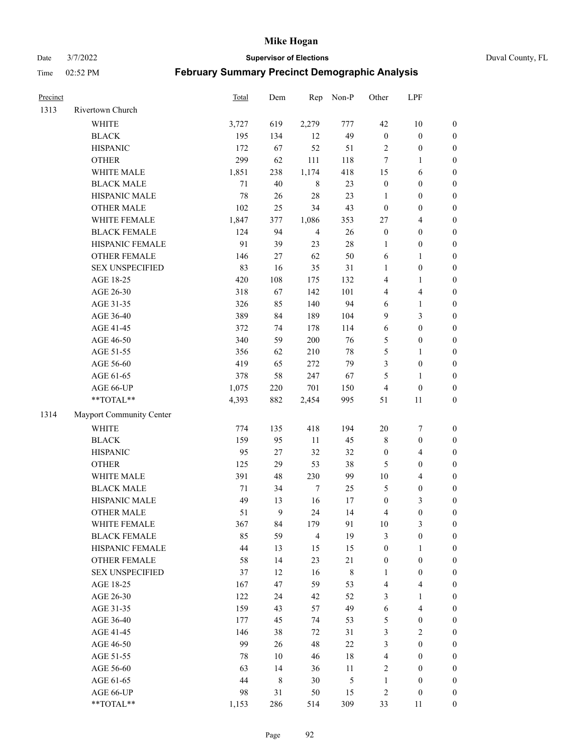Date 3/7/2022 **Supervisor of Elections** Duval County, FL

| Precinct |                          | <b>Total</b> | Dem         | Rep            | Non-P          | Other            | LPF              |                  |
|----------|--------------------------|--------------|-------------|----------------|----------------|------------------|------------------|------------------|
| 1313     | Rivertown Church         |              |             |                |                |                  |                  |                  |
|          | <b>WHITE</b>             | 3,727        | 619         | 2,279          | 777            | 42               | 10               | $\boldsymbol{0}$ |
|          | <b>BLACK</b>             | 195          | 134         | 12             | 49             | $\boldsymbol{0}$ | $\boldsymbol{0}$ | $\boldsymbol{0}$ |
|          | <b>HISPANIC</b>          | 172          | 67          | 52             | 51             | 2                | $\boldsymbol{0}$ | $\boldsymbol{0}$ |
|          | <b>OTHER</b>             | 299          | 62          | 111            | 118            | 7                | 1                | $\boldsymbol{0}$ |
|          | WHITE MALE               | 1,851        | 238         | 1,174          | 418            | 15               | 6                | $\boldsymbol{0}$ |
|          | <b>BLACK MALE</b>        | 71           | 40          | $\,8\,$        | 23             | $\boldsymbol{0}$ | $\boldsymbol{0}$ | $\boldsymbol{0}$ |
|          | HISPANIC MALE            | 78           | $26\,$      | 28             | 23             | $\mathbf{1}$     | $\boldsymbol{0}$ | $\boldsymbol{0}$ |
|          | <b>OTHER MALE</b>        | 102          | 25          | 34             | 43             | $\boldsymbol{0}$ | $\boldsymbol{0}$ | $\boldsymbol{0}$ |
|          | WHITE FEMALE             | 1,847        | 377         | 1,086          | 353            | 27               | $\overline{4}$   | $\boldsymbol{0}$ |
|          | <b>BLACK FEMALE</b>      | 124          | 94          | $\overline{4}$ | $26\,$         | $\boldsymbol{0}$ | $\boldsymbol{0}$ | $\boldsymbol{0}$ |
|          | HISPANIC FEMALE          | 91           | 39          | 23             | $28\,$         | 1                | $\boldsymbol{0}$ | 0                |
|          | <b>OTHER FEMALE</b>      | 146          | 27          | 62             | 50             | 6                | $\mathbf{1}$     | $\boldsymbol{0}$ |
|          | <b>SEX UNSPECIFIED</b>   | 83           | 16          | 35             | 31             | $\mathbf{1}$     | $\boldsymbol{0}$ | $\boldsymbol{0}$ |
|          | AGE 18-25                | 420          | 108         | 175            | 132            | 4                | 1                | $\boldsymbol{0}$ |
|          | AGE 26-30                | 318          | 67          | 142            | 101            | 4                | $\overline{4}$   | $\boldsymbol{0}$ |
|          | AGE 31-35                | 326          | 85          | 140            | 94             | 6                | $\mathbf{1}$     | $\boldsymbol{0}$ |
|          | AGE 36-40                | 389          | 84          | 189            | 104            | 9                | 3                | $\boldsymbol{0}$ |
|          | AGE 41-45                | 372          | 74          | 178            | 114            | 6                | $\boldsymbol{0}$ | $\boldsymbol{0}$ |
|          | AGE 46-50                | 340          | 59          | 200            | 76             | 5                | $\boldsymbol{0}$ | $\boldsymbol{0}$ |
|          | AGE 51-55                | 356          | 62          | 210            | $78\,$         | 5                | 1                | $\boldsymbol{0}$ |
|          | AGE 56-60                | 419          | 65          | 272            | 79             | 3                | $\boldsymbol{0}$ | 0                |
|          | AGE 61-65                | 378          | 58          | 247            | 67             | 5                | $\mathbf{1}$     | 0                |
|          | AGE 66-UP                | 1,075        | 220         | 701            | 150            | 4                | $\boldsymbol{0}$ | $\boldsymbol{0}$ |
|          | $**TOTAL**$              | 4,393        | 882         | 2,454          | 995            | 51               | 11               | $\boldsymbol{0}$ |
| 1314     | Mayport Community Center |              |             |                |                |                  |                  |                  |
|          | <b>WHITE</b>             | 774          | 135         | 418            | 194            | $20\,$           | $\boldsymbol{7}$ | $\boldsymbol{0}$ |
|          | <b>BLACK</b>             | 159          | 95          | $11\,$         | 45             | 8                | $\boldsymbol{0}$ | $\boldsymbol{0}$ |
|          | <b>HISPANIC</b>          | 95           | $27\,$      | 32             | 32             | $\boldsymbol{0}$ | $\overline{4}$   | $\boldsymbol{0}$ |
|          | <b>OTHER</b>             | 125          | 29          | 53             | 38             | 5                | $\boldsymbol{0}$ | $\boldsymbol{0}$ |
|          | WHITE MALE               | 391          | 48          | 230            | 99             | $10\,$           | $\overline{4}$   | $\boldsymbol{0}$ |
|          | <b>BLACK MALE</b>        | 71           | 34          | $\tau$         | 25             | 5                | $\boldsymbol{0}$ | $\boldsymbol{0}$ |
|          | HISPANIC MALE            | 49           | 13          | 16             | 17             | $\boldsymbol{0}$ | $\mathfrak{Z}$   | $\boldsymbol{0}$ |
|          | <b>OTHER MALE</b>        | 51           | 9           | 24             | 14             | 4                | $\boldsymbol{0}$ | $\boldsymbol{0}$ |
|          | WHITE FEMALE             | 367          | 84          | 179            | 91             | 10               | 3                | 0                |
|          | <b>BLACK FEMALE</b>      | 85           | 59          | $\overline{4}$ | 19             | 3                | $\boldsymbol{0}$ | $\overline{0}$   |
|          | HISPANIC FEMALE          | 44           | 13          | 15             | 15             | $\boldsymbol{0}$ | 1                | $\overline{0}$   |
|          | <b>OTHER FEMALE</b>      | 58           | 14          | 23             | $21\,$         | $\boldsymbol{0}$ | $\boldsymbol{0}$ | 0                |
|          | <b>SEX UNSPECIFIED</b>   | 37           | 12          | 16             | 8              | $\mathbf{1}$     | $\boldsymbol{0}$ | 0                |
|          | AGE 18-25                | 167          | 47          | 59             | 53             | 4                | $\overline{4}$   | 0                |
|          | AGE 26-30                | 122          | 24          | 42             | 52             | 3                | $\mathbf{1}$     | 0                |
|          | AGE 31-35                | 159          | 43          | 57             | 49             | 6                | $\overline{4}$   | 0                |
|          | AGE 36-40                | 177          | 45          | 74             | 53             | 5                | $\boldsymbol{0}$ | 0                |
|          | AGE 41-45                | 146          | 38          | 72             | 31             | 3                | $\mathfrak{2}$   | 0                |
|          | AGE 46-50                | 99           | 26          | 48             | 22             | 3                | $\boldsymbol{0}$ | 0                |
|          | AGE 51-55                | 78           | 10          | 46             | $18\,$         | 4                | $\boldsymbol{0}$ | 0                |
|          | AGE 56-60                | 63           | 14          | 36             | 11             | 2                | $\boldsymbol{0}$ | 0                |
|          | AGE 61-65                | 44           | $\,$ 8 $\,$ | 30             | $\mathfrak{S}$ | $\mathbf{1}$     | $\boldsymbol{0}$ | 0                |
|          | AGE 66-UP                | 98           | 31          | 50             | 15             | 2                | $\boldsymbol{0}$ | 0                |
|          | **TOTAL**                | 1,153        | 286         | 514            | 309            | 33               | 11               | $\boldsymbol{0}$ |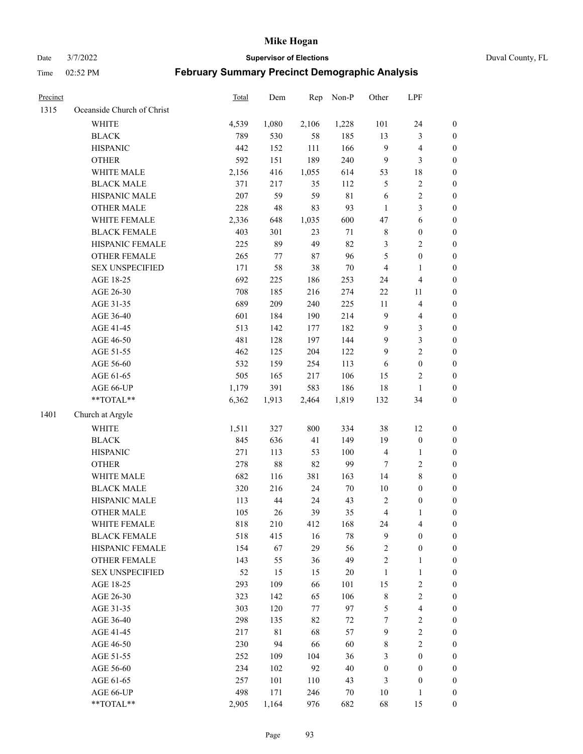Date 3/7/2022 **Supervisor of Elections** Duval County, FL

| Precinct |                            | Total | Dem    | Rep    | Non-P  | Other                   | LPF                     |                  |
|----------|----------------------------|-------|--------|--------|--------|-------------------------|-------------------------|------------------|
| 1315     | Oceanside Church of Christ |       |        |        |        |                         |                         |                  |
|          | <b>WHITE</b>               | 4,539 | 1,080  | 2,106  | 1,228  | 101                     | 24                      | 0                |
|          | <b>BLACK</b>               | 789   | 530    | 58     | 185    | 13                      | $\mathfrak{Z}$          | $\boldsymbol{0}$ |
|          | <b>HISPANIC</b>            | 442   | 152    | 111    | 166    | 9                       | $\overline{\mathbf{4}}$ | $\boldsymbol{0}$ |
|          | <b>OTHER</b>               | 592   | 151    | 189    | 240    | 9                       | 3                       | $\boldsymbol{0}$ |
|          | WHITE MALE                 | 2,156 | 416    | 1,055  | 614    | 53                      | $18\,$                  | $\boldsymbol{0}$ |
|          | <b>BLACK MALE</b>          | 371   | 217    | 35     | 112    | 5                       | $\sqrt{2}$              | $\boldsymbol{0}$ |
|          | HISPANIC MALE              | 207   | 59     | 59     | 81     | 6                       | $\sqrt{2}$              | $\boldsymbol{0}$ |
|          | <b>OTHER MALE</b>          | 228   | 48     | 83     | 93     | $\mathbf{1}$            | $\mathfrak{Z}$          | $\boldsymbol{0}$ |
|          | WHITE FEMALE               | 2,336 | 648    | 1,035  | 600    | $47\,$                  | $\sqrt{6}$              | $\boldsymbol{0}$ |
|          | <b>BLACK FEMALE</b>        | 403   | 301    | 23     | 71     | $\,$ 8 $\,$             | $\boldsymbol{0}$        | 0                |
|          | HISPANIC FEMALE            | 225   | 89     | 49     | 82     | 3                       | $\sqrt{2}$              | 0                |
|          | OTHER FEMALE               | 265   | 77     | $87\,$ | 96     | 5                       | $\boldsymbol{0}$        | $\boldsymbol{0}$ |
|          | <b>SEX UNSPECIFIED</b>     | 171   | 58     | 38     | $70\,$ | 4                       | $\mathbf{1}$            | $\boldsymbol{0}$ |
|          | AGE 18-25                  | 692   | 225    | 186    | 253    | 24                      | $\overline{\mathbf{4}}$ | $\boldsymbol{0}$ |
|          | AGE 26-30                  | 708   | 185    | 216    | 274    | $22\,$                  | 11                      | $\boldsymbol{0}$ |
|          | AGE 31-35                  | 689   | 209    | 240    | 225    | 11                      | $\overline{\mathbf{4}}$ | $\boldsymbol{0}$ |
|          | AGE 36-40                  | 601   | 184    | 190    | 214    | 9                       | $\overline{\mathbf{4}}$ | $\boldsymbol{0}$ |
|          | AGE 41-45                  | 513   | 142    | 177    | 182    | $\mathbf{9}$            | $\mathfrak{Z}$          | $\boldsymbol{0}$ |
|          | AGE 46-50                  | 481   | 128    | 197    | 144    | $\mathbf{9}$            | $\mathfrak{Z}$          | $\boldsymbol{0}$ |
|          | AGE 51-55                  | 462   | 125    | 204    | 122    | $\mathbf{9}$            | $\sqrt{2}$              | $\boldsymbol{0}$ |
|          | AGE 56-60                  | 532   | 159    | 254    | 113    | 6                       | $\boldsymbol{0}$        | 0                |
|          | AGE 61-65                  | 505   | 165    | 217    | 106    | 15                      | $\overline{c}$          | 0                |
|          | AGE 66-UP                  | 1,179 | 391    | 583    | 186    | 18                      | $\mathbf{1}$            | $\boldsymbol{0}$ |
|          | **TOTAL**                  | 6,362 | 1,913  | 2,464  | 1,819  | 132                     | 34                      | $\boldsymbol{0}$ |
| 1401     | Church at Argyle           |       |        |        |        |                         |                         |                  |
|          | <b>WHITE</b>               | 1,511 | 327    | 800    | 334    | 38                      | 12                      | $\boldsymbol{0}$ |
|          | <b>BLACK</b>               | 845   | 636    | 41     | 149    | 19                      | $\boldsymbol{0}$        | $\boldsymbol{0}$ |
|          | <b>HISPANIC</b>            | 271   | 113    | 53     | 100    | $\overline{\mathbf{4}}$ | $\mathbf{1}$            | $\boldsymbol{0}$ |
|          | <b>OTHER</b>               | 278   | $88\,$ | 82     | 99     | 7                       | $\sqrt{2}$              | $\boldsymbol{0}$ |
|          | WHITE MALE                 | 682   | 116    | 381    | 163    | 14                      | $8\,$                   | $\boldsymbol{0}$ |
|          | <b>BLACK MALE</b>          | 320   | 216    | 24     | $70\,$ | $10\,$                  | $\boldsymbol{0}$        | $\boldsymbol{0}$ |
|          | HISPANIC MALE              | 113   | 44     | 24     | 43     | $\overline{c}$          | $\boldsymbol{0}$        | 0                |
|          | <b>OTHER MALE</b>          | 105   | 26     | 39     | 35     | $\overline{\mathbf{4}}$ | 1                       | $\boldsymbol{0}$ |
|          | WHITE FEMALE               | 818   | 210    | 412    | 168    | 24                      | 4                       | 0                |
|          | <b>BLACK FEMALE</b>        | 518   | 415    | 16     | $78\,$ | 9                       | $\boldsymbol{0}$        | $\overline{0}$   |
|          | HISPANIC FEMALE            | 154   | 67     | 29     | 56     | 2                       | $\boldsymbol{0}$        | $\overline{0}$   |
|          | <b>OTHER FEMALE</b>        | 143   | 55     | 36     | 49     | 2                       | $\mathbf{1}$            | $\overline{0}$   |
|          | <b>SEX UNSPECIFIED</b>     | 52    | 15     | 15     | $20\,$ | $\mathbf{1}$            | $\mathbf{1}$            | 0                |
|          | AGE 18-25                  | 293   | 109    | 66     | 101    | 15                      | $\sqrt{2}$              | 0                |
|          | AGE 26-30                  | 323   | 142    | 65     | 106    | $\,$ 8 $\,$             | $\sqrt{2}$              | 0                |
|          | AGE 31-35                  | 303   | 120    | 77     | 97     | 5                       | $\overline{\mathbf{4}}$ | 0                |
|          | AGE 36-40                  | 298   | 135    | 82     | 72     | 7                       | $\sqrt{2}$              | 0                |
|          | AGE 41-45                  | 217   | 81     | 68     | 57     | $\mathbf{9}$            | $\sqrt{2}$              | 0                |
|          | AGE 46-50                  | 230   | 94     | 66     | 60     | 8                       | $\sqrt{2}$              | 0                |
|          | AGE 51-55                  | 252   | 109    | 104    | 36     | 3                       | $\boldsymbol{0}$        | 0                |
|          | AGE 56-60                  | 234   | 102    | 92     | $40\,$ | $\boldsymbol{0}$        | $\boldsymbol{0}$        | 0                |
|          | AGE 61-65                  | 257   | 101    | 110    | 43     | 3                       | $\boldsymbol{0}$        | $\overline{0}$   |
|          | AGE 66-UP                  | 498   | 171    | 246    | 70     | 10                      | $\mathbf{1}$            | 0                |
|          | **TOTAL**                  | 2,905 | 1,164  | 976    | 682    | 68                      | 15                      | $\boldsymbol{0}$ |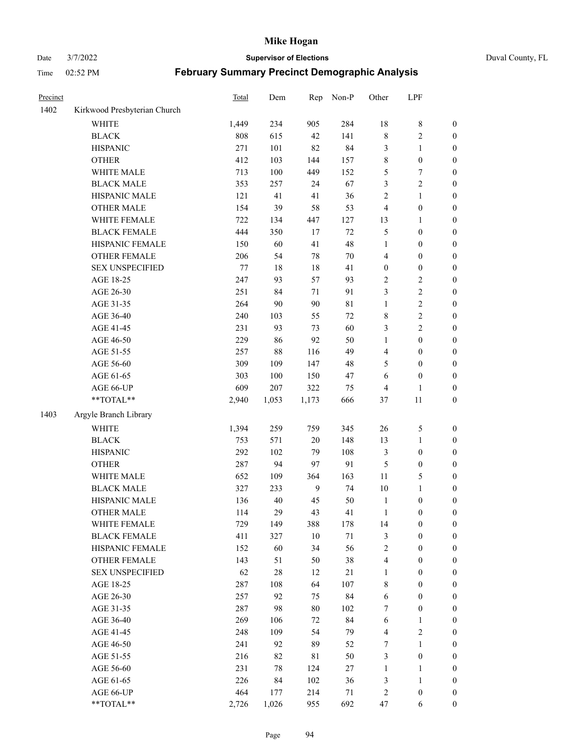# Date 3/7/2022 **Supervisor of Elections** Duval County, FL

| Precinct |                              | <b>Total</b> | Dem    | Rep         | Non-P       | Other            | LPF              |                  |
|----------|------------------------------|--------------|--------|-------------|-------------|------------------|------------------|------------------|
| 1402     | Kirkwood Presbyterian Church |              |        |             |             |                  |                  |                  |
|          | <b>WHITE</b>                 | 1,449        | 234    | 905         | 284         | 18               | $\,$ 8 $\,$      | 0                |
|          | <b>BLACK</b>                 | 808          | 615    | 42          | 141         | $\,$ 8 $\,$      | $\sqrt{2}$       | $\boldsymbol{0}$ |
|          | <b>HISPANIC</b>              | 271          | 101    | 82          | 84          | 3                | $\mathbf{1}$     | $\boldsymbol{0}$ |
|          | <b>OTHER</b>                 | 412          | 103    | 144         | 157         | 8                | $\boldsymbol{0}$ | $\boldsymbol{0}$ |
|          | WHITE MALE                   | 713          | 100    | 449         | 152         | 5                | $\boldsymbol{7}$ | $\boldsymbol{0}$ |
|          | <b>BLACK MALE</b>            | 353          | 257    | 24          | 67          | 3                | $\sqrt{2}$       | $\boldsymbol{0}$ |
|          | HISPANIC MALE                | 121          | 41     | 41          | 36          | 2                | $\mathbf{1}$     | $\boldsymbol{0}$ |
|          | <b>OTHER MALE</b>            | 154          | 39     | 58          | 53          | 4                | $\boldsymbol{0}$ | $\boldsymbol{0}$ |
|          | WHITE FEMALE                 | 722          | 134    | 447         | 127         | 13               | 1                | $\boldsymbol{0}$ |
|          | <b>BLACK FEMALE</b>          | 444          | 350    | 17          | $72\,$      | 5                | $\boldsymbol{0}$ | $\boldsymbol{0}$ |
|          | HISPANIC FEMALE              | 150          | 60     | 41          | 48          | $\mathbf{1}$     | $\boldsymbol{0}$ | $\boldsymbol{0}$ |
|          | <b>OTHER FEMALE</b>          | 206          | 54     | 78          | $70\,$      | 4                | $\boldsymbol{0}$ | $\boldsymbol{0}$ |
|          | <b>SEX UNSPECIFIED</b>       | $77\,$       | 18     | $18\,$      | 41          | $\boldsymbol{0}$ | $\boldsymbol{0}$ | $\boldsymbol{0}$ |
|          | AGE 18-25                    | 247          | 93     | 57          | 93          | $\overline{c}$   | $\sqrt{2}$       | $\boldsymbol{0}$ |
|          | AGE 26-30                    | 251          | 84     | 71          | 91          | 3                | $\sqrt{2}$       | $\boldsymbol{0}$ |
|          | AGE 31-35                    | 264          | 90     | 90          | $8\sqrt{1}$ | $\mathbf{1}$     | $\sqrt{2}$       | $\boldsymbol{0}$ |
|          | AGE 36-40                    | 240          | 103    | 55          | $72\,$      | 8                | $\sqrt{2}$       | $\boldsymbol{0}$ |
|          | AGE 41-45                    | 231          | 93     | 73          | 60          | 3                | $\overline{c}$   | $\boldsymbol{0}$ |
|          | AGE 46-50                    | 229          | 86     | 92          | 50          | $\mathbf{1}$     | $\boldsymbol{0}$ | $\boldsymbol{0}$ |
|          | AGE 51-55                    | 257          | $88\,$ | 116         | 49          | 4                | $\boldsymbol{0}$ | $\boldsymbol{0}$ |
|          | AGE 56-60                    | 309          | 109    | 147         | 48          | 5                | $\boldsymbol{0}$ | 0                |
|          | AGE 61-65                    | 303          | 100    | 150         | 47          | 6                | $\boldsymbol{0}$ | $\boldsymbol{0}$ |
|          | AGE 66-UP                    | 609          | 207    | 322         | 75          | 4                | $\mathbf{1}$     | $\boldsymbol{0}$ |
|          | $**TOTAL**$                  | 2,940        | 1,053  | 1,173       | 666         | 37               | $11\,$           | $\boldsymbol{0}$ |
| 1403     | Argyle Branch Library        |              |        |             |             |                  |                  |                  |
|          | <b>WHITE</b>                 | 1,394        | 259    | 759         | 345         | 26               | $\mathfrak s$    | $\boldsymbol{0}$ |
|          | <b>BLACK</b>                 | 753          | 571    | 20          | 148         | 13               | $\mathbf{1}$     | $\boldsymbol{0}$ |
|          | <b>HISPANIC</b>              | 292          | 102    | 79          | 108         | 3                | $\boldsymbol{0}$ | $\boldsymbol{0}$ |
|          | <b>OTHER</b>                 | 287          | 94     | 97          | 91          | 5                | $\boldsymbol{0}$ | $\boldsymbol{0}$ |
|          | WHITE MALE                   | 652          | 109    | 364         | 163         | $11\,$           | 5                | $\boldsymbol{0}$ |
|          | <b>BLACK MALE</b>            | 327          | 233    | 9           | 74          | $10\,$           | $\mathbf{1}$     | $\boldsymbol{0}$ |
|          | HISPANIC MALE                | 136          | $40\,$ | 45          | 50          | $\mathbf{1}$     | $\boldsymbol{0}$ | 0                |
|          | <b>OTHER MALE</b>            | 114          | 29     | 43          | 41          | $\mathbf{1}$     | $\boldsymbol{0}$ | $\boldsymbol{0}$ |
|          | WHITE FEMALE                 | 729          | 149    | 388         | 178         | 14               | 0                | 0                |
|          | <b>BLACK FEMALE</b>          | 411          | 327    | $10\,$      | 71          | 3                | $\boldsymbol{0}$ | $\overline{0}$   |
|          | HISPANIC FEMALE              | 152          | 60     | 34          | 56          | $\overline{c}$   | $\boldsymbol{0}$ | $\overline{0}$   |
|          | <b>OTHER FEMALE</b>          | 143          | 51     | 50          | 38          | 4                | $\boldsymbol{0}$ | $\overline{0}$   |
|          | <b>SEX UNSPECIFIED</b>       | 62           | $28\,$ | 12          | $21\,$      | $\mathbf{1}$     | $\boldsymbol{0}$ | 0                |
|          | AGE 18-25                    | 287          | 108    | 64          | 107         | 8                | $\boldsymbol{0}$ | 0                |
|          | AGE 26-30                    | 257          | 92     | 75          | 84          | 6                | $\boldsymbol{0}$ | 0                |
|          | AGE 31-35                    | 287          | 98     | $80\,$      | 102         | 7                | $\boldsymbol{0}$ | 0                |
|          | AGE 36-40                    | 269          | 106    | 72          | 84          | 6                | 1                | 0                |
|          | AGE 41-45                    | 248          | 109    | 54          | 79          | $\overline{4}$   | $\sqrt{2}$       | 0                |
|          | AGE 46-50                    | 241          | 92     | 89          | 52          | 7                | $\mathbf{1}$     | 0                |
|          | AGE 51-55                    | 216          | 82     | $8\sqrt{1}$ | 50          | 3                | $\boldsymbol{0}$ | 0                |
|          | AGE 56-60                    | 231          | 78     | 124         | 27          | 1                | 1                | $\boldsymbol{0}$ |
|          | AGE 61-65                    | 226          | 84     | 102         | 36          | 3                | $\mathbf{1}$     | 0                |
|          | AGE 66-UP                    | 464          | 177    | 214         | 71          | 2                | $\boldsymbol{0}$ | 0                |
|          | **TOTAL**                    | 2,726        | 1,026  | 955         | 692         | 47               | 6                | $\boldsymbol{0}$ |
|          |                              |              |        |             |             |                  |                  |                  |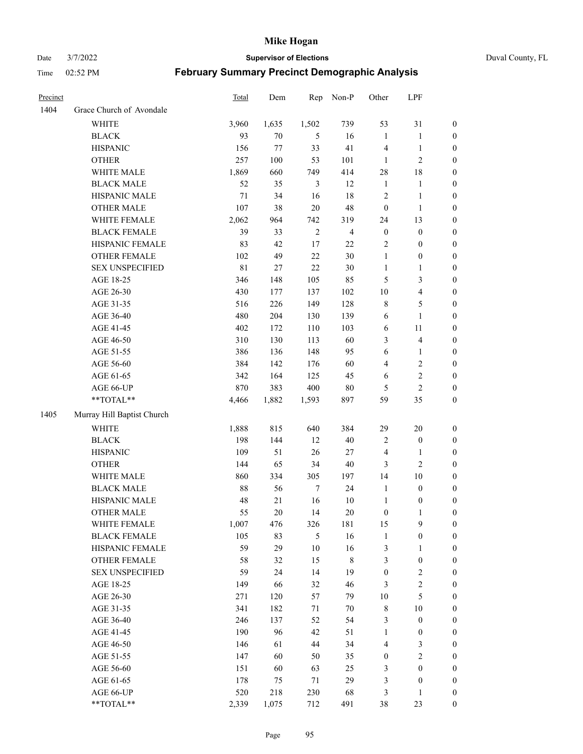Date 3/7/2022 **Supervisor of Elections** Duval County, FL

| Precinct |                            | <b>Total</b> | Dem   | Rep        | Non-P          | Other            | LPF                     |                  |
|----------|----------------------------|--------------|-------|------------|----------------|------------------|-------------------------|------------------|
| 1404     | Grace Church of Avondale   |              |       |            |                |                  |                         |                  |
|          | <b>WHITE</b>               | 3,960        | 1,635 | 1,502      | 739            | 53               | 31                      | 0                |
|          | <b>BLACK</b>               | 93           | 70    | 5          | 16             | $\mathbf{1}$     | $\mathbf{1}$            | 0                |
|          | <b>HISPANIC</b>            | 156          | 77    | 33         | 41             | 4                | $\mathbf{1}$            | $\boldsymbol{0}$ |
|          | <b>OTHER</b>               | 257          | 100   | 53         | 101            | 1                | $\sqrt{2}$              | $\boldsymbol{0}$ |
|          | WHITE MALE                 | 1,869        | 660   | 749        | 414            | 28               | $18\,$                  | $\boldsymbol{0}$ |
|          | <b>BLACK MALE</b>          | 52           | 35    | 3          | 12             | $\mathbf{1}$     | 1                       | $\boldsymbol{0}$ |
|          | HISPANIC MALE              | 71           | 34    | 16         | 18             | 2                | $\mathbf{1}$            | $\boldsymbol{0}$ |
|          | <b>OTHER MALE</b>          | 107          | 38    | $20\,$     | 48             | $\boldsymbol{0}$ | $\mathbf{1}$            | $\boldsymbol{0}$ |
|          | WHITE FEMALE               | 2,062        | 964   | 742        | 319            | 24               | 13                      | $\boldsymbol{0}$ |
|          | <b>BLACK FEMALE</b>        | 39           | 33    | $\sqrt{2}$ | $\overline{4}$ | $\boldsymbol{0}$ | $\boldsymbol{0}$        | 0                |
|          | HISPANIC FEMALE            | 83           | 42    | 17         | 22             | $\sqrt{2}$       | $\boldsymbol{0}$        | 0                |
|          | OTHER FEMALE               | 102          | 49    | 22         | $30\,$         | $\mathbf{1}$     | $\boldsymbol{0}$        | $\boldsymbol{0}$ |
|          | <b>SEX UNSPECIFIED</b>     | $8\sqrt{1}$  | 27    | 22         | $30\,$         | $\mathbf{1}$     | $\mathbf{1}$            | $\boldsymbol{0}$ |
|          | AGE 18-25                  | 346          | 148   | 105        | 85             | 5                | $\mathfrak{Z}$          | $\boldsymbol{0}$ |
|          | AGE 26-30                  | 430          | 177   | 137        | 102            | 10               | $\overline{\mathbf{4}}$ | $\boldsymbol{0}$ |
|          | AGE 31-35                  | 516          | 226   | 149        | 128            | 8                | $\mathfrak{S}$          | $\boldsymbol{0}$ |
|          | AGE 36-40                  | 480          | 204   | 130        | 139            | 6                | $\mathbf{1}$            | $\boldsymbol{0}$ |
|          | AGE 41-45                  | 402          | 172   | 110        | 103            | 6                | $11\,$                  | $\boldsymbol{0}$ |
|          | AGE 46-50                  | 310          | 130   | 113        | 60             | 3                | $\overline{\mathbf{4}}$ | $\boldsymbol{0}$ |
|          | AGE 51-55                  | 386          | 136   | 148        | 95             | $\sqrt{6}$       | $\mathbf{1}$            | $\boldsymbol{0}$ |
|          | AGE 56-60                  | 384          | 142   | 176        | 60             | $\overline{4}$   | $\sqrt{2}$              | 0                |
|          | AGE 61-65                  | 342          | 164   | 125        | 45             | 6                | $\sqrt{2}$              | 0                |
|          | AGE 66-UP                  | 870          | 383   | 400        | $80\,$         | 5                | $\overline{2}$          | $\boldsymbol{0}$ |
|          | **TOTAL**                  | 4,466        | 1,882 | 1,593      | 897            | 59               | 35                      | $\boldsymbol{0}$ |
| 1405     | Murray Hill Baptist Church |              |       |            |                |                  |                         |                  |
|          | <b>WHITE</b>               | 1,888        | 815   | 640        | 384            | 29               | $20\,$                  | $\boldsymbol{0}$ |
|          | <b>BLACK</b>               | 198          | 144   | 12         | 40             | $\sqrt{2}$       | $\boldsymbol{0}$        | $\boldsymbol{0}$ |
|          | <b>HISPANIC</b>            | 109          | 51    | 26         | $27\,$         | 4                | $\mathbf{1}$            | $\boldsymbol{0}$ |
|          | <b>OTHER</b>               | 144          | 65    | 34         | $40\,$         | 3                | $\overline{c}$          | $\boldsymbol{0}$ |
|          | WHITE MALE                 | 860          | 334   | 305        | 197            | 14               | $10\,$                  | $\boldsymbol{0}$ |
|          | <b>BLACK MALE</b>          | 88           | 56    | $\tau$     | 24             | $\mathbf{1}$     | $\boldsymbol{0}$        | $\boldsymbol{0}$ |
|          | HISPANIC MALE              | 48           | 21    | 16         | $10\,$         | $\mathbf{1}$     | $\boldsymbol{0}$        | 0                |
|          | <b>OTHER MALE</b>          | 55           | 20    | 14         | $20\,$         | $\boldsymbol{0}$ | $\mathbf{1}$            | $\boldsymbol{0}$ |
|          | WHITE FEMALE               | 1,007        | 476   | 326        | 181            | 15               | 9                       | 0                |
|          | <b>BLACK FEMALE</b>        | 105          | 83    | 5          | 16             | $\mathbf{1}$     | $\boldsymbol{0}$        | $\boldsymbol{0}$ |
|          | HISPANIC FEMALE            | 59           | 29    | $10\,$     | 16             | 3                | $\mathbf{1}$            | $\overline{0}$   |
|          | OTHER FEMALE               | 58           | 32    | 15         | $8\,$          | 3                | $\boldsymbol{0}$        | $\overline{0}$   |
|          | <b>SEX UNSPECIFIED</b>     | 59           | 24    | 14         | 19             | $\boldsymbol{0}$ | $\sqrt{2}$              | 0                |
|          | AGE 18-25                  | 149          | 66    | 32         | 46             | 3                | $\sqrt{2}$              | 0                |
|          | AGE 26-30                  | 271          | 120   | 57         | 79             | $10\,$           | $\mathfrak{S}$          | 0                |
|          | AGE 31-35                  | 341          | 182   | 71         | $70\,$         | $\,$ 8 $\,$      | $10\,$                  | 0                |
|          | AGE 36-40                  | 246          | 137   | 52         | 54             | 3                | $\boldsymbol{0}$        | 0                |
|          | AGE 41-45                  | 190          | 96    | 42         | 51             | $\mathbf{1}$     | $\boldsymbol{0}$        | 0                |
|          | AGE 46-50                  | 146          | 61    | 44         | 34             | 4                | 3                       | 0                |
|          | AGE 51-55                  | 147          | 60    | 50         | 35             | $\boldsymbol{0}$ | $\sqrt{2}$              | 0                |
|          | AGE 56-60                  | 151          | 60    | 63         | 25             | 3                | $\boldsymbol{0}$        | $\overline{0}$   |
|          | AGE 61-65                  | 178          | 75    | 71         | 29             | 3                | $\boldsymbol{0}$        | $\overline{0}$   |
|          | AGE 66-UP                  | 520          | 218   | 230        | 68             | 3                | $\mathbf{1}$            | 0                |
|          | **TOTAL**                  | 2,339        | 1,075 | 712        | 491            | 38               | 23                      | $\boldsymbol{0}$ |
|          |                            |              |       |            |                |                  |                         |                  |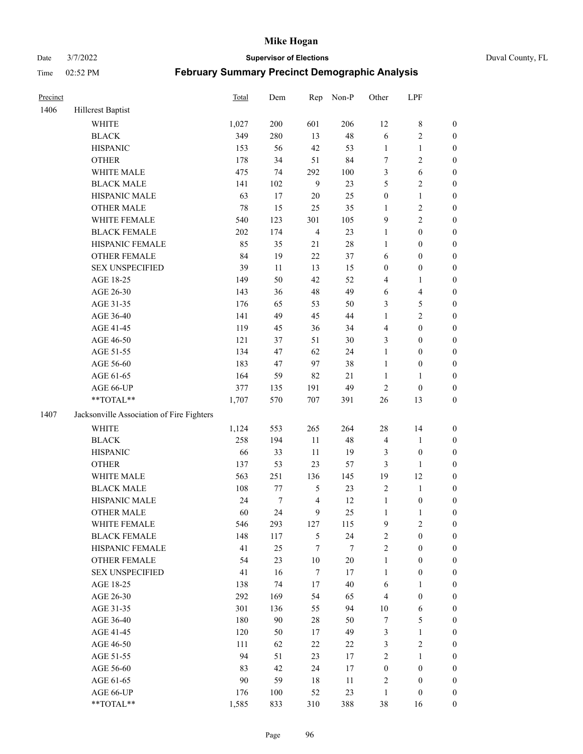#### Date 3/7/2022 **Supervisor of Elections** Duval County, FL

| Precinct |                                           | Total | Dem              | Rep            | Non-P  | Other            | LPF                     |                  |
|----------|-------------------------------------------|-------|------------------|----------------|--------|------------------|-------------------------|------------------|
| 1406     | Hillcrest Baptist                         |       |                  |                |        |                  |                         |                  |
|          | <b>WHITE</b>                              | 1,027 | 200              | 601            | 206    | 12               | $8\,$                   | 0                |
|          | <b>BLACK</b>                              | 349   | 280              | 13             | 48     | 6                | $\sqrt{2}$              | $\boldsymbol{0}$ |
|          | <b>HISPANIC</b>                           | 153   | 56               | 42             | 53     | $\mathbf{1}$     | $\mathbf{1}$            | $\boldsymbol{0}$ |
|          | <b>OTHER</b>                              | 178   | 34               | 51             | 84     | 7                | $\sqrt{2}$              | $\boldsymbol{0}$ |
|          | WHITE MALE                                | 475   | 74               | 292            | 100    | 3                | 6                       | $\boldsymbol{0}$ |
|          | <b>BLACK MALE</b>                         | 141   | 102              | $\mathbf{9}$   | 23     | 5                | $\sqrt{2}$              | $\boldsymbol{0}$ |
|          | HISPANIC MALE                             | 63    | 17               | 20             | 25     | $\boldsymbol{0}$ | $\mathbf{1}$            | $\boldsymbol{0}$ |
|          | <b>OTHER MALE</b>                         | 78    | 15               | 25             | 35     | $\mathbf{1}$     | $\overline{2}$          | $\boldsymbol{0}$ |
|          | WHITE FEMALE                              | 540   | 123              | 301            | 105    | 9                | $\overline{2}$          | $\boldsymbol{0}$ |
|          | <b>BLACK FEMALE</b>                       | 202   | 174              | $\overline{4}$ | 23     | $\mathbf{1}$     | $\boldsymbol{0}$        | $\boldsymbol{0}$ |
|          | HISPANIC FEMALE                           | 85    | 35               | 21             | $28\,$ | $\mathbf{1}$     | $\boldsymbol{0}$        | 0                |
|          | <b>OTHER FEMALE</b>                       | 84    | 19               | 22             | 37     | 6                | $\boldsymbol{0}$        | $\boldsymbol{0}$ |
|          | <b>SEX UNSPECIFIED</b>                    | 39    | 11               | 13             | 15     | $\boldsymbol{0}$ | $\boldsymbol{0}$        | $\boldsymbol{0}$ |
|          | AGE 18-25                                 | 149   | 50               | 42             | 52     | 4                | 1                       | $\boldsymbol{0}$ |
|          | AGE 26-30                                 | 143   | 36               | 48             | 49     | 6                | $\overline{\mathbf{4}}$ | $\boldsymbol{0}$ |
|          | AGE 31-35                                 | 176   | 65               | 53             | 50     | 3                | $\mathfrak{S}$          | $\boldsymbol{0}$ |
|          | AGE 36-40                                 | 141   | 49               | 45             | 44     | $\mathbf{1}$     | $\sqrt{2}$              | $\boldsymbol{0}$ |
|          | AGE 41-45                                 | 119   | 45               | 36             | 34     | $\overline{4}$   | $\boldsymbol{0}$        | $\boldsymbol{0}$ |
|          | AGE 46-50                                 | 121   | 37               | 51             | $30\,$ | 3                | $\boldsymbol{0}$        | $\boldsymbol{0}$ |
|          | AGE 51-55                                 | 134   | 47               | 62             | 24     | $\mathbf{1}$     | $\boldsymbol{0}$        | $\boldsymbol{0}$ |
|          | AGE 56-60                                 | 183   | 47               | 97             | 38     | $\mathbf{1}$     | $\boldsymbol{0}$        | 0                |
|          | AGE 61-65                                 | 164   | 59               | 82             | 21     | $\mathbf{1}$     | $\mathbf{1}$            | 0                |
|          | AGE 66-UP                                 | 377   | 135              | 191            | 49     | $\sqrt{2}$       | $\boldsymbol{0}$        | $\boldsymbol{0}$ |
|          | **TOTAL**                                 | 1,707 | 570              | 707            | 391    | $26\,$           | 13                      | $\boldsymbol{0}$ |
| 1407     | Jacksonville Association of Fire Fighters |       |                  |                |        |                  |                         |                  |
|          | WHITE                                     | 1,124 | 553              | 265            | 264    | $28\,$           | 14                      | $\boldsymbol{0}$ |
|          | <b>BLACK</b>                              | 258   | 194              | $11\,$         | 48     | 4                | $\mathbf{1}$            | $\boldsymbol{0}$ |
|          | <b>HISPANIC</b>                           | 66    | 33               | $11\,$         | 19     | 3                | $\boldsymbol{0}$        | $\boldsymbol{0}$ |
|          | <b>OTHER</b>                              | 137   | 53               | 23             | 57     | 3                | $\mathbf{1}$            | $\boldsymbol{0}$ |
|          | WHITE MALE                                | 563   | 251              | 136            | 145    | 19               | 12                      | $\boldsymbol{0}$ |
|          | <b>BLACK MALE</b>                         | 108   | 77               | $\mathfrak{S}$ | 23     | $\overline{c}$   | $\mathbf{1}$            | $\boldsymbol{0}$ |
|          | HISPANIC MALE                             | 24    | $\boldsymbol{7}$ | $\overline{4}$ | 12     | $\mathbf{1}$     | $\boldsymbol{0}$        | 0                |
|          | OTHER MALE                                | 60    | 24               | 9              | 25     | $\mathbf{1}$     | $\mathbf{1}$            | $\boldsymbol{0}$ |
|          | WHITE FEMALE                              | 546   | 293              | 127            | 115    | 9                | 2                       | 0                |
|          | <b>BLACK FEMALE</b>                       | 148   | 117              | 5              | 24     | $\overline{c}$   | $\boldsymbol{0}$        | $\overline{0}$   |
|          | HISPANIC FEMALE                           | 41    | 25               | $\tau$         | 7      | $\overline{c}$   | $\boldsymbol{0}$        | $\overline{0}$   |
|          | <b>OTHER FEMALE</b>                       | 54    | 23               | $10\,$         | $20\,$ | $\mathbf{1}$     | $\boldsymbol{0}$        | $\overline{0}$   |
|          | <b>SEX UNSPECIFIED</b>                    | 41    | 16               | $\tau$         | 17     | $\mathbf{1}$     | $\boldsymbol{0}$        | 0                |
|          | AGE 18-25                                 | 138   | 74               | 17             | $40\,$ | 6                | $\mathbf{1}$            | 0                |
|          | AGE 26-30                                 | 292   | 169              | 54             | 65     | 4                | $\boldsymbol{0}$        | 0                |
|          | AGE 31-35                                 | 301   | 136              | 55             | 94     | $10\,$           | 6                       | 0                |
|          | AGE 36-40                                 | 180   | 90               | 28             | 50     | 7                | $\mathfrak{S}$          | 0                |
|          | AGE 41-45                                 | 120   | 50               | 17             | 49     | 3                | $\mathbf{1}$            | 0                |
|          | AGE 46-50                                 | 111   | 62               | 22             | $22\,$ | 3                | $\sqrt{2}$              | 0                |
|          | AGE 51-55                                 | 94    | 51               | 23             | 17     | 2                | $\mathbf{1}$            | 0                |
|          | AGE 56-60                                 | 83    | 42               | 24             | 17     | $\boldsymbol{0}$ | $\boldsymbol{0}$        | 0                |
|          | AGE 61-65                                 | 90    | 59               | 18             | 11     | 2                | $\boldsymbol{0}$        | $\overline{0}$   |
|          | AGE 66-UP                                 | 176   | 100              | 52             | 23     | $\mathbf{1}$     | $\boldsymbol{0}$        | 0                |
|          | $**TOTAL**$                               | 1,585 | 833              | 310            | 388    | 38               | 16                      | $\boldsymbol{0}$ |
|          |                                           |       |                  |                |        |                  |                         |                  |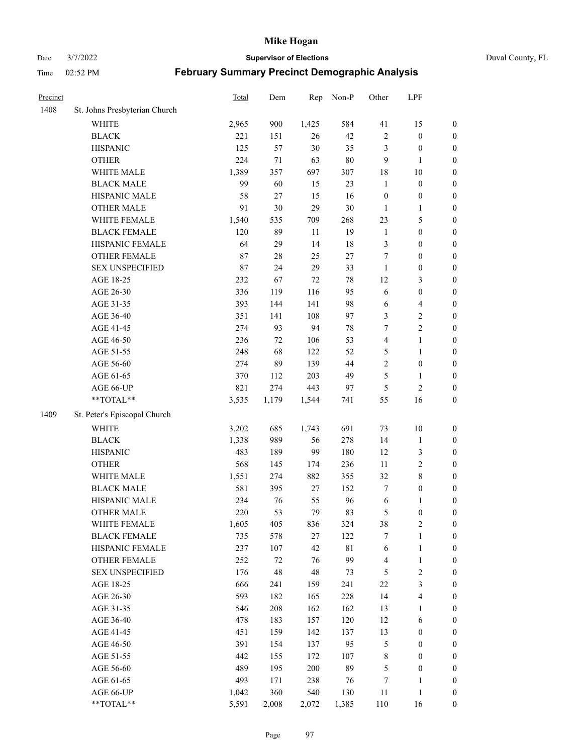Date 3/7/2022 **Supervisor of Elections** Duval County, FL

| Precinct |                               | <b>Total</b> | Dem    | Rep    | Non-P       | Other                   | LPF                     |                  |
|----------|-------------------------------|--------------|--------|--------|-------------|-------------------------|-------------------------|------------------|
| 1408     | St. Johns Presbyterian Church |              |        |        |             |                         |                         |                  |
|          | <b>WHITE</b>                  | 2,965        | 900    | 1,425  | 584         | 41                      | 15                      | 0                |
|          | <b>BLACK</b>                  | 221          | 151    | 26     | 42          | $\sqrt{2}$              | $\boldsymbol{0}$        | 0                |
|          | <b>HISPANIC</b>               | 125          | 57     | 30     | 35          | 3                       | $\boldsymbol{0}$        | $\boldsymbol{0}$ |
|          | <b>OTHER</b>                  | 224          | 71     | 63     | $80\,$      | 9                       | 1                       | $\boldsymbol{0}$ |
|          | WHITE MALE                    | 1,389        | 357    | 697    | 307         | 18                      | $10\,$                  | $\boldsymbol{0}$ |
|          | <b>BLACK MALE</b>             | 99           | 60     | 15     | 23          | $\mathbf{1}$            | $\boldsymbol{0}$        | $\boldsymbol{0}$ |
|          | HISPANIC MALE                 | 58           | 27     | 15     | 16          | $\boldsymbol{0}$        | $\boldsymbol{0}$        | $\boldsymbol{0}$ |
|          | <b>OTHER MALE</b>             | 91           | 30     | 29     | $30\,$      | $\mathbf{1}$            | $\mathbf{1}$            | $\boldsymbol{0}$ |
|          | WHITE FEMALE                  | 1,540        | 535    | 709    | 268         | 23                      | $\mathfrak{S}$          | $\boldsymbol{0}$ |
|          | <b>BLACK FEMALE</b>           | 120          | 89     | 11     | 19          | $\mathbf{1}$            | $\boldsymbol{0}$        | 0                |
|          | HISPANIC FEMALE               | 64           | 29     | 14     | 18          | 3                       | $\boldsymbol{0}$        | 0                |
|          | OTHER FEMALE                  | 87           | $28\,$ | 25     | $27\,$      | $\tau$                  | $\boldsymbol{0}$        | $\boldsymbol{0}$ |
|          | <b>SEX UNSPECIFIED</b>        | 87           | 24     | 29     | 33          | $\mathbf{1}$            | $\boldsymbol{0}$        | $\boldsymbol{0}$ |
|          | AGE 18-25                     | 232          | 67     | $72\,$ | $78\,$      | 12                      | $\mathfrak{Z}$          | $\boldsymbol{0}$ |
|          | AGE 26-30                     | 336          | 119    | 116    | 95          | 6                       | $\boldsymbol{0}$        | $\boldsymbol{0}$ |
|          | AGE 31-35                     | 393          | 144    | 141    | 98          | 6                       | $\overline{\mathbf{4}}$ | $\boldsymbol{0}$ |
|          | AGE 36-40                     | 351          | 141    | 108    | 97          | 3                       | $\sqrt{2}$              | $\boldsymbol{0}$ |
|          | AGE 41-45                     | 274          | 93     | 94     | $78\,$      | $\tau$                  | $\overline{2}$          | $\boldsymbol{0}$ |
|          | AGE 46-50                     | 236          | 72     | 106    | 53          | $\overline{\mathbf{4}}$ | $\mathbf{1}$            | $\boldsymbol{0}$ |
|          | AGE 51-55                     | 248          | 68     | 122    | 52          | 5                       | $\mathbf{1}$            | 0                |
|          | AGE 56-60                     | 274          | 89     | 139    | 44          | $\sqrt{2}$              | $\boldsymbol{0}$        | 0                |
|          | AGE 61-65                     | 370          | 112    | 203    | 49          | 5                       | $\mathbf{1}$            | 0                |
|          | AGE 66-UP                     | 821          | 274    | 443    | 97          | 5                       | $\sqrt{2}$              | $\boldsymbol{0}$ |
|          | **TOTAL**                     | 3,535        | 1,179  | 1,544  | 741         | 55                      | 16                      | $\boldsymbol{0}$ |
| 1409     | St. Peter's Episcopal Church  |              |        |        |             |                         |                         |                  |
|          | <b>WHITE</b>                  | 3,202        | 685    | 1,743  | 691         | 73                      | $10\,$                  | $\boldsymbol{0}$ |
|          | <b>BLACK</b>                  | 1,338        | 989    | 56     | 278         | 14                      | $\mathbf{1}$            | $\boldsymbol{0}$ |
|          | <b>HISPANIC</b>               | 483          | 189    | 99     | 180         | 12                      | $\mathfrak{Z}$          | $\boldsymbol{0}$ |
|          | <b>OTHER</b>                  | 568          | 145    | 174    | 236         | 11                      | $\sqrt{2}$              | $\boldsymbol{0}$ |
|          | WHITE MALE                    | 1,551        | 274    | 882    | 355         | 32                      | $8\,$                   | $\boldsymbol{0}$ |
|          | <b>BLACK MALE</b>             | 581          | 395    | 27     | 152         | $\tau$                  | $\boldsymbol{0}$        | $\boldsymbol{0}$ |
|          | HISPANIC MALE                 | 234          | 76     | 55     | 96          | 6                       | 1                       | $\boldsymbol{0}$ |
|          | <b>OTHER MALE</b>             | 220          | 53     | 79     | 83          | 5                       | $\boldsymbol{0}$        | $\boldsymbol{0}$ |
|          | WHITE FEMALE                  | 1,605        | 405    | 836    | 324         | 38                      | 2                       | 0                |
|          | <b>BLACK FEMALE</b>           | 735          | 578    | 27     | 122         | 7                       | $\mathbf{1}$            | $\boldsymbol{0}$ |
|          | HISPANIC FEMALE               | 237          | 107    | 42     | $8\sqrt{1}$ | 6                       | $\mathbf{1}$            | $\boldsymbol{0}$ |
|          | <b>OTHER FEMALE</b>           | 252          | $72\,$ | 76     | 99          | 4                       | $\mathbf{1}$            | $\overline{0}$   |
|          | <b>SEX UNSPECIFIED</b>        | 176          | 48     | 48     | 73          | 5                       | $\sqrt{2}$              | 0                |
|          | AGE 18-25                     | 666          | 241    | 159    | 241         | $22\,$                  | $\mathfrak{Z}$          | 0                |
|          | AGE 26-30                     | 593          | 182    | 165    | 228         | 14                      | $\overline{\mathbf{4}}$ | 0                |
|          | AGE 31-35                     | 546          | 208    | 162    | 162         | 13                      | 1                       | 0                |
|          | AGE 36-40                     | 478          | 183    | 157    | 120         | 12                      | 6                       | 0                |
|          | AGE 41-45                     | 451          | 159    | 142    | 137         | 13                      | $\boldsymbol{0}$        | 0                |
|          | AGE 46-50                     | 391          | 154    | 137    | 95          | 5                       | $\boldsymbol{0}$        | 0                |
|          | AGE 51-55                     | 442          | 155    | 172    | 107         | 8                       | $\boldsymbol{0}$        | 0                |
|          | AGE 56-60                     | 489          | 195    | 200    | 89          | 5                       | $\boldsymbol{0}$        | $\overline{0}$   |
|          | AGE 61-65                     | 493          | 171    | 238    | 76          | 7                       | 1                       | $\overline{0}$   |
|          | AGE 66-UP                     | 1,042        | 360    | 540    | 130         | 11                      | $\mathbf{1}$            | $\boldsymbol{0}$ |
|          | $**TOTAL**$                   | 5,591        | 2,008  | 2,072  | 1,385       | 110                     | 16                      | $\boldsymbol{0}$ |
|          |                               |              |        |        |             |                         |                         |                  |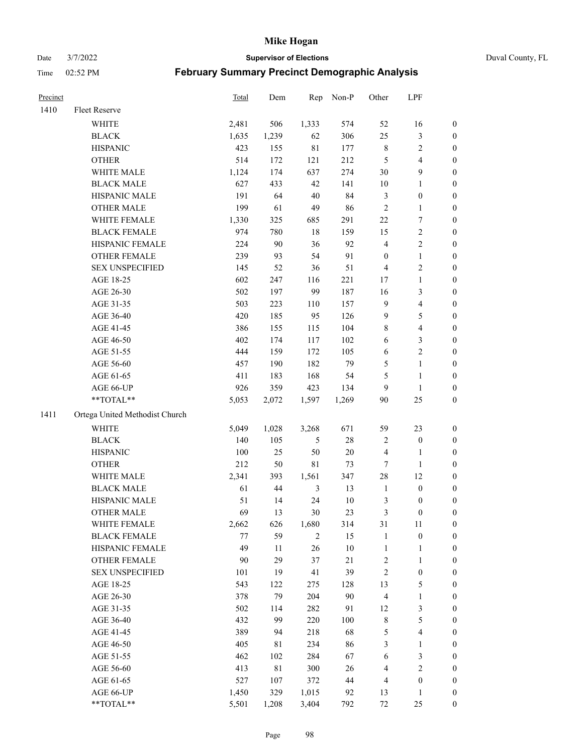Date 3/7/2022 **Supervisor of Elections** Duval County, FL

| Precinct |                                | Total | Dem         | Rep         | Non-P | Other                   | LPF              |                  |
|----------|--------------------------------|-------|-------------|-------------|-------|-------------------------|------------------|------------------|
| 1410     | Fleet Reserve                  |       |             |             |       |                         |                  |                  |
|          | <b>WHITE</b>                   | 2,481 | 506         | 1,333       | 574   | 52                      | 16               | 0                |
|          | <b>BLACK</b>                   | 1,635 | 1,239       | 62          | 306   | 25                      | $\mathfrak{Z}$   | 0                |
|          | <b>HISPANIC</b>                | 423   | 155         | $8\sqrt{1}$ | 177   | $\,$ $\,$               | $\sqrt{2}$       | $\boldsymbol{0}$ |
|          | <b>OTHER</b>                   | 514   | 172         | 121         | 212   | 5                       | $\overline{4}$   | $\boldsymbol{0}$ |
|          | WHITE MALE                     | 1,124 | 174         | 637         | 274   | 30                      | $\mathbf{9}$     | $\boldsymbol{0}$ |
|          | <b>BLACK MALE</b>              | 627   | 433         | 42          | 141   | $10\,$                  | $\mathbf{1}$     | $\boldsymbol{0}$ |
|          | HISPANIC MALE                  | 191   | 64          | $40\,$      | 84    | 3                       | $\boldsymbol{0}$ | $\boldsymbol{0}$ |
|          | <b>OTHER MALE</b>              | 199   | 61          | 49          | 86    | $\sqrt{2}$              | $\mathbf{1}$     | $\boldsymbol{0}$ |
|          | WHITE FEMALE                   | 1,330 | 325         | 685         | 291   | 22                      | $\overline{7}$   | $\boldsymbol{0}$ |
|          | <b>BLACK FEMALE</b>            | 974   | 780         | $18\,$      | 159   | 15                      | $\sqrt{2}$       | 0                |
|          | HISPANIC FEMALE                | 224   | 90          | 36          | 92    | 4                       | $\sqrt{2}$       | 0                |
|          | OTHER FEMALE                   | 239   | 93          | 54          | 91    | $\boldsymbol{0}$        | $\mathbf{1}$     | 0                |
|          | <b>SEX UNSPECIFIED</b>         | 145   | 52          | 36          | 51    | 4                       | $\sqrt{2}$       | $\boldsymbol{0}$ |
|          | AGE 18-25                      | 602   | 247         | 116         | 221   | 17                      | $\mathbf{1}$     | $\boldsymbol{0}$ |
|          | AGE 26-30                      | 502   | 197         | 99          | 187   | 16                      | $\mathfrak{Z}$   | $\boldsymbol{0}$ |
|          | AGE 31-35                      | 503   | 223         | 110         | 157   | 9                       | $\overline{4}$   | $\boldsymbol{0}$ |
|          | AGE 36-40                      | 420   | 185         | 95          | 126   | 9                       | $\mathfrak s$    | $\boldsymbol{0}$ |
|          | AGE 41-45                      | 386   | 155         | 115         | 104   | 8                       | $\overline{4}$   | $\boldsymbol{0}$ |
|          | AGE 46-50                      | 402   | 174         | 117         | 102   | 6                       | $\mathfrak{Z}$   | $\boldsymbol{0}$ |
|          | AGE 51-55                      | 444   | 159         | 172         | 105   | 6                       | $\sqrt{2}$       | 0                |
|          | AGE 56-60                      | 457   | 190         | 182         | 79    | 5                       | $\mathbf{1}$     | 0                |
|          | AGE 61-65                      | 411   | 183         | 168         | 54    | 5                       | $\mathbf{1}$     | 0                |
|          | AGE 66-UP                      | 926   | 359         | 423         | 134   | 9                       | $\mathbf{1}$     | $\boldsymbol{0}$ |
|          | $**TOTAL**$                    | 5,053 | 2,072       | 1,597       | 1,269 | 90                      | 25               | $\boldsymbol{0}$ |
|          |                                |       |             |             |       |                         |                  |                  |
| 1411     | Ortega United Methodist Church |       |             |             |       |                         |                  |                  |
|          | <b>WHITE</b>                   | 5,049 | 1,028       | 3,268       | 671   | 59                      | 23               | $\boldsymbol{0}$ |
|          | <b>BLACK</b>                   | 140   | 105         | 5           | 28    | 2                       | $\boldsymbol{0}$ | $\boldsymbol{0}$ |
|          | <b>HISPANIC</b>                | 100   | 25          | 50          | 20    | 4                       | $\mathbf{1}$     | $\boldsymbol{0}$ |
|          | <b>OTHER</b>                   | 212   | 50          | $8\sqrt{1}$ | 73    | $\boldsymbol{7}$        | $\mathbf{1}$     | $\boldsymbol{0}$ |
|          | WHITE MALE                     | 2,341 | 393         | 1,561       | 347   | 28                      | 12               | $\boldsymbol{0}$ |
|          | <b>BLACK MALE</b>              | 61    | 44          | 3           | 13    | $\mathbf{1}$            | $\boldsymbol{0}$ | $\boldsymbol{0}$ |
|          | HISPANIC MALE                  | 51    | 14          | 24          | 10    | 3                       | $\boldsymbol{0}$ | 0                |
|          | <b>OTHER MALE</b>              | 69    | 13          | 30          | 23    | 3                       | $\boldsymbol{0}$ | $\boldsymbol{0}$ |
|          | WHITE FEMALE                   | 2,662 | 626         | 1,680       | 314   | 31                      | 11               | 0                |
|          | <b>BLACK FEMALE</b>            | 77    | 59          | 2           | 15    | $\mathbf{1}$            | $\boldsymbol{0}$ | $\boldsymbol{0}$ |
|          | HISPANIC FEMALE                | 49    | $11\,$      | 26          | 10    | $\mathbf{1}$            | $\mathbf{1}$     | $\boldsymbol{0}$ |
|          | OTHER FEMALE                   | 90    | 29          | 37          | 21    | $\overline{\mathbf{c}}$ | $\mathbf{1}$     | $\overline{0}$   |
|          | <b>SEX UNSPECIFIED</b>         | 101   | 19          | 41          | 39    | $\overline{c}$          | $\boldsymbol{0}$ | 0                |
|          | AGE 18-25                      | 543   | 122         | 275         | 128   | 13                      | $\mathfrak s$    | 0                |
|          | AGE 26-30                      | 378   | 79          | 204         | 90    | 4                       | $\mathbf{1}$     | 0                |
|          | AGE 31-35                      | 502   | 114         | 282         | 91    | 12                      | $\mathfrak z$    | 0                |
|          | AGE 36-40                      | 432   | 99          | 220         | 100   | 8                       | 5                | 0                |
|          | AGE 41-45                      | 389   | 94          | 218         | 68    | 5                       | $\overline{4}$   | 0                |
|          | AGE 46-50                      | 405   | 81          | 234         | 86    | 3                       | $\mathbf{1}$     | 0                |
|          | AGE 51-55                      | 462   | 102         | 284         | 67    | 6                       | $\mathfrak z$    | 0                |
|          | AGE 56-60                      | 413   | $8\sqrt{1}$ | 300         | 26    | 4                       | $\sqrt{2}$       | $\overline{0}$   |
|          | AGE 61-65                      | 527   | 107         | 372         | 44    | 4                       | $\boldsymbol{0}$ | $\overline{0}$   |
|          | AGE 66-UP                      | 1,450 | 329         | 1,015       | 92    | 13                      | $\mathbf{1}$     | 0                |
|          | **TOTAL**                      | 5,501 | 1,208       | 3,404       | 792   | 72                      | 25               | $\boldsymbol{0}$ |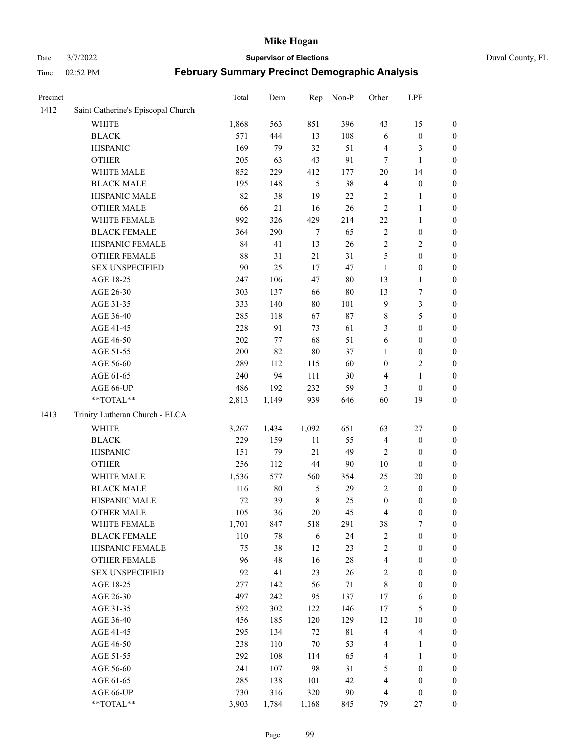### Date 3/7/2022 **Supervisor of Elections** Duval County, FL

| Precinct |                                    | <b>Total</b> | Dem    | Rep         | Non-P       | Other                   | LPF                     |                  |
|----------|------------------------------------|--------------|--------|-------------|-------------|-------------------------|-------------------------|------------------|
| 1412     | Saint Catherine's Episcopal Church |              |        |             |             |                         |                         |                  |
|          | <b>WHITE</b>                       | 1,868        | 563    | 851         | 396         | 43                      | 15                      | 0                |
|          | <b>BLACK</b>                       | 571          | 444    | 13          | 108         | 6                       | $\boldsymbol{0}$        | 0                |
|          | <b>HISPANIC</b>                    | 169          | 79     | 32          | 51          | 4                       | 3                       | $\boldsymbol{0}$ |
|          | <b>OTHER</b>                       | 205          | 63     | 43          | 91          | 7                       | $\mathbf{1}$            | $\boldsymbol{0}$ |
|          | WHITE MALE                         | 852          | 229    | 412         | 177         | 20                      | 14                      | $\boldsymbol{0}$ |
|          | <b>BLACK MALE</b>                  | 195          | 148    | 5           | 38          | 4                       | $\boldsymbol{0}$        | $\boldsymbol{0}$ |
|          | HISPANIC MALE                      | 82           | 38     | 19          | 22          | 2                       | $\mathbf{1}$            | $\boldsymbol{0}$ |
|          | <b>OTHER MALE</b>                  | 66           | 21     | 16          | 26          | $\mathfrak{2}$          | $\mathbf{1}$            | $\boldsymbol{0}$ |
|          | WHITE FEMALE                       | 992          | 326    | 429         | 214         | $22\,$                  | 1                       | $\boldsymbol{0}$ |
|          | <b>BLACK FEMALE</b>                | 364          | 290    | $\tau$      | 65          | $\sqrt{2}$              | $\boldsymbol{0}$        | 0                |
|          | HISPANIC FEMALE                    | 84           | 41     | 13          | 26          | $\sqrt{2}$              | $\sqrt{2}$              | 0                |
|          | <b>OTHER FEMALE</b>                | 88           | 31     | 21          | 31          | 5                       | $\boldsymbol{0}$        | $\boldsymbol{0}$ |
|          | <b>SEX UNSPECIFIED</b>             | 90           | 25     | 17          | 47          | $\mathbf{1}$            | $\boldsymbol{0}$        | $\boldsymbol{0}$ |
|          | AGE 18-25                          | 247          | 106    | 47          | $80\,$      | 13                      | $\mathbf{1}$            | $\boldsymbol{0}$ |
|          | AGE 26-30                          | 303          | 137    | 66          | 80          | 13                      | $\boldsymbol{7}$        | $\boldsymbol{0}$ |
|          | AGE 31-35                          | 333          | 140    | 80          | 101         | 9                       | $\mathfrak{Z}$          | $\boldsymbol{0}$ |
|          | AGE 36-40                          | 285          | 118    | 67          | 87          | $\,$ 8 $\,$             | $\mathfrak{S}$          | $\boldsymbol{0}$ |
|          | AGE 41-45                          | 228          | 91     | 73          | 61          | 3                       | $\boldsymbol{0}$        | $\boldsymbol{0}$ |
|          | AGE 46-50                          | $202\,$      | 77     | 68          | 51          | 6                       | $\boldsymbol{0}$        | $\boldsymbol{0}$ |
|          | AGE 51-55                          | 200          | 82     | 80          | 37          | 1                       | $\boldsymbol{0}$        | 0                |
|          | AGE 56-60                          | 289          | 112    | 115         | 60          | $\boldsymbol{0}$        | $\sqrt{2}$              | 0                |
|          | AGE 61-65                          | 240          | 94     | 111         | 30          | 4                       | $\mathbf{1}$            | $\boldsymbol{0}$ |
|          | AGE 66-UP                          | 486          | 192    | 232         | 59          | 3                       | $\boldsymbol{0}$        | $\boldsymbol{0}$ |
|          | **TOTAL**                          | 2,813        | 1,149  | 939         | 646         | 60                      | 19                      | $\boldsymbol{0}$ |
| 1413     | Trinity Lutheran Church - ELCA     |              |        |             |             |                         |                         |                  |
|          | <b>WHITE</b>                       | 3,267        | 1,434  | 1,092       | 651         | 63                      | $27\,$                  | $\boldsymbol{0}$ |
|          | <b>BLACK</b>                       | 229          | 159    | 11          | 55          | 4                       | $\boldsymbol{0}$        | $\boldsymbol{0}$ |
|          | <b>HISPANIC</b>                    | 151          | 79     | 21          | 49          | 2                       | $\boldsymbol{0}$        | $\boldsymbol{0}$ |
|          | <b>OTHER</b>                       | 256          | 112    | 44          | 90          | $10\,$                  | $\boldsymbol{0}$        | $\boldsymbol{0}$ |
|          | WHITE MALE                         | 1,536        | 577    | 560         | 354         | 25                      | $20\,$                  | $\boldsymbol{0}$ |
|          | <b>BLACK MALE</b>                  | 116          | $80\,$ | 5           | 29          | $\overline{2}$          | $\boldsymbol{0}$        | $\boldsymbol{0}$ |
|          | HISPANIC MALE                      | $72\,$       | 39     | $\,$ 8 $\,$ | 25          | $\boldsymbol{0}$        | $\boldsymbol{0}$        | 0                |
|          | <b>OTHER MALE</b>                  | 105          | 36     | 20          | 45          | 4                       | $\boldsymbol{0}$        | $\boldsymbol{0}$ |
|          | WHITE FEMALE                       | 1,701        | 847    | 518         | 291         | 38                      | 7                       | 0                |
|          | <b>BLACK FEMALE</b>                | 110          | 78     | 6           | 24          | 2                       | $\boldsymbol{0}$        | $\boldsymbol{0}$ |
|          | HISPANIC FEMALE                    | 75           | 38     | 12          | 23          | $\overline{c}$          | $\boldsymbol{0}$        | $\overline{0}$   |
|          | <b>OTHER FEMALE</b>                | 96           | 48     | 16          | $28\,$      | 4                       | $\boldsymbol{0}$        | $\overline{0}$   |
|          | <b>SEX UNSPECIFIED</b>             | 92           | 41     | 23          | 26          | 2                       | $\boldsymbol{0}$        | 0                |
|          | AGE 18-25                          | 277          | 142    | 56          | 71          | 8                       | $\boldsymbol{0}$        | 0                |
|          | AGE 26-30                          | 497          | 242    | 95          | 137         | 17                      | 6                       | 0                |
|          | AGE 31-35                          | 592          | 302    | 122         | 146         | 17                      | $\mathfrak{S}$          | 0                |
|          | AGE 36-40                          | 456          | 185    | 120         | 129         | 12                      | $10\,$                  | 0                |
|          | AGE 41-45                          | 295          | 134    | $72\,$      | $8\sqrt{1}$ | $\overline{\mathbf{4}}$ | $\overline{\mathbf{4}}$ | 0                |
|          | AGE 46-50                          | 238          | 110    | $70\,$      | 53          | 4                       | $\mathbf{1}$            | 0                |
|          | AGE 51-55                          | 292          | 108    | 114         | 65          | $\overline{4}$          | $\mathbf{1}$            | 0                |
|          | AGE 56-60                          | 241          | 107    | 98          | 31          | 5                       | $\boldsymbol{0}$        | 0                |
|          | AGE 61-65                          | 285          | 138    | 101         | 42          | 4                       | $\boldsymbol{0}$        | 0                |
|          | AGE 66-UP                          | 730          | 316    | 320         | $90\,$      | 4                       | $\boldsymbol{0}$        | 0                |
|          | **TOTAL**                          | 3,903        | 1,784  | 1,168       | 845         | 79                      | 27                      | $\boldsymbol{0}$ |